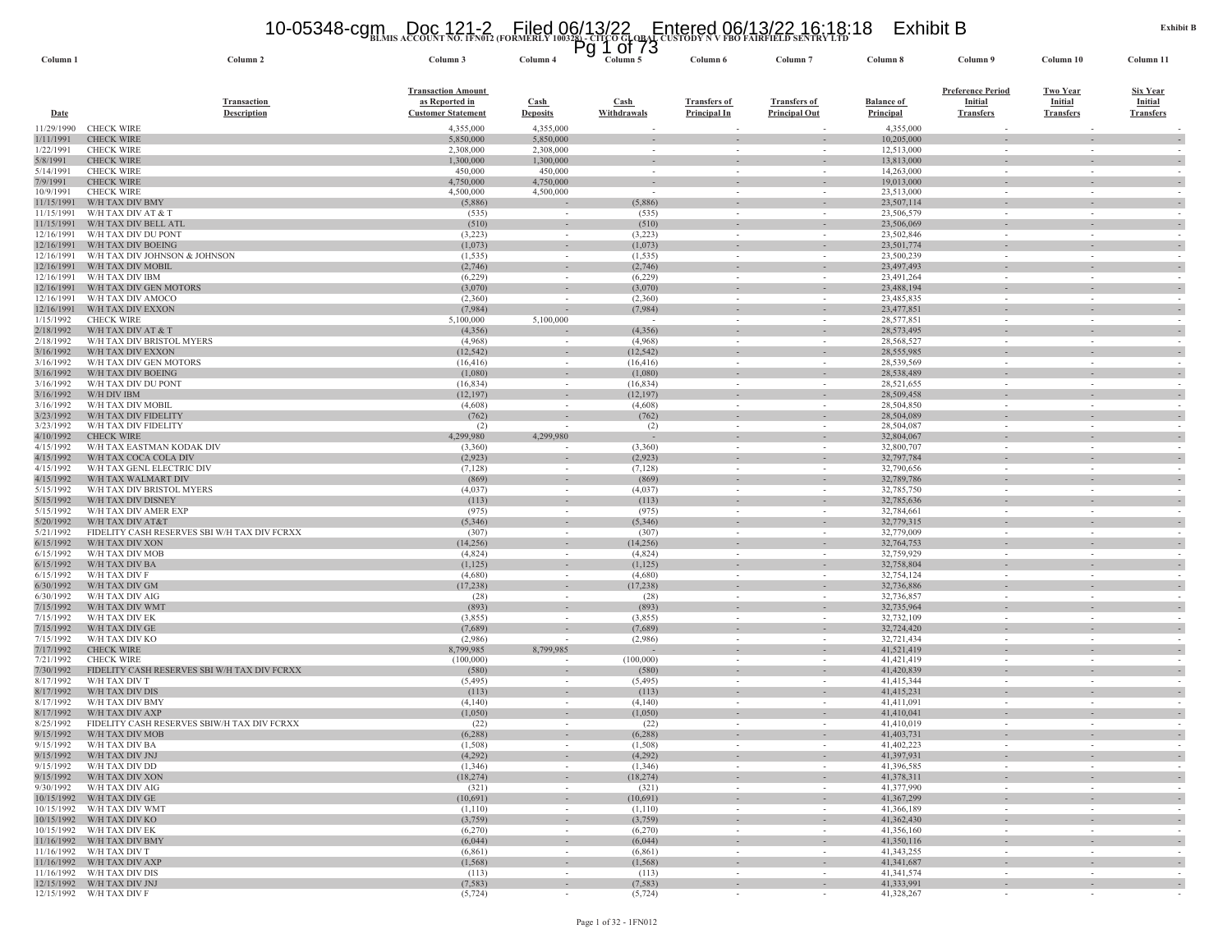# **BLMIS ACCOUNT NO. 1FN012 (FORMERLY 100328) - CITCO GLOBAL CUSTODY N V FBO FAIRFIELD SENTRY LTD** 10-05348-cgm Doc 121-2 Filed 06/13/22 Entered 06/13/22 16:18:18 Exhibit B Pg 1 of 73

| Column                   | Column <sub>2</sub>                                      | Column 3                                    | Column 4                           | Column <sub>5</sub>  | Column 6                 | Column <sup>-</sup>                | Column 8                 | Column 9                                             | Column <sub>10</sub>               | Column 11                         |
|--------------------------|----------------------------------------------------------|---------------------------------------------|------------------------------------|----------------------|--------------------------|------------------------------------|--------------------------|------------------------------------------------------|------------------------------------|-----------------------------------|
|                          |                                                          |                                             |                                    |                      |                          |                                    |                          |                                                      |                                    |                                   |
|                          | <b>Transaction</b>                                       | <b>Transaction Amount</b><br>as Reported in | Cash                               | Cash                 | <b>Transfers of</b>      | <b>Transfers of</b>                | <b>Balance of</b>        | <b>Preference Period</b><br><b>Initial</b>           | <b>Two Year</b><br>Initial         | <b>Six Year</b><br><b>Initial</b> |
| <b>Date</b>              | <b>Description</b>                                       | <b>Customer Statement</b>                   | <b>Deposits</b>                    | Withdrawals          | <b>Principal In</b>      | <b>Principal Out</b>               | <b>Principal</b>         | <b>Transfers</b>                                     | <b>Transfers</b>                   | <b>Transfers</b>                  |
| 11/29/1990               | <b>CHECK WIRE</b>                                        | 4,355,000                                   | 4,355,000                          |                      |                          |                                    | 4,355,000                |                                                      |                                    |                                   |
| 1/11/1991                | <b>CHECK WIRE</b>                                        | 5,850,000                                   | 5,850,000                          | $\sim$               |                          | $\overline{\phantom{a}}$           | 10,205,000               | $\sim$                                               | $\sim$                             |                                   |
| 1/22/1991                | <b>CHECK WIRE</b>                                        | 2,308,000<br>1,300,000                      | 2,308,000<br>1,300,000             |                      |                          |                                    | 12,513,000               |                                                      |                                    |                                   |
| 5/8/1991<br>5/14/1991    | <b>CHECK WIRE</b><br><b>CHECK WIRE</b>                   | 450,000                                     | 450,000                            | $\sim$<br>$\sim$     |                          | $\overline{\phantom{a}}$           | 13,813,000<br>14,263,000 | $\overline{\phantom{a}}$<br>$\overline{\phantom{a}}$ | $\sim$<br>$\overline{\phantom{a}}$ |                                   |
| 7/9/1991                 | <b>CHECK WIRE</b>                                        | 4,750,000                                   | 4,750,000                          |                      |                          |                                    | 19,013,000               |                                                      |                                    |                                   |
| 10/9/1991                | <b>CHECK WIRE</b>                                        | 4,500,000                                   | 4,500,000                          | $\sim$               |                          | $\sim$                             | 23,513,000               | $\sim$                                               | $\overline{\phantom{a}}$           |                                   |
| 11/15/1991               | W/H TAX DIV BMY                                          | (5,886)                                     |                                    | (5,886)              |                          |                                    | 23,507,114               |                                                      |                                    |                                   |
| 11/15/1991<br>11/15/1991 | W/H TAX DIV AT & T<br>W/H TAX DIV BELL ATI               | (535)<br>(510)                              | $\sim$                             | (535)<br>(510)       |                          |                                    | 23,506,579<br>23,506,069 |                                                      |                                    |                                   |
| 12/16/1991               | W/H TAX DIV DU PONT                                      | (3,223)                                     | $\sim$                             | (3,223)              | $\sim$                   | $\sim$                             | 23,502,846               | $\sim$                                               | $\sim$                             |                                   |
| 12/16/1991               | W/H TAX DIV BOEING                                       | (1,073)                                     | $\sim$                             | (1,073)              |                          |                                    | 23,501,774               |                                                      |                                    |                                   |
| 12/16/1991               | W/H TAX DIV JOHNSON & JOHNSON                            | (1, 535)                                    | $\sim$                             | (1, 535)             | $\sim$                   | $\sim$                             | 23,500,239               | $\sim$                                               | $\sim$                             |                                   |
| 12/16/1991<br>12/16/1991 | W/H TAX DIV MOBII<br>W/H TAX DIV IBM                     | (2,746)<br>(6,229)                          | $\sim$                             | (2,746)<br>(6,229)   | $\sim$                   | $\sim$                             | 23,497,493<br>23,491,264 | $\sim$                                               | $\sim$                             |                                   |
| 12/16/1991               | W/H TAX DIV GEN MOTORS                                   | (3,070)                                     | $\sim$                             | (3,070)              | $\sim$                   | $\sim$                             | 23,488,194               | $\overline{\phantom{a}}$                             |                                    |                                   |
| 12/16/1991               | W/H TAX DIV AMOCO                                        | (2,360)                                     |                                    | (2,360)              |                          |                                    | 23,485,835               |                                                      |                                    |                                   |
| 12/16/1991               | W/H TAX DIV EXXON                                        | (7,984)                                     |                                    | (7,984)              | $\overline{\phantom{a}}$ | $\overline{\phantom{a}}$           | 23,477,851               | ٠                                                    | $\overline{\phantom{a}}$           |                                   |
| 1/15/1992                | <b>CHECK WIRE</b>                                        | 5,100,000                                   | 5,100,000                          | $\sim$               |                          | $\overline{\phantom{a}}$           | 28,577,851               | $\overline{\phantom{a}}$                             | $\sim$                             |                                   |
| 2/18/1992<br>2/18/1992   | W/H TAX DIV AT & T<br>W/H TAX DIV BRISTOL MYERS          | (4, 356)<br>(4,968)                         |                                    | (4,356)<br>(4,968)   |                          | $\sim$<br>$\overline{\phantom{a}}$ | 28,573,495<br>28,568,527 | $\sim$<br>$\overline{\phantom{a}}$                   |                                    |                                   |
| 3/16/1992                | W/H TAX DIV EXXON                                        | (12, 542)                                   | $\overline{\phantom{a}}$           | (12, 542)            |                          | $\overline{\phantom{a}}$           | 28,555,985               | $\overline{\phantom{a}}$                             |                                    |                                   |
| 3/16/1992                | W/H TAX DIV GEN MOTORS                                   | (16, 416)                                   | $\sim$                             | (16, 416)            |                          | $\overline{\phantom{a}}$           | 28,539,569               | $\overline{\phantom{a}}$                             |                                    |                                   |
| 3/16/1992                | W/H TAX DIV BOEING                                       | (1,080)                                     | $\sim$                             | (1,080)              |                          |                                    | 28,538,489               | $\overline{\phantom{a}}$                             |                                    |                                   |
| 3/16/1992                | W/H TAX DIV DU PONT                                      | (16, 834)                                   | $\sim$                             | (16, 834)            |                          | $\overline{\phantom{a}}$           | 28,521,655               | $\sim$                                               | $\overline{\phantom{a}}$           |                                   |
| 3/16/1992<br>3/16/1992   | W/H DIV IBM<br>W/H TAX DIV MOBIL                         | (12, 197)<br>(4,608)                        | $\overline{\phantom{a}}$<br>$\sim$ | (12, 197)<br>(4,608) | $\sim$                   | $\sim$                             | 28,509,458<br>28,504,850 | $\sim$                                               | $\overline{\phantom{a}}$           |                                   |
| 3/23/1992                | W/H TAX DIV FIDELITY                                     | (762)                                       |                                    | (762)                |                          |                                    | 28,504,089               |                                                      |                                    |                                   |
| 3/23/1992                | W/H TAX DIV FIDELITY                                     | (2)                                         | $\sim$                             | (2)                  | $\sim$                   | $\sim$                             | 28,504,087               | $\sim$                                               | $\overline{\phantom{a}}$           |                                   |
| 4/10/1992                | <b>CHECK WIRE</b>                                        | 4,299,980                                   | 4,299,980                          |                      | $\sim$                   | $\sim$                             | 32,804,067               | $\overline{\phantom{a}}$                             |                                    |                                   |
| 4/15/1992<br>4/15/1992   | W/H TAX EASTMAN KODAK DIV<br>W/H TAX COCA COLA DIV       | (3,360)<br>(2,923)                          |                                    | (3,360)<br>(2,923)   |                          | $\sim$                             | 32,800,707<br>32,797,784 | $\sim$<br>$\overline{\phantom{a}}$                   |                                    |                                   |
| 4/15/1992                | W/H TAX GENL ELECTRIC DIV                                | (7,128)                                     | $\overline{\phantom{a}}$<br>$\sim$ | (7,128)              | $\sim$                   | $\overline{\phantom{a}}$           | 32,790,656               | $\sim$                                               | $\sim$                             | $\sim$                            |
| 4/15/1992                | W/H TAX WALMART DIV                                      | (869)                                       | $\sim$                             | (869)                | $\sim$                   | $\sim$                             | 32,789,786               | $\sim$                                               | $\sim$                             |                                   |
| 5/15/1992                | W/H TAX DIV BRISTOL MYERS                                | (4,037)                                     | $\overline{\phantom{a}}$           | (4,037)              |                          |                                    | 32,785,750               | $\overline{\phantom{a}}$                             |                                    |                                   |
| 5/15/1992                | W/H TAX DIV DISNEY                                       | (113)                                       | $\sim$                             | (113)                | $\sim$                   | $\overline{\phantom{a}}$           | 32,785,636               | $\overline{\phantom{a}}$                             |                                    |                                   |
| 5/15/1992<br>5/20/1992   | W/H TAX DIV AMER EXP<br>W/H TAX DIV AT&T                 | (975)<br>(5, 346)                           | $\sim$                             | (975)<br>(5, 346)    | $\sim$                   | $\overline{\phantom{a}}$           | 32,784,661<br>32,779,315 | $\overline{\phantom{a}}$<br>$\sim$                   | $\sim$                             |                                   |
| 5/21/1992                | FIDELITY CASH RESERVES SBI W/H TAX DIV FCRXX             | (307)                                       | $\sim$                             | (307)                |                          | $\sim$                             | 32,779,009               | $\overline{\phantom{a}}$                             |                                    |                                   |
| 6/15/1992                | W/H TAX DIV XON                                          | (14, 256)                                   | $\sim$                             | (14, 256)            |                          | $\overline{\phantom{a}}$           | 32,764,753               | $\overline{\phantom{a}}$                             |                                    |                                   |
| 6/15/1992                | W/H TAX DIV MOB                                          | (4,824)                                     | $\sim$                             | (4,824)              | $\sim$                   | $\overline{\phantom{a}}$           | 32,759,929               | $\overline{\phantom{a}}$                             | $\overline{\phantom{a}}$           |                                   |
| 6/15/1992                | W/H TAX DIV BA                                           | (1, 125)                                    |                                    | (1, 125)             |                          |                                    | 32,758,804               |                                                      |                                    |                                   |
| 6/15/1992<br>6/30/1992   | W/H TAX DIV F<br>W/H TAX DIV GM                          | (4,680)<br>(17, 238)                        | $\sim$<br>$\overline{\phantom{a}}$ | (4,680)<br>(17, 238) | $\sim$                   | $\sim$<br>$\overline{\phantom{a}}$ | 32,754,124<br>32,736,886 | $\sim$<br>$\overline{\phantom{a}}$                   |                                    |                                   |
| 6/30/1992                | W/H TAX DIV AIG                                          | (28)                                        | $\sim$                             | (28)                 |                          | $\sim$                             | 32,736,857               | $\sim$                                               | $\overline{\phantom{a}}$           |                                   |
| 7/15/1992                | W/H TAX DIV WM7                                          | (893)                                       |                                    | (893)                |                          |                                    | 32,735,964               |                                                      |                                    |                                   |
| 7/15/1992                | W/H TAX DIV EK                                           | (3,855)                                     | $\sim$                             | (3,855)              | $\sim$                   | $\overline{\phantom{a}}$           | 32,732,109               | $\sim$                                               | $\sim$                             |                                   |
| 7/15/1992<br>7/15/1992   | W/H TAX DIV GE<br>W/H TAX DIV KO                         | (7,689)<br>(2,986)                          |                                    | (7,689)<br>(2,986)   | $\sim$                   | $\sim$<br>$\sim$                   | 32,724,420<br>32,721,434 | $\sim$<br>$\sim$                                     | $\overline{\phantom{a}}$<br>$\sim$ |                                   |
| 7/17/1992                | <b>CHECK WIRE</b>                                        | 8,799,985                                   | 8,799,985                          |                      |                          |                                    | 41,521,419               |                                                      |                                    |                                   |
| 7/21/1992                | <b>CHECK WIRE</b>                                        | (100,000)                                   |                                    | (100,000)            | $\sim$                   | $\sim$                             | 41,421,419               | $\sim$                                               | $\sim$                             |                                   |
| 7/30/1992                | FIDELITY CASH RESERVES SBI W/H TAX DIV FCRXX             | (580)                                       | $\sim$                             | (580)                | $\sim$                   | $\sim$                             | 41,420,839               | $\sim$                                               | $\sim$                             |                                   |
| 8/17/1992<br>8/17/1992   | W/H TAX DIV T<br>W/H TAX DIV DIS                         | (5, 495)<br>(113)                           |                                    | (5, 495)<br>(113)    | $\sim$                   | $\overline{\phantom{a}}$           | 41,415,344<br>41,415,231 | $\overline{\phantom{a}}$                             | $\overline{\phantom{a}}$           |                                   |
| 8/17/1992                | W/H TAX DIV BMY                                          | (4,140)                                     | $\sim$<br>$\sim$                   | (4,140)              |                          | $\overline{\phantom{a}}$           | 41,411,091               |                                                      |                                    |                                   |
| 8/17/1992                | W/H TAX DIV AXP                                          | (1,050)                                     |                                    | (1,050)              |                          |                                    | 41,410,041               | ٠                                                    |                                    |                                   |
| 8/25/1992                | FIDELITY CASH RESERVES SBIW/H TAX DIV FCRXX              | (22)                                        | $\sim$                             | (22)                 | $\sim$                   | $\sim$                             | 41,410,019               | $\sim$                                               |                                    |                                   |
| 9/15/1992                | W/H TAX DIV MOB                                          | (6, 288)                                    |                                    | (6, 288)             |                          |                                    | 41,403,731               |                                                      |                                    |                                   |
| 9/15/1992                | W/H TAX DIV BA<br>9/15/1992 W/H TAX DIV JNJ              | (1.508)<br>(4, 292)                         |                                    | (1,508)<br>(4, 292)  |                          |                                    | 41,402,223<br>41,397,931 |                                                      |                                    |                                   |
|                          | 9/15/1992 W/H TAX DIV DD                                 | (1,346)                                     | $\sim$ $-$                         | (1, 346)             | $\sim$                   | $\sim$ $-$                         | 41,396,585               | $\sim$                                               | $\sim$                             | $\sim$ $-$                        |
|                          | 9/15/1992 W/H TAX DIV XON                                | (18, 274)                                   | $\sim$                             | (18, 274)            | $\sim$                   | $\sim$                             | 41,378,311               | $\sim$                                               | $\sim$                             | $\sim$                            |
|                          | 9/30/1992 W/H TAX DIV AIG                                | (321)                                       | $\sim$                             | (321)                | $\sim$                   | $\sim$                             | 41,377,990               | $\sim$                                               | $\sim$                             | $\sim$                            |
|                          | 10/15/1992 W/H TAX DIV GE                                | (10,691)                                    |                                    | (10,691)             |                          | $\overline{\phantom{a}}$           | 41,367,299               | $\overline{\phantom{a}}$                             |                                    | $\sim$<br>$\sim$                  |
|                          | 10/15/1992 W/H TAX DIV WMT<br>10/15/1992 W/H TAX DIV KO  | (1,110)<br>(3,759)                          | $\sim$<br>$\sim$                   | (1,110)<br>(3,759)   | $\sim$<br>$\sim$         | $\sim$<br>$\sim$                   | 41,366,189<br>41,362,430 | $\sim$<br>$\sim$                                     | $\sim$<br>$\sim$                   | $\sim$                            |
|                          | 10/15/1992 W/H TAX DIV EK                                | (6,270)                                     | $\sim$                             | (6,270)              | $\sim$                   | $\sim$                             | 41,356,160               | $\overline{\phantom{a}}$                             | $\sim$                             | $\sim$                            |
|                          | 11/16/1992 W/H TAX DIV BMY                               | (6,044)                                     | $\sim$                             | (6,044)              | $\sim$                   | $\sim$                             | 41,350,116               | $\sim$                                               | $\sim$                             | $\sim$                            |
|                          | 11/16/1992 W/H TAX DIV T                                 | (6,861)                                     | $\sim$                             | (6,861)              | $\sim$                   | $\overline{\phantom{a}}$           | 41, 343, 255             | $\overline{\phantom{a}}$                             | $\sim$                             | $\sim$                            |
|                          | 11/16/1992 W/H TAX DIV AXP<br>11/16/1992 W/H TAX DIV DIS | (1, 568)<br>(113)                           | $\sim$<br>$\sim$                   | (1, 568)<br>(113)    | $\sim$<br>$\sim$         | $\sim$<br>$\sim$                   | 41,341,687<br>41,341,574 | $\sim$<br>$\sim$                                     | $\sim$<br>$\sim$                   | $\sim$<br>$\sim$                  |
|                          | 12/15/1992 W/H TAX DIV JNJ                               | (7, 583)                                    | $\sim$                             | (7, 583)             | $\overline{\phantom{a}}$ | $\sim$                             | 41,333,991               | $\sim$                                               | $\sim$                             |                                   |
|                          | 12/15/1992 W/H TAX DIV F                                 | (5, 724)                                    | $\sim$                             | (5, 724)             | $\sim$                   | $\sim$                             | 41,328,267               | $\sim$                                               | $\sim$                             | $\sim$                            |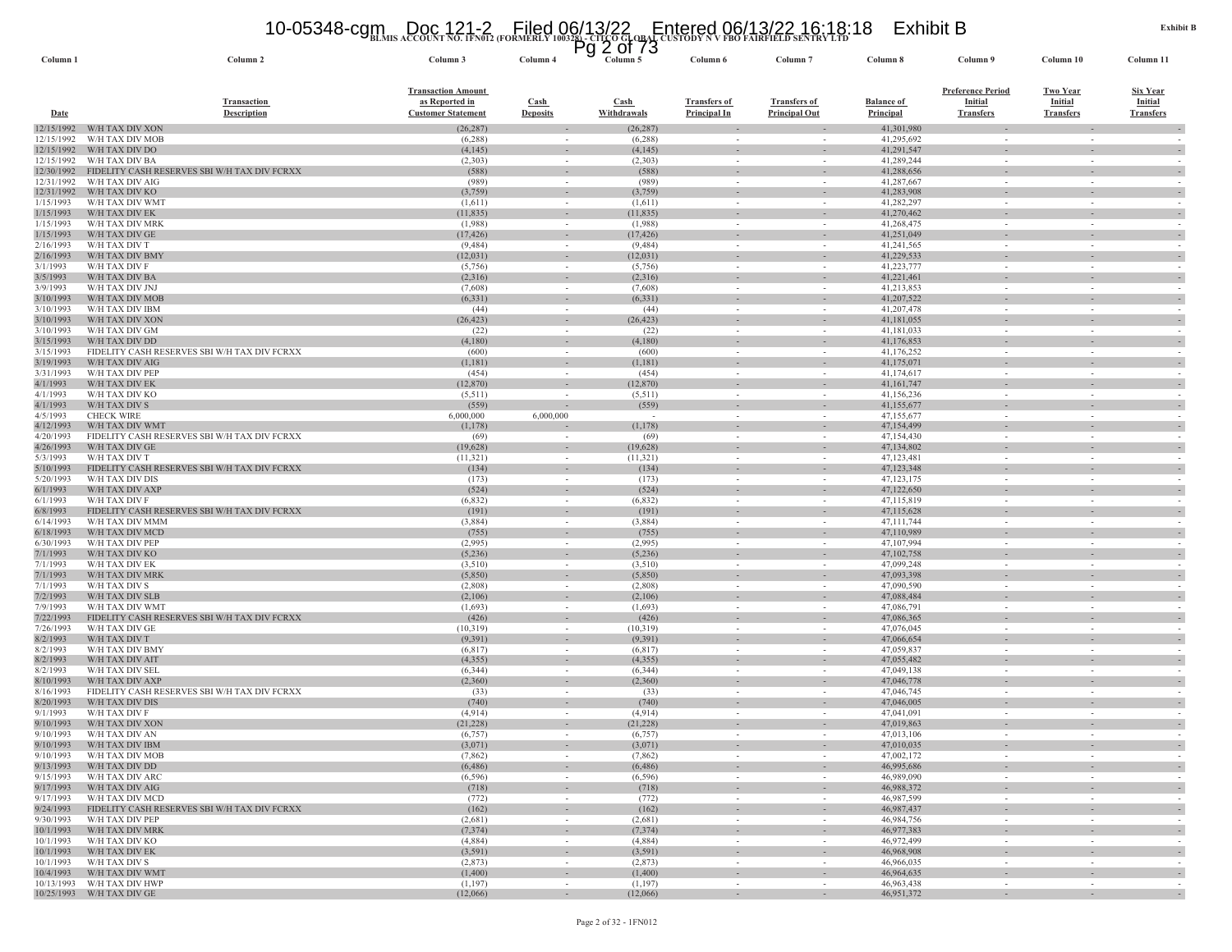#### **BLMIS ACCOUNT NO. 1FN012 (FORMERLY 100328) - CITCO GLOBAL CUSTODY N V FBO FAIRFIELD SENTRY LTD** 10-05348-cgm Doc 121-2 Filed 06/13/22 Entered 06/13/22 16:18:18 Exhibit B Pg 2 of 73

| Column <sub>1</sub>      | Column <sub>2</sub>                                             | Column 3                  | Column 4                                             | Column 5              | Column 6            | Column <sup>'</sup>                | Column 8                 | Column 9                 | Column 10                | Column 11                |
|--------------------------|-----------------------------------------------------------------|---------------------------|------------------------------------------------------|-----------------------|---------------------|------------------------------------|--------------------------|--------------------------|--------------------------|--------------------------|
|                          |                                                                 | <b>Transaction Amount</b> |                                                      |                       |                     |                                    |                          | <b>Preference Period</b> | <b>Two Year</b>          | <b>Six Year</b>          |
|                          | <b>Transaction</b>                                              | as Reported in            | <b>Cash</b>                                          | <b>Cash</b>           | <b>Transfers of</b> | <b>Transfers of</b>                | <b>Balance of</b>        | <b>Initial</b>           | Initial                  | <b>Initial</b>           |
| <b>Date</b>              | <b>Description</b>                                              | <b>Customer Statement</b> | <b>Deposits</b>                                      | Withdrawals           | <b>Principal In</b> | <b>Principal Out</b>               | Principal                | <b>Transfers</b>         | <b>Transfers</b>         | <b>Transfers</b>         |
| 12/15/1992<br>12/15/1992 | W/H TAX DIV XON<br>W/H TAX DIV MOB                              | (26, 287)                 | $\sim$                                               | (26, 287)             |                     |                                    | 41,301,980<br>41,295,692 |                          |                          |                          |
| 12/15/1992               | W/H TAX DIV DO                                                  | (6,288)<br>(4,145)        | $\sim$                                               | (6, 288)<br>(4, 145)  |                     | $\overline{\phantom{a}}$           | 41,291,547               |                          | $\sim$                   |                          |
| 12/15/1992               | W/H TAX DIV BA                                                  | (2,303)                   | $\overline{\phantom{a}}$                             | (2,303)               |                     |                                    | 41,289,244               |                          | $\sim$                   |                          |
| 12/30/1992               | FIDELITY CASH RESERVES SBI W/H TAX DIV FCRXX                    | (588)                     | $\sim$                                               | (588)                 |                     |                                    | 41,288,656               |                          |                          |                          |
| 12/31/1992<br>12/31/1992 | W/H TAX DIV AIG<br>W/H TAX DIV KO                               | (989)<br>(3,759)          | $\sim$<br>$\overline{\phantom{a}}$                   | (989)<br>(3,759)      |                     | $\overline{\phantom{a}}$           | 41,287,667<br>41,283,908 | $\sim$                   |                          |                          |
| 1/15/1993                | W/H TAX DIV WMT                                                 | (1,611)                   |                                                      | (1,611)               |                     |                                    | 41,282,297               |                          |                          |                          |
| 1/15/1993                | W/H TAX DIV EK                                                  | (11, 835)                 | $\overline{\phantom{a}}$                             | (11, 835)             |                     |                                    | 41,270,462               |                          |                          |                          |
| 1/15/1993                | W/H TAX DIV MRK                                                 | (1,988)                   | $\sim$                                               | (1,988)               | $\sim$              | $\sim$                             | 41,268,475<br>41,251,049 | $\sim$                   | $\overline{\phantom{a}}$ | $\overline{\phantom{a}}$ |
| 1/15/1993<br>2/16/1993   | W/H TAX DIV GE<br>W/H TAX DIV T                                 | (17, 426)<br>(9, 484)     | $\overline{\phantom{a}}$<br>$\sim$                   | (17, 426)<br>(9, 484) | $\sim$              | $\sim$                             | 41,241,565               | $\sim$                   | $\sim$                   |                          |
| 2/16/1993                | W/H TAX DIV BMY                                                 | (12, 031)                 |                                                      | (12, 031)             |                     |                                    | 41,229,533               |                          |                          |                          |
| 3/1/1993                 | W/H TAX DIV F                                                   | (5,756)                   | $\sim$                                               | (5,756)               | $\sim$              | $\sim$                             | 41,223,777               | $\sim$                   | $\sim$                   | $\sim$                   |
| 3/5/1993<br>3/9/1993     | W/H TAX DIV BA<br>W/H TAX DIV JNJ                               | (2,316)<br>(7,608)        | $\sim$                                               | (2,316)<br>(7,608)    | $\sim$              | $\overline{\phantom{a}}$           | 41,221,461<br>41,213,853 | $\sim$                   | $\sim$                   |                          |
| 3/10/1993                | W/H TAX DIV MOB                                                 | (6, 331)                  | $\sim$                                               | (6, 331)              |                     |                                    | 41,207,522               |                          |                          |                          |
| 3/10/1993                | W/H TAX DIV IBM                                                 | (44)                      | $\overline{\phantom{a}}$                             | (44)                  | $\sim$              | $\overline{\phantom{a}}$           | 41,207,478               | $\sim$                   | $\overline{\phantom{a}}$ |                          |
| 3/10/1993                | W/H TAX DIV XON                                                 | (26, 423)                 | $\sim$                                               | (26, 423)             |                     | $\sim$                             | 41,181,055               |                          |                          |                          |
| 3/10/1993<br>3/15/1993   | W/H TAX DIV GM<br>W/H TAX DIV DD                                | (22)<br>(4,180)           | $\overline{\phantom{a}}$                             | (22)<br>(4,180)       |                     |                                    | 41,181,033<br>41,176,853 |                          |                          |                          |
| 3/15/1993                | FIDELITY CASH RESERVES SBI W/H TAX DIV FCRXX                    | (600)                     |                                                      | (600)                 |                     |                                    | 41,176,252               |                          |                          |                          |
| 3/19/1993                | W/H TAX DIV AIG                                                 | (1,181)                   | $\overline{\phantom{a}}$                             | (1,181)               |                     |                                    | 41,175,071               |                          |                          |                          |
| 3/31/1993                | W/H TAX DIV PEP                                                 | (454)                     | $\sim$                                               | (454)                 |                     | $\overline{\phantom{a}}$           | 41,174,617               | $\sim$                   | $\overline{\phantom{a}}$ |                          |
| 4/1/1993<br>4/1/1993     | W/H TAX DIV EK<br>W/H TAX DIV KO                                | (12, 870)<br>(5,511)      | $\overline{\phantom{a}}$<br>$\overline{\phantom{a}}$ | (12, 870)<br>(5,511)  |                     | $\overline{\phantom{a}}$<br>$\sim$ | 41,161,747<br>41,156,236 | $\sim$                   | $\sim$                   |                          |
| 4/1/1993                 | W/H TAX DIV S                                                   | (559)                     | $\overline{\phantom{a}}$                             | (559)                 |                     |                                    | 41,155,677               |                          |                          |                          |
| 4/5/1993                 | <b>CHECK WIRE</b>                                               | 6,000,000                 | 6,000,000                                            |                       | $\sim$              | $\sim$                             | 47,155,677               | $\sim$                   | $\overline{\phantom{a}}$ | $\overline{\phantom{a}}$ |
| 4/12/1993                | W/H TAX DIV WMT                                                 | (1,178)                   |                                                      | (1,178)               |                     | $\overline{\phantom{a}}$           | 47,154,499               |                          |                          |                          |
| 4/20/1993<br>4/26/1993   | FIDELITY CASH RESERVES SBI W/H TAX DIV FCRXX<br>W/H TAX DIV GE  | (69)<br>(19,628)          | $\overline{\phantom{a}}$                             | (69)<br>(19,628)      |                     |                                    | 47,154,430<br>47,134,802 |                          |                          |                          |
| 5/3/1993                 | W/H TAX DIV T                                                   | (11, 321)                 | $\sim$                                               | (11,321)              | $\sim$              | $\sim$                             | 47,123,481               | $\sim$                   | $\sim$                   | $\sim$                   |
| 5/10/1993                | FIDELITY CASH RESERVES SBI W/H TAX DIV FCRXX                    | (134)                     | $\sim$                                               | (134)                 |                     | $\sim$                             | 47,123,348               |                          |                          |                          |
| 5/20/1993                | W/H TAX DIV DIS                                                 | (173)                     | $\overline{\phantom{a}}$                             | (173)                 |                     |                                    | 47,123,175               |                          |                          |                          |
| 6/1/1993<br>6/1/1993     | W/H TAX DIV AXP<br>W/H TAX DIV F                                | (524)<br>(6,832)          | $\overline{\phantom{a}}$<br>$\sim$                   | (524)<br>(6, 832)     | $\sim$              | $\sim$                             | 47,122,650<br>47,115,819 | $\sim$                   | $\sim$                   |                          |
| 6/8/1993                 | FIDELITY CASH RESERVES SBI W/H TAX DIV FCRXX                    | (191)                     | $\sim$                                               | (191)                 | $\sim$              | $\sim$                             | 47,115,628               | $\sim$                   | $\sim$                   | $\overline{\phantom{a}}$ |
| 6/14/1993                | W/H TAX DIV MMM                                                 | (3,884)                   |                                                      | (3,884)               |                     |                                    | 47,111,744               |                          |                          |                          |
| 6/18/1993<br>6/30/1993   | W/H TAX DIV MCD<br>W/H TAX DIV PEP                              | (755)<br>(2,995)          | $\overline{\phantom{a}}$                             | (755)<br>(2,995)      |                     | $\overline{\phantom{a}}$           | 47,110,989<br>47,107,994 |                          |                          |                          |
| 7/1/1993                 | W/H TAX DIV KO                                                  | (5,236)                   | $\sim$<br>$\overline{\phantom{a}}$                   | (5,236)               |                     | $\overline{\phantom{a}}$           | 47,102,758               | $\sim$                   | $\sim$                   |                          |
| 7/1/1993                 | W/H TAX DIV EK                                                  | (3,510)                   | $\sim$                                               | (3,510)               | $\sim$              | $\sim$                             | 47,099,248               | $\sim$                   | $\overline{\phantom{a}}$ | $\sim$                   |
| 7/1/1993                 | W/H TAX DIV MRK                                                 | (5,850)                   | $\sim$                                               | (5,850)               |                     |                                    | 47,093,398               |                          |                          |                          |
| 7/1/1993<br>7/2/1993     | W/H TAX DIV S<br>W/H TAX DIV SLB                                | (2,808)<br>(2,106)        | $\sim$                                               | (2,808)<br>(2,106)    |                     |                                    | 47,090,590<br>47,088,484 |                          |                          |                          |
| 7/9/1993                 | W/H TAX DIV WMT                                                 | (1,693)                   | $\sim$                                               | (1,693)               | $\sim$              | $\sim$                             | 47,086,791               | $\sim$                   | $\sim$                   | $\sim$                   |
| 7/22/1993                | FIDELITY CASH RESERVES SBI W/H TAX DIV FCRXX                    | (426)                     | $\sim$                                               | (426)                 |                     | $\overline{\phantom{a}}$           | 47,086,365               |                          |                          |                          |
| 7/26/1993                | W/H TAX DIV GE                                                  | (10, 319)                 | $\sim$                                               | (10,319)              |                     | $\sim$                             | 47,076,045               |                          |                          |                          |
| 8/2/1993<br>8/2/1993     | W/H TAX DIV T<br>W/H TAX DIV BMY                                | (9,391)<br>(6, 817)       | $\overline{\phantom{a}}$<br>$\sim$                   | (9, 391)<br>(6, 817)  | $\sim$              | $\sim$                             | 47,066,654<br>47,059,837 | $\sim$                   | $\sim$                   |                          |
| 8/2/1993                 | W/H TAX DIV AIT                                                 | (4,355)                   | $\sim$                                               | (4,355)               | $\sim$              | $\sim$                             | 47,055,482               | $\sim$                   | $\sim$                   | $\sim$                   |
| 8/2/1993                 | W/H TAX DIV SEL                                                 | (6, 344)                  |                                                      | (6, 344)              |                     |                                    | 47,049,138               |                          |                          |                          |
| 8/10/1993<br>8/16/1993   | W/H TAX DIV AXP<br>FIDELITY CASH RESERVES SBI W/H TAX DIV FCRXX | (2,360)<br>(33)           | $\overline{\phantom{a}}$<br>$\overline{\phantom{a}}$ | (2,360)<br>(33)       | $\sim$              | $\overline{\phantom{a}}$           | 47,046,778<br>47,046,745 | $\sim$                   | $\sim$<br>$\sim$         |                          |
| 8/20/1993                | W/H TAX DIV DIS                                                 | (740)                     | $\sim$                                               | (740)                 |                     |                                    | 47,046,005               |                          |                          |                          |
| 9/1/1993                 | W/H TAX DIV F                                                   | (4,914)                   | $\sim$                                               | (4,914)               |                     | $\overline{\phantom{a}}$           | 47,041,091               | $\sim$                   |                          |                          |
| 9/10/1993                | W/H TAX DIV XON                                                 | (21, 228)                 | $\overline{\phantom{a}}$                             | (21, 228)             |                     | $\overline{\phantom{a}}$           | 47,019,863               |                          |                          |                          |
| 9/10/1993<br>9/10/1993   | W/H TAX DIV AN<br>W/H TAX DIV IBM                               | (6,757)<br>(3,071)        | $\sim$<br>$\sim$                                     | (6,757)<br>(3,071)    |                     |                                    | 47,013,106<br>47,010,035 |                          |                          |                          |
|                          | 9/10/1993 W/H TAX DIV MOB                                       | (7, 862)                  |                                                      | (7, 862)              |                     |                                    | 47,002,172               |                          |                          |                          |
|                          | 9/13/1993 W/H TAX DIV DD                                        | (6, 486)                  | $\sim$                                               | (6, 486)              | $\sim$              | $\sim$                             | 46,995,686               | $\sim$                   | $\sim$                   | $\sim$                   |
|                          | 9/15/1993 W/H TAX DIV ARC                                       | (6, 596)                  | $\sim$                                               | (6, 596)              | $\sim$              | $\sim$                             | 46,989,090               | $\sim$                   | $\sim$                   | $\sim$                   |
|                          | 9/17/1993 W/H TAX DIV AIG<br>9/17/1993 W/H TAX DIV MCD          | (718)<br>(772)            | $\overline{\phantom{a}}$<br>$\sim$                   | (718)<br>(772)        | $\sim$              | $\sim$                             | 46,988,372<br>46,987,599 | $\sim$                   | $\sim$                   | $\sim$                   |
|                          | 9/24/1993 FIDELITY CASH RESERVES SBI W/H TAX DIV FCRXX          | (162)                     | $\sim$                                               | (162)                 | $\sim$              | $\sim$                             | 46,987,437               | $\sim$                   | $\sim$                   | $\sim$                   |
| 9/30/1993                | W/H TAX DIV PEP                                                 | (2,681)                   | $\sim$                                               | (2,681)               | $\sim$              | $\sim$                             | 46,984,756               | $\sim$                   | $\sim$                   | $\sim$                   |
|                          | 10/1/1993 W/H TAX DIV MRK                                       | (7, 374)                  | $\sim$                                               | (7, 374)              | $\sim$              | $\sim$                             | 46,977,383               | $\sim$                   | $\overline{\phantom{a}}$ | $\sim$                   |
|                          | 10/1/1993 W/H TAX DIV KO<br>10/1/1993 W/H TAX DIV EK            | (4,884)<br>(3,591)        | $\sim$<br>$\sim$                                     | (4,884)<br>(3,591)    | $\sim$<br>$\sim$    | $\overline{\phantom{a}}$<br>$\sim$ | 46,972,499<br>46,968,908 | $\sim$<br>$\sim$         | $\sim$<br>$\sim$         | $\sim$<br>$\sim$         |
| 10/1/1993                | W/H TAX DIV S                                                   | (2,873)                   | $\sim$                                               | (2,873)               | $\sim$              | $\overline{\phantom{a}}$           | 46,966,035               | $\sim$                   | $\overline{\phantom{a}}$ |                          |
|                          | 10/4/1993 W/H TAX DIV WMT                                       | (1,400)                   | $\sim$                                               | (1,400)               | $\sim$              | $\sim$                             | 46,964,635               | $\sim$                   | $\sim$                   | $\sim$                   |
|                          | 10/13/1993 W/H TAX DIV HWP<br>10/25/1993 W/H TAX DIV GE         | (1,197)<br>(12,066)       | $\sim$                                               | (1,197)<br>(12,066)   | $\sim$              | $\sim$                             | 46,963,438<br>46,951,372 | $\sim$                   | $\sim$                   | $\sim$<br>$\omega$       |
|                          |                                                                 |                           |                                                      |                       |                     |                                    |                          |                          |                          |                          |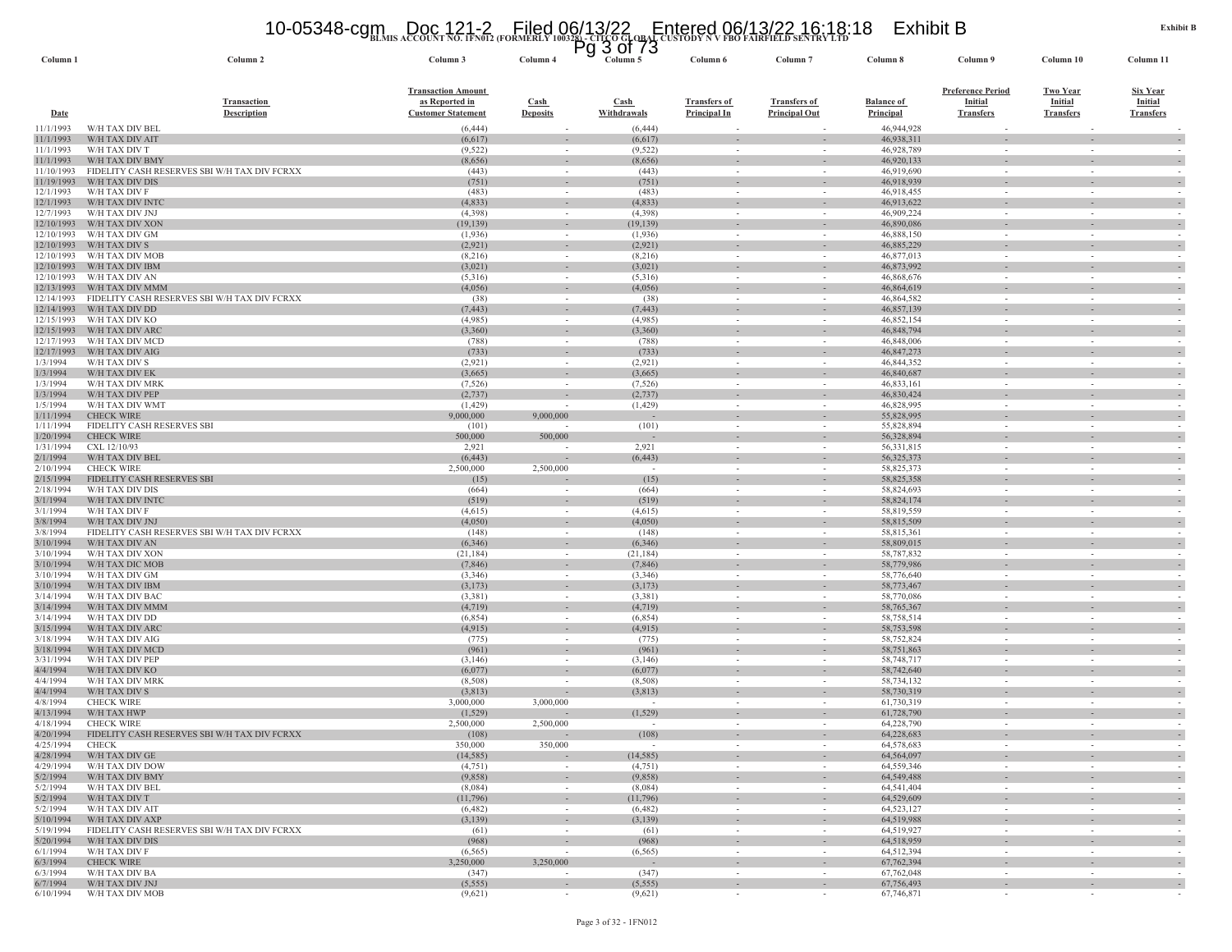#### **BLMIS ACCOUNT NO. 1FN012 (FORMERLY 100328) - CITCO GLOBAL CUSTODY N V FBO FAIRFIELD SENTRY LTD** 10-05348-cgm Doc 121-2 Filed 06/13/22 Entered 06/13/22 16:18:18 Exhibit B Pg 3 of 73

| Column <sub>1</sub>      | Column 2                                                        | Column 3                                    | Column <sub>4</sub>                                  | Column 5                 | Column 6                           | Column                                                                                                                                                                                                                                                                                                                                                                                                                                                                     | Column 8                   | Column 9                                             | Column 10                                            | Column 11                  |
|--------------------------|-----------------------------------------------------------------|---------------------------------------------|------------------------------------------------------|--------------------------|------------------------------------|----------------------------------------------------------------------------------------------------------------------------------------------------------------------------------------------------------------------------------------------------------------------------------------------------------------------------------------------------------------------------------------------------------------------------------------------------------------------------|----------------------------|------------------------------------------------------|------------------------------------------------------|----------------------------|
|                          | <b>Transaction</b>                                              | <b>Transaction Amount</b><br>as Reported in | Cash                                                 | <b>Cash</b>              | <b>Transfers of</b>                | <b>Transfers of</b>                                                                                                                                                                                                                                                                                                                                                                                                                                                        | <b>Balance of</b>          | <b>Preference Period</b><br>Initial                  | <b>Two Year</b><br><b>Initial</b>                    | <b>Six Year</b><br>Initial |
| Date                     | Description                                                     | <b>Customer Statement</b>                   | <b>Deposits</b>                                      | Withdrawals              | <b>Principal In</b>                | <b>Principal Out</b>                                                                                                                                                                                                                                                                                                                                                                                                                                                       | Principal                  | <b>Transfers</b>                                     | <b>Transfers</b>                                     | <b>Transfers</b>           |
| 11/1/1993<br>11/1/1993   | W/H TAX DIV BEL<br>W/H TAX DIV AIT                              | (6, 444)<br>(6,617)                         |                                                      | (6, 444)<br>(6, 617)     |                                    |                                                                                                                                                                                                                                                                                                                                                                                                                                                                            | 46,944,928<br>46,938,311   | $\overline{\phantom{a}}$                             |                                                      |                            |
| 11/1/1993                | W/H TAX DIV T                                                   | (9, 522)                                    | $\sim$                                               | (9, 522)                 |                                    | $\overline{\phantom{a}}$                                                                                                                                                                                                                                                                                                                                                                                                                                                   | 46,928,789                 | $\overline{\phantom{a}}$                             | $\overline{\phantom{a}}$                             |                            |
| 11/1/1993                | W/H TAX DIV BMY                                                 | (8,656)                                     | $\overline{\phantom{a}}$                             | (8,656)                  |                                    | $\overline{\phantom{a}}$                                                                                                                                                                                                                                                                                                                                                                                                                                                   | 46,920,133                 | $\overline{\phantom{a}}$                             | $\overline{\phantom{a}}$                             |                            |
| 11/10/1993<br>11/19/1993 | FIDELITY CASH RESERVES SBI W/H TAX DIV FCRXX<br>W/H TAX DIV DIS | (443)<br>(751)                              | $\sim$                                               | (443)<br>(751)           |                                    |                                                                                                                                                                                                                                                                                                                                                                                                                                                                            | 46,919,690<br>46,918,939   | $\sim$                                               |                                                      |                            |
| 12/1/1993                | W/H TAX DIV F                                                   | (483)                                       | $\sim$                                               | (483)                    | $\sim$                             | $\sim$                                                                                                                                                                                                                                                                                                                                                                                                                                                                     | 46,918,455                 | $\sim$                                               |                                                      |                            |
| 12/1/1993                | W/H TAX DIV INT                                                 | (4,833)                                     | $\overline{\phantom{a}}$                             | (4, 833)                 |                                    |                                                                                                                                                                                                                                                                                                                                                                                                                                                                            | 46,913,622                 | $\overline{\phantom{a}}$                             |                                                      |                            |
| 12/7/1993<br>12/10/1993  | W/H TAX DIV JNJ<br>W/H TAX DIV XON                              | (4,398)<br>(19, 139)                        | $\sim$<br>$\overline{\phantom{a}}$                   | (4,398)<br>(19, 139)     |                                    | $\sim$                                                                                                                                                                                                                                                                                                                                                                                                                                                                     | 46,909,224<br>46,890,086   | $\sim$                                               |                                                      |                            |
| 12/10/1993               | W/H TAX DIV GM                                                  | (1,936)                                     | $\sim$                                               | (1,936)                  | $\sim$                             | $\overline{\phantom{a}}$                                                                                                                                                                                                                                                                                                                                                                                                                                                   | 46,888,150                 | $\overline{\phantom{a}}$                             | $\sim$                                               |                            |
| 12/10/1993               | W/H TAX DIV S                                                   | (2,921)                                     | $\sim$                                               | (2,921)                  |                                    | $\sim$                                                                                                                                                                                                                                                                                                                                                                                                                                                                     | 46,885,229                 | $\sim$                                               |                                                      |                            |
| 12/10/1993<br>12/10/1993 | W/H TAX DIV MOB<br>W/H TAX DIV IBM                              | (8,216)<br>(3,021)                          | $\sim$<br>$\sim$                                     | (8,216)<br>(3,021)       |                                    | $\sim$<br>$\overline{\phantom{a}}$                                                                                                                                                                                                                                                                                                                                                                                                                                         | 46,877,013<br>46,873,992   | $\sim$                                               |                                                      |                            |
| 12/10/1993               | W/H TAX DIV AN                                                  | (5,316)                                     | $\overline{\phantom{a}}$                             | (5,316)                  |                                    | $\overline{\phantom{a}}$                                                                                                                                                                                                                                                                                                                                                                                                                                                   | 46,868,676                 | $\overline{\phantom{a}}$                             |                                                      |                            |
| 12/13/1993               | W/H TAX DIV MMM                                                 | (4,056)                                     | $\sim$                                               | (4,056)                  | $\sim$                             | $\overline{\phantom{a}}$                                                                                                                                                                                                                                                                                                                                                                                                                                                   | 46,864,619                 | $\overline{\phantom{a}}$                             | $\sim$                                               |                            |
| 12/14/1993               | FIDELITY CASH RESERVES SBI W/H TAX DIV FCRXX                    | (38)                                        |                                                      | (38)                     |                                    |                                                                                                                                                                                                                                                                                                                                                                                                                                                                            | 46,864,582                 |                                                      |                                                      |                            |
| 12/14/1993<br>12/15/1993 | W/H TAX DIV DD<br>W/H TAX DIV KC                                | (7, 443)<br>(4,985)                         | $\overline{\phantom{a}}$<br>$\sim$                   | (7, 443)<br>(4,985)      | $\overline{\phantom{a}}$<br>$\sim$ | $\overline{\phantom{a}}$<br>$\sim$                                                                                                                                                                                                                                                                                                                                                                                                                                         | 46,857,139<br>46,852,154   | $\overline{\phantom{a}}$<br>$\overline{\phantom{a}}$ | $\overline{\phantom{a}}$<br>$\overline{\phantom{a}}$ |                            |
| 12/15/1993               | W/H TAX DIV ARC                                                 | (3,360)                                     | $\overline{\phantom{a}}$                             | (3,360)                  |                                    |                                                                                                                                                                                                                                                                                                                                                                                                                                                                            | 46,848,794                 | $\overline{\phantom{a}}$                             |                                                      |                            |
| 12/17/1993               | W/H TAX DIV MCD                                                 | (788)                                       | $\sim$                                               | (788)                    | $\sim$                             | $\overline{\phantom{a}}$                                                                                                                                                                                                                                                                                                                                                                                                                                                   | 46,848,006                 | $\sim$                                               | $\overline{\phantom{a}}$                             |                            |
| 12/17/1993<br>1/3/1994   | W/H TAX DIV AIG<br>W/H TAX DIV S                                | (733)<br>(2,921)                            | $\sim$<br>$\sim$                                     | (733)<br>(2,921)         |                                    |                                                                                                                                                                                                                                                                                                                                                                                                                                                                            | 46,847,273<br>46,844,352   | $\sim$                                               |                                                      |                            |
| 1/3/1994                 | W/H TAX DIV EK                                                  | (3,665)                                     | $\overline{\phantom{a}}$                             | (3,665)                  |                                    |                                                                                                                                                                                                                                                                                                                                                                                                                                                                            | 46,840,687                 |                                                      |                                                      |                            |
| 1/3/1994                 | W/H TAX DIV MRK                                                 | (7, 526)                                    | $\sim$                                               | (7, 526)                 | $\sim$                             | $\overline{\phantom{a}}$                                                                                                                                                                                                                                                                                                                                                                                                                                                   | 46,833,161                 | $\overline{\phantom{a}}$                             | $\sim$                                               |                            |
| 1/3/1994                 | W/H TAX DIV PEP                                                 | (2,737)                                     | $\sim$                                               | (2,737)                  |                                    |                                                                                                                                                                                                                                                                                                                                                                                                                                                                            | 46,830,424                 | $\sim$                                               |                                                      |                            |
| 1/5/1994<br>1/11/1994    | W/H TAX DIV WMT<br><b>CHECK WIRE</b>                            | (1, 429)<br>9,000,000                       | $\overline{\phantom{a}}$<br>9,000,000                | (1, 429)                 |                                    | $\sim$                                                                                                                                                                                                                                                                                                                                                                                                                                                                     | 46,828,995<br>55,828,995   | $\sim$                                               | $\sim$                                               |                            |
| 1/11/1994                | FIDELITY CASH RESERVES SBI                                      | (101)                                       |                                                      | (101)                    | $\sim$                             | $\sim$                                                                                                                                                                                                                                                                                                                                                                                                                                                                     | 55,828,894                 | $\sim$                                               | $\sim$                                               |                            |
| 1/20/1994                | <b>CHECK WIRE</b>                                               | 500,000                                     | 500,000                                              |                          | $\sim$                             | $\overline{\phantom{a}}$                                                                                                                                                                                                                                                                                                                                                                                                                                                   | 56,328,894                 | $\sim$                                               | $\sim$                                               |                            |
| 1/31/1994                | CXL 12/10/93<br>W/H TAX DIV BEL                                 | 2,921                                       |                                                      | 2,921                    |                                    |                                                                                                                                                                                                                                                                                                                                                                                                                                                                            | 56,331,815                 |                                                      |                                                      |                            |
| 2/1/1994<br>2/10/1994    | <b>CHECK WIRE</b>                                               | (6, 443)<br>2,500,000                       | 2,500,000                                            | (6, 443)                 | $\sim$                             | $\overline{\phantom{a}}$<br>$\overline{\phantom{a}}$                                                                                                                                                                                                                                                                                                                                                                                                                       | 56, 325, 373<br>58,825,373 | $\overline{\phantom{a}}$<br>$\overline{\phantom{a}}$ | $\sim$<br>$\overline{\phantom{a}}$                   |                            |
| 2/15/1994                | FIDELITY CASH RESERVES SBI                                      | (15)                                        |                                                      | (15)                     |                                    |                                                                                                                                                                                                                                                                                                                                                                                                                                                                            | 58,825,358                 | $\overline{\phantom{a}}$                             |                                                      |                            |
| 2/18/1994                | W/H TAX DIV DIS                                                 | (664)                                       | $\overline{\phantom{a}}$                             | (664)                    |                                    | $\overline{\phantom{a}}$                                                                                                                                                                                                                                                                                                                                                                                                                                                   | 58,824,693                 | $\sim$                                               |                                                      |                            |
| 3/1/1994<br>3/1/1994     | W/H TAX DIV INTO<br>W/H TAX DIV F                               | (519)<br>(4,615)                            | $\overline{\phantom{a}}$<br>$\overline{\phantom{a}}$ | (519)<br>(4,615)         |                                    | $\overline{\phantom{a}}$                                                                                                                                                                                                                                                                                                                                                                                                                                                   | 58,824,174<br>58,819,559   | $\overline{\phantom{a}}$                             |                                                      |                            |
| 3/8/1994                 | W/H TAX DIV JNJ                                                 | (4,050)                                     | $\overline{\phantom{a}}$                             | (4,050)                  |                                    | $\overline{\phantom{a}}$                                                                                                                                                                                                                                                                                                                                                                                                                                                   | 58,815,509                 | $\overline{\phantom{a}}$                             |                                                      |                            |
| 3/8/1994                 | FIDELITY CASH RESERVES SBI W/H TAX DIV FCRXX                    | (148)                                       | $\sim$                                               | (148)                    | $\sim$                             | $\overline{\phantom{a}}$                                                                                                                                                                                                                                                                                                                                                                                                                                                   | 58,815,361                 | $\sim$                                               | $\overline{\phantom{a}}$                             |                            |
| 3/10/1994<br>3/10/1994   | W/H TAX DIV AN<br>W/H TAX DIV XON                               | (6, 346)                                    | $\overline{\phantom{a}}$<br>$\sim$                   | (6, 346)<br>(21, 184)    |                                    | $\sim$                                                                                                                                                                                                                                                                                                                                                                                                                                                                     | 58,809,015<br>58,787,832   | $\overline{\phantom{a}}$                             | $\overline{\phantom{a}}$                             |                            |
| 3/10/1994                | W/H TAX DIC MOB                                                 | (21, 184)<br>(7, 846)                       |                                                      | (7, 846)                 |                                    |                                                                                                                                                                                                                                                                                                                                                                                                                                                                            | 58,779,986                 |                                                      |                                                      |                            |
| 3/10/1994                | W/H TAX DIV GM                                                  | (3,346)                                     | $\sim$                                               | (3,346)                  | $\sim$                             | $\sim$                                                                                                                                                                                                                                                                                                                                                                                                                                                                     | 58,776,640                 | $\sim$                                               | $\sim$                                               |                            |
| 3/10/1994                | W/H TAX DIV IBM                                                 | (3,173)                                     | $\sim$                                               | (3,173)                  |                                    | $\overline{\phantom{a}}$                                                                                                                                                                                                                                                                                                                                                                                                                                                   | 58,773,467                 | $\overline{\phantom{a}}$                             |                                                      |                            |
| 3/14/1994<br>3/14/1994   | W/H TAX DIV BAC<br>W/H TAX DIV MMM                              | (3,381)<br>(4,719)                          | $\sim$                                               | (3,381)<br>(4, 719)      |                                    | $\frac{1}{2} \left( \frac{1}{2} \right) \left( \frac{1}{2} \right) \left( \frac{1}{2} \right) \left( \frac{1}{2} \right) \left( \frac{1}{2} \right) \left( \frac{1}{2} \right) \left( \frac{1}{2} \right) \left( \frac{1}{2} \right) \left( \frac{1}{2} \right) \left( \frac{1}{2} \right) \left( \frac{1}{2} \right) \left( \frac{1}{2} \right) \left( \frac{1}{2} \right) \left( \frac{1}{2} \right) \left( \frac{1}{2} \right) \left( \frac{1}{2} \right) \left( \frac$ | 58,770,086<br>58,765,367   | $\overline{\phantom{a}}$                             |                                                      |                            |
| 3/14/1994                | W/H TAX DIV DD                                                  | (6, 854)                                    | $\overline{\phantom{a}}$                             | (6,854)                  | $\sim$                             | $\overline{\phantom{a}}$                                                                                                                                                                                                                                                                                                                                                                                                                                                   | 58,758,514                 | $\sim$                                               | $\sim$                                               |                            |
| 3/15/1994                | W/H TAX DIV ARC                                                 | (4,915)                                     | $\sim$                                               | (4, 915)                 |                                    | $\overline{\phantom{a}}$                                                                                                                                                                                                                                                                                                                                                                                                                                                   | 58,753,598                 | $\sim$                                               |                                                      |                            |
| 3/18/1994<br>3/18/1994   | W/H TAX DIV AIG<br>W/H TAX DIV MCD                              | (775)<br>(961)                              | $\overline{\phantom{a}}$<br>$\overline{\phantom{a}}$ | (775)<br>(961)           |                                    | $\overline{\phantom{a}}$                                                                                                                                                                                                                                                                                                                                                                                                                                                   | 58,752,824<br>58,751,863   | ٠                                                    |                                                      |                            |
| 3/31/1994                | W/H TAX DIV PEP                                                 | (3,146)                                     | $\sim$                                               | (3,146)                  |                                    | $\sim$                                                                                                                                                                                                                                                                                                                                                                                                                                                                     | 58,748,717                 | $\sim$                                               |                                                      |                            |
| 4/4/1994                 | W/H TAX DIV KO                                                  | (6,077)                                     | $\overline{\phantom{a}}$                             | (6,077)                  |                                    |                                                                                                                                                                                                                                                                                                                                                                                                                                                                            | 58,742,640                 | $\overline{\phantom{a}}$                             |                                                      |                            |
| 4/4/1994                 | W/H TAX DIV MRK                                                 | (8,508)                                     |                                                      | (8,508)                  |                                    | $\overline{\phantom{a}}$                                                                                                                                                                                                                                                                                                                                                                                                                                                   | 58,734,132                 | $\overline{\phantom{a}}$                             |                                                      |                            |
| 4/4/1994<br>4/8/1994     | W/H TAX DIV S<br><b>CHECK WIRE</b>                              | (3, 813)<br>3,000,000                       | 3,000,000                                            | (3, 813)                 | $\overline{\phantom{a}}$           | $\overline{\phantom{a}}$<br>$\sim$                                                                                                                                                                                                                                                                                                                                                                                                                                         | 58,730,319<br>61,730,319   | $\overline{\phantom{a}}$<br>$\sim$                   |                                                      |                            |
| 4/13/1994                | W/H TAX HWP                                                     | (1, 529)                                    |                                                      | (1, 529)                 |                                    |                                                                                                                                                                                                                                                                                                                                                                                                                                                                            | 61,728,790                 |                                                      |                                                      |                            |
| 4/18/1994                | <b>CHECK WIRE</b>                                               | 2,500,000                                   | 2,500,000                                            |                          | $\sim$                             | $\overline{\phantom{a}}$                                                                                                                                                                                                                                                                                                                                                                                                                                                   | 64,228,790                 | $\sim$                                               |                                                      |                            |
| 4/20/1994<br>4/25/1994   | FIDELITY CASH RESERVES SBI W/H TAX DIV FCRXX<br><b>CHECK</b>    | (108)<br>350,000                            | 350,000                                              | (108)                    |                                    |                                                                                                                                                                                                                                                                                                                                                                                                                                                                            | 64,228,683<br>64,578,683   |                                                      |                                                      |                            |
|                          | 4/28/1994 W/H TAX DIV GE                                        | (14, 585)                                   |                                                      | 14,385)                  |                                    |                                                                                                                                                                                                                                                                                                                                                                                                                                                                            | 64,564,097                 |                                                      |                                                      |                            |
| 4/29/1994                | W/H TAX DIV DOW                                                 | (4,751)                                     | $\sim$                                               | (4,751)                  | $\sim$                             | $\sim$                                                                                                                                                                                                                                                                                                                                                                                                                                                                     | 64,559,346                 | $\sim$                                               | $\sim$                                               | $\sim$ $-$                 |
| 5/2/1994<br>5/2/1994     | W/H TAX DIV BMY<br>W/H TAX DIV BEL                              | (9,858)<br>(8,084)                          | $\sim$<br>$\sim$                                     | (9,858)<br>(8,084)       | $\sim$<br>$\sim$                   | $\sim$<br>$\sim$                                                                                                                                                                                                                                                                                                                                                                                                                                                           | 64,549,488<br>64,541,404   | $\sim$<br>$\sim$                                     | $\sim$<br>$\sim$                                     | $\sim$<br>$\sim$           |
| 5/2/1994                 | W/H TAX DIV T                                                   | (11,796)                                    | $\sim$                                               | (11,796)                 | $\sim$                             | $\overline{\phantom{a}}$                                                                                                                                                                                                                                                                                                                                                                                                                                                   | 64,529,609                 | $\overline{\phantom{a}}$                             | $\sim$                                               |                            |
| 5/2/1994                 | W/H TAX DIV AIT                                                 | (6,482)                                     | $\sim$                                               | (6, 482)                 | $\sim$                             | $\overline{\phantom{a}}$                                                                                                                                                                                                                                                                                                                                                                                                                                                   | 64,523,127                 | $\sim$                                               | $\sim$                                               | $\sim$                     |
| 5/10/1994                | W/H TAX DIV AXP                                                 | (3,139)                                     | $\sim$                                               | (3,139)                  | $\sim$                             | $\sim$                                                                                                                                                                                                                                                                                                                                                                                                                                                                     | 64,519,988                 | $\sim$                                               | $\sim$                                               | $\sim$                     |
| 5/19/1994<br>5/20/1994   | FIDELITY CASH RESERVES SBI W/H TAX DIV FCRXX<br>W/H TAX DIV DIS | (61)<br>(968)                               | $\sim$<br>$\sim$                                     | (61)<br>(968)            | $\sim$<br>$\sim$                   | $\overline{\phantom{a}}$<br>$\overline{\phantom{a}}$                                                                                                                                                                                                                                                                                                                                                                                                                       | 64,519,927<br>64,518,959   | $\overline{\phantom{a}}$<br>$\sim$                   | $\overline{\phantom{a}}$<br>$\sim$                   | $\sim$                     |
| 6/1/1994                 | W/H TAX DIV F                                                   | (6, 565)                                    | $\sim$                                               | (6, 565)                 | $\sim$                             | $\sim$                                                                                                                                                                                                                                                                                                                                                                                                                                                                     | 64,512,394                 | $\sim$                                               | $\sim$                                               | $\sim$                     |
| 6/3/1994                 | CHECK WIRE                                                      | 3,250,000                                   | 3,250,000                                            | $\overline{\phantom{a}}$ |                                    | $\overline{\phantom{a}}$                                                                                                                                                                                                                                                                                                                                                                                                                                                   | 67,762,394                 | $\sim$                                               | $\overline{\phantom{a}}$                             | $\sim$                     |
| 6/3/1994<br>6/7/1994     | W/H TAX DIV BA<br>W/H TAX DIV JNJ                               | (347)<br>(5, 555)                           | $\sim$<br>$\sim$                                     | (347)<br>(5, 555)        | $\sim$<br>$\sim$                   | $\sim$<br>$\sim$                                                                                                                                                                                                                                                                                                                                                                                                                                                           | 67,762,048<br>67,756,493   | $\sim$<br>$\overline{\phantom{a}}$                   | $\sim$                                               | $\sim$                     |
|                          | 6/10/1994 W/H TAX DIV MOB                                       | (9,621)                                     |                                                      | (9,621)                  |                                    |                                                                                                                                                                                                                                                                                                                                                                                                                                                                            | 67,746,871                 |                                                      |                                                      | $\sim$                     |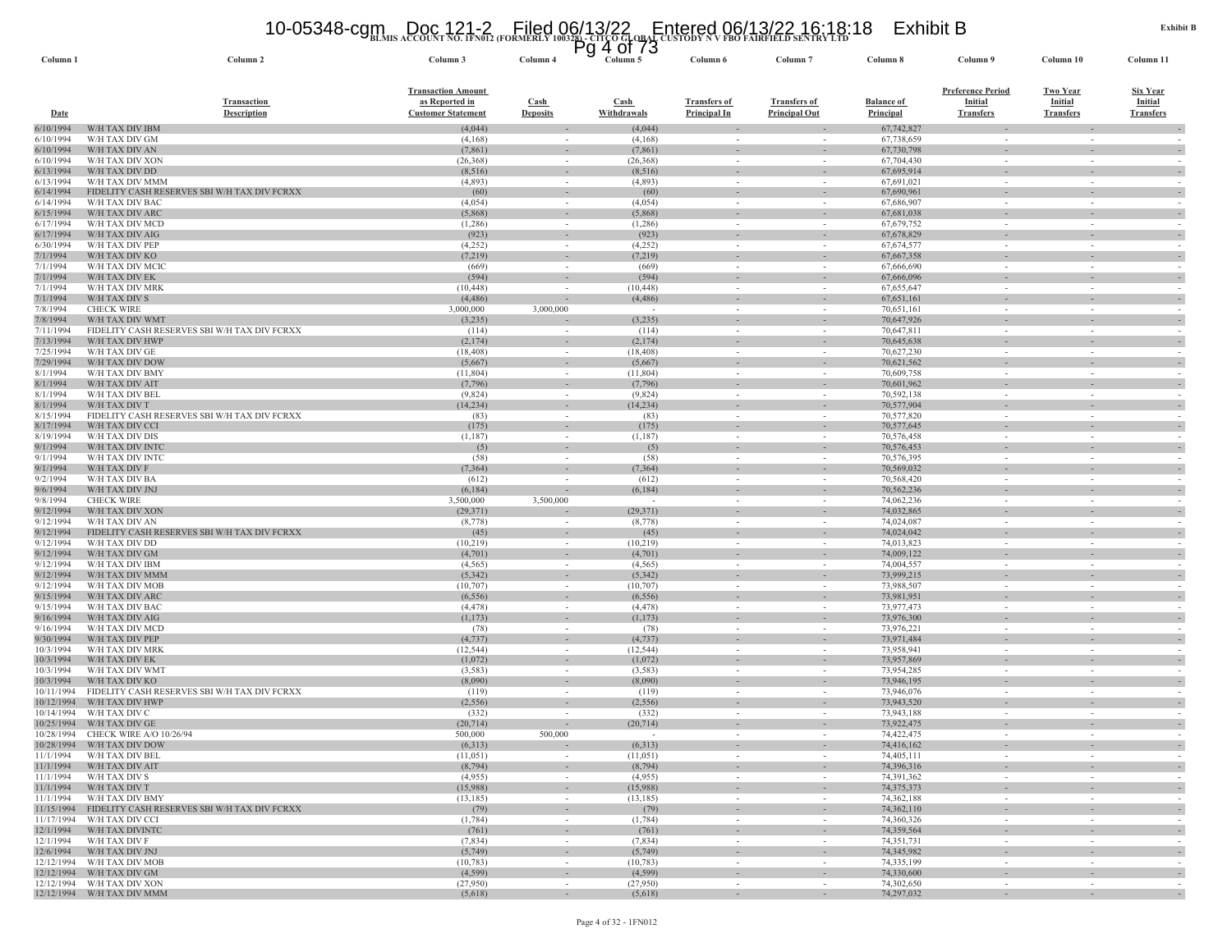#### **BLMIS ACCOUNT NO. 1FN012 (FORMERLY 100328) - CITCO GLOBAL CUSTODY N V FBO FAIRFIELD SENTRY LTD** 10-05348-cgm Doc 121-2 Filed 06/13/22 Entered 06/13/22 16:18:18 Exhibit B Pg 4 of 73

| Column 1                | Column 2                                                                             | Column 3                                    | Column 4                                             | Column 5              | Column 6            | Column <sup>'</sup>                | Column 8                 | Column 9                                   | Column 10                          | Column 11                         |
|-------------------------|--------------------------------------------------------------------------------------|---------------------------------------------|------------------------------------------------------|-----------------------|---------------------|------------------------------------|--------------------------|--------------------------------------------|------------------------------------|-----------------------------------|
|                         | <b>Transaction</b>                                                                   | <b>Transaction Amount</b><br>as Reported in | $\operatorname{Cash}$                                | <b>Cash</b>           | <b>Transfers of</b> | <b>Transfers of</b>                | <b>Balance of</b>        | <b>Preference Period</b><br><b>Initial</b> | <b>Two Year</b><br><b>Initial</b>  | <b>Six Year</b><br><b>Initial</b> |
| <b>Date</b>             | <b>Description</b>                                                                   | <b>Customer Statement</b>                   | <b>Deposits</b>                                      | Withdrawals           | <b>Principal In</b> | <b>Principal Out</b>               | Principal                | <b>Transfers</b>                           | <b>Transfers</b>                   | <b>Transfers</b>                  |
| 6/10/1994               | W/H TAX DIV IBM                                                                      | (4,044)                                     |                                                      | (4,044)               |                     |                                    | 67,742,827               |                                            |                                    |                                   |
| 6/10/1994               | W/H TAX DIV GM                                                                       | (4,168)                                     |                                                      | (4,168)               |                     |                                    | 67,738,659               |                                            |                                    |                                   |
| 6/10/1994<br>6/10/1994  | W/H TAX DIV AN<br>W/H TAX DIV XON                                                    | (7, 861)<br>(26, 368)                       | $\sim$<br>$\overline{\phantom{a}}$                   | (7, 861)<br>(26, 368) |                     |                                    | 67,730,798<br>67,704,430 |                                            | $\sim$<br>$\sim$                   |                                   |
| 6/13/1994               | W/H TAX DIV DD                                                                       | (8,516)                                     | $\sim$                                               | (8,516)               |                     |                                    | 67,695,914               |                                            |                                    |                                   |
| 6/13/1994               | W/H TAX DIV MMM                                                                      | (4,893)                                     | $\sim$                                               | (4,893)               |                     | $\sim$                             | 67,691,021               | $\sim$                                     |                                    |                                   |
| 6/14/1994               | FIDELITY CASH RESERVES SBI W/H TAX DIV FCRXX                                         | (60)                                        | $\overline{\phantom{a}}$                             | (60)                  |                     |                                    | 67,690,961               |                                            |                                    |                                   |
| 6/14/1994<br>6/15/1994  | W/H TAX DIV BAC<br>W/H TAX DIV ARC                                                   | (4,054)<br>(5,868)                          |                                                      | (4,054)<br>(5,868)    |                     |                                    | 67,686,907<br>67,681,038 |                                            |                                    |                                   |
| 6/17/1994               | W/H TAX DIV MCD                                                                      | (1,286)                                     | $\sim$                                               | (1,286)               | $\sim$              | $\sim$                             | 67,679,752               | $\sim$                                     | $\sim$                             | $\sim$                            |
| 6/17/1994               | W/H TAX DIV AIG                                                                      | (923)                                       | $\overline{\phantom{a}}$                             | (923)                 |                     |                                    | 67,678,829               |                                            |                                    |                                   |
| 6/30/1994               | W/H TAX DIV PEF                                                                      | (4,252)                                     | $\sim$                                               | (4,252)               | $\sim$              | $\sim$                             | 67,674,577               |                                            | $\sim$                             |                                   |
| 7/1/1994                | W/H TAX DIV KO                                                                       | (7, 219)                                    | $\sim$                                               | (7, 219)              | $\sim$              | $\sim$                             | 67,667,358               | $\sim$                                     | $\sim$                             | $\sim$                            |
| 7/1/1994<br>7/1/1994    | W/H TAX DIV MCIC<br>W/H TAX DIV EK                                                   | (669)<br>(594)                              | $\sim$                                               | (669)<br>(594)        | $\sim$              | $\sim$                             | 67,666,690<br>67,666,096 | $\sim$                                     | $\sim$                             |                                   |
| 7/1/1994                | W/H TAX DIV MRK                                                                      | (10, 448)                                   |                                                      | (10, 448)             |                     |                                    | 67,655,647               |                                            |                                    |                                   |
| 7/1/1994                | W/H TAX DIV S                                                                        | (4, 486)                                    |                                                      | (4, 486)              |                     |                                    | 67,651,161               |                                            |                                    |                                   |
| 7/8/1994                | <b>CHECK WIRE</b>                                                                    | 3,000,000                                   | 3,000,000                                            |                       | $\sim$              | $\overline{\phantom{a}}$           | 70,651,161               |                                            | $\overline{\phantom{a}}$           |                                   |
| 7/8/1994<br>7/11/1994   | W/H TAX DIV WMT<br>FIDELITY CASH RESERVES SBI W/H TAX DIV FCRXX                      | (3,235)<br>(114)                            |                                                      | (3,235)<br>(114)      |                     | $\overline{\phantom{a}}$           | 70,647,926<br>70,647,811 |                                            |                                    |                                   |
| 7/13/1994               | W/H TAX DIV HWP                                                                      | (2,174)                                     | $\overline{\phantom{a}}$                             | (2,174)               |                     |                                    | 70,645,638               |                                            |                                    |                                   |
| 7/25/1994               | W/H TAX DIV GE                                                                       | (18, 408)                                   |                                                      | (18, 408)             |                     |                                    | 70,627,230               |                                            |                                    |                                   |
| 7/29/1994               | W/H TAX DIV DOW                                                                      | (5,667)                                     | $\overline{\phantom{a}}$                             | (5,667)               |                     |                                    | 70,621,562               |                                            |                                    |                                   |
| 8/1/1994                | W/H TAX DIV BMY                                                                      | (11, 804)                                   | $\sim$                                               | (11,804)              |                     | $\overline{\phantom{a}}$           | 70,609,758               |                                            | $\sim$                             |                                   |
| 8/1/1994<br>8/1/1994    | W/H TAX DIV AIT<br>W/H TAX DIV BEL                                                   | (7,796)<br>(9,824)                          | $\overline{\phantom{a}}$<br>$\sim$                   | (7,796)<br>(9,824)    | $\sim$              | $\sim$                             | 70,601,962<br>70,592,138 |                                            | $\sim$                             |                                   |
| 8/1/1994                | W/H TAX DIV T                                                                        | (14, 234)                                   |                                                      | (14, 234)             |                     |                                    | 70,577,904               |                                            |                                    |                                   |
| 8/15/1994               | FIDELITY CASH RESERVES SBI W/H TAX DIV FCRXX                                         | (83)                                        | $\sim$                                               | (83)                  | $\sim$              | $\sim$                             | 70,577,820               | $\sim$                                     | $\sim$                             | $\sim$                            |
| 8/17/1994               | W/H TAX DIV CCI                                                                      | (175)                                       | $\sim$                                               | (175)                 |                     | $\overline{\phantom{a}}$           | 70,577,645               |                                            |                                    |                                   |
| 8/19/1994               | W/H TAX DIV DIS                                                                      | (1,187)                                     | $\sim$                                               | (1,187)               |                     | $\sim$                             | 70,576,458               |                                            |                                    |                                   |
| 9/1/1994<br>9/1/1994    | W/H TAX DIV INTC<br>W/H TAX DIV INTC                                                 | (5)<br>(58)                                 | $\overline{\phantom{a}}$<br>$\sim$                   | (5)<br>(58)           | $\sim$              | $\overline{\phantom{a}}$           | 70,576,453<br>70,576,395 |                                            | $\sim$                             | $\sim$                            |
| 9/1/1994                | W/H TAX DIV F                                                                        | (7, 364)                                    |                                                      | (7, 364)              |                     | $\overline{\phantom{a}}$           | 70,569,032               |                                            |                                    |                                   |
| 9/2/1994                | W/H TAX DIV BA                                                                       | (612)                                       |                                                      | (612)                 |                     |                                    | 70,568,420               |                                            |                                    |                                   |
| 9/6/1994                | W/H TAX DIV JNJ                                                                      | (6,184)                                     |                                                      | (6, 184)              |                     |                                    | 70,562,236               |                                            |                                    |                                   |
| 9/8/1994<br>9/12/1994   | <b>CHECK WIRE</b><br>W/H TAX DIV XON                                                 | 3,500,000<br>(29, 371)                      | 3,500,000                                            | (29,371)              | $\sim$              | $\sim$                             | 74,062,236<br>74,032,865 | $\sim$                                     | $\sim$<br>$\sim$                   |                                   |
| 9/12/1994               | W/H TAX DIV AN                                                                       | (8,778)                                     |                                                      | (8,778)               |                     |                                    | 74,024,087               |                                            |                                    |                                   |
| 9/12/1994               | FIDELITY CASH RESERVES SBI W/H TAX DIV FCRXX                                         | (45)                                        | $\overline{\phantom{a}}$                             | (45)                  |                     |                                    | 74,024,042               |                                            | $\sim$                             |                                   |
| 9/12/1994               | W/H TAX DIV DD                                                                       | (10, 219)                                   | $\sim$                                               | (10,219)              |                     | $\overline{\phantom{a}}$           | 74,013,823               |                                            | $\sim$                             |                                   |
| 9/12/1994               | W/H TAX DIV GM                                                                       | (4,701)                                     | $\overline{\phantom{a}}$                             | (4,701)               |                     |                                    | 74,009,122               |                                            |                                    |                                   |
| 9/12/1994<br>9/12/1994  | W/H TAX DIV IBM<br>W/H TAX DIV MMM                                                   | (4,565)<br>(5,342)                          | $\sim$<br>$\sim$                                     | (4,565)<br>(5,342)    | $\sim$              | $\sim$                             | 74,004,557<br>73,999,215 | $\sim$                                     | $\sim$                             |                                   |
| 9/12/1994               | W/H TAX DIV MOB                                                                      | (10,707)                                    | $\sim$                                               | (10,707)              |                     |                                    | 73,988,507               |                                            |                                    |                                   |
| 9/15/1994               | W/H TAX DIV ARC                                                                      | (6, 556)                                    |                                                      | (6, 556)              |                     |                                    | 73,981,951               |                                            |                                    |                                   |
| 9/15/1994               | W/H TAX DIV BAC                                                                      | (4, 478)                                    | $\sim$                                               | (4, 478)              | $\sim$              | $\sim$                             | 73,977,473               | $\sim$                                     | $\sim$                             | $\sim$                            |
| 9/16/1994               | W/H TAX DIV AIG<br>W/H TAX DIV MCD                                                   | (1,173)                                     | $\sim$<br>$\sim$                                     | (1, 173)              |                     | $\overline{\phantom{a}}$<br>$\sim$ | 73,976,300<br>73,976,221 |                                            | $\sim$                             |                                   |
| 9/16/1994<br>9/30/1994  | W/H TAX DIV PEP                                                                      | (78)<br>(4,737)                             |                                                      | (78)<br>(4,737)       |                     |                                    | 73,971,484               |                                            |                                    |                                   |
| 10/3/1994               | W/H TAX DIV MRK                                                                      | (12, 544)                                   | $\sim$                                               | (12, 544)             | $\sim$              | $\sim$                             | 73,958,941               | $\sim$                                     | $\sim$                             |                                   |
| 10/3/1994               | W/H TAX DIV EK                                                                       | (1,072)                                     | $\sim$                                               | (1,072)               | $\sim$              | $\sim$                             | 73,957,869               | $\sim$                                     | $\sim$                             | $\sim$                            |
| 10/3/1994               | W/H TAX DIV WMT                                                                      | (3, 583)                                    |                                                      | (3, 583)              |                     |                                    | 73,954,285               |                                            |                                    |                                   |
| 10/3/1994<br>10/11/1994 | W/H TAX DIV KO<br>FIDELITY CASH RESERVES SBI W/H TAX DIV FCRXX                       | (8,090)<br>(119)                            | $\overline{\phantom{a}}$<br>$\overline{\phantom{a}}$ | (8,090)<br>(119)      | $\sim$<br>$\sim$    | $\overline{\phantom{a}}$           | 73,946,195<br>73,946,076 |                                            | $\sim$<br>$\overline{\phantom{a}}$ |                                   |
| 10/12/1994              | W/H TAX DIV HWP                                                                      | (2, 556)                                    | $\sim$                                               | (2, 556)              |                     |                                    | 73,943,520               |                                            |                                    |                                   |
| 10/14/1994              | W/H TAX DIV C                                                                        | (332)                                       |                                                      | (332)                 |                     | $\sim$                             | 73,943,188               |                                            | $\sim$                             |                                   |
| 10/25/1994              | W/H TAX DIV GE                                                                       | (20, 714)                                   |                                                      | (20, 714)             |                     | $\sim$                             | 73,922,475               |                                            |                                    |                                   |
| 10/28/1994              | <b>CHECK WIRE A/O 10/26/94</b>                                                       | 500,000                                     | 500,000                                              |                       |                     |                                    | 74,422,475               |                                            |                                    |                                   |
|                         | 10/28/1994 W/H TAX DIV DOW<br>11/1/1994 W/H TAX DIV BEL                              | (6,313)<br>(11,051)                         |                                                      | (6,313)<br>(11,051)   |                     |                                    | 74,416,162<br>74,405,111 |                                            |                                    |                                   |
|                         | 11/1/1994 W/H TAX DIV AIT                                                            | (8, 794)                                    | $\sim$                                               | (8,794)               | $\sim$              | $\sim$                             | 74,396,316               | $\sim$                                     | $\sim$                             | $\sim$                            |
|                         | 11/1/1994 W/H TAX DIV S                                                              | (4,955)                                     | $\sim$                                               | (4,955)               | $\sim$              | $\sim$                             | 74,391,362               | $\sim$                                     | $\sim$                             | $\sim$                            |
|                         | 11/1/1994 W/H TAX DIV T                                                              | (15,988)                                    |                                                      | (15,988)              |                     |                                    | 74, 375, 373             |                                            |                                    |                                   |
|                         | 11/1/1994 W/H TAX DIV BMY<br>11/15/1994 FIDELITY CASH RESERVES SBI W/H TAX DIV FCRXX | (13, 185)                                   | $\sim$<br>$\sim$                                     | (13, 185)             | $\sim$<br>$\sim$    | $\sim$<br>$\sim$                   | 74,362,188<br>74,362,110 | $\sim$<br>$\sim$                           | $\sim$<br>$\sim$                   | $\sim$                            |
|                         | 11/17/1994 W/H TAX DIV CCI                                                           | (79)<br>(1,784)                             | $\sim$                                               | (79)<br>(1,784)       | $\sim$              | $\sim$                             | 74,360,326               | $\sim$                                     | $\sim$                             | $\sim$<br>$\sim$                  |
|                         | 12/1/1994 W/H TAX DIVINTC                                                            | (761)                                       | $\sim$                                               | (761)                 | $\sim$              | $\sim$                             | 74,359,564               | $\sim$                                     | $\sim$                             |                                   |
|                         | 12/1/1994 W/H TAX DIV F                                                              | (7,834)                                     | $\sim$                                               | (7,834)               | $\sim$              | $\sim$                             | 74,351,731               | $\sim$                                     | $\sim$                             | $\sim$                            |
|                         | 12/6/1994 W/H TAX DIV JNJ                                                            | (5,749)                                     | $\sim$                                               | (5,749)               | $\sim$              | $\sim$                             | 74,345,982               | $\sim$                                     | $\sim$                             | $\sim$                            |
|                         | 12/12/1994 W/H TAX DIV MOB<br>12/12/1994 W/H TAX DIV GM                              | (10, 783)<br>(4, 599)                       | $\sim$<br>$\sim$                                     | (10, 783)<br>(4,599)  | $\sim$<br>$\sim$    | $\sim$<br>$\sim$                   | 74,335,199<br>74,330,600 | $\sim$<br>$\sim$                           | $\sim$<br>$\sim$                   | $\sim$                            |
|                         | 12/12/1994 W/H TAX DIV XON                                                           | (27,950)                                    | $\sim$                                               | (27,950)              | $\sim$              | $\sim$                             | 74,302,650               | $\sim$                                     | $\sim$                             | $\sim$                            |
|                         | 12/12/1994 W/H TAX DIV MMM                                                           | (5,618)                                     |                                                      | (5,618)               |                     |                                    | 74,297,032               |                                            |                                    |                                   |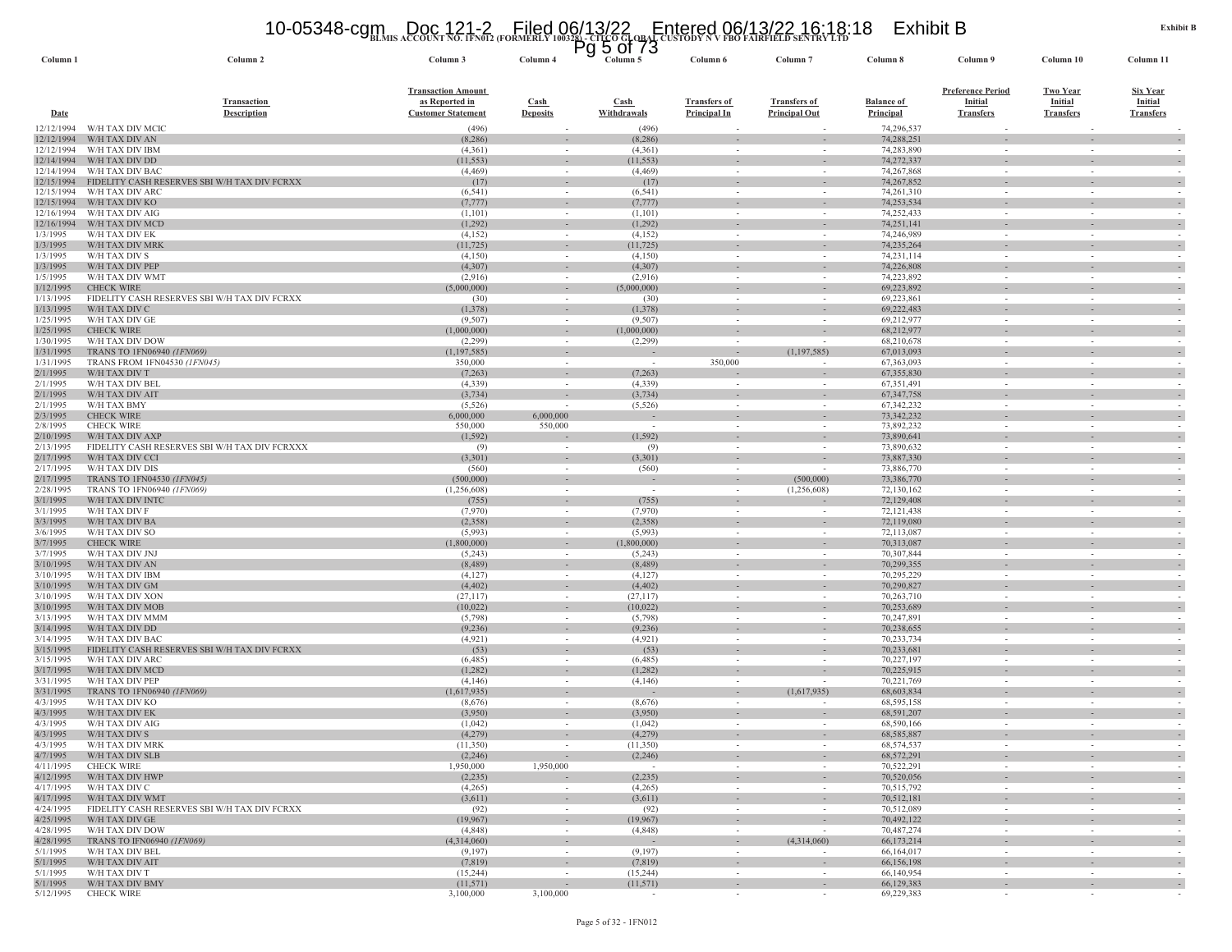#### **BLMIS ACCOUNT NO. 1FN012 (FORMERLY 100328) - CITCO GLOBAL CUSTODY N V FBO FAIRFIELD SENTRY LTD** 10-05348-cgm Doc 121-2 Filed 06/13/22 Entered 06/13/22 16:18:18 Exhibit B Pg 5 of 73

| Column 1                 | Column <sub>2</sub>                                             | Column 3                                    | Column <sub>4</sub>                | Column 5                     | Column <sub>6</sub> | Column '                                             | Column 8                 | Column 9                                             | Column <sub>10</sub>                                 | Column 11                         |
|--------------------------|-----------------------------------------------------------------|---------------------------------------------|------------------------------------|------------------------------|---------------------|------------------------------------------------------|--------------------------|------------------------------------------------------|------------------------------------------------------|-----------------------------------|
|                          | <b>Transaction</b>                                              | <b>Transaction Amount</b><br>as Reported in | Cash                               | Cash                         | <b>Transfers of</b> | <b>Transfers of</b>                                  | <b>Balance</b> of        | <b>Preference Period</b><br><b>Initial</b>           | <b>Two Year</b><br>Initial                           | <b>Six Year</b><br><b>Initial</b> |
| <b>Date</b>              | <b>Description</b>                                              | <b>Customer Statement</b>                   | <b>Deposits</b>                    | Withdrawals                  | <b>Principal In</b> | <b>Principal Out</b>                                 | <b>Principal</b>         | <b>Transfers</b>                                     | <b>Transfers</b>                                     | <b>Transfers</b>                  |
| 12/12/1994<br>12/12/1994 | W/H TAX DIV MCIC<br>W/H TAX DIV AN                              | (496)<br>(8, 286)                           | $\sim$                             | (496)<br>(8, 286)            |                     | $\sim$                                               | 74,296,537<br>74,288,251 | $\sim$                                               | $\sim$                                               |                                   |
| 12/12/1994               | W/H TAX DIV IBM                                                 | (4,361)                                     | $\sim$                             | (4,361)                      |                     |                                                      | 74,283,890               |                                                      |                                                      |                                   |
| 12/14/1994               | W/H TAX DIV DD                                                  | (11, 553)                                   | $\sim$                             | (11, 553)                    |                     | $\sim$                                               | 74,272,337               | $\overline{\phantom{a}}$                             | $\sim$                                               |                                   |
| 12/14/1994               | W/H TAX DIV BAC                                                 | (4, 469)                                    | $\sim$                             | (4, 469)                     |                     | $\sim$                                               | 74,267,868               | $\overline{\phantom{a}}$                             | $\sim$                                               |                                   |
| 12/15/1994<br>12/15/1994 | FIDELITY CASH RESERVES SBI W/H TAX DIV FCRXX<br>W/H TAX DIV ARC | (17)<br>(6, 541)                            | $\sim$                             | (17)<br>(6, 541)             | $\sim$              | $\overline{\phantom{a}}$                             | 74,267,852<br>74,261,310 | $\sim$                                               | $\overline{\phantom{a}}$                             |                                   |
| 12/15/1994               | W/H TAX DIV KO                                                  | (7, 777)                                    | $\overline{\phantom{a}}$           | (7, 777)                     |                     |                                                      | 74,253,534               |                                                      |                                                      |                                   |
| 12/16/1994               | W/H TAX DIV AIG                                                 | (1,101)                                     | $\sim$                             | (1,101)                      |                     | $\sim$                                               | 74,252,433               |                                                      |                                                      |                                   |
| 12/16/1994               | W/H TAX DIV MCL                                                 | (1,292)                                     | $\sim$                             | (1,292)                      |                     |                                                      | 74,251,141               |                                                      |                                                      |                                   |
| 1/3/1995                 | W/H TAX DIV EK                                                  | (4,152)                                     | $\sim$                             | (4,152)                      | $\sim$              | $\overline{\phantom{a}}$                             | 74,246,989<br>74,235,264 | $\sim$                                               | $\sim$                                               |                                   |
| 1/3/1995<br>1/3/1995     | W/H TAX DIV MRK<br>W/H TAX DIV S                                | (11, 725)<br>(4,150)                        | $\sim$<br>$\sim$                   | (11, 725)<br>(4,150)         | $\sim$              | $\sim$                                               | 74,231,114               | $\sim$                                               | $\sim$                                               |                                   |
| 1/3/1995                 | W/H TAX DIV PEP                                                 | (4,307)                                     |                                    | (4,307)                      |                     |                                                      | 74,226,808               |                                                      |                                                      |                                   |
| 1/5/1995                 | W/H TAX DIV WMT                                                 | (2,916)                                     | $\sim$                             | (2,916)                      | $\sim$              | $\sim$                                               | 74,223,892               | $\sim$                                               | $\sim$                                               |                                   |
| 1/12/1995                | <b>CHECK WIRE</b>                                               | (5,000,000)                                 | $\sim$                             | (5,000,000)                  | $\sim$              | $\overline{\phantom{a}}$                             | 69,223,892               | $\overline{\phantom{a}}$                             |                                                      |                                   |
| 1/13/1995<br>1/13/1995   | FIDELITY CASH RESERVES SBI W/H TAX DIV FCRXX<br>W/H TAX DIV C   | (30)<br>(1, 378)                            | $\sim$<br>$\sim$                   | (30)<br>(1, 378)             | $\sim$              | $\sim$                                               | 69,223,861<br>69,222,483 | ٠                                                    | $\sim$                                               |                                   |
| 1/25/1995                | W/H TAX DIV GE                                                  | (9,507)                                     | $\sim$                             | (9,507)                      | $\sim$              | $\overline{\phantom{a}}$                             | 69,212,977               | $\overline{\phantom{a}}$                             | $\overline{\phantom{a}}$                             |                                   |
| 1/25/1995                | <b>CHECK WIRE</b>                                               | (1,000,000)                                 | $\sim$                             | (1,000,000)                  |                     | $\overline{\phantom{a}}$                             | 68,212,977               | $\sim$                                               |                                                      |                                   |
| 1/30/1995                | W/H TAX DIV DOW                                                 | (2, 299)                                    | $\sim$                             | (2, 299)                     |                     |                                                      | 68,210,678               | $\overline{\phantom{a}}$                             |                                                      |                                   |
| 1/31/1995<br>1/31/1995   | TRANS TO 1FN06940 (1FN069)<br>TRANS FROM 1FN04530 (1FN045)      | (1,197,585)<br>350,000                      | $\overline{\phantom{a}}$           |                              | $\sim$<br>350,000   | (1, 197, 585)                                        | 67,013,093<br>67,363,093 | $\overline{\phantom{a}}$<br>$\sim$                   |                                                      |                                   |
| 2/1/1995                 | W/H TAX DIV T                                                   | (7,263)                                     | $\sim$<br>$\sim$                   | (7, 263)                     |                     | $\overline{\phantom{a}}$                             | 67,355,830               | $\overline{\phantom{a}}$                             |                                                      |                                   |
| 2/1/1995                 | W/H TAX DIV BEL                                                 | (4,339)                                     | $\sim$                             | (4,339)                      |                     | $\overline{\phantom{a}}$                             | 67,351,491               | $\sim$                                               | $\overline{\phantom{a}}$                             |                                   |
| 2/1/1995                 | W/H TAX DIV AIT                                                 | (3,734)                                     |                                    | (3,734)                      |                     |                                                      | 67,347,758               |                                                      |                                                      |                                   |
| 2/1/1995                 | W/H TAX BMY                                                     | (5, 526)                                    |                                    | (5, 526)                     |                     | $\sim$                                               | 67,342,232               | $\sim$                                               | $\overline{\phantom{a}}$                             |                                   |
| 2/3/1995<br>2/8/1995     | <b>CHECK WIRE</b><br><b>CHECK WIRE</b>                          | 6,000,000<br>550,000                        | 6,000,000<br>550,000               | $\sim$                       | $\sim$              | $\sim$                                               | 73,342,232<br>73,892,232 | $\sim$                                               | $\overline{\phantom{a}}$                             |                                   |
| 2/10/1995                | W/H TAX DIV AXP                                                 | (1, 592)                                    |                                    | (1, 592)                     | $\sim$              | $\overline{\phantom{a}}$                             | 73,890,641               | $\sim$                                               |                                                      |                                   |
| 2/13/1995                | FIDELITY CASH RESERVES SBI W/H TAX DIV FCRXXX                   | (9)                                         |                                    | (9)                          |                     | $\sim$                                               | 73,890,632               | $\sim$                                               |                                                      |                                   |
| 2/17/1995                | W/H TAX DIV CCI                                                 | (3,301)                                     | $\overline{\phantom{a}}$           | (3,301)                      |                     |                                                      | 73,887,330               | ٠                                                    |                                                      |                                   |
| 2/17/1995                | W/H TAX DIV DIS                                                 | (560)                                       | $\sim$                             | (560)                        | $\sim$              | $\sim$                                               | 73,886,770               | $\overline{\phantom{a}}$                             | $\sim$                                               | $\sim$                            |
| 2/17/1995<br>2/28/1995   | TRANS TO 1FN04530 (1FN045)<br>TRANS TO 1FN06940 (1FN069)        | (500,000)<br>(1,256,608)                    | $\sim$<br>$\sim$                   | $\sim$                       | $\sim$              | (500,000)<br>(1,256,608)                             | 73,386,770<br>72,130,162 | $\sim$<br>$\overline{\phantom{a}}$                   | $\sim$                                               |                                   |
| 3/1/1995                 | W/H TAX DIV INTC                                                | (755)                                       | $\overline{\phantom{a}}$           | (755)                        | $\sim$              |                                                      | 72,129,408               | $\overline{\phantom{a}}$                             | $\overline{\phantom{a}}$                             |                                   |
| 3/1/1995                 | W/H TAX DIV F                                                   | (7,970)                                     |                                    | (7,970)                      |                     |                                                      | 72,121,438               | $\overline{\phantom{a}}$                             |                                                      |                                   |
| 3/3/1995                 | W/H TAX DIV BA                                                  | (2,358)                                     | $\sim$                             | (2,358)                      | $\sim$              | $\overline{\phantom{a}}$                             | 72,119,080               | ÷.                                                   | $\sim$                                               |                                   |
| 3/6/1995<br>3/7/1995     | W/H TAX DIV SO<br><b>CHECK WIRE</b>                             | (5,993)<br>(1,800,000)                      | $\sim$<br>$\sim$                   | (5,993)<br>(1,800,000)       |                     | $\overline{\phantom{a}}$<br>$\overline{\phantom{a}}$ | 72,113,087<br>70,313,087 | $\overline{\phantom{a}}$<br>$\overline{\phantom{a}}$ |                                                      |                                   |
| 3/7/1995                 | W/H TAX DIV JNJ                                                 | (5,243)                                     | $\sim$                             | (5,243)                      | $\sim$              | $\sim$                                               | 70,307,844               | $\overline{\phantom{a}}$                             | $\overline{\phantom{a}}$                             |                                   |
| 3/10/1995                | W/H TAX DIV AN                                                  | (8, 489)                                    |                                    | (8, 489)                     |                     |                                                      | 70,299,355               |                                                      |                                                      |                                   |
| 3/10/1995                | W/H TAX DIV IBM                                                 | (4,127)                                     | $\sim$                             | (4,127)                      | $\sim$              | $\sim$                                               | 70,295,229               | $\sim$                                               | <b>.</b>                                             |                                   |
| 3/10/1995<br>3/10/1995   | W/H TAX DIV GM<br>W/H TAX DIV XON                               | (4, 402)<br>(27, 117)                       | $\sim$<br>$\sim$                   | (4, 402)<br>(27, 117)        |                     | $\overline{\phantom{a}}$<br>$\sim$                   | 70,290,827<br>70,263,710 | $\overline{\phantom{a}}$<br>$\overline{\phantom{a}}$ | $\sim$                                               |                                   |
| 3/10/1995                | W/H TAX DIV MOB                                                 | (10,022)                                    | $\overline{\phantom{a}}$           | (10,022)                     |                     |                                                      | 70,253,689               |                                                      |                                                      |                                   |
| 3/13/1995                | W/H TAX DIV MMN                                                 | (5,798)                                     | $\sim$                             | (5,798)                      | $\sim$              | $\sim$                                               | 70,247,891               | $\sim$                                               | $\sim$                                               |                                   |
| 3/14/1995                | W/H TAX DIV DD                                                  | (9,236)                                     | $\sim$                             | (9, 236)                     |                     | $\sim$                                               | 70,238,655               | $\sim$                                               | $\sim$                                               |                                   |
| 3/14/1995                | W/H TAX DIV BAC                                                 | (4,921)                                     | $\sim$                             | (4,921)                      |                     | $\overline{\phantom{a}}$                             | 70,233,734<br>70,233,681 | $\sim$                                               | $\sim$                                               |                                   |
| 3/15/1995<br>3/15/1995   | FIDELITY CASH RESERVES SBI W/H TAX DIV FCRXX<br>W/H TAX DIV ARC | (53)<br>(6,485)                             | $\sim$<br>$\sim$                   | (53)<br>(6,485)              | $\sim$              | $\sim$                                               | 70,227,197               | $\sim$                                               | $\sim$                                               |                                   |
| 3/17/1995                | W/H TAX DIV MCD                                                 | (1,282)                                     | $\sim$                             | (1, 282)                     | $\sim$              | $\sim$                                               | 70,225,915               | $\sim$                                               | $\sim$                                               |                                   |
| 3/31/1995                | W/H TAX DIV PEP                                                 | (4,146)                                     |                                    | (4,146)                      |                     |                                                      | 70,221,769               |                                                      |                                                      |                                   |
| 3/31/1995                | TRANS TO 1FN06940 (1FN069)                                      | (1,617,935)                                 | $\sim$                             |                              | $\sim$              | (1,617,935)                                          | 68,603,834               | $\overline{\phantom{a}}$                             | $\sim$                                               |                                   |
| 4/3/1995<br>4/3/1995     | W/H TAX DIV KO<br>W/H TAX DIV EK                                | (8,676)<br>(3,950)                          | $\sim$                             | (8,676)<br>(3,950)           |                     |                                                      | 68,595,158<br>68,591,207 | $\overline{\phantom{a}}$<br>٠                        |                                                      |                                   |
| 4/3/1995                 | W/H TAX DIV AIG                                                 | (1,042)                                     | $\sim$                             | (1,042)                      |                     | $\overline{\phantom{a}}$                             | 68,590,166               | $\sim$                                               |                                                      |                                   |
| 4/3/1995                 | W/H TAX DIV S                                                   | (4,279)                                     | $\overline{\phantom{a}}$           | (4,279)                      |                     | $\overline{\phantom{a}}$                             | 68,585,887               |                                                      |                                                      |                                   |
| 4/3/1995                 | W/H TAX DIV MRK                                                 | (11,350)                                    |                                    | (11,350)                     |                     |                                                      | 68,574,537               |                                                      |                                                      |                                   |
| 4/7/1995                 | W/H TAX DIV SLB<br>4/11/1995 CHECK WIRE                         | (2, 246)<br>1,950,000                       | 1,950,000                          | (2, 246)<br>$\sim$ 100 $\pm$ | $\sim$              | $\sim$                                               | 68,572,291<br>70,522,291 | $\sim$                                               | $\sim$                                               | $\sim$                            |
| 4/12/1995                | W/H TAX DIV HWP                                                 | (2,235)                                     |                                    | (2,235)                      | $\sim$              | $\sim$                                               | 70,520,056               | $\overline{\phantom{a}}$                             | $\overline{\phantom{a}}$                             | $\sim$                            |
| 4/17/1995                | W/H TAX DIV C                                                   | (4,265)                                     | $\sim$                             | (4,265)                      | $\sim$              | $\sim$                                               | 70,515,792               | $\sim$                                               | $\sim$                                               | $\sim$                            |
| 4/17/1995                | W/H TAX DIV WMT                                                 | (3,611)                                     |                                    | (3,611)                      |                     | $\overline{\phantom{a}}$                             | 70,512,181               |                                                      |                                                      |                                   |
| 4/24/1995<br>4/25/1995   | FIDELITY CASH RESERVES SBI W/H TAX DIV FCRXX<br>W/H TAX DIV GE  | (92)                                        | $\sim$                             | (92)                         | $\sim$              | $\sim$                                               | 70,512,089               | $\sim$                                               | $\sim$<br>$\sim$                                     | $\sim$                            |
| 4/28/1995                | W/H TAX DIV DOW                                                 | (19,967)<br>(4,848)                         | $\sim$<br>$\sim$                   | (19,967)<br>(4, 848)         | $\sim$<br>$\sim$    | $\sim$                                               | 70,492,122<br>70,487,274 | $\sim$<br>$\overline{\phantom{a}}$                   | $\sim$                                               | $\sim$<br>$\sim$                  |
| 4/28/1995                | TRANS TO IFN06940 (1FN069)                                      | (4,314,060)                                 | $\sim$                             | $\sim$                       | $\sim$              | (4,314,060)                                          | 66,173,214               | $\sim$                                               | $\sim$                                               | $\sim$                            |
| 5/1/1995                 | W/H TAX DIV BEL                                                 | (9,197)                                     | $\sim$                             | (9,197)                      | $\sim$              | $\sim$                                               | 66,164,017               | $\overline{\phantom{a}}$                             | $\sim$                                               | $\sim$                            |
| 5/1/1995                 | W/H TAX DIV AIT                                                 | (7, 819)                                    | $\sim$                             | (7, 819)                     | $\sim$              | $\sim$                                               | 66,156,198               | $\sim$                                               | $\sim$                                               | $\sim$                            |
| 5/1/1995<br>5/1/1995     | W/H TAX DIV T<br>W/H TAX DIV BMY                                | (15,244)<br>(11, 571)                       | $\sim$<br>$\overline{\phantom{a}}$ | (15,244)<br>(11, 571)        | $\sim$<br>$\sim$    | $\sim$<br>$\sim$                                     | 66,140,954<br>66,129,383 | $\sim$<br>$\sim$                                     | $\overline{\phantom{a}}$<br>$\overline{\phantom{a}}$ | $\sim$                            |
|                          | 5/12/1995 CHECK WIRE                                            | 3,100,000                                   | 3,100,000                          |                              |                     | $\sim$                                               | 69,229,383               |                                                      |                                                      |                                   |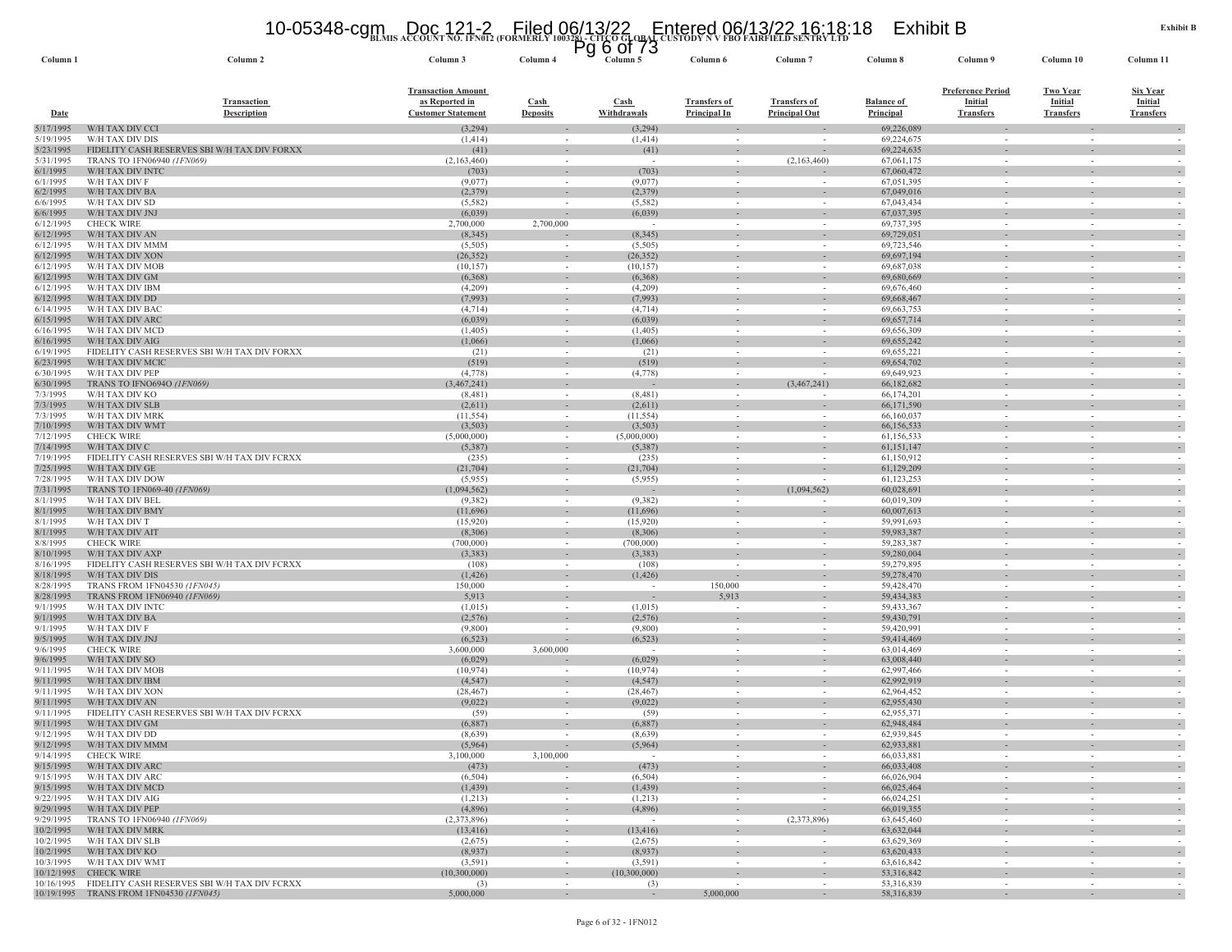#### **BLMIS ACCOUNT NO. 1FN012 (FORMERLY 100328) - CITCO GLOBAL CUSTODY N V FBO FAIRFIELD SENTRY LTD** 10-05348-cgm Doc 121-2 Filed 06/13/22 Entered 06/13/22 16:18:18 Exhibit B Pg 6 of 73

| Column <sub>1</sub>    | Column 2                                                                         | Column 3                                                                 | Column 4                           | гy<br>ט ווט ט<br>Column 5  | Column 6                                   | Column <sub>7</sub>                         | Column 8                       | Column 9                                                | Column 10                                             | Column 11                                             |
|------------------------|----------------------------------------------------------------------------------|--------------------------------------------------------------------------|------------------------------------|----------------------------|--------------------------------------------|---------------------------------------------|--------------------------------|---------------------------------------------------------|-------------------------------------------------------|-------------------------------------------------------|
| Date                   | <b>Transaction</b><br><b>Description</b>                                         | <b>Transaction Amount</b><br>as Reported in<br><b>Customer Statement</b> | Cash<br><b>Deposits</b>            | <b>Cash</b><br>Withdrawals | <b>Transfers of</b><br><b>Principal In</b> | <b>Transfers of</b><br><b>Principal Out</b> | <b>Balance of</b><br>Principal | <b>Preference Period</b><br>Initial<br><b>Transfers</b> | <b>Two Year</b><br><b>Initial</b><br><b>Transfers</b> | <b>Six Year</b><br><b>Initial</b><br><b>Transfers</b> |
| 5/17/1995              | W/H TAX DIV CCI                                                                  | (3,294)                                                                  |                                    | (3,294)                    |                                            |                                             | 69,226,089                     |                                                         |                                                       |                                                       |
| 5/19/1995              | W/H TAX DIV DIS                                                                  | (1,414)                                                                  | $\sim$                             | (1, 414)                   |                                            |                                             | 69,224,675                     |                                                         | $\sim$                                                |                                                       |
| 5/23/1995              | FIDELITY CASH RESERVES SBI W/H TAX DIV FORXX                                     | (41)                                                                     | $\overline{\phantom{a}}$           | (41)                       |                                            |                                             | 69,224,635                     |                                                         | $\overline{\phantom{a}}$                              |                                                       |
| 5/31/1995<br>6/1/1995  | TRANS TO 1FN06940 (1FN069)<br>W/H TAX DIV INTO                                   | (2,163,460)<br>(703)                                                     | $\sim$<br>$\sim$                   | $\sim$<br>(703)            |                                            | (2,163,460)                                 | 67,061,175<br>67,060,472       |                                                         | $\overline{\phantom{a}}$                              |                                                       |
| 6/1/1995               | W/H TAX DIV F                                                                    | (9,077)                                                                  | $\sim$                             | (9,077)                    | $\sim$                                     | $\sim$                                      | 67,051,395                     | $\sim$                                                  | $\overline{\phantom{a}}$                              |                                                       |
| 6/2/1995               | W/H TAX DIV BA                                                                   | (2,379)                                                                  |                                    | (2, 379)                   |                                            |                                             | 67,049,016                     |                                                         |                                                       |                                                       |
| 6/6/1995               | W/H TAX DIV SD                                                                   | (5,582)                                                                  | $\sim$                             | (5,582)                    | $\sim$                                     | $\sim$                                      | 67,043,434                     | $\sim$                                                  | $\sim$                                                | $\sim$                                                |
| 6/6/1995               | W/H TAX DIV JNJ                                                                  | (6,039)                                                                  | $\overline{\phantom{a}}$           | (6,039)                    | $\sim$                                     | $\sim$                                      | 67,037,395                     | $\sim$                                                  | $\sim$                                                |                                                       |
| 6/12/1995<br>6/12/1995 | <b>CHECK WIRE</b><br>W/H TAX DIV AN                                              | 2,700,000<br>(8, 345)                                                    | 2,700,000                          | (8, 345)                   | $\sim$                                     | $\sim$                                      | 69,737,395<br>69,729,051       |                                                         | $\sim$<br>٠                                           |                                                       |
| 6/12/1995              | W/H TAX DIV MMM                                                                  | (5,505)                                                                  | $\sim$                             | (5,505)                    | $\sim$                                     | $\overline{\phantom{a}}$<br>$\sim$          | 69,723,546                     |                                                         | $\overline{\phantom{a}}$                              | $\sim$                                                |
| 6/12/1995              | W/H TAX DIV XON                                                                  | (26, 352)                                                                | $\sim$                             | (26, 352)                  | $\sim$                                     | $\sim$                                      | 69,697,194                     |                                                         |                                                       |                                                       |
| 6/12/1995              | W/H TAX DIV MOB                                                                  | (10, 157)                                                                | $\sim$                             | (10, 157)                  | $\overline{\phantom{a}}$                   |                                             | 69,687,038                     |                                                         | $\overline{\phantom{a}}$                              |                                                       |
| 6/12/1995              | W/H TAX DIV GM                                                                   | (6,368)                                                                  | $\sim$                             | (6,368)                    |                                            | $\overline{\phantom{a}}$                    | 69,680,669                     |                                                         | $\overline{\phantom{a}}$                              |                                                       |
| 6/12/1995              | W/H TAX DIV IBM                                                                  | (4,209)                                                                  | $\overline{\phantom{a}}$           | (4,209)                    |                                            |                                             | 69,676,460                     |                                                         | $\sim$                                                |                                                       |
| 6/12/1995<br>6/14/1995 | W/H TAX DIV DD<br>W/H TAX DIV BAC                                                | (7,993)<br>(4, 714)                                                      | $\sim$<br>$\sim$                   | (7,993)<br>(4,714)         | $\sim$                                     | $\sim$<br>$\overline{\phantom{a}}$          | 69,668,467<br>69,663,753       | $\sim$                                                  | $\mathcal{L}$<br>$\overline{\phantom{a}}$             |                                                       |
| 6/15/1995              | W/H TAX DIV ARC                                                                  | (6,039)                                                                  | $\sim$                             | (6,039)                    |                                            | $\overline{\phantom{a}}$                    | 69,657,714                     |                                                         | $\overline{\phantom{a}}$                              |                                                       |
| 6/16/1995              | W/H TAX DIV MCD                                                                  | (1,405)                                                                  | $\sim$                             | (1, 405)                   | $\sim$                                     | $\sim$                                      | 69,656,309                     | $\sim$                                                  | $\overline{\phantom{a}}$                              |                                                       |
| 6/16/1995              | W/H TAX DIV AIG                                                                  | (1,066)                                                                  | $\sim$                             | (1,066)                    |                                            |                                             | 69,655,242                     |                                                         |                                                       |                                                       |
| 6/19/1995              | FIDELITY CASH RESERVES SBI W/H TAX DIV FORXX                                     | (21)                                                                     | $\sim$                             | (21)                       | $\sim$                                     | $\sim$                                      | 69,655,221                     | $\sim$                                                  | $\sim$                                                |                                                       |
| 6/23/1995              | W/H TAX DIV MCI                                                                  | (519)                                                                    | $\sim$                             | (519)                      |                                            |                                             | 69,654,702                     |                                                         |                                                       |                                                       |
| 6/30/1995<br>6/30/1995 | W/H TAX DIV PEP<br>TRANS TO IFNO694O<br>(1FN069)                                 | (4,778)<br>,467,241)                                                     | $\sim$                             | (4,778)                    |                                            | (3,467,241)                                 | 69,649,923<br>66,182,682       |                                                         |                                                       |                                                       |
| 7/3/1995               | W/H TAX DIV KO                                                                   | (8,481)                                                                  | $\sim$                             | (8,481)                    | $\sim$                                     | $\overline{\phantom{a}}$                    | 66,174,201                     | $\sim$                                                  | $\sim$                                                | $\sim$                                                |
| 7/3/1995               | W/H TAX DIV SLB                                                                  | (2,611)                                                                  | $\sim$                             | (2,611)                    | $\sim$                                     |                                             | 66,171,590                     |                                                         |                                                       |                                                       |
| 7/3/1995               | W/H TAX DIV MRK                                                                  | (11, 554)                                                                | $\sim$                             | (11, 554)                  | $\sim$                                     |                                             | 66,160,037                     |                                                         | $\sim$                                                |                                                       |
| 7/10/1995              | W/H TAX DIV WMT                                                                  | (3,503)                                                                  | $\sim$                             | (3,503)                    |                                            |                                             | 66,156,533                     |                                                         |                                                       |                                                       |
| 7/12/1995              | <b>CHECK WIRE</b>                                                                | (5,000,000)                                                              | $\sim$                             | (5,000,000)                |                                            | $\sim$                                      | 61,156,533                     |                                                         | $\overline{\phantom{a}}$                              |                                                       |
| 7/14/1995<br>7/19/1995 | W/H TAX DIV C<br>FIDELITY CASH RESERVES SBI W/H TAX DIV FCRXX                    | (5, 387)<br>(235)                                                        | $\sim$<br>$\overline{\phantom{a}}$ | (5,387)<br>(235)           | $\sim$                                     | $\sim$                                      | 61,151,147<br>61,150,912       | $\sim$                                                  | ÷.                                                    | $\sim$                                                |
| 7/25/1995              | W/H TAX DIV GE                                                                   | (21, 704)                                                                | $\sim$                             | (21, 704)                  | $\overline{\phantom{a}}$                   | $\overline{\phantom{a}}$                    | 61,129,209                     |                                                         | $\overline{\phantom{a}}$                              | $\overline{\phantom{a}}$                              |
| 7/28/1995              | W/H TAX DIV DOW                                                                  | (5,955)                                                                  | $\sim$                             | (5,955)                    |                                            |                                             | 61,123,253                     |                                                         | $\overline{\phantom{a}}$                              |                                                       |
| 7/31/1995              | TRANS TO 1FN069-40 (1FN069)                                                      | (1,094,562)                                                              | $\sim$                             |                            |                                            | (1,094,562)                                 | 60,028,691                     |                                                         | ÷.                                                    |                                                       |
| 8/1/1995               | W/H TAX DIV BEL                                                                  | (9,382)                                                                  | $\sim$                             | (9,382)                    | $\sim$                                     |                                             | 60,019,309                     |                                                         | $\sim$                                                |                                                       |
| 8/1/1995<br>8/1/1995   | W/H TAX DIV BMY<br>W/H TAX DIV T                                                 | (11,696)<br>(15,920)                                                     | $\sim$<br>$\sim$                   | (11,696)<br>(15,920)       |                                            | $\overline{\phantom{a}}$<br>$\sim$          | 60,007,613<br>59,991,693       |                                                         | $\overline{\phantom{a}}$<br>$\overline{\phantom{a}}$  |                                                       |
| 8/1/1995               | W/H TAX DIV AIT                                                                  | (8,306)                                                                  | $\overline{\phantom{a}}$           | (8,306)                    |                                            |                                             | 59,983,387                     |                                                         |                                                       |                                                       |
| 8/8/1995               | <b>CHECK WIRE</b>                                                                | (700,000)                                                                | $\sim$                             | (700,000)                  | $\sim$                                     | $\sim$                                      | 59,283,387                     | $\sim$                                                  | $\overline{\phantom{a}}$                              |                                                       |
| 8/10/1995              | W/H TAX DIV AXP                                                                  | (3, 383)                                                                 | $\sim$                             | (3,383)                    |                                            | $\sim$                                      | 59,280,004                     |                                                         |                                                       |                                                       |
| 8/16/1995              | FIDELITY CASH RESERVES SBI W/H TAX DIV FCRXX                                     | (108)                                                                    | $\sim$                             | (108)                      |                                            | $\sim$                                      | 59,279,895                     |                                                         | $\sim$                                                |                                                       |
| 8/18/1995              | W/H TAX DIV DIS                                                                  | (1, 426)                                                                 | $\overline{\phantom{a}}$           | (1, 426)                   |                                            |                                             | 59,278,470                     |                                                         |                                                       |                                                       |
| 8/28/1995<br>8/28/1995 | TRANS FROM 1FN04530 (1FN045)<br>TRANS FROM 1FN06940 (1FN069                      | 150,000<br>5,913                                                         | $\sim$<br>$\sim$                   | $\sim$<br>$\sim$           | 150,000<br>5,913                           | $\sim$<br>$\sim$                            | 59,428,470<br>59,434,383       | $\sim$<br>$\sim$                                        | $\sim$<br>$\overline{\phantom{a}}$                    | $\sim$                                                |
| 9/1/1995               | W/H TAX DIV INTC                                                                 | (1,015)                                                                  | $\sim$                             | (1,015)                    |                                            |                                             | 59,433,367                     |                                                         | $\overline{\phantom{a}}$                              |                                                       |
| 9/1/1995               | W/H TAX DIV BA                                                                   | (2,576)                                                                  | $\sim$                             | (2,576)                    |                                            | $\sim$                                      | 59,430,791                     |                                                         | ٠                                                     | $\sim$                                                |
| 9/1/1995               | W/H TAX DIV F                                                                    | (9,800)                                                                  | $\overline{\phantom{a}}$           | (9,800)                    |                                            | $\overline{\phantom{a}}$                    | 59,420,991                     |                                                         | $\sim$                                                | $\overline{\phantom{a}}$                              |
| 9/5/1995               | W/H TAX DIV JNJ                                                                  | (6, 523)                                                                 | $\overline{\phantom{a}}$           | (6, 523)                   | ٠                                          | $\sim$                                      | 59,414,469                     | $\sim$                                                  | $\sim$                                                | $\sim$                                                |
| 9/6/1995               | <b>CHECK WIRE</b>                                                                | 3,600,000                                                                | 3,600,000                          | $\sim$                     | $\overline{\phantom{a}}$                   | $\overline{\phantom{a}}$                    | 63,014,469                     |                                                         | $\overline{\phantom{a}}$                              |                                                       |
| 9/6/1995<br>9/11/1995  | W/H TAX DIV SO<br>W/H TAX DIV MOB                                                | (6,029)<br>(10, 974)                                                     | $\sim$                             | (6,029)<br>(10, 974)       |                                            | $\overline{\phantom{a}}$<br>$\sim$          | 63,008,440<br>62,997,466       |                                                         | $\overline{\phantom{a}}$<br>$\sim$                    |                                                       |
| 9/11/1995              | W/H TAX DIV IBM                                                                  | (4, 547)                                                                 | $\overline{\phantom{a}}$           | (4, 547)                   | $\overline{\phantom{a}}$                   | $\overline{\phantom{a}}$                    | 62,992,919                     |                                                         | $\overline{\phantom{a}}$                              |                                                       |
| 9/11/1995              | W/H TAX DIV XON                                                                  | (28, 467)                                                                | $\sim$                             | (28, 467)                  |                                            | $\sim$                                      | 62,964,452                     |                                                         | $\overline{\phantom{a}}$                              |                                                       |
| 9/11/1995              | W/H TAX DIV AN                                                                   | (9,022)                                                                  | $\overline{\phantom{a}}$           | (9,022)                    |                                            |                                             | 62,955,430                     |                                                         |                                                       |                                                       |
| 9/11/1995              | FIDELITY CASH RESERVES SBI W/H TAX DIV FCRXX                                     | (59)                                                                     | $\sim$                             | (59)                       |                                            | $\sim$                                      | 62,955,371                     |                                                         | $\overline{\phantom{a}}$                              |                                                       |
| 9/11/1995              | W/H TAX DIV GM                                                                   | (6,887)                                                                  |                                    | (6,887)                    |                                            |                                             | 62,948,484                     |                                                         |                                                       |                                                       |
| 9/12/1995<br>9/12/1995 | W/H TAX DIV DD<br>W/H TAX DIV MMM                                                | (8,639)<br>(5.964)                                                       | $\sim$                             | (8,639)<br>(5,964)         |                                            | $\sim$                                      | 62,939,845<br>62,933,881       | $\sim$                                                  | $\overline{\phantom{a}}$                              |                                                       |
| 9/14/1995              | <b>CHECK WIRE</b>                                                                | 3,100,000                                                                | 3,100,000                          | $\sim$                     | $\sim$                                     | $\sim$                                      | 66,033,881                     | $\sim$                                                  | $\sim$                                                | $\overline{\phantom{a}}$                              |
| 9/15/1995              | W/H TAX DIV ARC                                                                  | (473)                                                                    | $\sim$                             | (473)                      | $\sim$                                     | $\sim$                                      | 66,033,408                     | $\sim$                                                  | $\overline{\phantom{a}}$                              | $\bar{z}$                                             |
| 9/15/1995              | W/H TAX DIV ARC                                                                  | (6, 504)                                                                 | $\sim$                             | (6,504)                    | $\sim$                                     | $\sim$                                      | 66,026,904                     | $\sim$                                                  | $\sim$                                                | $\overline{\phantom{a}}$                              |
| 9/15/1995              | W/H TAX DIV MCD                                                                  | (1, 439)                                                                 | $\sim$                             | (1, 439)                   | $\sim$                                     | $\sim$                                      | 66,025,464                     | $\sim$                                                  | $\sim$                                                | $\overline{\phantom{a}}$                              |
| 9/22/1995<br>9/29/1995 | W/H TAX DIV AIG<br>W/H TAX DIV PEP                                               | (1,213)                                                                  | $\sim$                             | (1,213)                    | $\sim$                                     | $\overline{\phantom{a}}$                    | 66,024,251<br>66,019,355       | $\sim$<br>$\sim$                                        | $\sim$                                                |                                                       |
| 9/29/1995              | TRANS TO 1FN06940 (1FN069)                                                       | (4,896)<br>(2,373,896)                                                   | $\sim$<br>$\sim$                   | (4,896)<br>$\sim$          | $\sim$<br>$\sim$                           | $\sim$<br>(2,373,896)                       | 63,645,460                     | $\sim$                                                  | $\sim$<br>$\overline{\phantom{a}}$                    | $\overline{\phantom{a}}$<br>$\overline{\phantom{a}}$  |
| 10/2/1995              | W/H TAX DIV MRK                                                                  | (13, 416)                                                                | $\sim$                             | (13, 416)                  | $\sim$                                     | $\sim$                                      | 63,632,044                     | $\sim$                                                  | $\sim$                                                | $\sim$                                                |
| 10/2/1995              | W/H TAX DIV SLB                                                                  | (2,675)                                                                  | $\sim$                             | (2,675)                    | $\sim$                                     | $\sim$                                      | 63,629,369                     | $\sim$                                                  | $\sim$                                                | $\sim$                                                |
| 10/2/1995              | W/H TAX DIV KO                                                                   | (8,937)                                                                  | $\sim$                             | (8,937)                    | $\sim$                                     | $\sim$                                      | 63,620,433                     | $\overline{\phantom{a}}$                                | $\overline{\phantom{a}}$                              | $\overline{\phantom{a}}$                              |
| 10/3/1995              | W/H TAX DIV WMT                                                                  | (3,591)                                                                  | $\sim$                             | (3,591)                    | $\sim$                                     | $\sim$                                      | 63,616,842                     | $\sim$                                                  | $\sim$                                                | $\overline{\phantom{a}}$                              |
|                        | 10/12/1995 CHECK WIRE<br>10/16/1995 FIDELITY CASH RESERVES SBI W/H TAX DIV FCRXX | (10,300,000)<br>(3)                                                      | $\sim$<br>$\sim$                   | (10,300,000)<br>(3)        | $\sim$                                     | $\overline{\phantom{a}}$<br>$\sim$          | 53,316,842<br>53,316,839       | $\sim$                                                  | $\overline{\phantom{a}}$<br>$\sim$                    | $\overline{\phantom{a}}$<br>$\sim$                    |
|                        | 10/19/1995 TRANS FROM 1FN04530 (1FN045)                                          | 5,000,000                                                                | $\sim$                             | $\sim$                     | 5,000,000                                  | $\sim$                                      | 58,316,839                     |                                                         |                                                       |                                                       |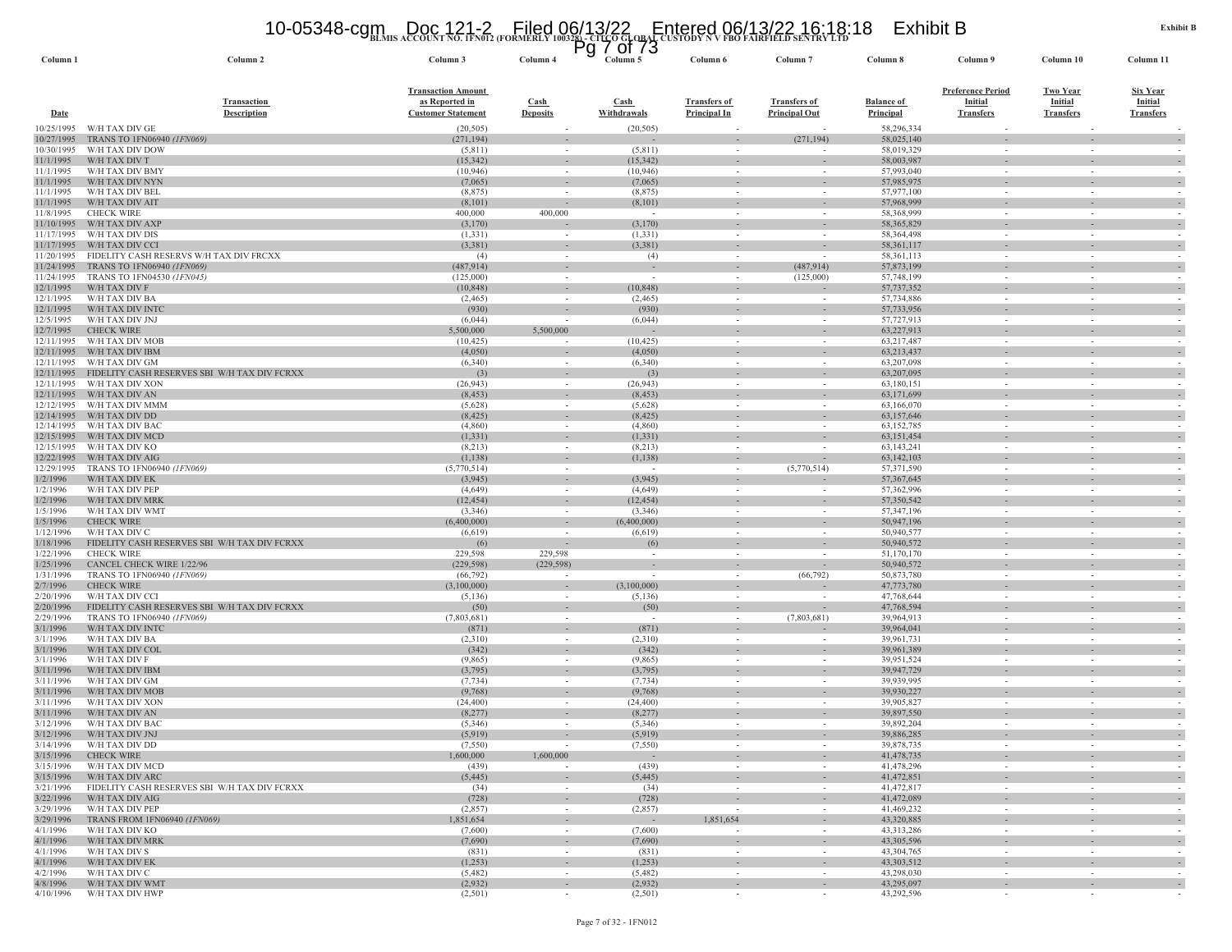#### **BLMIS ACCOUNT NO. 1FN012 (FORMERLY 100328) - CITCO GLOBAL CUSTODY N V FBO FAIRFIELD SENTRY LTD** 10-05348-cgm Doc 121-2 Filed 06/13/22 Entered 06/13/22 16:18:18 Exhibit B Pg 7 of 73

| Column 1                 | Column <sub>2</sub>                                             | Column 3                                    | Column 4                 | Column 5               | Column <sub>6</sub>                                  | Column                             | Column 8                   | Column 9                            | Column 10                          | Column 11                  |
|--------------------------|-----------------------------------------------------------------|---------------------------------------------|--------------------------|------------------------|------------------------------------------------------|------------------------------------|----------------------------|-------------------------------------|------------------------------------|----------------------------|
|                          |                                                                 |                                             |                          |                        |                                                      |                                    |                            |                                     |                                    |                            |
|                          | <b>Transaction</b>                                              | <b>Transaction Amount</b><br>as Reported in | <b>Cash</b>              | Cash                   | <b>Transfers of</b>                                  | <b>Transfers of</b>                | <b>Balance of</b>          | <b>Preference Period</b><br>Initial | <b>Two Year</b><br><b>Initial</b>  | Six Year<br><b>Initial</b> |
| <b>Date</b>              | <b>Description</b>                                              | <b>Customer Statement</b>                   | <b>Deposits</b>          | Withdrawals            | <b>Principal In</b>                                  | <b>Principal Out</b>               | <b>Principal</b>           | <b>Transfers</b>                    | <b>Transfers</b>                   | <b>Transfers</b>           |
| 10/25/1995               | W/H TAX DIV GE                                                  | (20, 505)                                   |                          | (20, 505)              |                                                      |                                    | 58,296,334                 |                                     |                                    |                            |
| 10/27/1995               | TRANS TO 1FN06940 (1FN069)                                      | (271, 194)                                  | $\overline{\phantom{a}}$ |                        |                                                      | (271, 194)                         | 58,025,140                 | $\bar{a}$                           |                                    |                            |
| 10/30/1995<br>11/1/1995  | W/H TAX DIV DOW<br>W/H TAX DIV T                                | (5,811)<br>(15, 342)                        | $\sim$                   | (5, 811)<br>(15, 342)  | $\sim$                                               |                                    | 58,019,329<br>58,003,987   | $\sim$                              | $\sim$                             |                            |
| 11/1/1995                | W/H TAX DIV BMY                                                 | (10, 946)                                   | $\sim$                   | (10,946)               | $\sim$                                               |                                    | 57,993,040                 | $\sim$                              | $\sim$                             |                            |
| 11/1/1995                | W/H TAX DIV NYN                                                 | (7,065)                                     |                          | (7,065)                |                                                      |                                    | 57,985,975                 |                                     |                                    |                            |
| 11/1/1995<br>11/1/1995   | W/H TAX DIV BEL<br>W/H TAX DIV AIT                              | (8, 875)                                    | $\sim$                   | (8, 875)<br>(8,101)    | $\sim$                                               |                                    | 57,977,100                 | $\sim$                              | $\sim$                             |                            |
| 11/8/1995                | <b>CHECK WIRE</b>                                               | (8,101)<br>400,000                          | 400,000                  |                        | $\overline{\phantom{a}}$                             |                                    | 57,968,999<br>58,368,999   |                                     |                                    |                            |
| 11/10/1995               | W/H TAX DIV AXP                                                 | (3,170)                                     |                          | (3,170)                |                                                      |                                    | 58,365,829                 |                                     |                                    |                            |
| 11/17/1995               | W/H TAX DIV DIS                                                 | (1, 331)                                    | $\sim$                   | (1, 331)               | $\sim$                                               |                                    | 58,364,498                 | $\sim$                              | $\sim$                             |                            |
| 11/17/1995<br>11/20/1995 | W/H TAX DIV CCI<br>FIDELITY CASH RESERVS W/H TAX DIV FRCXX      | (3,381)<br>(4)                              | $\sim$                   | (3,381)<br>(4)         | $\overline{\phantom{a}}$<br>$\sim$                   |                                    | 58,361,117<br>58,361,113   | $\sim$                              | $\sim$                             |                            |
| 11/24/1995               | TRANS TO 1FN06940 (1FN069)                                      | (487, 914)                                  |                          |                        |                                                      | (487, 914)                         | 57,873,199                 |                                     |                                    |                            |
| 11/24/1995               | TRANS TO 1FN04530 (1FN045)                                      | (125,000)                                   | $\sim$                   | $\sim$                 | $\sim$                                               | (125,000)                          | 57,748,199                 | $\sim$                              | $\sim$                             | $\sim$                     |
| 12/1/1995                | W/H TAX DIV F                                                   | (10, 848)                                   | $\sim$                   | (10, 848)              | $\sim$                                               |                                    | 57,737,352                 | $\sim$                              | $\sim$                             |                            |
| 12/1/1995                | W/H TAX DIV BA<br>W/H TAX DIV INTO                              | (2, 465)                                    |                          | (2, 465)               |                                                      |                                    | 57,734,886                 |                                     |                                    |                            |
| 12/1/1995<br>12/5/1995   | W/H TAX DIV JNJ                                                 | (930)<br>(6,044)                            |                          | (930)<br>(6,044)       | $\sim$<br>$\overline{\phantom{a}}$                   |                                    | 57,733,956<br>57,727,913   | ٠<br>$\overline{\phantom{a}}$       | $\sim$<br>$\overline{\phantom{a}}$ |                            |
| 12/7/1995                | <b>CHECK WIRE</b>                                               | 5,500,000                                   | 5,500,000                |                        |                                                      | $\sim$                             | 63,227,913                 | $\sim$                              |                                    |                            |
| 12/11/1995               | W/H TAX DIV MOB                                                 | (10, 425)                                   |                          | (10, 425)              | $\overline{\phantom{a}}$                             |                                    | 63,217,487                 | $\overline{\phantom{a}}$            | $\overline{\phantom{a}}$           |                            |
| 12/11/1995               | W/H TAX DIV IBM                                                 | (4,050)                                     | $\overline{\phantom{a}}$ | (4,050)                |                                                      |                                    | 63,213,437                 |                                     |                                    |                            |
| 12/11/1995<br>12/11/1995 | W/H TAX DIV GM<br>FIDELITY CASH RESERVES SBI W/H TAX DIV FCRXX  | (6, 340)<br>(3)                             | $\overline{\phantom{a}}$ | (6,340)<br>(3)         | $\overline{\phantom{a}}$                             |                                    | 63,207,098<br>63,207,095   | $\sim$<br>$\overline{\phantom{a}}$  |                                    |                            |
| 12/11/1995               | W/H TAX DIV XON                                                 | (26, 943)                                   | $\sim$                   | (26, 943)              | $\overline{\phantom{a}}$                             |                                    | 63,180,151                 | $\sim$                              | $\sim$                             |                            |
| 12/11/1995               | W/H TAX DIV AN                                                  | (8, 453)                                    | $\sim$                   | (8, 453)               |                                                      |                                    | 63,171,699                 |                                     |                                    |                            |
| 12/12/1995<br>12/14/1995 | W/H TAX DIV MMM                                                 | (5,628)                                     | $\sim$                   | (5,628)                | $\sim$                                               |                                    | 63,166,070                 | $\sim$                              | $\sim$                             |                            |
| 12/14/1995               | W/H TAX DIV DD<br>W/H TAX DIV BAC                               | (8, 425)<br>(4,860)                         | $\sim$                   | (8, 425)<br>(4,860)    | $\sim$                                               | $\sim$                             | 63,157,646<br>63,152,785   | $\sim$                              | $\sim$                             |                            |
| 12/15/1995               | W/H TAX DIV MCD                                                 | (1, 331)                                    | $\sim$                   | (1, 331)               | $\sim$                                               |                                    | 63,151,454                 | $\sim$                              | $\sim$                             |                            |
| 12/15/1995               | W/H TAX DIV KO                                                  | (8,213)                                     |                          | (8,213)                |                                                      |                                    | 63,143,241                 |                                     |                                    |                            |
| 12/22/1995               | W/H TAX DIV AIG                                                 | (1,138)                                     | $\sim$                   | (1, 138)               | $\overline{\phantom{a}}$                             | $\overline{\phantom{a}}$           | 63,142,103                 | ٠                                   |                                    |                            |
| 12/29/1995<br>1/2/1996   | TRANS TO 1FN06940 (1FN069)<br>W/H TAX DIV EK                    | (5,770,514)<br>(3,945)                      | $\sim$<br>$\sim$         | $\sim$<br>(3,945)      | $\sim$<br>$\sim$                                     | (5,770,514)                        | 57,371,590<br>57, 367, 645 | $\sim$<br>$\sim$                    | $\sim$<br>$\overline{\phantom{a}}$ |                            |
| 1/2/1996                 | W/H TAX DIV PEP                                                 | (4,649)                                     |                          | (4,649)                |                                                      |                                    | 57,362,996                 | $\overline{\phantom{a}}$            | $\overline{\phantom{a}}$           |                            |
| 1/2/1996                 | W/H TAX DIV MRK                                                 | (12, 454)                                   | $\sim$                   | (12, 454)              | $\overline{\phantom{a}}$                             |                                    | 57,350,542                 | $\overline{\phantom{a}}$            | $\overline{\phantom{a}}$           |                            |
| 1/5/1996                 | W/H TAX DIV WMT                                                 | (3,346)                                     | $\sim$                   | (3,346)                | $\overline{\phantom{a}}$                             |                                    | 57,347,196                 | $\overline{\phantom{a}}$            | $\overline{\phantom{a}}$           |                            |
| 1/5/1996<br>1/12/1996    | <b>CHECK WIRE</b><br>W/H TAX DIV C                              | (6,400,000)<br>(6,619)                      | $\sim$                   | (6,400,000)<br>(6,619) | $\sim$<br>$\overline{\phantom{a}}$                   | $\sim$                             | 50,947,196<br>50,940,577   | $\bar{a}$<br>$\sim$                 | $\sim$                             |                            |
| 1/18/1996                | FIDELITY CASH RESERVES SBI W/H TAX DIV FCRXX                    | (6)                                         |                          | (6)                    | $\overline{\phantom{a}}$                             |                                    | 50,940,572                 | $\overline{\phantom{a}}$            |                                    |                            |
| 1/22/1996                | <b>CHECK WIRE</b>                                               | 229,598                                     | 229,598                  | $\sim$                 | $\sim$                                               |                                    | 51,170,170                 | $\sim$                              | $\sim$                             |                            |
| 1/25/1996                | CANCEL CHECK WIRE 1/22/96                                       | (229, 598)                                  | (229, 598)               |                        |                                                      |                                    | 50,940,572                 |                                     |                                    |                            |
| 1/31/1996<br>2/7/1996    | TRANS TO 1FN06940 (1FN069)<br><b>CHECK WIRE</b>                 | (66, 792)<br>(3,100,000)                    | $\sim$                   | $\sim$<br>(3,100,000)  | $\sim$<br>$\overline{\phantom{a}}$                   | (66, 792)                          | 50,873,780<br>47,773,780   | $\sim$                              | $\sim$                             |                            |
| 2/20/1996                | W/H TAX DIV CCI                                                 | (5,136)                                     |                          | (5,136)                |                                                      |                                    | 47,768,644                 |                                     |                                    |                            |
| 2/20/1996                | FIDELITY CASH RESERVES SBI W/H TAX DIV FCRXX                    | (50)                                        |                          | (50)                   |                                                      |                                    | 47,768,594                 |                                     |                                    |                            |
| 2/29/1996                | TRANS TO 1FN06940 (1FN069)                                      | (7,803,681)                                 | $\sim$                   | $\sim$                 | $\overline{\phantom{a}}$                             | (7,803,681)                        | 39,964,913                 | $\sim$                              | $\sim$                             |                            |
| 3/1/1996<br>3/1/1996     | W/H TAX DIV INTC<br>W/H TAX DIV BA                              | (871)<br>(2,310)                            | $\sim$<br>$\sim$         | (871)<br>(2,310)       | $\sim$<br>$\sim$                                     |                                    | 39,964,041<br>39,961,731   | $\sim$<br>$\sim$                    | $\sim$                             |                            |
| 3/1/1996                 | W/H TAX DIV COL                                                 | (342)                                       | $\overline{\phantom{a}}$ | (342)                  |                                                      |                                    | 39,961,389                 |                                     |                                    |                            |
| 3/1/1996                 | W/H TAX DIV F                                                   | (9,865)                                     | $\sim$                   | (9,865)                | $\overline{\phantom{a}}$                             |                                    | 39,951,524                 | $\overline{\phantom{a}}$            | $\overline{\phantom{a}}$           |                            |
| 3/11/1996<br>3/11/1996   | W/H TAX DIV IBM<br>W/H TAX DIV GM                               | (3,795)<br>(7, 734)                         | $\sim$                   | (3,795)<br>(7, 734)    | $\sim$                                               | $\sim$                             | 39,947,729<br>39,939,995   | $\sim$                              | $\sim$                             |                            |
| 3/11/1996                | W/H TAX DIV MOB                                                 | (9,768)                                     | $\sim$                   | (9,768)                | $\sim$                                               |                                    | 39,930,227                 | $\sim$                              | $\sim$                             |                            |
| 3/11/1996                | W/H TAX DIV XON                                                 | (24, 400)                                   | $\sim$                   | (24, 400)              | $\sim$                                               |                                    | 39,905,827                 | $\overline{\phantom{a}}$            | $\sim$                             |                            |
| 3/11/1996                | W/H TAX DIV AN                                                  | (8, 277)                                    |                          | (8,277)                |                                                      |                                    | 39,897,550                 |                                     |                                    |                            |
| 3/12/1996<br>3/12/1996   | W/H TAX DIV BAC<br>W/H TAX DIV JNJ                              | (5,346)                                     | $\sim$                   | (5,346)                | $\sim$                                               |                                    | 39,892,204                 | $\sim$                              | $\sim$                             |                            |
| 3/14/1996                | W/H TAX DIV DD                                                  | (5,919)<br>(7,550)                          |                          | (5,919)<br>(7,550)     |                                                      |                                    | 39,886,285<br>39,878,735   |                                     |                                    |                            |
|                          | 3/15/1996 CHECK WIRE                                            | 00,000                                      |                          |                        |                                                      |                                    | 41,478,735                 |                                     |                                    |                            |
| 3/15/1996                | W/H TAX DIV MCD                                                 | (439)                                       | $\sim$                   | (439)                  | $\sim$                                               | $\sim$                             | 41,478,296                 | $\sim$                              | $\sim$                             | $\sim 10^{-1}$             |
| 3/15/1996                | W/H TAX DIV ARC                                                 | (5, 445)                                    | $\sim$<br>$\sim$         | (5, 445)               | $\sim$<br>$\sim$                                     | $\sim$                             | 41,472,851<br>41, 472, 817 | $\sim$<br>$\sim$                    | $\sim$<br>$\sim$                   | $\sim$ $-$                 |
| 3/21/1996<br>3/22/1996   | FIDELITY CASH RESERVES SBI W/H TAX DIV FCRXX<br>W/H TAX DIV AIG | (34)<br>(728)                               |                          | (34)<br>(728)          | $\overline{\phantom{a}}$                             | $\sim$                             | 41,472,089                 |                                     |                                    | $\sim$                     |
| 3/29/1996                | W/H TAX DIV PEP                                                 | (2, 857)                                    | $\sim$                   | (2, 857)               | $\sim$                                               | $\sim$                             | 41,469,232                 | $\sim$                              | $\sim$                             | $\sim$                     |
| 3/29/1996                | <b>TRANS FROM 1FN06940 (1FN069)</b>                             | 1,851,654                                   | $\sim$                   | $\sim$ $-$             | 1,851,654                                            | $\sim$                             | 43,320,885                 | $\sim$                              | $\sim$                             | $\sim$                     |
| 4/1/1996                 | W/H TAX DIV KO                                                  | (7,600)                                     | $\sim$                   | (7,600)                | $\sim$                                               | $\sim$                             | 43,313,286                 | $\sim$                              | $\sim$                             | $\sim$<br>$\sim$           |
| 4/1/1996<br>4/1/1996     | W/H TAX DIV MRK<br>W/H TAX DIV S                                | (7,690)<br>(831)                            | $\sim$<br>$\sim$         | (7,690)<br>(831)       | $\overline{\phantom{a}}$<br>$\overline{\phantom{a}}$ | $\sim$<br>$\overline{\phantom{a}}$ | 43,305,596<br>43,304,765   | $\overline{\phantom{a}}$<br>$\sim$  | $\sim$<br>$\sim$                   | $\sim$                     |
| 4/1/1996                 | W/H TAX DIV EK                                                  | (1,253)                                     | $\sim$                   | (1,253)                | $\sim$                                               | $\sim$                             | 43,303,512                 | $\sim$                              | $\sim$                             | $\sim$                     |
| 4/2/1996                 | W/H TAX DIV C                                                   | (5,482)                                     | $\sim$                   | (5,482)                | $\sim$                                               | $\sim$                             | 43,298,030                 | $\sim$                              | $\overline{\phantom{a}}$           |                            |
| 4/8/1996                 | W/H TAX DIV WMT<br>4/10/1996 W/H TAX DIV HWP                    | (2,932)<br>(2,501)                          | $\sim$<br>$\sim$         | (2,932)<br>(2,501)     | $\overline{\phantom{a}}$<br>$\sim$                   | $\sim$<br>$\sim$                   | 43,295,097<br>43,292,596   | $\overline{\phantom{a}}$<br>$\sim$  | $\overline{\phantom{a}}$<br>$\sim$ |                            |
|                          |                                                                 |                                             |                          |                        |                                                      |                                    |                            |                                     |                                    | $\sim$ $-$                 |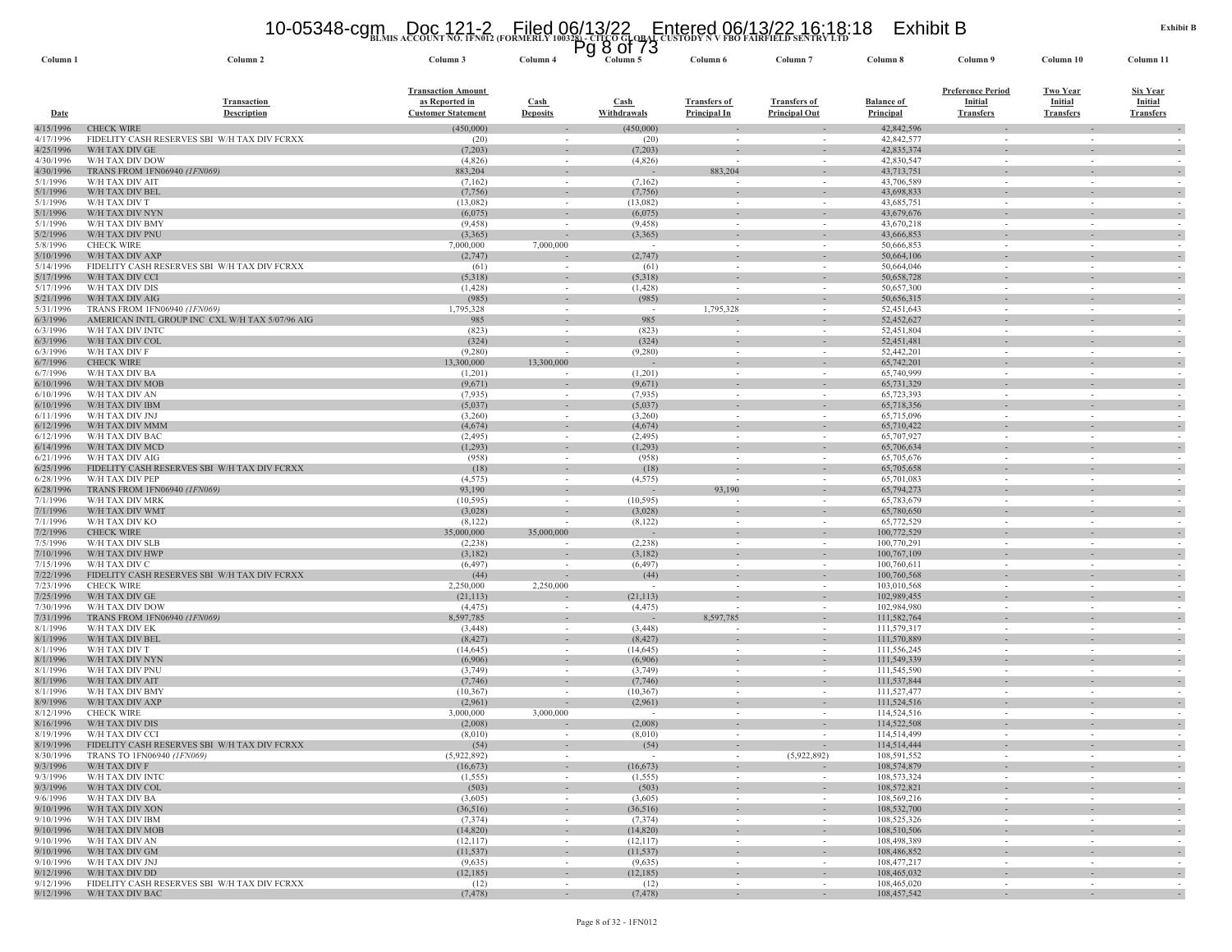## **BLMIS ACCOUNT NO. 1FN012 (FORMERLY 100328) - CITCO GLOBAL CUSTODY N V FBO FAIRFIELD SENTRY LTD** 10-05348-cgm Doc 121-2 Filed 06/13/22 Entered 06/13/22 16:18:18 Exhibit B Pg 8 of 73

| Column 1               | Column <sub>2</sub>                                                             | Column 3                                                                 | Column <sub>4</sub>                | Column <sub>5</sub>    | Column 6                                   | Column <sup>-</sup>                         | Column 8                       | Column 9                                                       | Column <sub>10</sub>                                  | Column 11                                             |
|------------------------|---------------------------------------------------------------------------------|--------------------------------------------------------------------------|------------------------------------|------------------------|--------------------------------------------|---------------------------------------------|--------------------------------|----------------------------------------------------------------|-------------------------------------------------------|-------------------------------------------------------|
| Date                   | <b>Transaction</b><br><b>Description</b>                                        | <b>Transaction Amount</b><br>as Reported in<br><b>Customer Statement</b> | <b>Cash</b><br><b>Deposits</b>     | Cash<br>Withdrawals    | <b>Transfers of</b><br><b>Principal In</b> | <b>Transfers of</b><br><b>Principal Out</b> | <b>Balance of</b><br>Principal | <b>Preference Period</b><br><b>Initial</b><br><b>Transfers</b> | <b>Two Year</b><br><b>Initial</b><br><b>Transfers</b> | <b>Six Year</b><br><b>Initial</b><br><b>Transfers</b> |
| 4/15/1996              | <b>CHECK WIRE</b>                                                               | (450,000)                                                                |                                    | (450,000)              |                                            |                                             | 42,842,596                     |                                                                |                                                       |                                                       |
| 4/17/1996<br>4/25/1996 | FIDELITY CASH RESERVES SBI W/H TAX DIV FCRXX<br>W/H TAX DIV GE                  | (20)<br>(7,203)                                                          |                                    | (20)<br>(7,203)        |                                            |                                             | 42,842,577<br>42,835,374       | $\sim$<br>$\sim$                                               |                                                       |                                                       |
| 4/30/1996              | W/H TAX DIV DOW                                                                 | (4,826)                                                                  | $\overline{\phantom{a}}$<br>$\sim$ | (4,826)                |                                            | $\overline{\phantom{a}}$                    | 42,830,547                     | $\overline{\phantom{a}}$                                       | $\sim$                                                |                                                       |
| 4/30/1996              | TRANS FROM 1FN06940 (1FN069)                                                    | 883,204                                                                  | $\sim$                             |                        | 883,204                                    | $\sim$                                      | 43,713,751                     | $\sim$                                                         |                                                       |                                                       |
| 5/1/1996               | W/H TAX DIV AIT                                                                 | (7,162)                                                                  |                                    | (7,162)                |                                            |                                             | 43,706,589                     | $\overline{\phantom{a}}$                                       |                                                       |                                                       |
| 5/1/1996               | W/H TAX DIV BEL                                                                 | (7, 756)                                                                 | $\overline{\phantom{a}}$           | (7,756)                |                                            | $\overline{\phantom{a}}$                    | 43,698,833                     | $\overline{\phantom{a}}$                                       |                                                       |                                                       |
| 5/1/1996<br>5/1/1996   | W/H TAX DIV T<br>W/H TAX DIV NYN                                                | (13,082)<br>(6,075)                                                      |                                    | (13,082)<br>(6,075)    |                                            | $\sim$                                      | 43,685,751<br>43,679,676       | $\overline{\phantom{a}}$                                       |                                                       |                                                       |
| 5/1/1996               | W/H TAX DIV BMY                                                                 | (9, 458)                                                                 | $\sim$                             | (9, 458)               |                                            | $\overline{\phantom{a}}$                    | 43,670,218                     |                                                                |                                                       |                                                       |
| 5/2/1996               | W/H TAX DIV PNU                                                                 | (3,365)                                                                  |                                    | (3,365)                |                                            | $\overline{\phantom{a}}$                    | 43,666,853                     | $\overline{\phantom{a}}$                                       | $\overline{\phantom{a}}$                              |                                                       |
| 5/8/1996               | <b>CHECK WIRE</b>                                                               | 7,000,000                                                                | 7,000,000                          |                        |                                            |                                             | 50,666,853                     | $\overline{\phantom{a}}$                                       | $\overline{\phantom{a}}$                              |                                                       |
| 5/10/1996<br>5/14/1996 | W/H TAX DIV AXP<br>FIDELITY CASH RESERVES SBI W/H TAX DIV FCRXX                 | (2,747)<br>(61)                                                          | $\sim$                             | (2,747)<br>(61)        | $\sim$                                     | $\sim$                                      | 50,664,106<br>50,664,046       | $\sim$<br>$\sim$                                               | $\overline{\phantom{a}}$                              |                                                       |
| 5/17/1996              | W/H TAX DIV CCI                                                                 | (5,318)                                                                  | $\overline{\phantom{a}}$           | (5,318)                |                                            |                                             | 50,658,728                     | $\overline{\phantom{a}}$                                       |                                                       |                                                       |
| 5/17/1996              | W/H TAX DIV DIS                                                                 | (1, 428)                                                                 | $\sim$                             | (1, 428)               |                                            | $\sim$                                      | 50,657,300                     | $\sim$                                                         |                                                       |                                                       |
| 5/21/1996              | W/H TAX DIV AIG                                                                 | (985)                                                                    |                                    | (985)                  |                                            |                                             | 50,656,315                     |                                                                |                                                       |                                                       |
| 5/31/1996<br>6/3/1996  | TRANS FROM 1FN06940 (1FN069)<br>AMERICAN INTL GROUP INC CXL W/H TAX 5/07/96 AIG | 1,795,328<br>985                                                         | $\sim$<br>$\sim$                   | $\sim$<br>985          | 1,795,328                                  | $\sim$<br>$\sim$                            | 52,451,643<br>52,452,627       | $\sim$<br>$\sim$                                               | $\sim$                                                |                                                       |
| 6/3/1996               | W/H TAX DIV INTC                                                                | (823)                                                                    |                                    | (823)                  |                                            | $\sim$                                      | 52,451,804                     | $\sim$                                                         |                                                       |                                                       |
| 6/3/1996               | W/H TAX DIV COL                                                                 | (324)                                                                    |                                    | (324)                  |                                            |                                             | 52,451,481                     |                                                                |                                                       |                                                       |
| 6/3/1996               | W/H TAX DIV F                                                                   | (9,280)                                                                  |                                    | (9,280)                |                                            | $\overline{\phantom{a}}$                    | 52,442,201                     | $\overline{\phantom{a}}$                                       |                                                       |                                                       |
| 6/7/1996               | <b>CHECK WIRE</b>                                                               | 13,300,000                                                               | 13,300,000                         |                        | $\sim$                                     | $\overline{\phantom{a}}$                    | 65,742,201                     | $\sim$                                                         | $\sim$                                                |                                                       |
| 6/7/1996<br>6/10/1996  | W/H TAX DIV BA<br>W/H TAX DIV MOB                                               | (1,201)<br>(9,671)                                                       | $\sim$                             | (1,201)<br>(9,671)     | $\sim$                                     | $\overline{\phantom{a}}$                    | 65,740,999<br>65,731,329       | $\overline{\phantom{a}}$                                       | $\overline{\phantom{a}}$                              |                                                       |
| 6/10/1996              | W/H TAX DIV AN                                                                  | (7,935)                                                                  | $\sim$                             | (7,935)                |                                            | $\overline{\phantom{a}}$                    | 65,723,393                     | $\overline{\phantom{a}}$                                       | $\overline{\phantom{a}}$                              |                                                       |
| 6/10/1996              | W/H TAX DIV IBM                                                                 | (5,037)                                                                  |                                    | (5,037)                |                                            |                                             | 65,718,356                     | $\sim$                                                         |                                                       |                                                       |
| 6/11/1996              | W/H TAX DIV JNJ                                                                 | (3,260)                                                                  | $\sim$                             | (3,260)                |                                            | $\sim$                                      | 65,715,096                     | $\sim$                                                         |                                                       |                                                       |
| 6/12/1996              | W/H TAX DIV MMM                                                                 | (4,674)                                                                  | $\overline{\phantom{a}}$           | (4,674)                |                                            | $\overline{\phantom{a}}$                    | 65,710,422                     | $\overline{\phantom{a}}$                                       |                                                       |                                                       |
| 6/12/1996<br>6/14/1996 | W/H TAX DIV BAC<br>W/H TAX DIV MCD                                              | (2, 495)<br>(1, 293)                                                     | $\sim$                             | (2, 495)<br>(1, 293)   |                                            | $\sim$                                      | 65,707,927<br>65,706,634       | $\sim$                                                         |                                                       |                                                       |
| 6/21/1996              | W/H TAX DIV AIG                                                                 | (958)                                                                    | $\sim$                             | (958)                  | $\sim$                                     | $\sim$                                      | 65,705,676                     | $\sim$                                                         | $\sim$                                                |                                                       |
| 6/25/1996              | FIDELITY CASH RESERVES SBI W/H TAX DIV FCRXX                                    | (18)                                                                     | $\sim$                             | (18)                   |                                            | $\overline{\phantom{a}}$                    | 65,705,658                     | $\overline{\phantom{a}}$                                       |                                                       |                                                       |
| 6/28/1996              | W/H TAX DIV PEP                                                                 | (4, 575)                                                                 | $\sim$                             | (4, 575)               |                                            | $\sim$                                      | 65,701,083                     | $\sim$                                                         |                                                       |                                                       |
| 6/28/1996<br>7/1/1996  | TRANS FROM 1FN06940 (1FN069)<br>W/H TAX DIV MRK                                 | 93,190<br>(10, 595)                                                      | $\sim$                             | (10, 595)              | 93,190                                     | $\sim$                                      | 65,794,273<br>65,783,679       | $\sim$                                                         | $\sim$                                                |                                                       |
| 7/1/1996               | W/H TAX DIV WMT                                                                 | (3,028)                                                                  |                                    | (3,028)                |                                            | $\sim$                                      | 65,780,650                     | $\overline{\phantom{a}}$                                       |                                                       |                                                       |
| 7/1/1996               | W/H TAX DIV KO                                                                  | (8,122)                                                                  |                                    | (8, 122)               |                                            |                                             | 65,772,529                     |                                                                |                                                       |                                                       |
| 7/2/1996               | <b>CHECK WIRE</b>                                                               | 35,000,000                                                               | 35,000,000                         |                        |                                            | $\overline{\phantom{a}}$                    | 100,772,529                    | ٠                                                              |                                                       |                                                       |
| 7/5/1996<br>7/10/1996  | W/H TAX DIV SLB<br>W/H TAX DIV HWP                                              | (2,238)                                                                  |                                    | (2, 238)<br>(3,182)    | $\sim$                                     | $\overline{\phantom{a}}$<br>$\sim$          | 100,770,291                    | $\overline{\phantom{a}}$<br>$\sim$                             | $\sim$                                                |                                                       |
| 7/15/1996              | W/H TAX DIV C                                                                   | (3,182)<br>(6, 497)                                                      |                                    | (6, 497)               |                                            |                                             | 100,767,109<br>100,760,611     | $\overline{\phantom{a}}$                                       |                                                       |                                                       |
| 7/22/1996              | FIDELITY CASH RESERVES SBI W/H TAX DIV FCRXX                                    | (44)                                                                     |                                    | (44)                   |                                            | $\overline{\phantom{a}}$                    | 100,760,568                    | $\overline{\phantom{a}}$                                       |                                                       |                                                       |
| 7/23/1996              | <b>CHECK WIRE</b>                                                               | 2,250,000                                                                | 2,250,000                          |                        |                                            | $\overline{\phantom{a}}$                    | 103,010,568                    | $\sim$                                                         |                                                       |                                                       |
| 7/25/1996              | W/H TAX DIV GE                                                                  | (21, 113)                                                                |                                    | (21, 113)              |                                            | $\overline{\phantom{a}}$                    | 102,989,455                    | $\overline{\phantom{a}}$                                       |                                                       |                                                       |
| 7/30/1996<br>7/31/1996 | W/H TAX DIV DOW<br>TRANS FROM 1FN06940 (1FN069)                                 | (4, 475)<br>8,597,785                                                    | $\sim$<br>$\overline{\phantom{a}}$ | (4, 475)               | 8,597,785                                  | $\overline{\phantom{a}}$                    | 102,984,980<br>111,582,764     | $\overline{\phantom{a}}$                                       |                                                       |                                                       |
| 8/1/1996               | W/H TAX DIV EK                                                                  | (3, 448)                                                                 | $\sim$                             | (3, 448)               |                                            | $\sim$                                      | 111,579,317                    | $\sim$                                                         |                                                       |                                                       |
| 8/1/1996               | W/H TAX DIV BEL                                                                 | (8, 427)                                                                 |                                    | (8, 427)               |                                            |                                             | 111,570,889                    |                                                                |                                                       |                                                       |
| 8/1/1996               | W/H TAX DIV T                                                                   | (14, 645)                                                                | $\sim$                             | (14, 645)              | $\sim$                                     | $\sim$                                      | 111,556,245                    | $\sim$                                                         | $\overline{\phantom{a}}$                              |                                                       |
| 8/1/1996<br>8/1/1996   | W/H TAX DIV NYN<br>W/H TAX DIV PNU                                              | (6,906)<br>(3,749)                                                       | $\sim$                             | (6,906)<br>(3,749)     | $\sim$                                     | $\sim$<br>$\sim$                            | 111,549,339<br>111,545,590     | $\overline{\phantom{a}}$<br>$\sim$                             | $\sim$                                                |                                                       |
| 8/1/1996               | W/H TAX DIV AIT                                                                 | (7,746)                                                                  |                                    | (7,746)                |                                            |                                             | 111,537,844                    | ٠                                                              |                                                       |                                                       |
| 8/1/1996               | W/H TAX DIV BMY                                                                 | (10, 367)                                                                | $\sim$                             | (10, 367)              | $\sim$                                     | $\overline{\phantom{a}}$                    | 111,527,477                    | $\sim$                                                         | $\sim$                                                |                                                       |
| 8/9/1996               | W/H TAX DIV AXP                                                                 | (2,961)                                                                  |                                    | (2,961)                | $\sim$                                     | $\sim$                                      | 111,524,516                    | $\sim$                                                         | $\sim$                                                |                                                       |
| 8/12/1996              | <b>CHECK WIRE</b>                                                               | 3,000,000                                                                | 3,000,000                          |                        |                                            | $\overline{\phantom{a}}$                    | 114,524,516                    | $\overline{\phantom{a}}$                                       |                                                       |                                                       |
| 8/16/1996<br>8/19/1996 | W/H TAX DIV DIS<br>W/H TAX DIV CCI                                              | (2,008)<br>(8,010)                                                       |                                    | (2,008)<br>(8,010)     | $\overline{\phantom{a}}$                   | $\overline{\phantom{a}}$                    | 114,522,508<br>114,514,499     | $\overline{\phantom{a}}$<br>$\sim$                             |                                                       |                                                       |
| 8/19/1996              | FIDELITY CASH RESERVES SBI W/H TAX DIV FCRXX                                    | (54)                                                                     | $\sim$                             | (54)                   | $\sim$                                     | $\sim$                                      | 114,514,444                    | $\sim$                                                         |                                                       |                                                       |
|                        | 8/30/1996 TRANS TO 1FN06940 (1FN069)                                            | (5,922,892)                                                              |                                    |                        |                                            | (5,922,892)                                 | 108,591,552                    |                                                                |                                                       |                                                       |
| 9/3/1996               | W/H TAX DIV F                                                                   | (16, 673)                                                                | $\sim$                             | (16, 673)              | $\sim$                                     | $\sim$                                      | 108,574,879                    | $\overline{\phantom{a}}$                                       | $\sim$                                                |                                                       |
| 9/3/1996<br>9/3/1996   | W/H TAX DIV INTC<br>W/H TAX DIV COL                                             | (1, 555)<br>(503)                                                        | $\sim$                             | (1, 555)<br>(503)      | $\sim$                                     | $\sim$<br>$\overline{\phantom{a}}$          | 108,573,324<br>108,572,821     | $\sim$<br>$\overline{\phantom{a}}$                             | $\sim$                                                | $\sim$<br>$\sim$                                      |
| 9/6/1996               | W/H TAX DIV BA                                                                  | (3,605)                                                                  | $\sim$                             | (3,605)                | $\sim$                                     | $\sim$                                      | 108,569,216                    | $\sim$                                                         | $\sim$                                                | $\sim$                                                |
| 9/10/1996              | W/H TAX DIV XON                                                                 | (36,516)                                                                 | $\sim$                             | (36,516)               | $\sim$                                     | $\sim$                                      | 108,532,700                    | $\sim$                                                         | $\sim$                                                | $\sim$                                                |
| 9/10/1996              | W/H TAX DIV IBM                                                                 | (7, 374)                                                                 | $\sim$                             | (7, 374)               | $\sim$                                     | $\sim$                                      | 108,525,326                    | $\sim$                                                         | $\sim$                                                |                                                       |
| 9/10/1996              | W/H TAX DIV MOB                                                                 | (14,820)                                                                 | $\sim$                             | (14,820)               |                                            | $\overline{\phantom{a}}$                    | 108,510,506                    | $\blacksquare$                                                 | $\sim$                                                | $\sim$                                                |
| 9/10/1996<br>9/10/1996 | W/H TAX DIV AN<br>W/H TAX DIV GM                                                | (12,117)<br>(11, 537)                                                    | $\sim$<br>$\sim$                   | (12, 117)<br>(11, 537) | $\sim$<br>$\sim$                           | $\sim$<br>$\sim$                            | 108,498,389<br>108,486,852     | $\sim$<br>$\sim$                                               | $\sim$<br>$\sim$                                      | $\sim$<br>$\sim$                                      |
| 9/10/1996              | W/H TAX DIV JNJ                                                                 | (9,635)                                                                  | $\sim$                             | (9,635)                | $\sim$                                     | $\sim$                                      | 108,477,217                    | $\sim$                                                         | $\sim$                                                | $\sim$                                                |
| 9/12/1996              | W/H TAX DIV DD                                                                  | (12, 185)                                                                | $\sim$                             | (12, 185)              | $\overline{\phantom{a}}$                   | $\sim$                                      | 108,465,032                    | $\sim$                                                         | $\sim$                                                |                                                       |
| 9/12/1996              | FIDELITY CASH RESERVES SBI W/H TAX DIV FCRXX                                    | (12)                                                                     | $\sim$                             | (12)                   | $\overline{\phantom{a}}$                   | $\sim$                                      | 108,465,020                    | $\overline{\phantom{a}}$                                       | $\sim$                                                | $\sim$                                                |
| 9/12/1996              | W/H TAX DIV BAC                                                                 | (7, 478)                                                                 | $\sim$                             | (7, 478)               | $\sim$                                     | $\sim$                                      | 108,457,542                    | $\sim$                                                         | $\sim$                                                | $\sim$                                                |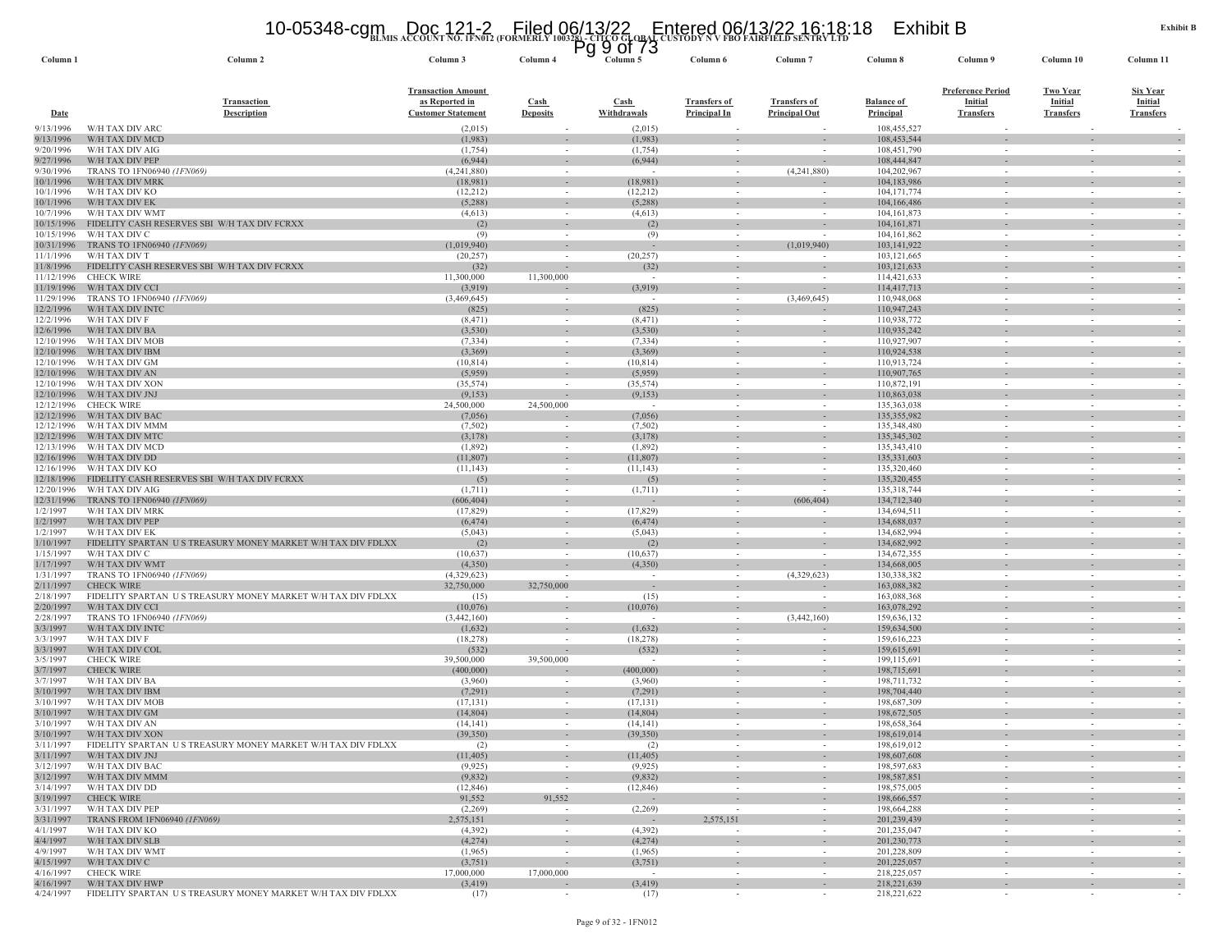# **BLMIS ACCOUNT NO. 1FN012 (FORMERLY 100328) - CITCO GLOBAL CUSTODY N V FBO FAIRFIELD SENTRY LTD** 10-05348-cgm Doc 121-2 Filed 06/13/22 Entered 06/13/22 16:18:18 Exhibit B Pg 9 of 73

| Column <sub>1</sub>      | Column <sub>2</sub>                                                                                | Column 3                                                                 | Column 4                                             | 9 UI 13<br>y<br>Column 5    | Column 6                                   | Column <sub>7</sub>                         | Column 8                              | Column 9                                                       | Column 10                                             | Column 11                                             |
|--------------------------|----------------------------------------------------------------------------------------------------|--------------------------------------------------------------------------|------------------------------------------------------|-----------------------------|--------------------------------------------|---------------------------------------------|---------------------------------------|----------------------------------------------------------------|-------------------------------------------------------|-------------------------------------------------------|
| <b>Date</b>              | <b>Transaction</b><br><b>Description</b>                                                           | <b>Transaction Amount</b><br>as Reported in<br><b>Customer Statement</b> | $\frac{\text{Cash}}{\text{Cash}}$<br><b>Deposits</b> | Cash<br>Withdrawals         | <b>Transfers of</b><br><b>Principal In</b> | <b>Transfers of</b><br><b>Principal Out</b> | <b>Balance of</b><br><b>Principal</b> | <b>Preference Period</b><br><b>Initial</b><br><b>Transfers</b> | <b>Two Year</b><br><b>Initial</b><br><b>Transfers</b> | <b>Six Year</b><br><b>Initial</b><br><b>Transfers</b> |
| 9/13/1996                | W/H TAX DIV ARC                                                                                    | (2,015)                                                                  |                                                      | (2,015)                     |                                            |                                             | 108.455.527                           |                                                                |                                                       |                                                       |
| 9/13/1996                | W/H TAX DIV MCD                                                                                    | (1,983)                                                                  |                                                      | (1,983)                     |                                            |                                             | 108,453,544                           |                                                                |                                                       |                                                       |
| 9/20/1996<br>9/27/1996   | W/H TAX DIV AIG<br>W/H TAX DIV PEP                                                                 | (1,754)<br>(6,944)                                                       | $\sim$<br>$\sim$                                     | (1,754)<br>(6,944)          | $\sim$<br>$\sim$                           | $\overline{\phantom{a}}$                    | 108,451,790<br>108,444,847            | $\sim$<br>$\overline{\phantom{a}}$                             | $\sim$                                                | $\sim$                                                |
| 9/30/1996                | TRANS TO 1FN06940 (1FN069)                                                                         | (4,241,880)                                                              | $\sim$                                               | - 2                         | $\sim$                                     | (4,241,880)                                 | 104,202,967                           | $\sim$                                                         |                                                       |                                                       |
| 10/1/1996                | W/H TAX DIV MRK                                                                                    | (18,981)                                                                 |                                                      | (18,981)                    |                                            |                                             | 104,183,986                           |                                                                |                                                       |                                                       |
| 10/1/1996                | W/H TAX DIV KO                                                                                     | (12,212)                                                                 | $\sim$                                               | (12,212)                    | $\sim$                                     | $\sim$                                      | 104, 171, 774                         | $\sim$                                                         | $\sim$                                                | $\sim$                                                |
| 10/1/1996                | W/H TAX DIV EK                                                                                     | (5,288)                                                                  | $\sim$                                               | (5,288)                     | $\sim$                                     | $\sim$                                      | 104,166,486                           | $\sim$                                                         |                                                       | $\sim$                                                |
| 10/7/1996<br>10/15/1996  | W/H TAX DIV WMT<br>FIDELITY CASH RESERVES SBI W/H TAX DIV FCRXX                                    | (4,613)<br>(2)                                                           | $\sim$                                               | (4,613)<br>(2)              | $\sim$                                     |                                             | 104, 161, 873<br>104, 161, 871        | ٠                                                              |                                                       | $\sim$                                                |
| 10/15/1996               | W/H TAX DIV C                                                                                      | (9)                                                                      | $\overline{\phantom{a}}$                             | (9)                         | $\sim$                                     |                                             | 104, 161, 862                         | $\overline{\phantom{a}}$                                       | $\sim$                                                | $\sim$                                                |
| 10/31/1996               | TRANS TO 1FN06940 (1FN069)                                                                         | (1,019,940)                                                              | $\sim$                                               |                             | $\sim$                                     | (1,019,940)                                 | 103,141,922                           | $\sim$                                                         |                                                       | $\sim$                                                |
| 11/1/1996                | W/H TAX DIV T                                                                                      | (20, 257)                                                                | $\overline{\phantom{a}}$                             | (20, 257)                   | $\overline{\phantom{a}}$                   |                                             | 103, 121, 665                         | $\overline{\phantom{a}}$                                       |                                                       |                                                       |
| 11/8/1996<br>11/12/1996  | FIDELITY CASH RESERVES SBI W/H TAX DIV FCRXX<br><b>CHECK WIRE</b>                                  | (32)<br>11,300,000                                                       | $\overline{\phantom{a}}$<br>11,300,000               | (32)                        | $\sim$                                     |                                             | 103, 121, 633<br>114,421,633          | $\overline{\phantom{a}}$<br>$\sim$                             | $\sim$                                                | $\sim$                                                |
| 11/19/1996               | W/H TAX DIV CCI                                                                                    | (3,919)                                                                  |                                                      | (3,919)                     |                                            |                                             | 114,417,713                           | $\overline{\phantom{a}}$                                       |                                                       | $\sim$                                                |
| 11/29/1996               | TRANS TO 1FN06940 (1FN069)                                                                         | (3,469,645)                                                              | $\sim$                                               | $\sim$                      | $\sim$                                     | (3,469,645)                                 | 110,948,068                           | $\sim$                                                         | $\sim$                                                | $\sim$                                                |
| 12/2/1996                | W/H TAX DIV INTO                                                                                   | (825)                                                                    | $\overline{\phantom{a}}$                             | (825)                       |                                            |                                             | 110,947,243                           |                                                                |                                                       |                                                       |
| 12/2/1996                | W/H TAX DIV F                                                                                      | (8, 471)                                                                 | $\sim$                                               | (8, 471)                    | $\sim$                                     |                                             | 110,938,772                           | $\sim$                                                         | $\overline{a}$                                        |                                                       |
| 12/6/1996<br>12/10/1996  | W/H TAX DIV BA<br>W/H TAX DIV MOB                                                                  | (3,530)<br>(7, 334)                                                      | $\sim$                                               | (3,530)<br>(7, 334)         | $\sim$                                     | $\sim$                                      | 110,935,242<br>110,927,907            | $\sim$                                                         | $\sim$                                                | $\sim$                                                |
| 12/10/1996               | W/H TAX DIV IBM                                                                                    | (3,369)                                                                  | $\sim$                                               | (3,369)                     | $\sim$                                     | $\sim$                                      | 110,924,538                           | $\sim$                                                         |                                                       | $\sim$                                                |
| 12/10/1996               | W/H TAX DIV GM                                                                                     | (10, 814)                                                                | $\sim$                                               | (10, 814)                   | $\sim$                                     |                                             | 110,913,724                           | $\sim$                                                         | $\sim$                                                |                                                       |
| 12/10/1996               | W/H TAX DIV AN                                                                                     | (5,959)                                                                  | $\overline{\phantom{a}}$                             | (5,959)                     |                                            |                                             | 110,907,765                           | ٠                                                              |                                                       | $\sim$                                                |
| 12/10/1996               | W/H TAX DIV XON                                                                                    | (35, 574)                                                                | $\sim$                                               | (35,574)                    | $\sim$                                     | $\sim$                                      | 110,872,191                           | $\sim$                                                         | $\sim$                                                | $\sim$                                                |
| 12/10/1996<br>12/12/1996 | W/H TAX DIV JNJ<br><b>CHECK WIRE</b>                                                               | (9,153)<br>24,500,000                                                    | $\sim$<br>24,500,000                                 | (9,153)<br>$\sim$           | $\sim$<br>$\overline{\phantom{a}}$         | $\sim$                                      | 110,863,038<br>135,363,038            | $\sim$<br>$\overline{\phantom{a}}$                             |                                                       | $\sim$                                                |
| 12/12/1996               | W/H TAX DIV BAC                                                                                    | (7,056)                                                                  |                                                      | (7,056)                     |                                            |                                             | 135, 355, 982                         | ٠                                                              |                                                       | $\sim$                                                |
| 12/12/1996               | W/H TAX DIV MMM                                                                                    | (7,502)                                                                  |                                                      | (7,502)                     | $\sim$                                     |                                             | 135,348,480                           | $\overline{\phantom{a}}$                                       |                                                       |                                                       |
| 12/12/1996               | W/H TAX DIV MTC                                                                                    | (3,178)                                                                  | $\overline{\phantom{a}}$                             | (3,178)                     | $\sim$                                     | $\sim$                                      | 135,345,302                           | $\bar{a}$                                                      |                                                       | $\sim$                                                |
| 12/13/1996               | W/H TAX DIV MCD<br>W/H TAX DIV DD                                                                  | (1,892)<br>(11, 807)                                                     | $\sim$                                               | (1,892)<br>(11,807)         | $\sim$                                     | $\overline{\phantom{a}}$                    | 135,343,410<br>135,331,603            | $\sim$                                                         | $\sim$                                                |                                                       |
| 12/16/1996<br>12/16/1996 | W/H TAX DIV KO                                                                                     | (11, 143)                                                                | $\overline{\phantom{a}}$<br>$\sim$                   | (11, 143)                   | $\overline{\phantom{a}}$<br>$\sim$         |                                             | 135,320,460                           | $\overline{\phantom{a}}$<br>$\sim$                             |                                                       |                                                       |
| 12/18/1996               | FIDELITY CASH RESERVES SBI W/H TAX DIV FCRXX                                                       | (5)                                                                      |                                                      | (5)                         |                                            |                                             | 135,320,455                           |                                                                |                                                       |                                                       |
| 12/20/1996               | W/H TAX DIV AIG                                                                                    | (1,711)                                                                  | $\sim$                                               | (1,711)                     | $\sim$                                     | $\overline{\phantom{a}}$                    | 135,318,744                           | $\sim$                                                         | $\overline{a}$                                        | $\sim$                                                |
| 12/31/1996               | TRANS TO 1FN06940 (1FN069)                                                                         | (606,404)                                                                | $\sim$                                               |                             | $\sim$                                     | (606, 404)                                  | 134,712,340                           | $\overline{\phantom{a}}$                                       |                                                       | $\sim$                                                |
| 1/2/1997<br>1/2/1997     | W/H TAX DIV MRK<br>W/H TAX DIV PEP                                                                 | (17, 829)<br>(6, 474)                                                    | $\sim$                                               | (17, 829)<br>(6, 474)       | $\sim$                                     |                                             | 134,694,511<br>134,688,037            | $\sim$                                                         | $\sim$                                                | $\sim$                                                |
| 1/2/1997                 | W/H TAX DIV EK                                                                                     | (5,043)                                                                  | $\sim$                                               | (5,043)                     | $\sim$                                     | $\sim$                                      | 134,682,994                           | $\sim$                                                         | $\sim$                                                | $\sim$                                                |
| 1/10/1997                | FIDELITY SPARTAN US TREASURY MONEY MARKET W/H TAX DIV FDLXX                                        | (2)                                                                      | $\sim$                                               | (2)                         | $\sim$                                     | $\sim$                                      | 134,682,992                           | $\sim$                                                         |                                                       | $\sim$                                                |
| 1/15/1997                | W/H TAX DIV C                                                                                      | (10, 637)                                                                | $\overline{\phantom{a}}$                             | (10,637)                    | $\sim$                                     |                                             | 134,672,355                           | $\sim$                                                         | $\sim$                                                | $\sim$                                                |
| 1/17/1997                | W/H TAX DIV WMT                                                                                    | (4,350)                                                                  | $\overline{\phantom{a}}$                             | (4,350)                     |                                            |                                             | 134,668,005                           |                                                                |                                                       | $\sim$                                                |
| 1/31/1997<br>2/11/1997   | TRANS TO 1FN06940 (1FN069)<br><b>CHECK WIRE</b>                                                    | (4,329,623)<br>32,750,000                                                | $\sim$<br>32,750,000                                 | $\sim$                      | $\sim$<br>$\sim$                           | (4,329,623)                                 | 130,338,382<br>163,088,382            | $\overline{\phantom{a}}$<br>$\sim$                             | $\sim$<br>$\sim$                                      | $\sim$<br>$\sim$                                      |
| 2/18/1997                | FIDELITY SPARTAN US TREASURY MONEY MARKET W/H TAX DIV FDLXX                                        | (15)                                                                     | $\overline{\phantom{a}}$                             | (15)                        |                                            |                                             | 163,088,368                           |                                                                |                                                       |                                                       |
| 2/20/1997                | W/H TAX DIV CCI                                                                                    | (10,076)                                                                 | $\overline{\phantom{a}}$                             | (10,076)                    | $\sim$                                     |                                             | 163,078,292                           | $\sim$                                                         |                                                       | $\sim$                                                |
| 2/28/1997                | TRANS TO 1FN06940 (1FN069)                                                                         | (3, 442, 160)                                                            | $\sim$                                               |                             | $\sim$                                     | (3,442,160)                                 | 159,636,132                           | $\sim$                                                         | $\sim$                                                |                                                       |
| 3/3/1997<br>3/3/1997     | W/H TAX DIV INTC<br>W/H TAX DIV F                                                                  | (1,632)<br>(18, 278)                                                     | $\sim$<br>$\sim$                                     | (1,632)<br>(18, 278)        | $\sim$                                     |                                             | 159,634,500<br>159,616,223            | $\sim$<br>$\sim$                                               | $\sim$                                                |                                                       |
| 3/3/1997                 | W/H TAX DIV COL                                                                                    | (532)                                                                    |                                                      | (532)                       |                                            | $\overline{\phantom{a}}$                    | 159,615,691                           | $\overline{\phantom{a}}$                                       |                                                       | $\sim$                                                |
| 3/5/1997                 | <b>CHECK WIRE</b>                                                                                  | 39,500,000                                                               | 39,500,000                                           |                             | $\sim$                                     |                                             | 199,115,691                           | $\sim$                                                         | $\sim$                                                |                                                       |
| 3/7/1997                 | <b>CHECK WIRE</b>                                                                                  | (400,000)                                                                |                                                      | (400,000)                   |                                            |                                             | 198,715,691                           |                                                                |                                                       | $\sim$                                                |
| 3/7/1997<br>3/10/1997    | W/H TAX DIV BA<br>W/H TAX DIV IBM                                                                  | (3,960)<br>(7,291)                                                       | $\sim$<br>$\sim$                                     | (3,960)<br>(7,291)          | $\sim$                                     | $\overline{\phantom{a}}$                    | 198,711,732<br>198,704,440            | $\sim$<br>$\overline{\phantom{a}}$                             | $\sim$                                                | $\sim$                                                |
| 3/10/1997                | W/H TAX DIV MOB                                                                                    | (17, 131)                                                                | $\sim$                                               | (17, 131)                   | $\sim$                                     | $\sim$                                      | 198,687,309                           | $\sim$                                                         | $\sim$                                                | $\sim$                                                |
| 3/10/1997                | W/H TAX DIV GM                                                                                     | (14, 804)                                                                | $\overline{\phantom{a}}$                             | (14, 804)                   |                                            |                                             | 198,672,505                           |                                                                |                                                       |                                                       |
| 3/10/1997                | W/H TAX DIV AN                                                                                     | (14, 141)                                                                | $\sim$                                               | (14, 141)                   | $\sim$                                     | $\sim$                                      | 198,658,364                           | $\sim$                                                         | $\sim$                                                | $\sim$                                                |
| 3/10/1997                | W/H TAX DIV XON                                                                                    | (39, 350)                                                                | $\sim$                                               | (39,350)                    |                                            |                                             | 198,619,014                           |                                                                |                                                       |                                                       |
|                          | 3/11/1997 FIDELITY SPARTAN US TREASURY MONEY MARKET W/H TAX DIV FDLXX<br>3/11/1997 W/H TAX DIV JNJ | (2)<br>(11, 405)                                                         | $\sim$                                               | (11, 405)                   | $\sim$                                     | $\sim$                                      | 198,619,012<br>198,607,608            | $\sim$                                                         | $\sim$                                                | $\omega$                                              |
|                          | 3/12/1997 W/H TAX DIV BAC                                                                          | (9, 925)                                                                 | $\sim$                                               | (9, 925)                    | $\sim$                                     | $\sim$                                      | 198,597,683                           | $\sim$                                                         | $\sim$                                                | $\sim$                                                |
| 3/12/1997                | W/H TAX DIV MMM                                                                                    | (9,832)                                                                  | ÷.                                                   | (9,832)                     | $\sim$                                     | $\sim$                                      | 198,587,851                           | $\sim$                                                         | $\sim$                                                | $\sim$                                                |
| 3/14/1997                | W/H TAX DIV DD                                                                                     | (12, 846)                                                                | $\overline{\phantom{a}}$                             | (12, 846)                   | $\sim$                                     | $\overline{\phantom{a}}$                    | 198,575,005                           | $\sim$                                                         | $\sim$                                                | $\sim$                                                |
|                          | 3/19/1997 CHECK WIRE                                                                               | 91,552                                                                   | 91,552                                               | $\sim$                      | $\sim$                                     | $\overline{\phantom{a}}$                    | 198,666,557                           | $\overline{\phantom{a}}$                                       |                                                       | $\sim$                                                |
| 3/31/1997<br>3/31/1997   | W/H TAX DIV PEP<br>TRANS FROM 1FN06940 (1FN069)                                                    | (2,269)<br>2,575,151                                                     | $\sim$<br>$\sim$                                     | (2,269)<br>$\sim$ $-$       | 2,575,151                                  | $\sim$<br>l,                                | 198,664,288<br>201,239,439            | $\sim$<br>$\sim$                                               | $\sim$<br>$\sim$                                      | $\sim$<br>$\sim$                                      |
| 4/1/1997                 | W/H TAX DIV KO                                                                                     | (4,392)                                                                  | $\sim$                                               | (4,392)                     | $\sim$                                     | $\sim$                                      | 201,235,047                           | $\sim$                                                         | $\sim$                                                | $\sim$                                                |
| 4/4/1997                 | W/H TAX DIV SLB                                                                                    | (4,274)                                                                  | $\sim$                                               | (4,274)                     | $\sim$                                     | $\sim$                                      | 201,230,773                           | $\sim$                                                         | $\sim$                                                | $\sim$                                                |
| 4/9/1997                 | W/H TAX DIV WMT                                                                                    | (1,965)                                                                  | $\sim$                                               | (1,965)                     | $\sim$                                     | $\sim$                                      | 201,228,809                           | $\sim$                                                         | $\sim$                                                | $\sim$                                                |
| 4/15/1997<br>4/16/1997   | W/H TAX DIV C<br><b>CHECK WIRE</b>                                                                 | (3,751)<br>17,000,000                                                    | $\sim$<br>17,000,000                                 | (3,751)<br>$\sim$ 100 $\pm$ | $\sim$                                     | $\sim$                                      | 201,225,057<br>218,225,057            | $\sim$                                                         | $\sim$                                                | $\sim$<br>$\sim$                                      |
|                          | 4/16/1997 W/H TAX DIV HWP                                                                          | (3, 419)                                                                 |                                                      | (3,419)                     | $\sim$                                     | $\sim$                                      | 218,221,639                           | $\sim$                                                         |                                                       | $\sim$                                                |
|                          | 4/24/1997 FIDELITY SPARTAN US TREASURY MONEY MARKET W/H TAX DIV FDLXX                              | (17)                                                                     |                                                      | (17)                        | $\sim$                                     |                                             | 218,221,622                           |                                                                |                                                       |                                                       |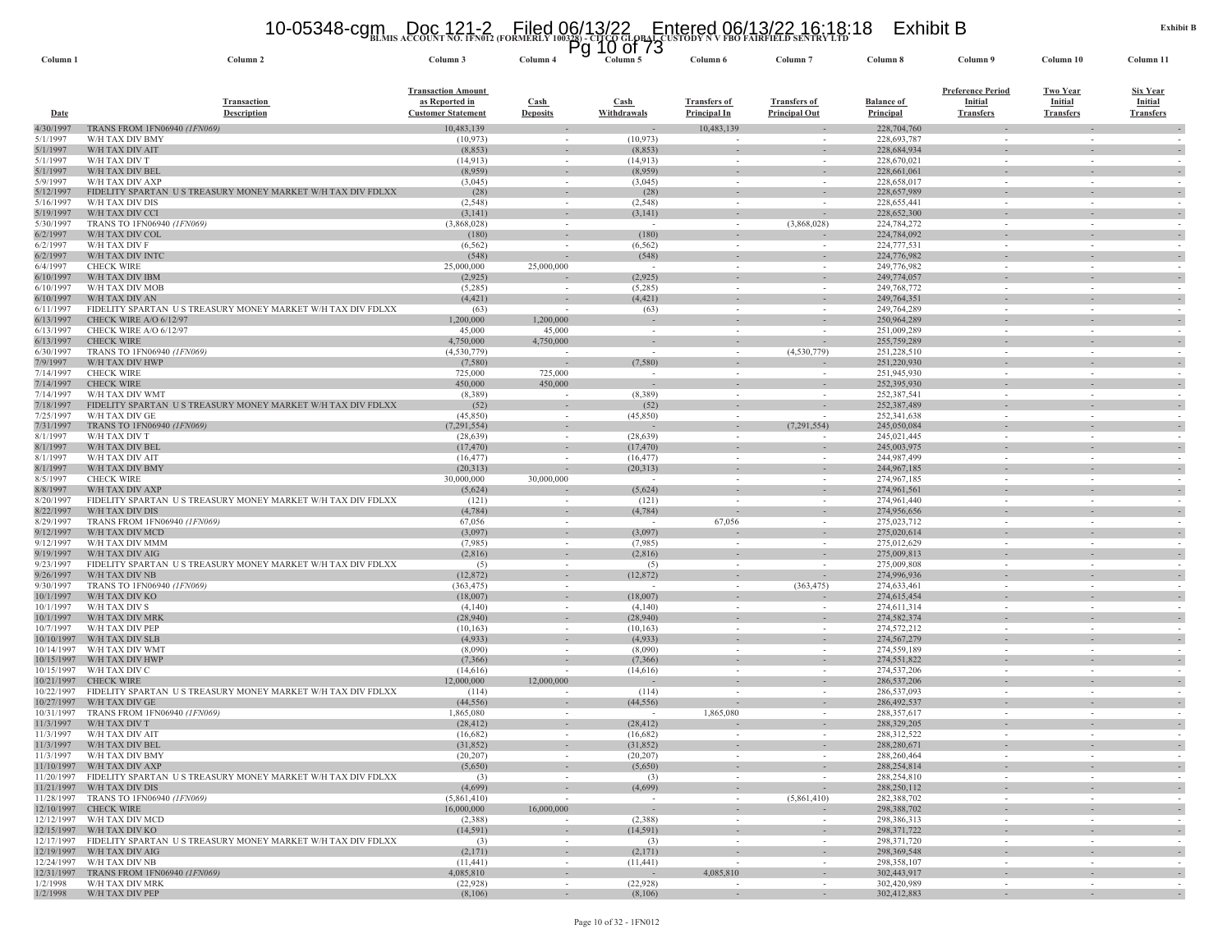# **BLMIS ACCOUNT NO. 1FN012 (FORMERLY 100328) - CITCO GLOBAL CUSTODY N V FBO FAIRFIELD SENTRY LTD** 10-05348-cgm Doc 121-2 Filed 06/13/22 Entered 06/13/22 16:18:18 Exhibit B Pg 10 of 73

| Column <sub>1</sub>      | Column 2                                                                                             | Column 3                                                                 | ٢y<br>Column 4                     | TO 01 13<br>Column 5               | Column 6                                   | Column <sub>7</sub>                         | Column 8                       | Column 9                                                       | Column 10                                             | Column 11                                             |
|--------------------------|------------------------------------------------------------------------------------------------------|--------------------------------------------------------------------------|------------------------------------|------------------------------------|--------------------------------------------|---------------------------------------------|--------------------------------|----------------------------------------------------------------|-------------------------------------------------------|-------------------------------------------------------|
| Date                     | <b>Transaction</b><br><b>Description</b>                                                             | <b>Transaction Amount</b><br>as Reported in<br><b>Customer Statement</b> | <b>Cash</b><br><b>Deposits</b>     | <b>Cash</b><br>Withdrawals         | <b>Transfers of</b><br><b>Principal In</b> | <b>Transfers of</b><br><b>Principal Out</b> | <b>Balance of</b><br>Principal | <b>Preference Period</b><br><b>Initial</b><br><b>Transfers</b> | <b>Two Year</b><br><b>Initial</b><br><b>Transfers</b> | <b>Six Year</b><br><b>Initial</b><br><b>Transfers</b> |
| 4/30/1997                | <b>TRANS FROM 1FN06940 (1FN069)</b>                                                                  | 10,483,139                                                               |                                    | $\sim$                             | 10,483,139                                 |                                             | 228,704,760                    |                                                                |                                                       |                                                       |
| 5/1/1997<br>5/1/1997     | W/H TAX DIV BMY<br>W/H TAX DIV AIT                                                                   | (10, 973)<br>(8, 853)                                                    | $\sim$                             | (10, 973)<br>(8, 853)              | $\sim$                                     | $\sim$                                      | 228,693,787<br>228,684,934     | $\sim$                                                         | $\sim$<br>$\sim$                                      |                                                       |
| 5/1/1997                 | W/H TAX DIV T                                                                                        | (14, 913)                                                                | $\sim$                             | (14,913)                           | $\sim$                                     |                                             | 228,670,021                    | $\sim$                                                         | $\sim$                                                |                                                       |
| 5/1/1997                 | W/H TAX DIV BEL                                                                                      | (8,959)                                                                  | $\sim$                             | (8,959)                            |                                            |                                             | 228,661,061                    |                                                                |                                                       |                                                       |
| 5/9/1997<br>5/12/1997    | W/H TAX DIV AXF<br>FIDELITY SPARTAN<br>U S TREASURY MONEY MARKET W/H TAX DIV FDLXX                   | (3,045)<br>(28)                                                          | $\sim$                             | (3,045)<br>(28)                    | $\sim$<br>$\sim$                           | $\sim$                                      | 228,658,017<br>228,657,989     | $\sim$<br>$\sim$                                               | $\sim$<br>$\sim$                                      |                                                       |
| 5/16/1997                | W/H TAX DIV DIS                                                                                      | (2, 548)                                                                 |                                    | (2, 548)                           |                                            |                                             | 228,655,441                    |                                                                |                                                       |                                                       |
| 5/19/1997                | W/H TAX DIV CCI                                                                                      | (3,141)                                                                  | $\sim$                             | (3, 141)                           | $\sim$                                     |                                             | 228,652,300                    |                                                                |                                                       |                                                       |
| 5/30/1997<br>6/2/1997    | TRANS TO 1FN06940 (1FN069)<br>W/H TAX DIV COL                                                        | (3,868,028)<br>(180)                                                     | $\sim$                             | $\sim$<br>(180)                    | $\sim$                                     | (3,868,028)                                 | 224,784,272<br>224,784,092     | $\sim$                                                         | $\sim$                                                |                                                       |
| 6/2/1997                 | W/H TAX DIV F                                                                                        | (6, 562)                                                                 |                                    | (6, 562)                           | $\sim$                                     | $\overline{\phantom{a}}$                    | 224,777,531                    | $\sim$                                                         | $\sim$                                                |                                                       |
| 6/2/1997                 | W/H TAX DIV INTC                                                                                     | (548)                                                                    |                                    | (548)                              |                                            |                                             | 224,776,982                    |                                                                |                                                       |                                                       |
| 6/4/1997                 | <b>CHECK WIRE</b>                                                                                    | 25,000,000                                                               | 25,000,000                         |                                    | $\sim$                                     |                                             | 249,776,982                    | $\sim$                                                         | $\sim$                                                |                                                       |
| 6/10/1997<br>6/10/1997   | W/H TAX DIV IBM<br>W/H TAX DIV MOB                                                                   | (2,925)<br>(5,285)                                                       | $\sim$                             | (2,925)<br>(5,285)                 | $\sim$                                     | $\sim$                                      | 249,774,057<br>249,768,772     | $\sim$                                                         | $\sim$                                                |                                                       |
| 6/10/1997                | W/H TAX DIV AN                                                                                       | (4, 421)                                                                 |                                    | (4, 421)                           |                                            |                                             | 249,764,351                    |                                                                |                                                       |                                                       |
| 6/11/1997                | FIDELITY SPARTAN US TREASURY MONEY MARKET W/H TAX DIV FDLXX                                          | (63)                                                                     |                                    | (63)                               | $\sim$                                     | $\sim$                                      | 249,764,289                    | $\sim$                                                         | $\sim$                                                |                                                       |
| 6/13/1997<br>6/13/1997   | CHECK WIRE A/O 6/12/97<br>CHECK WIRE A/O 6/12/97                                                     | 1,200,000<br>45,000                                                      | 1,200,000<br>45,000                | $\sim$                             | $\sim$                                     | $\sim$                                      | 250,964,289<br>251,009,289     | $\sim$                                                         | $\sim$                                                |                                                       |
| 6/13/1997                | <b>CHECK WIRE</b>                                                                                    | 4,750,000                                                                | 4,750,000                          | $\sim$                             | $\sim$                                     | $\overline{\phantom{a}}$                    | 255,759,289                    | $\sim$                                                         | $\sim$                                                |                                                       |
| 6/30/1997                | TRANS TO 1FN06940 (1FN069)                                                                           | (4,530,779)                                                              |                                    | $\sim$                             | $\overline{\phantom{a}}$                   | (4,530,779)                                 | 251,228,510                    |                                                                |                                                       |                                                       |
| 7/9/1997                 | W/H TAX DIV HWP                                                                                      | (7,580)                                                                  |                                    | (7,580)                            | $\sim$                                     |                                             | 251,220,930                    |                                                                | ٠                                                     |                                                       |
| 7/14/1997<br>7/14/1997   | <b>CHECK WIRE</b><br><b>CHECK WIRE</b>                                                               | 725,000<br>450,000                                                       | 725,000<br>450,000                 |                                    | $\sim$<br>$\sim$                           | $\sim$                                      | 251,945,930<br>252,395,930     |                                                                |                                                       |                                                       |
| 7/14/1997                | W/H TAX DIV WMT                                                                                      | (8,389)                                                                  |                                    | (8,389)                            | $\sim$                                     | $\overline{\phantom{a}}$                    | 252,387,541                    | $\sim$                                                         | $\sim$                                                |                                                       |
| 7/18/1997                | FIDELITY SPARTAN US TREASURY MONEY MARKET W/H TAX DIV FDLXX                                          | (52)                                                                     |                                    | (52)                               |                                            |                                             | 252,387,489                    |                                                                |                                                       |                                                       |
| 7/25/1997<br>7/31/1997   | W/H TAX DIV GE<br>TRANS TO 1FN06940 (1FN069)                                                         | (45, 850)<br>(7, 291, 554)                                               | $\sim$                             | (45,850)                           | $\sim$<br>$\overline{\phantom{a}}$         | (7,291,554)                                 | 252,341,638<br>245,050,084     | $\sim$                                                         | $\sim$<br>$\overline{\phantom{a}}$                    |                                                       |
| 8/1/1997                 | W/H TAX DIV T                                                                                        | (28, 639)                                                                | $\sim$                             | (28, 639)                          | $\sim$                                     | $\sim$                                      | 245,021,445                    | $\sim$                                                         | $\sim$                                                |                                                       |
| 8/1/1997                 | W/H TAX DIV BEL                                                                                      | (17, 470)                                                                | $\sim$                             | (17, 470)                          |                                            |                                             | 245,003,975                    |                                                                |                                                       |                                                       |
| 8/1/1997                 | W/H TAX DIV AIT                                                                                      | (16, 477)                                                                | $\sim$                             | (16, 477)                          | $\sim$                                     |                                             | 244,987,499                    | $\sim$                                                         | $\sim$                                                |                                                       |
| 8/1/1997<br>8/5/1997     | W/H TAX DIV BMY<br><b>CHECK WIRE</b>                                                                 | (20,313)<br>30,000,000                                                   | 30,000,000                         | (20, 313)<br>$\sim$                | $\sim$                                     | $\sim$                                      | 244, 967, 185<br>274,967,185   | $\sim$                                                         | $\sim$                                                |                                                       |
| 8/8/1997                 | W/H TAX DIV AXP                                                                                      | (5,624)                                                                  |                                    | (5,624)                            | $\sim$                                     | $\sim$                                      | 274,961,561                    | $\sim$                                                         | $\sim$                                                |                                                       |
| 8/20/1997                | FIDELITY SPARTAN US TREASURY MONEY MARKET W/H TAX DIV FDLXX                                          | (121)                                                                    |                                    | (121)                              |                                            | $\sim$                                      | 274,961,440                    | $\sim$                                                         | $\sim$                                                |                                                       |
| 8/22/1997<br>8/29/1997   | W/H TAX DIV DIS<br>TRANS FROM 1FN06940 (1FN069)                                                      | (4,784)<br>67,056                                                        | $\overline{\phantom{a}}$<br>$\sim$ | (4, 784)<br>$\sim$                 | $\overline{\phantom{a}}$<br>67,056         | $\sim$<br>$\sim$                            | 274,956,656<br>275,023,712     | $\sim$                                                         | $\sim$                                                | $\sim$                                                |
| 9/12/1997                | W/H TAX DIV MCD                                                                                      | (3,097)                                                                  | $\sim$                             | (3,097)                            |                                            | $\sim$                                      | 275,020,614                    |                                                                | $\sim$                                                |                                                       |
| 9/12/1997                | W/H TAX DIV MMM                                                                                      | (7,985)                                                                  |                                    | (7,985)                            | $\sim$                                     |                                             | 275,012,629                    | $\sim$                                                         | $\overline{\phantom{a}}$                              |                                                       |
| 9/19/1997                | W/H TAX DIV AIG<br>FIDELITY SPARTAN US TREASURY MONEY MARKET W/H TAX DIV FDLXX                       | (2,816)                                                                  | $\sim$                             | (2,816)                            | $\sim$                                     |                                             | 275,009,813                    |                                                                |                                                       |                                                       |
| 9/23/1997<br>9/26/1997   | W/H TAX DIV NB                                                                                       | (5)<br>(12, 872)                                                         |                                    | (5)<br>(12, 872)                   | $\sim$                                     | $\overline{\phantom{a}}$                    | 275,009,808<br>274,996,936     |                                                                | ÷.                                                    |                                                       |
| 9/30/1997                | TRANS TO 1FN06940 (1FN069)                                                                           | (363, 475)                                                               | $\sim$                             | $\sim$                             | $\sim$                                     | (363, 475)                                  | 274,633,461                    | $\sim$                                                         | $\sim$                                                |                                                       |
| 10/1/1997                | W/H TAX DIV KO                                                                                       | (18,007)                                                                 | $\sim$                             | (18,007)                           | $\overline{\phantom{a}}$                   |                                             | 274,615,454                    |                                                                |                                                       |                                                       |
| 10/1/1997<br>10/1/1997   | W/H TAX DIV S<br>W/H TAX DIV MRK                                                                     | (4,140)<br>(28,940)                                                      | $\sim$                             | (4,140)<br>(28,940)                | $\sim$                                     | $\overline{\phantom{a}}$                    | 274,611,314<br>274,582,374     | $\sim$                                                         | $\sim$                                                |                                                       |
| 10/7/1997                | W/H TAX DIV PEP                                                                                      | (10, 163)                                                                | $\sim$                             | (10, 163)                          | $\sim$                                     | $\sim$                                      | 274,572,212                    | $\sim$                                                         | $\sim$                                                |                                                       |
| 10/10/1997               | W/H TAX DIV SLB                                                                                      | (4,933)                                                                  | $\sim$                             | (4,933)                            |                                            |                                             | 274, 567, 279                  |                                                                |                                                       |                                                       |
| 10/14/1997<br>10/15/1997 | W/H TAX DIV WMT<br>W/H TAX DIV HWP                                                                   | (8,090)<br>(7,366)                                                       |                                    | (8,090)<br>(7,366)                 | $\sim$                                     |                                             | 274,559,189<br>274,551,822     | $\sim$                                                         | $\sim$                                                |                                                       |
| 10/15/1997               | W/H TAX DIV C                                                                                        | (14,616)                                                                 | $\sim$                             | (14,616)                           | $\sim$                                     | $\sim$                                      | 274,537,206                    | $\sim$                                                         | $\sim$                                                |                                                       |
| 10/21/1997               | <b>CHECK WIRE</b>                                                                                    | 12,000,000                                                               | 12,000,000                         |                                    |                                            | $\overline{\phantom{a}}$                    | 286,537,206                    |                                                                |                                                       |                                                       |
| 10/22/1997               | FIDELITY SPARTAN US TREASURY MONEY MARKET W/H TAX DIV FDLXX                                          | (114)                                                                    |                                    | (114)                              | $\sim$                                     | $\sim$                                      | 286,537,093                    | $\sim$                                                         | $\sim$                                                |                                                       |
| 10/27/1997<br>10/31/1997 | W/H TAX DIV GE<br>TRANS FROM 1FN06940 (1FN069)                                                       | (44, 556)<br>1,865,080                                                   |                                    | (44, 556)                          | $\sim$<br>1,865,080                        |                                             | 286, 492, 537<br>288, 357, 617 | $\sim$                                                         | $\sim$                                                |                                                       |
| 11/3/1997                | W/H TAX DIV T                                                                                        | (28, 412)                                                                | $\sim$                             | (28, 412)                          |                                            | $\sim$                                      | 288,329,205                    | $\sim$                                                         | $\sim$                                                |                                                       |
| 11/3/1997                | W/H TAX DIV AIT                                                                                      | (16,682)                                                                 |                                    | (16,682)                           |                                            |                                             | 288,312,522                    |                                                                |                                                       |                                                       |
|                          | $11/3/1997$ W/H TAX DIV BEL<br>11/3/1997 W/H TAX DIV BMY                                             | (31,852)<br>(20, 207)                                                    | $\sim$                             | (31,852)<br>(20, 207)              | $\sim$                                     | $\sim$                                      | 288,280,671<br>288,260,464     | $\sim$                                                         | $\sim$                                                |                                                       |
|                          | 11/10/1997 W/H TAX DIV AXP                                                                           | (5,650)                                                                  |                                    | (5,650)                            | $\sim$                                     | $\overline{\phantom{a}}$                    | 288, 254, 814                  |                                                                | $\overline{\phantom{a}}$                              |                                                       |
|                          | 11/20/1997 FIDELITY SPARTAN US TREASURY MONEY MARKET W/H TAX DIV FDLXX                               | (3)                                                                      | $\sim$                             | (3)                                | $\sim$                                     | $\overline{\phantom{a}}$                    | 288,254,810                    | $\sim$                                                         | $\sim$                                                |                                                       |
|                          | 11/21/1997 W/H TAX DIV DIS<br>11/28/1997 TRANS TO 1FN06940 (1FN069)                                  | (4,699)                                                                  |                                    | (4,699)                            | $\sim$                                     |                                             | 288,250,112                    |                                                                | $\overline{\phantom{a}}$                              |                                                       |
|                          | 12/10/1997 CHECK WIRE                                                                                | (5,861,410)<br>16,000,000                                                | 16,000,000                         | $\sim$<br>$\overline{\phantom{a}}$ | $\sim$                                     | (5,861,410)                                 | 282,388,702<br>298,388,702     | $\sim$                                                         | $\sim$                                                | $\sim$                                                |
|                          | 12/12/1997 W/H TAX DIV MCD                                                                           | (2,388)                                                                  | $\sim$                             | (2,388)                            | $\sim$                                     | $\sim$                                      | 298,386,313                    | $\sim$                                                         | $\sim$                                                | $\sim$                                                |
|                          | 12/15/1997 W/H TAX DIV KO                                                                            | (14, 591)                                                                |                                    | (14, 591)                          | $\sim$                                     | $\overline{\phantom{a}}$                    | 298, 371, 722                  | $\sim$                                                         |                                                       |                                                       |
|                          | 12/17/1997 FIDELITY SPARTAN US TREASURY MONEY MARKET W/H TAX DIV FDLXX<br>12/19/1997 W/H TAX DIV AIG | (3)<br>(2,171)                                                           | $\sim$                             | (3)<br>(2,171)                     | $\sim$<br>$\overline{\phantom{a}}$         | $\sim$<br>-                                 | 298, 371, 720<br>298,369,548   | $\sim$                                                         | $\sim$                                                |                                                       |
|                          | 12/24/1997 W/H TAX DIV NB                                                                            | (11, 441)                                                                | $\sim$                             | (11, 441)                          | $\overline{a}$                             | $\sim$                                      | 298,358,107                    | $\sim$                                                         | $\sim$                                                |                                                       |
|                          | 12/31/1997 TRANS FROM 1FN06940 (1FN069)                                                              | 4,085,810                                                                | $\sim$                             | $\sim$                             | 4,085,810                                  | $\sim$                                      | 302,443,917                    | $\sim$                                                         | $\sim$                                                | $\sim$                                                |
| 1/2/1998                 | W/H TAX DIV MRK<br>1/2/1998 W/H TAX DIV PEP                                                          | (22, 928)<br>(8,106)                                                     | $\sim$                             | (22,928)<br>(8,106)                | $\sim$                                     | $\sim$                                      | 302,420,989<br>302,412,883     |                                                                |                                                       |                                                       |
|                          |                                                                                                      |                                                                          |                                    |                                    |                                            |                                             |                                |                                                                |                                                       |                                                       |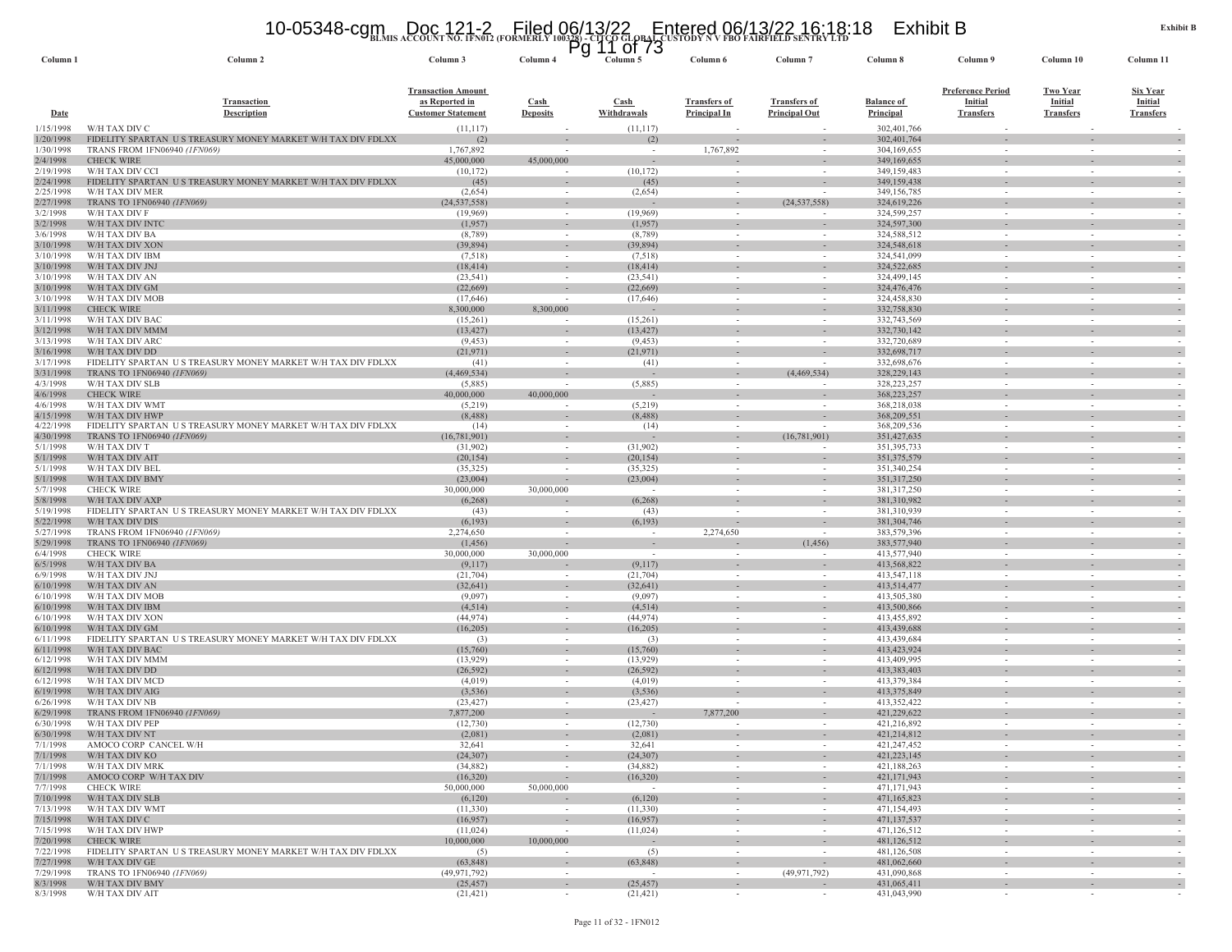# **BLMIS ACCOUNT NO. 1FN012 (FORMERLY 100328) - CITCO GLOBAL CUSTODY N V FBO FAIRFIELD SENTRY LTD** 10-05348-cgm Doc 121-2 Filed 06/13/22 Entered 06/13/22 16:18:18 Exhibit B Pg 11 of 73

| Column <sub>1</sub>    | Column <sub>2</sub>                                                                       | Column 3                                    | Column <sub>4</sub>                   | Column 5              | Column 6                                   | Column                                               | Column 8                              | Column 9                           | Column 10                          | Column 11                          |
|------------------------|-------------------------------------------------------------------------------------------|---------------------------------------------|---------------------------------------|-----------------------|--------------------------------------------|------------------------------------------------------|---------------------------------------|------------------------------------|------------------------------------|------------------------------------|
|                        |                                                                                           | <b>Transaction Amount</b>                   |                                       |                       |                                            |                                                      |                                       | <b>Preference Period</b>           | <b>Two Year</b>                    | <b>Six Year</b>                    |
| <b>Date</b>            | <b>Transaction</b><br><b>Description</b>                                                  | as Reported in<br><b>Customer Statement</b> | Cash<br><b>Deposits</b>               | Cash<br>Withdrawals   | <b>Transfers of</b><br><b>Principal In</b> | <b>Transfers of</b><br><b>Principal Out</b>          | <b>Balance of</b><br><b>Principal</b> | <b>Initial</b><br><b>Transfers</b> | <b>Initial</b><br><b>Transfers</b> | <b>Initial</b><br><b>Transfers</b> |
| 1/15/1998              | W/H TAX DIV C                                                                             | (11, 117)                                   |                                       | (11, 117)             |                                            |                                                      | 302,401,766                           |                                    |                                    |                                    |
| 1/20/1998              | FIDELITY SPARTAN US TREASURY MONEY MARKET W/H TAX DIV FDLXX                               | (2)                                         |                                       | (2)                   |                                            | $\overline{\phantom{a}}$                             | 302,401,764                           |                                    | $\sim$                             |                                    |
| 1/30/1998<br>2/4/1998  | TRANS FROM 1FN06940 (1FN069)<br><b>CHECK WIRE</b>                                         | 1,767,892<br>45,000,000                     | 45,000,000                            |                       | 1,767,892                                  | $\overline{\phantom{a}}$                             | 304,169,655<br>349,169,655            |                                    | ٠                                  |                                    |
| 2/19/1998              | W/H TAX DIV CCI                                                                           | (10, 172)                                   | $\sim$                                | (10, 172)             |                                            |                                                      | 349,159,483                           |                                    |                                    |                                    |
| 2/24/1998              | FIDELITY SPARTAN US TREASURY MONEY MARKET W/H TAX DIV FDLXX                               | (45)                                        |                                       | (45)                  |                                            |                                                      | 349,159,438                           |                                    |                                    |                                    |
| 2/25/1998              | W/H TAX DIV MER                                                                           | (2,654)                                     | $\sim$                                | (2,654)               |                                            |                                                      | 349,156,785                           | $\sim$                             | $\overline{\phantom{a}}$           |                                    |
| 2/27/1998<br>3/2/1998  | TRANS TO 1FN06940 (1FN069)<br>W/H TAX DIV F                                               | (24, 537, 558)<br>(19,969)                  | $\overline{\phantom{a}}$              | (19,969)              |                                            | (24, 537, 558)                                       | 324,619,226<br>324,599,257            |                                    |                                    |                                    |
| 3/2/1998               | W/H TAX DIV INTO                                                                          | (1,957)                                     |                                       | (1,957)               |                                            |                                                      | 324,597,300                           |                                    |                                    |                                    |
| 3/6/1998               | W/H TAX DIV BA                                                                            | (8,789)                                     | $\sim$                                | (8,789)               | $\sim$                                     | $\sim$                                               | 324,588,512                           | $\sim$                             | $\overline{\phantom{a}}$           |                                    |
| 3/10/1998              | W/H TAX DIV XON                                                                           | (39, 894)                                   | $\sim$                                | (39, 894)             |                                            | $\overline{\phantom{a}}$                             | 324,548,618                           |                                    |                                    |                                    |
| 3/10/1998<br>3/10/1998 | W/H TAX DIV IBM<br>W/H TAX DIV JNJ                                                        | (7,518)<br>(18, 414)                        | $\sim$                                | (7,518)<br>(18, 414)  |                                            | $\sim$                                               | 324,541,099<br>324,522,685            | $\sim$                             | $\sim$                             |                                    |
| 3/10/1998              | W/H TAX DIV AN                                                                            | (23, 541)                                   | $\sim$                                | (23, 541)             |                                            | $\sim$                                               | 324,499,145                           | $\sim$                             | $\sim$                             |                                    |
| 3/10/1998              | W/H TAX DIV GM                                                                            | (22,669)                                    |                                       | (22,669)              |                                            | $\sim$                                               | 324,476,476                           |                                    | $\sim$                             |                                    |
| 3/10/1998              | W/H TAX DIV MOB                                                                           | (17,646)                                    |                                       | (17,646)              |                                            |                                                      | 324,458,830                           |                                    |                                    |                                    |
| 3/11/1998<br>3/11/1998 | <b>CHECK WIRE</b><br>W/H TAX DIV BAC                                                      | 8,300,000<br>(15,261)                       | 8.300.000<br>$\overline{\phantom{a}}$ | (15,261)              |                                            | $\overline{\phantom{a}}$<br>$\overline{\phantom{a}}$ | 332,758,830<br>332,743,569            |                                    | ٠<br>$\sim$                        |                                    |
| 3/12/1998              | W/H TAX DIV MMM                                                                           | (13, 427)                                   | $\sim$                                | (13, 427)             |                                            | $\sim$                                               | 332,730,142                           |                                    | $\sim$                             |                                    |
| 3/13/1998              | W/H TAX DIV ARC                                                                           | (9, 453)                                    | $\overline{\phantom{a}}$              | (9, 453)              |                                            |                                                      | 332,720,689                           |                                    | $\overline{\phantom{a}}$           |                                    |
| 3/16/1998              | W/H TAX DIV DD                                                                            | (21, 971)                                   | $\overline{\phantom{a}}$              | (21, 971)             |                                            | $\overline{\phantom{a}}$                             | 332,698,717                           |                                    |                                    |                                    |
| 3/17/1998<br>3/31/1998 | FIDELITY SPARTAN US TREASURY MONEY MARKET W/H TAX DIV FDLXX<br>TRANS TO 1FN06940 (1FN069) | (41)<br>(4,469,534)                         |                                       | (41)                  |                                            | (4,469,534)                                          | 332,698,676<br>328, 229, 143          |                                    | $\overline{\phantom{a}}$           |                                    |
| 4/3/1998               | W/H TAX DIV SLB                                                                           | (5,885)                                     | $\overline{\phantom{a}}$              | (5,885)               |                                            | $\overline{\phantom{a}}$                             | 328, 223, 257                         | $\sim$                             | $\overline{\phantom{a}}$           |                                    |
| 4/6/1998               | <b>CHECK WIRE</b>                                                                         | 40,000,000                                  | 40,000,000                            |                       |                                            |                                                      | 368,223,257                           |                                    |                                    |                                    |
| 4/6/1998               | W/H TAX DIV WMT                                                                           | (5,219)                                     | $\overline{\phantom{a}}$              | (5,219)               |                                            |                                                      | 368,218,038                           |                                    | $\sim$                             |                                    |
| 4/15/1998<br>4/22/1998 | W/H TAX DIV HWP<br>FIDELITY SPARTAN US TREASURY MONEY MARKET W/H TAX DIV FDLXX            | (8, 488)<br>(14)                            | $\sim$                                | (8, 488)<br>(14)      | $\sim$                                     | $\overline{\phantom{a}}$                             | 368,209,551<br>368,209,536            | $\sim$                             | $\sim$                             |                                    |
| 4/30/1998              | <b>TRANS TO 1FN06940 (1FN069)</b>                                                         | (16, 781, 901)                              | $\sim$                                |                       | $\sim$                                     | (16,781,901)                                         | 351,427,635                           |                                    | $\sim$                             |                                    |
| 5/1/1998               | W/H TAX DIV T                                                                             | (31,902)                                    |                                       | (31,902)              |                                            |                                                      | 351,395,733                           |                                    | $\sim$                             |                                    |
| 5/1/1998               | W/H TAX DIV AIT                                                                           | (20, 154)                                   | $\overline{\phantom{a}}$              | (20, 154)             |                                            | $\overline{\phantom{a}}$                             | 351,375,579                           |                                    |                                    |                                    |
| 5/1/1998<br>5/1/1998   | W/H TAX DIV BEL<br>W/H TAX DIV BMY                                                        | (35, 325)<br>(23,004)                       | $\sim$                                | (35, 325)<br>(23,004) | $\sim$<br>$\sim$                           | $\sim$<br>$\sim$                                     | 351,340,254<br>351, 317, 250          | $\sim$                             | $\sim$<br>÷.                       | $\overline{\phantom{a}}$<br>$\sim$ |
| 5/7/1998               | <b>CHECK WIRE</b>                                                                         | 30,000,000                                  | 30,000,000                            |                       |                                            |                                                      | 381,317,250                           |                                    | $\overline{\phantom{a}}$           |                                    |
| 5/8/1998               | W/H TAX DIV AXP                                                                           | (6, 268)                                    |                                       | (6,268)               |                                            | $\sim$                                               | 381,310,982                           |                                    | ٠                                  |                                    |
| 5/19/1998<br>5/22/1998 | FIDELITY SPARTAN US TREASURY MONEY MARKET W/H TAX DIV FDLXX<br>W/H TAX DIV DIS            | (43)<br>(6,193)                             | $\sim$                                | (43)                  |                                            | $\sim$                                               | 381,310,939<br>381, 304, 746          | $\sim$                             | $\sim$<br>÷.                       | $\sim$                             |
| 5/27/1998              | TRANS FROM 1FN06940 (1FN069)                                                              | 2,274,650                                   |                                       | (6,193)<br>$\sim$     | 2,274,650                                  |                                                      | 383,579,396                           |                                    |                                    |                                    |
| 5/29/1998              | TRANS TO 1FN06940 (1FN069)                                                                | (1, 456)                                    |                                       |                       |                                            | (1, 456)                                             | 383,577,940                           |                                    |                                    |                                    |
| 6/4/1998               | <b>CHECK WIRE</b>                                                                         | 30,000,000                                  | 30,000,000                            |                       |                                            |                                                      | 413,577,940                           |                                    |                                    |                                    |
| 6/5/1998<br>6/9/1998   | W/H TAX DIV BA<br>W/H TAX DIV JNJ                                                         | (9,117)<br>(21,704)                         | $\sim$                                | (9,117)<br>(21,704)   | $\sim$                                     | $\sim$                                               | 413,568,822<br>413,547,118            | $\sim$                             | $\sim$                             |                                    |
| 6/10/1998              | W/H TAX DIV AN                                                                            | (32, 641)                                   | $\overline{\phantom{a}}$              | (32, 641)             |                                            | $\overline{\phantom{a}}$                             | 413,514,477                           |                                    |                                    |                                    |
| 6/10/1998              | W/H TAX DIV MOB                                                                           | (9,097)                                     | $\overline{\phantom{a}}$              | (9,097)               |                                            |                                                      | 413,505,380                           |                                    | $\sim$                             |                                    |
| 6/10/1998              | W/H TAX DIV IBM                                                                           | (4, 514)                                    |                                       | (4, 514)              |                                            |                                                      | 413,500,866                           |                                    |                                    |                                    |
| 6/10/1998<br>6/10/1998 | W/H TAX DIV XON<br>W/H TAX DIV GM                                                         | (44, 974)<br>(16,205)                       | $\sim$<br>$\sim$                      | (44, 974)<br>(16,205) |                                            | $\sim$<br>$\sim$                                     | 413,455,892<br>413,439,688            | $\sim$                             | $\sim$<br>$\sim$                   | $\sim$<br>$\sim$                   |
| 6/11/1998              | FIDELITY SPARTAN US TREASURY MONEY MARKET W/H TAX DIV FDLXX                               | (3)                                         | $\sim$                                | (3)                   |                                            |                                                      | 413,439,684                           |                                    | $\sim$                             |                                    |
| 6/11/1998              | W/H TAX DIV BAC                                                                           | (15,760)                                    | $\overline{\phantom{a}}$              | (15,760)              |                                            |                                                      | 413,423,924                           |                                    |                                    |                                    |
| 6/12/1998              | W/H TAX DIV MMM                                                                           | (13,929)                                    | $\overline{\phantom{a}}$              | (13,929)              |                                            | $\sim$<br>$\sim$                                     | 413,409,995                           | $\sim$                             | $\sim$<br>÷.                       |                                    |
| 6/12/1998<br>6/12/1998 | W/H TAX DIV DD<br>W/H TAX DIV MCD                                                         | (26, 592)<br>(4,019)                        | $\sim$                                | (26, 592)<br>(4,019)  | $\sim$                                     |                                                      | 413,383,403<br>413,379,384            | $\sim$                             |                                    |                                    |
| 6/19/1998              | W/H TAX DIV AIG                                                                           | (3, 536)                                    | $\overline{\phantom{a}}$              | (3, 536)              |                                            | $\overline{\phantom{a}}$                             | 413,375,849                           |                                    |                                    |                                    |
| 6/26/1998              | W/H TAX DIV NB                                                                            | (23, 427)                                   | $\sim$                                | (23, 427)             |                                            | $\overline{\phantom{a}}$                             | 413,352,422                           |                                    |                                    |                                    |
| 6/29/1998<br>6/30/1998 | TRANS FROM 1FN06940 (1FN069)<br>W/H TAX DIV PEP                                           | 7,877,200<br>(12,730)                       |                                       | (12,730)              | 7,877,200                                  |                                                      | 421,229,622<br>421,216,892            |                                    |                                    |                                    |
| 6/30/1998              | W/H TAX DIV NT                                                                            | (2,081)                                     | $\sim$                                | (2,081)               |                                            | $\overline{\phantom{a}}$<br>$\overline{\phantom{a}}$ | 421,214,812                           | $\sim$                             | $\sim$                             |                                    |
| 7/1/1998               | AMOCO CORP CANCEL W/H                                                                     | 32,641                                      |                                       | 32.641                |                                            |                                                      | 421.247.452                           |                                    |                                    |                                    |
| 7/1/1998               | W/H TAX DIV KO                                                                            | (24, 307)                                   |                                       | (24, 307)             |                                            |                                                      | 421,223,145                           |                                    |                                    |                                    |
| 7/1/1998<br>7/1/1998   | W/H TAX DIV MRK<br>AMOCO CORP W/H TAX DIV                                                 | (34,882)<br>(16,320)                        | $\sim$                                | (34, 882)<br>(16,320) | $\sim$                                     | $\sim$<br>$\sim$                                     | 421,188,263<br>421,171,943            | $\sim$                             | $\sim$<br>$\overline{\phantom{a}}$ | $\sim$<br>$\overline{\phantom{a}}$ |
| 7/7/1998               | <b>CHECK WIRE</b>                                                                         | 50,000,000                                  | 50,000,000                            | $\sim$                | $\sim$                                     | $\sim$                                               | 471,171,943                           | $\sim$                             | $\sim$                             | $\sim$                             |
| 7/10/1998              | W/H TAX DIV SLB                                                                           | (6,120)                                     |                                       | (6,120)               |                                            |                                                      | 471,165,823                           |                                    |                                    | $\sim$                             |
| 7/13/1998              | W/H TAX DIV WMT                                                                           | (11,330)                                    | $\sim$                                | (11,330)              | $\sim$                                     | $\sim$                                               | 471,154,493                           | $\sim$                             | $\sim$                             | $\sim$                             |
| 7/15/1998<br>7/15/1998 | W/H TAX DIV C<br>W/H TAX DIV HWP                                                          | (16,957)<br>(11,024)                        | $\sim$                                | (16,957)<br>(11, 024) | $\sim$                                     | $\sim$<br>$\sim$                                     | 471,137,537<br>471,126,512            | $\sim$                             | $\sim$<br>$\overline{\phantom{a}}$ | $\sim$                             |
| 7/20/1998              | <b>CHECK WIRE</b>                                                                         | 10,000,000                                  | 10,000,000                            | $\sim$                | $\sim$                                     | $\sim$                                               | 481,126,512                           | $\sim$                             | $\sim$                             | $\overline{\phantom{a}}$           |
| 7/22/1998              | FIDELITY SPARTAN US TREASURY MONEY MARKET W/H TAX DIV FDLXX                               | (5)                                         | $\overline{\phantom{a}}$              | (5)                   | $\sim$                                     | $\overline{\phantom{a}}$                             | 481,126,508                           | $\sim$                             | $\overline{\phantom{a}}$           | $\overline{\phantom{a}}$           |
| 7/27/1998              | W/H TAX DIV GE<br>7/29/1998 TRANS TO 1FN06940 (1FN069)                                    | (63, 848)<br>(49.971.792)                   | $\sim$                                | (63, 848)             | $\sim$                                     | $\sim$<br>(49, 971, 792)                             | 481,062,660<br>431,090,868            | $\sim$                             | $\sim$                             |                                    |
|                        |                                                                                           |                                             |                                       |                       |                                            |                                                      |                                       |                                    |                                    |                                    |

 $(25,457)$  -  $(25,457)$  -  $431,065,411$  -  $-$ 

 $(21,421)$  -  $(21,421)$  -  $431,043,990$  -  $-$ 

7/29/1998 TRANS TO 1FN06940 *(1FN069)* - (49,971,792) - - (49,971,792) 431,090,868 - - -

8/3/1998 W/H TAX DIV BMY (25,457)

8/3/1998 W/H TAX DIV AIT  $(21,421)$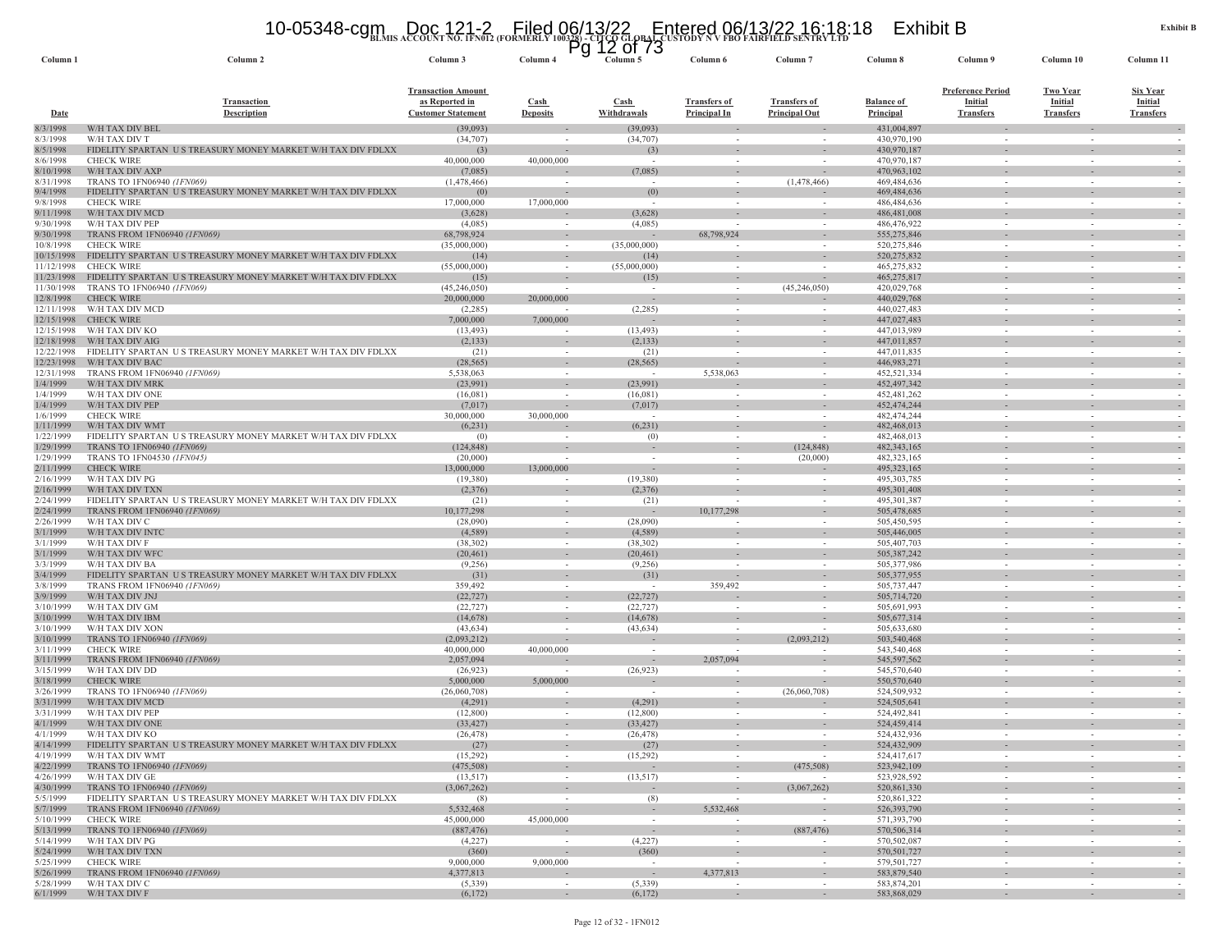# **BLMIS ACCOUNT NO. 1FN012 (FORMERLY 100328) - CITCO GLOBAL CUSTODY N V FBO FAIRFIELD SENTRY LTD** 10-05348-cgm Doc 121-2 Filed 06/13/22 Entered 06/13/22 16:18:18 Exhibit B Pg 12 of 73

| Column <sub>1</sub>      | Column <sub>2</sub>                                                                         | Column 3                                                                 | гy<br>Column <sub>4</sub>      | טו וט<br>ᅩᄼ<br>Column 5            | Column 6                                   | Column <sub>7</sub>                                  | Column 8                       | Column 9                                                       | Column 10                                      | Column 11                                      |
|--------------------------|---------------------------------------------------------------------------------------------|--------------------------------------------------------------------------|--------------------------------|------------------------------------|--------------------------------------------|------------------------------------------------------|--------------------------------|----------------------------------------------------------------|------------------------------------------------|------------------------------------------------|
| <b>Date</b>              | <b>Transaction</b><br><b>Description</b>                                                    | <b>Transaction Amount</b><br>as Reported in<br><b>Customer Statement</b> | <b>Cash</b><br><b>Deposits</b> | Cash<br>Withdrawals                | <b>Transfers of</b><br><b>Principal In</b> | <b>Transfers of</b><br><b>Principal Out</b>          | <b>Balance of</b><br>Principal | <b>Preference Period</b><br><b>Initial</b><br><b>Transfers</b> | <b>Two Year</b><br>Initial<br><b>Transfers</b> | <b>Six Year</b><br>Initial<br><b>Transfers</b> |
| 8/3/1998                 | W/H TAX DIV BEL                                                                             | (39,093)                                                                 |                                | (39,093)                           | $\sim$                                     |                                                      | 431,004,897                    |                                                                |                                                |                                                |
| 8/3/1998                 | W/H TAX DIV T                                                                               | (34, 707)                                                                |                                | (34,707)                           | $\sim$                                     |                                                      | 430,970,190                    |                                                                |                                                |                                                |
| 8/5/1998<br>8/6/1998     | FIDELITY SPARTAN US TREASURY MONEY MARKET W/H TAX DIV FDLXX<br><b>CHECK WIRE</b>            | (3)<br>40,000,000                                                        | 40,000,000                     | (3)<br>$\sim$                      | $\sim$                                     | $\overline{\phantom{a}}$                             | 430,970,187<br>470,970,187     | $\sim$                                                         | $\sim$                                         | $\overline{\phantom{a}}$<br>$\sim$             |
| 8/10/1998                | W/H TAX DIV AXP                                                                             | (7,085)                                                                  |                                | (7,085)                            | $\sim$                                     | $\sim$                                               | 470,963,102                    | $\sim$                                                         | $\overline{\phantom{a}}$                       | $\sim$                                         |
| 8/31/1998                | TRANS TO 1FN06940 (1FN069)                                                                  | (1,478,466)                                                              |                                | $\overline{\phantom{a}}$           | $\overline{\phantom{a}}$                   | (1,478,466)                                          | 469, 484, 636                  | $\overline{\phantom{a}}$                                       |                                                |                                                |
| 9/4/1998                 | FIDELITY SPARTAN US TREASURY MONEY MARKET W/H TAX DIV FDLXX                                 | (0)                                                                      | $\sim$                         | (0)                                | $\sim$                                     |                                                      | 469,484,636                    |                                                                |                                                | $\sim$                                         |
| 9/8/1998                 | <b>CHECK WIRE</b>                                                                           | 17,000,000                                                               | 17,000,000                     |                                    |                                            |                                                      | 486, 484, 636                  | $\sim$                                                         |                                                |                                                |
| 9/11/1998<br>9/30/1998   | W/H TAX DIV MCD<br>W/H TAX DIV PEP                                                          | (3,628)<br>(4,085)                                                       |                                | (3,628)<br>(4,085)                 |                                            | ÷.                                                   | 486, 481, 008<br>486,476,922   | $\omega$<br>$\sim$                                             |                                                | $\overline{\phantom{a}}$                       |
| 9/30/1998                | TRANS FROM 1FN06940 (1FN069)                                                                | 68,798,924                                                               | $\sim$<br>$\sim$               |                                    | $\overline{\phantom{a}}$<br>68,798,924     | $\overline{\phantom{a}}$<br>$\overline{\phantom{a}}$ | 555,275,846                    | $\overline{\phantom{a}}$                                       |                                                |                                                |
| 10/8/1998                | <b>CHECK WIRE</b>                                                                           | (35,000,000)                                                             | $\sim$                         | (35,000,000)                       | $\overline{\phantom{a}}$                   |                                                      | 520,275,846                    | $\sim$                                                         |                                                |                                                |
| 10/15/1998               | FIDELITY SPARTAN US TREASURY MONEY MARKET W/H TAX DIV FDLXX                                 | (14)                                                                     |                                | (14)                               |                                            |                                                      | 520,275,832                    |                                                                |                                                |                                                |
| 11/12/1998               | <b>CHECK WIRE</b>                                                                           | (55,000,000)                                                             | $\sim$                         | (55,000,000)                       | $\sim$                                     |                                                      | 465,275,832                    | $\sim$                                                         | $\sim$                                         |                                                |
| 11/23/1998               | FIDELITY SPARTAN US TREASURY MONEY MARKET W/H TAX DIV FDLXX                                 | (15)                                                                     |                                | (15)                               |                                            |                                                      | 465,275,817                    | $\overline{\phantom{a}}$                                       |                                                |                                                |
| 11/30/1998<br>12/8/1998  | TRANS TO 1FN06940 (1FN069)<br><b>CHECK WIRE</b>                                             | (45,246,050)<br>20,000,000                                               | 20,000,000                     | $\sim$<br>$\overline{\phantom{a}}$ | $\sim$                                     | (45,246,050)                                         | 420,029,768<br>440,029,768     | $\sim$                                                         |                                                |                                                |
| 12/11/1998               | W/H TAX DIV MCD                                                                             | (2,285)                                                                  |                                | (2,285)                            | $\sim$                                     | $\sim$                                               | 440,027,483                    | $\sim$                                                         |                                                | $\sim$                                         |
| 12/15/1998               | <b>CHECK WIRE</b>                                                                           | 7,000,000                                                                | 7,000,000                      |                                    | $\sim$                                     |                                                      | 447,027,483                    | $\sim$                                                         |                                                | $\sim$                                         |
| 12/15/1998               | W/H TAX DIV KO                                                                              | (13, 493)                                                                |                                | (13, 493)                          | $\sim$                                     |                                                      | 447,013,989                    | $\sim$                                                         | $\sim$                                         |                                                |
| 12/18/1998               | W/H TAX DIV AIG                                                                             | (2,133)                                                                  |                                | (2, 133)                           |                                            |                                                      | 447,011,857                    |                                                                |                                                |                                                |
| 12/22/1998<br>12/23/1998 | FIDELITY SPARTAN US TREASURY MONEY MARKET W/H TAX DIV FDLXX<br>W/H TAX DIV BAC              | (21)                                                                     | $\sim$<br>$\sim$               | (21)                               | $\sim$                                     | $\sim$                                               | 447,011,835<br>446,983,271     | $\overline{\phantom{a}}$<br>$\sim$                             | $\sim$                                         |                                                |
| 12/31/1998               | TRANS FROM 1FN06940 (1FN069)                                                                | (28, 565)<br>5,538,063                                                   |                                | (28, 565)                          | $\sim$<br>5,538,063                        |                                                      | 452,521,334                    |                                                                |                                                | $\sim$                                         |
| 1/4/1999                 | W/H TAX DIV MRK                                                                             | (23,991)                                                                 | $\sim$                         | (23,991)                           |                                            | $\sim$                                               | 452, 497, 342                  | $\sim$                                                         |                                                | $\sim$                                         |
| 1/4/1999                 | W/H TAX DIV ONE                                                                             | (16,081)                                                                 |                                | (16,081)                           |                                            |                                                      | 452, 481, 262                  | $\sim$                                                         |                                                |                                                |
| 1/4/1999                 | W/H TAX DIV PEP                                                                             | (7,017)                                                                  |                                | (7,017)                            |                                            |                                                      | 452, 474, 244                  |                                                                |                                                |                                                |
| 1/6/1999                 | <b>CHECK WIRE</b>                                                                           | 30,000,000                                                               | 30,000,000                     | $\sim$                             | $\sim$                                     |                                                      | 482, 474, 244                  | $\sim$                                                         |                                                |                                                |
| 1/11/1999<br>1/22/1999   | W/H TAX DIV WMT<br>FIDELITY SPARTAN US TREASURY MONEY MARKET W/H TAX DIV FDLXX              | (6,231)<br>(0)                                                           |                                | (6,231)<br>(0)                     | $\sim$                                     |                                                      | 482,468,013<br>482,468,013     | $\overline{\phantom{a}}$<br>$\sim$                             |                                                |                                                |
| 1/29/1999                | TRANS TO 1FN06940 (1FN069)                                                                  | (124, 848)                                                               |                                |                                    |                                            | (124, 848)                                           | 482,343,165                    |                                                                |                                                | $\sim$                                         |
| 1/29/1999                | TRANS TO 1FN04530 (1FN045)                                                                  | (20,000)                                                                 |                                | $\sim$                             | $\sim$                                     | (20,000)                                             | 482,323,165                    | $\sim$                                                         |                                                | $\sim$                                         |
| 2/11/1999                | <b>CHECK WIRE</b>                                                                           | 13,000,000                                                               | 13,000,000                     |                                    |                                            |                                                      | 495, 323, 165                  | $\overline{\phantom{a}}$                                       |                                                | $\sim$                                         |
| 2/16/1999                | W/H TAX DIV PG                                                                              | (19,380)                                                                 |                                | (19,380)                           | $\sim$                                     |                                                      | 495, 303, 785                  | $\sim$                                                         |                                                |                                                |
| 2/16/1999                | W/H TAX DIV TXN                                                                             | (2,376)                                                                  |                                | (2,376)                            |                                            |                                                      | 495,301,408                    |                                                                |                                                |                                                |
| 2/24/1999<br>2/24/1999   | FIDELITY SPARTAN US TREASURY MONEY MARKET W/H TAX DIV FDLXX<br>TRANS FROM 1FN06940 (1FN069) | (21)<br>10,177,298                                                       | $\sim$<br>$\sim$               | (21)                               | $\overline{\phantom{a}}$<br>10,177,298     | $\sim$<br>$\sim$                                     | 495,301,387<br>505,478,685     | $\sim$<br>$\sim$                                               | $\sim$<br>$\sim$                               | $\sim$                                         |
| 2/26/1999                | W/H TAX DIV C                                                                               | (28,090)                                                                 |                                | (28,090)                           |                                            |                                                      | 505,450,595                    | $\sim$                                                         |                                                |                                                |
| 3/1/1999                 | W/H TAX DIV INTO                                                                            | (4,589)                                                                  | $\sim$                         | (4,589)                            |                                            |                                                      | 505,446,005                    |                                                                |                                                |                                                |
| 3/1/1999                 | W/H TAX DIV F                                                                               | (38, 302)                                                                | $\sim$                         | (38, 302)                          | $\sim$                                     | $\sim$                                               | 505,407,703                    | $\sim$                                                         |                                                |                                                |
| 3/1/1999                 | W/H TAX DIV WFC                                                                             | (20, 461)                                                                | $\sim$                         | (20, 461)                          |                                            | $\sim$                                               | 505,387,242                    | $\sim$                                                         |                                                |                                                |
| 3/3/1999<br>3/4/1999     | W/H TAX DIV BA<br>FIDELITY SPARTAN US TREASURY MONEY MARKET W/H TAX DIV FDLXX               | (9,256)                                                                  |                                | (9,256)                            |                                            |                                                      | 505,377,986                    | $\overline{\phantom{a}}$                                       |                                                |                                                |
| 3/8/1999                 | TRANS FROM 1FN06940 (1FN069)                                                                | (31)<br>359,492                                                          |                                | (31)                               | $\sim$<br>359,492                          |                                                      | 505, 377, 955<br>505,737,447   | $\sim$                                                         |                                                |                                                |
| 3/9/1999                 | W/H TAX DIV JNJ                                                                             | (22, 727)                                                                |                                | (22, 727)                          |                                            |                                                      | 505,714,720                    | $\sim$                                                         |                                                | $\overline{\phantom{a}}$                       |
| 3/10/1999                | W/H TAX DIV GM                                                                              | (22, 727)                                                                | $\sim$                         | (22, 727)                          | $\overline{\phantom{a}}$                   |                                                      | 505,691,993                    | $\sim$                                                         |                                                |                                                |
| 3/10/1999                | W/H TAX DIV IBM                                                                             | (14, 678)                                                                |                                | (14, 678)                          |                                            |                                                      | 505,677,314                    |                                                                |                                                |                                                |
| 3/10/1999                | W/H TAX DIV XON                                                                             | (43, 634)                                                                | $\sim$                         | (43, 634)                          | $\sim$                                     |                                                      | 505,633,680                    | $\sim$                                                         |                                                |                                                |
| 3/10/1999<br>3/11/1999   | TRANS TO 1FN06940 <i>(1FN069)</i><br><b>CHECK WIRE</b>                                      | (2,093,212)<br>40,000,000                                                | 40,000,000                     | $\sim$                             | $\overline{\phantom{a}}$                   | (2,093,212)                                          | 503,540,468<br>543,540,468     | $\sim$                                                         | $\sim$                                         |                                                |
| 3/11/1999                | <b>TRANS FROM 1FN06940 (1FN069)</b>                                                         | 2,057,094                                                                |                                | $\sim$                             | 2,057,094                                  | $\sim$                                               | 545,597,562                    | $\sim$                                                         | $\sim$                                         | $\sim$                                         |
| 3/15/1999                | W/H TAX DIV DD                                                                              | (26, 923)                                                                |                                | (26,923)                           |                                            |                                                      | 545,570,640                    | $\sim$                                                         |                                                |                                                |
| 3/18/1999                | <b>CHECK WIRE</b>                                                                           | 5,000,000                                                                | 5,000,000                      |                                    |                                            | $\overline{\phantom{a}}$                             | 550,570,640                    |                                                                |                                                | $\sim$                                         |
| 3/26/1999                | TRANS TO 1FN06940 (1FN069)                                                                  | (26,060,708)                                                             | $\sim$                         | $\sim$                             | $\sim$                                     | (26,060,708)                                         | 524,509,932                    | $\sim$                                                         |                                                | $\sim$                                         |
| 3/31/1999                | W/H TAX DIV MCD                                                                             | (4,291)                                                                  |                                | (4,291)                            | $\sim$                                     |                                                      | 524,505,641                    | $\sim$                                                         |                                                |                                                |
| 3/31/1999<br>4/1/1999    | W/H TAX DIV PEP<br>W/H TAX DIV ONE                                                          | (12,800)<br>(33, 427)                                                    |                                | (12,800)<br>(33, 427)              |                                            |                                                      | 524,492,841<br>524,459,414     | $\overline{\phantom{a}}$                                       |                                                |                                                |
| 4/1/1999                 | W/H TAX DIV KO                                                                              | (26, 478)                                                                |                                | (26, 478)                          |                                            |                                                      | 524,432,936                    |                                                                |                                                |                                                |
| 4/14/1999                | FIDELITY SPARTAN<br>U S TREASURY MONEY MARKET W/H TAX DIV FDLXX                             | (27)                                                                     |                                | (27)                               |                                            |                                                      | 524,432,909                    |                                                                |                                                |                                                |
| 4/19/1999                | W/H TAX DIV WMT                                                                             | (15,292)                                                                 | $\sim$                         | (15,292)                           | $\sim$                                     | $\sim$                                               | 524,417,617                    | $\sim$                                                         | $\sim$                                         | $\sim$                                         |
| 4/22/1999                | TRANS TO 1FN06940 (1FN069)                                                                  | (475,508)                                                                | $\sim$                         | $\sim$                             | $\sim$                                     | (475, 508)                                           | 523,942,109                    | $\sim$                                                         |                                                | $\overline{\phantom{a}}$                       |
| 4/26/1999<br>4/30/1999   | W/H TAX DIV GE<br>TRANS TO 1FN06940 (1FN069)                                                | (13,517)<br>(3,067,262)                                                  | $\sim$                         | (13,517)<br>$\sim$                 | $\sim$<br>$\sim$                           | (3,067,262)                                          | 523,928,592<br>520,861,330     | $\sim$<br>$\sim$                                               | $\sim$                                         | $\sim$<br>$\overline{\phantom{a}}$             |
| 5/5/1999                 | FIDELITY SPARTAN US TREASURY MONEY MARKET W/H TAX DIV FDLXX                                 | (8)                                                                      | $\sim$                         | (8)                                | $\sim$                                     | $\sim$                                               | 520,861,322                    | $\sim$                                                         | $\sim$                                         | $\sim$                                         |
| 5/7/1999                 | <b>TRANS FROM 1FN06940 (1FN069)</b>                                                         | 5,532,468                                                                |                                | $\sim$                             | 5,532,468                                  | $\sim$                                               | 526, 393, 790                  | $\sim$                                                         |                                                | $\overline{\phantom{a}}$                       |
| 5/10/1999                | <b>CHECK WIRE</b>                                                                           | 45,000,000                                                               | 45,000,000                     | $\sim$                             | $\sim$                                     |                                                      | 571,393,790                    | $\sim$                                                         | $\sim$                                         | $\sim$                                         |
| 5/13/1999                | TRANS TO 1FN06940 (1FN069)                                                                  | (887, 476)                                                               |                                | $\sim$                             | $\sim$                                     | (887, 476)                                           | 570,506,314                    | $\overline{\phantom{a}}$                                       |                                                | $\sim$                                         |
| 5/14/1999                | W/H TAX DIV PG                                                                              | (4,227)                                                                  | $\sim$                         | (4,227)                            | $\sim$                                     | $\sim$                                               | 570,502,087                    | $\sim$                                                         | $\sim$                                         | $\sim$                                         |
| 5/24/1999<br>5/25/1999   | W/H TAX DIV TXN<br><b>CHECK WIRE</b>                                                        | (360)<br>9,000,000                                                       | 9,000,000                      | (360)<br>$\sim$                    | $\sim$                                     | $\sim$<br>$\sim$                                     | 570,501,727<br>579,501,727     | $\sim$<br>$\sim$                                               | $\sim$<br>$\sim$                               | $\sim$                                         |
| 5/26/1999                | TRANS FROM 1FN06940 (1FN069)                                                                | 4,377,813                                                                |                                | $\sim$                             | 4,377,813                                  | $\overline{\phantom{a}}$                             | 583,879,540                    | $\overline{\phantom{a}}$                                       |                                                | $\overline{\phantom{a}}$                       |
| 5/28/1999                | W/H TAX DIV C                                                                               | (5,339)                                                                  | $\sim$                         | (5,339)                            | $\overline{\phantom{a}}$                   | $\sim$                                               | 583,874,201                    | $\sim$                                                         | $\sim$                                         |                                                |
|                          | 6/1/1999 W/H TAX DIV F                                                                      | (6,172)                                                                  | $\sim$                         | (6,172)                            |                                            | $\sim$                                               | 583,868,029                    | $\sim$                                                         | $\sim$                                         |                                                |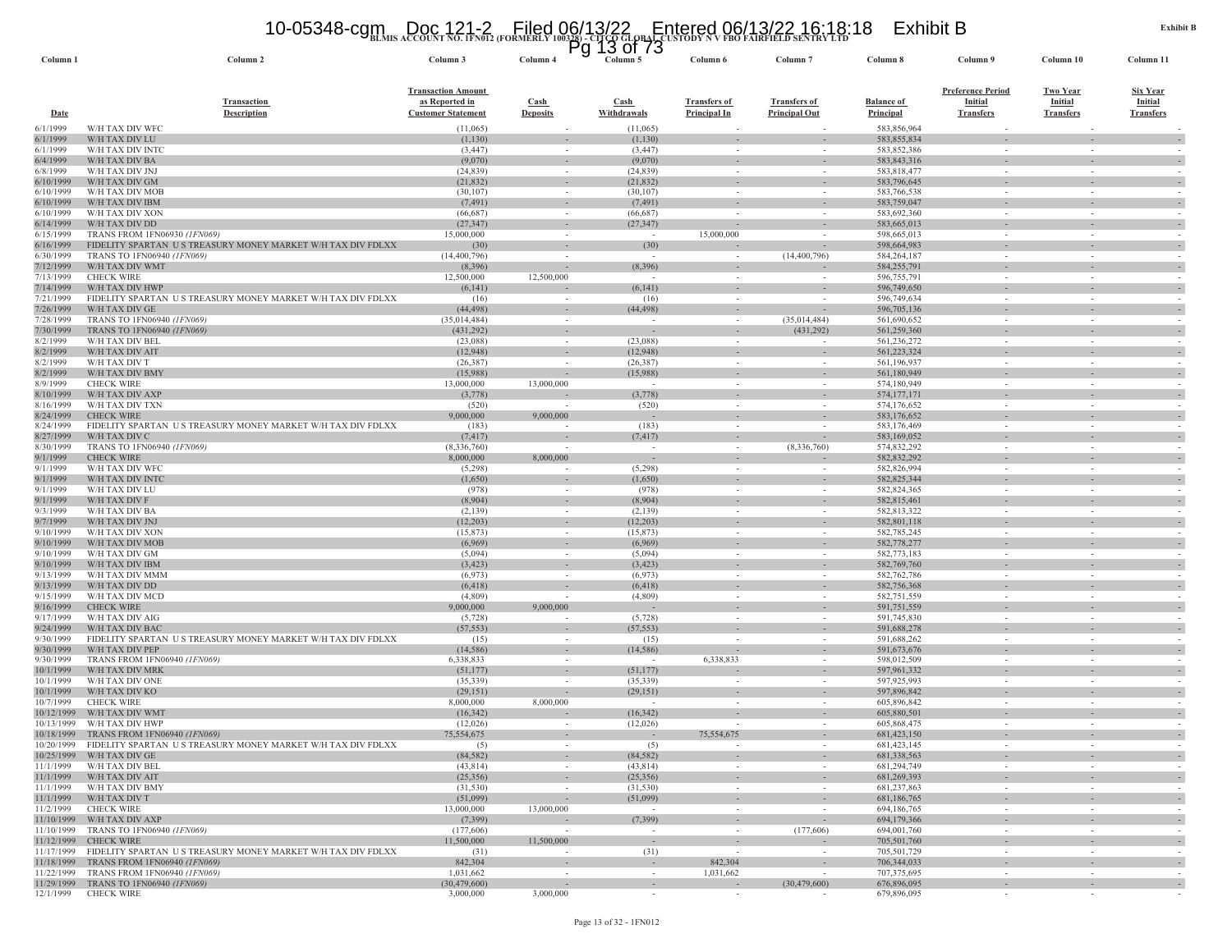# **BLMIS ACCOUNT NO. 1FN012 (FORMERLY 100328) - CITCO GLOBAL CUSTODY N V FBO FAIRFIELD SENTRY LTD** 10-05348-cgm Doc 121-2 Filed 06/13/22 Entered 06/13/22 16:18:18 Exhibit B Pg 13 of 73

| Column 1                 | Column <sub>2</sub>                                                                                                | Column 3                                                                 | гy<br>Column 4                 | טו וט<br>τo<br>Column 5                          | Column 6                                   | Column <sub>7</sub>                         | Column 8                              | Column 9                                                       | Column 10                                      | Column 11                                             |
|--------------------------|--------------------------------------------------------------------------------------------------------------------|--------------------------------------------------------------------------|--------------------------------|--------------------------------------------------|--------------------------------------------|---------------------------------------------|---------------------------------------|----------------------------------------------------------------|------------------------------------------------|-------------------------------------------------------|
| <b>Date</b>              | <b>Transaction</b><br><b>Description</b>                                                                           | <b>Transaction Amount</b><br>as Reported in<br><b>Customer Statement</b> | <b>Cash</b><br><b>Deposits</b> | $\frac{\text{Cash}}{\text{Cash}}$<br>Withdrawals | <b>Transfers of</b><br><b>Principal In</b> | <b>Transfers of</b><br><b>Principal Out</b> | <b>Balance of</b><br><b>Principal</b> | <b>Preference Period</b><br><b>Initial</b><br><b>Transfers</b> | <b>Two Year</b><br>Initial<br><b>Transfers</b> | <b>Six Year</b><br><b>Initial</b><br><b>Transfers</b> |
| 6/1/1999                 | W/H TAX DIV WFC                                                                                                    | (11,065)                                                                 |                                | (11,065)                                         |                                            |                                             | 583,856,964                           |                                                                |                                                |                                                       |
| 6/1/1999<br>6/1/1999     | W/H TAX DIV LU<br>W/H TAX DIV INTC                                                                                 | (1,130)<br>(3, 447)                                                      | $\sim$                         | (1,130)<br>(3, 447)                              | $\sim$                                     | $\sim$                                      | 583,855,834<br>583,852,386            | $\sim$                                                         | $\sim$                                         | $\sim$                                                |
| 6/4/1999                 | W/H TAX DIV BA                                                                                                     | (9,070)                                                                  | $\sim$                         | (9,070)                                          |                                            | $\overline{\phantom{a}}$                    | 583,843,316                           |                                                                |                                                |                                                       |
| 6/8/1999                 | W/H TAX DIV JNJ                                                                                                    | (24, 839)                                                                | $\sim$                         | (24, 839)                                        | $\sim$                                     | $\sim$                                      | 583,818,477                           | $\sim$                                                         | $\sim$                                         |                                                       |
| 6/10/1999<br>6/10/1999   | W/H TAX DIV GM<br>W/H TAX DIV MOB                                                                                  | (21, 832)<br>(30, 107)                                                   | $\sim$                         | (21, 832)<br>(30,107)                            | $\sim$                                     | $\sim$                                      | 583,796,645<br>583,766,538            | $\sim$                                                         | $\sim$                                         |                                                       |
| 6/10/1999                | W/H TAX DIV IBM                                                                                                    | (7, 491)                                                                 | $\sim$                         | (7, 491)                                         | $\sim$                                     | $\sim$                                      | 583,759,047                           | $\sim$                                                         | $\sim$                                         |                                                       |
| 6/10/1999                | W/H TAX DIV XON                                                                                                    | (66, 687)                                                                |                                | (66, 687)                                        |                                            |                                             | 583,692,360                           |                                                                |                                                |                                                       |
| 6/14/1999<br>6/15/1999   | W/H TAX DIV DD<br>TRANS FROM 1FN06930 (1FN069)                                                                     | (27, 347)<br>15,000,000                                                  | $\sim$<br>$\sim$               | (27, 347)                                        | $\overline{\phantom{a}}$<br>15,000,000     | $\overline{\phantom{a}}$<br>$\sim$          | 583,665,013<br>598,665,013            | $\sim$                                                         | ٠<br>$\sim$                                    | $\sim$<br>$\overline{\phantom{a}}$                    |
| 6/16/1999                | FIDELITY SPARTAN US TREASURY MONEY MARKET W/H TAX DIV FDLXX                                                        | (30)                                                                     | $\sim$                         | (30)                                             |                                            | $\sim$                                      | 598,664,983                           |                                                                | $\sim$                                         |                                                       |
| 6/30/1999                | TRANS TO 1FN06940 (1FN069)                                                                                         | (14, 400, 796)                                                           |                                | $\sim$                                           |                                            | (14, 400, 796)                              | 584, 264, 187                         | $\sim$                                                         | $\overline{\phantom{a}}$                       |                                                       |
| 7/12/1999<br>7/13/1999   | W/H TAX DIV WMT<br><b>CHECK WIRE</b>                                                                               | (8,396)<br>12,500,000                                                    | 12,500,000                     | (8,396)                                          |                                            |                                             | 584,255,791<br>596,755,791            | $\sim$                                                         | $\overline{\phantom{a}}$<br>$\sim$             |                                                       |
| 7/14/1999                | W/H TAX DIV HWP                                                                                                    | (6,141)                                                                  |                                | (6, 141)                                         |                                            | $\overline{\phantom{a}}$                    | 596,749,650                           |                                                                | $\overline{\phantom{a}}$                       |                                                       |
| 7/21/1999                | FIDELITY SPARTAN US TREASURY MONEY MARKET W/H TAX DIV FDLXX                                                        | (16)                                                                     | $\sim$                         | (16)                                             | $\sim$                                     | $\overline{\phantom{a}}$                    | 596,749,634                           | $\sim$                                                         | $\sim$                                         |                                                       |
| 7/26/1999<br>7/28/1999   | W/H TAX DIV GE<br>TRANS TO 1FN06940 (1FN069)                                                                       | (44, 498)<br>(35,014,484)                                                | $\sim$<br>$\sim$               | (44, 498)<br>$\sim$                              | $\sim$<br>$\sim$                           | (35,014,484)                                | 596,705,136<br>561,690,652            | $\sim$                                                         | $\sim$                                         |                                                       |
| 7/30/1999                | TRANS TO 1FN06940 (1FN069)                                                                                         | (431, 292)                                                               |                                |                                                  |                                            | (431, 292)                                  | 561,259,360                           |                                                                |                                                |                                                       |
| 8/2/1999                 | W/H TAX DIV BEL                                                                                                    | (23,088)                                                                 | $\sim$                         | (23,088)                                         | $\sim$                                     | $\overline{\phantom{a}}$                    | 561,236,272                           | $\sim$                                                         | $\sim$                                         |                                                       |
| 8/2/1999                 | W/H TAX DIV AIT                                                                                                    | (12, 948)                                                                | $\sim$                         | (12,948)                                         | $\sim$                                     | $\sim$                                      | 561,223,324                           | $\sim$                                                         | $\sim$                                         |                                                       |
| 8/2/1999<br>8/2/1999     | W/H TAX DIV T<br>W/H TAX DIV BMY                                                                                   | (26, 387)<br>(15,988)                                                    | $\overline{\phantom{a}}$       | (26, 387)<br>(15,988)                            | $\sim$                                     | ٠                                           | 561,196,937<br>561,180,949            | $\sim$                                                         | $\sim$                                         |                                                       |
| 8/9/1999                 | <b>CHECK WIRE</b>                                                                                                  | 13,000,000                                                               | 13,000,000                     | $\sim$                                           | $\sim$                                     | $\sim$                                      | 574,180,949                           | $\sim$                                                         | $\sim$                                         | $\overline{\phantom{a}}$                              |
| 8/10/1999                | W/H TAX DIV AXP                                                                                                    | (3,778)                                                                  |                                | (3,778)                                          | $\sim$                                     | $\sim$                                      | 574, 177, 171                         | $\sim$                                                         | $\sim$                                         |                                                       |
| 8/16/1999<br>8/24/1999   | W/H TAX DIV TXN<br><b>CHECK WIRE</b>                                                                               | (520)<br>9,000,000                                                       | 9,000,000                      | (520)<br>$\sim$                                  | $\sim$                                     |                                             | 574,176,652<br>583,176,652            | $\sim$                                                         | $\overline{\phantom{a}}$                       |                                                       |
| 8/24/1999                | FIDELITY SPARTAN US TREASURY MONEY MARKET W/H TAX DIV FDLXX                                                        | (183)                                                                    |                                | (183)                                            |                                            |                                             | 583,176,469                           |                                                                | $\sim$                                         |                                                       |
| 8/27/1999                | W/H TAX DIV C                                                                                                      | (7, 417)                                                                 |                                | (7, 417)                                         | $\sim$                                     | $\overline{\phantom{a}}$                    | 583,169,052                           | $\sim$                                                         | ÷.                                             |                                                       |
| 8/30/1999<br>9/1/1999    | TRANS TO 1FN06940 (1FN069)<br><b>CHECK WIRE</b>                                                                    | (8,336,760)                                                              | 8,000,000                      | $\sim$                                           | $\sim$                                     | (8,336,760)                                 | 574,832,292<br>582,832,292            | $\sim$                                                         | $\sim$                                         |                                                       |
| 9/1/1999                 | W/H TAX DIV WFC                                                                                                    | 8,000,000<br>(5,298)                                                     | $\sim$                         | (5,298)                                          | $\overline{\phantom{a}}$<br>$\sim$         | $\sim$                                      | 582,826,994                           | $\sim$                                                         | $\sim$                                         |                                                       |
| 9/1/1999                 | W/H TAX DIV INTO                                                                                                   | (1,650)                                                                  |                                | (1,650)                                          |                                            |                                             | 582,825,344                           |                                                                |                                                |                                                       |
| 9/1/1999                 | W/H TAX DIV LU                                                                                                     | (978)                                                                    | $\sim$                         | (978)                                            | $\sim$                                     | $\sim$                                      | 582,824,365                           | $\sim$                                                         | $\sim$                                         |                                                       |
| 9/1/1999<br>9/3/1999     | W/H TAX DIV F<br>W/H TAX DIV BA                                                                                    | (8,904)<br>(2,139)                                                       | $\sim$<br>$\sim$               | (8,904)<br>(2,139)                               | $\sim$                                     |                                             | 582,815,461<br>582,813,322            | $\sim$                                                         | $\sim$                                         |                                                       |
| 9/7/1999                 | W/H TAX DIV JNJ                                                                                                    | (12, 203)                                                                |                                | (12, 203)                                        |                                            |                                             | 582,801,118                           |                                                                |                                                |                                                       |
| 9/10/1999                | W/H TAX DIV XON                                                                                                    | (15, 873)                                                                | $\sim$                         | (15, 873)                                        | $\sim$                                     | $\sim$                                      | 582,785,245                           | $\sim$                                                         | $\sim$                                         | $\sim$                                                |
| 9/10/1999<br>9/10/1999   | W/H TAX DIV MOB<br>W/H TAX DIV GM                                                                                  | (6,969)<br>(5,094)                                                       | $\sim$<br>$\sim$               | (6,969)<br>(5,094)                               | $\sim$<br>$\sim$                           | $\sim$<br>$\overline{\phantom{a}}$          | 582,778,277<br>582,773,183            | $\sim$                                                         | $\sim$<br>$\sim$                               |                                                       |
| 9/10/1999                | W/H TAX DIV IBM                                                                                                    | (3, 423)                                                                 | $\overline{\phantom{a}}$       | (3, 423)                                         |                                            |                                             | 582,769,760                           |                                                                |                                                |                                                       |
| 9/13/1999                | W/H TAX DIV MMM                                                                                                    | (6,973)                                                                  | $\sim$                         | (6,973)                                          | $\sim$                                     | $\sim$                                      | 582,762,786                           | $\sim$                                                         | $\sim$                                         |                                                       |
| 9/13/1999<br>9/15/1999   | W/H TAX DIV DD<br>W/H TAX DIV MCD                                                                                  | (6, 418)<br>(4,809)                                                      | $\sim$                         | (6, 418)<br>(4,809)                              | $\sim$                                     | $\sim$                                      | 582,756,368<br>582,751,559            | $\sim$                                                         | $\sim$                                         | $\sim$                                                |
| 9/16/1999                | <b>CHECK WIRE</b>                                                                                                  | 000,000                                                                  | 9,000,000                      |                                                  |                                            | $\sim$                                      | 591,751,559                           |                                                                | ٠                                              |                                                       |
| 9/17/1999                | W/H TAX DIV AIG                                                                                                    | (5,728)                                                                  | $\sim$                         | (5, 728)                                         | $\sim$                                     | $\sim$                                      | 591,745,830                           | $\sim$                                                         | $\sim$                                         |                                                       |
| 9/24/1999<br>9/30/1999   | W/H TAX DIV BAC<br>FIDELITY SPARTAN US TREASURY MONEY MARKET W/H TAX DIV FDLXX                                     | (57, 553)<br>(15)                                                        | $\sim$                         | (57, 553)<br>(15)                                | $\sim$                                     | $\overline{\phantom{a}}$                    | 591,688,278<br>591,688,262            | $\sim$                                                         | $\sim$                                         |                                                       |
| 9/30/1999                | W/H TAX DIV PEP                                                                                                    | (14, 586)                                                                | $\overline{\phantom{a}}$       | (14, 586)                                        |                                            | $\overline{\phantom{a}}$                    | 591,673,676                           |                                                                |                                                |                                                       |
| 9/30/1999                | TRANS FROM 1FN06940 (1FN069)                                                                                       | 6,338,833                                                                |                                |                                                  | 6,338,833                                  |                                             | 598,012,509                           | $\sim$                                                         | $\sim$                                         |                                                       |
| 10/1/1999<br>10/1/1999   | W/H TAX DIV MRK<br>W/H TAX DIV ONE                                                                                 | (51, 177)<br>(35, 339)                                                   | $\sim$                         | (51, 177)<br>(35, 339)                           | $\overline{\phantom{a}}$                   | $\overline{\phantom{a}}$                    | 597, 961, 332<br>597,925,993          | $\sim$                                                         | $\sim$                                         | $\sim$                                                |
| 10/1/1999                | W/H TAX DIV KO                                                                                                     | (29, 151)                                                                |                                | (29, 151)                                        |                                            |                                             | 597,896,842                           |                                                                |                                                |                                                       |
| 10/7/1999                | <b>CHECK WIRE</b>                                                                                                  | 8,000,000                                                                | 8,000,000                      |                                                  |                                            | $\sim$                                      | 605,896,842                           | $\sim$                                                         | $\sim$                                         |                                                       |
| 10/12/1999<br>10/13/1999 | W/H TAX DIV WMT<br>W/H TAX DIV HWP                                                                                 | (16, 342)<br>(12,026)                                                    | $\sim$                         | (16,342)<br>(12,026)                             | $\sim$                                     | $\sim$                                      | 605,880,501<br>605,868,475            | $\sim$                                                         | $\sim$                                         |                                                       |
| 10/18/1999               | TRANS FROM 1FN06940 (1FN069)                                                                                       | 75,554,675                                                               | $\sim$                         |                                                  | 75,554,675                                 |                                             | 681,423,150                           |                                                                |                                                |                                                       |
|                          | 10/20/1999 FIDELITY SPARTAN US TREASURY MONEY MARKET W/H TAX DIV FDLXX                                             | (5)                                                                      |                                | (5)                                              |                                            |                                             | 681, 423, 145                         |                                                                |                                                |                                                       |
|                          | 10/25/1999 W/H TAX DIV GE                                                                                          | (84, 582)                                                                | $\sim$                         | (84, 582)                                        | $\sim$                                     | $\sim$                                      | 681,338,563                           | $\sim$                                                         |                                                | $\overline{\phantom{a}}$                              |
|                          | 11/1/1999 W/H TAX DIV BEL<br>11/1/1999 W/H TAX DIV AIT                                                             | (43, 814)<br>(25,356)                                                    | $\sim$<br>$\sim$               | (43, 814)<br>(25,356)                            | $\sim$<br>$\sim$                           | $\sim$<br>$\mathbb{Z}^2$                    | 681,294,749<br>681,269,393            | $\sim$<br>$\sim$                                               | $\overline{\phantom{a}}$<br>$\sim$             | $\overline{\phantom{a}}$<br>$\sim$                    |
|                          | 11/1/1999 W/H TAX DIV BMY                                                                                          | (31, 530)                                                                | $\sim$                         | (31, 530)                                        | $\sim$                                     | $\overline{\phantom{a}}$                    | 681,237,863                           | $\sim$                                                         | $\sim$                                         |                                                       |
|                          | 11/1/1999 W/H TAX DIV T                                                                                            | (51,099)                                                                 | $\sim$ $-$                     | (51,099)                                         | $\sim$                                     | $\overline{\phantom{a}}$                    | 681,186,765                           |                                                                | $\overline{\phantom{a}}$                       |                                                       |
|                          | 11/2/1999 CHECK WIRE<br>11/10/1999 W/H TAX DIV AXP                                                                 | 13,000,000<br>(7, 399)                                                   | 13,000,000                     | $\sim$<br>(7, 399)                               | $\sim$<br>$\sim$                           | $\overline{\phantom{a}}$                    | 694,186,765<br>694,179,366            | $\sim$<br>$\sim$                                               | $\sim$<br>$\sim$                               | $\sim$                                                |
|                          | 11/10/1999 TRANS TO 1FN06940 (1FN069)                                                                              | (177,606)                                                                | $\sim$                         | $\sim$ $-$                                       | $\sim$                                     | (177,606)                                   | 694,001,760                           | $\sim$                                                         | $\sim$                                         | $\sim$                                                |
|                          | 11/12/1999 CHECK WIRE                                                                                              | 11,500,000                                                               | 11,500,000                     | $\sim$                                           | $\sim$                                     |                                             | 705,501,760                           | $\sim$                                                         |                                                |                                                       |
|                          | 11/17/1999 FIDELITY SPARTAN U S TREASURY MONEY MARKET W/H TAX DIV FDLXX<br>11/18/1999 TRANS FROM 1FN06940 (IFN069) | (31)<br>842,304                                                          | $\sim$                         | (31)                                             | $\sim$<br>842,304                          | $\sim$                                      | 705,501,729<br>706,344,033            | $\sim$                                                         | $\sim$                                         |                                                       |
|                          | 11/22/1999 TRANS FROM 1FN06940 (1FN069)                                                                            | 1,031,662                                                                | $\sim$                         | $\sim$<br>$\sim$                                 | 1,031,662                                  | $\sim$                                      | 707,375,695                           | $\sim$                                                         | $\sim$                                         | $\sim$                                                |
|                          | 11/29/1999 TRANS TO 1FN06940 (1FN069)                                                                              | (30, 479, 600)                                                           |                                | $\sim$                                           | $\sim$                                     | (30, 479, 600)                              | 676,896,095                           |                                                                | $\sim$                                         | $\sim$                                                |
|                          | 12/1/1999 CHECK WIRE                                                                                               | 3,000,000                                                                | 3,000,000                      |                                                  |                                            |                                             | 679,896,095                           |                                                                |                                                |                                                       |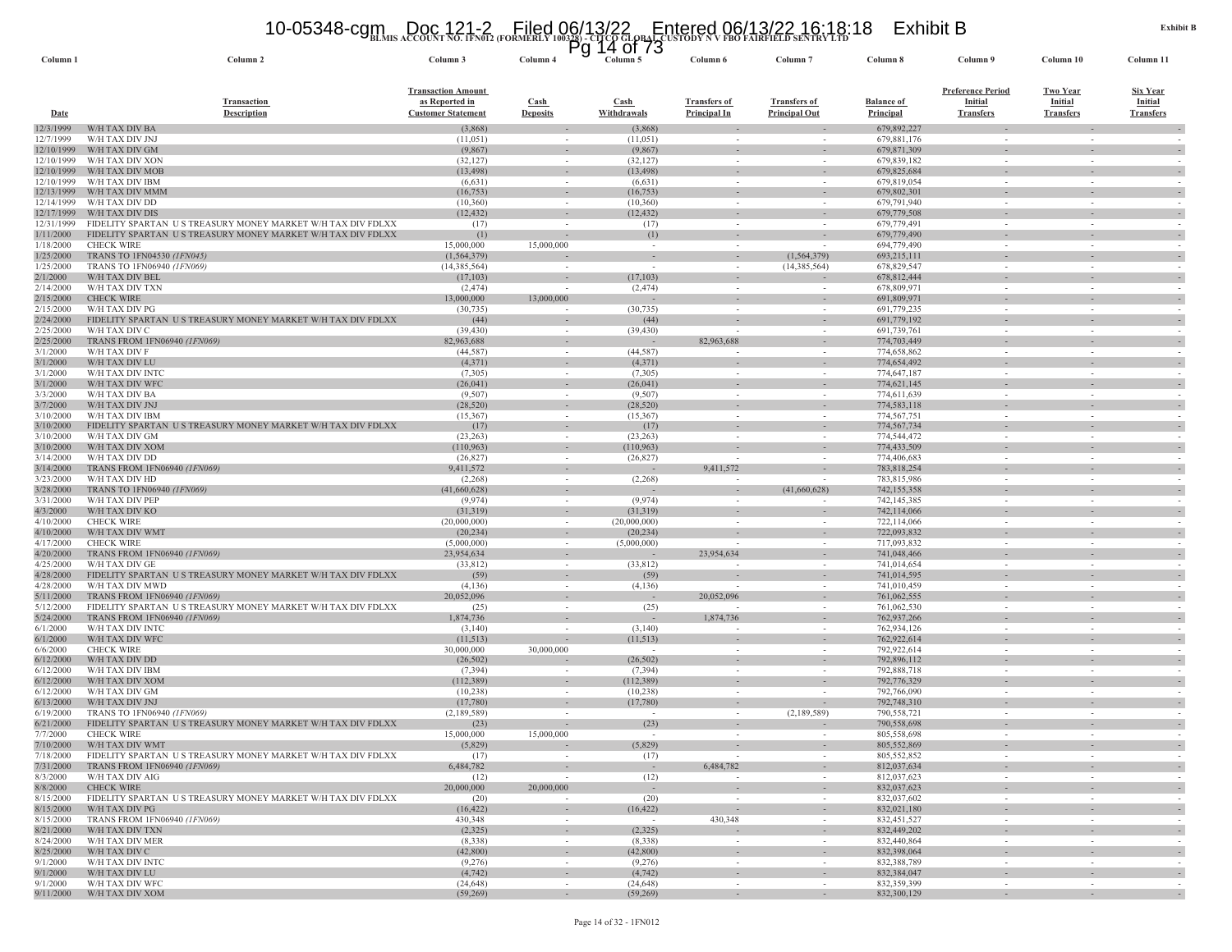# **BLMIS ACCOUNT NO. 1FN012 (FORMERLY 100328) - CITCO GLOBAL CUSTODY N V FBO FAIRFIELD SENTRY LTD** 10-05348-cgm Doc 121-2 Filed 06/13/22 Entered 06/13/22 16:18:18 Exhibit B Pg 14 of 73

| Column <sub>1</sub>      | Column <sub>2</sub>                                                            | Column 3                                                                 | гy<br>Column 4                     | <b>TH 01 19</b><br>Column 5 | Column 6                                             | Column <sub>7</sub>                         | Column 8                       | Column 9                                                       | Column 10                                             | Column 11                                      |
|--------------------------|--------------------------------------------------------------------------------|--------------------------------------------------------------------------|------------------------------------|-----------------------------|------------------------------------------------------|---------------------------------------------|--------------------------------|----------------------------------------------------------------|-------------------------------------------------------|------------------------------------------------|
| <b>Date</b>              | <b>Transaction</b><br><b>Description</b>                                       | <b>Transaction Amount</b><br>as Reported in<br><b>Customer Statement</b> | Cash<br><b>Deposits</b>            | Cash<br>Withdrawals         | <b>Transfers of</b><br><b>Principal In</b>           | <b>Transfers of</b><br><b>Principal Out</b> | <b>Balance of</b><br>Principal | <b>Preference Period</b><br><b>Initial</b><br><b>Transfers</b> | <b>Two Year</b><br><b>Initial</b><br><b>Transfers</b> | Six Year<br><b>Initial</b><br><b>Transfers</b> |
| 12/3/1999                | W/H TAX DIV BA                                                                 | (3,868)                                                                  |                                    | (3,868)                     |                                                      |                                             | 679,892,227                    |                                                                |                                                       |                                                |
| 12/7/1999                | W/H TAX DIV JNJ                                                                | (11,051)                                                                 |                                    | (11,051)                    | $\overline{\phantom{a}}$                             |                                             | 679,881,176                    |                                                                |                                                       |                                                |
| 12/10/1999<br>12/10/1999 | W/H TAX DIV GM<br>W/H TAX DIV XON                                              | (9,867)                                                                  |                                    | (9,867)                     |                                                      |                                             | 679,871,309                    |                                                                |                                                       | $\sim$                                         |
| 12/10/1999               | W/H TAX DIV MOE                                                                | (32, 127)<br>(13, 498)                                                   | $\sim$<br>$\sim$                   | (32, 127)<br>(13, 498)      | $\sim$<br>$\sim$                                     | $\sim$                                      | 679,839,182<br>679,825,684     | $\sim$<br>$\sim$                                               | $\sim$                                                | $\sim$<br>$\sim$                               |
| 12/10/1999               | W/H TAX DIV IBM                                                                | (6,631)                                                                  | $\sim$                             | (6,631)                     | $\sim$                                               |                                             | 679,819,054                    | $\sim$                                                         | $\sim$                                                |                                                |
| 12/13/1999               | W/H TAX DIV MMM                                                                | (16, 753)                                                                | $\overline{\phantom{a}}$           | (16, 753)                   |                                                      |                                             | 679,802,301                    |                                                                |                                                       |                                                |
| 12/14/1999               | W/H TAX DIV DD                                                                 | (10, 360)                                                                | $\sim$                             | (10,360)                    | $\sim$                                               | $\sim$                                      | 679,791,940                    | $\sim$                                                         | $\sim$                                                | $\sim$                                         |
| 12/17/1999<br>12/31/1999 | W/H TAX DIV DIS<br>FIDELITY SPARTAN US TREASURY MONEY MARKET W/H TAX DIV FDLXX | (12, 432)<br>(17)                                                        | $\sim$                             | (12, 432)<br>(17)           | $\sim$                                               | $\sim$                                      | 679,779,508<br>679,779,491     | $\sim$                                                         | $\sim$                                                | $\sim$                                         |
| 1/11/2000                | FIDELITY SPARTAN US TREASURY MONEY MARKET W/H TAX DIV FDLXX                    | (1)                                                                      |                                    | (1)                         | $\overline{\phantom{a}}$                             |                                             | 679,779,490                    | $\sim$                                                         |                                                       | $\sim$                                         |
| 1/18/2000                | <b>CHECK WIRE</b>                                                              | 15,000,000                                                               | 15,000,000                         | $\sim$                      | $\sim$                                               |                                             | 694,779,490                    | $\sim$                                                         |                                                       |                                                |
| 1/25/2000                | TRANS TO 1FN04530 (1FN045)                                                     | (1, 564, 379)                                                            |                                    | $\sim$                      | $\sim$                                               | (1, 564, 379)                               | 693,215,111                    | $\overline{\phantom{a}}$                                       |                                                       |                                                |
| 1/25/2000                | TRANS TO 1FN06940 (1FN069)                                                     | (14,385,564)                                                             |                                    | $\sim$                      | $\sim$                                               | (14,385,564)                                | 678,829,547                    | $\sim$                                                         | $\sim$                                                |                                                |
| 2/1/2000<br>2/14/2000    | W/H TAX DIV BEL<br>W/H TAX DIV TXN                                             | (17, 103)<br>(2, 474)                                                    |                                    | (17, 103)<br>(2, 474)       | $\overline{\phantom{a}}$<br>$\overline{\phantom{a}}$ |                                             | 678,812,444<br>678,809,971     | $\overline{\phantom{a}}$<br>$\sim$                             |                                                       |                                                |
| 2/15/2000                | <b>CHECK WIRE</b>                                                              | 13,000,000                                                               | 13,000,000                         |                             |                                                      |                                             | 691,809,971                    | $\sim$                                                         |                                                       | $\sim$                                         |
| 2/15/2000                | W/H TAX DIV PG                                                                 | (30, 735)                                                                | $\sim$                             | (30, 735)                   | $\overline{\phantom{a}}$                             | $\sim$                                      | 691,779,235                    | $\sim$                                                         | $\sim$                                                | $\sim$                                         |
| 2/24/2000                | FIDELITY SPARTAN US TREASURY MONEY MARKET W/H TAX DIV FDLXX                    | (44)                                                                     |                                    | (44)                        |                                                      |                                             | 691,779,192                    | $\overline{\phantom{a}}$                                       |                                                       |                                                |
| 2/25/2000                | W/H TAX DIV C                                                                  | (39, 430)                                                                | $\sim$                             | (39, 430)                   | 82,963,688                                           |                                             | 691,739,761                    | $\sim$                                                         | $\sim$                                                | $\sim$                                         |
| 2/25/2000<br>3/1/2000    | TRANS FROM 1FN06940 (1FN069)<br>W/H TAX DIV F                                  | 82,963,688<br>(44, 587)                                                  | $\sim$                             | (44, 587)                   | $\overline{\phantom{a}}$                             | $\sim$                                      | 774,703,449<br>774,658,862     | $\sim$                                                         | $\sim$                                                | $\sim$                                         |
| 3/1/2000                 | W/H TAX DIV LU                                                                 | (4,371)                                                                  | $\sim$                             | (4,371)                     |                                                      | $\overline{\phantom{a}}$                    | 774,654,492                    | $\sim$                                                         |                                                       | $\sim$                                         |
| 3/1/2000                 | W/H TAX DIV INTO                                                               | (7,305)                                                                  |                                    | (7,305)                     |                                                      |                                             | 774,647,187                    |                                                                |                                                       |                                                |
| 3/1/2000                 | W/H TAX DIV WFC                                                                | (26, 041)                                                                | $\sim$                             | (26, 041)                   |                                                      |                                             | 774,621,145                    |                                                                |                                                       |                                                |
| 3/3/2000                 | W/H TAX DIV BA<br>W/H TAX DIV JNJ                                              | (9,507)                                                                  | $\sim$<br>$\sim$                   | (9,507)                     | $\overline{\phantom{a}}$                             | $\sim$<br>$\sim$                            | 774,611,639                    | $\overline{\phantom{a}}$<br>$\overline{\phantom{a}}$           |                                                       |                                                |
| 3/7/2000<br>3/10/2000    | W/H TAX DIV IBM                                                                | (28, 520)<br>(15,367)                                                    | $\overline{\phantom{a}}$           | (28, 520)<br>(15,367)       |                                                      |                                             | 774,583,118<br>774,567,751     | $\overline{\phantom{a}}$                                       |                                                       |                                                |
| 3/10/2000                | FIDELITY SPARTAN US TREASURY MONEY MARKET W/H TAX DIV FDLXX                    | (17)                                                                     | $\overline{\phantom{a}}$           | (17)                        |                                                      |                                             | 774,567,734                    |                                                                |                                                       |                                                |
| 3/10/2000                | W/H TAX DIV GM                                                                 | (23, 263)                                                                | $\sim$                             | (23, 263)                   |                                                      |                                             | 774,544,472                    | $\sim$                                                         |                                                       |                                                |
| 3/10/2000                | W/H TAX DIV XOM                                                                | (110, 963)                                                               | $\overline{\phantom{a}}$           | (110, 963)                  |                                                      |                                             | 774,433,509                    | $\sim$                                                         |                                                       | $\sim$                                         |
| 3/14/2000<br>3/14/2000   | W/H TAX DIV DD<br>TRANS FROM 1FN06940 (1FN069)                                 | (26, 827)<br>9,411,572                                                   | $\sim$<br>$\overline{\phantom{a}}$ | (26,827)                    | 9,411,572                                            |                                             | 774,406,683<br>783,818,254     | $\sim$<br>$\overline{\phantom{a}}$                             | $\sim$                                                | $\sim$                                         |
| 3/23/2000                | W/H TAX DIV HD                                                                 | (2, 268)                                                                 | $\sim$                             | (2,268)                     |                                                      |                                             | 783,815,986                    | $\sim$                                                         |                                                       | $\sim$                                         |
| 3/28/2000                | TRANS TO 1FN06940 (1FN069)                                                     | (41,660,628)                                                             |                                    |                             |                                                      | (41,660,628)                                | 742,155,358                    |                                                                |                                                       |                                                |
| 3/31/2000                | W/H TAX DIV PEP                                                                | (9,974)                                                                  | $\sim$                             | (9,974)                     | $\overline{\phantom{a}}$                             |                                             | 742,145,385                    | $\sim$                                                         | $\sim$                                                | $\sim$                                         |
| 4/3/2000                 | W/H TAX DIV KO                                                                 | (31,319)                                                                 | $\sim$                             | (31,319)                    |                                                      |                                             | 742,114,066                    | $\overline{\phantom{a}}$                                       |                                                       | $\sim$                                         |
| 4/10/2000<br>4/10/2000   | <b>CHECK WIRE</b><br>W/H TAX DIV WMT                                           | (20,000,000)<br>(20, 234)                                                | $\sim$<br>$\sim$                   | (20,000,000)<br>(20, 234)   |                                                      |                                             | 722,114,066<br>722,093,832     | $\sim$                                                         |                                                       | $\sim$                                         |
| 4/17/2000                | <b>CHECK WIRE</b>                                                              | (5,000,000)                                                              | $\sim$                             | (5,000,000)                 | $\overline{\phantom{a}}$                             | $\sim$                                      | 717,093,832                    | $\sim$                                                         | $\sim$                                                | $\sim$                                         |
| 4/20/2000                | TRANS FROM 1FN06940 (1FN069)                                                   | 23,954,634                                                               | $\sim$                             |                             | 23,954,634                                           |                                             | 741,048,466                    |                                                                |                                                       |                                                |
| 4/25/2000                | W/H TAX DIV GE                                                                 | (33, 812)                                                                | $\sim$                             | (33,812)                    |                                                      |                                             | 741,014,654                    | $\sim$                                                         |                                                       |                                                |
| 4/28/2000                | FIDELITY SPARTAN US TREASURY MONEY MARKET W/H TAX DIV FDLXX                    | (59)                                                                     | $\sim$                             | (59)                        |                                                      |                                             | 741,014,595                    |                                                                |                                                       |                                                |
| 4/28/2000<br>5/11/2000   | W/H TAX DIV MWD<br>TRANS FROM 1FN06940 (1FN069)                                | (4,136)<br>20,052,096                                                    | $\sim$<br>$\sim$                   | (4,136)<br>$\sim$           | 20,052,096                                           | $\sim$                                      | 741,010,459<br>761,062,555     | $\overline{\phantom{a}}$<br>$\sim$                             |                                                       | $\sim$                                         |
| 5/12/2000                | FIDELITY SPARTAN US TREASURY MONEY MARKET W/H TAX DIV FDLXX                    | (25)                                                                     |                                    | (25)                        |                                                      |                                             | 761,062,530                    |                                                                |                                                       |                                                |
| 5/24/2000                | <b>TRANS FROM 1FN06940 (1FN069)</b>                                            | 1,874,736                                                                | $\overline{\phantom{a}}$           |                             | 1,874,736                                            |                                             | 762,937,266                    | $\overline{\phantom{a}}$                                       |                                                       | $\sim$                                         |
| 6/1/2000                 | W/H TAX DIV INTC                                                               | (3,140)                                                                  | $\sim$                             | (3,140)                     | $\overline{\phantom{a}}$                             |                                             | 762,934,126                    | $\sim$                                                         | $\sim$                                                |                                                |
| 6/1/2000<br>6/6/2000     | W/H TAX DIV WFC<br><b>CHECK WIRE</b>                                           | (11, 513)<br>30,000,000                                                  | 30,000,000                         | (11,513)<br>$\sim$          | $\sim$                                               | $\sim$                                      | 762,922,614<br>792.922.614     | $\overline{\phantom{a}}$<br>$\sim$                             | $\sim$                                                | $\sim$                                         |
| 6/12/2000                | W/H TAX DIV DD                                                                 | (26,502)                                                                 |                                    | (26, 502)                   |                                                      |                                             | 792,896,112                    |                                                                |                                                       | $\sim$                                         |
| 6/12/2000                | W/H TAX DIV IBM                                                                | (7, 394)                                                                 |                                    | (7, 394)                    | $\overline{\phantom{a}}$                             |                                             | 792,888,718                    | $\sim$                                                         |                                                       |                                                |
| 6/12/2000                | W/H TAX DIV XOM                                                                | (112, 389)                                                               |                                    | (112, 389)                  |                                                      |                                             | 792,776,329                    |                                                                |                                                       |                                                |
| 6/12/2000                | W/H TAX DIV GM                                                                 | (10, 238)                                                                | $\sim$                             | (10, 238)                   | $\sim$                                               | $\sim$                                      | 792,766,090                    | $\sim$                                                         | $\sim$                                                | $\sim$                                         |
| 6/13/2000<br>6/19/2000   | W/H TAX DIV JNJ<br>TRANS TO 1FN06940 (1FN069)                                  | (17,780)<br>(2,189,589)                                                  |                                    | (17,780)<br>- 20            | $\sim$<br>$\sim$                                     | (2,189,589)                                 | 792,748,310<br>790,558,721     | $\sim$                                                         |                                                       |                                                |
| 6/21/2000                | FIDELITY SPARTAN US TREASURY MONEY MARKET W/H TAX DIV FDLXX                    | (23)                                                                     |                                    | (23)                        |                                                      |                                             | 790,558,698                    |                                                                |                                                       |                                                |
| 7/7/2000                 | <b>CHECK WIRE</b>                                                              | 15,000,000                                                               | 15,000,000                         | $\sim$                      | $\sim$                                               |                                             | 805,558,698                    | $\sim$                                                         |                                                       |                                                |
| 7/10/2000                | W/H TAX DIV WMT                                                                | (5,829)                                                                  |                                    | (5,829)                     |                                                      |                                             | 805,552,869                    |                                                                |                                                       |                                                |
| 7/18/2000                | FIDELITY SPARTAN US TREASURY MONEY MARKET W/H TAX DIV FDLXX                    | (17)<br>6,484,782                                                        | $\sim$                             | (17)                        | $\overline{\phantom{a}}$<br>6,484,782                | $\sim$                                      | 805,552,852<br>812,037,634     | $\sim$                                                         | $\sim$                                                | $\sim$                                         |
| 7/31/2000<br>8/3/2000    | TRANS FROM 1FN06940 (1FN069)<br>W/H TAX DIV AIG                                | (12)                                                                     | $\sim$<br>$\overline{\phantom{a}}$ | $\sim$<br>(12)              | $\overline{\phantom{a}}$                             | $\sim$<br>$\sim$                            | 812,037,623                    | $\sim$<br>$\overline{\phantom{a}}$                             | $\sim$<br>$\sim$                                      | $\sim$<br>$\sim$                               |
| 8/8/2000                 | <b>CHECK WIRE</b>                                                              | 20,000,000                                                               | 20,000,000                         | $\sim$                      | $\sim$                                               | $\sim$                                      | 832,037,623                    | $\sim$                                                         |                                                       | $\sim$                                         |
| 8/15/2000                | FIDELITY SPARTAN US TREASURY MONEY MARKET W/H TAX DIV FDLXX                    | (20)                                                                     | $\sim$                             | (20)                        | $\sim$                                               | $\sim$                                      | 832,037,602                    | $\sim$                                                         | $\sim$                                                | $\sim$                                         |
| 8/15/2000                | W/H TAX DIV PG                                                                 | (16, 422)                                                                | $\sim$                             | (16, 422)                   | $\sim$                                               | $\sim$                                      | 832,021,180                    | $\overline{\phantom{a}}$                                       |                                                       | $\sim$                                         |
| 8/15/2000<br>8/21/2000   | TRANS FROM 1FN06940 (1FN069)<br>W/H TAX DIV TXN                                | 430,348<br>(2,325)                                                       | $\sim$<br>$\sim$                   | (2, 325)                    | 430,348                                              | $\sim$<br>$\sim$                            | 832,451,527<br>832,449,202     | $\sim$<br>$\sim$                                               | $\sim$<br>$\sim$                                      | $\sim$<br>$\sim$                               |
| 8/24/2000                | W/H TAX DIV MER                                                                | (8,338)                                                                  | $\sim$                             | (8,338)                     | $\sim$                                               | $\sim$                                      | 832,440,864                    | $\sim$                                                         | $\sim$                                                | $\sim$                                         |
| 8/25/2000                | W/H TAX DIV C                                                                  | (42, 800)                                                                | $\sim$                             | (42, 800)                   | $\sim$                                               | $\overline{\phantom{a}}$                    | 832,398,064                    | $\sim$                                                         | $\sim$                                                | $\sim$                                         |
| 9/1/2000                 | W/H TAX DIV INTC                                                               | (9,276)                                                                  | $\sim$                             | (9,276)                     | $\sim$                                               | $\sim$                                      | 832,388,789                    | $\sim$                                                         | $\sim$                                                | $\sim$                                         |
| 9/1/2000                 | W/H TAX DIV LU                                                                 | (4,742)                                                                  |                                    | (4, 742)                    |                                                      |                                             | 832,384,047                    |                                                                |                                                       | $\sim$                                         |
| 9/1/2000<br>9/11/2000    | W/H TAX DIV WFC<br>W/H TAX DIV XOM                                             | (24, 648)<br>(59,269)                                                    | $\sim$<br>$\sim$                   | (24, 648)<br>(59,269)       | $\sim$<br>$\sim$                                     | $\sim$<br>$\sim$                            | 832,359,399<br>832,300,129     | $\sim$<br>$\sim$                                               | $\sim$<br>$\sim$                                      | $\sim$<br>$\sim$                               |
|                          |                                                                                |                                                                          |                                    |                             |                                                      |                                             |                                |                                                                |                                                       |                                                |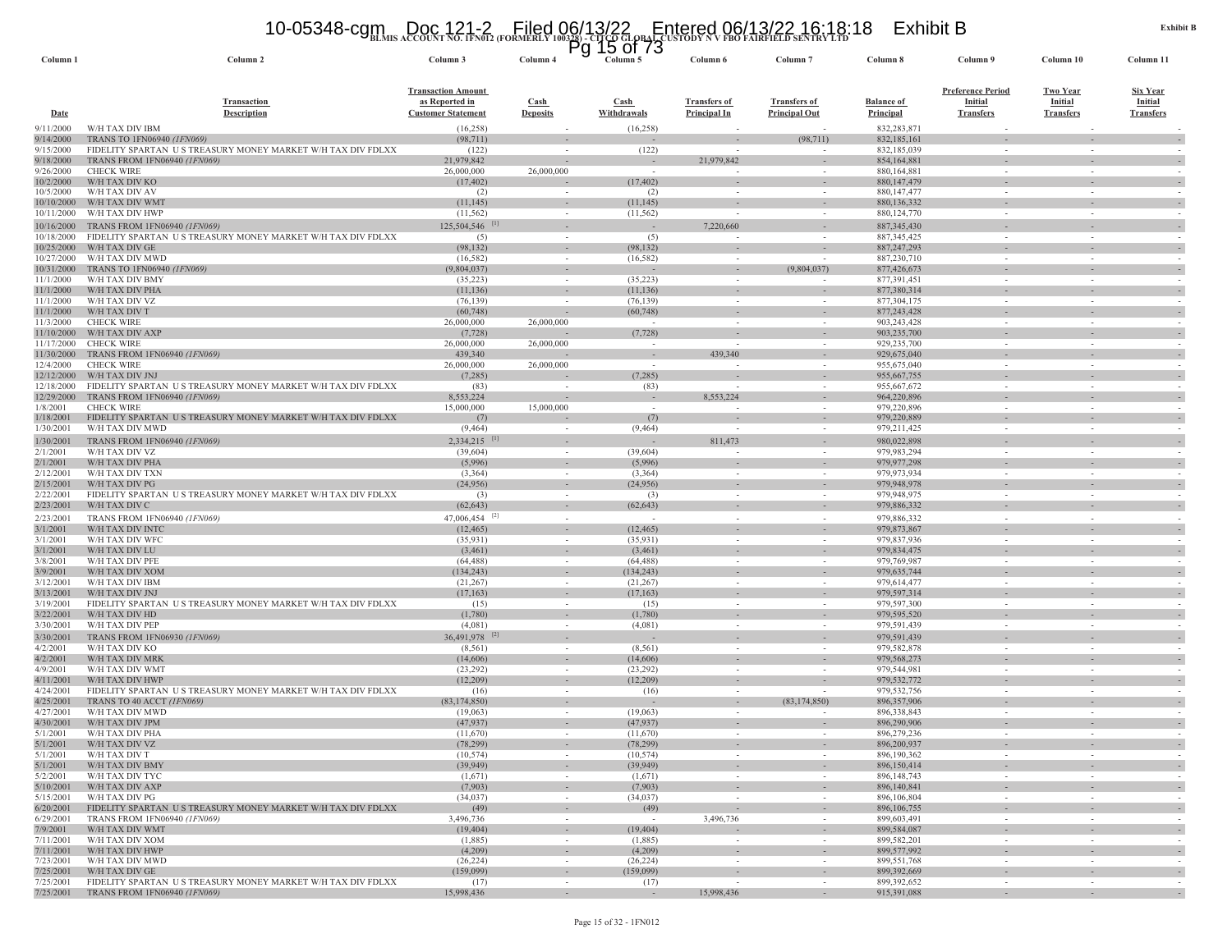#### 10-05348-cgm Doc 121-2 Filed 06/13/22 Entered 06/13/22 16:18:18 Exhibit B<br>https://www.account.no.ifn012.(formerly 100328)-cltqdoi.drivistody.nvFbo fairfield.sentry.ltd

| Column <sub>1</sub>      | Column <sub>2</sub>                                                            | <b>DERING RECOURT RO. IFRUIT (FORMERE</b><br>Column 3                    | Column 4                       | Pg 15 of 73<br>Column 5 | Column 6                                   | Column <sub>7</sub>                         | Column 8                              | Column 9                                                       | Column 10                                             | Column 11                                             |
|--------------------------|--------------------------------------------------------------------------------|--------------------------------------------------------------------------|--------------------------------|-------------------------|--------------------------------------------|---------------------------------------------|---------------------------------------|----------------------------------------------------------------|-------------------------------------------------------|-------------------------------------------------------|
| Date                     | <b>Transaction</b><br><b>Description</b>                                       | <b>Transaction Amount</b><br>as Reported in<br><b>Customer Statement</b> | <b>Cash</b><br><b>Deposits</b> | Cash<br>Withdrawals     | <b>Transfers of</b><br><b>Principal In</b> | <b>Transfers of</b><br><b>Principal Out</b> | <b>Balance of</b><br><b>Principal</b> | <b>Preference Period</b><br><b>Initial</b><br><b>Transfers</b> | <b>Two Year</b><br><b>Initial</b><br><b>Transfers</b> | <b>Six Year</b><br><b>Initial</b><br><b>Transfers</b> |
| 9/11/2000<br>9/14/2000   | W/H TAX DIV IBM<br>TRANS TO 1FN06940 (1FN069)                                  | (16, 258)                                                                |                                | (16,258)                |                                            | (98, 711)                                   | 832,283,871<br>832,185,161            |                                                                |                                                       |                                                       |
| 9/15/2000                | FIDELITY SPARTAN US TREASURY MONEY MARKET W/H TAX DIV FDLXX                    | (98, 711)<br>(122)                                                       |                                | (122)                   |                                            |                                             | 832,185,039                           |                                                                |                                                       |                                                       |
| 9/18/2000                | TRANS FROM 1FN06940 (1FN069)                                                   | 21,979,842                                                               |                                |                         | 21,979,842                                 |                                             | 854,164,881                           |                                                                |                                                       |                                                       |
| 9/26/2000                | <b>CHECK WIRE</b>                                                              | 26,000,000                                                               | 26,000,000                     |                         | $\overline{\phantom{a}}$                   |                                             | 880,164,881                           | $\sim$                                                         |                                                       |                                                       |
| 10/2/2000<br>10/5/2000   | W/H TAX DIV KO<br>W/H TAX DIV AV                                               | (17, 402)<br>(2)                                                         |                                | (17, 402)<br>(2)        | $\overline{\phantom{a}}$                   |                                             | 880, 147, 479<br>880, 147, 477        | $\sim$                                                         |                                                       |                                                       |
| 10/10/2000               | W/H TAX DIV WMT                                                                | (11, 145)                                                                |                                | (11, 145)               |                                            |                                             | 880,136,332                           |                                                                |                                                       |                                                       |
| 10/11/2000               | W/H TAX DIV HWP                                                                | (11, 562)                                                                | $\sim$                         | (11, 562)               | $\overline{\phantom{a}}$                   | $\sim$                                      | 880, 124, 770                         | $\sim$                                                         | $\sim$                                                | $\sim$                                                |
| 10/16/2000               | TRANS FROM 1FN06940 (1FN069)                                                   | 125,504,546                                                              |                                |                         | 7,220,660                                  |                                             | 887, 345, 430                         |                                                                |                                                       | $\sim$                                                |
| 10/18/2000<br>10/25/2000 | FIDELITY SPARTAN U S TREASURY MONEY MARKET W/H TAX DIV FDLXX<br>W/H TAX DIV GE | (5)                                                                      | $\sim$<br>$\sim$               | (5)                     | $\overline{\phantom{a}}$                   | $\overline{\phantom{a}}$                    | 887, 345, 425                         | $\sim$                                                         |                                                       | $\sim$                                                |
| 10/27/2000               | W/H TAX DIV MWD                                                                | (98, 132)<br>(16, 582)                                                   |                                | (98, 132)<br>(16, 582)  |                                            |                                             | 887,247,293<br>887,230,710            | $\overline{\phantom{a}}$                                       |                                                       |                                                       |
| 10/31/2000               | TRANS TO 1FN06940 (1FN069)                                                     | (9,804,037)                                                              | $\sim$                         |                         |                                            | (9,804,037)                                 | 877,426,673                           |                                                                |                                                       |                                                       |
| 11/1/2000                | W/H TAX DIV BMY                                                                | (35, 223)                                                                |                                | (35,223)                |                                            |                                             | 877,391,451                           | $\sim$                                                         |                                                       |                                                       |
| 11/1/2000                | W/H TAX DIV PHA                                                                | (11, 136)                                                                |                                | (11, 136)               | $\sim$                                     | $\sim$                                      | 877,380,314                           | $\sim$                                                         | $\sim$                                                | $\overline{\phantom{a}}$                              |
| 11/1/2000<br>11/1/2000   | W/H TAX DIV VZ<br>W/H TAX DIV T                                                | (76, 139)<br>(60, 748)                                                   |                                | (76, 139)<br>(60, 748)  |                                            |                                             | 877,304,175<br>877,243,428            | $\overline{\phantom{a}}$                                       |                                                       |                                                       |
| 11/3/2000                | <b>CHECK WIRE</b>                                                              | 26,000,000                                                               | 26,000,000                     |                         |                                            |                                             | 903,243,428                           | $\sim$                                                         |                                                       |                                                       |
| 11/10/2000               | W/H TAX DIV AXP                                                                | (7, 728)                                                                 |                                | (7, 728)                |                                            |                                             | 903,235,700                           |                                                                |                                                       |                                                       |
| 11/17/2000               | <b>CHECK WIRE</b>                                                              | 26,000,000                                                               | 26,000,000                     | $\sim$                  | $\overline{\phantom{a}}$                   | $\overline{\phantom{a}}$                    | 929,235,700                           | $\sim$                                                         | $\sim$                                                |                                                       |
| 11/30/2000               | TRANS FROM 1FN06940 (1FN069)<br><b>CHECK WIRE</b>                              | 439,340                                                                  |                                |                         | 439,340                                    |                                             | 929,675,040                           |                                                                |                                                       |                                                       |
| 12/4/2000<br>12/12/2000  | W/H TAX DIV JNJ                                                                | 26,000,000<br>(7,285)                                                    | 26,000,000                     | (7, 285)                |                                            |                                             | 955,675,040<br>955,667,755            | $\sim$                                                         |                                                       |                                                       |
| 12/18/2000               | FIDELITY SPARTAN US TREASURY MONEY MARKET W/H TAX DIV FDLXX                    | (83)                                                                     |                                | (83)                    | $\sim$                                     | $\overline{\phantom{a}}$                    | 955,667,672                           | $\sim$                                                         |                                                       |                                                       |
| 12/29/2000               | TRANS FROM 1FN06940 (1FN069)                                                   | 8,553,224                                                                |                                |                         | 8,553,224                                  |                                             | 964,220,896                           | $\sim$                                                         |                                                       | $\sim$                                                |
| 1/8/2001                 | <b>CHECK WIRE</b>                                                              | 15,000,000                                                               | 15,000,000                     | $\sim$                  |                                            |                                             | 979,220,896                           | $\sim$                                                         |                                                       |                                                       |
| 1/18/2001<br>1/30/2001   | FIDELITY SPARTAN US TREASURY MONEY MARKET W/H TAX DIV FDLXX<br>W/H TAX DIV MWD | (7)<br>(9, 464)                                                          |                                | (7)<br>(9, 464)         | $\overline{\phantom{a}}$                   | $\overline{\phantom{a}}$                    | 979,220,889<br>979,211,425            | $\sim$                                                         | $\sim$                                                | $\sim$                                                |
| 1/30/2001                | TRANS FROM 1FN06940 (1FN069)                                                   | 2,334,215                                                                |                                |                         | 811,473                                    |                                             | 980,022,898                           |                                                                |                                                       | $\sim$                                                |
| 2/1/2001                 | W/H TAX DIV VZ                                                                 | (39,604)                                                                 | $\overline{\phantom{a}}$       | (39,604)                | $\overline{\phantom{a}}$                   |                                             | 979,983,294                           | $\overline{\phantom{a}}$                                       |                                                       |                                                       |
| 2/1/2001                 | W/H TAX DIV PHA                                                                | (5,996)                                                                  |                                | (5,996)                 |                                            | $\sim$                                      | 979,977,298                           | $\sim$                                                         |                                                       |                                                       |
| 2/12/2001                | W/H TAX DIV TXN                                                                | (3,364)                                                                  | $\sim$                         | (3,364)                 | $\sim$                                     |                                             | 979,973,934                           | $\sim$                                                         |                                                       |                                                       |
| 2/15/200<br>2/22/2001    | W/H TAX DIV PG<br>FIDELITY SPARTAN US TREASURY MONEY MARKET W/H TAX DIV FDLXX  | (24,956)<br>(3)                                                          |                                | (24,956)<br>(3)         |                                            |                                             | 979,948,978<br>979,948,975            |                                                                |                                                       |                                                       |
| 2/23/2001                | W/H TAX DIV C                                                                  | (62, 643)                                                                |                                | (62, 643)               |                                            | $\sim$                                      | 979,886,332                           |                                                                |                                                       | $\sim$                                                |
| 2/23/200                 | TRANS FROM 1FN06940 (1FN069)                                                   | $47,006,454$ <sup>[2]</sup>                                              | $\sim$                         |                         | $\sim$                                     | $\sim$                                      | 979,886,332                           | $\sim$                                                         |                                                       |                                                       |
| 3/1/2001                 | W/H TAX DIV INTC                                                               | (12, 465)                                                                |                                | (12, 465)               |                                            |                                             | 979,873,867                           |                                                                |                                                       |                                                       |
| 3/1/2001                 | W/H TAX DIV WFC                                                                | (35, 931)                                                                | $\sim$                         | (35,931)                | $\sim$                                     |                                             | 979,837,936                           | $\sim$                                                         | $\sim$                                                |                                                       |
| 3/1/2001<br>3/8/2001     | W/H TAX DIV LU<br>W/H TAX DIV PFE                                              | (3,461)                                                                  |                                | (3,461)                 |                                            |                                             | 979,834,475                           |                                                                |                                                       |                                                       |
| 3/9/2001                 | W/H TAX DIV XOM                                                                | (64, 488)<br>(134, 243)                                                  |                                | (64, 488)<br>(134, 243) |                                            |                                             | 979,769,987<br>979,635,744            |                                                                |                                                       | $\overline{\phantom{a}}$                              |
| 3/12/200                 | W/H TAX DIV IBM                                                                | (21, 267)                                                                | $\sim$                         | (21, 267)               | $\sim$                                     | $\sim$                                      | 979,614,477                           | $\sim$                                                         |                                                       | $\sim$                                                |
| 3/13/2001                | W/H TAX DIV JNJ                                                                | (17, 163)                                                                |                                | (17, 163)               |                                            |                                             | 979,597,314                           |                                                                |                                                       | $\sim$                                                |
| 3/19/2001<br>3/22/2001   | FIDELITY SPARTAN US TREASURY MONEY MARKET W/H TAX DIV FDLXX<br>W/H TAX DIV HD  | (15)                                                                     | $\sim$                         | (15)<br>(1,780)         |                                            |                                             | 979,597,300                           | $\overline{\phantom{a}}$                                       |                                                       |                                                       |
| 3/30/2001                | W/H TAX DIV PEP                                                                | (1,780)<br>(4,081)                                                       |                                | (4,081)                 |                                            |                                             | 979,595,520<br>979,591,439            |                                                                |                                                       | $\overline{\phantom{a}}$                              |
| 3/30/200                 | TRANS FROM 1FN06930 (1FN069)                                                   | 36,491,978                                                               |                                |                         |                                            |                                             | 979,591,439                           |                                                                |                                                       |                                                       |
| 4/2/2001                 | W/H TAX DIV KO                                                                 | (8, 561)                                                                 | $\sim$                         | (8, 561)                | $\overline{\phantom{a}}$                   |                                             | 979,582,878                           | $\sim$                                                         |                                                       |                                                       |
| 4/2/2001                 | W/H TAX DIV MRK                                                                | (14,606)                                                                 |                                | (14,606)                |                                            |                                             | 979,568,273                           |                                                                |                                                       |                                                       |
| 4/9/2001<br>4/11/2001    | W/H TAX DIV WMT<br>W/H TAX DIV HWP                                             | (23, 292)<br>(12,209)                                                    | $\sim$                         | (23, 292)<br>(12,209)   | $\sim$                                     |                                             | 979,544,981<br>979,532,772            | $\sim$                                                         |                                                       |                                                       |
| 4/24/2001                | FIDELITY SPARTAN US TREASURY MONEY MARKET W/H TAX DIV FDLXX                    | (16)                                                                     |                                | (16)                    |                                            |                                             | 979,532,756                           |                                                                |                                                       |                                                       |
| 4/25/200                 | TRANS TO 40 ACCT <i>(IFN069)</i>                                               | (83, 174, 850)                                                           |                                |                         |                                            | (83, 174, 850)                              | 896,357,906                           |                                                                |                                                       |                                                       |
| 4/27/2001                | W/H TAX DIV MWD                                                                | (19,063)                                                                 | $\sim$                         | (19,063)                | $\overline{\phantom{a}}$                   |                                             | 896,338,843                           | $\sim$                                                         |                                                       |                                                       |
| 4/30/2001                | W/H TAX DIV JPM                                                                | (47, 937)                                                                |                                | (47, 937)               |                                            |                                             | 896,290,906                           |                                                                |                                                       |                                                       |
| 5/1/2001<br>5/1/2001     | W/H TAX DIV PHA<br>W/H TAX DIV VZ                                              | (11,670)<br>(78, 299)                                                    |                                | (11,670)<br>(78, 299)   | $\sim$                                     | ٠                                           | 896,279,236<br>896,200,937            | ۰.                                                             |                                                       |                                                       |
| 5/1/2001                 | W/H TAX DIV T                                                                  | (10, 574)                                                                | $\sim$                         | (10, 574)               | $\sim$                                     | $\sim$                                      | 896,190,362                           | $\sim$                                                         | $\sim$                                                | $\sim$                                                |
| 5/1/2001                 | W/H TAX DIV BMY                                                                | (39, 949)                                                                | $\sim$                         | (39, 949)               | $\sim$                                     | $\sim$                                      | 896,150,414                           | $\sim$                                                         | $\sim$                                                | $\sim$                                                |
| 5/2/2001                 | W/H TAX DIV TYC                                                                | (1,671)                                                                  |                                | (1,671)                 | $\overline{\phantom{a}}$                   |                                             | 896, 148, 743                         |                                                                |                                                       |                                                       |
| 5/10/2001<br>5/15/2001   | W/H TAX DIV AXP<br>W/H TAX DIV PG                                              | (7,903)<br>(34,037)                                                      | $\sim$<br>$\sim$               | (7,903)<br>(34,037)     | $\sim$<br>$\overline{\phantom{a}}$         | $\sim$<br>$\overline{\phantom{a}}$          | 896,140,841<br>896,106,804            | $\sim$<br>$\overline{\phantom{a}}$                             | $\sim$<br>$\sim$                                      | $\overline{\phantom{a}}$                              |
| 6/20/2001                | FIDELITY SPARTAN US TREASURY MONEY MARKET W/H TAX DIV FDLXX                    | (49)                                                                     | $\sim$                         | (49)                    | $\sim$                                     | $\omega$                                    | 896,106,755                           | $\sim$                                                         | $\sim$                                                | $\sim$                                                |
| 6/29/2001                | TRANS FROM 1FN06940 (1FN069)                                                   | 3,496,736                                                                | $\sim$                         | $\sim$                  | 3,496,736                                  | $\sim$                                      | 899,603,491                           | $\sim$                                                         | $\sim$                                                | $\sim$                                                |
| 7/9/2001                 | W/H TAX DIV WMT                                                                | (19, 404)                                                                | $\sim$                         | (19, 404)               | $\overline{\phantom{a}}$                   | $\overline{\phantom{a}}$                    | 899,584,087                           | $\overline{\phantom{a}}$                                       |                                                       | $\overline{\phantom{a}}$                              |
| 7/11/2001<br>7/11/2001   | W/H TAX DIV XOM<br>W/H TAX DIV HWP                                             | (1,885)<br>(4,209)                                                       | $\sim$<br>$\sim$               | (1,885)<br>(4,209)      | $\sim$<br>$\overline{\phantom{a}}$         | $\overline{\phantom{a}}$                    | 899,582,201<br>899,577,992            | $\sim$<br>$\overline{\phantom{a}}$                             | $\sim$                                                | $\overline{\phantom{a}}$                              |
| 7/23/2001                | W/H TAX DIV MWD                                                                | (26, 224)                                                                | $\sim$                         | (26, 224)               | $\sim$                                     | $\sim$                                      | 899,551,768                           | $\sim$                                                         | $\sim$                                                | $\sim$                                                |
| 7/25/2001                | W/H TAX DIV GE                                                                 | (159,099)                                                                | $\sim$                         | (159,099)               | $\sim$                                     | $\sim$                                      | 899,392,669                           | $\sim$                                                         |                                                       | $\overline{\phantom{a}}$                              |
| 7/25/2001                | FIDELITY SPARTAN US TREASURY MONEY MARKET W/H TAX DIV FDLXX                    | (17)                                                                     | $\sim$                         | (17)                    | $\sim$                                     | $\sim$                                      | 899,392,652                           | $\sim$                                                         | $\sim$                                                | $\sim$                                                |
| 7/25/2001                | TRANS FROM 1FN06940 (1FN069)                                                   | 15,998,436                                                               |                                |                         | 15,998,436                                 |                                             | 915,391,088                           |                                                                |                                                       |                                                       |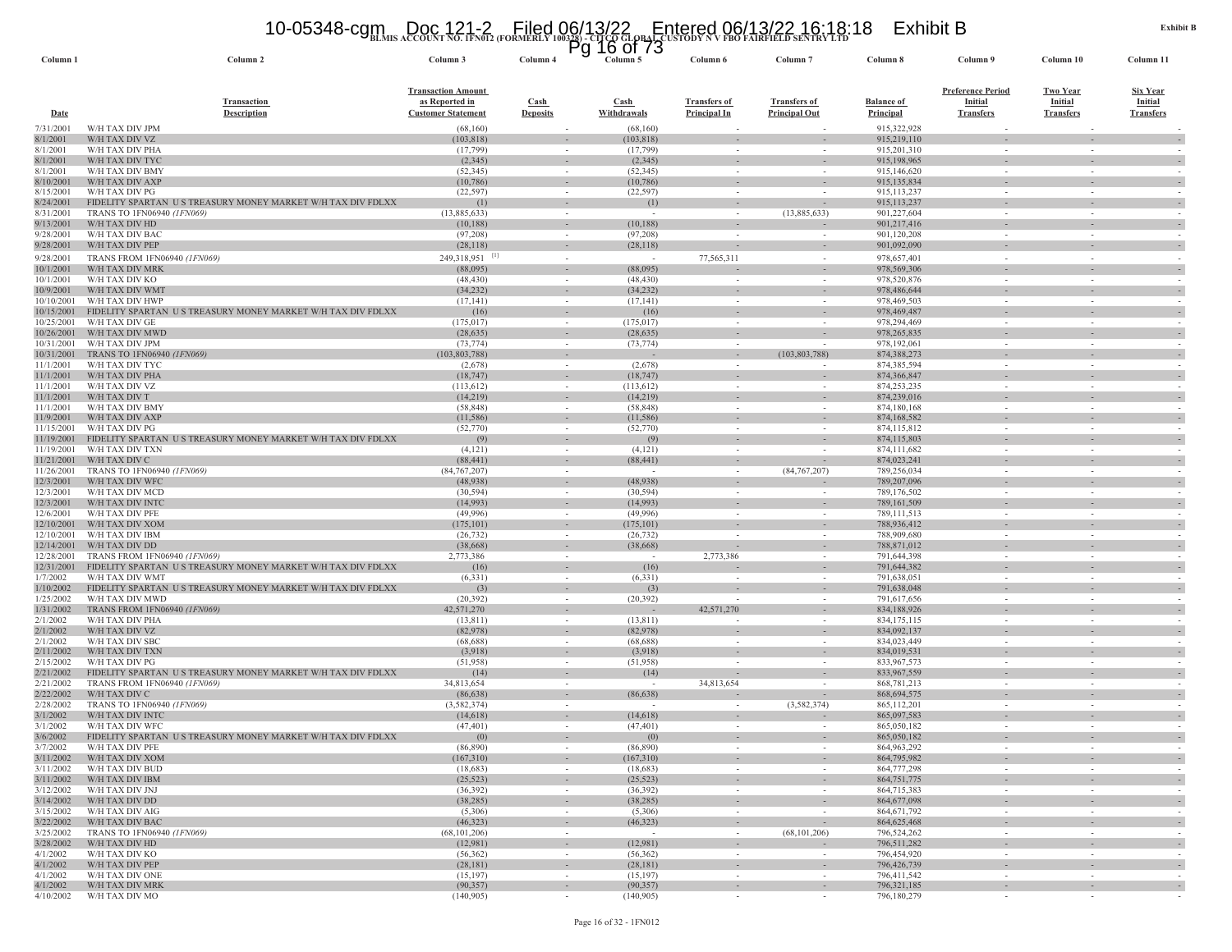# **BLMIS ACCOUNT NO. 1FN012 (FORMERLY 100328) - CITCO GLOBAL CUSTODY N V FBO FAIRFIELD SENTRY LTD** 10-05348-cgm Doc 121-2 Filed 06/13/22 Entered 06/13/22 16:18:18 Exhibit B Pg 16 of 73

| Column <sub>1</sub>      | Column <sub>2</sub>                                                                       | Column 3                                                                        | гy<br>Column <sub>4</sub>                            | <u>ביו וח חד</u><br>Column 5 | Column 6                                   | Column <sub>7</sub>                         | Column 8                       | Column 9                                                       | Column 10                                             | Column 11                                      |
|--------------------------|-------------------------------------------------------------------------------------------|---------------------------------------------------------------------------------|------------------------------------------------------|------------------------------|--------------------------------------------|---------------------------------------------|--------------------------------|----------------------------------------------------------------|-------------------------------------------------------|------------------------------------------------|
| <b>Date</b>              | <b>Transaction</b><br><b>Description</b>                                                  | <b>Transaction Amount</b><br><u>as Reported in</u><br><b>Customer Statement</b> | $\frac{\text{Cash}}{\text{Cash}}$<br><b>Deposits</b> | Cash<br>Withdrawals          | <b>Transfers of</b><br><b>Principal In</b> | <b>Transfers of</b><br><b>Principal Out</b> | <u>Balance of</u><br>Principal | <u>Preference Period</u><br><b>Initial</b><br><b>Transfers</b> | <b>Two Year</b><br><b>Initial</b><br><b>Transfers</b> | <b>Six Year</b><br>Initial<br><b>Transfers</b> |
| 7/31/2001                | W/H TAX DIV JPM                                                                           | (68,160)                                                                        |                                                      | (68,160)                     |                                            |                                             | 915,322,928                    |                                                                |                                                       |                                                |
| 8/1/2001<br>8/1/2001     | W/H TAX DIV VZ<br>W/H TAX DIV PHA                                                         | (103, 818)<br>(17, 799)                                                         |                                                      | (103, 818)                   |                                            |                                             | 915,219,110<br>915,201,310     |                                                                |                                                       |                                                |
| 8/1/2001                 | W/H TAX DIV TYC                                                                           | (2,345)                                                                         | $\sim$<br>$\sim$                                     | (17, 799)<br>(2,345)         |                                            |                                             | 915,198,965                    | $\sim$<br>$\overline{\phantom{a}}$                             | $\overline{\phantom{a}}$                              |                                                |
| 8/1/2001                 | W/H TAX DIV BMY                                                                           | (52, 345)                                                                       | $\sim$                                               | (52, 345)                    | $\sim$                                     |                                             | 915,146,620                    | $\sim$                                                         |                                                       |                                                |
| 8/10/2001                | W/H TAX DIV AXP                                                                           | (10,786)                                                                        |                                                      | (10, 786)                    |                                            |                                             | 915,135,834                    |                                                                |                                                       |                                                |
| 8/15/2001                | W/H TAX DIV PG                                                                            | (22, 597)                                                                       | $\sim$                                               | (22, 597)                    | $\sim$                                     |                                             | 915, 113, 237                  | $\sim$                                                         |                                                       |                                                |
| 8/24/2001<br>8/31/2001   | FIDELITY SPARTAN US TREASURY MONEY MARKET W/H TAX DIV FDLXX<br>TRANS TO 1FN06940 (1FN069) | (1)<br>(13,885,633)                                                             | $\overline{\phantom{a}}$                             | (1)                          |                                            | (13,885,633)                                | 915, 113, 237<br>901,227,604   |                                                                |                                                       |                                                |
| 9/13/2001                | W/H TAX DIV HD                                                                            | (10, 188)                                                                       |                                                      | (10, 188)                    |                                            |                                             | 901,217,416                    |                                                                |                                                       |                                                |
| 9/28/2001                | W/H TAX DIV BAC                                                                           | (97,208)                                                                        | $\sim$                                               | (97,208)                     | $\sim$                                     |                                             | 901,120,208                    | $\sim$                                                         | $\sim$                                                | $\sim$                                         |
| 9/28/2001                | W/H TAX DIV PEP                                                                           | (28, 118)                                                                       |                                                      | (28, 118)                    |                                            |                                             | 901,092,090                    |                                                                |                                                       |                                                |
| 9/28/2001                | TRANS FROM 1FN06940 (1FN069)                                                              | 249,318,951                                                                     | $\sim$                                               |                              | 77,565,311                                 | in a                                        | 978,657,401                    | $\sim$                                                         | $\sim$                                                |                                                |
| 10/1/2001<br>10/1/2001   | W/H TAX DIV MRK<br>W/H TAX DIV KO                                                         | (88,095)<br>(48, 430)                                                           | $\sim$                                               | (88,095)<br>(48, 430)        |                                            | $\sim$                                      | 978,569,306                    | $\sim$                                                         |                                                       | $\sim$                                         |
| 10/9/2001                | W/H TAX DIV WMT                                                                           | (34, 232)                                                                       | $\sim$                                               | (34, 232)                    | $\sim$                                     | $\overline{\phantom{a}}$                    | 978,520,876<br>978,486,644     | $\sim$                                                         |                                                       | $\sim$                                         |
| 10/10/2001               | W/H TAX DIV HWP                                                                           | (17, 141)                                                                       | $\sim$                                               | (17, 141)                    |                                            |                                             | 978,469,503                    | $\overline{\phantom{a}}$                                       |                                                       |                                                |
| 10/15/2001               | FIDELITY SPARTAN US TREASURY MONEY MARKET W/H TAX DIV FDLXX                               | (16)                                                                            |                                                      | (16)                         |                                            |                                             | 978,469,487                    |                                                                |                                                       |                                                |
| 10/25/2001               | W/H TAX DIV GE                                                                            | (175, 017)                                                                      | $\sim$                                               | (175, 017)                   | $\overline{\phantom{a}}$                   |                                             | 978,294,469                    | $\sim$                                                         |                                                       |                                                |
| 10/26/2001<br>10/31/2001 | W/H TAX DIV MWD<br>W/H TAX DIV JPM                                                        | (28, 635)<br>(73, 774)                                                          |                                                      | (28, 635)<br>(73, 774)       |                                            |                                             | 978, 265, 835<br>978,192,061   |                                                                |                                                       |                                                |
| 10/31/2001               | TRANS TO 1FN06940<br>l FN069)                                                             | (103, 803, 788)                                                                 |                                                      |                              |                                            | (103, 803, 788)                             | 874.388.273                    |                                                                |                                                       |                                                |
| 11/1/2001                | W/H TAX DIV TYC                                                                           | (2,678)                                                                         | $\sim$                                               | (2,678)                      | $\overline{\phantom{a}}$                   |                                             | 874,385,594                    | $\sim$                                                         | $\overline{\phantom{a}}$                              | $\sim$                                         |
| 11/1/2001                | W/H TAX DIV PHA                                                                           | (18, 747)                                                                       | $\overline{\phantom{a}}$                             | (18, 747)                    |                                            |                                             | 874,366,847                    |                                                                |                                                       |                                                |
| 11/1/2001                | W/H TAX DIV VZ                                                                            | (113, 612)                                                                      | $\sim$                                               | (113, 612)                   | $\sim$                                     |                                             | 874,253,235                    | $\sim$                                                         |                                                       |                                                |
| 11/1/2001<br>11/1/2001   | W/H TAX DIV T<br>W/H TAX DIV BMY                                                          | (14,219)<br>(58, 848)                                                           | $\sim$                                               | (14,219)<br>(58, 848)        | $\sim$                                     |                                             | 874,239,016<br>874,180,168     | $\sim$                                                         | $\sim$                                                | $\sim$                                         |
| 11/9/2001                | W/H TAX DIV AXP                                                                           | (11, 586)                                                                       | $\sim$                                               | (11,586)                     | $\sim$                                     |                                             | 874,168,582                    | $\sim$                                                         |                                                       | $\sim$                                         |
| 11/15/2001               | W/H TAX DIV PG                                                                            | (52, 770)                                                                       |                                                      | (52, 770)                    |                                            |                                             | 874,115,812                    |                                                                |                                                       |                                                |
| 11/19/2001               | FIDELITY SPARTAN US TREASURY MONEY MARKET W/H TAX DIV FDLXX                               | (9)                                                                             | $\sim$                                               | (9)                          | $\sim$                                     |                                             | 874,115,803                    | ٠                                                              |                                                       |                                                |
| 11/19/2001               | W/H TAX DIV TXN                                                                           | (4,121)                                                                         | $\overline{\phantom{a}}$                             | (4,121)                      | $\overline{\phantom{a}}$                   |                                             | 874,111,682                    | $\overline{\phantom{a}}$<br>$\overline{\phantom{a}}$           |                                                       |                                                |
| 11/21/2001<br>11/26/2001 | W/H TAX DIV C<br>TRANS TO 1FN06940 (1FN069)                                               | (88, 441)<br>(84, 767, 207)                                                     | $\sim$                                               | (88, 441)                    | $\sim$                                     | $\overline{\phantom{a}}$<br>(84, 767, 207)  | 874,023,241<br>789,256,034     | $\overline{\phantom{a}}$                                       |                                                       |                                                |
| 12/3/2001                | W/H TAX DIV WFC                                                                           | (48,938)                                                                        |                                                      | (48,938)                     |                                            |                                             | 789,207,096                    |                                                                |                                                       |                                                |
| 12/3/2001                | W/H TAX DIV MCD                                                                           | (30, 594)                                                                       |                                                      | (30, 594)                    |                                            |                                             | 789,176,502                    |                                                                |                                                       |                                                |
| 12/3/2001                | W/H TAX DIV INTO                                                                          | (14,993)                                                                        |                                                      | (14,993)                     |                                            |                                             | 789,161,509                    | $\overline{\phantom{a}}$                                       |                                                       | $\overline{\phantom{a}}$                       |
| 12/6/2001<br>12/10/2001  | W/H TAX DIV PFE<br>W/H TAX DIV XOM                                                        | (49,996)<br>(175, 101)                                                          | $\sim$<br>$\overline{\phantom{a}}$                   | (49,996)<br>(175, 101)       |                                            |                                             | 789,111,513<br>788,936,412     | $\sim$                                                         |                                                       | $\sim$                                         |
| 12/10/2001               | W/H TAX DIV IBM                                                                           | (26, 732)                                                                       | $\sim$                                               | (26, 732)                    |                                            |                                             | 788,909,680                    | $\sim$                                                         |                                                       |                                                |
| 12/14/2001               | W/H TAX DIV DD                                                                            | (38,668)                                                                        |                                                      | (38, 668)                    |                                            |                                             | 788, 871, 012                  |                                                                |                                                       |                                                |
| 12/28/2001               | TRANS FROM 1FN06940 (1FN069)                                                              | 2,773,386                                                                       | $\sim$                                               | $\sim$                       | 2,773,386                                  | $\sim$                                      | 791,644,398                    | $\sim$                                                         | $\sim$                                                | $\sim$                                         |
| 12/31/2001<br>1/7/2002   | FIDELITY SPARTAN U S TREASURY MONEY MARKET W/H TAX DIV FDLXX<br>W/H TAX DIV WMT           | (16)<br>(6, 331)                                                                | $\sim$                                               | (16)<br>(6, 331)             |                                            | $\sim$                                      | 791,644,382<br>791,638,051     | $\sim$                                                         |                                                       | $\sim$                                         |
| 1/10/2002                | FIDELITY SPARTAN US TREASURY MONEY MARKET W/H TAX DIV FDLXX                               | (3)                                                                             |                                                      | (3)                          |                                            |                                             | 791,638,048                    |                                                                |                                                       |                                                |
| 1/25/2002                | W/H TAX DIV MWD                                                                           | (20, 392)                                                                       | $\sim$                                               | (20, 392)                    | $\overline{\phantom{a}}$                   | $\sim$                                      | 791,617,656                    | $\overline{\phantom{a}}$                                       | $\sim$                                                | $\sim$                                         |
| 1/31/2002                | TRANS FROM 1FN06940 (1FN069)                                                              | 42,571,270                                                                      | $\sim$                                               |                              | 42,571,270                                 | $\sim$                                      | 834,188,926                    | $\sim$                                                         |                                                       |                                                |
| 2/1/2002                 | W/H TAX DIV PHA                                                                           | (13, 811)                                                                       |                                                      | (13, 811)                    |                                            |                                             | 834, 175, 115                  |                                                                |                                                       |                                                |
| 2/1/2002<br>2/1/2002     | W/H TAX DIV VZ<br>W/H TAX DIV SBC                                                         | (82,978)<br>(68, 688)                                                           | $\sim$                                               | (82,978)<br>(68, 688)        |                                            |                                             | 834,092,137<br>834,023,449     | ٠<br>$\overline{\phantom{a}}$                                  |                                                       |                                                |
| 2/11/2002                | W/H TAX DIV TXN                                                                           | (3,918)                                                                         |                                                      | (3,918)                      |                                            |                                             | 834,019,531                    | $\sim$                                                         |                                                       | $\sim$                                         |
| 2/15/2002                | W/H TAX DIV PG                                                                            | (51,958)                                                                        |                                                      | (51,958)                     |                                            |                                             | 833,967,573                    |                                                                |                                                       |                                                |
| 2/21/2002                | FIDELITY SPARTAN US TREASURY MONEY MARKET W/H TAX DIV FDLXX                               | (14)                                                                            | $\overline{\phantom{a}}$                             | (14)                         |                                            |                                             | 833,967,559                    | $\overline{\phantom{a}}$                                       |                                                       |                                                |
| 2/21/2002<br>2/22/2002   | TRANS FROM 1FN06940 (1FN069)<br>W/H TAX DIV C                                             | 34,813,654<br>(86, 638)                                                         | $\sim$                                               | (86, 638)                    | 34,813,654                                 |                                             | 868,781,213<br>868,694,575     | $\overline{\phantom{a}}$                                       |                                                       |                                                |
| 2/28/2002                | TRANS TO 1FN06940 (1FN069)                                                                | (3, 582, 374)                                                                   | $\sim$                                               | $\sim$                       | $\sim$                                     | (3,582,374)                                 | 865,112,201                    | $\sim$                                                         | $\sim$                                                |                                                |
| 3/1/2002                 | W/H TAX DIV INTC                                                                          | (14, 618)                                                                       |                                                      | (14,618)                     | $\overline{\phantom{a}}$                   |                                             | 865,097,583                    | $\sim$                                                         |                                                       |                                                |
| 3/1/2002                 | W/H TAX DIV WFC                                                                           | (47, 401)                                                                       |                                                      | (47, 401)                    |                                            |                                             | 865,050,182                    |                                                                |                                                       |                                                |
| 3/6/2002                 | FIDELITY SPARTAN US TREASURY MONEY MARKET W/H TAX DIV FDLXX                               | (0)                                                                             |                                                      | (0)                          |                                            |                                             | 865,050,182                    |                                                                |                                                       |                                                |
| 3/7/2002                 | W/H TAX DIV PFE<br>3/11/2002 W/H TAX DIV XOM                                              | (86,890)<br>(167,310)                                                           | $\sim$                                               | (86,890)<br>(167,310)        | $\sim$                                     | $\sim$                                      | 864,963,292<br>864,795,982     | $\sim$                                                         | $\sim$                                                | $\sim$                                         |
| 3/11/2002                | W/H TAX DIV BUD                                                                           | (18,683)                                                                        | $\sim$                                               | (18,683)                     | $\sim$                                     | $\sim$                                      | 864,777,298                    | $\sim$                                                         | $\sim$                                                | $\sim$                                         |
| 3/11/2002                | W/H TAX DIV IBM                                                                           | (25, 523)                                                                       |                                                      | (25, 523)                    |                                            |                                             | 864, 751, 775                  |                                                                |                                                       | $\overline{\phantom{a}}$                       |
| 3/12/2002                | W/H TAX DIV JNJ                                                                           | (36, 392)                                                                       | $\sim$                                               | (36,392)                     | $\overline{\phantom{a}}$                   | $\sim$                                      | 864,715,383                    | $\sim$                                                         | $\sim$                                                | $\sim$                                         |
| 3/14/2002<br>3/15/2002   | W/H TAX DIV DD<br>W/H TAX DIV AIG                                                         | (38, 285)<br>(5,306)                                                            | $\sim$<br>$\sim$                                     | (38, 285)<br>(5,306)         | $\sim$<br>$\sim$                           | $\sim$                                      | 864,677,098<br>864, 671, 792   | $\sim$<br>$\sim$                                               | $\sim$<br>$\sim$                                      | $\sim$                                         |
|                          | 3/22/2002 W/H TAX DIV BAC                                                                 | (46,323)                                                                        | $\sim$                                               | (46, 323)                    | $\sim$                                     | $\sim$                                      | 864, 625, 468                  | $\sim$                                                         | $\sim$                                                | $\overline{\phantom{a}}$                       |
| 3/25/2002                | TRANS TO 1FN06940 (1FN069)                                                                | (68, 101, 206)                                                                  | $\sim$                                               | $\sim$ $-$                   | $\sim$                                     | (68, 101, 206)                              | 796,524,262                    | $\sim$                                                         | $\sim$                                                | $\sim$                                         |
| 3/28/2002                | W/H TAX DIV HD                                                                            | (12,981)                                                                        |                                                      | (12,981)                     | $\overline{\phantom{a}}$                   |                                             | 796,511,282                    | $\overline{\phantom{a}}$                                       |                                                       | $\overline{\phantom{a}}$                       |
| 4/1/2002<br>4/1/2002     | W/H TAX DIV KO<br>W/H TAX DIV PEP                                                         | (56, 362)                                                                       | $\sim$                                               | (56,362)                     | $\sim$                                     | $\sim$                                      | 796.454.920<br>796,426,739     | $\sim$                                                         | $\sim$                                                | $\sim$                                         |
| 4/1/2002                 | W/H TAX DIV ONE                                                                           | (28, 181)<br>(15, 197)                                                          | $\sim$<br>$\sim$                                     | (28, 181)<br>(15, 197)       | $\overline{\phantom{a}}$<br>$\sim$         | $\overline{\phantom{a}}$<br>$\sim$          | 796,411,542                    | $\overline{\phantom{a}}$<br>$\sim$                             | $\sim$                                                | $\overline{\phantom{a}}$<br>$\sim$             |
| 4/1/2002                 | W/H TAX DIV MRK                                                                           | (90, 357)                                                                       | $\sim$                                               | (90, 357)                    | $\overline{\phantom{a}}$                   |                                             | 796,321,185                    | $\overline{\phantom{a}}$                                       |                                                       | $\sim$                                         |
|                          | 4/10/2002 W/H TAX DIV MO                                                                  | (140,905)                                                                       | $\sim$                                               | (140,905)                    | $\sim$                                     |                                             | 796,180,279                    |                                                                |                                                       |                                                |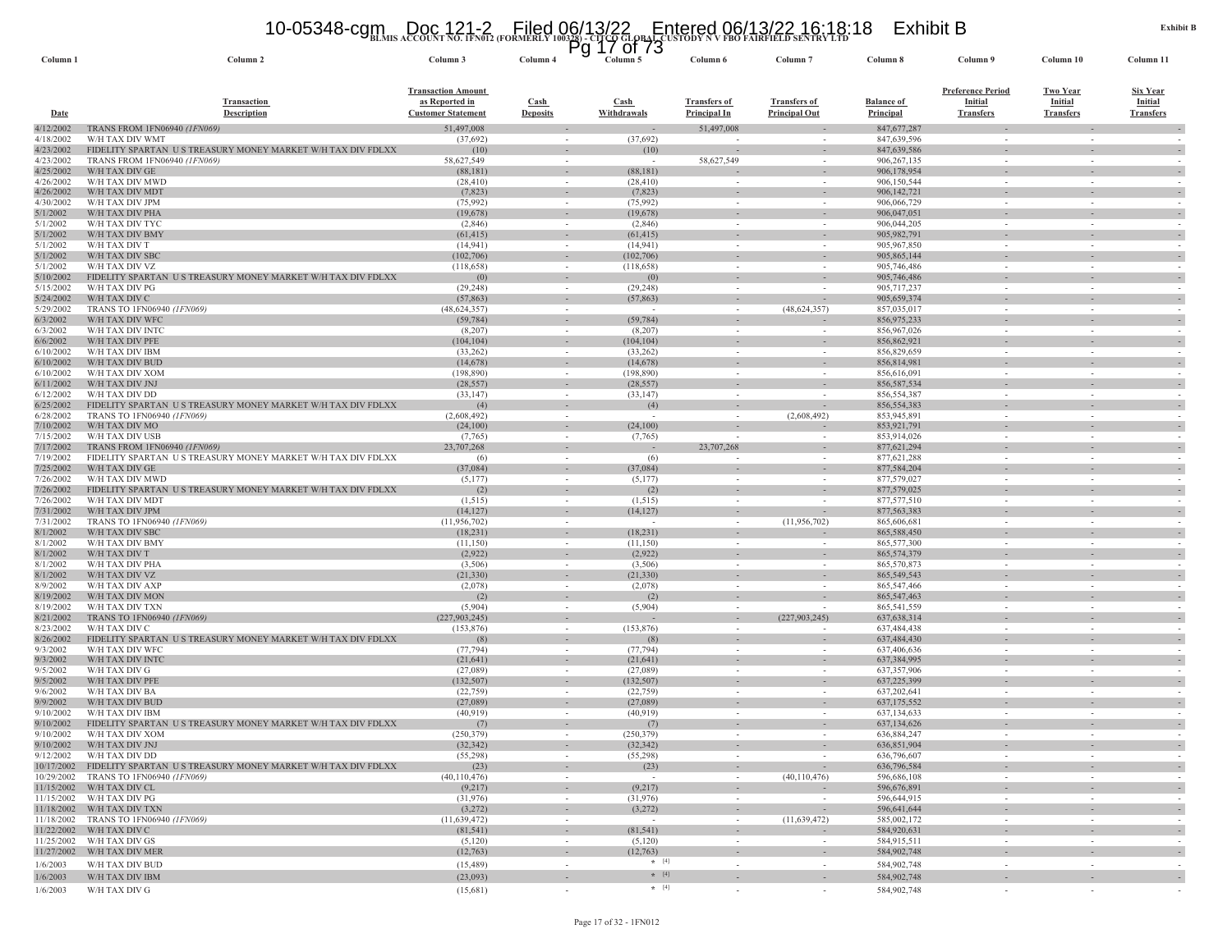#### 10-05348-cgm Doc 121-2 Filed 06/13/22 Entered 06/13/22 16:18:18 Exhibit B<br>https://www.account.no.ifn012.(formerly 100328)-cltus Global Custody N V FBO FAIRFIELD SENTRY LTD

| Column <sub>1</sub>    | Column 2                                                                       | <b>DETAIN RECOURT RO. IFRUIT ROKULAL</b><br>Column 3                     | Column 4                                 | $\overline{P}$ g 17 of 73<br>Column 5 | Column 6                                   | Column <sub>7</sub>                                  | Column 8                       | Column 9                                                       | Column 10                                             | Column 11                                             |
|------------------------|--------------------------------------------------------------------------------|--------------------------------------------------------------------------|------------------------------------------|---------------------------------------|--------------------------------------------|------------------------------------------------------|--------------------------------|----------------------------------------------------------------|-------------------------------------------------------|-------------------------------------------------------|
| Date                   | <b>Transaction</b><br>Description                                              | <b>Transaction Amount</b><br>as Reported in<br><b>Customer Statement</b> | $\operatorname{Cash}$<br><b>Deposits</b> | <b>Cash</b><br>Withdrawals            | <b>Transfers of</b><br><b>Principal In</b> | <b>Transfers of</b><br><b>Principal Out</b>          | <b>Balance of</b><br>Principal | <b>Preference Period</b><br><b>Initial</b><br><b>Transfers</b> | <b>Two Year</b><br><b>Initial</b><br><b>Transfers</b> | <u>Six Year</u><br><b>Initial</b><br><b>Transfers</b> |
| 4/12/2002              | TRANS FROM 1FN06940 <i>(1FN069)</i>                                            | 51,497,008                                                               |                                          |                                       | 51,497,008                                 |                                                      | 847,677,287                    |                                                                |                                                       |                                                       |
| 4/18/2002              | W/H TAX DIV WMT                                                                | (37,692)                                                                 | $\sim$                                   | (37,692)                              |                                            | $\sim$                                               | 847,639,596                    | $\sim$                                                         | $\sim$                                                |                                                       |
| 4/23/2002              | FIDELITY SPARTAN US TREASURY MONEY MARKET W/H TAX DIV FDLXX                    | (10)                                                                     | $\sim$                                   | (10)                                  |                                            |                                                      | 847,639,586                    | $\sim$                                                         | $\sim$                                                |                                                       |
| 4/23/2002<br>4/25/2002 | TRANS FROM 1FN06940 (1FN069)<br>W/H TAX DIV GE                                 | 58,627,549<br>(88, 181)                                                  | $\sim$<br>$\sim$                         | (88,181)                              | 58,627,549                                 | $\sim$                                               | 906,267,135<br>906,178,954     |                                                                | $\overline{\phantom{a}}$                              |                                                       |
| 4/26/2002              | W/H TAX DIV MWD                                                                | (28, 410)                                                                | $\sim$                                   | (28, 410)                             |                                            | $\sim$                                               | 906,150,544                    |                                                                | $\sim$                                                |                                                       |
| 4/26/2002              | W/H TAX DIV MDT                                                                | (7, 823)                                                                 | $\sim$                                   | (7, 823)                              |                                            | $\sim$                                               | 906, 142, 721                  |                                                                | $\sim$                                                |                                                       |
| 4/30/2002<br>5/1/2002  | W/H TAX DIV JPM<br>W/H TAX DIV PHA                                             | (75,992)<br>(19,678)                                                     | $\sim$<br>$\overline{\phantom{a}}$       | (75,992)<br>(19,678)                  |                                            |                                                      | 906,066,729<br>906,047,051     |                                                                | $\overline{\phantom{a}}$                              |                                                       |
| 5/1/2002               | W/H TAX DIV TYC                                                                | (2,846)                                                                  | $\sim$                                   | (2,846)                               |                                            |                                                      | 906,044,205                    |                                                                | $\overline{\phantom{a}}$                              |                                                       |
| 5/1/2002               | W/H TAX DIV BMY                                                                | (61, 415)                                                                |                                          | (61, 415)                             |                                            |                                                      | 905,982,791                    |                                                                | $\overline{\phantom{a}}$                              |                                                       |
| 5/1/2002<br>5/1/2002   | W/H TAX DIV T<br>W/H TAX DIV SBC                                               | (14, 941)<br>(102, 706)                                                  | $\sim$<br>$\overline{\phantom{a}}$       | (14, 941)<br>(102,706)                |                                            | $\overline{\phantom{a}}$<br>$\overline{\phantom{a}}$ | 905, 967, 850<br>905,865,144   |                                                                | $\overline{\phantom{a}}$                              |                                                       |
| 5/1/2002               | W/H TAX DIV VZ                                                                 | (118, 658)                                                               | $\sim$                                   | (118, 658)                            |                                            |                                                      | 905,746,486                    |                                                                | $\sim$                                                |                                                       |
| 5/10/2002              | FIDELITY SPARTAN US TREASURY MONEY MARKET W/H TAX DIV FDLXX                    | (0)                                                                      |                                          | (0)                                   |                                            |                                                      | 905,746,486                    |                                                                |                                                       |                                                       |
| 5/15/2002              | W/H TAX DIV PG                                                                 | (29, 248)                                                                | $\sim$                                   | (29, 248)                             | $\sim$                                     | $\overline{\phantom{a}}$                             | 905,717,237                    | $\sim$                                                         | $\sim$                                                |                                                       |
| 5/24/2002<br>5/29/2002 | W/H TAX DIV C<br>TRANS TO 1FN06940 (1FN069)                                    | (57, 863)<br>(48, 624, 357)                                              | $\sim$<br>$\sim$                         | (57, 863)                             |                                            | (48, 624, 357)                                       | 905,659,374<br>857,035,017     |                                                                | $\sim$                                                |                                                       |
| 6/3/2002               | W/H TAX DIV WFC                                                                | (59, 784)                                                                | $\sim$                                   | (59, 784)                             |                                            |                                                      | 856, 975, 233                  |                                                                |                                                       |                                                       |
| 6/3/2002               | W/H TAX DIV INTC                                                               | (8,207)                                                                  | $\sim$                                   | (8,207)                               |                                            | $\sim$                                               | 856,967,026                    |                                                                | $\sim$                                                |                                                       |
| 6/6/2002<br>6/10/2002  | W/H TAX DIV PFE<br>W/H TAX DIV IBM                                             | (104, 104)<br>(33,262)                                                   | $\sim$<br>$\sim$                         | (104, 104)<br>(33,262)                |                                            |                                                      | 856,862,921<br>856,829,659     |                                                                | $\overline{\phantom{a}}$                              |                                                       |
| 6/10/2002              | W/H TAX DIV BUD                                                                | (14, 678)                                                                | $\sim$                                   | (14, 678)                             |                                            | $\overline{\phantom{a}}$                             | 856,814,981                    |                                                                | $\overline{\phantom{a}}$                              |                                                       |
| 6/10/2002              | W/H TAX DIV XOM                                                                | (198, 890)                                                               | $\overline{\phantom{a}}$                 | (198, 890)                            |                                            |                                                      | 856,616,091                    |                                                                | $\sim$                                                |                                                       |
| 6/11/2002              | W/H TAX DIV JNJ                                                                | (28, 557)                                                                | $\sim$                                   | (28, 557)                             | $\sim$                                     | $\overline{\phantom{a}}$                             | 856, 587, 534                  | $\sim$                                                         | $\sim$                                                |                                                       |
| 6/12/2002<br>6/25/2002 | W/H TAX DIV DD<br>FIDELITY SPARTAN US TREASURY MONEY MARKET W/H TAX DIV FDLXX  | (33, 147)<br>(4)                                                         | $\sim$<br>$\overline{\phantom{a}}$       | (33, 147)<br>(4)                      |                                            | $\overline{\phantom{a}}$                             | 856,554,387<br>856,554,383     |                                                                | $\overline{\phantom{a}}$                              |                                                       |
| 6/28/2002              | TRANS TO 1FN06940 (1FN069)                                                     | (2,608,492)                                                              | $\sim$                                   |                                       |                                            | (2,608,492)                                          | 853,945,891                    |                                                                |                                                       |                                                       |
| 7/10/2002              | W/H TAX DIV MO                                                                 | (24,100)                                                                 |                                          | (24,100)                              |                                            |                                                      | 853,921,791                    |                                                                |                                                       |                                                       |
| 7/15/2002<br>7/17/2002 | W/H TAX DIV USB<br>TRANS FROM 1FN06940 (1FN069)                                | (7,765)<br>23,707,268                                                    | $\sim$<br>$\sim$                         | (7,765)                               | 23,707,268                                 |                                                      | 853,914,026<br>877,621,294     | $\sim$                                                         | $\sim$                                                |                                                       |
| 7/19/2002              | FIDELITY SPARTAN US TREASURY MONEY MARKET W/H TAX DIV FDLXX                    | (6)                                                                      | $\sim$                                   | (6)                                   |                                            |                                                      | 877,621,288                    |                                                                |                                                       |                                                       |
| 7/25/2002              | W/H TAX DIV GE                                                                 | (37,084)                                                                 |                                          | (37,084)                              |                                            |                                                      | 877,584,204                    |                                                                |                                                       |                                                       |
| 7/26/2002<br>7/26/2002 | W/H TAX DIV MWD<br>FIDELITY SPARTAN US TREASURY MONEY MARKET W/H TAX DIV FDLXX | (5,177)<br>(2)                                                           | $\sim$<br>$\sim$                         | (5,177)<br>(2)                        | $\sim$<br>$\sim$                           | $\sim$                                               | 877,579,027<br>877,579,025     | $\sim$                                                         | $\sim$                                                |                                                       |
| 7/26/2002              | W/H TAX DIV MDT                                                                | (1, 515)                                                                 | $\sim$                                   | (1, 515)                              | $\sim$                                     |                                                      | 877,577,510                    |                                                                | $\sim$                                                |                                                       |
| 7/31/2002              | W/H TAX DIV JPM                                                                | (14, 127)                                                                | $\overline{\phantom{a}}$                 | (14, 127)                             |                                            | $\overline{\phantom{a}}$                             | 877, 563, 383                  |                                                                |                                                       |                                                       |
| 7/31/2002<br>8/1/2002  | TRANS TO 1FN06940 (1FN069)                                                     | (11, 956, 702)                                                           | $\sim$                                   |                                       | $\sim$                                     | (11,956,702)                                         | 865,606,681                    | $\sim$<br>$\sim$                                               | $\sim$<br>$\sim$                                      |                                                       |
| 8/1/2002               | W/H TAX DIV SBC<br>W/H TAX DIV BMY                                             | (18, 231)<br>(11, 150)                                                   | $\sim$                                   | (18,231)<br>(11,150)                  | $\sim$                                     |                                                      | 865,588,450<br>865,577,300     |                                                                |                                                       |                                                       |
| 8/1/2002               | W/H TAX DIV T                                                                  | (2,922)                                                                  | $\sim$                                   | (2,922)                               |                                            | $\overline{\phantom{a}}$                             | 865,574,379                    |                                                                | ٠                                                     |                                                       |
| 8/1/2002               | W/H TAX DIV PHA                                                                | (3,506)                                                                  | $\overline{\phantom{a}}$                 | (3,506)                               |                                            | $\overline{\phantom{a}}$                             | 865,570,873                    |                                                                |                                                       |                                                       |
| 8/1/2002<br>8/9/2002   | W/H TAX DIV VZ<br>W/H TAX DIV AXP                                              | (21, 330)<br>(2,078)                                                     | $\sim$                                   | (21, 330)<br>(2,078)                  | $\sim$                                     |                                                      | 865,549,543<br>865,547,466     |                                                                | $\sim$                                                |                                                       |
| 8/19/2002              | W/H TAX DIV MON                                                                | (2)                                                                      | $\overline{\phantom{a}}$                 | (2)                                   |                                            |                                                      | 865, 547, 463                  |                                                                |                                                       |                                                       |
| 8/19/2002              | W/H TAX DIV TXN                                                                | (5,904)                                                                  |                                          | (5,904)                               |                                            |                                                      | 865,541,559                    |                                                                |                                                       |                                                       |
| 8/21/2002<br>8/23/2002 | TRANS TO 1FN06940 (1FN069)<br>W/H TAX DIV C                                    | (227, 903, 245)<br>(153, 876)                                            | $\sim$                                   | (153, 876)                            |                                            | (227, 903, 245)<br>$\sim$                            | 637, 638, 314<br>637,484,438   | $\sim$                                                         | $\overline{\phantom{a}}$                              |                                                       |
| 8/26/2002              | FIDELITY SPARTAN US TREASURY MONEY MARKET W/H TAX DIV FDLXX                    | (8)                                                                      | $\sim$                                   | (8)                                   |                                            |                                                      | 637,484,430                    |                                                                |                                                       |                                                       |
| 9/3/2002               | W/H TAX DIV WFC                                                                | (77, 794)                                                                | $\sim$                                   | (77, 794)                             | $\sim$                                     |                                                      | 637,406,636                    |                                                                | $\sim$                                                |                                                       |
| 9/3/2002<br>9/5/2002   | W/H TAX DIV INTC<br>W/H TAX DIV G                                              | (21, 641)<br>(27,089)                                                    | $\sim$                                   | (21, 641)<br>(27,089)                 | $\sim$                                     | $\sim$                                               | 637,384,995<br>637, 357, 906   | $\sim$                                                         | $\sim$                                                |                                                       |
| 9/5/2002               | W/H TAX DIV PFE                                                                | (132, 507)                                                               | $\sim$                                   | (132, 507)                            | $\sim$                                     | $\overline{\phantom{a}}$                             | 637,225,399                    |                                                                | $\sim$                                                |                                                       |
| 9/6/2002               | W/H TAX DIV BA                                                                 | (22, 759)                                                                |                                          | (22, 759)                             |                                            |                                                      | 637,202,641                    |                                                                | $\sim$                                                |                                                       |
| 9/9/2002<br>9/10/2002  | W/H TAX DIV BUD<br>W/H TAX DIV IBM                                             | (27,089)<br>(40, 919)                                                    | $\sim$<br>$\sim$                         | (27,089)<br>(40,919)                  |                                            | $\sim$<br>$\sim$                                     | 637, 175, 552<br>637, 134, 633 |                                                                | $\sim$                                                |                                                       |
| 9/10/2002              | FIDELITY SPARTAN US TREASURY MONEY MARKET W/H TAX DIV FDLXX                    | (7)                                                                      |                                          | (7)                                   |                                            | $\overline{\phantom{a}}$                             | 637,134,626                    |                                                                | $\sim$                                                |                                                       |
| 9/10/2002              | W/H TAX DIV XOM                                                                | (250, 379)                                                               |                                          | (250, 379)                            |                                            |                                                      | 636,884,247                    |                                                                |                                                       |                                                       |
| 9/12/2002              | 9/10/2002     W/H TAX DIV JNJ<br>W/H TAX DIV DD                                | (32, 342)                                                                |                                          | (32, 342)                             |                                            |                                                      | 636,851,904<br>636,796,607     |                                                                | $\sim$<br>$\sim$                                      |                                                       |
|                        | 10/17/2002 FIDELITY SPARTAN US TREASURY MONEY MARKET W/H TAX DIV FDLXX         | (55,298)<br>(23)                                                         | $\sim$<br>$\overline{\phantom{a}}$       | (55,298)<br>(23)                      | $\sim$<br>$\sim$                           | $\sim$<br>$\overline{\phantom{a}}$                   | 636,796,584                    |                                                                | $\sim$                                                | $\overline{\phantom{a}}$<br>$\overline{\phantom{a}}$  |
|                        | 10/29/2002 TRANS TO 1FN06940 (1FN069)                                          | (40, 110, 476)                                                           | $\sim$                                   | $\sim$                                | $\sim$                                     | (40,110,476)                                         | 596,686,108                    | $\sim$                                                         | $\sim$                                                | $\overline{\phantom{a}}$                              |
|                        | 11/15/2002 W/H TAX DIV CL                                                      | (9,217)                                                                  | $\sim$                                   | (9,217)                               | $\overline{\phantom{a}}$                   | $\overline{\phantom{a}}$                             | 596,676,891                    |                                                                | $\overline{\phantom{a}}$                              | $\overline{\phantom{a}}$                              |
|                        | 11/15/2002 W/H TAX DIV PG<br>11/18/2002 W/H TAX DIV TXN                        | (31,976)<br>(3,272)                                                      | $\sim$                                   | (31,976)<br>(3,272)                   | $\sim$                                     | $\sim$<br>$\sim$                                     | 596,644,915<br>596,641,644     | $\sim$                                                         | $\sim$<br>$\overline{\phantom{a}}$                    | $\sim$                                                |
|                        | 11/18/2002 TRANS TO 1FN06940 (1FN069)                                          | (11, 639, 472)                                                           | $\sim$                                   | $\sim$                                | $\sim$                                     | (11, 639, 472)                                       | 585,002,172                    | $\sim$                                                         | $\sim$                                                | $\sim$                                                |
|                        | 11/22/2002 W/H TAX DIV C                                                       | (81, 541)                                                                | $\sim$                                   | (81, 541)                             | $\sim$                                     | $\overline{\phantom{a}}$                             | 584,920,631                    | $\sim$                                                         | $\sim$                                                | $\overline{\phantom{a}}$                              |
|                        | 11/25/2002 W/H TAX DIV GS<br>11/27/2002 W/H TAX DIV MER                        | (5,120)<br>(12, 763)                                                     | $\sim$<br>$\sim$                         | (5,120)<br>(12,763)                   | $\sim$<br>$\sim$                           | $\sim$<br>$\overline{\phantom{a}}$                   | 584,915,511<br>584,902,748     | $\sim$<br>$\sim$                                               | $\sim$<br>$\overline{\phantom{a}}$                    | $\overline{\phantom{a}}$                              |
| 1/6/2003               | W/H TAX DIV BUD                                                                | (15, 489)                                                                | $\sim$                                   | $*$ [4]                               | $\sim$                                     | $\sim$                                               | 584,902,748                    | $\sim$                                                         | $\sim$                                                |                                                       |
| 1/6/2003               | W/H TAX DIV IBM                                                                | (23,093)                                                                 | $\sim$                                   | $*$ [4]                               | $\sim$                                     | $\sim$                                               | 584,902,748                    |                                                                |                                                       | $\sim$                                                |
| 1/6/2003               | W/H TAX DIV G                                                                  | (15,681)                                                                 | $\overline{\phantom{a}}$                 | $*$ [4]                               | $\overline{\phantom{a}}$                   | $\sim$                                               | 584,902,748                    |                                                                |                                                       |                                                       |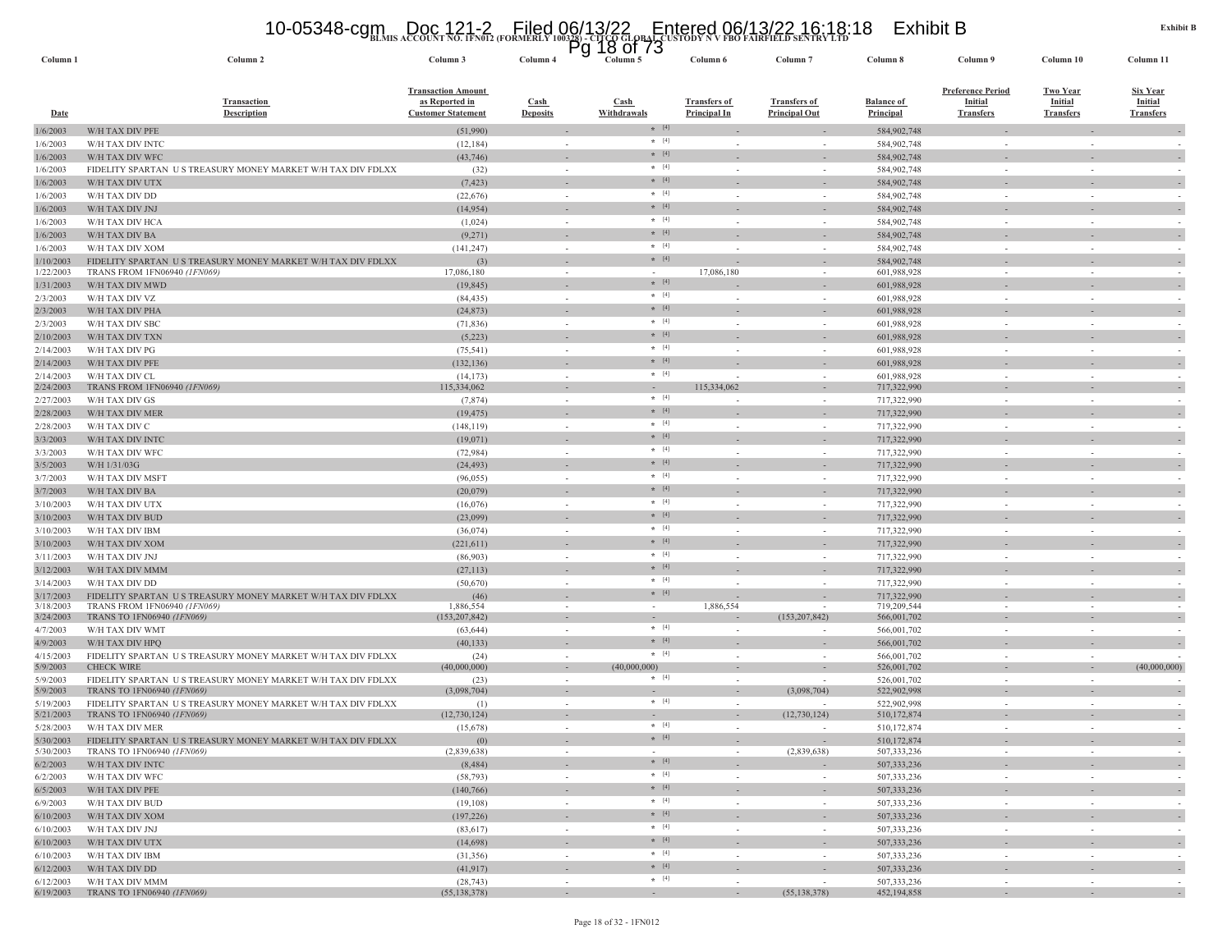# **BLMIS ACCOUNT NO. 1FN012 (FORMERLY 100328) - CITCO GLOBAL CUSTODY N V FBO FAIRFIELD SENTRY LTD** 10-05348-cgm Doc 121-2 Filed 06/13/22 Entered 06/13/22 16:18:18 Exhibit B Pg 18 of 73

| Column <sub>1</sub>    | Column 2                                                                                  | Column 3                                                                 | Column 4                           | ิษ | פ ו וח סד<br>Column 5              | Column 6                                   | Column <sub>7</sub>                         | Column 8                              | Column 9                                                       | Column 10                                             | Column 11                                             |
|------------------------|-------------------------------------------------------------------------------------------|--------------------------------------------------------------------------|------------------------------------|----|------------------------------------|--------------------------------------------|---------------------------------------------|---------------------------------------|----------------------------------------------------------------|-------------------------------------------------------|-------------------------------------------------------|
| <b>Date</b>            | <b>Transaction</b><br><b>Description</b>                                                  | <b>Transaction Amount</b><br>as Reported in<br><b>Customer Statement</b> | Cash<br><b>Deposits</b>            |    | <b>Cash</b><br>Withdrawals         | <b>Transfers of</b><br><b>Principal In</b> | <b>Transfers of</b><br><b>Principal Out</b> | <b>Balance of</b><br><b>Principal</b> | <b>Preference Period</b><br><b>Initial</b><br><b>Transfers</b> | <b>Two Year</b><br><b>Initial</b><br><b>Transfers</b> | <b>Six Year</b><br><b>Initial</b><br><b>Transfers</b> |
| 1/6/2003               | W/H TAX DIV PFE                                                                           | (51,990)                                                                 |                                    |    | $*$ [4]                            |                                            |                                             | 584,902,748                           |                                                                |                                                       |                                                       |
| 1/6/2003               | W/H TAX DIV INTC                                                                          | (12, 184)                                                                | $\sim$                             |    | $\star$ [4]                        |                                            |                                             | 584,902,748                           |                                                                |                                                       |                                                       |
| 1/6/2003               | W/H TAX DIV WFC                                                                           | (43,746)                                                                 |                                    |    | $* [4]$                            |                                            |                                             | 584,902,748                           |                                                                |                                                       |                                                       |
| 1/6/2003               | FIDELITY SPARTAN US TREASURY MONEY MARKET W/H TAX DIV FDLXX                               | (32)                                                                     |                                    |    | $* [4]$                            |                                            |                                             | 584,902,748                           |                                                                |                                                       |                                                       |
| 1/6/2003               | W/H TAX DIV UTX                                                                           | (7, 423)                                                                 |                                    |    | $*$ [4]                            |                                            |                                             | 584,902,748                           |                                                                |                                                       |                                                       |
| 1/6/2003               | W/H TAX DIV DD                                                                            | (22, 676)                                                                | $\sim$                             |    | $\star$ [4]                        |                                            | $\sim$                                      | 584,902,748                           |                                                                | ٠                                                     |                                                       |
| 1/6/2003               | W/H TAX DIV JNJ                                                                           | (14, 954)                                                                |                                    |    | $* [4]$                            |                                            |                                             | 584,902,748                           |                                                                |                                                       |                                                       |
| 1/6/2003               | W/H TAX DIV HCA                                                                           | (1,024)                                                                  | $\sim$                             |    | $*$ [4]                            |                                            | $\sim$                                      | 584,902,748                           | in 1919.                                                       | $\sim$                                                |                                                       |
| 1/6/2003               | W/H TAX DIV BA                                                                            | (9,271)                                                                  |                                    |    | $*$ [4]                            |                                            |                                             | 584,902,748                           |                                                                |                                                       |                                                       |
| 1/6/2003               | W/H TAX DIV XOM                                                                           | (141, 247)                                                               | $\sim$                             |    | $*$ [4]                            |                                            | $\sim$                                      | 584,902,748                           | $\sim$                                                         | $\sim$                                                |                                                       |
| 1/10/2003              | FIDELITY SPARTAN US TREASURY MONEY MARKET W/H TAX DIV FDLXX                               | (3)                                                                      | $\overline{\phantom{m}}$           |    | $\star$ [4]                        |                                            |                                             | 584,902,748                           |                                                                |                                                       |                                                       |
| 1/22/2003              | TRANS FROM 1FN06940 (1FN069)                                                              | 17,086,180                                                               | $\overline{\phantom{a}}$           |    | $*$ [4]                            | 17,086,180                                 | $\overline{\phantom{a}}$                    | 601,988,928                           |                                                                | $\overline{\phantom{a}}$                              |                                                       |
| 1/31/2003              | W/H TAX DIV MWD                                                                           | (19, 845)                                                                | $\sim$                             |    | $\star$ [4]                        |                                            | $\sim$                                      | 601,988,928                           |                                                                |                                                       |                                                       |
| 2/3/2003               | W/H TAX DIV VZ                                                                            | (84, 435)                                                                | $\sim$                             |    | $* [4]$                            |                                            |                                             | 601,988,928                           |                                                                |                                                       |                                                       |
| 2/3/2003               | W/H TAX DIV PHA                                                                           | (24, 873)                                                                | $\sim$                             |    | $\star$ [4]                        |                                            | $\sim$                                      | 601,988,928                           |                                                                | ÷.                                                    |                                                       |
| 2/3/2003               | W/H TAX DIV SBC                                                                           | (71, 836)<br>(5,223)                                                     |                                    |    | $* [4]$                            |                                            |                                             | 601,988,928                           | $\sim$                                                         |                                                       |                                                       |
| 2/10/2003<br>2/14/2003 | W/H TAX DIV TXN<br>W/H TAX DIV PG                                                         | (75, 541)                                                                | $\sim$                             |    | $*$ [4]                            |                                            | $\sim$                                      | 601,988,928<br>601,988,928            | $\sim$                                                         | $\sim$                                                |                                                       |
| 2/14/2003              | W/H TAX DIV PFE                                                                           | (132, 136)                                                               |                                    |    | $*$ [4]                            |                                            |                                             | 601,988,928                           |                                                                |                                                       |                                                       |
| 2/14/2003              | W/H TAX DIV CL                                                                            | (14, 173)                                                                | $\sim$                             |    | $*$ [4]                            |                                            | $\sim$                                      | 601,988,928                           |                                                                | $\sim$                                                |                                                       |
| 2/24/2003              | TRANS FROM 1FN06940 (1FN069)                                                              | 115,334,062                                                              | $\overline{\phantom{a}}$           |    |                                    | 115,334,062                                |                                             | 717,322,990                           |                                                                |                                                       |                                                       |
| 2/27/2003              | W/H TAX DIV GS                                                                            | (7,874)                                                                  | $\sim$                             |    | $*$ [4]                            |                                            | $\sim$                                      | 717,322,990                           |                                                                | $\sim$                                                |                                                       |
| 2/28/2003              | W/H TAX DIV MER                                                                           | (19, 475)                                                                | $\sim$                             |    | $* [4]$                            |                                            | $\sim$                                      | 717,322,990                           |                                                                |                                                       |                                                       |
| 2/28/2003              | W/H TAX DIV C                                                                             | (148, 119)                                                               | $\sim$                             |    | $\star$ [4]                        |                                            | $\sim$                                      | 717,322,990                           |                                                                | $\sim$                                                |                                                       |
| 3/3/2003               | W/H TAX DIV INTC                                                                          | (19,071)                                                                 |                                    |    | $* [4]$                            |                                            |                                             | 717,322,990                           |                                                                |                                                       |                                                       |
| 3/3/2003               | W/H TAX DIV WFC                                                                           | (72, 984)                                                                | $\sim$                             |    | $\star$ [4]                        |                                            | $\overline{\phantom{a}}$                    | 717,322,990                           |                                                                | $\overline{\phantom{a}}$                              |                                                       |
| 3/5/2003               | W/H 1/31/03G                                                                              | (24, 493)                                                                |                                    |    | $*$ [4]                            |                                            |                                             | 717,322,990                           |                                                                |                                                       |                                                       |
| 3/7/2003               | W/H TAX DIV MSFT                                                                          | (96, 055)                                                                | $\sim$                             |    | $*$ [4]                            |                                            | $\sim$                                      | 717,322,990                           |                                                                | $\sim$                                                |                                                       |
| 3/7/2003               | W/H TAX DIV BA                                                                            | (20,079)                                                                 | $\sim$                             |    | $\star$ [4]                        |                                            | $\overline{\phantom{a}}$                    | 717,322,990                           |                                                                |                                                       | $\overline{\phantom{a}}$                              |
| 3/10/2003              | W/H TAX DIV UTX                                                                           | (16,076)                                                                 | $\sim$                             |    | $* [4]$                            |                                            | $\sim$                                      | 717,322,990                           |                                                                | $\sim$                                                |                                                       |
| 3/10/2003              | W/H TAX DIV BUD                                                                           | (23,099)                                                                 |                                    |    | $*$ [4]                            |                                            |                                             | 717,322,990                           |                                                                |                                                       |                                                       |
| 3/10/2003              | W/H TAX DIV IBM                                                                           | (36,074)                                                                 | $\sim$                             |    | $*$ [4]                            |                                            | $\sim$                                      | 717,322,990                           |                                                                | $\sim$                                                |                                                       |
| 3/10/2003              | W/H TAX DIV XOM                                                                           | (221, 611)                                                               | $\sim$                             |    | $* [4]$                            |                                            | $\sim$                                      | 717,322,990                           |                                                                |                                                       |                                                       |
| 3/11/2003              | W/H TAX DIV JNJ                                                                           | (86,903)                                                                 | $\sim$                             |    | $*$ [4]                            |                                            | $\sim$                                      | 717,322,990                           |                                                                |                                                       |                                                       |
| 3/12/2003              | W/H TAX DIV MMM                                                                           | (27, 113)                                                                |                                    |    | $\star$ [4]                        |                                            |                                             | 717,322,990                           |                                                                |                                                       |                                                       |
| 3/14/2003              | W/H TAX DIV DD                                                                            | (50,670)                                                                 | $\sim$                             |    | $\star$ [4]                        |                                            |                                             | 717,322,990                           |                                                                | $\overline{\phantom{a}}$                              |                                                       |
| 3/17/2003              | FIDELITY SPARTAN US TREASURY MONEY MARKET W/H TAX DIV FDLXX                               | (46)                                                                     |                                    |    | $*$ [4]                            |                                            |                                             | 717,322,990                           |                                                                |                                                       |                                                       |
| 3/18/2003<br>3/24/2003 | TRANS FROM 1FN06940 (1FN069)<br>TRANS TO 1FN06940 (1FN069)                                | 1,886,554<br>(153, 207, 842)                                             | $\sim$<br>$\overline{\phantom{a}}$ |    | $\sim$<br>$\overline{\phantom{a}}$ | 1,886,554                                  | $\sim$<br>(153, 207, 842)                   | 719,209,544<br>566,001,702            | $\sim$                                                         | $\overline{\phantom{a}}$                              |                                                       |
| 4/7/2003               | W/H TAX DIV WMT                                                                           | (63, 644)                                                                | $\sim$                             |    | $*$ [4]                            | $\sim$                                     | $\sim$                                      | 566,001,702                           | $\sim$                                                         | $\sim$                                                |                                                       |
| 4/9/2003               | W/H TAX DIV HPQ                                                                           | (40, 133)                                                                | $\overline{\phantom{a}}$           |    | $*$ [4]                            |                                            |                                             | 566,001,702                           |                                                                |                                                       |                                                       |
| 4/15/2003              | FIDELITY SPARTAN US TREASURY MONEY MARKET W/H TAX DIV FDLXX                               | (24)                                                                     | $\sim$                             |    | $*$ [4]                            |                                            | $\sim$                                      | 566,001,702                           |                                                                |                                                       |                                                       |
| 5/9/2003               | <b>CHECK WIRE</b>                                                                         | (40,000,000)                                                             | $\sim$                             |    | (40,000,000)                       |                                            |                                             | 526,001,702                           |                                                                | ٠                                                     | (40,000,000)                                          |
| 5/9/2003               | FIDELITY SPARTAN US TREASURY MONEY MARKET W/H TAX DIV FDLXX                               | (23)                                                                     | $\sim$                             |    | $\star$ [4]                        |                                            |                                             | 526,001,702                           |                                                                |                                                       |                                                       |
| 5/9/2003               | TRANS TO 1FN06940 (1FN069)                                                                | (3,098,704)                                                              | $\sim$                             |    |                                    | $\sim$                                     | (3,098,704)                                 | 522,902,998                           |                                                                | ٠                                                     |                                                       |
| 5/19/2003              | FIDELITY SPARTAN US TREASURY MONEY MARKET W/H TAX DIV FDLXX                               | (1)                                                                      | $\sim$                             |    | $\star$ [4]                        |                                            |                                             | 522,902,998                           |                                                                |                                                       |                                                       |
| 5/21/2003              | TRANS TO 1FN06940 (1FN069)                                                                | (12,730,124)                                                             | $\overline{\phantom{a}}$           |    | $\star$ [4]                        |                                            | (12,730,124)                                | 510,172,874                           |                                                                |                                                       |                                                       |
| 5/28/2003              | W/H TAX DIV MER                                                                           | (15,678)                                                                 |                                    |    | $* [4]$                            |                                            |                                             | 510,172,874                           |                                                                |                                                       |                                                       |
| 5/30/2003<br>5/30/2003 | FIDELITY SPARTAN US TREASURY MONEY MARKET W/H TAX DIV FDLXX<br>TRANS TO 1FN06940 (1FN069) | (0)<br>(2,839,638)                                                       | $\sim$                             |    | $\sim$                             | $\sim$                                     | (2,839,638)                                 | 510,172,874<br>507, 333, 236          | $\sim$                                                         | $\sim$                                                | $\sim$                                                |
| 6/2/2003               | W/H TAX DIV INTC                                                                          | (8, 484)                                                                 |                                    |    | $*$ [4]                            |                                            | $\overline{\phantom{a}}$                    | 507,333,236                           |                                                                |                                                       | $\sim$                                                |
| 6/2/2003               | W/H TAX DIV WFC                                                                           | (58, 793)                                                                | $\sim$                             |    | $*$ [4]                            | $\sim$                                     | $\sim$                                      | 507,333,236                           | $\sim$                                                         | $\sim$                                                |                                                       |
| 6/5/2003               | W/H TAX DIV PFE                                                                           | (140, 766)                                                               | $\sim$                             |    | $*$ [4]                            |                                            | $\sim$                                      | 507,333,236                           | $\sim$                                                         | $\sim$                                                | $\sim$                                                |
| 6/9/2003               | W/H TAX DIV BUD                                                                           | (19, 108)                                                                | $\sim$                             |    | $*$ [4]                            | $\sim$                                     | $\overline{\phantom{a}}$                    | 507,333,236                           | $\sim$                                                         | $\overline{\phantom{a}}$                              | $\overline{\phantom{a}}$                              |
| 6/10/2003              | W/H TAX DIV XOM                                                                           | (197, 226)                                                               | $\sim$                             |    | $\star$ [4]                        |                                            | $\sim$                                      | 507, 333, 236                         |                                                                | $\overline{\phantom{a}}$                              |                                                       |
| 6/10/2003              | W/H TAX DIV JNJ                                                                           | (83,617)                                                                 | $\sim$                             |    | $*$ [4]                            | $\overline{\phantom{a}}$                   | $\sim$                                      | 507,333,236                           | $\sim$                                                         | $\overline{\phantom{a}}$                              | $\overline{\phantom{a}}$<br>$\overline{\phantom{a}}$  |
| 6/10/2003              | W/H TAX DIV UTX                                                                           | (14,698)                                                                 | $\sim$                             |    | $*$ [4]                            | ÷.                                         | $\sim$                                      | 507,333,236                           |                                                                | ÷.                                                    | $\overline{\phantom{a}}$                              |
| 6/10/2003              | W/H TAX DIV IBM                                                                           | (31, 356)                                                                | $\sim$                             |    | $*$ [4]                            | $\sim$                                     | $\sim$                                      | 507,333,236                           | $\sim$                                                         | $\sim$                                                | $\sim$                                                |
| 6/12/2003              | W/H TAX DIV DD                                                                            | (41, 917)                                                                |                                    |    | $\star$ [4]                        |                                            | $\overline{\phantom{a}}$                    | 507,333,236                           |                                                                | $\overline{\phantom{a}}$                              | $\overline{\phantom{a}}$                              |
| 6/12/2003              | W/H TAX DIV MMM                                                                           | (28, 743)                                                                | $\sim$                             |    | $*$ [4]                            | $\sim$                                     | $\sim$                                      | 507,333,236                           | $\sim$                                                         | $\sim$                                                | $\sim$                                                |
| 6/19/2003              | TRANS TO 1FN06940 (1FN069)                                                                | (55, 138, 378)                                                           | $\sim$                             |    | $\sim$                             | $\sim$                                     | (55, 138, 378)                              | 452,194,858                           | $\sim$                                                         | $\sim$                                                | $\sim$                                                |

Page 18 of 32 - 1FN012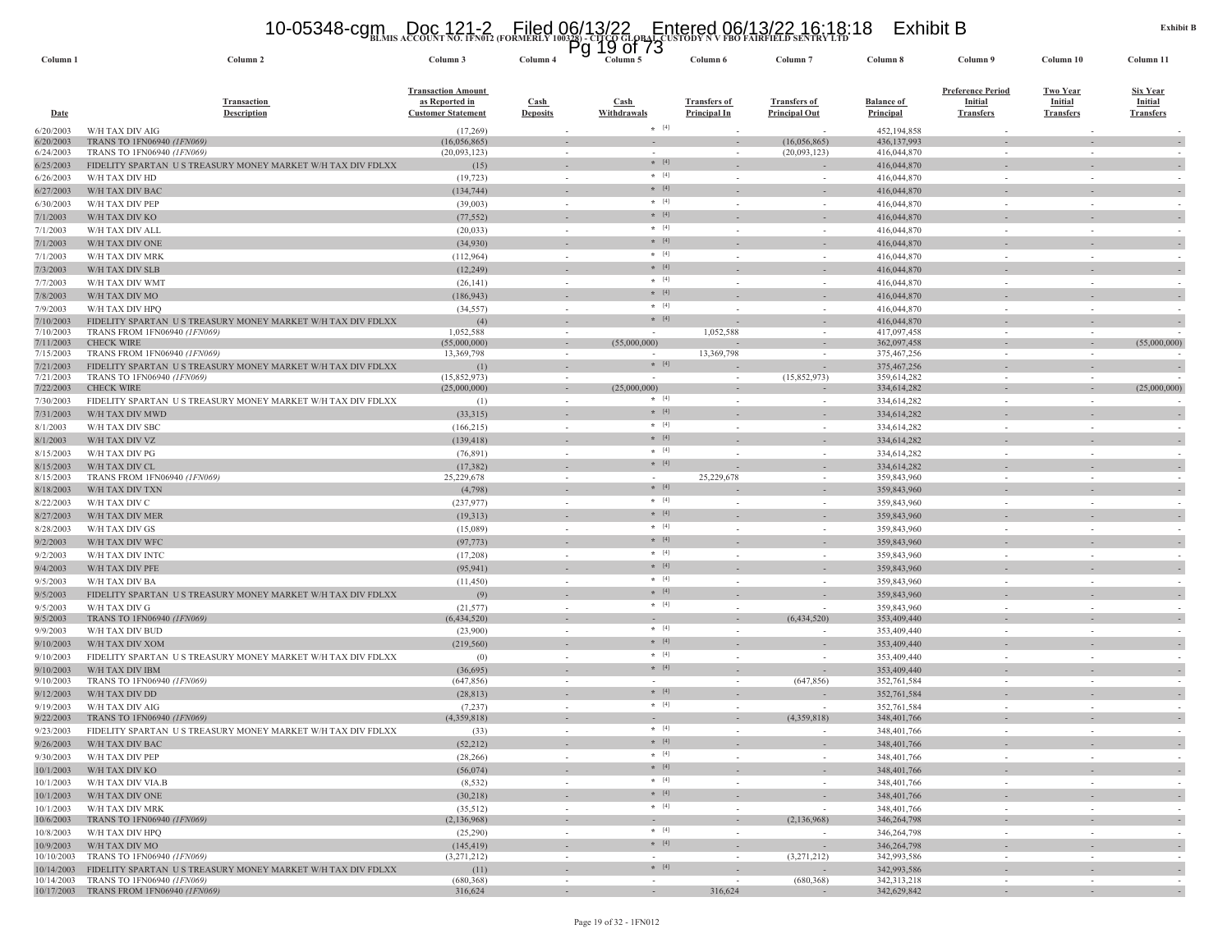# **BLMIS ACCOUNT NO. 1FN012 (FORMERLY 100328) - CITCO GLOBAL CUSTODY N V FBO FAIRFIELD SENTRY LTD** 10-05348-cgm Doc 121-2 Filed 06/13/22 Entered 06/13/22 16:18:18 Exhibit B Pg 19 of 73

| Column <sub>1</sub>    | Column 2                                                                                                        | Column 3                                                                 | Column 4                                 | ิษ | ⊥ສ<br>טו וט<br>Column 5    | Column 6                                   | Column <sub>7</sub>                                     | Column 8                              | Column 9                                                       | Column 10                                             | Column 11                                             |
|------------------------|-----------------------------------------------------------------------------------------------------------------|--------------------------------------------------------------------------|------------------------------------------|----|----------------------------|--------------------------------------------|---------------------------------------------------------|---------------------------------------|----------------------------------------------------------------|-------------------------------------------------------|-------------------------------------------------------|
| <b>Date</b>            | Transaction<br><b>Description</b>                                                                               | <b>Transaction Amount</b><br>as Reported in<br><b>Customer Statement</b> | $\operatorname{Cash}$<br><b>Deposits</b> |    | <b>Cash</b><br>Withdrawals | <b>Transfers of</b><br><b>Principal In</b> | <b>Transfers of</b><br><b>Principal Out</b>             | <b>Balance of</b><br><b>Principal</b> | <b>Preference Period</b><br><b>Initial</b><br><b>Transfers</b> | <b>Two Year</b><br><b>Initial</b><br><b>Transfers</b> | <b>Six Year</b><br><b>Initial</b><br><b>Transfers</b> |
| 6/20/2003              | W/H TAX DIV AIG                                                                                                 | (17,269)                                                                 | $\overline{\phantom{a}}$                 |    | $*$ [4]                    |                                            |                                                         | 452,194,858                           |                                                                |                                                       |                                                       |
| 6/20/2003<br>6/24/2003 | TRANS TO 1FN06940 <i>(1FN069)</i><br>TRANS TO 1FN06940 (1FN069)                                                 | (16,056,865)<br>(20,093,123)                                             | $\overline{\phantom{a}}$<br>$\sim$       |    | $\sim$                     |                                            | (16,056,865)<br>(20,093,123)                            | 436,137,993<br>416,044,870            |                                                                |                                                       |                                                       |
| 6/25/2003              | FIDELITY SPARTAN US TREASURY MONEY MARKET W/H TAX DIV FDLXX                                                     | (15)                                                                     | $\overline{\phantom{a}}$                 |    | $*$ [4]                    |                                            |                                                         | 416,044,870                           |                                                                |                                                       |                                                       |
| 6/26/2003              | W/H TAX DIV HD                                                                                                  | (19, 723)                                                                | $\sim$                                   |    | $\star$ [4]                |                                            | $\sim$                                                  | 416,044,870                           |                                                                |                                                       |                                                       |
| 6/27/2003              | W/H TAX DIV BAC                                                                                                 | (134, 744)                                                               |                                          |    | $*$ [4]                    |                                            |                                                         | 416,044,870                           |                                                                |                                                       |                                                       |
| 6/30/2003              | W/H TAX DIV PEP                                                                                                 | (39,003)                                                                 | $\sim$                                   |    | $*$ [4]<br>$* [4]$         |                                            | $\sim$                                                  | 416,044,870                           |                                                                | $\sim$                                                |                                                       |
| 7/1/2003               | W/H TAX DIV KO                                                                                                  | (77, 552)                                                                | $\sim$<br>$\sim$                         |    | $*$ [4]                    |                                            | $\sim$                                                  | 416,044,870                           |                                                                |                                                       |                                                       |
| 7/1/2003<br>7/1/2003   | W/H TAX DIV ALL<br>W/H TAX DIV ONE                                                                              | (20, 033)<br>(34,930)                                                    |                                          |    | $*$ [4]                    |                                            |                                                         | 416,044,870<br>416,044,870            |                                                                |                                                       |                                                       |
| 7/1/2003               | W/H TAX DIV MRK                                                                                                 | (112,964)                                                                | $\sim$                                   |    | $\star$ [4]                |                                            | $\sim$                                                  | 416,044,870                           |                                                                | $\overline{\phantom{a}}$                              |                                                       |
| 7/3/2003               | W/H TAX DIV SLB                                                                                                 | (12, 249)                                                                |                                          |    | $*$ [4]                    |                                            |                                                         | 416,044,870                           |                                                                |                                                       |                                                       |
| 7/7/2003               | W/H TAX DIV WMT                                                                                                 | (26, 141)                                                                | $\sim$                                   |    | $*$ [4]                    |                                            | $\sim$                                                  | 416,044,870                           |                                                                | $\sim$                                                |                                                       |
| 7/8/2003               | W/H TAX DIV MO                                                                                                  | (186, 943)                                                               |                                          |    | $\star$ [4]                |                                            |                                                         | 416,044,870                           |                                                                |                                                       |                                                       |
| 7/9/2003               | W/H TAX DIV HPQ                                                                                                 | (34, 557)                                                                | $\sim$                                   |    | $* [4]$                    |                                            | $\sim$                                                  | 416,044,870                           |                                                                | $\sim$                                                |                                                       |
| 7/10/2003<br>7/10/2003 | FIDELITY SPARTAN US TREASURY MONEY MARKET W/H TAX DIV FDLXX<br>TRANS FROM 1FN06940 (1FN069)                     | (4)<br>1,052,588                                                         | $\sim$                                   |    | $*$ [4]                    | 1,052,588                                  | $\sim$                                                  | 416,044,870<br>417,097,458            |                                                                | $\sim$                                                |                                                       |
| 7/11/2003              | <b>CHECK WIRE</b>                                                                                               | (55,000,000)                                                             | $\sim$                                   |    | (55,000,000)               |                                            | $\overline{\phantom{a}}$                                | 362,097,458                           | $\sim$                                                         | $\sim$                                                | (55,000,000)                                          |
| 7/15/2003              | TRANS FROM 1FN06940 (1FN069)                                                                                    | 13,369,798                                                               | $\overline{\phantom{a}}$                 |    |                            | 13,369,798                                 |                                                         | 375,467,256                           |                                                                |                                                       |                                                       |
| 7/21/2003              | FIDELITY SPARTAN US TREASURY MONEY MARKET W/H TAX DIV FDLXX                                                     | (1)                                                                      |                                          |    | $* [4]$                    |                                            |                                                         | 375,467,256                           |                                                                |                                                       |                                                       |
| 7/21/2003<br>7/22/2003 | TRANS TO 1FN06940 (1FN069)<br><b>CHECK WIRE</b>                                                                 | (15,852,973)<br>(25,000,000)                                             | $\sim$<br>$\sim$                         |    | (25,000,000)               |                                            | (15,852,973)                                            | 359,614,282<br>334,614,282            |                                                                | $\sim$<br>$\overline{\phantom{a}}$                    | (25,000,000)                                          |
| 7/30/2003              | FIDELITY SPARTAN US TREASURY MONEY MARKET W/H TAX DIV FDLXX                                                     | (1)                                                                      | $\sim$                                   |    | $\star$ [4]                |                                            | $\sim$                                                  | 334,614,282                           |                                                                |                                                       |                                                       |
| 7/31/2003              | W/H TAX DIV MWD                                                                                                 | (33,315)                                                                 |                                          |    | $*$ [4]                    |                                            |                                                         | 334,614,282                           |                                                                |                                                       |                                                       |
| 8/1/2003               | W/H TAX DIV SBC                                                                                                 | (166, 215)                                                               | $\sim$                                   |    | $*$ [4]                    |                                            | $\sim$                                                  | 334,614,282                           | $\sim$                                                         | ÷.                                                    |                                                       |
| 8/1/2003               | W/H TAX DIV VZ                                                                                                  | (139, 418)                                                               |                                          |    | $\star$ [4]                |                                            |                                                         | 334,614,282                           |                                                                |                                                       |                                                       |
| 8/15/2003              | W/H TAX DIV PG                                                                                                  | (76, 891)                                                                | $\sim$                                   |    | $* [4]$                    |                                            | $\sim$                                                  | 334,614,282                           | $\sim$                                                         | $\sim$                                                |                                                       |
| 8/15/2003              | W/H TAX DIV CL                                                                                                  | (17, 382)<br>25,229,678                                                  | $\sim$                                   |    | $*$ [4]                    | 25,229,678                                 | $\overline{\phantom{a}}$                                | 334,614,282                           |                                                                | $\sim$                                                |                                                       |
| 8/15/2003<br>8/18/2003 | TRANS FROM 1FN06940 (1FN069)<br>W/H TAX DIV TXN                                                                 | (4,798)                                                                  | $\sim$                                   |    | $* [4]$                    |                                            |                                                         | 359,843,960<br>359,843,960            |                                                                |                                                       | $\overline{\phantom{a}}$                              |
| 8/22/2003              | W/H TAX DIV C                                                                                                   | (237, 977)                                                               | $\overline{\phantom{a}}$                 |    | $\star$ [4]                |                                            | $\sim$                                                  | 359,843,960                           |                                                                | ÷,                                                    |                                                       |
| 8/27/2003              | W/H TAX DIV MER                                                                                                 | (19, 313)                                                                |                                          |    | $* [4]$                    |                                            |                                                         | 359,843,960                           |                                                                |                                                       |                                                       |
| 8/28/2003              | W/H TAX DIV GS                                                                                                  | (15,089)                                                                 | $\sim$                                   |    | $\star$ [4]                |                                            | $\mathcal{L}_{\mathcal{A}}$                             | 359,843,960                           |                                                                | $\sim$                                                |                                                       |
| 9/2/2003               | W/H TAX DIV WFC                                                                                                 | (97, 773)                                                                |                                          |    | $\star$ [4]                |                                            |                                                         | 359,843,960                           |                                                                |                                                       |                                                       |
| 9/2/2003               | W/H TAX DIV INTC                                                                                                | (17,208)                                                                 | $\sim$                                   |    | $* [4]$                    |                                            | $\sim$                                                  | 359,843,960                           |                                                                | $\sim$                                                |                                                       |
| 9/4/2003               | W/H TAX DIV PFE                                                                                                 | (95, 941)                                                                |                                          |    | $*$ [4]<br>$*$ [4]         |                                            |                                                         | 359,843,960                           |                                                                |                                                       |                                                       |
| 9/5/2003               | W/H TAX DIV BA                                                                                                  | (11, 450)                                                                | $\sim$                                   |    | $*$ [4]                    |                                            | $\sim$                                                  | 359,843,960                           |                                                                | $\sim$                                                |                                                       |
| 9/5/2003<br>9/5/2003   | FIDELITY SPARTAN US TREASURY MONEY MARKET W/H TAX DIV FDLXX<br>W/H TAX DIV G                                    | (9)<br>(21, 577)                                                         | $\sim$                                   |    | $*$ [4]                    |                                            | $\sim$                                                  | 359,843,960<br>359,843,960            |                                                                | $\sim$                                                | $\sim$                                                |
| 9/5/2003               | TRANS TO 1FN06940 (1FN069)                                                                                      | (6,434,520)                                                              | $\sim$                                   |    |                            |                                            | (6, 434, 520)                                           | 353,409,440                           |                                                                | ÷.                                                    |                                                       |
| 9/9/2003               | W/H TAX DIV BUD                                                                                                 | (23,900)                                                                 | $\sim$                                   |    | $*$ [4]                    |                                            | $\sim$                                                  | 353,409,440                           |                                                                | $\sim$                                                |                                                       |
| 9/10/2003              | W/H TAX DIV XOM                                                                                                 | (219, 560)                                                               |                                          |    | $*$ [4]                    |                                            |                                                         | 353,409,440                           |                                                                |                                                       |                                                       |
| 9/10/2003              | FIDELITY SPARTAN US TREASURY MONEY MARKET W/H TAX DIV FDLXX                                                     | (0)                                                                      | $\sim$                                   |    | $*$ [4]                    |                                            | $\sim$                                                  | 353,409,440                           |                                                                | $\sim$                                                |                                                       |
| 9/10/2003<br>9/10/2003 | W/H TAX DIV IBM                                                                                                 | (36,695)                                                                 | $\sim$                                   |    | $*$ [4]                    | $\sim$                                     | (647, 856)                                              | 353,409,440                           |                                                                | $\overline{\phantom{a}}$                              |                                                       |
| 9/12/2003              | TRANS TO 1FN06940 (1FN069)<br>W/H TAX DIV DD                                                                    | (647, 856)<br>(28, 813)                                                  |                                          |    | $* [4]$                    |                                            |                                                         | 352,761,584<br>352,761,584            |                                                                |                                                       |                                                       |
| 9/19/2003              | W/H TAX DIV AIG                                                                                                 | (7, 237)                                                                 | $\sim$                                   |    | $*$ [4]                    |                                            |                                                         | 352,761,584                           |                                                                | $\sim$                                                |                                                       |
| 9/22/2003              | TRANS TO 1FN06940 (1FN069)                                                                                      | (4,359,818)                                                              |                                          |    |                            |                                            | (4.359.818)                                             | 348, 401, 766                         |                                                                |                                                       |                                                       |
| 9/23/2003              | FIDELITY SPARTAN US TREASURY MONEY MARKET W/H TAX DIV FDLXX                                                     | (33)                                                                     | $\sim$                                   |    | $\star$ [4]                | $\sim$                                     |                                                         | 348, 401, 766                         |                                                                | $\sim$                                                |                                                       |
| 9/26/2003              | W/H TAX DIV BAC                                                                                                 | (52.212)                                                                 |                                          |    | $*$ [4]                    |                                            |                                                         | 348.401.766                           |                                                                |                                                       |                                                       |
| 9/30/2003              | W/H TAX DIV PEP                                                                                                 | (28, 266)                                                                | $\sim$                                   |    | $* [4]$<br>$*$ [4]         | $\sim$                                     | $\sim$                                                  | 348, 401, 766                         | $\sim$                                                         | $\sim$                                                | $\sim$                                                |
| 10/1/2003<br>10/1/2003 | W/H TAX DIV KO<br>W/H TAX DIV VIA.B                                                                             | (56, 074)<br>(8, 532)                                                    | $\overline{\phantom{a}}$<br>$\sim$       |    | $*$ [4]                    | $\sim$                                     | $\overline{\phantom{a}}$<br>$\mathcal{L}_{\mathcal{A}}$ | 348, 401, 766<br>348, 401, 766        | $\sim$                                                         | $\overline{\phantom{a}}$<br>$\sim$                    | $\overline{\phantom{a}}$<br>$\sim$                    |
| 10/1/2003              | W/H TAX DIV ONE                                                                                                 | (30,218)                                                                 | $\sim$                                   |    | $*$ [4]                    | $\sim$                                     | $\sim$                                                  | 348, 401, 766                         |                                                                | $\sim$                                                | $\overline{\phantom{a}}$                              |
| 10/1/2003              | W/H TAX DIV MRK                                                                                                 | (35,512)                                                                 | $\sim$                                   |    | $*$ [4]                    | $\sim$                                     | $\sim$                                                  | 348, 401, 766                         | $\sim$                                                         | $\sim$                                                | $\sim$                                                |
| 10/6/2003              | TRANS TO 1FN06940 (1FN069)                                                                                      | (2, 136, 968)                                                            | $\sim$                                   |    |                            | $\overline{\phantom{a}}$                   | (2, 136, 968)                                           | 346,264,798                           |                                                                | $\blacksquare$                                        | $\sim$                                                |
| 10/8/2003              | W/H TAX DIV HPQ                                                                                                 | (25,290)                                                                 | $\sim$                                   |    | $*$ [4]                    | $\sim$                                     | $\sim$                                                  | 346,264,798                           | $\sim$                                                         | $\sim$                                                | $\sim$                                                |
|                        | 10/9/2003 W/H TAX DIV MO                                                                                        | (145, 419)                                                               | $\sim$                                   |    | $*$ [4]                    | $\sim$                                     | $\sim$                                                  | 346,264,798                           |                                                                | $\sim$                                                | $\overline{\phantom{a}}$                              |
|                        | 10/10/2003 TRANS TO 1FN06940 (1FN069)<br>10/14/2003 FIDELITY SPARTAN US TREASURY MONEY MARKET W/H TAX DIV FDLXX | (3,271,212)<br>(11)                                                      | $\sim$<br>$\sim$                         |    | $\sim$<br>$*$ [4]          | $\sim$<br>$\sim$                           | (3,271,212)<br>$\sim$                                   | 342,993,586<br>342,993,586            | $\sim$                                                         | $\sim$<br>$\sim$                                      | $\overline{\phantom{a}}$<br>$\overline{\phantom{a}}$  |
|                        | 10/14/2003 TRANS TO 1FN06940 (1FN069)                                                                           | (680, 368)                                                               |                                          |    |                            |                                            | (680, 368)                                              | 342, 313, 218                         |                                                                |                                                       |                                                       |
|                        | 10/17/2003 TRANS FROM 1FN06940 (1FN069)                                                                         | 316,624                                                                  | $\sim$                                   |    | $\sim$                     | 316,624                                    |                                                         | 342,629,842                           | $\sim$                                                         |                                                       |                                                       |

Page 19 of 32 - 1FN012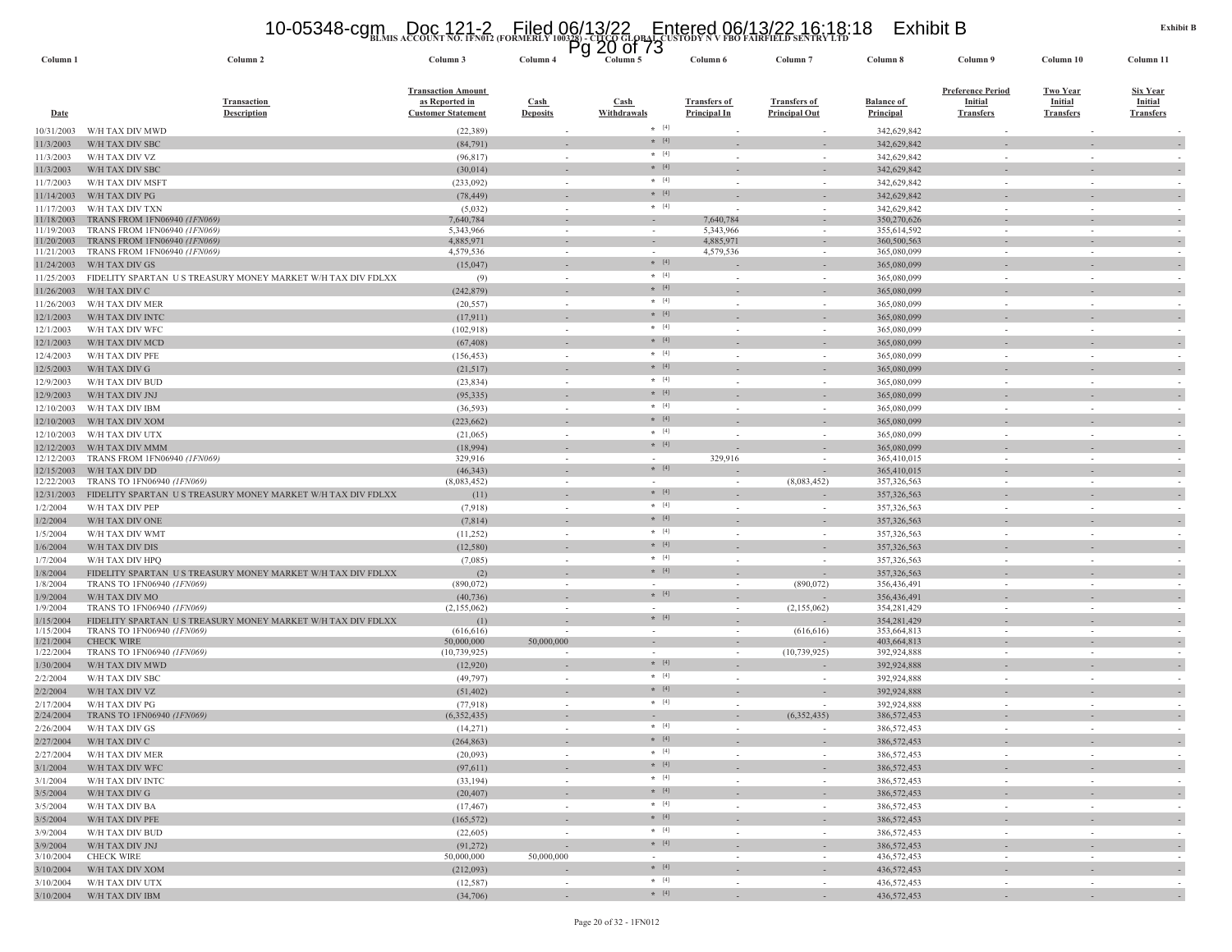# **BLMIS ACCOUNT NO. 1FN012 (FORMERLY 100328) - CITCO GLOBAL CUSTODY N V FBO FAIRFIELD SENTRY LTD** 10-05348-cgm Doc 121-2 Filed 06/13/22 Entered 06/13/22 16:18:18 Exhibit B Pg 20 of 73

| Column <sub>1</sub>      | Column 2                                                                                  | Column 3                                                                 | Column 4                 | гy<br>ΔU<br>טו וט<br>Column 5       | Column 6                                   | Column <sub>7</sub>                         | Column 8                              | Column 9                                                | Column 10                                             | Column 11                                             |
|--------------------------|-------------------------------------------------------------------------------------------|--------------------------------------------------------------------------|--------------------------|-------------------------------------|--------------------------------------------|---------------------------------------------|---------------------------------------|---------------------------------------------------------|-------------------------------------------------------|-------------------------------------------------------|
| <b>Date</b>              | <b>Transaction</b><br><b>Description</b>                                                  | <b>Transaction Amount</b><br>as Reported in<br><b>Customer Statement</b> | Cash<br><b>Deposits</b>  | Cash<br>Withdrawals                 | <b>Transfers of</b><br><b>Principal In</b> | <b>Transfers of</b><br><b>Principal Out</b> | <b>Balance of</b><br><b>Principal</b> | <b>Preference Period</b><br>Initial<br><b>Transfers</b> | <b>Two Year</b><br><b>Initial</b><br><b>Transfers</b> | <u>Six Year</u><br><b>Initial</b><br><b>Transfers</b> |
| 10/31/2003               | W/H TAX DIV MWD                                                                           | (22, 389)                                                                |                          | $*$ [4]                             |                                            |                                             | 342,629,842                           |                                                         |                                                       |                                                       |
| 11/3/2003                | W/H TAX DIV SBC                                                                           | (84, 791)                                                                |                          | $* [4]$                             |                                            |                                             | 342,629,842                           |                                                         |                                                       |                                                       |
| 11/3/2003                | W/H TAX DIV VZ                                                                            | (96, 817)                                                                | ÷,                       | $\star$ [4]<br>$* [4]$              |                                            | $\sim$                                      | 342,629,842                           |                                                         |                                                       |                                                       |
| 11/3/2003                | W/H TAX DIV SBC                                                                           | (30,014)                                                                 |                          | $\star$ [4]                         |                                            | $\overline{\phantom{a}}$                    | 342,629,842                           |                                                         |                                                       |                                                       |
| 11/7/2003                | W/H TAX DIV MSFT                                                                          | (233,092)                                                                | $\sim$                   | $*$ [4]                             |                                            | $\overline{\phantom{a}}$                    | 342,629,842<br>342,629,842            |                                                         | $\overline{\phantom{a}}$                              |                                                       |
| 11/14/2003<br>11/17/2003 | W/H TAX DIV PG<br>W/H TAX DIV TXN                                                         | (78, 449)<br>(5,032)                                                     | $\sim$                   | $*$ [4]                             |                                            | $\sim$                                      | 342,629,842                           |                                                         | $\sim$                                                |                                                       |
| 11/18/2003               | TRANS FROM 1FN06940 <i>(1FN069)</i>                                                       | 7,640,784                                                                |                          |                                     | 7,640,784                                  |                                             | 350,270,626                           |                                                         |                                                       |                                                       |
| 11/19/2003               | TRANS FROM 1FN06940 (1FN069)                                                              | 5,343,966                                                                | $\sim$                   | $\sim$                              | 5,343,966                                  | $\sim$                                      | 355,614,592                           | $\sim$                                                  | $\sim$                                                |                                                       |
| 11/20/2003<br>11/21/2003 | TRANS FROM 1FN06940 (1FN069)<br>TRANS FROM 1FN06940 (IFN069)                              | 4,885,971<br>4,579,536                                                   | $\sim$<br>$\sim$         | $\sim$                              | 4,885,971<br>4,579,536                     | $\overline{\phantom{a}}$                    | 360,500,563<br>365,080,099            |                                                         | $\sim$                                                |                                                       |
| 11/24/2003               | W/H TAX DIV GS                                                                            | (15,047)                                                                 | $\sim$                   | $*$ [4]                             |                                            | $\sim$                                      | 365,080,099                           |                                                         |                                                       |                                                       |
| 11/25/2003               | FIDELITY SPARTAN US TREASURY MONEY MARKET W/H TAX DIV FDLXX                               | (9)                                                                      | $\sim$                   | $* [4]$                             |                                            | $\sim$                                      | 365,080,099                           |                                                         | $\sim$                                                |                                                       |
| 11/26/2003               | W/H TAX DIV C                                                                             | (242, 879)                                                               | $\overline{\phantom{a}}$ | $* [4]$                             |                                            | $\sim$                                      | 365,080,099                           |                                                         |                                                       |                                                       |
| 11/26/2003               | W/H TAX DIV MER                                                                           | (20, 557)                                                                | $\sim$                   | $\star$ [4]                         |                                            | $\sim$                                      | 365,080,099                           |                                                         | $\sim$                                                |                                                       |
| 12/1/2003                | W/H TAX DIV INTC                                                                          | (17, 911)                                                                |                          | $*$ [4]                             |                                            |                                             | 365,080,099                           |                                                         |                                                       |                                                       |
| 12/1/2003                | W/H TAX DIV WFC                                                                           | (102, 918)                                                               | $\sim$                   | $\star$ [4]                         |                                            | $\sim$                                      | 365,080,099                           |                                                         | $\sim$                                                |                                                       |
| 12/1/2003                | W/H TAX DIV MCD                                                                           | (67, 408)                                                                |                          | $*$ [4]                             |                                            |                                             | 365,080,099                           |                                                         |                                                       |                                                       |
| 12/4/2003                | W/H TAX DIV PFE                                                                           | (156, 453)                                                               | $\sim$                   | $*$ [4]<br>$* [4]$                  |                                            | $\sim$                                      | 365,080,099                           |                                                         | $\sim$                                                |                                                       |
| 12/5/2003                | W/H TAX DIV G                                                                             | (21,517)                                                                 |                          | $*$ [4]                             |                                            |                                             | 365,080,099                           |                                                         |                                                       |                                                       |
| 12/9/2003                | W/H TAX DIV BUD                                                                           | (23, 834)                                                                | $\sim$                   | $*$ [4]                             | $\sim$                                     | $\sim$                                      | 365,080,099                           | $\sim$                                                  | $\sim$                                                |                                                       |
| 12/9/2003<br>12/10/2003  | W/H TAX DIV JNJ<br>W/H TAX DIV IBM                                                        | (95, 335)<br>(36, 593)                                                   | $\sim$<br>$\sim$         | $* [4]$                             |                                            | $\sim$                                      | 365,080,099<br>365,080,099            |                                                         | $\sim$                                                |                                                       |
| 12/10/2003               | W/H TAX DIV XOM                                                                           | (223, 662)                                                               | $\overline{\phantom{a}}$ | $* [4]$                             |                                            | $\sim$                                      | 365,080,099                           |                                                         |                                                       |                                                       |
| 12/10/2003               | W/H TAX DIV UTX                                                                           | (21,065)                                                                 | $\sim$                   | $\star$ [4]                         |                                            |                                             | 365,080,099                           |                                                         | ÷,                                                    |                                                       |
| 12/12/2003               | W/H TAX DIV MMM                                                                           | (18,994)                                                                 |                          | $*$ [4]                             |                                            |                                             | 365,080,099                           |                                                         |                                                       |                                                       |
| 12/12/2003               | TRANS FROM 1FN06940 (1FN069)                                                              | 329,916                                                                  | $\sim$                   |                                     | 329,916                                    | $\overline{\phantom{a}}$                    | 365,410,015                           |                                                         | $\sim$                                                |                                                       |
| 12/15/2003               | W/H TAX DIV DD                                                                            | (46, 343)                                                                |                          | $*$ [4]                             |                                            |                                             | 365,410,015                           |                                                         |                                                       |                                                       |
| 12/22/2003               | TRANS TO 1FN06940 (1FN069)                                                                | (8,083,452)                                                              | $\sim$                   | $\overline{\phantom{a}}$<br>$*$ [4] | $\sim$                                     | (8,083,452)                                 | 357,326,563                           | $\sim$                                                  | $\sim$                                                | $\sim$                                                |
| 12/31/2003<br>1/2/2004   | FIDELITY SPARTAN US TREASURY MONEY MARKET W/H TAX DIV FDLXX<br>W/H TAX DIV PEP            | (11)<br>(7,918)                                                          | $\sim$                   | $*$ [4]                             |                                            | $\sim$                                      | 357, 326, 563<br>357,326,563          |                                                         | $\sim$                                                |                                                       |
| 1/2/2004                 | W/H TAX DIV ONE                                                                           | (7,814)                                                                  |                          | $*$ [4]                             |                                            |                                             | 357, 326, 563                         |                                                         |                                                       |                                                       |
| 1/5/2004                 | W/H TAX DIV WMT                                                                           | (11,252)                                                                 | $\sim$                   | $*$ [4]                             |                                            | $\sim$                                      | 357,326,563                           |                                                         | $\sim$                                                |                                                       |
| 1/6/2004                 | W/H TAX DIV DIS                                                                           | (12, 580)                                                                | $\overline{\phantom{a}}$ | $* [4]$                             |                                            |                                             | 357, 326, 563                         |                                                         |                                                       | $\overline{\phantom{a}}$                              |
| 1/7/2004                 | W/H TAX DIV HPQ                                                                           | (7,085)                                                                  | $\sim$                   | $\star$ [4]                         |                                            | $\sim$                                      | 357,326,563                           |                                                         | $\overline{\phantom{a}}$                              |                                                       |
| 1/8/2004                 | FIDELITY SPARTAN US TREASURY MONEY MARKET W/H TAX DIV FDLXX                               | (2)                                                                      |                          | $* [4]$                             |                                            |                                             | 357,326,563                           |                                                         |                                                       |                                                       |
| 1/8/2004                 | TRANS TO 1FN06940 (1FN069)                                                                | (890, 072)                                                               | $\sim$                   |                                     |                                            | (890, 072)                                  | 356,436,491                           | $\sim$                                                  | $\sim$                                                |                                                       |
| 1/9/2004                 | W/H TAX DIV MO                                                                            | (40, 736)                                                                |                          | $* [4]$                             |                                            |                                             | 356,436,491                           |                                                         |                                                       |                                                       |
| 1/9/2004<br>1/15/2004    | TRANS TO 1FN06940 (1FN069)<br>FIDELITY SPARTAN US TREASURY MONEY MARKET W/H TAX DIV FDLXX | (2,155,062)<br>(1)                                                       | $\sim$                   | $* [4]$                             | $\sim$                                     | (2,155,062)                                 | 354,281,429<br>354,281,429            | $\sim$                                                  | $\sim$                                                |                                                       |
| 1/15/2004                | TRANS TO 1FN06940 (1FN069)                                                                | (616, 616)                                                               | $\sim$                   | $\sim$                              | $\sim$                                     | (616, 616)                                  | 353,664,813                           | $\sim$                                                  | $\sim$                                                | $\sim$                                                |
| 1/21/2004                | <b>CHECK WIRE</b>                                                                         | 50,000,000                                                               | 50,000,000               | $\sim$                              | $\sim$                                     |                                             | 403,664,813                           |                                                         | $\sim$                                                | $\overline{\phantom{a}}$                              |
| 1/22/2004                | TRANS TO 1FN06940 (1FN069)                                                                | (10, 739, 925)                                                           | $\overline{\phantom{a}}$ | $*$ [4]                             |                                            | (10, 739, 925)                              | 392,924,888                           |                                                         | $\sim$                                                |                                                       |
| 1/30/2004<br>2/2/2004    | W/H TAX DIV MWD<br>W/H TAX DIV SBC                                                        | (12,920)<br>(49, 797)                                                    | $\sim$<br>$\sim$         | $\star$ [4]                         |                                            | $\sim$                                      | 392,924,888<br>392,924,888            |                                                         | $\sim$                                                |                                                       |
| 2/2/2004                 | W/H TAX DIV VZ                                                                            | (51, 402)                                                                | $\overline{\phantom{a}}$ | $*$ [4]                             |                                            |                                             | 392,924,888                           |                                                         |                                                       |                                                       |
| 2/17/2004                | W/H TAX DIV PG                                                                            | (77, 918)                                                                | $\sim$                   | $\star$ [4]                         | $\sim$                                     |                                             | 392,924,888                           |                                                         | $\sim$                                                |                                                       |
| 2/24/2004                | TRANS TO 1FN06940 (1FN069)                                                                | (6,352,435)                                                              | $\overline{\phantom{a}}$ |                                     |                                            | (6,352,435)                                 | 386, 572, 453                         |                                                         |                                                       |                                                       |
| 2/26/2004                | W/H TAX DIV GS                                                                            | (14,271)                                                                 |                          | $*$ [4]                             |                                            |                                             | 386,572,453                           |                                                         |                                                       |                                                       |
| 2/27/2004                | W/H TAX DIV C                                                                             | (264, 863)                                                               |                          | $*$ [4]                             |                                            |                                             | 386,572,453                           |                                                         |                                                       |                                                       |
| 2/27/2004                | W/H TAX DIV MER                                                                           | (20,093)                                                                 | $\sim$                   | $*$ [4]                             | $\sim$                                     | $\sim$                                      | 386,572,453                           | $\sim$                                                  | $\sim$                                                | $\overline{\phantom{a}}$                              |
| 3/1/2004                 | W/H TAX DIV WFC                                                                           | (97, 611)                                                                |                          | $\star$ [4]<br>$*$ [4]              |                                            | $\overline{\phantom{a}}$                    | 386,572,453                           |                                                         |                                                       | $\sim$                                                |
| 3/1/2004                 | W/H TAX DIV INTC                                                                          | (33, 194)                                                                | $\sim$                   | $*$ [4]                             | $\sim$                                     | $\sim$                                      | 386,572,453                           | $\sim$                                                  | $\sim$                                                | $\sim$                                                |
| 3/5/2004                 | W/H TAX DIV G<br>W/H TAX DIV BA                                                           | (20, 407)                                                                | $\sim$                   | $*$ [4]                             | $\sim$                                     | $\sim$                                      | 386,572,453                           |                                                         | $\overline{\phantom{a}}$                              | $\overline{\phantom{a}}$                              |
| 3/5/2004<br>3/5/2004     | W/H TAX DIV PFE                                                                           | (17, 467)<br>(165, 572)                                                  | $\sim$<br>$\sim$         | $*$ [4]                             | $\sim$                                     | $\sim$<br>$\sim$                            | 386,572,453<br>386,572,453            | $\sim$<br>$\sim$                                        | $\sim$<br>$\sim$                                      | $\overline{\phantom{a}}$<br>$\overline{\phantom{a}}$  |
| 3/9/2004                 | W/H TAX DIV BUD                                                                           | (22,605)                                                                 | $\overline{\phantom{a}}$ | $*$ [4]                             | $\sim$                                     | $\sim$                                      | 386,572,453                           | $\sim$                                                  | $\overline{\phantom{a}}$                              | $\sim$                                                |
| 3/9/2004                 | W/H TAX DIV JNJ                                                                           | (91, 272)                                                                | $\sim$                   | $*$ [4]                             |                                            | $\overline{\phantom{a}}$                    | 386,572,453                           |                                                         | $\overline{\phantom{a}}$                              | $\overline{\phantom{a}}$                              |
| 3/10/2004                | <b>CHECK WIRE</b>                                                                         | 50,000,000                                                               | 50,000,000               | $\sim$                              | $\sim$                                     | $\sim$                                      | 436,572,453                           | $\sim$                                                  | $\sim$                                                | $\overline{\phantom{a}}$                              |
| 3/10/2004                | W/H TAX DIV XOM                                                                           | (212,093)                                                                | $\overline{\phantom{a}}$ | $*$ [4]                             |                                            | $\overline{\phantom{a}}$                    | 436,572,453                           |                                                         | $\overline{\phantom{a}}$                              | $\overline{\phantom{a}}$                              |
| 3/10/2004                | W/H TAX DIV UTX                                                                           | (12, 587)                                                                | $\sim$                   | $*$ [4]                             | $\sim$                                     | $\sim$                                      | 436,572,453                           | $\sim$                                                  | $\sim$                                                | $\sim$                                                |
| 3/10/2004                | W/H TAX DIV IBM                                                                           | (34,706)                                                                 |                          | $*$ [4]                             |                                            |                                             | 436,572,453                           |                                                         |                                                       |                                                       |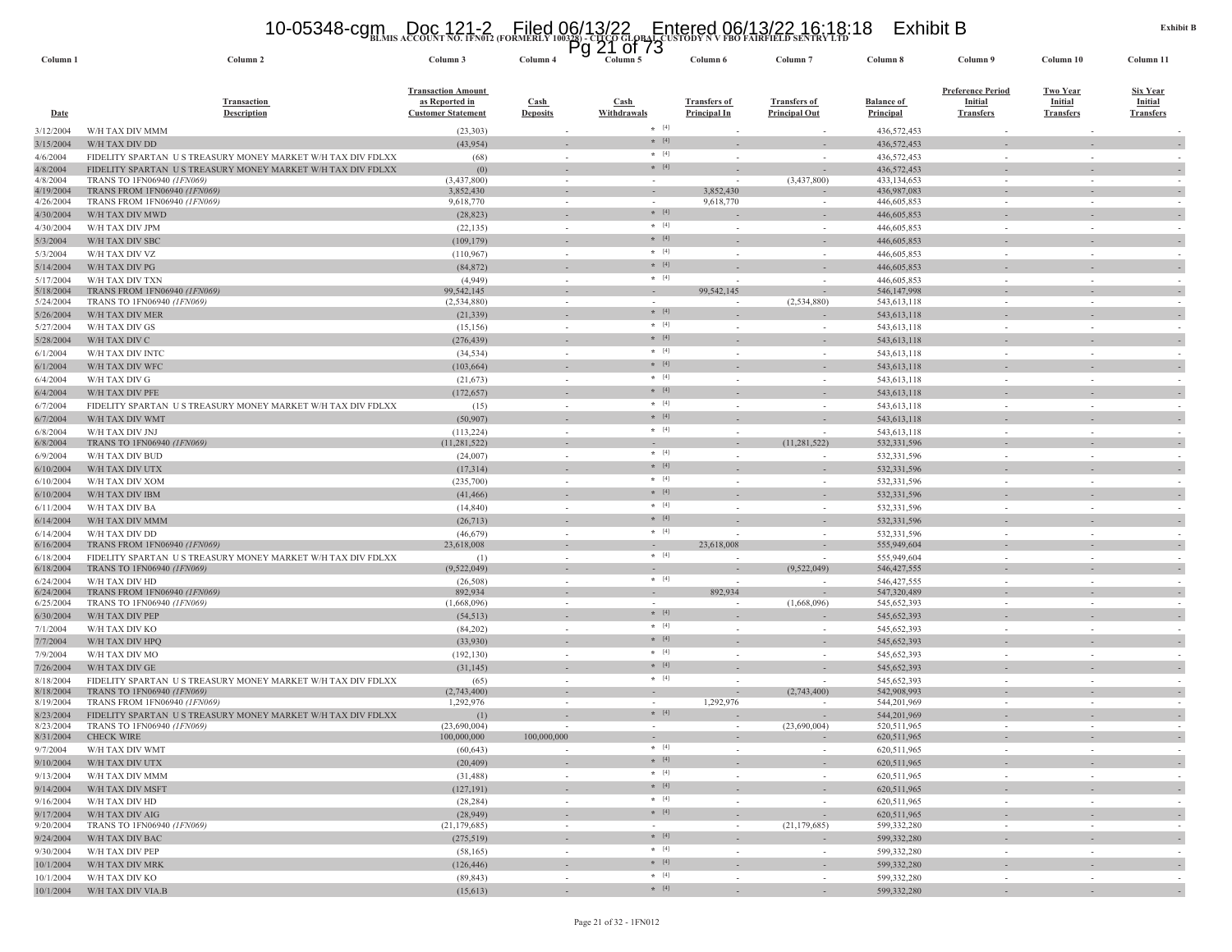# **BLMIS ACCOUNT NO. 1FN012 (FORMERLY 100328) - CITCO GLOBAL CUSTODY N V FBO FAIRFIELD SENTRY LTD** 10-05348-cgm Doc 121-2 Filed 06/13/22 Entered 06/13/22 16:18:18 Exhibit B Pg 21 of 73

| Column 2                                                    | Column 3                                                                                                                                                                                                                                                                                                                                                                                                                                                                                                                                                                                                                                                                                                                                                                                                                                                                                                                                                                                                                                                                                                                                                                  | Column 4                                                                                                                                                                                                                                                                                                                                                                                                                                                                                                 |                                                                                                                         |             | Column 6                                                                                                                                                                                                                                                                                                                                                                                                             | Column <sub>7</sub>                                                                                                                        | Column 8                                                                                                                     | Column 9                                                                                                                                                                                                                                                                                                                                                                                                                                                                                                                                                     | Column 10                                                                    | Column 11                                                                                                               |                                                      |
|-------------------------------------------------------------|---------------------------------------------------------------------------------------------------------------------------------------------------------------------------------------------------------------------------------------------------------------------------------------------------------------------------------------------------------------------------------------------------------------------------------------------------------------------------------------------------------------------------------------------------------------------------------------------------------------------------------------------------------------------------------------------------------------------------------------------------------------------------------------------------------------------------------------------------------------------------------------------------------------------------------------------------------------------------------------------------------------------------------------------------------------------------------------------------------------------------------------------------------------------------|----------------------------------------------------------------------------------------------------------------------------------------------------------------------------------------------------------------------------------------------------------------------------------------------------------------------------------------------------------------------------------------------------------------------------------------------------------------------------------------------------------|-------------------------------------------------------------------------------------------------------------------------|-------------|----------------------------------------------------------------------------------------------------------------------------------------------------------------------------------------------------------------------------------------------------------------------------------------------------------------------------------------------------------------------------------------------------------------------|--------------------------------------------------------------------------------------------------------------------------------------------|------------------------------------------------------------------------------------------------------------------------------|--------------------------------------------------------------------------------------------------------------------------------------------------------------------------------------------------------------------------------------------------------------------------------------------------------------------------------------------------------------------------------------------------------------------------------------------------------------------------------------------------------------------------------------------------------------|------------------------------------------------------------------------------|-------------------------------------------------------------------------------------------------------------------------|------------------------------------------------------|
| <b>Transaction</b><br><b>Description</b>                    | <b>Transaction Amount</b><br>as Reported in<br><b>Customer Statement</b>                                                                                                                                                                                                                                                                                                                                                                                                                                                                                                                                                                                                                                                                                                                                                                                                                                                                                                                                                                                                                                                                                                  | <b>Cash</b><br><b>Deposits</b>                                                                                                                                                                                                                                                                                                                                                                                                                                                                           |                                                                                                                         |             | <b>Transfers of</b><br><b>Principal In</b>                                                                                                                                                                                                                                                                                                                                                                           | <b>Transfers of</b><br><u>Principal Out</u>                                                                                                | <b>Balance of</b><br><b>Principal</b>                                                                                        | <b>Preference Period</b><br><b>Initial</b><br><b>Transfers</b>                                                                                                                                                                                                                                                                                                                                                                                                                                                                                               | <b>Two Year</b><br><b>Initial</b><br><b>Transfers</b>                        | <b>Six Year</b><br><b>Initial</b><br><b>Transfers</b>                                                                   |                                                      |
| W/H TAX DIV MMM                                             | (23,303)                                                                                                                                                                                                                                                                                                                                                                                                                                                                                                                                                                                                                                                                                                                                                                                                                                                                                                                                                                                                                                                                                                                                                                  |                                                                                                                                                                                                                                                                                                                                                                                                                                                                                                          |                                                                                                                         |             |                                                                                                                                                                                                                                                                                                                                                                                                                      |                                                                                                                                            | 436,572,453                                                                                                                  |                                                                                                                                                                                                                                                                                                                                                                                                                                                                                                                                                              |                                                                              |                                                                                                                         |                                                      |
|                                                             | (43, 954)                                                                                                                                                                                                                                                                                                                                                                                                                                                                                                                                                                                                                                                                                                                                                                                                                                                                                                                                                                                                                                                                                                                                                                 |                                                                                                                                                                                                                                                                                                                                                                                                                                                                                                          |                                                                                                                         |             |                                                                                                                                                                                                                                                                                                                                                                                                                      |                                                                                                                                            | 436,572,453                                                                                                                  |                                                                                                                                                                                                                                                                                                                                                                                                                                                                                                                                                              |                                                                              |                                                                                                                         |                                                      |
| FIDELITY SPARTAN US TREASURY MONEY MARKET W/H TAX DIV FDLXX | (68)                                                                                                                                                                                                                                                                                                                                                                                                                                                                                                                                                                                                                                                                                                                                                                                                                                                                                                                                                                                                                                                                                                                                                                      | $\sim$                                                                                                                                                                                                                                                                                                                                                                                                                                                                                                   |                                                                                                                         |             |                                                                                                                                                                                                                                                                                                                                                                                                                      |                                                                                                                                            | 436,572,453                                                                                                                  |                                                                                                                                                                                                                                                                                                                                                                                                                                                                                                                                                              |                                                                              |                                                                                                                         |                                                      |
|                                                             |                                                                                                                                                                                                                                                                                                                                                                                                                                                                                                                                                                                                                                                                                                                                                                                                                                                                                                                                                                                                                                                                                                                                                                           |                                                                                                                                                                                                                                                                                                                                                                                                                                                                                                          |                                                                                                                         |             |                                                                                                                                                                                                                                                                                                                                                                                                                      |                                                                                                                                            |                                                                                                                              |                                                                                                                                                                                                                                                                                                                                                                                                                                                                                                                                                              |                                                                              |                                                                                                                         |                                                      |
|                                                             |                                                                                                                                                                                                                                                                                                                                                                                                                                                                                                                                                                                                                                                                                                                                                                                                                                                                                                                                                                                                                                                                                                                                                                           |                                                                                                                                                                                                                                                                                                                                                                                                                                                                                                          |                                                                                                                         |             |                                                                                                                                                                                                                                                                                                                                                                                                                      |                                                                                                                                            |                                                                                                                              |                                                                                                                                                                                                                                                                                                                                                                                                                                                                                                                                                              |                                                                              |                                                                                                                         |                                                      |
|                                                             |                                                                                                                                                                                                                                                                                                                                                                                                                                                                                                                                                                                                                                                                                                                                                                                                                                                                                                                                                                                                                                                                                                                                                                           |                                                                                                                                                                                                                                                                                                                                                                                                                                                                                                          |                                                                                                                         |             |                                                                                                                                                                                                                                                                                                                                                                                                                      |                                                                                                                                            |                                                                                                                              |                                                                                                                                                                                                                                                                                                                                                                                                                                                                                                                                                              |                                                                              |                                                                                                                         |                                                      |
| W/H TAX DIV MWD                                             | (28, 823)                                                                                                                                                                                                                                                                                                                                                                                                                                                                                                                                                                                                                                                                                                                                                                                                                                                                                                                                                                                                                                                                                                                                                                 |                                                                                                                                                                                                                                                                                                                                                                                                                                                                                                          |                                                                                                                         | $* [4]$     |                                                                                                                                                                                                                                                                                                                                                                                                                      |                                                                                                                                            | 446,605,853                                                                                                                  |                                                                                                                                                                                                                                                                                                                                                                                                                                                                                                                                                              |                                                                              |                                                                                                                         |                                                      |
| W/H TAX DIV JPM                                             | (22, 135)                                                                                                                                                                                                                                                                                                                                                                                                                                                                                                                                                                                                                                                                                                                                                                                                                                                                                                                                                                                                                                                                                                                                                                 | $\sim$                                                                                                                                                                                                                                                                                                                                                                                                                                                                                                   |                                                                                                                         | $*$ [4]     | $\overline{\phantom{a}}$                                                                                                                                                                                                                                                                                                                                                                                             | $\sim$                                                                                                                                     | 446,605,853                                                                                                                  | $\sim$                                                                                                                                                                                                                                                                                                                                                                                                                                                                                                                                                       | $\sim$                                                                       |                                                                                                                         |                                                      |
| W/H TAX DIV SBC                                             | (109, 179)                                                                                                                                                                                                                                                                                                                                                                                                                                                                                                                                                                                                                                                                                                                                                                                                                                                                                                                                                                                                                                                                                                                                                                |                                                                                                                                                                                                                                                                                                                                                                                                                                                                                                          |                                                                                                                         | $* [4]$     |                                                                                                                                                                                                                                                                                                                                                                                                                      |                                                                                                                                            | 446,605,853                                                                                                                  |                                                                                                                                                                                                                                                                                                                                                                                                                                                                                                                                                              |                                                                              |                                                                                                                         |                                                      |
| W/H TAX DIV VZ                                              | (110, 967)                                                                                                                                                                                                                                                                                                                                                                                                                                                                                                                                                                                                                                                                                                                                                                                                                                                                                                                                                                                                                                                                                                                                                                |                                                                                                                                                                                                                                                                                                                                                                                                                                                                                                          |                                                                                                                         | $\star$ [4] |                                                                                                                                                                                                                                                                                                                                                                                                                      | $\sim$                                                                                                                                     | 446,605,853                                                                                                                  | $\sim$                                                                                                                                                                                                                                                                                                                                                                                                                                                                                                                                                       | $\sim$                                                                       |                                                                                                                         |                                                      |
|                                                             | (84, 872)                                                                                                                                                                                                                                                                                                                                                                                                                                                                                                                                                                                                                                                                                                                                                                                                                                                                                                                                                                                                                                                                                                                                                                 |                                                                                                                                                                                                                                                                                                                                                                                                                                                                                                          |                                                                                                                         |             |                                                                                                                                                                                                                                                                                                                                                                                                                      |                                                                                                                                            | 446,605,853                                                                                                                  |                                                                                                                                                                                                                                                                                                                                                                                                                                                                                                                                                              |                                                                              |                                                                                                                         |                                                      |
| W/H TAX DIV TXN                                             | (4,949)                                                                                                                                                                                                                                                                                                                                                                                                                                                                                                                                                                                                                                                                                                                                                                                                                                                                                                                                                                                                                                                                                                                                                                   | $\sim$                                                                                                                                                                                                                                                                                                                                                                                                                                                                                                   |                                                                                                                         | $* [4]$     |                                                                                                                                                                                                                                                                                                                                                                                                                      | $\sim$                                                                                                                                     | 446,605,853                                                                                                                  | $\sim$                                                                                                                                                                                                                                                                                                                                                                                                                                                                                                                                                       | $\sim$                                                                       |                                                                                                                         |                                                      |
|                                                             |                                                                                                                                                                                                                                                                                                                                                                                                                                                                                                                                                                                                                                                                                                                                                                                                                                                                                                                                                                                                                                                                                                                                                                           |                                                                                                                                                                                                                                                                                                                                                                                                                                                                                                          |                                                                                                                         | $\sim$      |                                                                                                                                                                                                                                                                                                                                                                                                                      |                                                                                                                                            |                                                                                                                              |                                                                                                                                                                                                                                                                                                                                                                                                                                                                                                                                                              | $\sim$                                                                       |                                                                                                                         |                                                      |
|                                                             |                                                                                                                                                                                                                                                                                                                                                                                                                                                                                                                                                                                                                                                                                                                                                                                                                                                                                                                                                                                                                                                                                                                                                                           |                                                                                                                                                                                                                                                                                                                                                                                                                                                                                                          |                                                                                                                         |             |                                                                                                                                                                                                                                                                                                                                                                                                                      |                                                                                                                                            |                                                                                                                              |                                                                                                                                                                                                                                                                                                                                                                                                                                                                                                                                                              |                                                                              |                                                                                                                         |                                                      |
|                                                             |                                                                                                                                                                                                                                                                                                                                                                                                                                                                                                                                                                                                                                                                                                                                                                                                                                                                                                                                                                                                                                                                                                                                                                           |                                                                                                                                                                                                                                                                                                                                                                                                                                                                                                          |                                                                                                                         |             |                                                                                                                                                                                                                                                                                                                                                                                                                      |                                                                                                                                            |                                                                                                                              |                                                                                                                                                                                                                                                                                                                                                                                                                                                                                                                                                              |                                                                              |                                                                                                                         |                                                      |
|                                                             |                                                                                                                                                                                                                                                                                                                                                                                                                                                                                                                                                                                                                                                                                                                                                                                                                                                                                                                                                                                                                                                                                                                                                                           |                                                                                                                                                                                                                                                                                                                                                                                                                                                                                                          |                                                                                                                         |             |                                                                                                                                                                                                                                                                                                                                                                                                                      |                                                                                                                                            |                                                                                                                              |                                                                                                                                                                                                                                                                                                                                                                                                                                                                                                                                                              |                                                                              |                                                                                                                         |                                                      |
|                                                             |                                                                                                                                                                                                                                                                                                                                                                                                                                                                                                                                                                                                                                                                                                                                                                                                                                                                                                                                                                                                                                                                                                                                                                           |                                                                                                                                                                                                                                                                                                                                                                                                                                                                                                          |                                                                                                                         | $*$ [4]     |                                                                                                                                                                                                                                                                                                                                                                                                                      |                                                                                                                                            |                                                                                                                              |                                                                                                                                                                                                                                                                                                                                                                                                                                                                                                                                                              |                                                                              |                                                                                                                         |                                                      |
|                                                             |                                                                                                                                                                                                                                                                                                                                                                                                                                                                                                                                                                                                                                                                                                                                                                                                                                                                                                                                                                                                                                                                                                                                                                           |                                                                                                                                                                                                                                                                                                                                                                                                                                                                                                          |                                                                                                                         | $\star$ [4] |                                                                                                                                                                                                                                                                                                                                                                                                                      |                                                                                                                                            |                                                                                                                              |                                                                                                                                                                                                                                                                                                                                                                                                                                                                                                                                                              |                                                                              |                                                                                                                         |                                                      |
|                                                             |                                                                                                                                                                                                                                                                                                                                                                                                                                                                                                                                                                                                                                                                                                                                                                                                                                                                                                                                                                                                                                                                                                                                                                           |                                                                                                                                                                                                                                                                                                                                                                                                                                                                                                          |                                                                                                                         | $*$ [4]     |                                                                                                                                                                                                                                                                                                                                                                                                                      |                                                                                                                                            |                                                                                                                              |                                                                                                                                                                                                                                                                                                                                                                                                                                                                                                                                                              |                                                                              |                                                                                                                         |                                                      |
|                                                             |                                                                                                                                                                                                                                                                                                                                                                                                                                                                                                                                                                                                                                                                                                                                                                                                                                                                                                                                                                                                                                                                                                                                                                           |                                                                                                                                                                                                                                                                                                                                                                                                                                                                                                          |                                                                                                                         | $*$ [4]     |                                                                                                                                                                                                                                                                                                                                                                                                                      |                                                                                                                                            |                                                                                                                              |                                                                                                                                                                                                                                                                                                                                                                                                                                                                                                                                                              |                                                                              |                                                                                                                         |                                                      |
|                                                             |                                                                                                                                                                                                                                                                                                                                                                                                                                                                                                                                                                                                                                                                                                                                                                                                                                                                                                                                                                                                                                                                                                                                                                           | $\sim$                                                                                                                                                                                                                                                                                                                                                                                                                                                                                                   |                                                                                                                         | $*$ [4]     | ÷.                                                                                                                                                                                                                                                                                                                                                                                                                   | $\sim$                                                                                                                                     |                                                                                                                              | $\sim$                                                                                                                                                                                                                                                                                                                                                                                                                                                                                                                                                       | $\sim$                                                                       |                                                                                                                         |                                                      |
|                                                             |                                                                                                                                                                                                                                                                                                                                                                                                                                                                                                                                                                                                                                                                                                                                                                                                                                                                                                                                                                                                                                                                                                                                                                           | $\sim$                                                                                                                                                                                                                                                                                                                                                                                                                                                                                                   |                                                                                                                         | $*$ [4]     |                                                                                                                                                                                                                                                                                                                                                                                                                      |                                                                                                                                            |                                                                                                                              |                                                                                                                                                                                                                                                                                                                                                                                                                                                                                                                                                              |                                                                              |                                                                                                                         |                                                      |
|                                                             |                                                                                                                                                                                                                                                                                                                                                                                                                                                                                                                                                                                                                                                                                                                                                                                                                                                                                                                                                                                                                                                                                                                                                                           |                                                                                                                                                                                                                                                                                                                                                                                                                                                                                                          |                                                                                                                         | $*$ [4]     |                                                                                                                                                                                                                                                                                                                                                                                                                      |                                                                                                                                            |                                                                                                                              | $\sim$                                                                                                                                                                                                                                                                                                                                                                                                                                                                                                                                                       | $\sim$                                                                       |                                                                                                                         |                                                      |
|                                                             | (11, 281, 522)                                                                                                                                                                                                                                                                                                                                                                                                                                                                                                                                                                                                                                                                                                                                                                                                                                                                                                                                                                                                                                                                                                                                                            |                                                                                                                                                                                                                                                                                                                                                                                                                                                                                                          |                                                                                                                         |             |                                                                                                                                                                                                                                                                                                                                                                                                                      | (11, 281, 522)                                                                                                                             | 532,331,596                                                                                                                  |                                                                                                                                                                                                                                                                                                                                                                                                                                                                                                                                                              |                                                                              |                                                                                                                         |                                                      |
| W/H TAX DIV BUD                                             | (24,007)                                                                                                                                                                                                                                                                                                                                                                                                                                                                                                                                                                                                                                                                                                                                                                                                                                                                                                                                                                                                                                                                                                                                                                  | $\sim$                                                                                                                                                                                                                                                                                                                                                                                                                                                                                                   |                                                                                                                         | $*$ [4]     |                                                                                                                                                                                                                                                                                                                                                                                                                      |                                                                                                                                            | 532,331,596                                                                                                                  | $\sim$                                                                                                                                                                                                                                                                                                                                                                                                                                                                                                                                                       | $\sim$                                                                       |                                                                                                                         |                                                      |
| W/H TAX DIV UTX                                             | (17,314)                                                                                                                                                                                                                                                                                                                                                                                                                                                                                                                                                                                                                                                                                                                                                                                                                                                                                                                                                                                                                                                                                                                                                                  |                                                                                                                                                                                                                                                                                                                                                                                                                                                                                                          |                                                                                                                         |             |                                                                                                                                                                                                                                                                                                                                                                                                                      |                                                                                                                                            | 532,331,596                                                                                                                  |                                                                                                                                                                                                                                                                                                                                                                                                                                                                                                                                                              |                                                                              |                                                                                                                         |                                                      |
|                                                             | (235,700)                                                                                                                                                                                                                                                                                                                                                                                                                                                                                                                                                                                                                                                                                                                                                                                                                                                                                                                                                                                                                                                                                                                                                                 | $\sim$                                                                                                                                                                                                                                                                                                                                                                                                                                                                                                   |                                                                                                                         |             | $\sim$                                                                                                                                                                                                                                                                                                                                                                                                               | $\sim$                                                                                                                                     | 532,331,596                                                                                                                  | $\sim$                                                                                                                                                                                                                                                                                                                                                                                                                                                                                                                                                       | ÷.                                                                           |                                                                                                                         |                                                      |
|                                                             | (41, 466)                                                                                                                                                                                                                                                                                                                                                                                                                                                                                                                                                                                                                                                                                                                                                                                                                                                                                                                                                                                                                                                                                                                                                                 |                                                                                                                                                                                                                                                                                                                                                                                                                                                                                                          |                                                                                                                         |             |                                                                                                                                                                                                                                                                                                                                                                                                                      |                                                                                                                                            | 532,331,596                                                                                                                  |                                                                                                                                                                                                                                                                                                                                                                                                                                                                                                                                                              |                                                                              |                                                                                                                         |                                                      |
| W/H TAX DIV BA                                              | (14, 840)                                                                                                                                                                                                                                                                                                                                                                                                                                                                                                                                                                                                                                                                                                                                                                                                                                                                                                                                                                                                                                                                                                                                                                 | $\sim$                                                                                                                                                                                                                                                                                                                                                                                                                                                                                                   |                                                                                                                         |             | $\sim$                                                                                                                                                                                                                                                                                                                                                                                                               | $\sim$                                                                                                                                     | 532,331,596                                                                                                                  | $\sim$                                                                                                                                                                                                                                                                                                                                                                                                                                                                                                                                                       | $\sim$                                                                       |                                                                                                                         |                                                      |
| W/H TAX DIV MMM                                             | (26, 713)                                                                                                                                                                                                                                                                                                                                                                                                                                                                                                                                                                                                                                                                                                                                                                                                                                                                                                                                                                                                                                                                                                                                                                 |                                                                                                                                                                                                                                                                                                                                                                                                                                                                                                          |                                                                                                                         |             |                                                                                                                                                                                                                                                                                                                                                                                                                      |                                                                                                                                            | 532,331,596                                                                                                                  |                                                                                                                                                                                                                                                                                                                                                                                                                                                                                                                                                              |                                                                              |                                                                                                                         |                                                      |
| W/H TAX DIV DD                                              | (46, 679)                                                                                                                                                                                                                                                                                                                                                                                                                                                                                                                                                                                                                                                                                                                                                                                                                                                                                                                                                                                                                                                                                                                                                                 | $\sim$                                                                                                                                                                                                                                                                                                                                                                                                                                                                                                   |                                                                                                                         |             |                                                                                                                                                                                                                                                                                                                                                                                                                      | $\sim$                                                                                                                                     | 532, 331, 596                                                                                                                | $\sim$                                                                                                                                                                                                                                                                                                                                                                                                                                                                                                                                                       | $\sim$                                                                       |                                                                                                                         |                                                      |
|                                                             |                                                                                                                                                                                                                                                                                                                                                                                                                                                                                                                                                                                                                                                                                                                                                                                                                                                                                                                                                                                                                                                                                                                                                                           |                                                                                                                                                                                                                                                                                                                                                                                                                                                                                                          |                                                                                                                         |             |                                                                                                                                                                                                                                                                                                                                                                                                                      |                                                                                                                                            |                                                                                                                              |                                                                                                                                                                                                                                                                                                                                                                                                                                                                                                                                                              |                                                                              |                                                                                                                         |                                                      |
|                                                             |                                                                                                                                                                                                                                                                                                                                                                                                                                                                                                                                                                                                                                                                                                                                                                                                                                                                                                                                                                                                                                                                                                                                                                           |                                                                                                                                                                                                                                                                                                                                                                                                                                                                                                          |                                                                                                                         | $\sim$      |                                                                                                                                                                                                                                                                                                                                                                                                                      |                                                                                                                                            |                                                                                                                              |                                                                                                                                                                                                                                                                                                                                                                                                                                                                                                                                                              | $\sim$                                                                       |                                                                                                                         |                                                      |
|                                                             |                                                                                                                                                                                                                                                                                                                                                                                                                                                                                                                                                                                                                                                                                                                                                                                                                                                                                                                                                                                                                                                                                                                                                                           | $\sim$                                                                                                                                                                                                                                                                                                                                                                                                                                                                                                   |                                                                                                                         | $* [4]$     |                                                                                                                                                                                                                                                                                                                                                                                                                      |                                                                                                                                            |                                                                                                                              | $\sim$                                                                                                                                                                                                                                                                                                                                                                                                                                                                                                                                                       |                                                                              |                                                                                                                         |                                                      |
| TRANS FROM 1FN06940 (1FN069)                                | 892,934                                                                                                                                                                                                                                                                                                                                                                                                                                                                                                                                                                                                                                                                                                                                                                                                                                                                                                                                                                                                                                                                                                                                                                   |                                                                                                                                                                                                                                                                                                                                                                                                                                                                                                          |                                                                                                                         |             | 892,934                                                                                                                                                                                                                                                                                                                                                                                                              |                                                                                                                                            | 547,320,489                                                                                                                  |                                                                                                                                                                                                                                                                                                                                                                                                                                                                                                                                                              |                                                                              |                                                                                                                         |                                                      |
| TRANS TO 1FN06940 (1FN069)                                  | (1,668,096)                                                                                                                                                                                                                                                                                                                                                                                                                                                                                                                                                                                                                                                                                                                                                                                                                                                                                                                                                                                                                                                                                                                                                               | $\sim$                                                                                                                                                                                                                                                                                                                                                                                                                                                                                                   |                                                                                                                         |             |                                                                                                                                                                                                                                                                                                                                                                                                                      | (1,668,096)                                                                                                                                | 545,652,393                                                                                                                  |                                                                                                                                                                                                                                                                                                                                                                                                                                                                                                                                                              |                                                                              |                                                                                                                         |                                                      |
| W/H TAX DIV PEP                                             |                                                                                                                                                                                                                                                                                                                                                                                                                                                                                                                                                                                                                                                                                                                                                                                                                                                                                                                                                                                                                                                                                                                                                                           |                                                                                                                                                                                                                                                                                                                                                                                                                                                                                                          |                                                                                                                         |             |                                                                                                                                                                                                                                                                                                                                                                                                                      |                                                                                                                                            |                                                                                                                              |                                                                                                                                                                                                                                                                                                                                                                                                                                                                                                                                                              |                                                                              |                                                                                                                         |                                                      |
|                                                             |                                                                                                                                                                                                                                                                                                                                                                                                                                                                                                                                                                                                                                                                                                                                                                                                                                                                                                                                                                                                                                                                                                                                                                           | $\sim$                                                                                                                                                                                                                                                                                                                                                                                                                                                                                                   |                                                                                                                         |             | $\overline{\phantom{a}}$                                                                                                                                                                                                                                                                                                                                                                                             | $\sim$                                                                                                                                     |                                                                                                                              | $\sim$                                                                                                                                                                                                                                                                                                                                                                                                                                                                                                                                                       | $\sim$                                                                       |                                                                                                                         |                                                      |
|                                                             |                                                                                                                                                                                                                                                                                                                                                                                                                                                                                                                                                                                                                                                                                                                                                                                                                                                                                                                                                                                                                                                                                                                                                                           |                                                                                                                                                                                                                                                                                                                                                                                                                                                                                                          |                                                                                                                         |             |                                                                                                                                                                                                                                                                                                                                                                                                                      |                                                                                                                                            |                                                                                                                              |                                                                                                                                                                                                                                                                                                                                                                                                                                                                                                                                                              |                                                                              |                                                                                                                         |                                                      |
|                                                             |                                                                                                                                                                                                                                                                                                                                                                                                                                                                                                                                                                                                                                                                                                                                                                                                                                                                                                                                                                                                                                                                                                                                                                           |                                                                                                                                                                                                                                                                                                                                                                                                                                                                                                          |                                                                                                                         |             |                                                                                                                                                                                                                                                                                                                                                                                                                      | ٠                                                                                                                                          |                                                                                                                              | $\sim$                                                                                                                                                                                                                                                                                                                                                                                                                                                                                                                                                       |                                                                              |                                                                                                                         |                                                      |
|                                                             |                                                                                                                                                                                                                                                                                                                                                                                                                                                                                                                                                                                                                                                                                                                                                                                                                                                                                                                                                                                                                                                                                                                                                                           |                                                                                                                                                                                                                                                                                                                                                                                                                                                                                                          |                                                                                                                         |             |                                                                                                                                                                                                                                                                                                                                                                                                                      |                                                                                                                                            |                                                                                                                              |                                                                                                                                                                                                                                                                                                                                                                                                                                                                                                                                                              |                                                                              |                                                                                                                         |                                                      |
|                                                             |                                                                                                                                                                                                                                                                                                                                                                                                                                                                                                                                                                                                                                                                                                                                                                                                                                                                                                                                                                                                                                                                                                                                                                           |                                                                                                                                                                                                                                                                                                                                                                                                                                                                                                          |                                                                                                                         | $\sim$      |                                                                                                                                                                                                                                                                                                                                                                                                                      |                                                                                                                                            |                                                                                                                              |                                                                                                                                                                                                                                                                                                                                                                                                                                                                                                                                                              | $\sim$                                                                       |                                                                                                                         |                                                      |
| TRANS FROM 1FN06940 (1FN069)                                | 1,292,976                                                                                                                                                                                                                                                                                                                                                                                                                                                                                                                                                                                                                                                                                                                                                                                                                                                                                                                                                                                                                                                                                                                                                                 |                                                                                                                                                                                                                                                                                                                                                                                                                                                                                                          |                                                                                                                         |             | 1,292,976                                                                                                                                                                                                                                                                                                                                                                                                            |                                                                                                                                            | 544,201,969                                                                                                                  |                                                                                                                                                                                                                                                                                                                                                                                                                                                                                                                                                              |                                                                              |                                                                                                                         |                                                      |
| FIDELITY SPARTAN US TREASURY MONEY MARKET W/H TAX DIV FDLXX | (1)                                                                                                                                                                                                                                                                                                                                                                                                                                                                                                                                                                                                                                                                                                                                                                                                                                                                                                                                                                                                                                                                                                                                                                       |                                                                                                                                                                                                                                                                                                                                                                                                                                                                                                          |                                                                                                                         | $*$ [4]     |                                                                                                                                                                                                                                                                                                                                                                                                                      |                                                                                                                                            | 544,201,969                                                                                                                  |                                                                                                                                                                                                                                                                                                                                                                                                                                                                                                                                                              |                                                                              |                                                                                                                         |                                                      |
| TRANS TO 1FN06940 (1FN069)                                  | (23,690,004)                                                                                                                                                                                                                                                                                                                                                                                                                                                                                                                                                                                                                                                                                                                                                                                                                                                                                                                                                                                                                                                                                                                                                              |                                                                                                                                                                                                                                                                                                                                                                                                                                                                                                          |                                                                                                                         |             |                                                                                                                                                                                                                                                                                                                                                                                                                      | (23,690,004)                                                                                                                               | 520,511,965                                                                                                                  |                                                                                                                                                                                                                                                                                                                                                                                                                                                                                                                                                              |                                                                              |                                                                                                                         |                                                      |
|                                                             |                                                                                                                                                                                                                                                                                                                                                                                                                                                                                                                                                                                                                                                                                                                                                                                                                                                                                                                                                                                                                                                                                                                                                                           |                                                                                                                                                                                                                                                                                                                                                                                                                                                                                                          |                                                                                                                         |             |                                                                                                                                                                                                                                                                                                                                                                                                                      |                                                                                                                                            |                                                                                                                              |                                                                                                                                                                                                                                                                                                                                                                                                                                                                                                                                                              |                                                                              |                                                                                                                         |                                                      |
|                                                             |                                                                                                                                                                                                                                                                                                                                                                                                                                                                                                                                                                                                                                                                                                                                                                                                                                                                                                                                                                                                                                                                                                                                                                           | $\sim$                                                                                                                                                                                                                                                                                                                                                                                                                                                                                                   |                                                                                                                         |             | $\sim$                                                                                                                                                                                                                                                                                                                                                                                                               | $\sim$                                                                                                                                     |                                                                                                                              | $\sim$                                                                                                                                                                                                                                                                                                                                                                                                                                                                                                                                                       | $\sim$                                                                       |                                                                                                                         |                                                      |
|                                                             |                                                                                                                                                                                                                                                                                                                                                                                                                                                                                                                                                                                                                                                                                                                                                                                                                                                                                                                                                                                                                                                                                                                                                                           |                                                                                                                                                                                                                                                                                                                                                                                                                                                                                                          |                                                                                                                         |             |                                                                                                                                                                                                                                                                                                                                                                                                                      |                                                                                                                                            |                                                                                                                              |                                                                                                                                                                                                                                                                                                                                                                                                                                                                                                                                                              |                                                                              |                                                                                                                         |                                                      |
|                                                             |                                                                                                                                                                                                                                                                                                                                                                                                                                                                                                                                                                                                                                                                                                                                                                                                                                                                                                                                                                                                                                                                                                                                                                           | $\sim$                                                                                                                                                                                                                                                                                                                                                                                                                                                                                                   |                                                                                                                         |             |                                                                                                                                                                                                                                                                                                                                                                                                                      |                                                                                                                                            |                                                                                                                              |                                                                                                                                                                                                                                                                                                                                                                                                                                                                                                                                                              |                                                                              |                                                                                                                         |                                                      |
|                                                             |                                                                                                                                                                                                                                                                                                                                                                                                                                                                                                                                                                                                                                                                                                                                                                                                                                                                                                                                                                                                                                                                                                                                                                           |                                                                                                                                                                                                                                                                                                                                                                                                                                                                                                          |                                                                                                                         |             |                                                                                                                                                                                                                                                                                                                                                                                                                      |                                                                                                                                            |                                                                                                                              | $\sim$                                                                                                                                                                                                                                                                                                                                                                                                                                                                                                                                                       | $\sim$                                                                       | $\overline{\phantom{a}}$                                                                                                |                                                      |
|                                                             |                                                                                                                                                                                                                                                                                                                                                                                                                                                                                                                                                                                                                                                                                                                                                                                                                                                                                                                                                                                                                                                                                                                                                                           |                                                                                                                                                                                                                                                                                                                                                                                                                                                                                                          |                                                                                                                         |             |                                                                                                                                                                                                                                                                                                                                                                                                                      |                                                                                                                                            |                                                                                                                              |                                                                                                                                                                                                                                                                                                                                                                                                                                                                                                                                                              |                                                                              | $\sim$                                                                                                                  |                                                      |
|                                                             |                                                                                                                                                                                                                                                                                                                                                                                                                                                                                                                                                                                                                                                                                                                                                                                                                                                                                                                                                                                                                                                                                                                                                                           |                                                                                                                                                                                                                                                                                                                                                                                                                                                                                                          |                                                                                                                         |             |                                                                                                                                                                                                                                                                                                                                                                                                                      |                                                                                                                                            |                                                                                                                              |                                                                                                                                                                                                                                                                                                                                                                                                                                                                                                                                                              |                                                                              | $\overline{\phantom{a}}$                                                                                                |                                                      |
|                                                             |                                                                                                                                                                                                                                                                                                                                                                                                                                                                                                                                                                                                                                                                                                                                                                                                                                                                                                                                                                                                                                                                                                                                                                           | $\sim$                                                                                                                                                                                                                                                                                                                                                                                                                                                                                                   |                                                                                                                         | $+ [4]$     | $\sim$                                                                                                                                                                                                                                                                                                                                                                                                               | $\overline{\phantom{a}}$                                                                                                                   |                                                                                                                              | $\sim$                                                                                                                                                                                                                                                                                                                                                                                                                                                                                                                                                       | $\sim$                                                                       | $\overline{\phantom{a}}$                                                                                                |                                                      |
|                                                             |                                                                                                                                                                                                                                                                                                                                                                                                                                                                                                                                                                                                                                                                                                                                                                                                                                                                                                                                                                                                                                                                                                                                                                           | $\sim$                                                                                                                                                                                                                                                                                                                                                                                                                                                                                                   |                                                                                                                         | $*$ [4]     | $\sim$                                                                                                                                                                                                                                                                                                                                                                                                               | $\sim$                                                                                                                                     | 599,332,280                                                                                                                  | $\sim$                                                                                                                                                                                                                                                                                                                                                                                                                                                                                                                                                       | $\omega$                                                                     |                                                                                                                         |                                                      |
|                                                             |                                                                                                                                                                                                                                                                                                                                                                                                                                                                                                                                                                                                                                                                                                                                                                                                                                                                                                                                                                                                                                                                                                                                                                           |                                                                                                                                                                                                                                                                                                                                                                                                                                                                                                          |                                                                                                                         | $\star$ [4] |                                                                                                                                                                                                                                                                                                                                                                                                                      | $\overline{\phantom{a}}$                                                                                                                   | 599,332,280                                                                                                                  |                                                                                                                                                                                                                                                                                                                                                                                                                                                                                                                                                              |                                                                              |                                                                                                                         |                                                      |
|                                                             | (89, 843)                                                                                                                                                                                                                                                                                                                                                                                                                                                                                                                                                                                                                                                                                                                                                                                                                                                                                                                                                                                                                                                                                                                                                                 | $\sim$                                                                                                                                                                                                                                                                                                                                                                                                                                                                                                   |                                                                                                                         | $*$ [4]     | $\sim$                                                                                                                                                                                                                                                                                                                                                                                                               | $\sim$                                                                                                                                     | 599,332,280                                                                                                                  | $\sim$                                                                                                                                                                                                                                                                                                                                                                                                                                                                                                                                                       | $\sim$                                                                       |                                                                                                                         |                                                      |
|                                                             | (15, 613)                                                                                                                                                                                                                                                                                                                                                                                                                                                                                                                                                                                                                                                                                                                                                                                                                                                                                                                                                                                                                                                                                                                                                                 |                                                                                                                                                                                                                                                                                                                                                                                                                                                                                                          |                                                                                                                         | $\star$ [4] | $\sim$                                                                                                                                                                                                                                                                                                                                                                                                               |                                                                                                                                            | 599,332,280                                                                                                                  |                                                                                                                                                                                                                                                                                                                                                                                                                                                                                                                                                              |                                                                              |                                                                                                                         |                                                      |
|                                                             | W/H TAX DIV DD<br>FIDELITY SPARTAN US TREASURY MONEY MARKET W/H TAX DIV FDLXX<br>TRANS TO 1FN06940 (1FN069)<br>TRANS FROM 1FN06940 (1FN069)<br>TRANS FROM 1FN06940 (1FN069)<br>W/H TAX DIV PG<br>TRANS FROM 1FN06940 (1FN069)<br>TRANS TO 1FN06940 (1FN069)<br>W/H TAX DIV MER<br>W/H TAX DIV GS<br>W/H TAX DIV C<br>W/H TAX DIV INTC<br>W/H TAX DIV WFC<br>W/H TAX DIV G<br>W/H TAX DIV PFE<br>FIDELITY SPARTAN US TREASURY MONEY MARKET W/H TAX DIV FDLXX<br>W/H TAX DIV WMT<br>W/H TAX DIV JNJ<br>TRANS TO 1FN06940 (1FN069)<br>W/H TAX DIV XOM<br>W/H TAX DIV IBM<br>TRANS FROM 1FN06940 (1FN069)<br>FIDELITY SPARTAN US TREASURY MONEY MARKET W/H TAX DIV FDLXX<br>TRANS TO 1FN06940 (1FN069)<br>W/H TAX DIV HD<br>W/H TAX DIV KO<br>W/H TAX DIV HPQ<br>W/H TAX DIV MO<br>W/H TAX DIV GE<br>FIDELITY SPARTAN US TREASURY MONEY MARKET W/H TAX DIV FDLXX<br>TRANS TO 1FN06940 (1FN069)<br><b>CHECK WIRE</b><br>W/H TAX DIV WMT<br>W/H TAX DIV UTX<br>W/H TAX DIV MMM<br>W/H TAX DIV MSFT<br>W/H TAX DIV HD<br>W/H TAX DIV AIG<br>TRANS TO 1FN06940 (1FN069)<br>W/H TAX DIV BAC<br>W/H TAX DIV PEP<br>W/H TAX DIV MRK<br>W/H TAX DIV KO<br>10/1/2004 W/H TAX DIV VIA.B | (0)<br>(3,437,800)<br>3,852,430<br>9,618,770<br>99,542,145<br>(2,534,880)<br>(21, 339)<br>(15, 156)<br>(276, 439)<br>(34, 534)<br>(103, 664)<br>(21, 673)<br>(172, 657)<br>(15)<br>(50, 907)<br>(113, 224)<br>23,618,008<br>(1)<br>(9,522,049)<br>(26,508)<br>(54, 513)<br>(84,202)<br>(33,930)<br>(192, 130)<br>(31, 145)<br>(65)<br>(2,743,400)<br>100,000,000<br>(60, 643)<br>(20, 409)<br>(31, 488)<br>(127, 191)<br>(28, 284)<br>(28,949)<br>(21, 179, 685)<br>(275,519)<br>(58, 165)<br>(126, 446) | $\sim$<br>$\overline{\phantom{a}}$<br>$\sim$<br>$\sim$<br>$\sim$<br>$\sim$<br>$\sim$<br>100,000,000<br>$\sim$<br>$\sim$ | ٣y<br>∠⊥    | UI 13<br>Column 5<br>$\frac{\text{Cash}}{\text{Cash}}$<br>Withdrawals<br>$*$ [4]<br>$*$ [4]<br>$*$ [4]<br>$* [4]$<br>$\sim$<br>$*$ [4]<br>$* [4]$<br>$\star$ [4]<br>$*$ [4]<br>$*$ [4]<br>$*$ [4]<br>$*$ [4]<br>$*$ [4]<br>$*$ [4]<br>$*$ [4]<br>$\sim$<br>$*$ [4]<br>$*$ [4]<br>$*$ [4]<br>$* [4]$<br>$*$ [4]<br>$* [4]$<br>$*$ [4]<br>$*$ [4]<br>$* [4]$<br>$\star$ [4]<br>$*$ [4]<br>$+ [4]$<br>$*$ [4]<br>$\sim$ | 3,852,430<br>9,618,770<br>99,542,145<br>$\overline{\phantom{a}}$<br>$\sim$<br>23,618,008<br>$\sim$<br>$\sim$<br>$\sim$<br>$\sim$<br>$\sim$ | (3,437,800)<br>(2,534,880)<br>$\sim$<br>$\sim$<br>(9,522,049)<br>(2,743,400)<br>$\sim$<br>$\sim$<br>$\sim$<br>(21, 179, 685) | 436,572,453<br>433,134,653<br>436,987,083<br>446,605,853<br>546,147,998<br>543,613,118<br>543,613,118<br>543,613,118<br>543,613,118<br>543,613,118<br>543,613,118<br>543,613,118<br>543,613,118<br>543,613,118<br>543,613,118<br>543,613,118<br>555,949,604<br>555,949,604<br>546, 427, 555<br>546, 427, 555<br>545,652,393<br>545,652,393<br>545,652,393<br>545,652,393<br>545,652,393<br>545,652,393<br>542,908,993<br>620,511,965<br>620,511,965<br>620,511,965<br>620,511,965<br>620,511,965<br>620,511,965<br>620,511,965<br>599,332,280<br>599,332,280 | $\sim$<br>$\sim$<br>$\sim$<br>$\sim$<br>$\sim$<br>$\sim$<br>$\sim$<br>$\sim$ | $\sim$<br>$\sim$<br>$\sim$<br>$\sim$<br>٠<br>$\sim$<br>$\sim$<br>$\sim$<br>$\sim$<br>$\sim$<br>$\overline{\phantom{a}}$ | $\overline{\phantom{a}}$<br>$\overline{\phantom{a}}$ |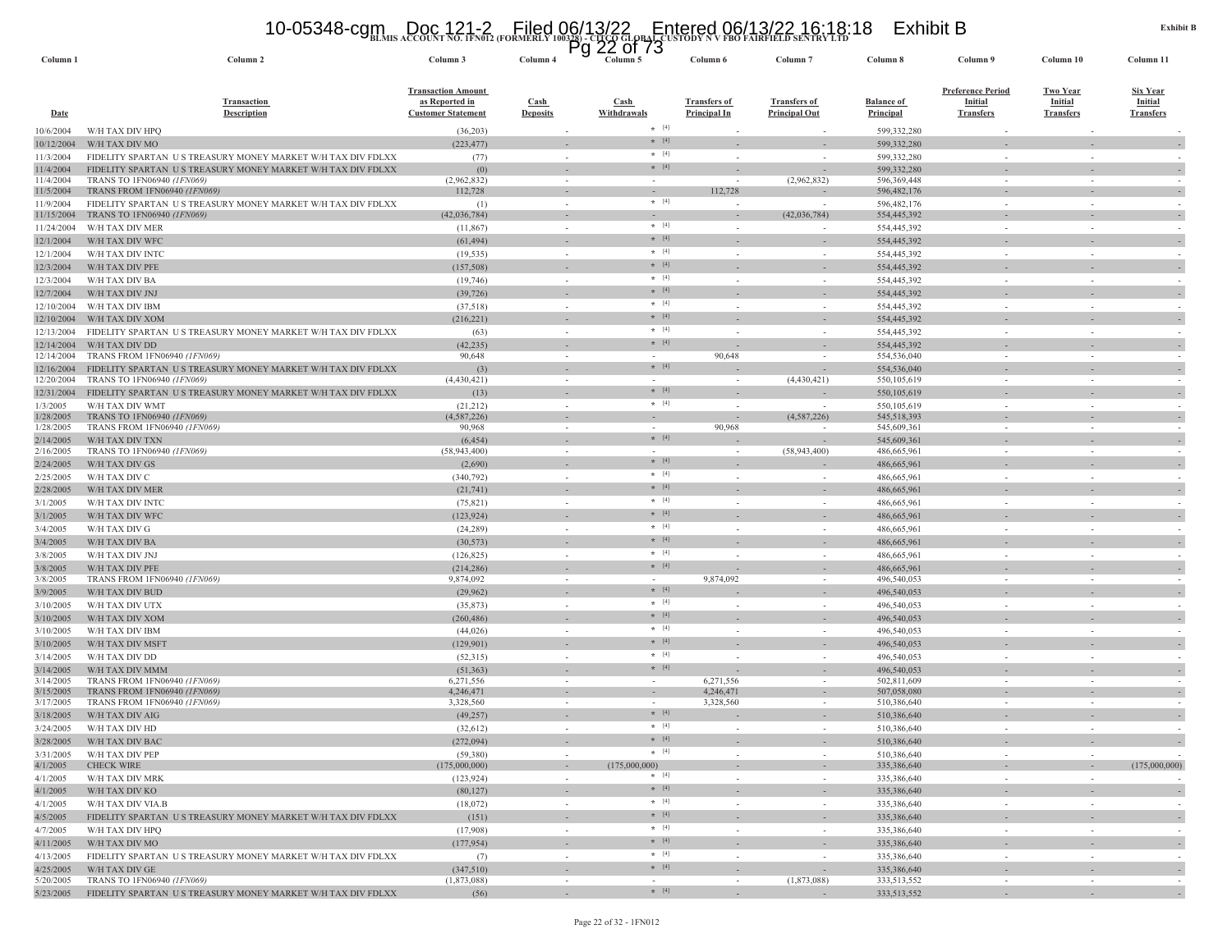# **BLMIS ACCOUNT NO. 1FN012 (FORMERLY 100328) - CITCO GLOBAL CUSTODY N V FBO FAIRFIELD SENTRY LTD** 10-05348-cgm Doc 121-2 Filed 06/13/22 Entered 06/13/22 16:18:18 Exhibit B Pg 22 of 73

| Column <sub>1</sub>      | Column 2                                                                                  | Column 3                                                                 | Column 4                       | гy               | טו וט<br>∠∠<br>Column 5  | Column 6                                   | Column <sub>7</sub>                         | Column 8                              | Column 9                                                       | Column 10                                      | Column 11                                             |
|--------------------------|-------------------------------------------------------------------------------------------|--------------------------------------------------------------------------|--------------------------------|------------------|--------------------------|--------------------------------------------|---------------------------------------------|---------------------------------------|----------------------------------------------------------------|------------------------------------------------|-------------------------------------------------------|
| <b>Date</b>              | <b>Transaction</b><br><b>Description</b>                                                  | <b>Transaction Amount</b><br>as Reported in<br><b>Customer Statement</b> | <b>Cash</b><br><b>Deposits</b> |                  | Cash<br>Withdrawals      | <b>Transfers of</b><br><b>Principal In</b> | <b>Transfers of</b><br><b>Principal Out</b> | <b>Balance of</b><br><b>Principal</b> | <b>Preference Period</b><br><b>Initial</b><br><b>Transfers</b> | <b>Two Year</b><br>Initial<br><b>Transfers</b> | <b>Six Year</b><br><b>Initial</b><br><b>Transfers</b> |
| 0/6/2004                 | W/H TAX DIV HPO                                                                           | (36,203)                                                                 |                                |                  | $*$ [4]                  |                                            |                                             | 599,332,280                           |                                                                |                                                |                                                       |
| 10/12/2004               | W/H TAX DIV MO                                                                            | (223, 477)                                                               |                                |                  | $*$ [4]                  |                                            |                                             | 599,332,280                           |                                                                |                                                |                                                       |
| 11/3/2004                | FIDELITY SPARTAN US TREASURY MONEY MARKET W/H TAX DIV FDLXX                               | (77)                                                                     |                                | $\sim$           | $*$ [4]                  | $\sim$                                     | ÷.                                          | 599,332,280                           | $\sim$                                                         | $\sim$                                         |                                                       |
| 11/4/2004                | FIDELITY SPARTAN US TREASURY MONEY MARKET W/H TAX DIV FDLXX                               | (0)                                                                      |                                |                  | $*$ [4]                  |                                            |                                             | 599,332,280                           |                                                                |                                                |                                                       |
| 11/4/2004<br>11/5/2004   | TRANS TO 1FN06940 (1FN069)<br>TRANS FROM 1FN06940 (1FN069)                                | (2,962,832)<br>112,728                                                   |                                |                  | $\sim$                   | 112,728                                    | (2,962,832)                                 | 596, 369, 448<br>596, 482, 176        |                                                                |                                                |                                                       |
| 11/9/2004                | FIDELITY SPARTAN US TREASURY MONEY MARKET W/H TAX DIV FDLXX                               | (1)                                                                      |                                |                  | $*$ [4]                  |                                            |                                             | 596, 482, 176                         |                                                                |                                                |                                                       |
| 11/15/2004               | TRANS TO 1FN06940 (1FN069)                                                                | (42,036,784)                                                             |                                | $\sim$           | $\sim$                   | $\sim$                                     | (42,036,784)                                | 554,445,392                           |                                                                |                                                |                                                       |
| 11/24/2004               | W/H TAX DIV MER                                                                           | (11, 867)                                                                |                                | $\sim$           | $*$ [4]                  | $\sim$                                     |                                             | 554,445,392                           | $\sim$                                                         | $\sim$                                         |                                                       |
| 12/1/2004                | W/H TAX DIV WFC                                                                           | (61, 494)                                                                |                                |                  | $* [4]$                  |                                            |                                             | 554,445,392                           |                                                                |                                                |                                                       |
| 12/1/2004                | W/H TAX DIV INTC                                                                          | (19, 535)                                                                |                                |                  | $*$ [4]                  |                                            |                                             | 554,445,392                           |                                                                |                                                |                                                       |
| 12/3/2004                | W/H TAX DIV PFE                                                                           | (157, 508)                                                               |                                |                  | $\star$ [4]              |                                            |                                             | 554,445,392                           |                                                                |                                                |                                                       |
| 12/3/2004                | W/H TAX DIV BA                                                                            | (19,746)                                                                 |                                | $\sim$           | $*$ [4]                  |                                            | $\overline{\phantom{a}}$                    | 554,445,392                           |                                                                | $\sim$                                         |                                                       |
| 12/7/2004                | W/H TAX DIV JNJ                                                                           | (39, 726)                                                                |                                |                  | $\star$ [4]              |                                            |                                             | 554,445,392                           |                                                                |                                                |                                                       |
| 12/10/2004               | W/H TAX DIV IBM                                                                           | (37,518)                                                                 |                                | $\sim$           | $*$ [4]                  | $\sim$                                     | $\sim$                                      | 554,445,392                           | $\sim$                                                         | $\sim$                                         |                                                       |
| 12/10/2004               | W/H TAX DIV XOM                                                                           | (216, 221)                                                               |                                |                  | $*$ [4]                  |                                            |                                             | 554,445,392                           |                                                                |                                                |                                                       |
| 12/13/2004               | FIDELITY SPARTAN US TREASURY MONEY MARKET W/H TAX DIV FDLXX                               | (63)                                                                     |                                | $\sim$           | $*$ [4]                  | $\overline{\phantom{a}}$                   | $\sim$                                      | 554,445,392                           | $\sim$                                                         | ÷                                              |                                                       |
| 12/14/2004               | W/H TAX DIV DD                                                                            | (42, 235)                                                                |                                |                  | $* [4]$                  |                                            |                                             | 554,445,392                           |                                                                |                                                |                                                       |
| 12/14/2004               | <b>TRANS FROM 1FN06940 (1FN069)</b>                                                       | 90,648                                                                   |                                |                  | $*$ [4]                  | 90,648                                     |                                             | 554,536,040                           |                                                                |                                                |                                                       |
| 12/16/2004<br>12/20/2004 | FIDELITY SPARTAN US TREASURY MONEY MARKET W/H TAX DIV FDLXX<br>TRANS TO 1FN06940 (1FN069) | (3)<br>(4,430,421)                                                       | $\sim$                         |                  |                          |                                            | (4,430,421)                                 | 554,536,040<br>550,105,619            |                                                                |                                                |                                                       |
| 12/31/2004               | FIDELITY SPARTAN US TREASURY MONEY MARKET W/H TAX DIV FDLXX                               | (13)                                                                     |                                |                  | $*$ [4]                  |                                            |                                             | 550,105,619                           |                                                                |                                                |                                                       |
| 1/3/2005                 | W/H TAX DIV WMT                                                                           | (21, 212)                                                                |                                | $\sim$           | $*$ [4]                  |                                            | $\overline{\phantom{a}}$                    | 550,105,619                           | $\sim$                                                         |                                                |                                                       |
| 1/28/2005                | TRANS TO 1FN06940 (1FN069)                                                                | (4, 587, 226)                                                            |                                |                  |                          |                                            | (4,587,226)                                 | 545,518,393                           |                                                                |                                                |                                                       |
| 1/28/2005                | TRANS FROM 1FN06940 (1FN069)                                                              | 90,968                                                                   |                                |                  |                          | 90,968                                     |                                             | 545,609,361                           |                                                                |                                                |                                                       |
| 2/14/2005                | W/H TAX DIV TXN                                                                           | (6, 454)                                                                 |                                |                  | $*$ [4]                  |                                            |                                             | 545,609,361                           |                                                                |                                                |                                                       |
| 2/16/2005                | TRANS TO 1FN06940 (1FN069)                                                                | (58, 943, 400)                                                           |                                |                  | $\sim$                   |                                            | (58,943,400)                                | 486,665,961                           |                                                                |                                                |                                                       |
| 2/24/2005                | W/H TAX DIV GS                                                                            | (2,690)                                                                  |                                |                  | $* [4]$<br>$*$ [4]       |                                            |                                             | 486,665,961                           |                                                                |                                                |                                                       |
| 2/25/2005                | W/H TAX DIV C                                                                             | (340, 792)                                                               |                                |                  | $*$ [4]                  | $\overline{\phantom{a}}$                   |                                             | 486,665,961                           |                                                                |                                                |                                                       |
| 2/28/2005                | W/H TAX DIV MER                                                                           | (21, 741)                                                                |                                |                  | $*$ [4]                  |                                            |                                             | 486,665,961                           |                                                                |                                                |                                                       |
| 3/1/2005                 | W/H TAX DIV INTC                                                                          | (75, 821)                                                                |                                | $\sim$           | $* [4]$                  | $\sim$                                     | $\sim$                                      | 486,665,961                           |                                                                | $\sim$                                         |                                                       |
| 3/1/2005                 | W/H TAX DIV WFC                                                                           | (123, 924)                                                               |                                |                  | $*$ [4]                  |                                            | ÷,                                          | 486,665,961                           |                                                                |                                                |                                                       |
| 3/4/2005                 | W/H TAX DIV G                                                                             | (24, 289)                                                                |                                | $\sim$           | $\star$ [4]              |                                            |                                             | 486,665,961                           | $\sim$                                                         |                                                |                                                       |
| 3/4/2005<br>3/8/2005     | W/H TAX DIV BA<br>W/H TAX DIV JNJ                                                         | (30, 573)<br>(126, 825)                                                  |                                | $\sim$           | $*$ [4]                  |                                            | $\overline{\phantom{a}}$                    | 486,665,961<br>486,665,961            | $\sim$                                                         | $\sim$                                         |                                                       |
| 3/8/2005                 | W/H TAX DIV PFE                                                                           | (214, 286)                                                               |                                |                  | $*$ [4]                  |                                            |                                             | 486,665,961                           |                                                                |                                                |                                                       |
| 3/8/2005                 | TRANS FROM 1FN06940 (1FN069)                                                              | 9,874,092                                                                |                                | $\sim$           | $\sim$                   | 9,874,092                                  | $\sim$                                      | 496,540,053                           | $\sim$                                                         | $\sim$                                         |                                                       |
| 3/9/2005                 | W/H TAX DIV BUD                                                                           | (29,962)                                                                 |                                |                  | $*$ [4]                  |                                            |                                             | 496,540,053                           |                                                                |                                                |                                                       |
| 3/10/2005                | W/H TAX DIV UTX                                                                           | (35, 873)                                                                |                                | $\sim$           | $*$ [4]                  |                                            | $\sim$                                      | 496,540,053                           | $\sim$                                                         | $\sim$                                         |                                                       |
| 3/10/2005                | W/H TAX DIV XOM                                                                           | (260, 486)                                                               |                                |                  | $* [4]$                  |                                            |                                             | 496,540,053                           |                                                                |                                                |                                                       |
| 3/10/2005                | W/H TAX DIV IBM                                                                           | (44, 026)                                                                |                                | $\sim$           | $*$ [4]                  | $\sim$                                     | $\sim$                                      | 496,540,053                           | $\sim$                                                         | $\sim$                                         |                                                       |
| 3/10/2005                | W/H TAX DIV MSFT                                                                          | (129, 901)                                                               |                                |                  | $*$ [4]                  |                                            |                                             | 496,540,053                           |                                                                |                                                |                                                       |
| 3/14/2005                | W/H TAX DIV DD                                                                            | (52,315)                                                                 |                                | $\sim$           | $*$ [4]                  |                                            | $\sim$                                      | 496,540,053                           | $\sim$                                                         |                                                |                                                       |
| 3/14/2005                | W/H TAX DIV MMM                                                                           | (51, 363)                                                                |                                |                  | $*$ [4]                  |                                            |                                             | 496,540,053                           |                                                                |                                                |                                                       |
| 3/14/2005                | TRANS FROM 1FN06940 (1FN069)                                                              | 6,271,556                                                                |                                | $\sim$           | $\sim$<br>$\sim$         | 6,271,556<br>4,246,471                     | $\overline{\phantom{a}}$                    | 502,811,609                           | $\overline{\phantom{a}}$                                       |                                                |                                                       |
| 3/15/2005<br>3/17/2005   | TRANS FROM 1FN06940 (1FN069)<br>TRANS FROM 1FN06940 (1FN069)                              | 4,246,471<br>3,328,560                                                   |                                |                  | $\sim$                   | 3,328,560                                  |                                             | 507,058,080<br>510,386,640            |                                                                |                                                |                                                       |
| 3/18/2005                | W/H TAX DIV AIG                                                                           | (49, 257)                                                                |                                |                  | $* [4]$                  |                                            |                                             | 510,386,640                           |                                                                |                                                |                                                       |
| 3/24/2005                | W/H TAX DIV HD                                                                            | (32, 612)                                                                |                                |                  | $*$ [4]                  |                                            |                                             | 510,386,640                           |                                                                |                                                |                                                       |
| 3/28/2005                | W/H TAX DIV BAC                                                                           | (272,094)                                                                |                                |                  | $*$ [4]                  |                                            |                                             | 510,386,640                           |                                                                |                                                |                                                       |
| 3/31/2005                | W/H TAX DIV PEP                                                                           | (59, 380)                                                                |                                | $\sim$           | $*$ [4]                  | $\sim$                                     | $\sim$                                      | 510,386,640                           | $\sim$                                                         | $\sim$                                         |                                                       |
| 4/1/2005                 | <b>CHECK WIRE</b>                                                                         | (175,000,000)                                                            |                                | $\sim$           | (175,000,000)            | $\sim$                                     | $\sim$                                      | 335,386,640                           | $\sim$                                                         | $\sim$                                         | (175,000,000)                                         |
| 4/1/2005                 | W/H TAX DIV MRK                                                                           | (123, 924)                                                               |                                | $\sim$           | $*$ [4]                  | $\overline{\phantom{a}}$                   | $\overline{\phantom{a}}$                    | 335,386,640                           | $\sim$                                                         | $\overline{\phantom{a}}$                       |                                                       |
| 4/1/2005                 | W/H TAX DIV KO                                                                            | (80, 127)                                                                |                                |                  | $*$ [4]                  | $\sim$                                     | $\sim$                                      | 335,386,640                           | $\sim$                                                         | $\overline{\phantom{a}}$                       | $\overline{\phantom{a}}$                              |
| 4/1/2005                 | W/H TAX DIV VIA.B                                                                         | (18,072)                                                                 |                                | $\sim$           | $*$ [4]                  | $\sim$                                     | $\sim$                                      | 335,386,640                           | $\sim$                                                         | $\sim$                                         |                                                       |
| 4/5/2005                 | FIDELITY SPARTAN US TREASURY MONEY MARKET W/H TAX DIV FDLXX                               | (151)                                                                    |                                | $\sim$           | $\star$ [4]              | $\sim$                                     | $\sim$                                      | 335,386,640                           | $\sim$                                                         | $\sim$                                         | $\sim$                                                |
| 4/7/2005                 | W/H TAX DIV HPO                                                                           | (17,908)                                                                 |                                | $\sim$           | $*$ [4]                  | $\sim$                                     | $\sim$                                      | 335,386,640                           | $\sim$                                                         | $\sim$                                         |                                                       |
| 4/11/2005                | W/H TAX DIV MO                                                                            | (177, 954)                                                               |                                |                  | $+ [4]$<br>$* [4]$       |                                            |                                             | 335,386,640                           |                                                                |                                                |                                                       |
| 4/13/2005                | FIDELITY SPARTAN US TREASURY MONEY MARKET W/H TAX DIV FDLXX                               | (7)                                                                      |                                | $\sim$           | $*$ [4]                  | $\sim$                                     | $\sim$                                      | 335,386,640                           | $\sim$                                                         | $\sim$                                         | $\overline{\phantom{a}}$                              |
| 4/25/2005<br>5/20/2005   | W/H TAX DIV GE<br>TRANS TO 1FN06940 (1FN069)                                              | (347,510)<br>(1,873,088)                                                 |                                | $\sim$<br>$\sim$ | $\overline{\phantom{a}}$ | $\sim$<br>$\sim$                           | $\overline{\phantom{a}}$<br>(1,873,088)     | 335,386,640<br>333,513,552            | $\sim$<br>$\sim$                                               | $\overline{\phantom{a}}$                       | $\overline{\phantom{a}}$                              |
| 5/23/2005                | FIDELITY SPARTAN US TREASURY MONEY MARKET W/H TAX DIV FDLXX                               | (56)                                                                     |                                | $\sim$           | $\star$ [4]              | $\sim$                                     |                                             | 333,513,552                           | $\sim$                                                         |                                                |                                                       |
|                          |                                                                                           |                                                                          |                                |                  |                          |                                            |                                             |                                       |                                                                |                                                |                                                       |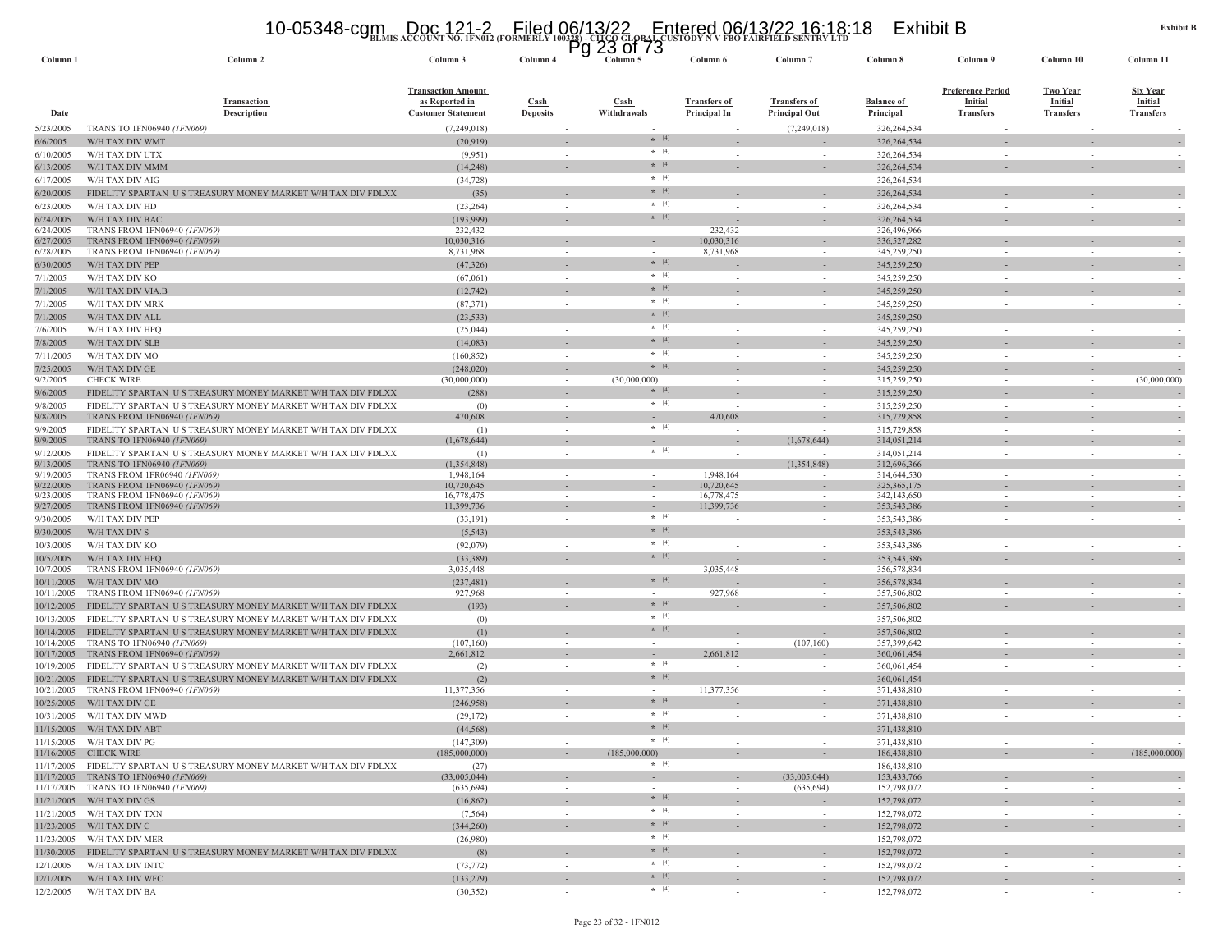# **BLMIS ACCOUNT NO. 1FN012 (FORMERLY 100328) - CITCO GLOBAL CUSTODY N V FBO FAIRFIELD SENTRY LTD** 10-05348-cgm Doc 121-2 Filed 06/13/22 Entered 06/13/22 16:18:18 Exhibit B Pg 23 of 73

| Column 1                 | Column 2                                                                                    | Column 3                                    | Column 4                           | Column 5                   | Column 6                                   | Column <sub>7</sub>                         | Column 8                              | Column 9                           | Column 10                          | Column 11                   |
|--------------------------|---------------------------------------------------------------------------------------------|---------------------------------------------|------------------------------------|----------------------------|--------------------------------------------|---------------------------------------------|---------------------------------------|------------------------------------|------------------------------------|-----------------------------|
|                          |                                                                                             |                                             |                                    |                            |                                            |                                             |                                       |                                    |                                    |                             |
|                          |                                                                                             | <b>Transaction Amount</b>                   |                                    |                            |                                            |                                             |                                       | <b>Preference Period</b>           | <b>Two Year</b>                    | <b>Six Year</b>             |
| Date                     | <b>Transaction</b><br><b>Description</b>                                                    | as Reported in<br><b>Customer Statement</b> | Cash<br><b>Deposits</b>            | Cash<br><b>Withdrawals</b> | <b>Transfers of</b><br><b>Principal In</b> | <b>Transfers of</b><br><b>Principal Out</b> | <b>Balance of</b><br><b>Principal</b> | <b>Initial</b><br><b>Transfers</b> | <b>Initial</b><br><b>Transfers</b> | Initial<br><b>Transfers</b> |
| 5/23/2005                | TRANS TO 1FN06940 (1FN069)                                                                  | (7,249,018)                                 |                                    |                            |                                            | (7,249,018)                                 | 326,264,534                           |                                    |                                    |                             |
| 6/6/2005                 | W/H TAX DIV WMT                                                                             | (20, 919)                                   |                                    | $*$ [4]                    |                                            |                                             | 326, 264, 534                         |                                    |                                    |                             |
| 6/10/2005                | W/H TAX DIV UTX                                                                             | (9,951)                                     | $\overline{\phantom{a}}$           | $\star$ [4]                |                                            |                                             | 326, 264, 534                         |                                    |                                    |                             |
| 6/13/2005                | W/H TAX DIV MMM                                                                             | (14, 248)                                   |                                    | $* [4]$                    |                                            |                                             | 326, 264, 534                         |                                    |                                    |                             |
| 6/17/2005                | W/H TAX DIV AIG                                                                             | (34, 728)                                   |                                    | $\star$ [4]                |                                            |                                             | 326, 264, 534                         |                                    |                                    |                             |
| 6/20/2005                | FIDELITY SPARTAN US TREASURY MONEY MARKET W/H TAX DIV FDLXX                                 | (35)                                        |                                    | $\star$ [4]                |                                            |                                             | 326, 264, 534                         |                                    |                                    |                             |
| 6/23/2005                | W/H TAX DIV HD                                                                              | (23, 264)                                   | $\sim$                             | $* [4]$                    |                                            |                                             | 326,264,534                           |                                    |                                    |                             |
| 6/24/2005                | W/H TAX DIV BAC                                                                             | (193, 999)                                  |                                    | $*$ [4]                    |                                            |                                             | 326,264,534                           |                                    |                                    |                             |
| 6/24/2005                | TRANS FROM 1FN06940 (1FN069)                                                                | 232,432                                     | $\sim$                             | $\sim$                     | 232,432                                    | $\sim$                                      | 326,496,966                           | $\sim$                             | $\sim$                             | $\sim$                      |
| 6/27/2005                | TRANS FROM 1FN06940 (1FN069)                                                                | 10,030,316                                  | $\sim$                             | $\sim$                     | 10,030,316                                 |                                             | 336,527,282                           |                                    |                                    |                             |
| 6/28/2005                | TRANS FROM 1FN06940 (1FN069)                                                                | 8,731,968                                   | $\sim$                             | $*$ [4]                    | 8,731,968                                  |                                             | 345,259,250                           |                                    |                                    |                             |
| 6/30/2005                | W/H TAX DIV PEP                                                                             | (47, 326)                                   | $\sim$                             |                            |                                            |                                             | 345,259,250                           |                                    |                                    |                             |
| 7/1/2005                 | W/H TAX DIV KO                                                                              | (67,061)                                    | $\sim$                             | $* [4]$<br>$* [4]$         |                                            | $\sim$                                      | 345,259,250                           |                                    |                                    |                             |
| 7/1/2005                 | W/H TAX DIV VIA.B                                                                           | (12, 742)                                   | $\overline{\phantom{a}}$           |                            |                                            |                                             | 345,259,250                           |                                    |                                    |                             |
| 7/1/2005                 | W/H TAX DIV MRK                                                                             | (87, 371)                                   | $\sim$                             | $\star$ [4]                |                                            |                                             | 345,259,250                           |                                    |                                    |                             |
| 7/1/2005                 | W/H TAX DIV ALL                                                                             | (23, 533)                                   |                                    | $* [4]$                    |                                            |                                             | 345,259,250                           |                                    |                                    |                             |
| 7/6/2005                 | W/H TAX DIV HPQ                                                                             | (25, 044)                                   | $\sim$                             | $\star$ [4]                |                                            | $\sim$                                      | 345,259,250                           |                                    | ÷.                                 |                             |
| 7/8/2005                 | W/H TAX DIV SLB                                                                             | (14,083)                                    |                                    | $* [4]$                    |                                            |                                             | 345,259,250                           |                                    |                                    |                             |
| 7/11/2005                | W/H TAX DIV MO                                                                              | (160, 852)                                  | $\sim$                             | $*$ [4]                    |                                            | $\sim$                                      | 345,259,250                           |                                    |                                    |                             |
| 7/25/2005                | W/H TAX DIV GE                                                                              | (248, 020)                                  |                                    | $*$ [4]                    |                                            |                                             | 345,259,250                           |                                    |                                    |                             |
| 9/2/2005                 | <b>CHECK WIRE</b>                                                                           | (30,000,000)                                | $\sim$                             | (30,000,000)<br>$*$ [4]    |                                            | $\sim$                                      | 315,259,250                           | $\sim$                             | $\sim$                             | (30,000,000)                |
| 9/6/2005                 | FIDELITY SPARTAN US TREASURY MONEY MARKET W/H TAX DIV FDLXX                                 | (288)                                       |                                    | $*$ [4]                    |                                            |                                             | 315,259,250                           |                                    |                                    |                             |
| 9/8/2005<br>9/8/2005     | FIDELITY SPARTAN US TREASURY MONEY MARKET W/H TAX DIV FDLXX<br>TRANS FROM 1FN06940 (1FN069) | (0)<br>470,608                              | $\sim$<br>$\overline{\phantom{a}}$ |                            | 470,608                                    | $\sim$                                      | 315,259,250<br>315,729,858            |                                    | $\sim$                             |                             |
| 9/9/2005                 | FIDELITY SPARTAN US TREASURY MONEY MARKET W/H TAX DIV FDLXX                                 | (1)                                         | $\sim$                             | $*$ [4]                    |                                            |                                             | 315,729,858                           |                                    |                                    |                             |
| 9/9/2005                 | TRANS TO 1FN06940 (1FN069)                                                                  | (1,678,644)                                 | $\overline{\phantom{a}}$           |                            |                                            | (1,678,644)                                 | 314,051,214                           |                                    |                                    |                             |
| 9/12/2005                | FIDELITY SPARTAN US TREASURY MONEY MARKET W/H TAX DIV FDLXX                                 | (1)                                         | $\sim$                             | $*$ [4]                    |                                            |                                             | 314,051,214                           |                                    |                                    |                             |
| 9/13/2005                | TRANS TO 1FN06940 (1FN069)                                                                  | (1,354,848)                                 | $\overline{\phantom{a}}$           |                            |                                            | (1,354,848)                                 | 312,696,366                           |                                    |                                    |                             |
| 9/19/2005                | TRANS FROM 1FR06940 (1FN069)                                                                | 1,948,164                                   | $\sim$                             |                            | 1,948,164                                  |                                             | 314,644,530                           |                                    |                                    |                             |
| 9/22/2005                | TRANS FROM 1FN06940 <i>(1FN069)</i>                                                         | 10,720,645                                  |                                    |                            | 10,720,645                                 |                                             | 325, 365, 175                         |                                    |                                    |                             |
| 9/23/2005<br>9/27/2005   | TRANS FROM 1FN06940 (1FN069)<br>TRANS FROM 1FN06940 <i>(1FN069)</i>                         | 16,778,475<br>11,399,736                    | $\sim$<br>$\sim$                   | $\sim$<br>$\sim$           | 16,778,475<br>11,399,736                   | $\overline{\phantom{a}}$                    | 342,143,650<br>353, 543, 386          |                                    | $\sim$                             |                             |
| 9/30/2005                | W/H TAX DIV PEP                                                                             | (33,191)                                    | $\sim$                             | $*$ [4]                    |                                            | $\sim$                                      | 353,543,386                           |                                    | $\sim$                             |                             |
| 9/30/2005                | W/H TAX DIV S                                                                               | (5, 543)                                    |                                    | $*$ [4]                    |                                            |                                             | 353,543,386                           |                                    |                                    |                             |
| 10/3/2005                | W/H TAX DIV KO                                                                              | (92,079)                                    | $\sim$                             | $*$ [4]                    |                                            | $\sim$                                      | 353,543,386                           | $\sim$                             | $\sim$                             |                             |
| 10/5/2005                | W/H TAX DIV HPO                                                                             | (33, 389)                                   | $\sim$                             | $*$ [4]                    |                                            | $\sim$                                      | 353, 543, 386                         |                                    |                                    |                             |
| 10/7/2005                | TRANS FROM 1FN06940 (1FN069)                                                                | 3,035,448                                   |                                    |                            | 3,035,448                                  |                                             | 356,578,834                           |                                    |                                    |                             |
| 10/11/2005               | W/H TAX DIV MO                                                                              | (237, 481)                                  | $\sim$                             | $*$ [4]                    |                                            |                                             | 356,578,834                           |                                    |                                    |                             |
| 10/11/2005               | TRANS FROM 1FN06940 (1FN069)                                                                | 927,968                                     | $\sim$                             |                            | 927,968                                    | $\overline{\phantom{a}}$                    | 357,506,802                           |                                    | $\overline{\phantom{a}}$           |                             |
| 10/12/2005               | FIDELITY SPARTAN US TREASURY MONEY MARKET W/H TAX DIV FDLXX                                 | (193)                                       |                                    | $* [4]$                    |                                            |                                             | 357,506,802                           |                                    |                                    |                             |
| 10/13/2005               | FIDELITY SPARTAN US TREASURY MONEY MARKET W/H TAX DIV FDLXX                                 | (0)                                         | $\sim$                             | $*$ [4]                    |                                            | $\sim$                                      | 357,506,802                           | $\sim$                             | $\sim$                             |                             |
| 10/14/2005               | FIDELITY SPARTAN US TREASURY MONEY MARKET W/H TAX DIV FDLXX                                 | (1)                                         |                                    | $*$ [4]                    |                                            |                                             | 357,506,802                           |                                    |                                    |                             |
| 10/14/2005               | TRANS TO 1FN06940 (1FN069)                                                                  | (107, 160)                                  | $\sim$                             | $\sim$                     |                                            | (107, 160)                                  | 357,399,642                           |                                    |                                    |                             |
| 10/17/2005               | TRANS FROM 1FN06940 (1FN069)                                                                | 2,661,812                                   |                                    | $*$ [4]                    | 2,661,812                                  |                                             | 360,061,454                           |                                    |                                    |                             |
| 10/19/2005               | FIDELITY SPARTAN US TREASURY MONEY MARKET W/H TAX DIV FDLXX                                 | (2)                                         | $\sim$                             | $*$ [4]                    |                                            | $\sim$                                      | 360,061,454                           |                                    | $\sim$                             |                             |
| 10/21/2005<br>10/21/2005 | FIDELITY SPARTAN US TREASURY MONEY MARKET W/H TAX DIV FDLXX<br>TRANS FROM 1FN06940 (1FN069) | (2)<br>11,377,356                           | $\overline{\phantom{a}}$           |                            | 11,377,356                                 |                                             | 360,061,454<br>371,438,810            |                                    |                                    |                             |
| 10/25/2005               | W/H TAX DIV GE                                                                              | (246,958)                                   |                                    | $*$ [4]                    |                                            |                                             | 371,438,810                           |                                    |                                    |                             |
| 10/31/2005               | W/H TAX DIV MWD                                                                             | (29, 172)                                   | $\sim$                             | $\star$ [4]                |                                            |                                             | 371,438,810                           |                                    |                                    |                             |
| 11/15/2005               | W/H TAX DIV ABT                                                                             | (44, 568)                                   |                                    | $* [4]$                    |                                            |                                             | 371,438,810                           |                                    |                                    |                             |
| 11/15/2005               | W/H TAX DIV PG                                                                              | (147, 309)                                  |                                    | $*$ [4]                    |                                            |                                             | 371,438,810                           |                                    |                                    |                             |
|                          | 11/16/2005 CHECK WIRE                                                                       | (185,000,000)                               |                                    | (185,000,000)              |                                            |                                             | 186,438,810                           |                                    |                                    | (185,000,000)               |
|                          | 11/17/2005 FIDELITY SPARTAN US TREASURY MONEY MARKET W/H TAX DIV FDLXX                      | (27)                                        | $\sim$                             | $\star$ [4]                | $\sim$                                     | $\sim$                                      | 186,438,810                           | $\sim$                             | $\sim$                             |                             |
|                          | 11/17/2005 TRANS TO 1FN06940 (1FN069)                                                       | (33,005,044)                                | $\sim$                             |                            | $\sim$                                     | (33,005,044)                                | 153,433,766                           |                                    | $\sim$                             | $\overline{\phantom{a}}$    |
|                          | 11/17/2005 TRANS TO 1FN06940 (1FN069)                                                       | (635, 694)                                  | $\sim$                             | $\sim$                     | $\sim$                                     | (635, 694)                                  | 152,798,072                           | $\sim$                             | $\sim$                             | $\sim$                      |
|                          | 11/21/2005 W/H TAX DIV GS                                                                   | (16, 862)                                   | $\sim$                             | $*$ [4]                    | $\sim$                                     | $\sim$                                      | 152,798,072                           |                                    | $\sim$                             | $\sim$                      |
|                          | 11/21/2005 W/H TAX DIV TXN                                                                  | (7, 564)                                    | $\sim$                             | $*$ [4]                    | $\sim$                                     | $\sim$                                      | 152,798,072                           | $\sim$                             | $\sim$                             | $\sim$                      |
|                          | 11/23/2005 W/H TAX DIV C                                                                    | (344, 260)                                  |                                    | $*$ [4]                    |                                            | $\sim$                                      | 152,798,072                           |                                    | ٠                                  | $\sim$                      |
|                          | 11/23/2005 W/H TAX DIV MER                                                                  | (26,980)                                    | $\sim$                             | $*$ [4]                    | $\sim$                                     | $\sim$                                      | 152,798,072                           | $\sim$                             | $\sim$                             |                             |
|                          | 11/30/2005 FIDELITY SPARTAN U S TREASURY MONEY MARKET W/H TAX DIV FDLXX                     | (8)                                         |                                    | $*$ [4]                    |                                            | $\sim$                                      | 152,798,072                           |                                    | $\sim$                             | $\overline{\phantom{a}}$    |
| 12/1/2005                | W/H TAX DIV INTC                                                                            | (73, 772)                                   | $\sim$                             | $\star$ [4]                |                                            | $\mathcal{L}_{\mathcal{A}}$                 | 152,798,072                           |                                    | $\sim$                             |                             |
| 12/1/2005                | W/H TAX DIV WFC                                                                             | (133, 279)                                  | $\overline{\phantom{a}}$           | $*$ [4]                    |                                            | $\overline{\phantom{a}}$                    | 152,798,072                           |                                    | $\overline{\phantom{a}}$           | $\overline{\phantom{a}}$    |
| 12/2/2005                | W/H TAX DIV BA                                                                              | (30, 352)                                   | $\sim$                             | $*$ [4]                    | $\sim$                                     | $\sim$                                      | 152,798,072                           |                                    | $\sim$                             |                             |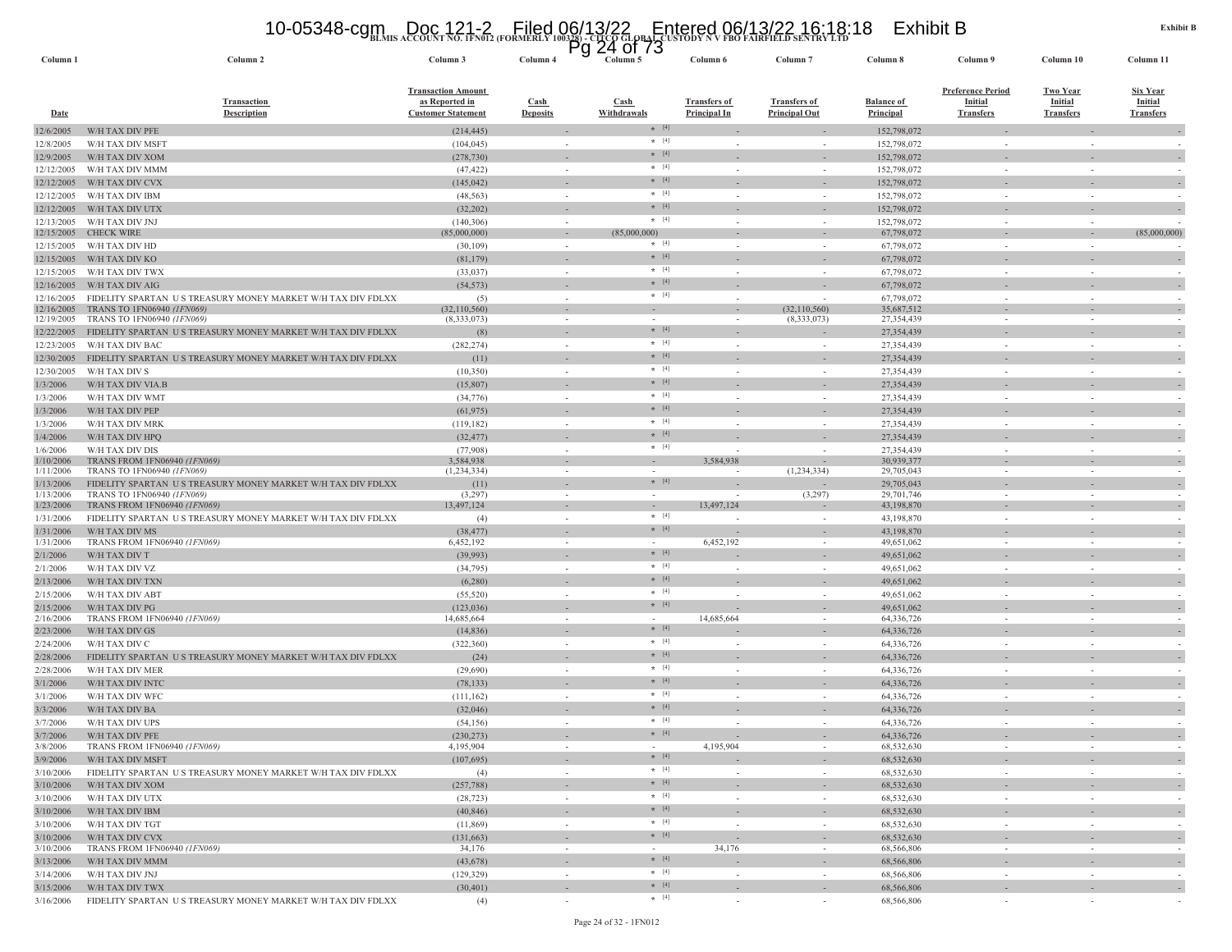# **BLMIS ACCOUNT NO. 1FN012 (FORMERLY 100328) - CITCO GLOBAL CUSTODY N V FBO FAIRFIELD SENTRY LTD** 10-05348-cgm Doc 121-2 Filed 06/13/22 Entered 06/13/22 16:18:18 Exhibit B Pg 24 of 73

| Column <sub>1</sub>      | Column <sub>2</sub>                                                                       | Column 3                                                                 | Column 4                | ৺<br>— TVI<br>. .<br>Column 5        | Column 6                            | Column <sub>7</sub>                         | Column 8                       | Column 9                                                | Column 10                                             | Column 11                                      |
|--------------------------|-------------------------------------------------------------------------------------------|--------------------------------------------------------------------------|-------------------------|--------------------------------------|-------------------------------------|---------------------------------------------|--------------------------------|---------------------------------------------------------|-------------------------------------------------------|------------------------------------------------|
| Date                     | <b>Transaction</b><br><b>Description</b>                                                  | <b>Transaction Amount</b><br>as Reported in<br><b>Customer Statement</b> | Cash<br><b>Deposits</b> | $\operatorname{Cash}$<br>Withdrawals | <b>Transfers of</b><br>Principal In | <b>Transfers of</b><br><b>Principal Out</b> | <b>Balance of</b><br>Principal | <b>Preference Period</b><br>Initial<br><b>Transfers</b> | <b>Two Year</b><br><b>Initial</b><br><b>Transfers</b> | Six Year<br><b>Initial</b><br><b>Transfers</b> |
| 12/6/2005                | W/H TAX DIV PFE                                                                           | (214, 445)                                                               |                         | $*$ [4]                              |                                     |                                             | 152,798,072                    |                                                         |                                                       |                                                |
| 12/8/2005                | W/H TAX DIV MSFT                                                                          | (104, 045)                                                               |                         | $*$ [4]                              |                                     |                                             | 152,798,072                    |                                                         |                                                       |                                                |
| 12/9/2005                | W/H TAX DIV XOM                                                                           | (278, 730)                                                               |                         | $*$ [4]                              |                                     |                                             | 152,798,072                    |                                                         |                                                       |                                                |
| 12/12/2005               | W/H TAX DIV MMM                                                                           | (47, 422)                                                                | $\sim$                  | $* [4]$                              | $\sim$                              | $\sim$                                      | 152,798,072                    |                                                         | $\sim$                                                |                                                |
| 12/12/2005               | W/H TAX DIV CVX                                                                           | (145, 042)                                                               |                         | $*$ [4]                              |                                     |                                             | 152,798,072                    |                                                         |                                                       |                                                |
| 12/12/2005               | W/H TAX DIV IBM                                                                           | (48, 563)                                                                | $\sim$                  | $*$ [4]                              | $\overline{\phantom{a}}$            | $\sim$                                      | 152,798,072                    | $\sim$                                                  | $\sim$                                                |                                                |
| 12/12/2005               | W/H TAX DIV UTX                                                                           | (32,202)                                                                 |                         | $*$ [4]                              |                                     |                                             | 152,798,072                    |                                                         |                                                       |                                                |
| 12/13/2005               | W/H TAX DIV JNJ                                                                           | (140, 306)                                                               | $\sim$                  | $\star$ [4]                          |                                     | $\sim$                                      | 152,798,072                    |                                                         | $\sim$                                                |                                                |
| 12/15/2005               | <b>CHECK WIRE</b>                                                                         | (85,000,000)                                                             | $\sim$                  | (85,000,000)<br>$*$ [4]              | $\sim$                              |                                             | 67,798,072                     |                                                         | $\sim$                                                | (85,000,000)                                   |
| 12/15/2005               | W/H TAX DIV HD                                                                            | (30, 109)                                                                |                         | $*$ [4]                              |                                     | $\sim$                                      | 67,798,072                     |                                                         |                                                       |                                                |
| 12/15/2005               | W/H TAX DIV KO                                                                            | (81, 179)                                                                |                         | $* [4]$                              |                                     |                                             | 67,798,072                     |                                                         |                                                       |                                                |
| 12/15/2005               | W/H TAX DIV TWX                                                                           | (33,037)                                                                 |                         | $*$ [4]                              |                                     |                                             | 67,798,072                     |                                                         |                                                       |                                                |
| 12/16/2005               | W/H TAX DIV AIG                                                                           | (54, 573)                                                                |                         | $*$ [4]                              |                                     |                                             | 67,798,072                     |                                                         |                                                       |                                                |
| 12/16/2005<br>12/16/2005 | FIDELITY SPARTAN US TREASURY MONEY MARKET W/H TAX DIV FDLXX<br>TRANS TO 1FN06940 (1FN069) | (5)<br>(32,110,560)                                                      | $\sim$                  | $\sim$                               | $\overline{\phantom{a}}$            | $\sim$<br>(32,110,560)                      | 67,798,072<br>35,687,512       |                                                         |                                                       |                                                |
| 12/19/2005               | TRANS TO 1FN06940 (1FN069)                                                                | (8,333,073)                                                              |                         | $\sim$                               |                                     | (8,333,073)                                 | 27,354,439                     |                                                         |                                                       |                                                |
| 12/22/2005               | FIDELITY SPARTAN US TREASURY MONEY MARKET W/H TAX DIV FDLXX                               | (8)                                                                      |                         | $*$ [4]                              |                                     |                                             | 27,354,439                     |                                                         |                                                       |                                                |
| 12/23/2005               | W/H TAX DIV BAC                                                                           | (282, 274)                                                               | $\sim$                  | $* [4]$                              | $\overline{\phantom{a}}$            | $\sim$                                      | 27,354,439                     | $\sim$                                                  | $\sim$                                                |                                                |
| 12/30/2005               | FIDELITY SPARTAN US TREASURY MONEY MARKET W/H TAX DIV FDLXX                               | (11)                                                                     |                         | $*$ [4]                              |                                     |                                             | 27,354,439                     |                                                         |                                                       |                                                |
| 12/30/2005               | W/H TAX DIV S                                                                             | (10,350)                                                                 | $\sim$                  | $* [4]$                              |                                     |                                             | 27,354,439                     |                                                         |                                                       |                                                |
| 1/3/2006                 | W/H TAX DIV VIA.B                                                                         | (15, 807)                                                                |                         | $*$ [4]                              |                                     |                                             | 27,354,439                     |                                                         |                                                       |                                                |
| 1/3/2006                 | W/H TAX DIV WMT                                                                           | (34, 776)                                                                |                         | $*$ [4]                              |                                     |                                             | 27,354,439                     |                                                         |                                                       |                                                |
| 1/3/2006                 | W/H TAX DIV PEP                                                                           | (61, 975)                                                                |                         | $* [4]$                              |                                     |                                             | 27,354,439                     |                                                         |                                                       |                                                |
| 1/3/2006                 | W/H TAX DIV MRK                                                                           | (119, 182)                                                               | $\sim$                  | $*$ [4]                              |                                     | $\overline{\phantom{a}}$                    | 27,354,439                     |                                                         |                                                       |                                                |
| 1/4/2006                 | W/H TAX DIV HPQ                                                                           | (32, 477)                                                                |                         | $* [4]$                              |                                     |                                             | 27,354,439                     |                                                         |                                                       |                                                |
| 1/6/2006                 | W/H TAX DIV DIS                                                                           | (77,908)                                                                 | $\sim$                  | $*$ [4]                              | $\sim$                              | $\sim$                                      | 27,354,439                     | $\sim$                                                  | $\sim$                                                | - 1                                            |
| 1/10/2006                | TRANS FROM 1FN06940 (1FN069)                                                              | 3,584,938                                                                |                         | $\sim$                               | 3,584,938                           | $\overline{\phantom{a}}$                    | 30,939,377                     |                                                         |                                                       |                                                |
| 1/11/2006                | TRANS TO 1FN06940 (1FN069)                                                                | (1, 234, 334)                                                            | $\sim$                  | $\sim$<br>$*$ [4]                    | $\sim$                              | (1,234,334)                                 | 29,705,043                     | $\sim$                                                  | $\sim$                                                | $\sim$                                         |
| 1/13/2006<br>1/13/2006   | FIDELITY SPARTAN US TREASURY MONEY MARKET W/H TAX DIV FDLXX<br>TRANS TO 1FN06940 (1FN069) | (11)<br>(3,297)                                                          | $\sim$                  | $\sim$                               | $\overline{\phantom{a}}$            | (3,297)                                     | 29,705,043<br>29,701,746       | $\sim$                                                  | $\sim$                                                | $\sim$                                         |
| 1/23/2006                | TRANS FROM 1FN06940 (1FN069)                                                              | 13,497,124                                                               | $\sim$                  | $\sim$                               | 13,497,124                          |                                             | 43,198,870                     |                                                         |                                                       |                                                |
| 1/31/2006                | FIDELITY SPARTAN US TREASURY MONEY MARKET W/H TAX DIV FDLXX                               | (4)                                                                      | $\sim$                  | $* [4]$                              | $\overline{\phantom{a}}$            | $\sim$                                      | 43,198,870                     |                                                         | $\sim$                                                | $\sim$                                         |
| 1/31/2006                | W/H TAX DIV MS                                                                            | (38, 477)                                                                |                         | $*$ [4]                              |                                     |                                             | 43,198,870                     |                                                         |                                                       |                                                |
| 1/31/2006                | TRANS FROM 1FN06940 (1FN069)                                                              | 6,452,192                                                                |                         | $\sim$                               | 6,452,192                           |                                             | 49,651,062                     |                                                         |                                                       |                                                |
| 2/1/2006                 | W/H TAX DIV T                                                                             | (39,993)                                                                 |                         | $* [4]$                              |                                     |                                             | 49,651,062                     |                                                         |                                                       |                                                |
| 2/1/2006                 | W/H TAX DIV VZ                                                                            | (34,795)                                                                 |                         | $*$ [4]                              |                                     | $\overline{\phantom{a}}$                    | 49,651,062                     |                                                         |                                                       |                                                |
| 2/13/2006                | W/H TAX DIV TXN                                                                           | (6,280)                                                                  |                         | $* [4]$                              |                                     |                                             | 49,651,062                     |                                                         |                                                       |                                                |
| 2/15/2006                | W/H TAX DIV ABT                                                                           | (55, 520)                                                                | $\sim$                  | $*$ [4]                              |                                     | $\sim$                                      | 49,651,062                     |                                                         |                                                       |                                                |
| 2/15/2006                | W/H TAX DIV PG                                                                            | (123, 036)                                                               |                         | $*$ [4]                              |                                     |                                             | 49,651,062                     |                                                         |                                                       |                                                |
| 2/16/2006                | TRANS FROM 1FN06940 (1FN069)                                                              | 14,685,664                                                               |                         | $\sim$<br>$*$ [4]                    | 14,685,664                          | $\sim$                                      | 64,336,726                     |                                                         |                                                       |                                                |
| 2/23/2006                | W/H TAX DIV GS                                                                            | (14, 836)                                                                |                         | $*$ [4]                              |                                     |                                             | 64,336,726                     |                                                         |                                                       |                                                |
| 2/24/2006                | W/H TAX DIV C                                                                             | (322, 360)                                                               | $\sim$                  | $*$ [4]                              | $\sim$                              | $\sim$                                      | 64,336,726                     |                                                         |                                                       |                                                |
| 2/28/2006                | FIDELITY SPARTAN US TREASURY MONEY MARKET W/H TAX DIV FDLXX                               | (24)                                                                     |                         | $*$ [4]                              |                                     |                                             | 64,336,726                     |                                                         |                                                       |                                                |
| 2/28/2006                | W/H TAX DIV MER                                                                           | (29,690)                                                                 |                         | $* [4]$                              |                                     | $\sim$                                      | 64,336,726                     |                                                         |                                                       |                                                |
| 3/1/2006<br>3/1/2006     | W/H TAX DIV INTC<br>W/H TAX DIV WFC                                                       | (78, 133)                                                                |                         | $*$ [4]                              |                                     |                                             | 64,336,726<br>64,336,726       |                                                         |                                                       |                                                |
| 3/3/2006                 | W/H TAX DIV BA                                                                            | (111, 162)<br>(32,046)                                                   |                         | $*$ [4]                              |                                     |                                             | 64,336,726                     |                                                         |                                                       |                                                |
| 3/7/2006                 | W/H TAX DIV UPS                                                                           | (54, 156)                                                                |                         | $*$ [4]                              |                                     | $\overline{\phantom{a}}$                    | 64,336,726                     |                                                         |                                                       |                                                |
| 3/7/2006                 | W/H TAX DIV PFE                                                                           | (230, 273)                                                               |                         | $*$ [4]                              |                                     |                                             | 64,336,726                     |                                                         |                                                       |                                                |
| 3/8/2006                 | TRANS FROM 1FN06940 (1FN069)                                                              | 4,195,904                                                                |                         |                                      | 4,195,904                           |                                             | 68,532,630                     |                                                         |                                                       |                                                |
| 3/9/2006                 | W/H TAX DIV MSFT                                                                          | (107,695)                                                                |                         | $*$ [4]                              |                                     | $\sim$                                      | 68,532,630                     |                                                         |                                                       |                                                |
| 3/10/2006                | FIDELITY SPARTAN US TREASURY MONEY MARKET W/H TAX DIV FDLXX                               | (4)                                                                      | $\sim$                  | $*$ [4]                              | $\sim$                              | $\sim$                                      | 68,532,630                     | $\sim$                                                  | $\sim$                                                | $\sim$                                         |
| 3/10/2006                | W/H TAX DIV XOM                                                                           | (257, 788)                                                               |                         | $*$ [4]                              |                                     |                                             | 68,532,630                     |                                                         | $\sim$                                                |                                                |
| 3/10/2006                | W/H TAX DIV UTX                                                                           | (28, 723)                                                                | $\sim$                  | $*$ [4]                              | $\sim$                              | $\sim$                                      | 68,532,630                     | $\sim$                                                  | $\sim$                                                | $\sim$                                         |
| 3/10/2006                | W/H TAX DIV IBM                                                                           | (40, 846)                                                                |                         | $*$ [4]                              |                                     | $\overline{\phantom{a}}$                    | 68,532,630                     |                                                         | $\overline{\phantom{a}}$                              |                                                |
| 3/10/2006                | W/H TAX DIV TGT                                                                           | (11, 869)                                                                | $\sim$                  | $*$ [4]                              | $\sim$                              | $\sim$                                      | 68,532,630                     |                                                         | $\sim$                                                | $\sim$                                         |
| 3/10/2006                | W/H TAX DIV CVX                                                                           | (131, 663)                                                               |                         | $*$ [4]                              |                                     |                                             | 68,532,630                     |                                                         |                                                       | $\sim$                                         |
| 3/10/2006                | TRANS FROM 1FN06940 (1FN069)                                                              | 34,176                                                                   | $\sim$                  | $\sim$                               | 34,176                              | $\sim$                                      | 68,566,806                     | $\sim$                                                  | $\sim$                                                | $\sim$                                         |
| 3/13/2006                | W/H TAX DIV MMM                                                                           | (43,678)                                                                 |                         | $*$ [4]                              |                                     |                                             | 68,566,806                     |                                                         |                                                       | $\sim$                                         |
| 3/14/2006                | W/H TAX DIV JNJ                                                                           | (129, 329)                                                               | $\sim$                  | $\star$ [4]                          | $\sim$                              | $\sim$                                      | 68,566,806                     |                                                         | $\sim$                                                | $\sim$                                         |
| 3/15/2006                | W/H TAX DIV TWX                                                                           | (30, 401)                                                                |                         | $* [4]$                              |                                     |                                             | 68,566,806                     |                                                         |                                                       | $\sim$                                         |
| 3/16/2006                | FIDELITY SPARTAN US TREASURY MONEY MARKET W/H TAX DIV FDLXX                               | (4)                                                                      | $\sim$                  | $*$ [4]                              | $\sim$                              | $\sim$                                      | 68,566,806                     |                                                         | $\overline{\phantom{a}}$                              |                                                |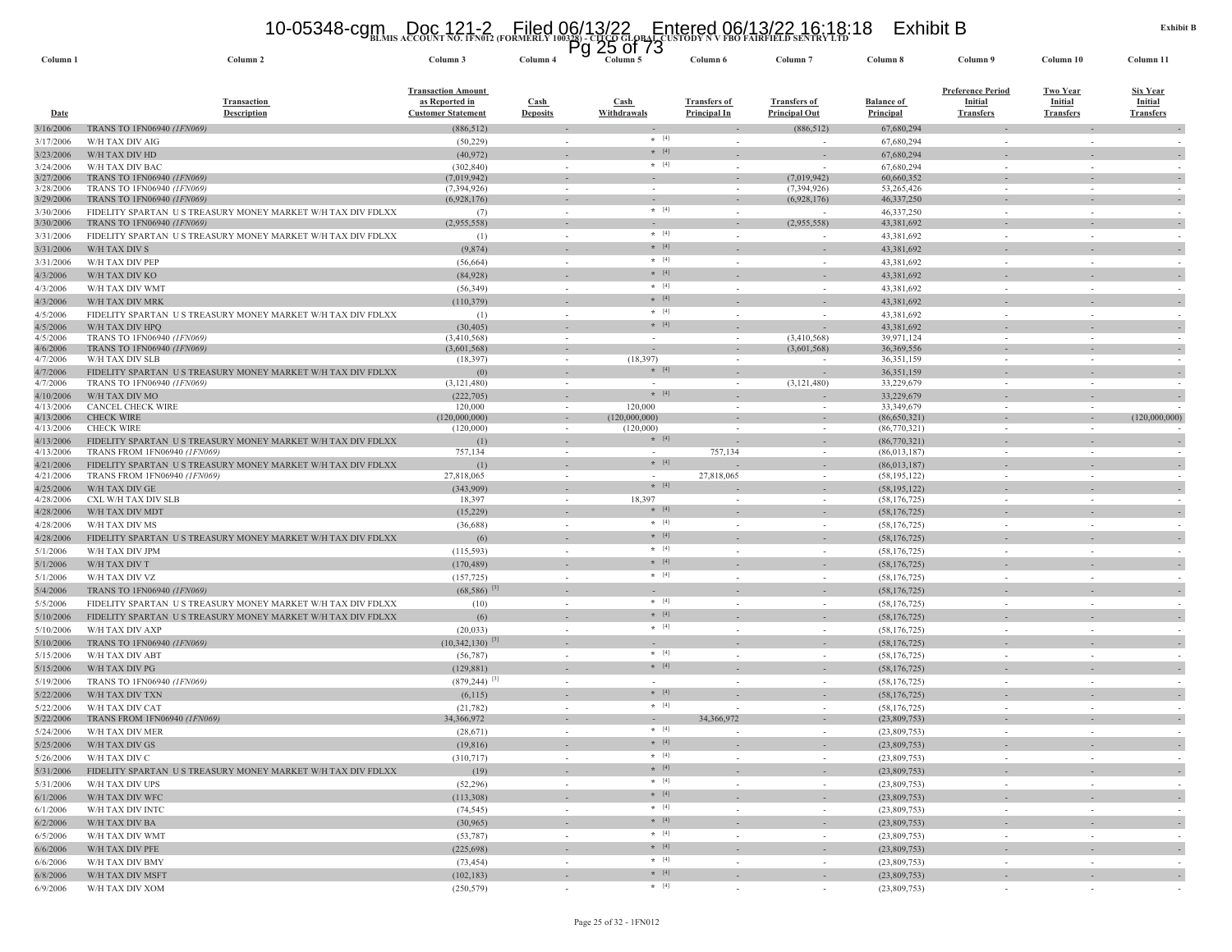#### 10-05348-cgm Doc 121-2 Filed 06/13/22 Entered 06/13/22 16:18:18 Exhibit B<br>https://www.account.no.ifn012.(formerly 100328)-crcd global custody n v fbo fairfield sentry ltd

|                        |                                                                                           | <b>DEMIN RECOUNT NO. IFRUIT (FORMERE</b>                                 |                                                      | $PQ$ 25 of 73            |                                     |                                             |                                       |                                                                |                                                       |                                                |
|------------------------|-------------------------------------------------------------------------------------------|--------------------------------------------------------------------------|------------------------------------------------------|--------------------------|-------------------------------------|---------------------------------------------|---------------------------------------|----------------------------------------------------------------|-------------------------------------------------------|------------------------------------------------|
| Column <sub>1</sub>    | Column 2                                                                                  | Column 3                                                                 | Column 4                                             | Column 5                 | Column 6                            | Column <sub>7</sub>                         | Column 8                              | Column 9                                                       | Column 10                                             | Column 11                                      |
| Date                   | <b>Transaction</b><br>Description                                                         | <b>Transaction Amount</b><br>as Reported in<br><b>Customer Statement</b> | <b>Cash</b><br><b>Deposits</b>                       | Cash<br>Withdrawals      | <b>Transfers of</b><br>Principal In | <b>Transfers of</b><br><b>Principal Out</b> | <b>Balance of</b><br><b>Principal</b> | <b>Preference Period</b><br><b>Initial</b><br><b>Transfers</b> | <b>Two Year</b><br><b>Initial</b><br><b>Transfers</b> | Six Year<br><b>Initial</b><br><b>Transfers</b> |
| 3/16/2006              | TRANS TO 1FN06940 (1FN069)                                                                | (886, 512)                                                               |                                                      | $*$ [4]                  |                                     | (886, 512)                                  | 67,680,294                            |                                                                |                                                       |                                                |
| 3/17/2006              | W/H TAX DIV AIG<br>W/H TAX DIV HD                                                         | (50, 229)                                                                | $\sim$                                               | $*$ [4]                  |                                     |                                             | 67,680,294                            | $\sim$                                                         | $\sim$                                                |                                                |
| 3/23/2006<br>3/24/2006 | W/H TAX DIV BAC                                                                           | (40, 972)<br>(302, 840)                                                  | $\sim$                                               | $\star$ [4]              |                                     | $\overline{\phantom{a}}$                    | 67,680,294<br>67,680,294              | $\sim$                                                         | $\sim$                                                |                                                |
| 3/27/2006              | TRANS TO 1FN06940 (1FN069)                                                                | (7,019,942)                                                              | $\sim$                                               |                          |                                     | (7,019,942)                                 | 60,660,352                            | $\sim$                                                         | $\sim$                                                | $\overline{\phantom{a}}$                       |
| 3/28/2006              | TRANS TO 1FN06940 (1FN069)                                                                | (7, 394, 926)                                                            |                                                      |                          |                                     | (7,394,926)                                 | 53,265,426                            |                                                                |                                                       |                                                |
| 3/29/2006              | TRANS TO 1FN06940 (1FN069)                                                                | (6,928,176)                                                              | $\overline{\phantom{a}}$                             |                          |                                     | (6,928,176)                                 | 46,337,250                            |                                                                |                                                       | $\overline{\phantom{a}}$                       |
| 3/30/2006<br>3/30/2006 | FIDELITY SPARTAN US TREASURY MONEY MARKET W/H TAX DIV FDLXX<br>TRANS TO 1FN06940 (1FN069) | (7)<br>(2,955,558)                                                       | $\sim$<br>$\overline{\phantom{a}}$                   | $* [4]$                  |                                     | (2,955,558)                                 | 46,337,250<br>43,381,692              | $\sim$                                                         |                                                       | $\overline{\phantom{a}}$                       |
| 3/31/2006              | FIDELITY SPARTAN US TREASURY MONEY MARKET W/H TAX DIV FDLXX                               | (1)                                                                      | $\sim$                                               | $*$ [4]                  |                                     |                                             | 43,381,692                            | $\sim$                                                         |                                                       |                                                |
| 3/31/2006              | W/H TAX DIV S                                                                             | (9,874)                                                                  |                                                      | $* [4]$                  |                                     |                                             | 43,381,692                            |                                                                |                                                       |                                                |
| 3/31/2006              | W/H TAX DIV PEP                                                                           | (56, 664)                                                                | $\sim$                                               | $*$ [4]                  | $\sim$                              | $\sim$                                      | 43,381,692                            | $\sim$                                                         | $\sim$                                                | $\sim$                                         |
| 4/3/2006               | W/H TAX DIV KO                                                                            | (84,928)                                                                 |                                                      | $*$ [4]                  |                                     |                                             | 43,381,692                            |                                                                |                                                       | $\sim$                                         |
| 4/3/2006               | W/H TAX DIV WMT                                                                           | (56, 349)                                                                | $\sim$                                               | $*$ [4]                  |                                     | $\sim$                                      | 43,381,692                            | $\sim$                                                         |                                                       | $\sim$                                         |
| 4/3/2006               | W/H TAX DIV MRK                                                                           | (110, 379)                                                               | $\overline{\phantom{a}}$                             | $*$ [4]                  |                                     |                                             | 43,381,692                            |                                                                |                                                       | $\sim$                                         |
| 4/5/2006               | FIDELITY SPARTAN US TREASURY MONEY MARKET W/H TAX DIV FDLXX                               | (1)                                                                      | $\sim$                                               | $* [4]$                  |                                     |                                             | 43,381,692                            | $\sim$                                                         |                                                       |                                                |
| 4/5/2006               | W/H TAX DIV HPQ                                                                           | (30, 405)                                                                |                                                      | $*$ [4]                  |                                     |                                             | 43,381,692                            |                                                                |                                                       | $\sim$                                         |
| 4/5/2006<br>4/6/2006   | TRANS TO 1FN06940 (1FN069)<br>TRANS TO 1FN06940 (1FN069)                                  | (3,410,568)                                                              |                                                      |                          |                                     | (3,410,568)<br>(3,601,568)                  | 39,971,124                            |                                                                |                                                       |                                                |
| 4/7/2006               | W/H TAX DIV SLB                                                                           | (3,601,568)<br>(18, 397)                                                 | $\overline{\phantom{a}}$<br>$\overline{\phantom{a}}$ | (18, 397)                |                                     |                                             | 36, 369, 556<br>36,351,159            |                                                                |                                                       |                                                |
| 4/7/2006               | FIDELITY SPARTAN US TREASURY MONEY MARKET W/H TAX DIV FDLXX                               | (0)                                                                      |                                                      | $*$ [4]                  |                                     |                                             | 36,351,159                            |                                                                |                                                       | $\sim$                                         |
| 4/7/2006               | TRANS TO 1FN06940 (1FN069)                                                                | (3,121,480)                                                              | $\sim$                                               |                          |                                     | (3,121,480)                                 | 33,229,679                            | $\sim$                                                         |                                                       |                                                |
| 4/10/2006              | W/H TAX DIV MO                                                                            | (222, 705)                                                               |                                                      | $*$ [4]                  |                                     |                                             | 33,229,679                            |                                                                |                                                       | $\sim$                                         |
| 4/13/2006<br>4/13/2006 | <b>CANCEL CHECK WIRE</b><br><b>CHECK WIRE</b>                                             | 120,000<br>(120,000,000)                                                 | $\sim$                                               | 120,000<br>(120,000,000) |                                     |                                             | 33,349,679<br>(86,650,321)            | $\sim$                                                         |                                                       | (120,000,000)                                  |
| 4/13/2006              | <b>CHECK WIRE</b>                                                                         | (120,000)                                                                | $\sim$                                               | (120,000)                |                                     | $\overline{\phantom{a}}$                    | (86,770,321)                          | $\sim$                                                         |                                                       | $\sim$                                         |
| 4/13/2006              | FIDELITY SPARTAN US TREASURY MONEY MARKET W/H TAX DIV FDLXX                               | (1)                                                                      |                                                      | $*$ [4]                  |                                     |                                             | (86,770,321)                          |                                                                |                                                       |                                                |
| 4/13/2006              | TRANS FROM 1FN06940 (1FN069)                                                              | 757,134                                                                  | $\sim$                                               | $\sim$                   | 757,134                             | $\overline{\phantom{a}}$                    | (86,013,187)                          | $\sim$                                                         |                                                       |                                                |
| 4/21/2006              | FIDELITY SPARTAN US TREASURY MONEY MARKET W/H TAX DIV FDLXX                               | (1)                                                                      |                                                      | $* [4]$                  |                                     |                                             | (86,013,187)                          |                                                                |                                                       | $\sim$                                         |
| 4/21/2006              | TRANS FROM 1FN06940 (1FN069)                                                              | 27,818,065                                                               | $\overline{\phantom{a}}$                             | $*$ [4]                  | 27,818,065                          |                                             | (58, 195, 122)                        | $\overline{\phantom{a}}$                                       |                                                       |                                                |
| 4/25/2006<br>4/28/2006 | W/H TAX DIV GE<br>CXL W/H TAX DIV SLB                                                     | (343,909)<br>18,397                                                      | $\sim$                                               | 18,397                   |                                     |                                             | (58, 195, 122)<br>(58, 176, 725)      |                                                                |                                                       |                                                |
| 4/28/2006              | W/H TAX DIV MDT                                                                           | (15,229)                                                                 |                                                      | $*$ [4]                  |                                     |                                             | (58, 176, 725)                        |                                                                |                                                       |                                                |
| 4/28/2006              | W/H TAX DIV MS                                                                            | (36,688)                                                                 | $\sim$                                               | $*$ [4]                  |                                     | $\sim$                                      | (58, 176, 725)                        | $\sim$                                                         |                                                       |                                                |
| 4/28/2006              | FIDELITY SPARTAN US TREASURY MONEY MARKET W/H TAX DIV FDLXX                               | (6)                                                                      |                                                      | $* [4]$                  |                                     |                                             | (58, 176, 725)                        |                                                                |                                                       |                                                |
| 5/1/2006               | W/H TAX DIV JPM                                                                           | (115, 593)                                                               | $\sim$                                               | $*$ [4]                  | $\sim$                              | $\sim$                                      | (58, 176, 725)                        | $\sim$                                                         | $\sim$                                                | $\sim$                                         |
| 5/1/2006               | W/H TAX DIV T                                                                             | (170, 489)                                                               |                                                      | $*$ [4]                  |                                     |                                             | (58, 176, 725)                        |                                                                |                                                       | $\sim$                                         |
| 5/1/2006               | W/H TAX DIV VZ                                                                            | (157, 725)                                                               | $\sim$                                               | $*$ [4]                  | $\sim$                              | $\sim$                                      | (58, 176, 725)                        | $\sim$                                                         |                                                       | $\sim$                                         |
| 5/4/2006               | TRANS TO 1FN06940 (1FN069)                                                                | $(68,586)$ <sup>[3]</sup>                                                | $\overline{\phantom{a}}$                             |                          |                                     |                                             | (58, 176, 725)                        |                                                                |                                                       | $\sim$                                         |
| 5/5/2006               | FIDELITY SPARTAN US TREASURY MONEY MARKET W/H TAX DIV FDLXX                               | (10)                                                                     | $\sim$                                               | $* [4]$                  |                                     | $\sim$                                      | (58, 176, 725)                        | $\sim$                                                         |                                                       |                                                |
| 5/10/2006              | FIDELITY SPARTAN US TREASURY MONEY MARKET W/H TAX DIV FDLXX                               | (6)                                                                      |                                                      | $*$ [4]                  |                                     |                                             | (58, 176, 725)                        |                                                                |                                                       | $\sim$                                         |
| 5/10/2006              | W/H TAX DIV AXP                                                                           | (20, 033)                                                                |                                                      | $*$ [4]                  |                                     |                                             | (58, 176, 725)                        |                                                                |                                                       |                                                |
| 5/10/2006              | TRANS TO 1FN06940 (1FN069)                                                                | $(10,342,130)$ <sup>[3]</sup>                                            |                                                      |                          |                                     |                                             | (58, 176, 725)                        |                                                                |                                                       |                                                |
| 5/15/2006              | W/H TAX DIV ABT                                                                           | (56, 787)                                                                | $\sim$                                               | $*$ [4]<br>$* [4]$       |                                     | $\overline{\phantom{a}}$                    | (58, 176, 725)                        | $\sim$                                                         |                                                       |                                                |
| 5/15/2006              | W/H TAX DIV PG                                                                            | (129, 881)                                                               |                                                      |                          |                                     |                                             | (58, 176, 725)                        |                                                                |                                                       |                                                |
| 5/19/2006              | TRANS TO 1FN06940 (1FN069)                                                                | $(879, 244)$ <sup>[3]</sup>                                              | $\sim$                                               | $\sim$<br>$*$ [4]        | $\sim$                              | $\sim$                                      | (58, 176, 725)                        | $\sim$                                                         | $\sim$                                                | $\sim$                                         |
| 5/22/2006<br>5/22/2006 | W/H TAX DIV TXN<br>W/H TAX DIV CAT                                                        | (6,115)<br>(21, 782)                                                     | $\sim$                                               | $*$ [4]                  |                                     | $\sim$                                      | (58, 176, 725)<br>(58, 176, 725)      | $\sim$                                                         |                                                       | $\sim$                                         |
| 5/22/2006              | TRANS FROM 1FN06940 (1FN069)                                                              | 34,366,972                                                               | $\sim$                                               | $\sim$                   | 34,366,972                          | $\sim$                                      | (23,809,753)                          |                                                                |                                                       | $\sim$                                         |
| 5/24/2006              | W/H TAX DIV MER                                                                           | (28, 671)                                                                | $\sim$                                               | $*$ [4]                  |                                     | $\sim$                                      | (23,809,753)                          |                                                                |                                                       |                                                |
| 5/25/2006              | W/H TAX DIV GS                                                                            | (19, 816)                                                                | ٠                                                    | $*$ [4]                  |                                     | $\sim$                                      | (23,809,753)                          | $\sim$                                                         | ٠                                                     | $\overline{\phantom{a}}$                       |
| 5/26/2006              | W/H TAX DIV C                                                                             | (310, 717)                                                               | $\sim$                                               | $*$ [4]                  |                                     | $\sim$                                      | (23,809,753)                          | $\sim$                                                         | $\sim$                                                | $\sim$                                         |
| 5/31/2006              | FIDELITY SPARTAN US TREASURY MONEY MARKET W/H TAX DIV FDLXX                               | (19)                                                                     | $\sim$                                               | $*$ [4]                  |                                     | ÷.                                          | (23,809,753)                          |                                                                | $\sim$                                                | $\overline{\phantom{a}}$                       |
| 5/31/2006              | W/H TAX DIV UPS                                                                           | (52, 296)                                                                | $\sim$                                               | $*$ [4]                  | $\sim$                              | $\sim$                                      | (23,809,753)                          | $\sim$                                                         | $\sim$                                                | $\sim$                                         |
| 6/1/2006               | W/H TAX DIV WFC                                                                           | (113,308)                                                                | $\overline{\phantom{a}}$                             | $*$ [4]                  |                                     | $\overline{\phantom{a}}$                    | (23,809,753)                          | $\overline{\phantom{a}}$                                       |                                                       | $\sim$                                         |
| 6/1/2006               | W/H TAX DIV INTC                                                                          | (74, 545)                                                                | $\sim$                                               | $*$ [4]                  | $\sim$                              | $\sim$                                      | (23,809,753)                          | $\sim$                                                         | $\sim$                                                | $\sim$                                         |
| 6/2/2006               | W/H TAX DIV BA                                                                            | (30, 965)                                                                |                                                      | $*$ [4]                  |                                     |                                             | (23,809,753)                          |                                                                |                                                       | $\sim$                                         |
| 6/5/2006               | W/H TAX DIV WMT                                                                           | (53, 787)                                                                | $\sim$                                               | $*$ [4]<br>$*$ [4]       | $\sim$                              | $\sim$                                      | (23,809,753)                          | $\sim$                                                         | $\sim$                                                |                                                |
| 6/6/2006               | W/H TAX DIV PFE                                                                           | (225, 698)                                                               | $\sim$                                               | $*$ [4]                  |                                     | $\sim$                                      | (23,809,753)                          | $\sim$                                                         | $\sim$                                                | $\sim$                                         |
| 6/6/2006               | W/H TAX DIV BMY                                                                           | (73, 454)                                                                | $\overline{\phantom{a}}$                             | $*$ [4]                  | $\sim$                              | $\overline{\phantom{a}}$                    | (23,809,753)                          | $\overline{\phantom{a}}$                                       | $\sim$                                                | $\sim$                                         |
| 6/8/2006               | W/H TAX DIV MSFT<br>W/H TAX DIV XOM                                                       | (102, 183)                                                               | $\overline{\phantom{a}}$<br>$\sim$                   | $*$ [4]                  | $\sim$                              | $\sim$<br>$\overline{\phantom{a}}$          | (23,809,753)                          | $\sim$<br>$\sim$                                               | $\sim$<br>$\sim$                                      | $\sim$                                         |
| 6/9/2006               |                                                                                           | (250, 579)                                                               |                                                      |                          |                                     |                                             | (23,809,753)                          |                                                                |                                                       |                                                |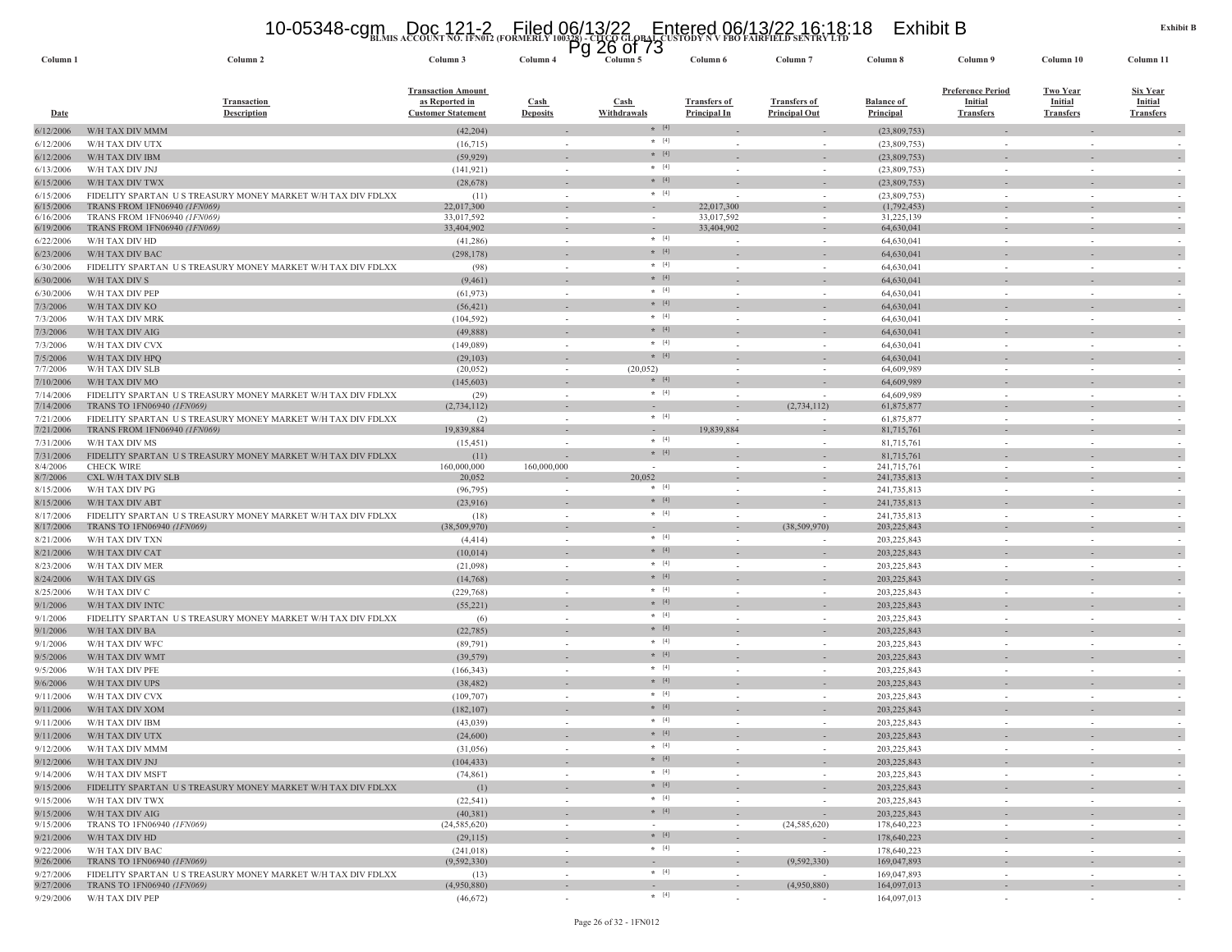# **BLMIS ACCOUNT NO. 1FN012 (FORMERLY 100328) - CITCO GLOBAL CUSTODY N V FBO FAIRFIELD SENTRY LTD** 10-05348-cgm Doc 121-2 Filed 06/13/22 Entered 06/13/22 16:18:18 Exhibit B Pg 26 of 73

| Column 1               | Column 2                                                     | Column 3                                                                 | Column 4                                 | 20 UI 73<br>гy<br>Column 5         | Column 6                                   | Column <sub>7</sub>                         | Column 8                              | Column 9                                                       | Column 10                                             | Column 11                                             |
|------------------------|--------------------------------------------------------------|--------------------------------------------------------------------------|------------------------------------------|------------------------------------|--------------------------------------------|---------------------------------------------|---------------------------------------|----------------------------------------------------------------|-------------------------------------------------------|-------------------------------------------------------|
| Date                   | <b>Transaction</b><br><b>Description</b>                     | <b>Transaction Amount</b><br>as Reported in<br><b>Customer Statement</b> | $\operatorname{Cash}$<br><b>Deposits</b> | <b>Cash</b><br>Withdrawals         | <b>Transfers of</b><br><b>Principal In</b> | <b>Transfers of</b><br><b>Principal Out</b> | <b>Balance of</b><br><b>Principal</b> | <b>Preference Period</b><br><b>Initial</b><br><b>Transfers</b> | <b>Two Year</b><br><b>Initial</b><br><b>Transfers</b> | <b>Six Year</b><br><b>Initial</b><br><b>Transfers</b> |
| 6/12/2006              | W/H TAX DIV MMM                                              | (42, 204)                                                                |                                          | $*$ [4]                            |                                            |                                             | (23,809,753)                          |                                                                |                                                       |                                                       |
| 6/12/2006              | W/H TAX DIV UTX                                              | (16,715)                                                                 | $\sim$                                   | $*$ [4]                            |                                            | $\sim$                                      | (23,809,753)                          | $\sim$                                                         | $\sim$                                                |                                                       |
| 6/12/2006              | W/H TAX DIV IBM                                              | (59, 929)                                                                |                                          | $*$ [4]                            |                                            |                                             | (23,809,753)                          |                                                                |                                                       |                                                       |
| 6/13/2006              | W/H TAX DIV JNJ                                              | (141, 921)                                                               | $\sim$                                   | $* [4]$                            |                                            | $\sim$                                      | (23,809,753)                          |                                                                | $\sim$                                                |                                                       |
| 6/15/2006              | W/H TAX DIV TWX                                              | (28, 678)                                                                |                                          | $*$ [4]                            |                                            |                                             | (23,809,753)                          |                                                                |                                                       |                                                       |
| 6/15/2006              | FIDELITY SPARTAN US TREASURY MONEY MARKET W/H TAX DIV FDLXX  | (11)                                                                     | $\sim$                                   | $*$ [4]                            |                                            | $\sim$                                      | (23,809,753)                          |                                                                | $\sim$                                                |                                                       |
| 6/15/2006<br>6/16/2006 | TRANS FROM 1FN06940 (1FN069)<br>TRANS FROM 1FN06940 (1FN069) | 22,017,300<br>33,017,592                                                 | $\sim$<br>$\sim$                         | $\sim$<br>$\overline{\phantom{a}}$ | 22,017,300<br>33,017,592                   | $\sim$<br>$\overline{\phantom{a}}$          | (1,792,453)<br>31,225,139             |                                                                | $\sim$<br>$\overline{\phantom{a}}$                    |                                                       |
| 6/19/2006              | TRANS FROM 1FN06940 (1FN069)                                 | 33,404,902                                                               | $\sim$                                   | $\overline{\phantom{a}}$           | 33,404,902                                 | $\overline{\phantom{a}}$                    | 64,630,041                            |                                                                | $\overline{\phantom{a}}$                              | $\overline{\phantom{a}}$                              |
| 6/22/2006              | W/H TAX DIV HD                                               | (41, 286)                                                                | $\sim$                                   | $*$ [4]                            |                                            | $\sim$                                      | 64,630,041                            |                                                                | $\sim$                                                |                                                       |
| 6/23/2006              | W/H TAX DIV BAC                                              | (298, 178)                                                               |                                          | $* [4]$                            |                                            |                                             | 64,630,041                            |                                                                |                                                       |                                                       |
| 6/30/2006              | FIDELITY SPARTAN US TREASURY MONEY MARKET W/H TAX DIV FDLXX  | (98)                                                                     | $\sim$                                   | $*$ [4]                            |                                            | $\sim$                                      | 64,630,041                            | $\sim$                                                         | $\sim$                                                |                                                       |
| 6/30/2006              | W/H TAX DIV S                                                | (9,461)                                                                  | $\overline{\phantom{a}}$                 | $* [4]$                            |                                            |                                             | 64,630,041                            |                                                                |                                                       |                                                       |
| 6/30/2006              | W/H TAX DIV PEP                                              | (61, 973)                                                                | $\sim$                                   | $*$ [4]                            |                                            | $\sim$                                      | 64,630,041                            | $\sim$                                                         | $\sim$                                                |                                                       |
| 7/3/2006               | W/H TAX DIV KO                                               | (56, 421)                                                                | $\overline{\phantom{m}}$                 | $* [4]$                            |                                            |                                             | 64,630,041                            |                                                                |                                                       |                                                       |
| 7/3/2006               | W/H TAX DIV MRK                                              | (104, 592)                                                               | $\sim$                                   | $*$ [4]                            |                                            | $\sim$                                      | 64,630,041                            | $\sim$                                                         | $\sim$                                                |                                                       |
| 7/3/2006               | W/H TAX DIV AIG                                              | (49,888)                                                                 | $\sim$                                   | $* [4]$                            |                                            |                                             | 64,630,041                            |                                                                |                                                       | $\overline{\phantom{a}}$                              |
| 7/3/2006               | W/H TAX DIV CVX                                              | (149,089)                                                                | $\sim$                                   | $* [4]$<br>$* [4]$                 |                                            | $\sim$                                      | 64,630,041                            |                                                                | $\sim$                                                |                                                       |
| 7/5/2006<br>7/7/2006   | W/H TAX DIV HPQ<br>W/H TAX DIV SLB                           | (29, 103)<br>(20, 052)                                                   | $\sim$                                   | (20,052)                           |                                            |                                             | 64,630,041<br>64,609,989              |                                                                |                                                       | $\overline{\phantom{a}}$                              |
| 7/10/2006              | W/H TAX DIV MO                                               | (145, 603)                                                               | $\overline{\phantom{a}}$                 | $*$ [4]                            |                                            | $\sim$<br>$\overline{\phantom{a}}$          | 64,609,989                            |                                                                | $\overline{\phantom{a}}$                              |                                                       |
| 7/14/2006              | FIDELITY SPARTAN US TREASURY MONEY MARKET W/H TAX DIV FDLXX  | (29)                                                                     | $\sim$                                   | $\star$ [4]                        |                                            | $\sim$                                      | 64,609,989                            |                                                                | $\sim$                                                |                                                       |
| 7/14/2006              | TRANS TO 1FN06940 (1FN069)                                   | (2,734,112)                                                              | $\sim$                                   | $\overline{\phantom{a}}$           |                                            | (2,734,112)                                 | 61,875,877                            |                                                                | $\overline{\phantom{a}}$                              |                                                       |
| 7/21/2006              | FIDELITY SPARTAN US TREASURY MONEY MARKET W/H TAX DIV FDLXX  | (2)                                                                      | $\sim$                                   | $*$ [4]                            |                                            | $\sim$                                      | 61,875,877                            |                                                                | $\sim$                                                |                                                       |
| 7/21/2006              | TRANS FROM 1FN06940 <i>(1FN069)</i>                          | 19,839,884                                                               | $\overline{\phantom{a}}$                 | $\overline{\phantom{a}}$           | 19,839,884                                 | $\overline{\phantom{a}}$                    | 81,715,761                            |                                                                |                                                       |                                                       |
| 7/31/2006              | W/H TAX DIV MS                                               | (15, 451)                                                                | $\sim$                                   | $*$ [4]                            |                                            | $\sim$                                      | 81,715,761                            | $\sim$                                                         | $\sim$                                                |                                                       |
| 7/31/2006              | FIDELITY SPARTAN US TREASURY MONEY MARKET W/H TAX DIV FDLXX  | (11)                                                                     |                                          | $*$ [4]                            |                                            |                                             | 81,715,761                            |                                                                |                                                       |                                                       |
| 8/4/2006<br>8/7/2006   | <b>CHECK WIRE</b><br>CXL W/H TAX DIV SLB                     | 160,000,000<br>20,052                                                    | 160,000,000                              | $\sim$<br>20,052                   | $\sim$<br>٠                                | $\sim$<br>$\sim$                            | 241,715,761<br>241,735,813            | $\sim$                                                         | $\sim$                                                | $\sim$                                                |
| 8/15/2006              | W/H TAX DIV PG                                               | (96, 795)                                                                | $\sim$                                   | $* [4]$                            |                                            | $\sim$                                      | 241,735,813                           |                                                                | $\sim$                                                |                                                       |
| 8/15/2006              | W/H TAX DIV ABT                                              | (23,916)                                                                 | $\overline{\phantom{a}}$                 | $\star$ [4]                        |                                            | $\sim$                                      | 241,735,813                           |                                                                | ٠                                                     |                                                       |
| 8/17/2006              | FIDELITY SPARTAN US TREASURY MONEY MARKET W/H TAX DIV FDLXX  | (18)                                                                     | $\sim$                                   | $*$ [4]                            |                                            |                                             | 241,735,813                           |                                                                | $\sim$                                                |                                                       |
| 8/17/2006              | TRANS TO 1FN06940 (1FN069)                                   | (38, 509, 970)                                                           | $\overline{\phantom{a}}$                 |                                    |                                            | (38,509,970)                                | 203, 225, 843                         |                                                                | $\overline{\phantom{a}}$                              | $\overline{\phantom{a}}$                              |
| 8/21/2006              | W/H TAX DIV TXN                                              | (4, 414)                                                                 | $\sim$                                   | $\star$ [4]                        |                                            | $\sim$                                      | 203,225,843                           | $\sim$                                                         | $\sim$                                                |                                                       |
| 8/21/2006              | W/H TAX DIV CAT                                              | (10,014)                                                                 |                                          | $\star$ [4]                        |                                            |                                             | 203, 225, 843                         |                                                                |                                                       |                                                       |
| 8/23/2006              | W/H TAX DIV MER                                              | (21,098)                                                                 | $\sim$                                   | $*$ [4]                            |                                            | $\sim$                                      | 203,225,843                           | $\sim$                                                         | $\sim$                                                |                                                       |
| 8/24/2006              | W/H TAX DIV GS                                               | (14, 768)                                                                | $\sim$                                   | $*$ [4]                            |                                            | $\sim$                                      | 203,225,843                           |                                                                |                                                       | $\overline{\phantom{a}}$                              |
| 8/25/2006              | W/H TAX DIV C                                                | (229, 768)                                                               | $\sim$                                   | $*$ [4]<br>$*$ [4]                 | $\sim$                                     | $\sim$                                      | 203,225,843                           | $\sim$                                                         | $\sim$                                                |                                                       |
| 9/1/2006               | W/H TAX DIV INTC                                             | (55, 221)                                                                | $\sim$                                   | $*$ [4]                            |                                            |                                             | 203, 225, 843                         |                                                                |                                                       |                                                       |
| 9/1/2006               | FIDELITY SPARTAN US TREASURY MONEY MARKET W/H TAX DIV FDLXX  | (6)                                                                      | $\overline{\phantom{a}}$                 | $* [4]$                            |                                            | $\sim$<br>$\sim$                            | 203, 225, 843                         |                                                                | $\sim$                                                |                                                       |
| 9/1/2006<br>9/1/2006   | W/H TAX DIV BA<br>W/H TAX DIV WFC                            | (22, 785)<br>(89,791)                                                    | $\sim$<br>÷,                             | $\star$ [4]                        |                                            |                                             | 203, 225, 843<br>203,225,843          |                                                                | ٠                                                     | $\sim$                                                |
| 9/5/2006               | W/H TAX DIV WMT                                              | (39, 579)                                                                | $\overline{\phantom{a}}$                 | $*$ [4]                            |                                            | $\overline{\phantom{a}}$                    | 203, 225, 843                         |                                                                | $\overline{\phantom{a}}$                              | $\overline{\phantom{a}}$                              |
| 9/5/2006               | W/H TAX DIV PFE                                              | (166, 343)                                                               | $\sim$                                   | $\star$ [4]                        |                                            | $\sim$                                      | 203,225,843                           |                                                                | $\sim$                                                |                                                       |
| 9/6/2006               | W/H TAX DIV UPS                                              | (38, 482)                                                                |                                          | $*$ [4]                            |                                            |                                             | 203, 225, 843                         |                                                                |                                                       |                                                       |
| 9/11/2006              | W/H TAX DIV CVX                                              | (109, 707)                                                               | $\sim$                                   | $*$ [4]                            |                                            | $\sim$                                      | 203,225,843                           | $\sim$                                                         | $\sim$                                                |                                                       |
| 9/11/2006              | W/H TAX DIV XOM                                              | (182, 107)                                                               | $\overline{\phantom{m}}$                 | $*$ [4]                            |                                            | $\sim$                                      | 203,225,843                           |                                                                |                                                       |                                                       |
| 9/11/2006              | W/H TAX DIV IBM                                              | (43,039)                                                                 | $\sim$                                   | $*$ [4]                            | $\sim$                                     | $\sim$                                      | 203,225,843                           | $\sim$                                                         | $\sim$                                                |                                                       |
| 9/11/2006              | W/H TAX DIV UTX                                              | (24,600)                                                                 |                                          | $\star$ [4]                        |                                            |                                             | 203, 225, 843                         |                                                                |                                                       |                                                       |
| 9/12/2006              | W/H TAX DIV MMM                                              | (31,056)                                                                 | $\overline{\phantom{a}}$                 | $*$ [4]                            |                                            | $\overline{\phantom{a}}$                    | 203, 225, 843                         |                                                                | $\overline{\phantom{a}}$                              |                                                       |
| 9/12/2006              | W/H TAX DIV JNJ                                              | (104, 433)                                                               | $\sim$                                   | $*$ [4]                            |                                            | $\sim$                                      | 203, 225, 843                         |                                                                |                                                       | $\overline{\phantom{a}}$                              |
| 9/14/2006              | W/H TAX DIV MSFT                                             | (74, 861)                                                                |                                          | $\star$ [4]                        |                                            | $\sim$                                      | 203,225,843                           |                                                                |                                                       |                                                       |
| 9/15/2006              | FIDELITY SPARTAN US TREASURY MONEY MARKET W/H TAX DIV FDLXX  | (1)                                                                      | $\overline{\phantom{a}}$                 | $\star$ [4]                        |                                            | $\overline{\phantom{a}}$                    | 203, 225, 843                         |                                                                | $\overline{\phantom{a}}$                              | $\overline{\phantom{a}}$                              |
| 9/15/2006              | W/H TAX DIV TWX                                              | (22, 541)                                                                | $\sim$                                   | $*$ [4]                            | $\sim$                                     | $\sim$                                      | 203,225,843                           | $\sim$                                                         | $\sim$                                                | $\sim$                                                |
| 9/15/2006              | W/H TAX DIV AIG                                              | (40, 381)                                                                |                                          | $\star$ [4]                        |                                            | $\sim$                                      | 203,225,843                           |                                                                |                                                       | $\overline{\phantom{a}}$                              |
| 9/15/2006              | TRANS TO 1FN06940 (1FN069)                                   | (24, 585, 620)                                                           | $\sim$                                   | $\sim$<br>$*$ [4]                  | $\sim$                                     | (24, 585, 620)                              | 178,640,223                           | $\sim$                                                         | $\sim$                                                | $\sim$                                                |
| 9/21/2006              | W/H TAX DIV HD                                               | (29, 115)                                                                | $\sim$                                   | $*$ [4]                            | $\sim$                                     | $\sim$                                      | 178,640,223                           | $\sim$                                                         | ٠                                                     | $\sim$                                                |
| 9/22/2006<br>9/26/2006 | W/H TAX DIV BAC<br>TRANS TO 1FN06940 (1FN069)                | (241, 018)<br>(9, 592, 330)                                              | $\sim$                                   |                                    | $\overline{\phantom{a}}$                   | (9, 592, 330)                               | 178,640,223<br>169,047,893            |                                                                | $\sim$<br>$\overline{\phantom{a}}$                    | $\overline{\phantom{a}}$                              |
| 9/27/2006              | FIDELITY SPARTAN US TREASURY MONEY MARKET W/H TAX DIV FDLXX  | (13)                                                                     | $\sim$                                   | $*$ [4]                            | $\sim$                                     |                                             | 169,047,893                           | $\sim$                                                         | $\sim$                                                |                                                       |
| 9/27/2006              | TRANS TO 1FN06940 (1FN069)                                   | (4,950,880)                                                              | $\sim$                                   | $\sim$                             | $\sim$                                     | (4,950,880)                                 | 164,097,013                           |                                                                | $\sim$                                                | $\overline{\phantom{a}}$                              |
| 9/29/2006              | W/H TAX DIV PEP                                              | (46,672)                                                                 | $\sim$                                   | $*$ [4]                            | $\sim$                                     | $\sim$                                      | 164,097,013                           |                                                                | $\overline{\phantom{a}}$                              |                                                       |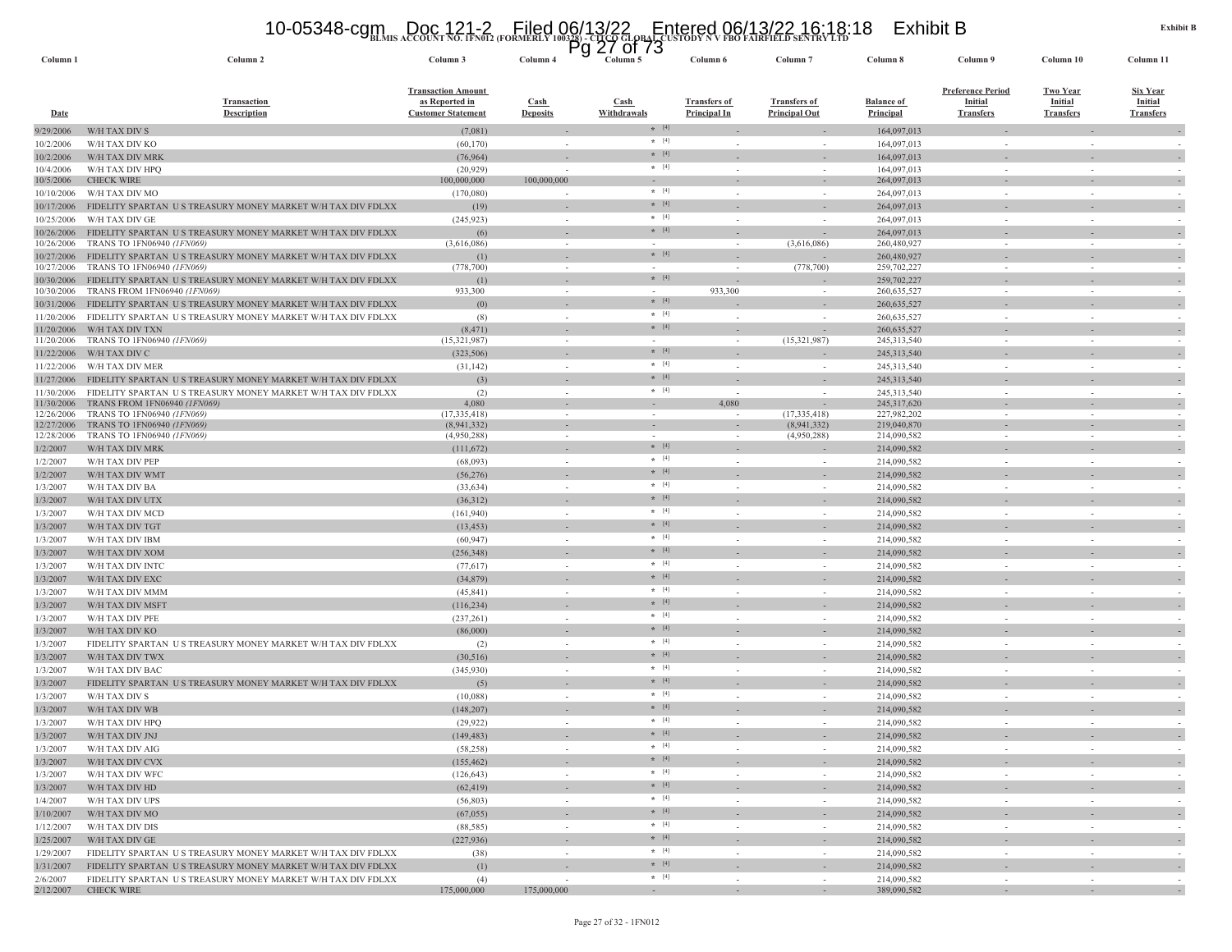# **BLMIS ACCOUNT NO. 1FN012 (FORMERLY 100328) - CITCO GLOBAL CUSTODY N V FBO FAIRFIELD SENTRY LTD** 10-05348-cgm Doc 121-2 Filed 06/13/22 Entered 06/13/22 16:18:18 Exhibit B Pg 27 of 73

| Column <sub>1</sub>      | Column 2                                                                                           | Column 3                                                                 | ٣y<br>Column 4           | <b>UI</b> 13<br>$\angle$<br>Column 5 | Column 6                                   | Column <sub>7</sub>                         | Column 8                              | Column 9                                                       | Column 10                                             | Column 11                                             |
|--------------------------|----------------------------------------------------------------------------------------------------|--------------------------------------------------------------------------|--------------------------|--------------------------------------|--------------------------------------------|---------------------------------------------|---------------------------------------|----------------------------------------------------------------|-------------------------------------------------------|-------------------------------------------------------|
| <u>Date</u>              | <b>Transaction</b><br><b>Description</b>                                                           | <b>Transaction Amount</b><br>as Reported in<br><b>Customer Statement</b> | Cash<br><b>Deposits</b>  | <b>Cash</b><br>Withdrawals           | <b>Transfers of</b><br><b>Principal In</b> | <b>Transfers of</b><br><b>Principal Out</b> | <b>Balance of</b><br><b>Principal</b> | <b>Preference Period</b><br><b>Initial</b><br><b>Transfers</b> | <b>Two Year</b><br><b>Initial</b><br><b>Transfers</b> | <b>Six Year</b><br><b>Initial</b><br><b>Transfers</b> |
| 9/29/2006                | W/H TAX DIV S                                                                                      | (7,081)                                                                  |                          | $*$ [4]                              |                                            |                                             | 164,097,013                           |                                                                |                                                       |                                                       |
| 10/2/2006                | W/H TAX DIV KO                                                                                     | (60, 170)                                                                | $\sim$                   | $*$ [4]                              | $\overline{\phantom{a}}$                   |                                             | 164,097,013                           | $\sim$                                                         |                                                       |                                                       |
| 10/2/2006                | W/H TAX DIV MRK                                                                                    | (76, 964)                                                                |                          | $* [4]$                              |                                            |                                             | 164,097,013                           |                                                                |                                                       |                                                       |
| 10/4/2006                | W/H TAX DIV HPQ<br><b>CHECK WIRE</b>                                                               | (20, 929)<br>100,000,000                                                 | $\sim$<br>100,000,000    | $* [4]$                              | $\sim$                                     |                                             | 164,097,013                           | $\sim$                                                         |                                                       |                                                       |
| 10/5/2006<br>10/10/2006  | W/H TAX DIV MO                                                                                     | (170,080)                                                                |                          | $*$ [4]                              | $\sim$                                     |                                             | 264,097,013<br>264,097,013            | $\sim$                                                         |                                                       |                                                       |
| 10/17/2006               | FIDELITY SPARTAN US TREASURY MONEY MARKET W/H TAX DIV FDLXX                                        | (19)                                                                     |                          | $* [4]$                              |                                            |                                             | 264,097,013                           |                                                                |                                                       |                                                       |
| 10/25/2006               | W/H TAX DIV GE                                                                                     | (245, 923)                                                               | $\sim$                   | $*$ [4]                              | $\sim$                                     |                                             | 264,097,013                           | $\sim$                                                         |                                                       | $\sim$                                                |
| 10/26/2006               | FIDELITY SPARTAN US TREASURY MONEY MARKET W/H TAX DIV FDLXX                                        | (6)                                                                      |                          | $*$ [4]                              |                                            |                                             | 264,097,013                           |                                                                |                                                       |                                                       |
| 10/26/2006               | TRANS TO 1FN06940 (1FN069)                                                                         | (3,616,086)                                                              | $\sim$                   | $\sim$                               | $\overline{\phantom{a}}$                   | (3,616,086)                                 | 260,480,927                           |                                                                |                                                       |                                                       |
| 10/27/2006               | FIDELITY SPARTAN US TREASURY MONEY MARKET W/H TAX DIV FDLXX                                        | (1)                                                                      |                          | $*$ [4]                              |                                            |                                             | 260,480,927                           |                                                                |                                                       |                                                       |
| 10/27/2006               | TRANS TO 1FN06940 (1FN069)                                                                         | (778, 700)                                                               | $\sim$                   | $\sim$<br>$* [4]$                    | $\overline{\phantom{a}}$                   | (778, 700)                                  | 259,702,227                           |                                                                |                                                       |                                                       |
| 10/30/2006<br>10/30/2006 | FIDELITY SPARTAN US TREASURY MONEY MARKET W/H TAX DIV FDLXX<br><b>TRANS FROM 1FN06940 (1FN069)</b> | (1)<br>933,300                                                           |                          | $\sim$                               | 933,300                                    |                                             | 259,702,227<br>260, 635, 527          |                                                                |                                                       |                                                       |
| 10/31/2006               | FIDELITY SPARTAN US TREASURY MONEY MARKET W/H TAX DIV FDLXX                                        | (0)                                                                      |                          | $*$ [4]                              |                                            |                                             | 260,635,527                           |                                                                |                                                       | $\sim$                                                |
| 11/20/2006               | FIDELITY SPARTAN US TREASURY MONEY MARKET W/H TAX DIV FDLXX                                        | (8)                                                                      | $\sim$                   | $*$ [4]                              | $\overline{\phantom{a}}$                   |                                             | 260,635,527                           | $\sim$                                                         |                                                       |                                                       |
| 11/20/2006               | W/H TAX DIV TXN                                                                                    | (8, 471)                                                                 |                          | $*$ [4]                              |                                            |                                             | 260,635,527                           |                                                                |                                                       |                                                       |
| 11/20/2006               | TRANS TO 1FN06940 (1FN069)                                                                         | (15,321,987)                                                             | $\sim$                   | $\sim$                               | $\overline{\phantom{a}}$                   | (15,321,987)                                | 245, 313, 540                         | $\overline{\phantom{a}}$                                       |                                                       |                                                       |
| 11/22/2006               | W/H TAX DIV C                                                                                      | (323, 506)                                                               | $\sim$                   | $*$ [4]                              |                                            |                                             | 245, 313, 540                         | $\overline{\phantom{a}}$                                       |                                                       | $\sim$                                                |
| 11/22/2006               | W/H TAX DIV MER                                                                                    | (31, 142)                                                                | $\sim$                   | $*$ [4]                              |                                            |                                             | 245,313,540                           | $\sim$                                                         |                                                       |                                                       |
| 11/27/2006               | FIDELITY SPARTAN US TREASURY MONEY MARKET W/H TAX DIV FDLXX                                        | (3)                                                                      |                          | $* [4]$                              |                                            |                                             | 245,313,540                           |                                                                |                                                       |                                                       |
| 11/30/2006               | FIDELITY SPARTAN US TREASURY MONEY MARKET W/H TAX DIV FDLXX                                        | (2)                                                                      | $\sim$                   | $\star$ [4]                          | $\sim$                                     |                                             | 245,313,540                           | $\sim$                                                         |                                                       |                                                       |
| 11/30/2006               | TRANS FROM 1FN06940 (1FN069                                                                        | 4,080                                                                    |                          |                                      | 4,080                                      |                                             | 245,317,620                           |                                                                |                                                       |                                                       |
| 12/26/2006<br>12/27/2006 | TRANS TO 1FN06940 (1FN069)<br>TRANS TO 1FN06940 (1FN069)                                           | (17, 335, 418)<br>(8,941,332)                                            | $\sim$                   | $\sim$<br>$\sim$                     | $\overline{\phantom{a}}$                   | (17, 335, 418)<br>(8,941,332)               | 227,982,202<br>219,040,870            | $\sim$                                                         |                                                       |                                                       |
| 12/28/2006               | TRANS TO 1FN06940 (1FN069)                                                                         | (4,950,288)                                                              | $\sim$                   |                                      |                                            | (4,950,288)                                 | 214,090,582                           |                                                                |                                                       |                                                       |
| 1/2/2007                 | W/H TAX DIV MRK                                                                                    | (111,672)                                                                |                          | $*$ [4]                              |                                            |                                             | 214,090,582                           |                                                                |                                                       | $\sim$                                                |
| 1/2/2007                 | W/H TAX DIV PEP                                                                                    | (68,093)                                                                 | $\sim$                   | $\star$ [4]                          |                                            | $\sim$                                      | 214,090,582                           | $\sim$                                                         |                                                       |                                                       |
| 1/2/2007                 | W/H TAX DIV WMT                                                                                    | (56, 276)                                                                |                          | $*$ [4]                              |                                            |                                             | 214,090,582                           |                                                                |                                                       |                                                       |
| 1/3/2007                 | W/H TAX DIV BA                                                                                     | (33, 634)                                                                | $\sim$                   | $* [4]$                              |                                            |                                             | 214,090,582                           | $\sim$                                                         |                                                       |                                                       |
| 1/3/2007                 | W/H TAX DIV UTX                                                                                    | (36,312)                                                                 |                          | $*$ [4]                              |                                            |                                             | 214,090,582                           |                                                                |                                                       |                                                       |
| 1/3/2007                 | W/H TAX DIV MCD                                                                                    | (161, 940)                                                               |                          | $*$ [4]                              |                                            |                                             | 214,090,582                           |                                                                |                                                       |                                                       |
| 1/3/2007                 | W/H TAX DIV TGT                                                                                    | (13, 453)                                                                |                          | $*$ [4]                              |                                            |                                             | 214,090,582                           |                                                                |                                                       |                                                       |
| 1/3/2007                 | W/H TAX DIV IBM                                                                                    | (60, 947)                                                                | $\sim$                   | $\star$ [4]                          |                                            |                                             | 214,090,582                           | $\overline{\phantom{a}}$                                       |                                                       |                                                       |
| 1/3/2007                 | W/H TAX DIV XOM                                                                                    | (256, 348)                                                               |                          | $* [4]$<br>$*$ [4]                   |                                            |                                             | 214,090,582                           |                                                                |                                                       |                                                       |
| 1/3/2007                 | W/H TAX DIV INTC                                                                                   | (77, 617)                                                                | $\sim$                   | $*$ [4]                              | $\sim$                                     | $\sim$                                      | 214,090,582                           | $\sim$                                                         | $\sim$                                                | $\sim$                                                |
| 1/3/2007                 | W/H TAX DIV EXC                                                                                    | (34, 879)                                                                | $\overline{\phantom{a}}$ | $\star$ [4]                          |                                            |                                             | 214,090,582                           |                                                                |                                                       | $\sim$                                                |
| 1/3/2007                 | W/H TAX DIV MMM                                                                                    | (45, 841)                                                                | $\sim$                   | $*$ [4]                              | $\sim$                                     | $\sim$                                      | 214,090,582                           | $\sim$                                                         |                                                       | $\sim$                                                |
| 1/3/2007                 | W/H TAX DIV MSFT                                                                                   | (116, 234)                                                               | $\sim$                   | $* [4]$                              |                                            |                                             | 214,090,582                           | $\sim$                                                         |                                                       | $\sim$                                                |
| 1/3/2007<br>1/3/2007     | W/H TAX DIV PFE<br>W/H TAX DIV KO                                                                  | (237, 261)<br>(86,000)                                                   |                          | $* [4]$                              |                                            |                                             | 214,090,582<br>214,090,582            |                                                                |                                                       |                                                       |
| 1/3/2007                 | FIDELITY SPARTAN US TREASURY MONEY MARKET W/H TAX DIV FDLXX                                        | (2)                                                                      |                          | $*$ [4]                              |                                            |                                             | 214,090,582                           |                                                                |                                                       |                                                       |
| 1/3/2007                 | W/H TAX DIV TWX                                                                                    | (30,516)                                                                 |                          | $*$ [4]                              |                                            |                                             | 214,090,582                           |                                                                |                                                       |                                                       |
| 1/3/2007                 | W/H TAX DIV BAC                                                                                    | (345,930)                                                                | $\sim$                   | $\star$ [4]                          |                                            |                                             | 214,090,582                           | $\sim$                                                         |                                                       |                                                       |
| 1/3/2007                 | FIDELITY SPARTAN US TREASURY MONEY MARKET W/H TAX DIV FDLXX                                        | (5)                                                                      |                          | $*$ [4]                              |                                            |                                             | 214,090,582                           |                                                                |                                                       |                                                       |
| 1/3/2007                 | W/H TAX DIV S                                                                                      | (10,088)                                                                 | $\sim$                   | $*$ [4]                              | $\sim$                                     | $\sim$                                      | 214,090,582                           | $\sim$                                                         |                                                       |                                                       |
| 1/3/2007                 | W/H TAX DIV WB                                                                                     | (148, 207)                                                               |                          | $*$ [4]                              |                                            |                                             | 214,090,582                           |                                                                |                                                       |                                                       |
| 1/3/2007                 | W/H TAX DIV HPQ                                                                                    | (29, 922)                                                                | $\sim$                   | $*$ [4]                              | $\sim$                                     | $\sim$                                      | 214,090,582                           | $\sim$                                                         |                                                       | $\sim$                                                |
| 1/3/2007                 | W/H TAX DIV JNJ                                                                                    | (149, 483)                                                               |                          | $*$ [4]                              |                                            |                                             | 214,090,582                           |                                                                |                                                       |                                                       |
| 1/3/2007                 | W/H TAX DIV AIG                                                                                    | (58, 258)                                                                |                          | $*$ [4]                              |                                            |                                             | 214,090,582                           | $\overline{\phantom{a}}$                                       |                                                       |                                                       |
| 1/3/2007                 | W/H TAX DIV CVX                                                                                    | (155, 462)                                                               | $\sim$                   | $*$ [4]                              |                                            | $\sim$                                      | 214,090,582                           |                                                                |                                                       | $\sim$                                                |
| 1/3/2007                 | W/H TAX DIV WFC                                                                                    | (126, 643)                                                               | $\sim$                   | $*$ [4]                              | $\sim$                                     |                                             | 214,090,582                           | $\sim$                                                         |                                                       |                                                       |
| 1/3/2007                 | W/H TAX DIV HD                                                                                     | (62, 419)                                                                | $\overline{\phantom{a}}$ | $*$ [4]                              |                                            | $\overline{\phantom{a}}$                    | 214,090,582                           | $\overline{\phantom{a}}$                                       |                                                       | $\overline{\phantom{a}}$                              |
| 1/4/2007                 | W/H TAX DIV UPS                                                                                    | (56, 803)                                                                | $\sim$                   | $*$ [4]                              | $\sim$                                     | $\sim$                                      | 214,090,582                           | $\sim$                                                         | $\sim$                                                | $\sim$                                                |
| 1/10/2007                | W/H TAX DIV MO                                                                                     | (67, 055)                                                                |                          | $*$ [4]                              |                                            |                                             | 214,090,582                           |                                                                |                                                       | $\overline{\phantom{a}}$                              |
| 1/12/2007                | W/H TAX DIV DIS                                                                                    | (88, 585)                                                                | $\sim$                   | $\star$ [4]                          | $\sim$                                     | $\sim$                                      | 214,090,582                           | $\sim$                                                         | $\sim$                                                | $\sim$                                                |
| 1/25/2007                | W/H TAX DIV GE                                                                                     | (227, 936)                                                               | $\sim$                   | $*$ [4]                              |                                            | $\overline{\phantom{a}}$                    | 214,090,582                           | $\sim$                                                         |                                                       | $\sim$                                                |
| 1/29/2007                | FIDELITY SPARTAN US TREASURY MONEY MARKET W/H TAX DIV FDLXX                                        | (38)                                                                     | $\sim$                   | $*$ [4]<br>$*$ [4]                   | $\sim$                                     | $\sim$                                      | 214,090,582                           | $\sim$                                                         | $\sim$                                                | $\sim$                                                |
| 1/31/2007                | FIDELITY SPARTAN US TREASURY MONEY MARKET W/H TAX DIV FDLXX                                        | (1)                                                                      |                          | $* [4]$                              | $\overline{\phantom{a}}$                   | $\overline{\phantom{a}}$                    | 214,090,582                           | $\sim$                                                         |                                                       | $\sim$                                                |
| 2/6/2007                 | FIDELITY SPARTAN US TREASURY MONEY MARKET W/H TAX DIV FDLXX<br>2/12/2007 CHECK WIRE                | (4)<br>175,000,000                                                       | 175,000,000              | $\sim$                               | $\sim$<br>$\sim$                           | $\sim$                                      | 214,090,582<br>389,090,582            | $\overline{\phantom{a}}$<br>۰                                  | $\sim$                                                |                                                       |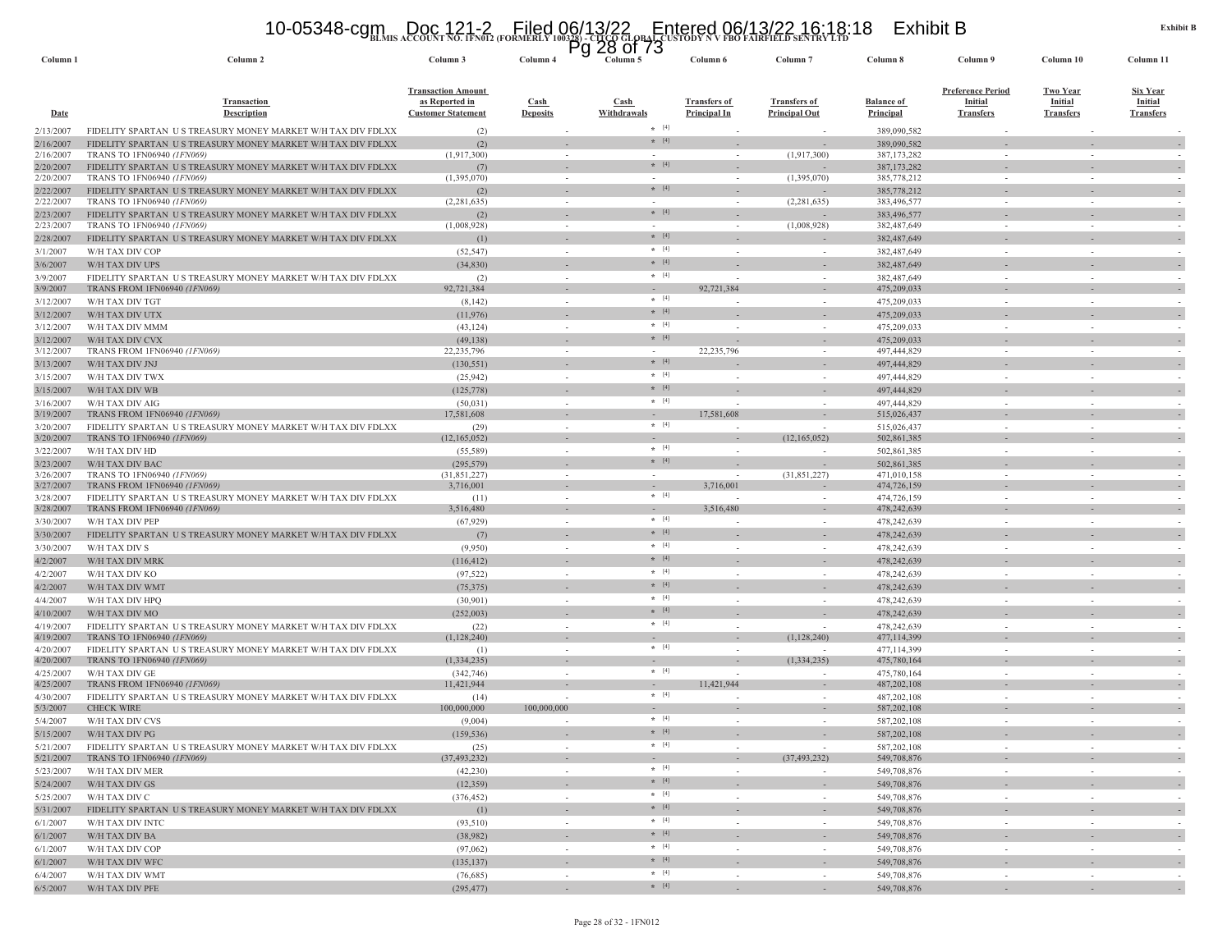# **BLMIS ACCOUNT NO. 1FN012 (FORMERLY 100328) - CITCO GLOBAL CUSTODY N V FBO FAIRFIELD SENTRY LTD** 10-05348-cgm Doc 121-2 Filed 06/13/22 Entered 06/13/22 16:18:18 Exhibit B Pg 28 of 73

| Column <sub>1</sub>    | Column <sub>2</sub>                                                                       | Column 3                                                                        | гy<br>Column <sub>4</sub> | 20 UI 13<br>Column 5 | Column 6                                   | Column <sub>7</sub>                         | Column 8                              | Column 9                                                       | Column 10                                             | Column 11                                             |
|------------------------|-------------------------------------------------------------------------------------------|---------------------------------------------------------------------------------|---------------------------|----------------------|--------------------------------------------|---------------------------------------------|---------------------------------------|----------------------------------------------------------------|-------------------------------------------------------|-------------------------------------------------------|
| <u>Date</u>            | <b>Transaction</b><br><b>Description</b>                                                  | <b>Transaction Amount</b><br><u>as Reported in</u><br><b>Customer Statement</b> | Cash<br><b>Deposits</b>   | Cash<br>Withdrawals  | <b>Transfers of</b><br><b>Principal In</b> | <b>Transfers of</b><br><b>Principal Out</b> | <b>Balance of</b><br><b>Principal</b> | <b>Preference Period</b><br><b>Initial</b><br><b>Transfers</b> | <b>Two Year</b><br><b>Initial</b><br><b>Transfers</b> | <b>Six Year</b><br><b>Initial</b><br><b>Transfers</b> |
| 2/13/2007              | FIDELITY SPARTAN US TREASURY MONEY MARKET W/H TAX DIV FDLXX                               | (2)                                                                             |                           | $*$ [4]              |                                            |                                             | 389,090,582                           |                                                                |                                                       |                                                       |
| 2/16/2007              | FIDELITY SPARTAN US TREASURY MONEY MARKET W/H TAX DIV FDLXX                               | (2)                                                                             |                           | $*$ [4]              |                                            |                                             | 389,090,582                           |                                                                |                                                       |                                                       |
| 2/16/2007              | TRANS TO 1FN06940 (1FN069)                                                                | (1,917,300)                                                                     |                           | $\star$ [4]          |                                            | (1,917,300)                                 | 387, 173, 282                         |                                                                |                                                       |                                                       |
| 2/20/2007<br>2/20/2007 | FIDELITY SPARTAN US TREASURY MONEY MARKET W/H TAX DIV FDLXX<br>TRANS TO 1FN06940 (1FN069) | (7)<br>(1,395,070)                                                              |                           |                      |                                            | (1,395,070)                                 | 387, 173, 282<br>385,778,212          |                                                                |                                                       |                                                       |
| 2/22/2007              | FIDELITY SPARTAN US TREASURY MONEY MARKET W/H TAX DIV FDLXX                               | (2)                                                                             |                           | $*$ [4]              |                                            |                                             | 385,778,212                           |                                                                |                                                       |                                                       |
| 2/22/2007              | TRANS TO 1FN06940 (1FN069)                                                                | (2, 281, 635)                                                                   | $\sim$                    |                      | $\sim$                                     | (2, 281, 635)                               | 383,496,577                           | $\sim$                                                         | $\sim$                                                |                                                       |
| 2/23/2007              | FIDELITY SPARTAN US TREASURY MONEY MARKET W/H TAX DIV FDLXX                               | (2)                                                                             |                           | $* [4]$              |                                            |                                             | 383,496,577                           |                                                                |                                                       |                                                       |
| 2/23/2007              | TRANS TO 1FN06940 (1FN069)                                                                | (1,008,928)                                                                     | $\sim$                    | $\sim$<br>$*$ [4]    | $\sim$                                     | (1,008,928)                                 | 382,487,649                           | $\sim$                                                         | $\sim$                                                |                                                       |
| 2/28/2007              | FIDELITY SPARTAN US TREASURY MONEY MARKET W/H TAX DIV FDLXX                               | (1)                                                                             |                           | $\star$ [4]          |                                            |                                             | 382, 487, 649                         |                                                                |                                                       |                                                       |
| 3/1/2007               | W/H TAX DIV COP                                                                           | (52, 547)                                                                       | $\sim$                    | $*$ [4]              | $\sim$                                     | $\sim$                                      | 382,487,649                           | $\sim$                                                         | $\sim$                                                |                                                       |
| 3/6/2007<br>3/9/2007   | W/H TAX DIV UPS<br>FIDELITY SPARTAN US TREASURY MONEY MARKET W/H TAX DIV FDLXX            | (34, 830)<br>(2)                                                                | $\sim$                    | $\star$ [4]          |                                            | $\sim$                                      | 382,487,649<br>382,487,649            | in 1919.                                                       | ÷                                                     |                                                       |
| 3/9/2007               | <b>TRANS FROM 1FN06940 (1FN069)</b>                                                       | 92,721,384                                                                      | $\sim$                    |                      | 92,721,384                                 | $\overline{\phantom{a}}$                    | 475,209,033                           |                                                                | $\sim$                                                |                                                       |
| 3/12/2007              | W/H TAX DIV TGT                                                                           | (8,142)                                                                         |                           | $*$ [4]              |                                            |                                             | 475,209,033                           |                                                                |                                                       |                                                       |
| 3/12/2007              | W/H TAX DIV UTX                                                                           | (11, 976)                                                                       |                           | $* [4]$              |                                            |                                             | 475,209,033                           |                                                                |                                                       |                                                       |
| 3/12/2007              | W/H TAX DIV MMM                                                                           | (43, 124)                                                                       |                           | $*$ [4]              |                                            |                                             | 475,209,033                           |                                                                |                                                       |                                                       |
| 3/12/2007              | W/H TAX DIV CVX                                                                           | (49, 138)                                                                       |                           | $*$ [4]              |                                            |                                             | 475,209,033                           |                                                                |                                                       |                                                       |
| 3/12/2007              | TRANS FROM 1FN06940 (1FN069)                                                              | 22,235,796                                                                      | $\sim$                    | $\sim$<br>$*$ [4]    | 22,235,796                                 | $\overline{\phantom{a}}$                    | 497,444,829                           | $\sim$                                                         | $\sim$                                                |                                                       |
| 3/13/2007              | W/H TAX DIV JNJ                                                                           | (130, 551)                                                                      |                           | $*$ [4]              |                                            |                                             | 497,444,829                           |                                                                |                                                       |                                                       |
| 3/15/2007              | W/H TAX DIV TWX                                                                           | (25, 942)                                                                       |                           | $*$ [4]              |                                            |                                             | 497,444,829<br>497,444,829            |                                                                |                                                       |                                                       |
| 3/15/2007              | W/H TAX DIV WB                                                                            | (125, 778)                                                                      | $\sim$                    | $*$ [4]              |                                            |                                             | 497,444,829                           |                                                                | $\sim$                                                |                                                       |
| 3/16/2007<br>3/19/2007 | W/H TAX DIV AIG<br>TRANS FROM 1FN06940 (1FN069)                                           | (50, 031)<br>17,581,608                                                         |                           | $\sim$               | 17,581,608                                 |                                             | 515,026,437                           |                                                                | ٠                                                     |                                                       |
| 3/20/2007              | FIDELITY SPARTAN US TREASURY MONEY MARKET W/H TAX DIV FDLXX                               | (29)                                                                            | $\sim$                    | $*$ [4]              |                                            |                                             | 515,026,437                           | $\sim$                                                         | $\sim$                                                |                                                       |
| 3/20/2007              | TRANS TO 1FN06940 (1FN069)                                                                | (12.165.052)                                                                    | $\sim$                    | $\sim$               |                                            | (12,165,052)                                | 502,861,385                           |                                                                | $\sim$                                                |                                                       |
| 3/22/2007              | W/H TAX DIV HD                                                                            | (55, 589)                                                                       |                           | $* [4]$              |                                            |                                             | 502,861,385                           |                                                                |                                                       |                                                       |
| 3/23/2007              | W/H TAX DIV BAC                                                                           | (295, 579)                                                                      |                           | $*$ [4]              |                                            |                                             | 502,861,385                           |                                                                |                                                       |                                                       |
| 3/26/2007<br>3/27/2007 | TRANS TO 1FN06940 (1FN069)<br>TRANS FROM 1FN06940 (1FN069)                                | (31, 851, 227)<br>3,716,001                                                     |                           |                      | 3,716,001                                  | (31,851,227)                                | 471,010,158<br>474,726,159            |                                                                |                                                       |                                                       |
| 3/28/2007              | FIDELITY SPARTAN US TREASURY MONEY MARKET W/H TAX DIV FDLXX                               | (11)                                                                            | $\sim$                    | $*$ [4]              |                                            | $\sim$                                      | 474,726,159                           | $\sim$                                                         | $\sim$                                                |                                                       |
| 3/28/2007              | TRANS FROM 1FN06940 (1FN069)                                                              | 3,516,480                                                                       |                           |                      | 3,516,480                                  |                                             | 478,242,639                           |                                                                |                                                       |                                                       |
| 3/30/2007              | W/H TAX DIV PEP                                                                           | (67, 929)                                                                       | $\sim$                    | $*$ [4]              |                                            | $\sim$                                      | 478,242,639                           | $\sim$                                                         | $\sim$                                                |                                                       |
| 3/30/2007              | FIDELITY SPARTAN US TREASURY MONEY MARKET W/H TAX DIV FDLXX                               | (7)                                                                             |                           | $*$ [4]              |                                            |                                             | 478,242,639                           |                                                                |                                                       |                                                       |
| 3/30/2007              | W/H TAX DIV S                                                                             | (9,950)                                                                         | $\sim$                    | $*$ [4]              |                                            | $\sim$                                      | 478,242,639                           | in 1919.                                                       | ÷                                                     |                                                       |
| 4/2/2007               | W/H TAX DIV MRK                                                                           | (116, 412)                                                                      |                           | $* [4]$              |                                            |                                             | 478,242,639                           |                                                                |                                                       |                                                       |
| 4/2/2007               | W/H TAX DIV KO                                                                            | (97, 522)                                                                       |                           | $*$ [4]<br>$*$ [4]   |                                            |                                             | 478,242,639                           |                                                                |                                                       |                                                       |
| 4/2/2007               | W/H TAX DIV WMT                                                                           | (75, 375)                                                                       |                           | $*$ [4]              |                                            |                                             | 478,242,639                           |                                                                |                                                       |                                                       |
| 4/4/2007               | W/H TAX DIV HPQ                                                                           | (30,901)                                                                        |                           | $*$ [4]              |                                            |                                             | 478,242,639                           |                                                                |                                                       |                                                       |
| 4/10/2007<br>4/19/2007 | W/H TAX DIV MO<br>FIDELITY SPARTAN US TREASURY MONEY MARKET W/H TAX DIV FDLXX             | (252,003)<br>(22)                                                               |                           | $*$ [4]              |                                            |                                             | 478,242,639<br>478.242.639            |                                                                |                                                       |                                                       |
| 4/19/2007              | TRANS TO 1FN06940 (1FN069)                                                                | (1,128,240)                                                                     | $\sim$                    |                      |                                            | (1,128,240)                                 | 477,114,399                           |                                                                |                                                       |                                                       |
| 4/20/2007              | FIDELITY SPARTAN US TREASURY MONEY MARKET W/H TAX DIV FDLXX                               | (1)                                                                             | $\sim$                    | $*$ [4]              |                                            |                                             | 477,114,399                           |                                                                | $\sim$                                                |                                                       |
| 4/20/2007              | TRANS TO 1FN06940 (1FN069)                                                                | (1,334,235)                                                                     |                           |                      |                                            | (1,334,235)                                 | 475,780,164                           |                                                                |                                                       |                                                       |
| 4/25/2007              | W/H TAX DIV GE                                                                            | (342, 746)                                                                      | $\sim$                    | $*$ [4]              |                                            | $\sim$                                      | 475,780,164                           |                                                                | $\sim$                                                |                                                       |
| 4/25/2007              | TRANS FROM 1FN06940 (1FN069)                                                              | 11,421,944                                                                      |                           | $\sim$<br>$* [4]$    | 11,421,944                                 |                                             | 487,202,108                           |                                                                |                                                       |                                                       |
| 4/30/2007<br>5/3/2007  | FIDELITY SPARTAN US TREASURY MONEY MARKET W/H TAX DIV FDLXX<br><b>CHECK WIRE</b>          | (14)<br>100,000,000                                                             | 100,000,000               | $\sim$               |                                            | $\sim$<br>$\sim$                            | 487.202.108<br>587,202,108            | in 1919.                                                       | ÷<br>$\sim$                                           |                                                       |
| 5/4/2007               | W/H TAX DIV CVS                                                                           | (9,004)                                                                         |                           | $*$ [4]              |                                            |                                             | 587, 202, 108                         |                                                                |                                                       |                                                       |
| 5/15/2007              | W/H TAX DIV PG                                                                            | (159, 536)                                                                      |                           | $* [4]$              |                                            |                                             | 587,202,108                           |                                                                |                                                       |                                                       |
| 5/21/2007              | FIDELITY SPARTAN US TREASURY MONEY MARKET W/H TAX DIV FDLXX                               | (25)                                                                            |                           | $\star$ [4]          |                                            |                                             | 587,202,108                           |                                                                |                                                       |                                                       |
|                        | 5/21/2007 TRANS TO 1FN06940 (1FN069)                                                      | (37, 493, 232)                                                                  | $\sim$                    | $\sim$               | $\sim$                                     | (37, 493, 232)                              | 549,708,876                           |                                                                | $\overline{\phantom{a}}$                              | $\overline{\phantom{a}}$                              |
|                        | 5/23/2007 W/H TAX DIV MER                                                                 | (42, 230)                                                                       | $\sim$                    | $*$ [4]              | $\sim$                                     | $\overline{\phantom{a}}$                    | 549,708,876                           | $\sim$                                                         | $\sim$                                                | $\sim$                                                |
|                        | 5/24/2007 W/H TAX DIV GS                                                                  | (12, 359)                                                                       |                           | $*$ [4]              |                                            |                                             | 549,708,876                           |                                                                |                                                       | $\overline{\phantom{a}}$                              |
|                        | 5/25/2007 W/H TAX DIV C                                                                   | (376, 452)                                                                      | $\sim$                    | $*$ [4]<br>$*$ [4]   | $\sim$                                     | $\sim$                                      | 549,708,876                           | $\sim$                                                         | $\sim$                                                |                                                       |
| 5/31/2007              | FIDELITY SPARTAN US TREASURY MONEY MARKET W/H TAX DIV FDLXX                               | (1)                                                                             |                           | $*$ [4]              |                                            | $\overline{\phantom{a}}$                    | 549,708,876                           |                                                                | $\sim$                                                | $\overline{\phantom{a}}$                              |
| 6/1/2007               | W/H TAX DIV INTC                                                                          | (93,510)                                                                        | $\sim$                    | $\star$ [4]          | $\sim$                                     | $\sim$                                      | 549,708,876                           | $\sim$                                                         | $\sim$                                                |                                                       |
| 6/1/2007<br>6/1/2007   | W/H TAX DIV BA<br>W/H TAX DIV COP                                                         | (38,982)<br>(97,062)                                                            | $\sim$<br>$\sim$          | $*$ [4]              | $\sim$                                     | $\overline{\phantom{a}}$<br>$\sim$          | 549,708,876<br>549,708,876            | $\sim$                                                         | $\sim$<br>$\sim$                                      | $\overline{\phantom{a}}$                              |
| 6/1/2007               | W/H TAX DIV WFC                                                                           | (135, 137)                                                                      |                           | $*$ [4]              |                                            | $\sim$                                      | 549,708,876                           |                                                                | $\sim$                                                |                                                       |
| 6/4/2007               | W/H TAX DIV WMT                                                                           | (76,685)                                                                        | $\sim$                    | $*$ [4]              | $\sim$                                     | $\sim$                                      | 549,708,876                           | $\sim$                                                         | $\sim$                                                | $\sim$                                                |
| 6/5/2007               | W/H TAX DIV PFE                                                                           | (295, 477)                                                                      | $\sim$                    | $*$ [4]              | $\sim$                                     | $\sim$                                      | 549,708,876                           |                                                                |                                                       |                                                       |
|                        |                                                                                           |                                                                                 |                           |                      |                                            |                                             |                                       |                                                                |                                                       |                                                       |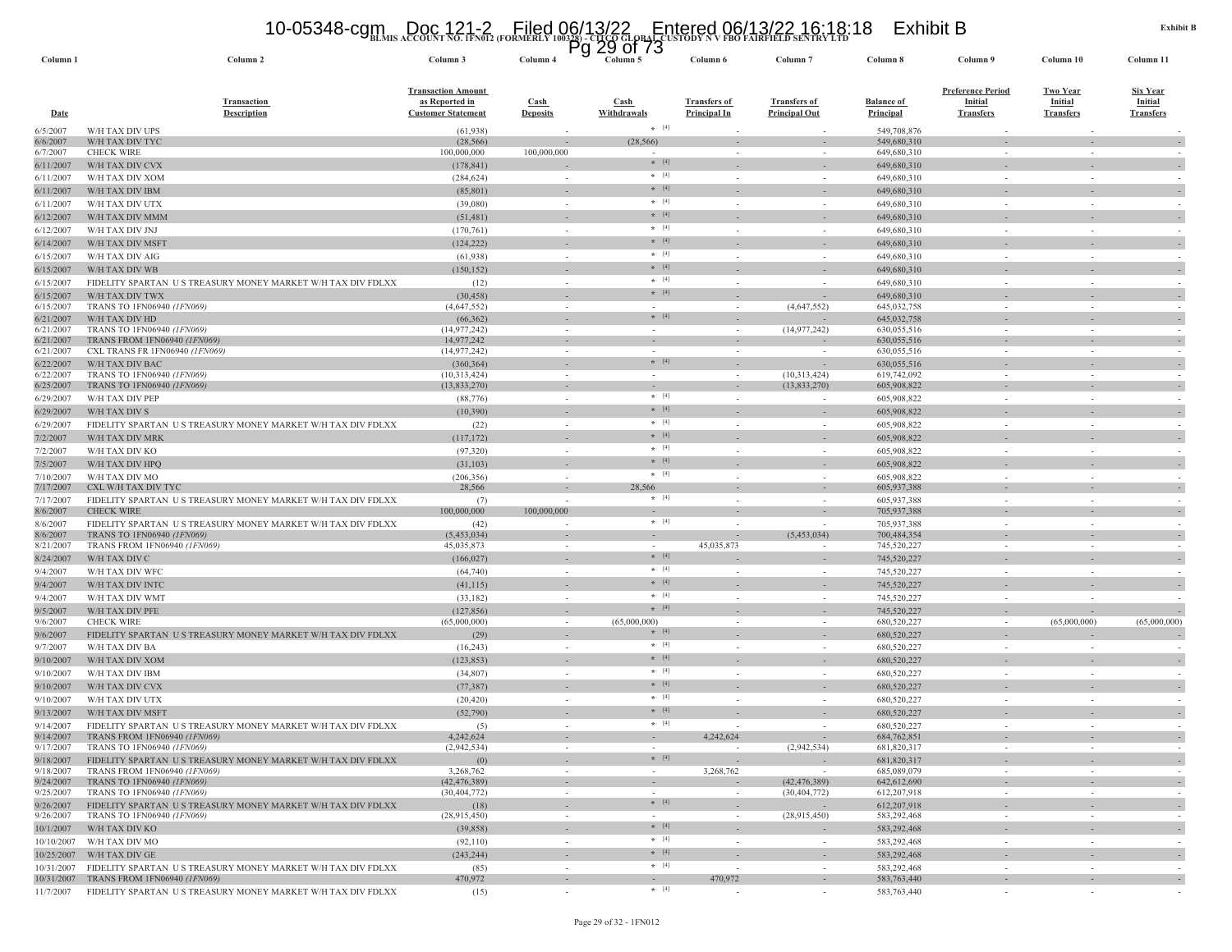# **BLMIS ACCOUNT NO. 1FN012 (FORMERLY 100328) - CITCO GLOBAL CUSTODY N V FBO FAIRFIELD SENTRY LTD** 10-05348-cgm Doc 121-2 Filed 06/13/22 Entered 06/13/22 16:18:18 Exhibit B Pg 29 of 73

| Column <sub>1</sub>    | Column <sub>2</sub>                                                                                        | Column 3                                                                 | Column 4                                 | ∠ຯ<br>UI 13<br>гy<br>Column 5                    | Column 6                                   | Column <sub>7</sub>                         | Column 8                              | Column 9                                                       | Column 10                                             | Column 11                                             |
|------------------------|------------------------------------------------------------------------------------------------------------|--------------------------------------------------------------------------|------------------------------------------|--------------------------------------------------|--------------------------------------------|---------------------------------------------|---------------------------------------|----------------------------------------------------------------|-------------------------------------------------------|-------------------------------------------------------|
| <b>Date</b>            | <b>Transaction</b><br><b>Description</b>                                                                   | <b>Transaction Amount</b><br>as Reported in<br><b>Customer Statement</b> | $\operatorname{Cash}$<br><b>Deposits</b> | $\frac{\text{Cash}}{\text{Cash}}$<br>Withdrawals | <b>Transfers of</b><br><b>Principal In</b> | <b>Transfers of</b><br><b>Principal Out</b> | <b>Balance of</b><br><b>Principal</b> | <b>Preference Period</b><br><b>Initial</b><br><b>Transfers</b> | <b>Two Year</b><br><b>Initial</b><br><b>Transfers</b> | <b>Six Year</b><br><b>Initial</b><br><b>Transfers</b> |
| 6/5/2007               | W/H TAX DIV UPS                                                                                            | (61, 938)                                                                |                                          | $*$ [4]                                          |                                            |                                             | 549,708,876                           |                                                                |                                                       |                                                       |
| 6/6/2007               | W/H TAX DIV TYC<br><b>CHECK WIRE</b>                                                                       | (28, 566)                                                                |                                          | (28, 566)                                        |                                            |                                             | 549,680,310                           |                                                                |                                                       |                                                       |
| 6/7/2007               | W/H TAX DIV CVX                                                                                            | 100,000,000<br>(178, 841)                                                | 100,000,000                              | $*$ [4]                                          |                                            |                                             | 649,680,310<br>649,680,310            |                                                                |                                                       |                                                       |
| 6/11/2007<br>6/11/2007 | W/H TAX DIV XOM                                                                                            | (284, 624)                                                               |                                          | $* [4]$                                          |                                            |                                             | 649,680,310                           |                                                                |                                                       |                                                       |
| 6/11/2007              | W/H TAX DIV IBM                                                                                            | (85, 801)                                                                |                                          | $*$ [4]                                          |                                            |                                             | 649,680,310                           |                                                                |                                                       |                                                       |
| 6/11/2007              | W/H TAX DIV UTX                                                                                            | (39,080)                                                                 | $\sim$                                   | $*$ [4]                                          |                                            |                                             | 649,680,310                           |                                                                | $\sim$                                                |                                                       |
| 6/12/2007              | W/H TAX DIV MMM                                                                                            | (51, 481)                                                                |                                          | $*$ [4]                                          |                                            |                                             | 649,680,310                           |                                                                |                                                       |                                                       |
| 6/12/2007              | W/H TAX DIV JNJ                                                                                            | (170, 761)                                                               | $\sim$                                   | $*$ [4]                                          | $\sim$                                     | $\sim$                                      | 649,680,310                           | $\sim$                                                         | ÷.                                                    |                                                       |
| 6/14/2007              | W/H TAX DIV MSFT                                                                                           | (124, 222)                                                               |                                          | $* [4]$                                          |                                            |                                             | 649,680,310                           |                                                                |                                                       |                                                       |
| 6/15/2007              | W/H TAX DIV AIG                                                                                            | (61, 938)                                                                | $\sim$                                   | $*$ [4]                                          | $\sim$                                     | $\sim$                                      | 649,680,310                           | $\sim$                                                         | $\sim$                                                |                                                       |
| 6/15/2007              | W/H TAX DIV WB                                                                                             | (150, 152)                                                               |                                          | $*$ [4]                                          |                                            |                                             | 649,680,310                           |                                                                |                                                       |                                                       |
| 6/15/2007              | FIDELITY SPARTAN US TREASURY MONEY MARKET W/H TAX DIV FDLXX                                                | (12)                                                                     | $\sim$                                   | $\star$ [4]                                      | $\sim$                                     | $\sim$                                      | 649,680,310                           | $\sim$                                                         | $\sim$                                                |                                                       |
| 6/15/2007              | W/H TAX DIV TWX                                                                                            | (30, 458)                                                                |                                          | $*$ [4]                                          |                                            |                                             | 649,680,310                           |                                                                |                                                       |                                                       |
| 6/15/2007              | TRANS TO 1FN06940 (1FN069)<br>W/H TAX DIV HD                                                               | (4,647,552)<br>(66, 362)                                                 | $\sim$                                   | $*$ [4]                                          |                                            | (4,647,552)                                 | 645,032,758<br>645,032,758            |                                                                |                                                       |                                                       |
| 6/21/2007<br>6/21/2007 | TRANS TO 1FN06940 (1FN069)                                                                                 | (14, 977, 242)                                                           | $\sim$                                   | $\sim$                                           |                                            | (14, 977, 242)                              | 630,055,516                           | $\sim$                                                         | $\sim$                                                |                                                       |
| 6/21/2007              | <b>TRANS FROM 1FN06940 (1FN069)</b>                                                                        | 14,977,242                                                               |                                          |                                                  | $\overline{\phantom{a}}$                   |                                             | 630,055,516                           |                                                                |                                                       |                                                       |
| 6/21/2007              | CXL TRANS FR 1FN06940 (1FN069)                                                                             | (14, 977, 242)                                                           |                                          |                                                  |                                            |                                             | 630,055,516                           |                                                                |                                                       |                                                       |
| 6/22/2007              | W/H TAX DIV BAC                                                                                            | (360, 364)                                                               |                                          | $\star$ [4]                                      |                                            |                                             | 630,055,516                           |                                                                |                                                       |                                                       |
| 6/22/2007<br>6/25/2007 | TRANS TO 1FN06940 (1FN069)<br>TRANS TO 1FN06940 (1FN069)                                                   | (10,313,424)<br>(13,833,270)                                             | $\sim$                                   | $\sim$                                           | $\sim$                                     | (10,313,424)<br>(13,833,270)                | 619,742,092<br>605,908,822            |                                                                |                                                       |                                                       |
| 6/29/2007              | W/H TAX DIV PEP                                                                                            | (88, 776)                                                                | $\sim$                                   | $*$ [4]                                          | $\sim$                                     | $\sim$                                      | 605,908,822                           | $\sim$                                                         | $\sim$                                                |                                                       |
| 6/29/2007              | W/H TAX DIV S                                                                                              | (10, 390)                                                                | $\overline{\phantom{a}}$                 | $*$ [4]                                          |                                            |                                             | 605,908,822                           |                                                                |                                                       |                                                       |
| 6/29/2007              | FIDELITY SPARTAN US TREASURY MONEY MARKET W/H TAX DIV FDLXX                                                | (22)                                                                     | $\sim$                                   | $* [4]$                                          | $\sim$                                     | $\sim$                                      | 605,908,822                           | $\sim$                                                         | $\sim$                                                |                                                       |
| 7/2/2007               | W/H TAX DIV MRK                                                                                            | (117, 172)                                                               |                                          | $*$ [4]                                          |                                            |                                             | 605,908,822                           |                                                                |                                                       |                                                       |
| 7/2/2007               | W/H TAX DIV KO                                                                                             | (97, 320)                                                                | $\sim$                                   | $* [4]$                                          |                                            | $\sim$                                      | 605,908,822                           | $\sim$                                                         | $\sim$                                                |                                                       |
| 7/5/2007               | W/H TAX DIV HPQ                                                                                            | (31, 103)                                                                |                                          | $*$ [4]                                          |                                            |                                             | 605,908,822                           |                                                                |                                                       |                                                       |
| 7/10/2007              | W/H TAX DIV MO                                                                                             | (206, 356)                                                               |                                          | $*$ [4]                                          |                                            |                                             | 605,908,822                           |                                                                |                                                       |                                                       |
| 7/17/2007              | CXL W/H TAX DIV TYC                                                                                        | 28,566                                                                   |                                          | 28,566                                           |                                            |                                             | 605,937,388                           |                                                                | ÷.                                                    |                                                       |
| 7/17/2007<br>8/6/2007  | FIDELITY SPARTAN US TREASURY MONEY MARKET W/H TAX DIV FDLXX<br><b>CHECK WIRE</b>                           | (7)<br>100,000,000                                                       | $\sim$<br>100,000,000                    | $*$ [4]                                          |                                            |                                             | 605,937,388<br>705,937,388            |                                                                |                                                       |                                                       |
| 8/6/2007               | FIDELITY SPARTAN US TREASURY MONEY MARKET W/H TAX DIV FDLXX                                                | (42)                                                                     | $\sim$                                   | $\star$ [4]                                      |                                            | $\sim$                                      | 705,937,388                           | $\sim$                                                         | ÷.                                                    |                                                       |
| 8/6/2007               | TRANS TO 1FN06940 (1FN069)                                                                                 | (5,453,034)                                                              |                                          |                                                  | $\overline{\phantom{a}}$                   | (5,453,034)                                 | 700,484,354                           |                                                                |                                                       |                                                       |
| 8/21/2007              | TRANS FROM 1FN06940 (1FN069)                                                                               | 45,035,873                                                               | $\sim$                                   | $\sim$                                           | 45,035,873                                 |                                             | 745,520,227                           | $\sim$                                                         | $\sim$                                                |                                                       |
| 8/24/2007              | W/H TAX DIV C                                                                                              | (166, 027)                                                               |                                          | $*$ [4]                                          |                                            |                                             | 745,520,227                           |                                                                |                                                       |                                                       |
| 9/4/2007               | W/H TAX DIV WFC                                                                                            | (64, 740)                                                                | $\sim$                                   | $*$ [4]                                          |                                            | $\overline{\phantom{a}}$                    | 745,520,227                           | $\sim$                                                         | $\sim$                                                |                                                       |
| 9/4/2007               | W/H TAX DIV INTC                                                                                           | (41, 115)                                                                | $\sim$                                   | $*$ [4]                                          |                                            |                                             | 745,520,227                           |                                                                |                                                       | $\overline{\phantom{a}}$                              |
| 9/4/2007               | W/H TAX DIV WMT                                                                                            | (33,182)                                                                 | $\sim$                                   | $* [4]$<br>$*$ [4]                               | $\sim$                                     | $\sim$                                      | 745,520,227                           | $\sim$                                                         |                                                       |                                                       |
| 9/5/2007<br>9/6/2007   | W/H TAX DIV PFE<br><b>CHECK WIRE</b>                                                                       | (127, 856)<br>(65,000,000)                                               | $\sim$                                   | (65,000,000)                                     |                                            |                                             | 745,520,227<br>680,520,227            |                                                                | (65,000,000)                                          | (65,000,000)                                          |
| 9/6/2007               | FIDELITY SPARTAN US TREASURY MONEY MARKET W/H TAX DIV FDLXX                                                | (29)                                                                     |                                          | $* [4]$                                          |                                            |                                             | 680,520,227                           |                                                                |                                                       |                                                       |
| 9/7/2007               | W/H TAX DIV BA                                                                                             | (16,243)                                                                 | $\sim$                                   | $*$ [4]                                          |                                            | $\sim$                                      | 680,520,227                           | $\sim$                                                         | $\sim$                                                |                                                       |
| 9/10/2007              | W/H TAX DIV XOM                                                                                            | (123, 853)                                                               |                                          | $\star$ [4]                                      |                                            |                                             | 680,520,227                           |                                                                |                                                       |                                                       |
| 9/10/2007              | W/H TAX DIV IBM                                                                                            | (34,807)                                                                 | $\sim$                                   | $*$ [4]                                          | $\sim$                                     | $\overline{\phantom{a}}$                    | 680,520,227                           | $\sim$                                                         | $\sim$                                                |                                                       |
| 9/10/2007              | W/H TAX DIV CVX                                                                                            | (77, 387)                                                                |                                          | $*$ [4]                                          |                                            |                                             | 680,520,227                           |                                                                |                                                       |                                                       |
| 9/10/2007              | W/H TAX DIV UTX                                                                                            | (20, 420)                                                                | $\sim$                                   | $* [4]$                                          | $\sim$                                     | $\overline{\phantom{a}}$                    | 680,520,227                           | $\sim$                                                         | $\sim$                                                |                                                       |
| 9/13/2007              | W/H TAX DIV MSFT                                                                                           | (52,790)                                                                 |                                          | $*$ [4]                                          |                                            |                                             | 680,520,227                           |                                                                |                                                       |                                                       |
| 9/14/2007              | FIDELITY SPARTAN US TREASURY MONEY MARKET W/H TAX DIV FDLXX                                                | (5)                                                                      |                                          | $* [4]$                                          |                                            |                                             | 680,520,227                           |                                                                | $\sim$                                                |                                                       |
| 9/14/2007              | TRANS FROM 1FN06940 (1FN069)                                                                               | 4,242,624                                                                | $\sim$                                   | $\sim$                                           | 4,242,624                                  | $\sim$                                      | 684,762,851                           |                                                                |                                                       |                                                       |
| 9/18/2007              | 9/17/2007 TRANS TO 1FN06940 <i>(IFN069)</i><br>FIDELITY SPARTAN US TREASURY MONEY MARKET W/H TAX DIV FDLXX | (2,942,534)<br>(0)                                                       |                                          | $*$ [4]                                          | $\sim$                                     | (2,942,534)                                 | 681,820,317<br>681,820,317            |                                                                |                                                       |                                                       |
| 9/18/2007              | TRANS FROM 1FN06940 (1FN069)                                                                               | 3,268,762                                                                | $\sim$                                   | $\sim$                                           | 3,268,762                                  |                                             | 685,089,079                           |                                                                |                                                       |                                                       |
| 9/24/2007              | TRANS TO 1FN06940 (1FN069)                                                                                 | (42, 476, 389)                                                           |                                          | $\overline{\phantom{a}}$                         |                                            | (42, 476, 389)                              | 642,612,690                           |                                                                | $\overline{\phantom{a}}$                              | $\sim$                                                |
| 9/25/2007              | TRANS TO 1FN06940 (1FN069)                                                                                 | (30, 404, 772)                                                           | $\sim$                                   | $\sim$                                           | $\sim$                                     | (30, 404, 772)                              | 612,207,918                           | $\sim$                                                         | $\sim$                                                | $\sim$                                                |
| 9/26/2007              | FIDELITY SPARTAN US TREASURY MONEY MARKET W/H TAX DIV FDLXX<br>TRANS TO 1FN06940 (1FN069)                  | (18)<br>(28,915,450)                                                     |                                          | $\star$ [4]                                      |                                            | $\overline{\phantom{a}}$<br>(28,915,450)    | 612,207,918                           |                                                                |                                                       |                                                       |
| 9/26/2007<br>10/1/2007 | W/H TAX DIV KO                                                                                             | (39, 858)                                                                | $\sim$                                   | $\sim$<br>$*$ [4]                                | $\sim$                                     |                                             | 583,292,468<br>583,292,468            | $\sim$                                                         | $\sim$                                                | $\sim$                                                |
|                        | 10/10/2007 W/H TAX DIV MO                                                                                  | (92,110)                                                                 | $\sim$                                   | $*$ [4]                                          | $\sim$                                     | $\sim$                                      | 583,292,468                           | $\sim$                                                         | $\sim$                                                | $\overline{a}$                                        |
|                        | 10/25/2007 W/H TAX DIV GE                                                                                  | (243, 244)                                                               |                                          | $*$ [4]                                          |                                            | $\overline{\phantom{a}}$                    | 583,292,468                           |                                                                |                                                       | $\sim$                                                |
|                        | 10/31/2007 FIDELITY SPARTAN US TREASURY MONEY MARKET W/H TAX DIV FDLXX                                     | (85)                                                                     | $\sim$                                   | $*$ [4]                                          | $\sim$                                     | $\sim$                                      | 583,292,468                           | $\sim$                                                         | $\sim$                                                |                                                       |
|                        | 10/31/2007 TRANS FROM 1FN06940 (1FN069)                                                                    | 470,972                                                                  |                                          | $\sim$                                           | 470,972                                    | $\sim$                                      | 583,763,440                           |                                                                | ÷.                                                    |                                                       |
|                        | 11/7/2007 FIDELITY SPARTAN US TREASURY MONEY MARKET W/H TAX DIV FDLXX                                      | (15)                                                                     | $\sim$                                   | $\star$ [4]                                      | $\overline{\phantom{a}}$                   | $\sim$                                      | 583,763,440                           | $\sim$                                                         | $\sim$                                                |                                                       |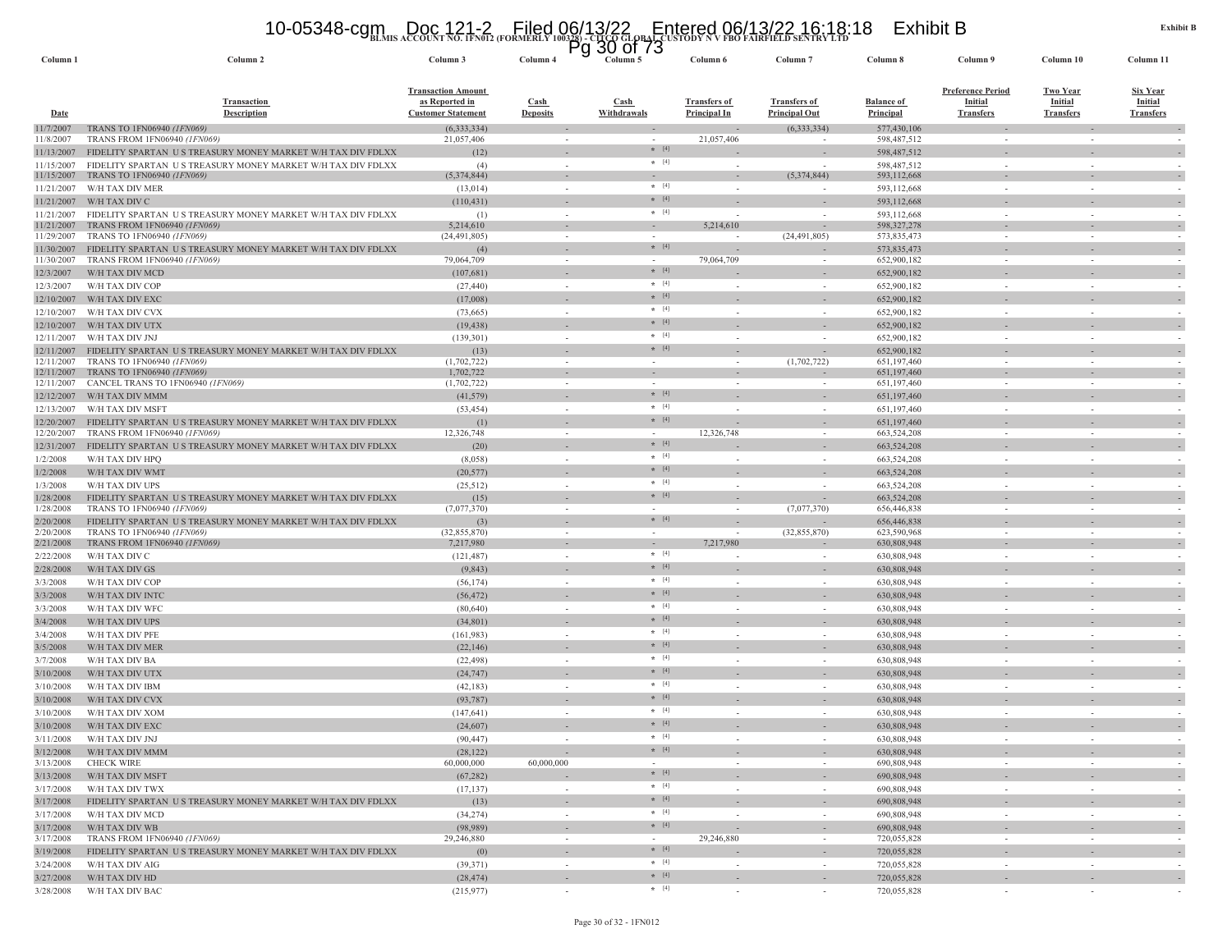# **BLMIS ACCOUNT NO. 1FN012 (FORMERLY 100328) - CITCO GLOBAL CUSTODY N V FBO FAIRFIELD SENTRY LTD** 10-05348-cgm Doc 121-2 Filed 06/13/22 Entered 06/13/22 16:18:18 Exhibit B Pg 30 of 73

| Column <sub>1</sub>      | Column 2                                                                                           | Column 3                                                                 | Column 4                | 30 U 73<br>٣y<br>Column 5                            | Column 6                                   | Column <sub>7</sub>                         | Column 8                              | Column 9                                                       | Column 10                                             | Column 11                                             |
|--------------------------|----------------------------------------------------------------------------------------------------|--------------------------------------------------------------------------|-------------------------|------------------------------------------------------|--------------------------------------------|---------------------------------------------|---------------------------------------|----------------------------------------------------------------|-------------------------------------------------------|-------------------------------------------------------|
| <b>Date</b>              | <b>Transaction</b><br><b>Description</b>                                                           | <b>Transaction Amount</b><br>as Reported in<br><b>Customer Statement</b> | Cash<br><b>Deposits</b> | <b>Cash</b><br>Withdrawals                           | <b>Transfers of</b><br><b>Principal In</b> | <b>Transfers of</b><br><b>Principal Out</b> | <b>Balance of</b><br><b>Principal</b> | <b>Preference Period</b><br><b>Initial</b><br><b>Transfers</b> | <b>Two Year</b><br><b>Initial</b><br><b>Transfers</b> | <b>Six Year</b><br><b>Initial</b><br><b>Transfers</b> |
| 1/7/2007                 | TRANS TO 1FN06940 (1FN069)                                                                         | (6, 333, 334)                                                            |                         |                                                      |                                            | (6,333,334)                                 | 577,430,106                           |                                                                |                                                       |                                                       |
| 11/8/2007                | TRANS FROM 1FN06940 (1FN069)                                                                       | 21,057,406                                                               |                         | $\overline{\phantom{a}}$<br>$*$ [4]                  | 21,057,406                                 |                                             | 598,487,512                           |                                                                |                                                       |                                                       |
| 11/13/2007               | FIDELITY SPARTAN US TREASURY MONEY MARKET W/H TAX DIV FDLXX                                        | (12)                                                                     |                         | $\star$ [4]                                          |                                            |                                             | 598,487,512                           |                                                                |                                                       |                                                       |
| 11/15/2007<br>11/15/2007 | FIDELITY SPARTAN US TREASURY MONEY MARKET W/H TAX DIV FDLXX<br>TRANS TO 1FN06940 (1FN069)          | (4)<br>(5,374,844)                                                       |                         | $\sim$                                               |                                            | (5,374,844)                                 | 598,487,512<br>593,112,668            | $\sim$                                                         |                                                       |                                                       |
| 11/21/2007               | W/H TAX DIV MER                                                                                    | (13, 014)                                                                |                         | $\star$ [4]<br>$\sim$                                | $\sim$                                     |                                             | 593,112,668                           | $\sim$                                                         |                                                       |                                                       |
| 11/21/2007               | W/H TAX DIV C                                                                                      | (110, 431)                                                               |                         | $*$ [4]                                              |                                            |                                             | 593,112,668                           |                                                                |                                                       |                                                       |
| 11/21/2007               | FIDELITY SPARTAN US TREASURY MONEY MARKET W/H TAX DIV FDLXX                                        | (1)                                                                      |                         | $*$ [4]<br>$\sim$                                    |                                            |                                             | 593,112,668                           | $\sim$                                                         |                                                       |                                                       |
| 11/21/2007               | TRANS FROM 1FN06940 (1FN069)                                                                       | 5,214,610<br>(24, 491, 805)                                              |                         | $\sim$<br>$\sim$                                     | 5,214,610                                  |                                             | 598,327,278                           |                                                                |                                                       |                                                       |
| 11/29/2007<br>11/30/2007 | TRANS TO 1FN06940 (1FN069)<br>FIDELITY SPARTAN US TREASURY MONEY MARKET W/H TAX DIV FDLXX          | (4)                                                                      |                         | $* [4]$                                              |                                            | (24, 491, 805)                              | 573,835,473<br>573,835,473            |                                                                |                                                       |                                                       |
| 11/30/2007               | TRANS FROM 1FN06940 (1FN069)                                                                       | 79,064,709                                                               |                         |                                                      | 79,064,709                                 |                                             | 652,900,182                           |                                                                |                                                       |                                                       |
| 12/3/2007                | W/H TAX DIV MCD                                                                                    | (107,681)                                                                |                         | $* [4]$                                              |                                            |                                             | 652,900,182                           |                                                                |                                                       |                                                       |
| 12/3/2007                | W/H TAX DIV COP                                                                                    | (27, 440)                                                                |                         | $*$ [4]<br>$\sim$                                    |                                            |                                             | 652,900,182                           |                                                                |                                                       |                                                       |
| 12/10/2007               | W/H TAX DIV EXC                                                                                    | (17,008)                                                                 |                         | $*$ [4]                                              |                                            |                                             | 652,900,182                           |                                                                |                                                       |                                                       |
| 12/10/2007               | W/H TAX DIV CVX                                                                                    | (73,665)                                                                 |                         | $\star$ [4]<br>$\sim$                                |                                            |                                             | 652,900,182                           | $\sim$                                                         |                                                       |                                                       |
| 12/10/2007               | W/H TAX DIV UTX                                                                                    | (19, 438)                                                                |                         | $*$ [4]                                              |                                            |                                             | 652,900,182                           |                                                                |                                                       |                                                       |
| 12/11/2007               | W/H TAX DIV JNJ                                                                                    | (139, 301)                                                               |                         | $*$ [4]<br>$\sim$<br>$* [4]$                         |                                            |                                             | 652,900,182                           | $\sim$                                                         |                                                       |                                                       |
| 12/11/2007<br>12/11/2007 | FIDELITY SPARTAN US TREASURY MONEY MARKET W/H TAX DIV FDLXX<br>TRANS TO 1FN06940 (1FN069)          | (13)<br>(1,702,722)                                                      |                         | $\sim$                                               |                                            | (1,702,722)                                 | 652,900,182<br>651,197,460            |                                                                |                                                       |                                                       |
| 12/11/2007               | TRANS TO 1FN06940 (1FN069)                                                                         | 1,702,722                                                                |                         | $\overline{\phantom{a}}$<br>$\overline{\phantom{a}}$ |                                            |                                             | 651,197,460                           |                                                                |                                                       | $\sim$                                                |
| 12/11/2007               | CANCEL TRANS TO 1FN06940 (1FN069)                                                                  | (1,702,722)                                                              |                         | $\sim$<br>$\sim$                                     | ÷,                                         |                                             | 651,197,460                           | $\sim$                                                         |                                                       |                                                       |
| 12/12/2007               | W/H TAX DIV MMM                                                                                    | (41, 579)                                                                |                         | $*$ [4]<br>$\overline{\phantom{a}}$                  |                                            |                                             | 651,197,460                           |                                                                |                                                       | $\overline{\phantom{a}}$                              |
| 12/13/2007               | W/H TAX DIV MSFT                                                                                   | (53, 454)                                                                |                         | $*$ [4]<br>$\sim$<br>$* [4]$                         |                                            |                                             | 651,197,460                           |                                                                |                                                       |                                                       |
| 12/20/2007<br>12/20/2007 | FIDELITY SPARTAN US TREASURY MONEY MARKET W/H TAX DIV FDLXX<br><b>TRANS FROM 1FN06940 (1FN069)</b> | (1)<br>12,326,748                                                        |                         | $\sim$                                               | 12,326,748                                 |                                             | 651,197,460<br>663,524,208            | $\sim$                                                         |                                                       |                                                       |
| 12/31/2007               | FIDELITY SPARTAN US TREASURY MONEY MARKET W/H TAX DIV FDLXX                                        | (20)                                                                     |                         | $*$ [4]                                              |                                            |                                             | 663,524,208                           |                                                                |                                                       |                                                       |
| 1/2/2008                 | W/H TAX DIV HPQ                                                                                    | (8,058)                                                                  |                         | $\star$ [4]<br>$\sim$                                |                                            |                                             | 663,524,208                           |                                                                |                                                       |                                                       |
| 1/2/2008                 | W/H TAX DIV WMT                                                                                    | (20, 577)                                                                |                         | $*$ [4]                                              |                                            |                                             | 663,524,208                           |                                                                |                                                       |                                                       |
| 1/3/2008                 | W/H TAX DIV UPS                                                                                    | (25, 512)                                                                |                         | $\star$ [4]<br>$\sim$                                | $\overline{\phantom{a}}$                   |                                             | 663,524,208                           | $\sim$                                                         |                                                       |                                                       |
| 1/28/2008                | FIDELITY SPARTAN US TREASURY MONEY MARKET W/H TAX DIV FDLXX                                        | (15)                                                                     |                         | $*$ [4]                                              |                                            |                                             | 663,524,208                           |                                                                |                                                       |                                                       |
| 1/28/2008                | TRANS TO 1FN06940 (1FN069)                                                                         | (7,077,370)                                                              |                         | $\sim$<br>$\sim$                                     | $\sim$                                     | (7,077,370)                                 | 656,446,838                           | $\sim$                                                         | $\sim$                                                | $\sim$                                                |
| 2/20/2008<br>2/20/2008   | FIDELITY SPARTAN US TREASURY MONEY MARKET W/H TAX DIV FDLXX<br><b>TRANS TO 1FN06940 (1FN069)</b>   | (3)<br>(32, 855, 870)                                                    |                         | $*$ [4]<br>$\sim$<br>$\sim$                          | $\sim$                                     | (32, 855, 870)                              | 656,446,838<br>623,590,968            | $\sim$                                                         |                                                       |                                                       |
| 2/21/2008                | TRANS FROM 1FN06940 (1FN069)                                                                       | 7,217,980                                                                |                         | $\sim$                                               | 7,217,980                                  |                                             | 630,808,948                           |                                                                |                                                       |                                                       |
| 2/22/2008                | W/H TAX DIV C                                                                                      | (121, 487)                                                               |                         | $*$ [4]<br>$\sim$                                    |                                            |                                             | 630,808,948                           |                                                                |                                                       |                                                       |
| 2/28/2008                | W/H TAX DIV GS                                                                                     | (9, 843)                                                                 |                         | $* [4]$                                              |                                            |                                             | 630,808,948                           |                                                                |                                                       |                                                       |
| 3/3/2008                 | W/H TAX DIV COP                                                                                    | (56, 174)                                                                |                         | $\star$ [4]<br>$\sim$                                |                                            |                                             | 630,808,948                           | $\sim$                                                         |                                                       |                                                       |
| 3/3/2008                 | W/H TAX DIV INTC                                                                                   | (56, 472)                                                                |                         | $\star$ [4]                                          |                                            |                                             | 630,808,948                           |                                                                |                                                       |                                                       |
| 3/3/2008                 | W/H TAX DIV WFC                                                                                    | (80, 640)                                                                |                         | $*$ [4]<br>$\sim$<br>$*$ [4]                         |                                            |                                             | 630,808,948                           | $\sim$                                                         |                                                       |                                                       |
| 3/4/2008                 | W/H TAX DIV UPS                                                                                    | (34, 801)                                                                |                         | $* [4]$                                              |                                            |                                             | 630,808,948                           |                                                                |                                                       | $\sim$                                                |
| 3/4/2008                 | W/H TAX DIV PFE                                                                                    | (161, 983)                                                               |                         | $\sim$<br>$*$ [4]                                    | ٠                                          |                                             | 630,808,948<br>630,808,948            | $\sim$                                                         |                                                       |                                                       |
| 3/5/2008<br>3/7/2008     | W/H TAX DIV MER<br>W/H TAX DIV BA                                                                  | (22, 146)<br>(22, 498)                                                   |                         | $* [4]$<br>$\sim$                                    | $\sim$                                     | $\sim$                                      | 630,808,948                           | $\sim$                                                         | $\sim$                                                |                                                       |
| 3/10/2008                | W/H TAX DIV UTX                                                                                    | (24, 747)                                                                |                         | $* [4]$<br>$\sim$                                    |                                            |                                             | 630,808,948                           |                                                                |                                                       |                                                       |
| 3/10/2008                | W/H TAX DIV IBM                                                                                    | (42, 183)                                                                |                         | $*$ [4]<br>$\sim$                                    |                                            |                                             | 630,808,948                           |                                                                |                                                       |                                                       |
| 3/10/2008                | W/H TAX DIV CVX                                                                                    | (93, 787)                                                                |                         | $* [4]$                                              |                                            |                                             | 630,808,948                           |                                                                |                                                       |                                                       |
| 3/10/2008                | W/H TAX DIV XOM                                                                                    | (147, 641)                                                               |                         | $\star$ [4]<br>$\sim$                                |                                            |                                             | 630,808,948                           | $\sim$                                                         |                                                       |                                                       |
| 3/10/2008                | W/H TAX DIV EXC                                                                                    | (24,607)                                                                 |                         | $* [4]$                                              |                                            |                                             | 630,808,948                           |                                                                |                                                       |                                                       |
| 3/11/2008                | W/H TAX DIV JNJ                                                                                    | (90, 447)                                                                |                         | $*$ [4]<br>$\sim$                                    |                                            |                                             | 630,808,948                           |                                                                |                                                       |                                                       |
| 3/12/2008                | W/H TAX DIV MMM                                                                                    | (28, 122)                                                                |                         | $*$ [4]<br>$\sim$                                    | $\overline{\phantom{a}}$                   | $\sim$                                      | 630,808,948                           | $\sim$                                                         | $\sim$                                                | $\overline{\phantom{a}}$                              |
| 3/13/2008                | <b>CHECK WIRE</b>                                                                                  | 60,000,000                                                               | 60,000,000              | $\sim$<br>$*$ [4]                                    | $\sim$                                     | $\sim$                                      | 690,808,948                           | $\sim$                                                         | $\sim$                                                | $\sim$                                                |
| 3/13/2008                | W/H TAX DIV MSFT                                                                                   | (67, 282)                                                                |                         | $*$ [4]                                              |                                            | $\overline{\phantom{a}}$                    | 690,808,948                           |                                                                |                                                       | $\sim$                                                |
| 3/17/2008<br>3/17/2008   | W/H TAX DIV TWX<br>FIDELITY SPARTAN US TREASURY MONEY MARKET W/H TAX DIV FDLXX                     | (17, 137)<br>(13)                                                        |                         | $\sim$<br>$+ [4]$<br>$\sim$                          | $\sim$<br>$\overline{\phantom{a}}$         | $\sim$<br>$\overline{\phantom{a}}$          | 690,808,948<br>690,808,948            | $\sim$<br>$\sim$                                               | in 1999.                                              | $\sim$<br>$\sim$                                      |
| 3/17/2008                | W/H TAX DIV MCD                                                                                    | (34, 274)                                                                |                         | $*$ [4]<br>$\sim$                                    | $\sim$                                     | $\sim$                                      | 690,808,948                           | $\sim$                                                         | $\sim$                                                | $\sim$                                                |
| 3/17/2008                | W/H TAX DIV WB                                                                                     | (98,989)                                                                 |                         | $\star$ [4]                                          |                                            | $\sim$                                      | 690,808,948                           |                                                                |                                                       | $\overline{\phantom{a}}$                              |
| 3/17/2008                | TRANS FROM 1FN06940 (1FN069)                                                                       | 29,246,880                                                               |                         | $\sim$<br>$\sim$                                     | 29,246,880                                 | $\sim$                                      | 720,055,828                           | $\sim$                                                         | $\sim$                                                | $\sim$                                                |
| 3/19/2008                | FIDELITY SPARTAN US TREASURY MONEY MARKET W/H TAX DIV FDLXX                                        | (0)                                                                      |                         | $*$ [4]                                              |                                            |                                             | 720,055,828                           |                                                                |                                                       | $\sim$                                                |
| 3/24/2008                | W/H TAX DIV AIG                                                                                    | (39, 371)                                                                |                         | $*$ [4]<br>$\sim$                                    | $\sim$                                     | $\sim$                                      | 720,055,828                           | $\sim$                                                         | $\sim$                                                | $\sim$                                                |
| 3/27/2008                | W/H TAX DIV HD                                                                                     | (28, 474)                                                                |                         | $*$ [4]<br>$\sim$                                    | $\overline{\phantom{a}}$                   | $\sim$                                      | 720,055,828                           | $\overline{\phantom{a}}$                                       |                                                       | $\sim$                                                |
| 3/28/2008                | W/H TAX DIV BAC                                                                                    | (215, 977)                                                               |                         | $*$ [4]<br>$\sim$                                    | $\sim$                                     | $\sim$                                      | 720,055,828                           | $\sim$                                                         | $\sim$                                                | $\sim$                                                |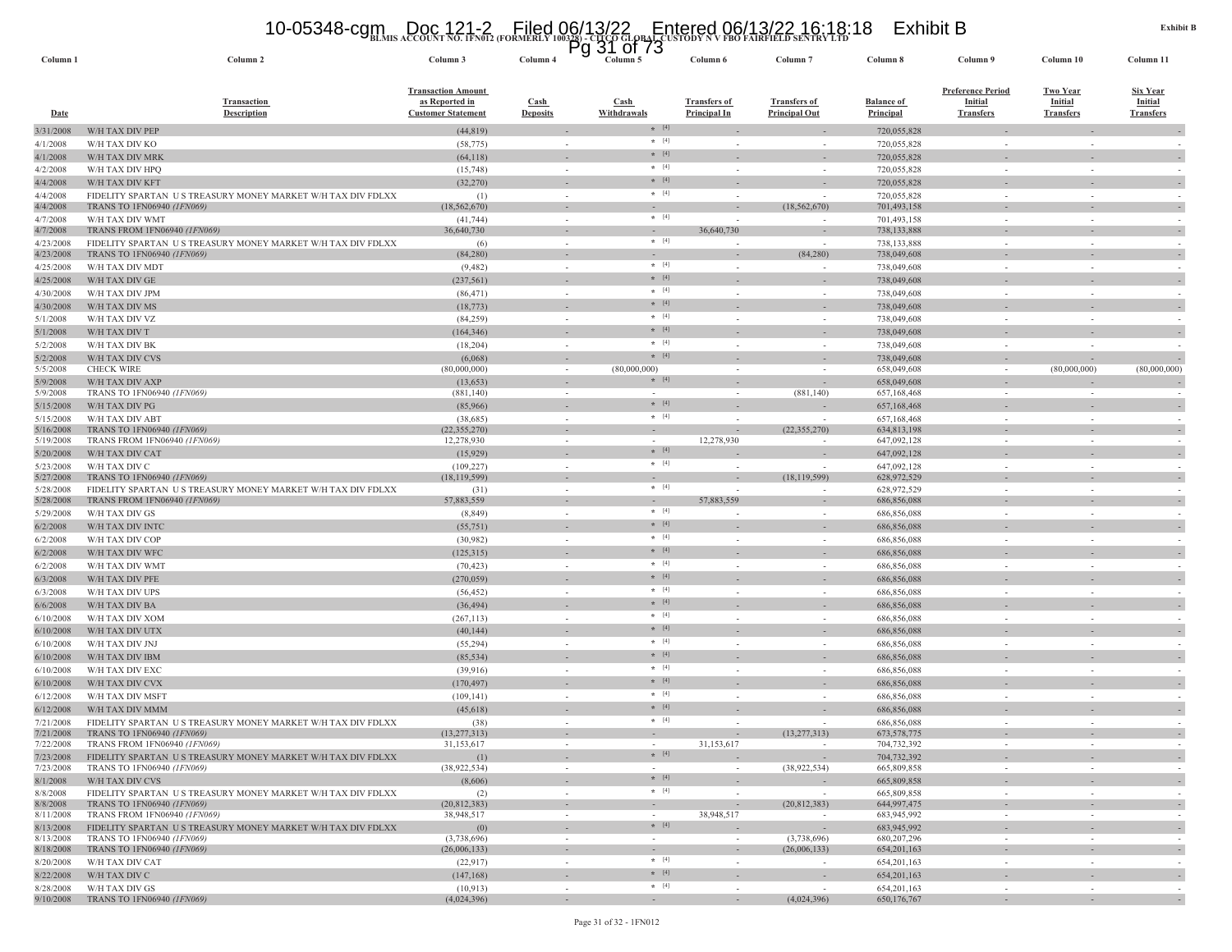# **BLMIS ACCOUNT NO. 1FN012 (FORMERLY 100328) - CITCO GLOBAL CUSTODY N V FBO FAIRFIELD SENTRY LTD** 10-05348-cgm Doc 121-2 Filed 06/13/22 Entered 06/13/22 16:18:18 Exhibit B Pg 31 of 73

| Column 1               | Column 2                                                                                  | Column 3                                                                 | Column 4                | Y<br>ט ו וט ⊥ט<br>Column 5 | Column 6                                   | Column <sub>7</sub>                         | Column 8                              | Column 9                                                       | Column 10                                             | Column 11                                      |
|------------------------|-------------------------------------------------------------------------------------------|--------------------------------------------------------------------------|-------------------------|----------------------------|--------------------------------------------|---------------------------------------------|---------------------------------------|----------------------------------------------------------------|-------------------------------------------------------|------------------------------------------------|
| <b>Date</b>            | <b>Transaction</b><br><b>Description</b>                                                  | <b>Transaction Amount</b><br>as Reported in<br><b>Customer Statement</b> | Cash<br><b>Deposits</b> | Cash<br>Withdrawals        | <b>Transfers of</b><br><b>Principal In</b> | <b>Transfers of</b><br><b>Principal Out</b> | <b>Balance of</b><br><b>Principal</b> | <b>Preference Period</b><br><b>Initial</b><br><b>Transfers</b> | <u>Two Year</u><br><b>Initial</b><br><b>Transfers</b> | <u>Six Year</u><br>Initial<br><b>Transfers</b> |
| 3/31/2008              | W/H TAX DIV PEP                                                                           | (44, 819)                                                                |                         | $*$ [4]                    |                                            |                                             | 720,055,828                           |                                                                |                                                       |                                                |
| 4/1/2008               | W/H TAX DIV KO                                                                            | (58, 775)                                                                |                         | $*$ [4]                    | $\sim$                                     |                                             | 720,055,828                           |                                                                | $\sim$                                                |                                                |
| 4/1/2008               | W/H TAX DIV MRK                                                                           | (64,118)                                                                 |                         | $\star$ [4]                |                                            |                                             | 720,055,828                           |                                                                |                                                       |                                                |
| 4/2/2008               | W/H TAX DIV HPQ                                                                           | (15,748)                                                                 | $\sim$                  | $*$ [4]                    |                                            |                                             | 720,055,828                           |                                                                |                                                       |                                                |
| 4/4/2008               | W/H TAX DIV KFT                                                                           | (32, 270)                                                                |                         | $* [4]$                    |                                            |                                             | 720,055,828                           |                                                                |                                                       |                                                |
| 4/4/2008               | FIDELITY SPARTAN US TREASURY MONEY MARKET W/H TAX DIV FDLXX                               | (1)                                                                      | $\sim$                  | $*$ [4]                    | $\sim$                                     |                                             | 720,055,828                           | $\sim$                                                         | $\sim$                                                |                                                |
| 4/4/2008               | TRANS TO 1FN06940 (1FN069)                                                                | (18, 562, 670)                                                           |                         | $*$ [4]                    |                                            | (18, 562, 670)                              | 701,493,158                           |                                                                |                                                       |                                                |
| 4/7/2008<br>4/7/2008   | W/H TAX DIV WMT<br>TRANS FROM 1FN06940 (1FN069)                                           | (41, 744)<br>36,640,730                                                  | $\sim$                  |                            | $\overline{\phantom{a}}$<br>36,640,730     |                                             | 701,493,158<br>738,133,888            | $\sim$                                                         | $\sim$                                                |                                                |
| 4/23/2008              | FIDELITY SPARTAN US TREASURY MONEY MARKET W/H TAX DIV FDLXX                               | (6)                                                                      | $\sim$                  | $*$ [4]                    |                                            | $\overline{\phantom{a}}$                    | 738,133,888                           | $\sim$                                                         | $\sim$                                                |                                                |
| 4/23/2008              | TRANS TO 1FN06940 (1FN069)                                                                | (84,280)                                                                 |                         |                            |                                            | (84, 280)                                   | 738,049,608                           |                                                                |                                                       |                                                |
| 4/25/2008              | W/H TAX DIV MDT                                                                           | (9, 482)                                                                 | $\sim$                  | $+ [4]$                    | $\sim$                                     |                                             | 738,049,608                           | $\sim$                                                         | $\sim$                                                |                                                |
| 4/25/2008              | W/H TAX DIV GE                                                                            | (237, 561)                                                               |                         | $* [4]$                    |                                            |                                             | 738,049,608                           |                                                                |                                                       |                                                |
| 4/30/2008              | W/H TAX DIV JPM                                                                           | (86, 471)                                                                |                         | $*$ [4]                    | $\sim$                                     |                                             | 738,049,608                           | $\sim$                                                         | $\sim$                                                |                                                |
| 4/30/2008              | W/H TAX DIV MS                                                                            | (18, 773)                                                                |                         | $*$ [4]                    |                                            |                                             | 738,049,608                           |                                                                |                                                       |                                                |
| 5/1/2008               | W/H TAX DIV VZ                                                                            | (84,259)                                                                 | $\sim$                  | $*$ [4]                    |                                            | $\sim$                                      | 738,049,608                           | $\sim$                                                         | $\sim$                                                |                                                |
| 5/1/2008               | W/H TAX DIV T                                                                             | (164, 346)                                                               |                         | $* [4]$                    |                                            |                                             | 738,049,608                           |                                                                |                                                       |                                                |
| 5/2/2008               | W/H TAX DIV BK                                                                            | (18, 204)                                                                | $\sim$                  | $*$ [4]                    |                                            | $\sim$                                      | 738,049,608                           | $\sim$                                                         |                                                       |                                                |
| 5/2/2008               | W/H TAX DIV CVS                                                                           | (6,068)                                                                  |                         | $*$ [4]                    |                                            |                                             | 738,049,608                           |                                                                |                                                       |                                                |
| 5/5/2008               | <b>CHECK WIRE</b>                                                                         | (80,000,000)                                                             |                         | (80,000,000)               |                                            |                                             | 658,049,608                           | $\sim$                                                         | (80,000,000)                                          | (80,000,000)                                   |
| 5/9/2008               | W/H TAX DIV AXP                                                                           | (13, 653)                                                                |                         | $*$ [4]                    |                                            |                                             | 658,049,608                           |                                                                |                                                       |                                                |
| 5/9/2008               | TRANS TO 1FN06940 (1FN069)                                                                | (881, 140)                                                               |                         | $* [4]$                    |                                            | (881, 140)                                  | 657,168,468<br>657,168,468            |                                                                |                                                       |                                                |
| 5/15/2008<br>5/15/2008 | W/H TAX DIV PG<br>W/H TAX DIV ABT                                                         | (85,966)<br>(38, 685)                                                    | in 1919.                | $*$ [4]                    |                                            |                                             | 657,168,468                           | $\sim$                                                         | $\sim$                                                |                                                |
| 5/16/2008              | TRANS TO 1FN06940 (1FN069)                                                                | (22, 355, 270)                                                           | $\sim$                  | $\sim$                     |                                            | (22, 355, 270)                              | 634,813,198                           |                                                                | $\sim$                                                |                                                |
| 5/19/2008              | TRANS FROM 1FN06940 (1FN069)                                                              | 12,278,930                                                               | $\sim$                  | $\sim$                     | 12,278,930                                 | $\sim$                                      | 647,092,128                           | $\sim$                                                         | $\sim$                                                |                                                |
| 5/20/2008              | W/H TAX DIV CAT                                                                           | (15, 929)                                                                |                         | $* [4]$                    |                                            |                                             | 647,092,128                           |                                                                |                                                       |                                                |
| 5/23/2008              | W/H TAX DIV C                                                                             | (109, 227)                                                               |                         | $\star$ [4]                |                                            |                                             | 647,092,128                           |                                                                |                                                       |                                                |
| 5/27/2008              | TRANS TO 1FN06940 (1FN069)                                                                | (18, 119, 599)                                                           |                         |                            |                                            | (18, 119, 599)                              | 628,972,529                           |                                                                |                                                       |                                                |
| 5/28/2008              | FIDELITY SPARTAN US TREASURY MONEY MARKET W/H TAX DIV FDLXX                               | (31)                                                                     | $\sim$                  | $\star$ [4]                |                                            |                                             | 628,972,529                           | $\sim$                                                         | $\sim$                                                |                                                |
| 5/28/2008              | TRANS FROM 1FN06940 (1FN069)                                                              | 57,883,559                                                               |                         | $*$ [4]                    | 57,883,559                                 |                                             | 686,856,088                           |                                                                |                                                       |                                                |
| 5/29/2008              | W/H TAX DIV GS                                                                            | (8, 849)                                                                 | $\sim$                  | $*$ [4]                    |                                            | $\sim$                                      | 686,856,088                           | $\sim$                                                         | $\sim$                                                |                                                |
| 6/2/2008               | W/H TAX DIV INTC                                                                          | (55,751)                                                                 |                         | $*$ [4]                    |                                            |                                             | 686,856,088                           |                                                                |                                                       |                                                |
| 6/2/2008               | W/H TAX DIV COP                                                                           | (30,982)                                                                 | $\sim$                  | $* [4]$                    | $\sim$                                     | $\sim$                                      | 686,856,088                           | $\sim$                                                         | $\sim$                                                |                                                |
| 6/2/2008<br>6/2/2008   | W/H TAX DIV WFC<br>W/H TAX DIV WMT                                                        | (125, 315)<br>(70, 423)                                                  |                         | $*$ [4]                    |                                            | $\sim$                                      | 686,856,088<br>686,856,088            | $\sim$                                                         | $\sim$                                                |                                                |
| 6/3/2008               | W/H TAX DIV PFE                                                                           | (270, 059)                                                               |                         | $* [4]$                    |                                            |                                             | 686,856,088                           |                                                                |                                                       |                                                |
| 6/3/2008               | W/H TAX DIV UPS                                                                           | (56, 452)                                                                |                         | $*$ [4]                    |                                            |                                             | 686,856,088                           |                                                                |                                                       |                                                |
| 6/6/2008               | W/H TAX DIV BA                                                                            | (36, 494)                                                                |                         | $\star$ [4]                |                                            |                                             | 686,856,088                           |                                                                |                                                       |                                                |
| 6/10/2008              | W/H TAX DIV XOM                                                                           | (267, 113)                                                               | $\sim$                  | $*$ [4]                    | $\overline{\phantom{a}}$                   | $\overline{\phantom{a}}$                    | 686,856,088                           | $\sim$                                                         | $\sim$                                                |                                                |
| 6/10/2008              | W/H TAX DIV UTX                                                                           | (40, 144)                                                                |                         | $\star$ [4]                |                                            |                                             | 686,856,088                           |                                                                |                                                       |                                                |
| 6/10/2008              | W/H TAX DIV JNJ                                                                           | (55, 294)                                                                | $\sim$                  | $*$ [4]                    | $\sim$                                     | $\sim$                                      | 686,856,088                           | $\sim$                                                         | $\sim$                                                |                                                |
| 6/10/2008              | W/H TAX DIV IBM                                                                           | (85, 534)                                                                |                         | $*$ [4]                    |                                            |                                             | 686,856,088                           |                                                                |                                                       |                                                |
| 6/10/2008              | W/H TAX DIV EXC                                                                           | (39,916)                                                                 | $\sim$                  | $*$ [4]                    | $\sim$                                     | $\sim$                                      | 686,856,088                           | $\sim$                                                         | $\sim$                                                |                                                |
| 6/10/2008              | W/H TAX DIV CVX                                                                           | (170, 497)                                                               |                         | $* [4]$                    |                                            |                                             | 686,856,088                           |                                                                |                                                       |                                                |
| 6/12/2008              | W/H TAX DIV MSFT                                                                          | (109, 141)                                                               |                         | $*$ [4]                    |                                            |                                             | 686,856,088                           | $\sim$                                                         | $\sim$                                                |                                                |
| 6/12/2008              | W/H TAX DIV MMM                                                                           | (45, 618)                                                                |                         | $* [4]$                    |                                            |                                             | 686,856,088                           |                                                                |                                                       |                                                |
| 7/21/2008              | FIDELITY SPARTAN US TREASURY MONEY MARKET W/H TAX DIV FDLXX                               | (38)                                                                     |                         | $*$ [4]                    |                                            |                                             | 686,856,088                           |                                                                |                                                       |                                                |
| 7/21/2008              | TRANS TO 1FN06940 (1FN069)                                                                | (13, 277, 313)                                                           |                         |                            |                                            | (13, 277, 313)                              | 673, 578, 775                         |                                                                | $\overline{\phantom{a}}$                              |                                                |
| 7/22/2008              | TRANS FROM 1FN06940 (1FN069)                                                              | 31,153,617                                                               |                         |                            | 31,153,617                                 |                                             | 704,732,392                           |                                                                |                                                       |                                                |
| 7/23/2008              | FIDELITY SPARTAN US TREASURY MONEY MARKET W/H TAX DIV FDLXX                               | (1)                                                                      |                         | $* [4]$                    |                                            | $\sim$                                      | 704,732,392                           |                                                                |                                                       |                                                |
| 7/23/2008              | TRANS TO 1FN06940 (1FN069)                                                                | (38,922,534)                                                             | $\sim$                  | $\sim$<br>$*$ [4]          | $\sim$                                     | (38,922,534)                                | 665,809,858                           | $\sim$                                                         | $\sim$                                                | $\sim$                                         |
| 8/1/2008               | W/H TAX DIV CVS                                                                           | (8,606)                                                                  |                         | $*$ [4]                    | $\sim$                                     |                                             | 665,809,858                           |                                                                |                                                       | $\overline{a}$                                 |
| 8/8/2008<br>8/8/2008   | FIDELITY SPARTAN US TREASURY MONEY MARKET W/H TAX DIV FDLXX<br>TRANS TO 1FN06940 (1FN069) | (2)<br>(20, 812, 383)                                                    | $\sim$<br>$\sim$        | $\sim$                     | $\sim$                                     | $\sim$<br>(20, 812, 383)                    | 665,809,858<br>644,997,475            | $\sim$                                                         | $\sim$<br>$\bar{ }$                                   | $\sim$                                         |
| 8/11/2008              | TRANS FROM 1FN06940 (1FN069)                                                              | 38,948,517                                                               | $\sim$                  | $\sim$                     | 38,948,517                                 |                                             | 683,945,992                           | $\overline{\phantom{a}}$                                       | $\overline{\phantom{a}}$                              |                                                |
| 8/13/2008              | FIDELITY SPARTAN US TREASURY MONEY MARKET W/H TAX DIV FDLXX                               | (0)                                                                      |                         | $* [4]$                    |                                            | $\overline{\phantom{a}}$                    | 683,945,992                           |                                                                |                                                       | $\overline{\phantom{a}}$                       |
| 8/13/2008              | TRANS TO 1FN06940 (1FN069)                                                                | (3,738,696)                                                              |                         | $\sim$                     |                                            | (3,738,696)                                 | 680, 207, 296                         |                                                                | $\sim$                                                |                                                |
| 8/18/2008              | TRANS TO 1FN06940 (1FN069)                                                                | (26,006,133)                                                             | $\sim$                  | $\sim$                     | $\sim$                                     | (26,006,133)                                | 654, 201, 163                         | $\sim$                                                         | $\sim$                                                | $\sim$                                         |
| 8/20/2008              | W/H TAX DIV CAT                                                                           | (22, 917)                                                                |                         | $*$ [4]<br>$\star$ [4]     |                                            |                                             | 654, 201, 163                         |                                                                |                                                       |                                                |
| 8/22/2008              | W/H TAX DIV C                                                                             | (147, 168)                                                               |                         | $*$ [4]                    |                                            | $\overline{\phantom{a}}$                    | 654, 201, 163                         |                                                                |                                                       |                                                |
| 8/28/2008              | W/H TAX DIV GS<br>9/10/2008 TRANS TO 1FN06940 (1FN069)                                    | (10, 913)<br>(4,024,396)                                                 | $\sim$                  | $\sim$                     | $\sim$<br>$\sim$ $-$                       | $\sim$<br>(4,024,396)                       | 654, 201, 163<br>650,176,767          | $\sim$                                                         | $\sim$                                                |                                                |
|                        |                                                                                           |                                                                          |                         |                            |                                            |                                             |                                       |                                                                |                                                       |                                                |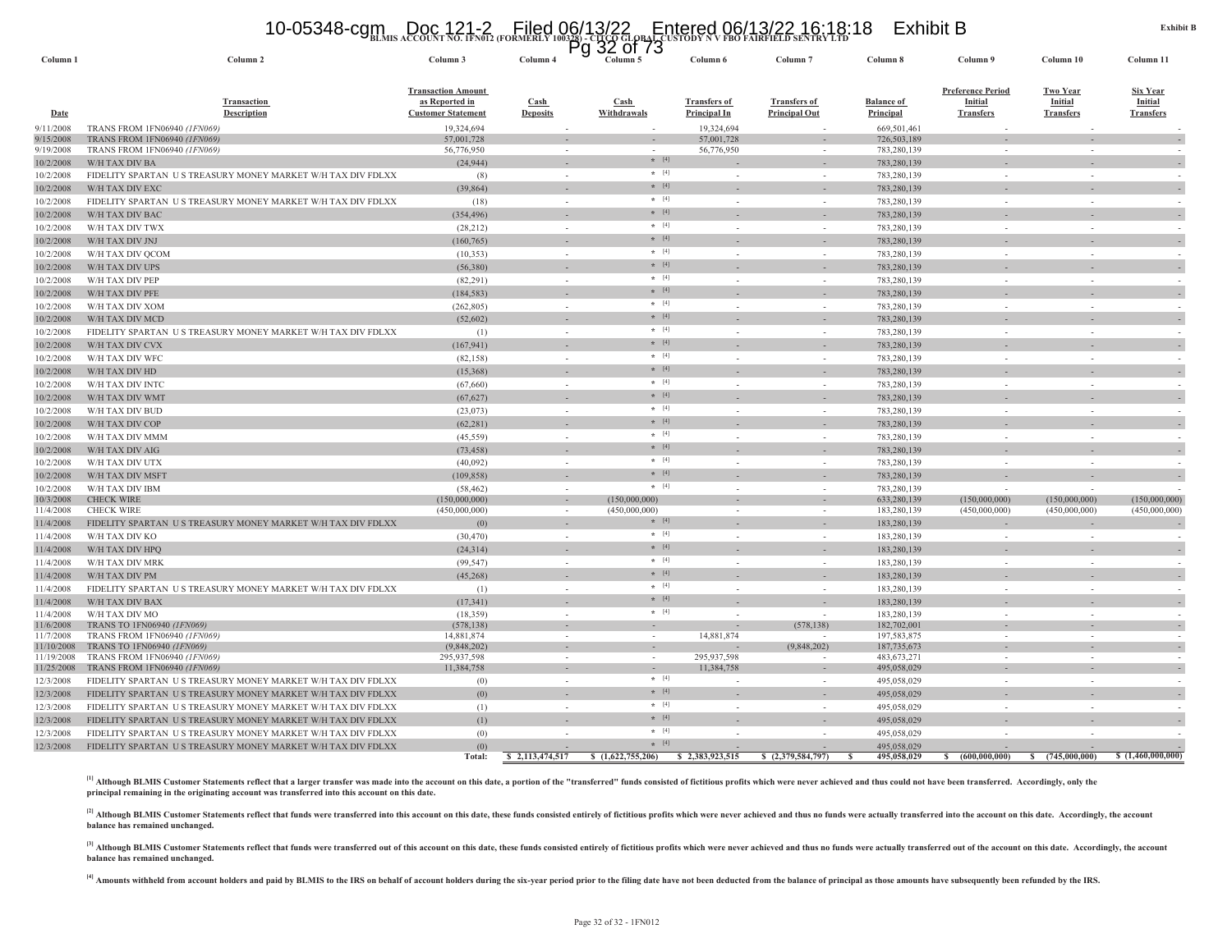#### 10-05348-cgm Doc 121-2 Filed 06/13/22 Entered 06/13/22 16:18:18 Exhibit B<br>https://www.account.no.ifn012.(formerly 100328)-crco.glpb4Lcustody N v fbo fairfield sentry ltd

|                        |                                                             |                                                                          |                          | $32$ of $73$<br>Pg  |                                            |                                             |                                |                                                                |                                                       |                                                |
|------------------------|-------------------------------------------------------------|--------------------------------------------------------------------------|--------------------------|---------------------|--------------------------------------------|---------------------------------------------|--------------------------------|----------------------------------------------------------------|-------------------------------------------------------|------------------------------------------------|
| Column 1               | Column 2                                                    | Column 3                                                                 | Column 4                 | Column 5            | Column 6                                   | Column <sub>7</sub>                         | Column 8                       | Column 9                                                       | Column 10                                             | Column 11                                      |
| <b>Date</b>            | <b>Transaction</b><br><b>Description</b>                    | <b>Transaction Amount</b><br>as Reported in<br><b>Customer Statement</b> | Cash<br><b>Deposits</b>  | Cash<br>Withdrawals | <b>Transfers of</b><br><b>Principal In</b> | <b>Transfers of</b><br><b>Principal Out</b> | <b>Balance of</b><br>Principal | <b>Preference Period</b><br><b>Initial</b><br><b>Transfers</b> | <b>Two Year</b><br><b>Initial</b><br><b>Transfers</b> | <b>Six Year</b><br>Initial<br><b>Transfers</b> |
| 9/11/2008              | TRANS FROM 1FN06940 (1FN069)                                | 19,324,694                                                               |                          |                     | 19,324,694                                 |                                             | 669,501,461                    |                                                                |                                                       |                                                |
| 9/15/2008              | TRANS FROM 1FN06940 (1FN069)                                | 57,001,728                                                               | ÷,                       |                     | 57,001,728                                 |                                             | 726,503,189                    |                                                                |                                                       |                                                |
| 9/19/2008              | TRANS FROM 1FN06940 (1FN069)                                | 56,776,950                                                               |                          |                     | 56,776,950                                 |                                             | 783,280,139                    |                                                                |                                                       |                                                |
| 10/2/2008              | W/H TAX DIV BA                                              | (24, 944)                                                                |                          | $* [4]$             |                                            |                                             | 783,280,139                    |                                                                |                                                       |                                                |
| 10/2/2008              | FIDELITY SPARTAN US TREASURY MONEY MARKET W/H TAX DIV FDLXX | (8)                                                                      | $\sim$                   | $*$ [4]             |                                            | $\overline{\phantom{a}}$                    | 783,280,139                    |                                                                |                                                       |                                                |
| 10/2/2008              | W/H TAX DIV EXC                                             | (39, 864)                                                                |                          | $* [4]$             |                                            |                                             | 783,280,139                    |                                                                |                                                       |                                                |
| 10/2/2008              | FIDELITY SPARTAN US TREASURY MONEY MARKET W/H TAX DIV FDLXX | (18)                                                                     | $\sim$                   | $*$ [4]             | $\sim$                                     | $\sim$                                      | 783,280,139                    | $\sim$                                                         | i a                                                   |                                                |
| 10/2/2008              | W/H TAX DIV BAC                                             | (354, 496)                                                               |                          | $*$ [4]             |                                            |                                             | 783,280,139                    |                                                                |                                                       |                                                |
| 10/2/2008              | W/H TAX DIV TWX                                             | (28,212)                                                                 | $\sim$                   | $*$ [4]             |                                            | $\sim$                                      | 783,280,139                    |                                                                |                                                       |                                                |
| 10/2/2008              | W/H TAX DIV JNJ                                             | (160, 765)                                                               |                          | $* [4]$             |                                            |                                             | 783,280,139                    |                                                                |                                                       |                                                |
| 10/2/2008              | W/H TAX DIV QCOM                                            | (10, 353)                                                                |                          | $*$ [4]             |                                            |                                             | 783,280,139                    |                                                                |                                                       |                                                |
| 10/2/2008              | W/H TAX DIV UPS                                             | (56, 380)                                                                |                          | $*$ [4]             |                                            |                                             | 783,280,139                    |                                                                |                                                       |                                                |
| 10/2/2008              | W/H TAX DIV PEP                                             | (82, 291)                                                                |                          | $*$ [4]             |                                            |                                             | 783,280,139                    |                                                                |                                                       |                                                |
| 10/2/2008              | W/H TAX DIV PFE                                             | (184, 583)                                                               |                          | $* [4]$             |                                            |                                             | 783,280,139                    |                                                                |                                                       |                                                |
|                        |                                                             |                                                                          |                          | $*$ [4]             |                                            |                                             |                                | $\sim$                                                         |                                                       |                                                |
| 10/2/2008              | W/H TAX DIV XOM                                             | (262, 805)                                                               | ÷.                       | $* [4]$             |                                            | ÷.                                          | 783,280,139                    |                                                                |                                                       |                                                |
| 10/2/2008              | W/H TAX DIV MCD                                             | (52,602)                                                                 |                          | $*$ [4]             |                                            |                                             | 783,280,139                    |                                                                |                                                       |                                                |
| 10/2/2008              | FIDELITY SPARTAN US TREASURY MONEY MARKET W/H TAX DIV FDLXX | (1)                                                                      | $\sim$                   |                     |                                            | $\sim$                                      | 783,280,139                    |                                                                |                                                       |                                                |
| 10/2/2008              | W/H TAX DIV CVX                                             | (167, 941)                                                               |                          | $\star$ [4]         |                                            |                                             | 783,280,139                    |                                                                |                                                       |                                                |
| 10/2/2008              | W/H TAX DIV WFC                                             | (82, 158)                                                                | $\sim$                   | $\star$ [4]         |                                            | $\sim$                                      | 783,280,139                    |                                                                |                                                       |                                                |
| 10/2/2008              | W/H TAX DIV HD                                              | (15,368)                                                                 |                          | $* [4]$             |                                            |                                             | 783,280,139                    |                                                                |                                                       |                                                |
| 10/2/2008              | W/H TAX DIV INTC                                            | (67, 660)                                                                | $\sim$                   | $*$ [4]             |                                            | $\sim$                                      | 783,280,139                    | $\sim$                                                         |                                                       |                                                |
| 10/2/2008              | W/H TAX DIV WMT                                             | (67, 627)                                                                |                          | $*$ [4]             |                                            |                                             | 783,280,139                    |                                                                |                                                       |                                                |
| 10/2/2008              | W/H TAX DIV BUD                                             | (23,073)                                                                 | $\sim$                   | $*$ [4]             |                                            | $\sim$                                      | 783,280,139                    |                                                                |                                                       |                                                |
| 10/2/2008              | W/H TAX DIV COP                                             | (62, 281)                                                                |                          | $*$ [4]             |                                            |                                             | 783,280,139                    |                                                                |                                                       |                                                |
| 10/2/2008              | W/H TAX DIV MMM                                             | (45, 559)                                                                |                          | $*$ [4]             |                                            |                                             | 783,280,139                    |                                                                |                                                       |                                                |
| 10/2/2008              | W/H TAX DIV AIG                                             | (73, 458)                                                                |                          | $*$ [4]             |                                            |                                             | 783,280,139                    |                                                                |                                                       |                                                |
| 10/2/2008              | W/H TAX DIV UTX                                             | (40,092)                                                                 | ÷,                       | $*$ [4]             |                                            |                                             | 783,280,139                    |                                                                |                                                       |                                                |
| 10/2/2008              | W/H TAX DIV MSFT                                            | (109, 858)                                                               |                          | $* [4]$             |                                            |                                             | 783,280,139                    |                                                                |                                                       |                                                |
| 10/2/2008              | W/H TAX DIV IBM                                             | (58, 462)                                                                | $\sim$                   | $\star$ [4]         |                                            | in 1999.                                    | 783,280,139                    |                                                                |                                                       |                                                |
| 10/3/2008              | <b>CHECK WIRE</b>                                           | (150,000,000)                                                            | $\sim$                   | (150,000,000)       |                                            | $\sim$                                      | 633,280,139                    | (150,000,000)                                                  | (150,000,000)                                         | (150,000,000)                                  |
| 11/4/2008              | <b>CHECK WIRE</b>                                           | (450,000,000)                                                            |                          | (450,000,000)       |                                            |                                             | 183,280,139                    | (450,000,000)                                                  | (450,000,000)                                         | (450,000,000)                                  |
| 11/4/2008              | FIDELITY SPARTAN US TREASURY MONEY MARKET W/H TAX DIV FDLXX | (0)                                                                      | $\sim$                   | $* [4]$             |                                            |                                             | 183,280,139                    |                                                                |                                                       |                                                |
| 11/4/2008              | W/H TAX DIV KO                                              | (30, 470)                                                                | $\sim$                   | $*$ [4]             |                                            | $\overline{\phantom{a}}$                    | 183,280,139                    | $\sim$                                                         | - 20                                                  |                                                |
| 11/4/2008              | W/H TAX DIV HPQ                                             | (24, 314)                                                                |                          | $*$ [4]             |                                            |                                             | 183,280,139                    |                                                                |                                                       |                                                |
| 11/4/2008              | W/H TAX DIV MRK                                             | (99, 547)                                                                | ÷.                       | $*$ [4]             |                                            | $\sim$                                      | 183,280,139                    | $\sim$                                                         |                                                       |                                                |
| 11/4/2008              | W/H TAX DIV PM                                              | (45, 268)                                                                |                          | $* [4]$             |                                            |                                             | 183,280,139                    |                                                                |                                                       |                                                |
| 11/4/2008              | FIDELITY SPARTAN US TREASURY MONEY MARKET W/H TAX DIV FDLXX | (1)                                                                      | $\sim$                   | $*$ [4]             |                                            |                                             | 183,280,139                    |                                                                |                                                       |                                                |
|                        |                                                             |                                                                          |                          | $* [4]$             |                                            |                                             |                                |                                                                |                                                       |                                                |
| 11/4/2008              | W/H TAX DIV BAX                                             | (17, 341)                                                                |                          | $*$ [4]             |                                            |                                             | 183,280,139                    |                                                                |                                                       |                                                |
| 11/4/2008<br>11/6/2008 | W/H TAX DIV MO<br>TRANS TO 1FN06940 (1FN069)                | (18, 359)<br>(578, 138)                                                  | ÷.<br>$\sim$             | $\sim$              |                                            | (578, 138)                                  | 183,280,139<br>182,702,001     | $\sim$                                                         |                                                       |                                                |
| 11/7/2008              | TRANS FROM 1FN06940 (1FN069)                                | 14,881,874                                                               |                          |                     | 14,881,874                                 |                                             | 197,583,875                    |                                                                |                                                       |                                                |
| 11/10/2008             | TRANS TO 1FN06940 (1FN069)                                  | (9,848,202)                                                              | $\overline{\phantom{a}}$ | $\sim$              |                                            | (9,848,202)                                 | 187,735,673                    | $\sim$                                                         | $\sim$                                                |                                                |
| 11/19/2008             | TRANS FROM 1FN06940 (1FN069)                                | 295,937,598                                                              | $\sim$                   | $\sim$              | 295,937,598                                |                                             | 483, 673, 271                  | $\sim$                                                         | $\sim$                                                |                                                |
| 11/25/2008             | TRANS FROM 1FN06940 (1FN069)                                | 11,384,758                                                               | ÷.                       | $\sim$              | 11,384,758                                 |                                             | 495,058,029                    |                                                                |                                                       |                                                |
| 12/3/2008              | FIDELITY SPARTAN US TREASURY MONEY MARKET W/H TAX DIV FDLXX | (0)                                                                      | $\sim$                   | $*$ [4]             |                                            | in 1999.                                    | 495,058,029                    | a.                                                             | $\sim$                                                |                                                |
| 12/3/2008              | FIDELITY SPARTAN US TREASURY MONEY MARKET W/H TAX DIV FDLXX | (0)                                                                      |                          | $*$ [4]             |                                            |                                             | 495,058,029                    |                                                                |                                                       |                                                |
| 12/3/2008              | FIDELITY SPARTAN US TREASURY MONEY MARKET W/H TAX DIV FDLXX | (1)                                                                      |                          | $*$ [4]             |                                            | $\overline{\phantom{a}}$                    | 495,058,029                    |                                                                |                                                       |                                                |
| 12/3/2008              | FIDELITY SPARTAN US TREASURY MONEY MARKET W/H TAX DIV FDLXX | (1)                                                                      |                          | $* [4]$             |                                            |                                             | 495,058,029                    |                                                                |                                                       |                                                |
| 12/3/2008              | FIDELITY SPARTAN US TREASURY MONEY MARKET W/H TAX DIV FDLXX | (0)                                                                      |                          | $*$ [4]             |                                            |                                             | 495,058,029                    |                                                                |                                                       |                                                |
| 12/3/2008              | FIDELITY SPARTAN US TREASURY MONEY MARKET W/H TAX DIV FDLXX | (0)                                                                      |                          | $\star$ [4]         |                                            |                                             | 495,058,029                    |                                                                |                                                       |                                                |
|                        |                                                             | Total:                                                                   | \$2,113,474,517          | \$(1,622,755,206)   | \$2,383,923,515                            | \$ $(2,379,584,797)$                        | 495,058,029                    | (600,000,000)                                                  | s<br>(745,000,000)                                    | \$(1,460,000,000)                              |

[1] Although BLMIS Customer Statements reflect that a larger transfer was made into the account on this date, a portion of the "transferred" funds consisted of fictitious profits which were never achieved and thus could no **principal remaining in the originating account was transferred into this account on this date.**

[2] Although BLMIS Customer Statements reflect that funds were transferred into this account on this date, these funds consisted entirely of fictitious profits which were never achieved and thus no funds were actually tran **balance has remained unchanged.**

<sup>[3]</sup> Although BLMIS Customer Statements reflect that funds were transferred out of this account on this date, these funds consisted entirely of fictitious profits which were never achieved and thus no funds were actually **balance has remained unchanged.**

<sup>[4]</sup> Amounts withheld from account holders and paid by BLMIS to the IRS on behalf of account holders during the six-year period prior to the filing date have not been deducted from the balance of principal as those amount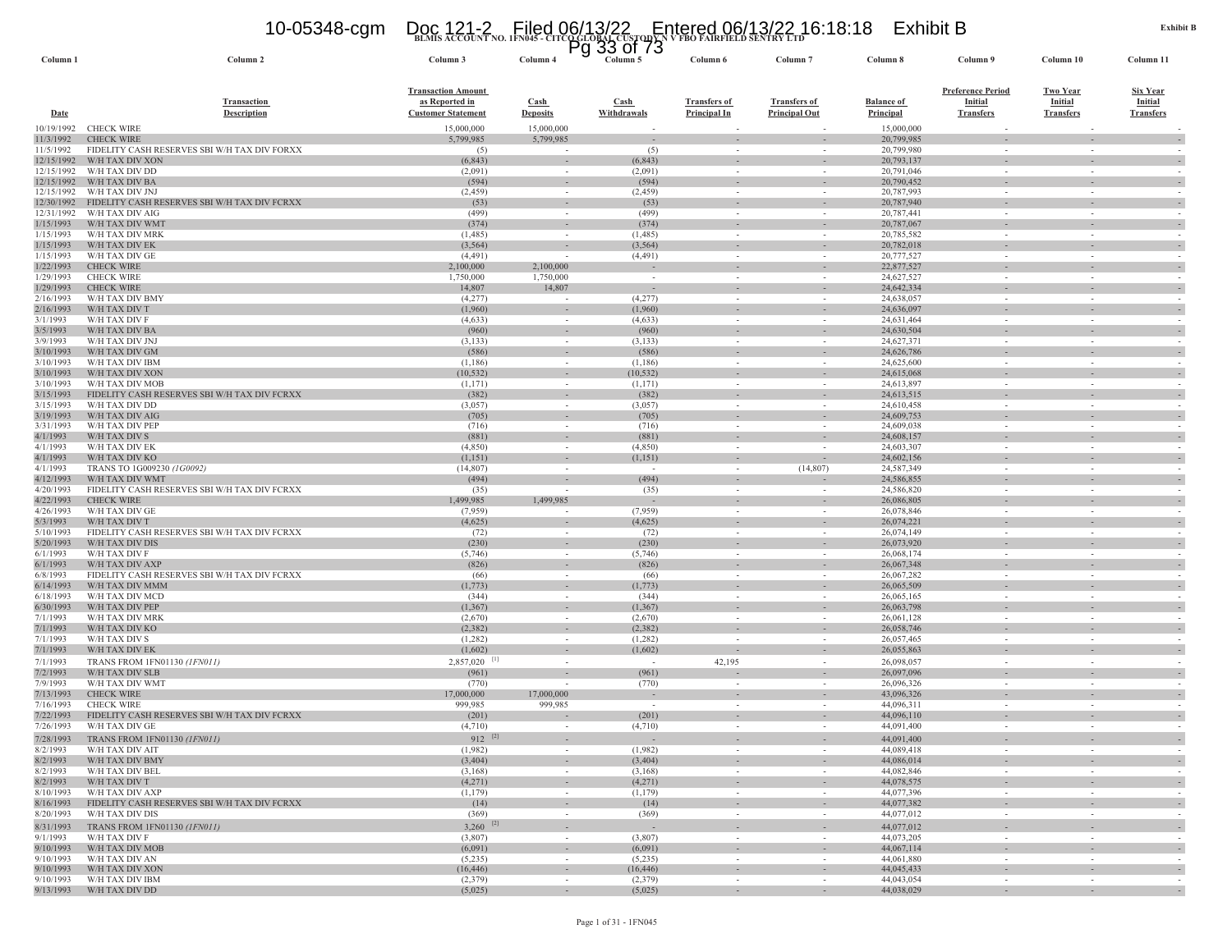# **BLMIS ACCOUNT NO. 1FN045 - CITCO GLOBAL CUSTODY N V FBO FAIRFIELD SENTRY LTD** 10-05348-cgm Doc 121-2 Filed 06/13/22 Entered 06/13/22 16:18:18 Exhibit B Pg 33 of 73

| Column <sub>1</sub>      | Column <sub>2</sub>                          | Column 3                                                                 | Column 4                       | Y<br>ບບ<br>ט וט<br>Column 5 | Column 6                                   | Column <sub>7</sub>                         | Column 8                              | Column 9                                                | Column 10                                             | Column 11                                      |
|--------------------------|----------------------------------------------|--------------------------------------------------------------------------|--------------------------------|-----------------------------|--------------------------------------------|---------------------------------------------|---------------------------------------|---------------------------------------------------------|-------------------------------------------------------|------------------------------------------------|
| <b>Date</b>              | <b>Transaction</b><br><b>Description</b>     | <b>Transaction Amount</b><br>as Reported in<br><b>Customer Statement</b> | <b>Cash</b><br><b>Deposits</b> | Cash<br>Withdrawals         | <b>Transfers of</b><br><b>Principal In</b> | <b>Transfers of</b><br><b>Principal Out</b> | <b>Balance of</b><br><b>Principal</b> | <b>Preference Period</b><br>Initial<br><b>Transfers</b> | <b>Two Year</b><br><b>Initial</b><br><b>Transfers</b> | <b>Six Year</b><br>Initial<br><b>Transfers</b> |
| 10/19/1992               | <b>CHECK WIRE</b>                            | 15,000,000                                                               | 15,000,000                     |                             |                                            |                                             | 15,000,000                            |                                                         |                                                       |                                                |
| 11/3/1992                | <b>CHECK WIRE</b>                            | 5,799,985                                                                | 5,799,985                      |                             |                                            |                                             | 20,799,985                            |                                                         |                                                       | $\sim$                                         |
| 11/5/1992                | FIDELITY CASH RESERVES SBI W/H TAX DIV FORXX | (5)                                                                      |                                | (5)                         |                                            |                                             | 20,799,980                            |                                                         |                                                       |                                                |
| 12/15/1992<br>12/15/1992 | W/H TAX DIV XON<br>W/H TAX DIV DD            | (6, 843)<br>(2,091)                                                      | $\sim$                         | (6, 843)<br>(2,091)         | $\sim$                                     | $\sim$                                      | 20,793,137<br>20,791,046              | $\sim$                                                  |                                                       | $\sim$<br>$\sim$                               |
| 12/15/1992               | W/H TAX DIV BA                               | (594)                                                                    | $\sim$                         | (594)                       | $\sim$                                     |                                             | 20,790,452                            | $\sim$                                                  |                                                       |                                                |
| 12/15/1992               | W/H TAX DIV JNJ                              | (2, 459)                                                                 | $\sim$                         | (2, 459)                    | $\sim$                                     | $\sim$                                      | 20,787,993                            | $\sim$                                                  |                                                       |                                                |
| 12/30/1992               | FIDELITY CASH RESERVES SBI W/H TAX DIV FCRXX | (53)                                                                     |                                | (53)                        |                                            |                                             | 20,787,940                            |                                                         |                                                       |                                                |
| 12/31/1992               | W/H TAX DIV AIG                              | (499)                                                                    |                                | (499)                       | $\sim$                                     |                                             | 20,787,441                            | $\sim$                                                  |                                                       |                                                |
| 1/15/1993<br>1/15/1993   | W/H TAX DIV WMT<br>W/H TAX DIV MRK           | (374)<br>(1,485)                                                         | $\sim$                         | (374)<br>(1,485)            | $\sim$                                     | $\sim$                                      | 20,787,067<br>20,785,582              | $\sim$                                                  | $\sim$                                                | $\sim$                                         |
| 1/15/1993                | W/H TAX DIV EK                               | (3, 564)                                                                 | $\sim$                         | (3, 564)                    | $\overline{\phantom{a}}$                   | $\sim$                                      | 20,782,018                            | $\sim$                                                  |                                                       | $\overline{\phantom{a}}$                       |
| 1/15/1993                | W/H TAX DIV GE                               | (4, 491)                                                                 |                                | (4, 491)                    | $\overline{\phantom{a}}$                   |                                             | 20,777,527                            | $\overline{\phantom{a}}$                                |                                                       |                                                |
| 1/22/1993                | <b>CHECK WIRE</b>                            | 2,100,000                                                                | 2,100,000                      |                             |                                            |                                             | 22,877,527                            |                                                         |                                                       |                                                |
| 1/29/1993                | <b>CHECK WIRE</b>                            | 1,750,000                                                                | 1,750,000                      | $\sim$                      | $\sim$                                     |                                             | 24,627,527                            | $\sim$                                                  |                                                       |                                                |
| 1/29/1993                | <b>CHECK WIRE</b>                            | 14,807                                                                   | 14,807                         |                             |                                            |                                             | 24,642,334                            |                                                         |                                                       | $\overline{\phantom{a}}$                       |
| 2/16/1993<br>2/16/1993   | W/H TAX DIV BMY<br>W/H TAX DIV T             | (4,277)<br>(1,960)                                                       |                                | (4,277)<br>(1,960)          |                                            |                                             | 24,638,057<br>24,636,097              |                                                         |                                                       | $\overline{\phantom{a}}$                       |
| 3/1/1993                 | W/H TAX DIV F                                | (4,633)                                                                  | $\sim$                         | (4,633)                     | $\sim$                                     | $\overline{\phantom{a}}$                    | 24,631,464                            | $\sim$                                                  |                                                       |                                                |
| 3/5/1993                 | W/H TAX DIV BA                               | (960)                                                                    | $\sim$                         | (960)                       |                                            |                                             | 24,630,504                            |                                                         |                                                       |                                                |
| 3/9/1993                 | W/H TAX DIV JNJ                              | (3,133)                                                                  | $\sim$                         | (3, 133)                    | $\sim$                                     |                                             | 24,627,371                            | $\sim$                                                  |                                                       |                                                |
| 3/10/1993                | W/H TAX DIV GM                               | (586)                                                                    |                                | (586)                       |                                            |                                             | 24,626,786                            |                                                         |                                                       |                                                |
| 3/10/1993<br>3/10/1993   | W/H TAX DIV IBM<br>W/H TAX DIV XON           | (1,186)<br>(10, 532)                                                     | $\sim$<br>$\sim$               | (1,186)<br>(10, 532)        | $\sim$<br>$\sim$                           | $\sim$<br>$\overline{\phantom{a}}$          | 24,625,600<br>24,615,068              | $\sim$<br>$\sim$                                        | $\sim$<br>$\sim$                                      | $\overline{\phantom{a}}$                       |
| 3/10/1993                | W/H TAX DIV MOB                              | (1,171)                                                                  |                                | (1,171)                     |                                            |                                             | 24,613,897                            |                                                         |                                                       |                                                |
| 3/15/1993                | FIDELITY CASH RESERVES SBI W/H TAX DIV FCRXX | (382)                                                                    | $\sim$                         | (382)                       | $\sim$                                     |                                             | 24,613,515                            | $\sim$                                                  |                                                       | $\sim$                                         |
| 3/15/1993                | W/H TAX DIV DD                               | (3,057)                                                                  | $\sim$                         | (3,057)                     | $\sim$                                     |                                             | 24,610,458                            | $\sim$                                                  |                                                       |                                                |
| 3/19/1993                | W/H TAX DIV AIG                              | (705)                                                                    |                                | (705)                       | $\overline{\phantom{a}}$                   | $\overline{\phantom{a}}$                    | 24,609,753                            | $\sim$                                                  |                                                       |                                                |
| 3/31/1993                | W/H TAX DIV PEP                              | (716)                                                                    |                                | (716)                       | $\overline{\phantom{a}}$                   |                                             | 24,609,038                            | $\overline{\phantom{a}}$                                |                                                       |                                                |
| 4/1/1993<br>4/1/1993     | W/H TAX DIV S<br>W/H TAX DIV EK              | (881)<br>(4,850)                                                         |                                | (881)<br>(4,850)            |                                            |                                             | 24,608,157<br>24,603,307              |                                                         |                                                       |                                                |
| 4/1/1993                 | W/H TAX DIV KO                               | (1,151)                                                                  |                                | (1,151)                     | $\sim$                                     |                                             | 24,602,156                            | $\sim$                                                  |                                                       | $\overline{\phantom{a}}$                       |
| 4/1/1993                 | TRANS TO 1G009230 (1G0092)                   | (14, 807)                                                                | $\sim$                         | $\sim$                      | $\sim$                                     | (14, 807)                                   | 24,587,349                            | $\sim$                                                  |                                                       |                                                |
| 4/12/1993                | W/H TAX DIV WMT                              | (494)                                                                    |                                | (494)                       |                                            |                                             | 24,586,855                            |                                                         |                                                       |                                                |
| 4/20/1993                | FIDELITY CASH RESERVES SBI W/H TAX DIV FCRXX | (35)                                                                     |                                | (35)                        | $\sim$                                     |                                             | 24,586,820                            | $\sim$                                                  |                                                       |                                                |
| 4/22/1993                | <b>CHECK WIRE</b>                            | 1,499,985                                                                | 1,499,985                      |                             |                                            |                                             | 26,086,805                            |                                                         |                                                       |                                                |
| 4/26/1993<br>5/3/1993    | W/H TAX DIV GE<br>W/H TAX DIV T              | (7,959)<br>(4,625)                                                       |                                | (7,959)<br>(4,625)          | $\sim$                                     | $\sim$                                      | 26,078,846<br>26,074,221              | $\sim$<br>$\sim$                                        | $\overline{a}$                                        |                                                |
| 5/10/1993                | FIDELITY CASH RESERVES SBI W/H TAX DIV FCRXX | (72)                                                                     |                                | (72)                        |                                            |                                             | 26,074,149                            | $\sim$                                                  |                                                       |                                                |
| 5/20/1993                | W/H TAX DIV DIS                              | (230)                                                                    |                                | (230)                       |                                            |                                             | 26,073,920                            |                                                         |                                                       | $\overline{\phantom{a}}$                       |
| 6/1/1993                 | W/H TAX DIV F                                | (5,746)                                                                  | $\sim$                         | (5,746)                     | $\sim$                                     | $\sim$                                      | 26,068,174                            | $\sim$                                                  |                                                       | $\sim$                                         |
| 6/1/1993                 | W/H TAX DIV AXP                              | (826)                                                                    |                                | (826)                       | $\sim$                                     |                                             | 26,067,348                            | $\sim$                                                  |                                                       | $\sim$                                         |
| 6/8/1993                 | FIDELITY CASH RESERVES SBI W/H TAX DIV FCRXX | (66)                                                                     |                                | (66)                        | $\overline{\phantom{a}}$                   |                                             | 26,067,282                            | $\overline{\phantom{a}}$                                |                                                       |                                                |
| 6/14/1993<br>6/18/1993   | W/H TAX DIV MMM<br>W/H TAX DIV MCD           | (1,773)<br>(344)                                                         | $\sim$                         | (1,773)<br>(344)            | $\sim$                                     |                                             | 26,065,509<br>26,065,165              | $\sim$                                                  |                                                       | $\overline{\phantom{a}}$                       |
| 6/30/1993                | W/H TAX DIV PEP                              | (1, 367)                                                                 | $\sim$                         | (1, 367)                    | $\sim$                                     | $\sim$                                      | 26,063,798                            | $\sim$                                                  | $\sim$                                                | $\sim$                                         |
| 7/1/1993                 | W/H TAX DIV MRK                              | (2,670)                                                                  | $\sim$                         | (2,670)                     |                                            | $\sim$                                      | 26,061,128                            | $\sim$                                                  |                                                       |                                                |
| 7/1/1993                 | W/H TAX DIV KO                               | (2,382)                                                                  |                                | (2, 382)                    |                                            |                                             | 26,058,746                            |                                                         |                                                       |                                                |
| 7/1/1993                 | W/H TAX DIV S                                | (1,282)                                                                  |                                | (1,282)                     |                                            |                                             | 26,057,465                            | $\sim$                                                  |                                                       |                                                |
| 7/1/1993                 | W/H TAX DIV EK                               | (1,602)                                                                  |                                | (1,602)                     |                                            |                                             | 26,055,863                            |                                                         |                                                       |                                                |
| 7/1/1993<br>7/2/1993     | TRANS FROM 1FN01130 (1FN011)                 | $2,857,020$ [1]                                                          |                                | (961)                       | 42,195                                     |                                             | 26,098,057                            | $\sim$                                                  |                                                       |                                                |
| 7/9/1993                 | W/H TAX DIV SLB<br>W/H TAX DIV WMT           | (961)<br>(770)                                                           |                                | (770)                       | $\sim$                                     | $\sim$                                      | 26,097,096<br>26,096,326              | $\sim$                                                  |                                                       |                                                |
| 7/13/1993                | <b>CHECK WIRE</b>                            | 17,000,000                                                               | 17,000,000                     |                             |                                            |                                             | 43,096,326                            |                                                         |                                                       |                                                |
| 7/16/1993                | <b>CHECK WIRE</b>                            | 999,985                                                                  | 999,985                        | $\sim$                      | $\sim$                                     |                                             | 44,096,311                            | $\sim$                                                  |                                                       |                                                |
| 7/22/1993                | FIDELITY CASH RESERVES SBI W/H TAX DIV FCRXX | (201)                                                                    |                                | (201)                       |                                            |                                             | 44,096,110                            |                                                         |                                                       |                                                |
| 7/26/1993                | W/H TAX DIV GE                               | (4,710)                                                                  |                                | (4,710)                     | $\sim$                                     | $\sim$                                      | 44,091,400                            | $\sim$                                                  | $\sim$                                                | $\sim$                                         |
| 7/28/1993                | TRANS FROM 1FN01130 (1FN011)                 | $912$ <sup>[2]</sup>                                                     |                                |                             |                                            |                                             | 44,091,400                            |                                                         |                                                       |                                                |
| 8/2/1993                 | W/H TAX DIV AIT                              | (1,982)                                                                  |                                | (1,982)                     |                                            |                                             | 44,089,418                            |                                                         |                                                       |                                                |
| 8/2/1993<br>8/2/1993     | W/H TAX DIV BMY<br>W/H TAX DIV BEL           | (3,404)<br>(3,168)                                                       | $\sim$<br>$\sim$               | (3,404)<br>(3,168)          | $\sim$<br>$\sim$                           | $\sim$<br>$\sim$                            | 44,086,014<br>44,082,846              | $\sim$<br>$\sim$                                        | $\sim$<br>$\sim$                                      | $\overline{\phantom{a}}$                       |
| 8/2/1993                 | W/H TAX DIV T                                | (4,271)                                                                  | $\sim$                         | (4,271)                     | $\overline{\phantom{a}}$                   | $\overline{\phantom{a}}$                    | 44,078,575                            | $\sim$                                                  | $\overline{\phantom{a}}$                              | $\overline{\phantom{a}}$                       |
| 8/10/1993                | W/H TAX DIV AXP                              | (1,179)                                                                  | $\sim$                         | (1,179)                     | $\sim$                                     | $\sim$                                      | 44,077,396                            | $\sim$                                                  | $\sim$                                                | $\sim$                                         |
| 8/16/1993                | FIDELITY CASH RESERVES SBI W/H TAX DIV FCRXX | (14)                                                                     | $\sim$                         | (14)                        | $\sim$                                     | $\overline{\phantom{a}}$                    | 44,077,382                            | $\sim$                                                  | $\overline{\phantom{a}}$                              | $\bar{\gamma}$                                 |
| 8/20/1993                | W/H TAX DIV DIS                              | (369)                                                                    | $\sim$                         | (369)                       | $\sim$                                     | $\sim$                                      | 44,077,012                            | $\sim$                                                  | $\sim$                                                | $\sim$                                         |
| 8/31/1993                | TRANS FROM 1FN01130 (1FN011)                 | $3,260$ <sup>[2]</sup>                                                   |                                | $\sim$                      |                                            |                                             | 44,077,012                            |                                                         |                                                       | $\overline{\phantom{a}}$                       |
| 9/1/1993                 | W/H TAX DIV F                                | (3,807)                                                                  | $\sim$                         | (3,807)                     | $\sim$                                     | $\sim$                                      | 44,073,205                            | $\sim$                                                  | $\sim$                                                | $\sim$                                         |
| 9/10/1993<br>9/10/1993   | W/H TAX DIV MOB<br>W/H TAX DIV AN            | (6,091)<br>(5,235)                                                       | $\sim$<br>$\sim$               | (6,091)<br>(5,235)          | $\sim$<br>$\sim$                           | $\sim$<br>$\sim$                            | 44,067,114<br>44,061,880              | $\sim$<br>$\sim$                                        | $\sim$<br>$\sim$                                      | $\overline{\phantom{a}}$<br>$\sim$             |
| 9/10/1993                | W/H TAX DIV XON                              | (16, 446)                                                                |                                | (16, 446)                   | $\overline{\phantom{a}}$                   | $\overline{\phantom{a}}$                    | 44,045,433                            | $\overline{\phantom{a}}$                                |                                                       | $\overline{\phantom{a}}$                       |
| 9/10/1993                | W/H TAX DIV IBM                              | (2,379)                                                                  | $\sim$                         | (2,379)                     | $\sim$                                     | $\sim$                                      | 44,043,054                            | $\sim$                                                  | $\sim$                                                | $\sim$                                         |
|                          | 9/13/1993 W/H TAX DIV DD                     | (5,025)                                                                  | $\sim$                         | (5,025)                     | $\sim$                                     | $\sim$                                      | 44,038,029                            | $\sim$                                                  | $\sim$                                                | $\sim$                                         |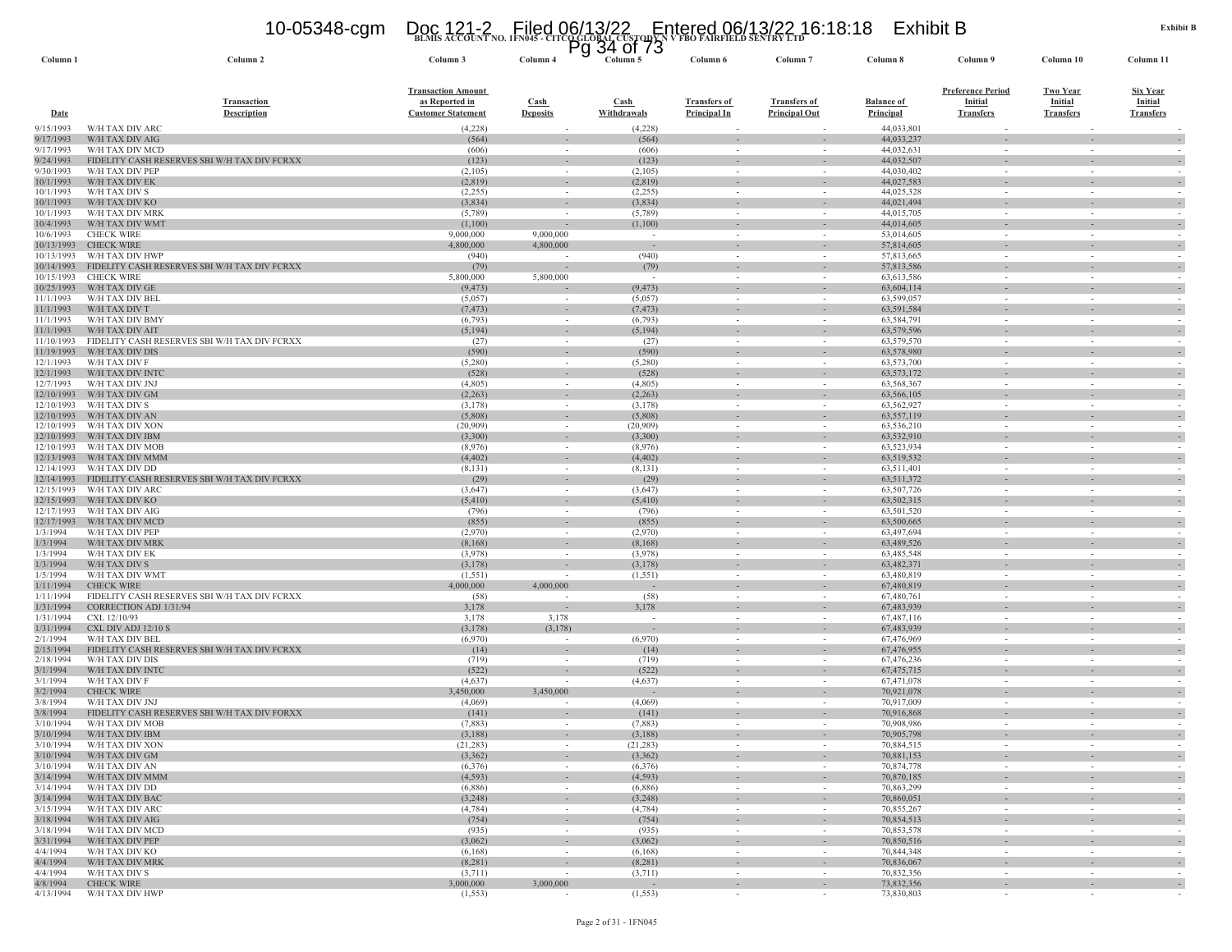# **BLMIS ACCOUNT NO. 1FN045 - CITCO GLOBAL CUSTODY N V FBO FAIRFIELD SENTRY LTD** 10-05348-cgm Doc 121-2 Filed 06/13/22 Entered 06/13/22 16:18:18 Exhibit B Pg 34 of 73

| Column <sub>1</sub>      | Column <sub>2</sub>                                                    | Column 3                  | Column 4                           | Column 5            | Column 6                           | Column <sub>7</sub>                                  | Column 8                   | Column 9                 | Column 10                                            | Column 11                          |
|--------------------------|------------------------------------------------------------------------|---------------------------|------------------------------------|---------------------|------------------------------------|------------------------------------------------------|----------------------------|--------------------------|------------------------------------------------------|------------------------------------|
|                          |                                                                        | <b>Transaction Amount</b> |                                    |                     |                                    |                                                      |                            | <b>Preference Period</b> | <b>Two Year</b>                                      | <b>Six Year</b>                    |
|                          | <b>Transaction</b>                                                     | as Reported in            | $\operatorname{Cash}$              | Cash                | <b>Transfers of</b>                | <b>Transfers of</b>                                  | <b>Balance of</b>          | Initial                  | Initial                                              | Initial                            |
| <b>Date</b>              | <b>Description</b>                                                     | <b>Customer Statement</b> | <b>Deposits</b>                    | Withdrawals         | Principal In                       | <b>Principal Out</b>                                 | Principal                  | <b>Transfers</b>         | <b>Transfers</b>                                     | <b>Transfers</b>                   |
| 9/15/1993                | W/H TAX DIV ARC                                                        | (4,228)                   | $\sim$                             | (4,228)             | $\sim$                             |                                                      | 44,033,801                 | $\sim$                   |                                                      |                                    |
| 9/17/1993                | W/H TAX DIV AIG                                                        | (564)                     |                                    | (564)               |                                    |                                                      | 44,033,237                 |                          |                                                      |                                    |
| 9/17/1993                | W/H TAX DIV MCD                                                        | (606)                     | $\sim$                             | (606)               | $\sim$                             |                                                      | 44,032,631                 | $\sim$                   | $\sim$                                               |                                    |
| 9/24/1993                | FIDELITY CASH RESERVES SBI W/H TAX DIV FCRXX                           | (123)                     |                                    | (123)               |                                    |                                                      | 44,032,507                 |                          |                                                      |                                    |
| 9/30/1993                | W/H TAX DIV PEP<br>W/H TAX DIV EK                                      | (2,105)                   | $\sim$                             | (2,105)             | $\sim$<br>$\sim$                   | $\sim$<br>$\sim$                                     | 44,030,402<br>44,027,583   | $\sim$<br>$\sim$         | $\sim$                                               |                                    |
| 10/1/1993<br>10/1/1993   | W/H TAX DIV S                                                          | (2,819)<br>(2,255)        | $\sim$<br>$\sim$                   | (2,819)<br>(2,255)  | $\sim$                             | $\sim$                                               | 44,025,328                 | $\sim$                   | $\sim$<br>$\sim$                                     | $\overline{\phantom{a}}$           |
| 10/1/1993                | W/H TAX DIV KO                                                         | (3,834)                   | $\sim$                             | (3,834)             |                                    | $\sim$                                               | 44,021,494                 |                          |                                                      |                                    |
| 10/1/1993                | W/H TAX DIV MRK                                                        | (5,789)                   | $\sim$                             | (5,789)             | $\sim$                             | $\sim$                                               | 44,015,705                 | $\sim$                   | $\sim$                                               |                                    |
| 10/4/1993                | W/H TAX DIV WMT                                                        | (1,100)                   |                                    | (1,100)             | $\sim$                             | $\sim$                                               | 44,014,605                 | $\sim$                   | $\sim$                                               |                                    |
| 10/6/1993                | <b>CHECK WIRE</b>                                                      | 9,000,000                 | 9,000,000                          | $\sim$              | $\sim$                             | ÷,                                                   | 53,014,605                 | $\sim$                   | $\overline{\phantom{a}}$                             |                                    |
| 10/13/1993<br>10/13/1993 | <b>CHECK WIRE</b><br>W/H TAX DIV HWP                                   | 4,800,000                 | 4,800,000                          | $\sim$<br>(940)     |                                    | $\sim$                                               | 57,814,605                 |                          | ٠<br>$\sim$                                          |                                    |
| 10/14/1993               | FIDELITY CASH RESERVES SBI W/H TAX DIV FCRXX                           | (940)<br>(79)             |                                    | (79)                | $\sim$                             | $\sim$                                               | 57,813,665<br>57,813,586   | $\sim$                   | $\sim$                                               |                                    |
| 10/15/1993               | <b>CHECK WIRE</b>                                                      | 5,800,000                 | 5,800,000                          | $\sim$              | $\sim$                             | $\overline{\phantom{a}}$                             | 63,613,586                 | $\sim$                   | $\sim$                                               |                                    |
| 10/25/1993               | W/H TAX DIV GE                                                         | (9, 473)                  |                                    | (9, 473)            |                                    | $\overline{\phantom{a}}$                             | 63,604,114                 |                          |                                                      |                                    |
| 11/1/1993                | W/H TAX DIV BEL                                                        | (5,057)                   | $\sim$                             | (5,057)             | $\sim$                             | $\sim$                                               | 63,599,057                 | $\sim$                   | $\sim$                                               |                                    |
| 11/1/1993                | W/H TAX DIV T                                                          | (7, 473)                  |                                    | (7, 473)            |                                    |                                                      | 63,591,584                 |                          |                                                      |                                    |
| 11/1/1993                | W/H TAX DIV BMY                                                        | (6, 793)                  | $\sim$                             | (6, 793)            | $\sim$                             | $\overline{\phantom{a}}$                             | 63,584,791                 | $\sim$                   | $\sim$                                               |                                    |
| 11/1/1993                | W/H TAX DIV AIT                                                        | (5,194)                   | $\sim$                             | (5,194)             | $\sim$                             | $\overline{\phantom{a}}$                             | 63,579,596                 |                          |                                                      |                                    |
| 11/10/1993<br>11/19/1993 | FIDELITY CASH RESERVES SBI W/H TAX DIV FCRXX<br>W/H TAX DIV DIS        | (27)<br>(590)             | $\sim$                             | (27)<br>(590)       | $\sim$                             | $\sim$                                               | 63,579,570<br>63,578,980   | $\sim$                   | $\sim$                                               | $\sim$                             |
| 12/1/1993                | W/H TAX DIV F                                                          | (5,280)                   | $\sim$                             | (5,280)             | $\sim$                             | $\sim$                                               | 63,573,700                 | $\sim$                   | $\sim$                                               | $\overline{\phantom{a}}$           |
| 12/1/1993                | W/H TAX DIV INTO                                                       | (528)                     | $\sim$                             | (528)               | $\sim$                             | $\sim$                                               | 63, 573, 172               |                          | $\sim$                                               |                                    |
| 12/7/1993                | W/H TAX DIV JNJ                                                        | (4,805)                   | $\sim$                             | (4,805)             | $\sim$                             | $\sim$                                               | 63,568,367                 | $\sim$                   | $\sim$                                               |                                    |
| 12/10/1993               | W/H TAX DIV GM                                                         | (2,263)                   | $\sim$                             | (2,263)             |                                    |                                                      | 63,566,105                 |                          |                                                      |                                    |
| 12/10/1993               | W/H TAX DIV S                                                          | (3,178)                   | $\sim$                             | (3,178)             | $\sim$                             | $\sim$                                               | 63,562,927                 | $\sim$                   | $\sim$                                               |                                    |
| 12/10/1993               | W/H TAX DIV AN                                                         | (5,808)                   | $\sim$                             | (5,808)             | $\sim$                             | $\sim$                                               | 63,557,119                 | $\sim$                   | $\sim$                                               |                                    |
| 12/10/1993               | W/H TAX DIV XON                                                        | (20,909)                  |                                    | (20,909)            |                                    |                                                      | 63,536,210                 |                          | $\overline{\phantom{a}}$                             |                                    |
| 12/10/1993<br>12/10/1993 | W/H TAX DIV IBM<br>W/H TAX DIV MOB                                     | (3,300)<br>(8,976)        | $\sim$<br>$\sim$                   | (3,300)<br>(8,976)  | $\sim$                             | $\overline{\phantom{a}}$<br>$\sim$                   | 63,532,910<br>63,523,934   | $\sim$                   | $\overline{\phantom{a}}$<br>$\sim$                   |                                    |
| 12/13/1993               | W/H TAX DIV MMM                                                        | (4, 402)                  | $\sim$                             | (4, 402)            |                                    | $\bar{ }$                                            | 63,519,532                 |                          | $\overline{\phantom{a}}$                             |                                    |
| 12/14/1993               | W/H TAX DIV DD                                                         | (8,131)                   | $\sim$                             | (8, 131)            | $\sim$                             | $\overline{\phantom{a}}$                             | 63,511,401                 | $\sim$                   | $\sim$                                               |                                    |
| 12/14/1993               | FIDELITY CASH RESERVES SBI W/H TAX DIV FCRXX                           | (29)                      | $\sim$                             | (29)                |                                    |                                                      | 63,511,372                 |                          |                                                      |                                    |
| 12/15/1993               | W/H TAX DIV ARC                                                        | (3,647)                   | $\sim$                             | (3,647)             | $\sim$                             | $\sim$                                               | 63,507,726                 | $\sim$                   | $\sim$                                               |                                    |
| 12/15/1993               | W/H TAX DIV KO                                                         | (5,410)                   |                                    | (5,410)             |                                    |                                                      | 63,502,315                 |                          |                                                      |                                    |
| 12/17/1993<br>12/17/1993 | W/H TAX DIV AIG<br>W/H TAX DIV MCD                                     | (796)<br>(855)            | $\sim$<br>$\sim$                   | (796)<br>(855)      | $\sim$<br>$\sim$                   | $\sim$<br>$\overline{\phantom{a}}$                   | 63,501,520<br>63,500,665   | $\sim$                   | $\sim$                                               | $\sim$                             |
| 1/3/1994                 | W/H TAX DIV PEP                                                        | (2,970)                   | $\sim$                             | (2,970)             | $\sim$                             | $\sim$                                               | 63,497,694                 | $\sim$                   | $\sim$                                               |                                    |
| 1/3/1994                 | W/H TAX DIV MRK                                                        | (8,168)                   |                                    | (8,168)             |                                    |                                                      | 63,489,526                 |                          |                                                      |                                    |
| 1/3/1994                 | W/H TAX DIV EK                                                         | (3,978)                   | $\sim$                             | (3,978)             | $\sim$                             | $\sim$                                               | 63,485,548                 | $\sim$                   | $\sim$                                               |                                    |
| 1/3/1994                 | W/H TAX DIV S                                                          | (3,178)                   | $\sim$                             | (3,178)             | $\sim$                             | $\sim$                                               | 63,482,371                 | $\sim$                   | $\sim$                                               |                                    |
| 1/5/1994                 | W/H TAX DIV WMT                                                        | (1, 551)                  |                                    | (1, 551)            |                                    |                                                      | 63,480,819                 |                          | $\sim$                                               |                                    |
| 1/11/1994                | <b>CHECK WIRE</b>                                                      | 4,000,000                 | 4,000,000                          | $\sim$              | $\sim$                             | $\overline{\phantom{a}}$                             | 67,480,819                 |                          | $\sim$                                               | $\overline{\phantom{a}}$           |
| 1/11/1994<br>1/31/1994   | FIDELITY CASH RESERVES SBI W/H TAX DIV FCRXX<br>CORRECTION ADJ 1/31/94 | (58)<br>3,178             |                                    | (58)<br>3,178       | $\overline{\phantom{a}}$<br>$\sim$ | $\overline{\phantom{a}}$<br>$\sim$                   | 67,480,761<br>67,483,939   | $\sim$                   | $\overline{\phantom{a}}$<br>$\sim$                   |                                    |
| 1/31/1994                | CXL 12/10/93                                                           | 3,178                     | 3,178                              | $\sim$              | $\sim$                             | $\sim$                                               | 67,487,116                 | $\sim$                   | $\sim$                                               |                                    |
| 1/31/1994                | CXL DIV ADJ 12/10 S                                                    | (3,178)                   | (3, 178)                           | $\sim$              |                                    | $\overline{\phantom{a}}$                             | 67,483,939                 |                          | $\overline{\phantom{a}}$                             |                                    |
| 2/1/1994                 | W/H TAX DIV BEL                                                        | (6,970)                   |                                    | (6,970)             | $\sim$                             | $\sim$                                               | 67,476,969                 | $\sim$                   | $\sim$                                               |                                    |
| 2/15/1994                | FIDELITY CASH RESERVES SBI W/H TAX DIV FCRXX                           | (14)                      | $\overline{\phantom{a}}$           | (14)                | $\sim$                             | $\sim$                                               | 67,476,955                 |                          | $\sim$                                               |                                    |
| 2/18/1994                | W/H TAX DIV DIS                                                        | (719)                     | $\sim$                             | (719)               | $\sim$                             | $\sim$                                               | 67,476,236                 | $\sim$                   | $\sim$                                               | $\sim$                             |
| 3/1/1994<br>3/1/1994     | W/H TAX DIV INTO<br>W/H TAX DIV F                                      | (522)<br>(4,637)          | $\overline{\phantom{a}}$<br>$\sim$ | (522)               | $\sim$<br>$\sim$                   | $\overline{\phantom{a}}$<br>$\sim$                   | 67, 475, 715<br>67,471,078 | $\sim$                   | $\sim$                                               |                                    |
| 3/2/1994                 | <b>CHECK WIRE</b>                                                      | 3,450,000                 | 3,450,000                          | (4,637)             |                                    |                                                      | 70,921,078                 |                          |                                                      |                                    |
| 3/8/1994                 | W/H TAX DIV JNJ                                                        | (4,069)                   | $\sim$                             | (4,069)             | $\sim$                             | $\sim$                                               | 70,917,009                 | $\sim$                   | $\sim$                                               |                                    |
| 3/8/1994                 | FIDELITY CASH RESERVES SBI W/H TAX DIV FORXX                           | (141)                     | $\sim$                             | (141)               | $\sim$                             | $\sim$                                               | 70,916,868                 | $\sim$                   | $\sim$                                               |                                    |
| 3/10/1994                | W/H TAX DIV MOB                                                        | (7,883)                   |                                    | (7,883)             |                                    |                                                      | 70,908,986                 |                          |                                                      |                                    |
| 3/10/1994                | W/H TAX DIV IBM                                                        | (3,188)                   | $\sim$                             | (3,188)             |                                    | $\overline{\phantom{a}}$                             | 70,905,798                 |                          |                                                      |                                    |
| 3/10/1994                | W/H TAX DIV XON                                                        | (21, 283)                 | $\sim$                             | (21, 283)           | $\sim$                             | $\overline{\phantom{a}}$                             | 70,884,515                 |                          | $\sim$                                               |                                    |
| 3/10/1994                | W/H TAX DIV GM<br>W/H TAX DIV AN                                       | (3,362)                   |                                    | (3,362)             |                                    |                                                      | 70,881,153                 |                          |                                                      |                                    |
| 3/10/1994                | 3/14/1994 W/H TAX DIV MMM                                              | (6,376)<br>(4, 593)       | $\sim$<br>$\sim$                   | (6,376)<br>(4, 593) | $\sim$<br>$\sim$                   | $\overline{\phantom{a}}$<br>$\overline{\phantom{a}}$ | 70,874,778<br>70,870,185   | $\sim$<br>$\sim$         | $\overline{\phantom{a}}$<br>$\overline{\phantom{a}}$ | $\overline{\phantom{a}}$           |
| 3/14/1994                | W/H TAX DIV DD                                                         | (6,886)                   | $\sim$                             | (6,886)             | $\sim$                             | $\overline{\phantom{a}}$                             | 70,863,299                 | $\sim$                   | $\overline{\phantom{a}}$                             |                                    |
| 3/14/1994                | W/H TAX DIV BAC                                                        | (3,248)                   | $\sim$                             | (3,248)             | $\sim$                             | $\sim$                                               | 70,860,051                 | $\sim$                   | $\sim$                                               | $\sim$                             |
| 3/15/1994                | W/H TAX DIV ARC                                                        | (4,784)                   | $\sim$                             | (4,784)             | $\sim$                             | $\sim$                                               | 70,855,267                 | $\sim$                   | $\sim$                                               | $\sim$                             |
| 3/18/1994                | W/H TAX DIV AIG                                                        | (754)                     | $\sim$                             | (754)               | $\sim$                             | $\overline{\phantom{a}}$                             | 70,854,513                 | $\sim$                   | $\overline{\phantom{a}}$                             | $\overline{\phantom{a}}$           |
| 3/18/1994                | W/H TAX DIV MCD                                                        | (935)                     | $\sim$                             | (935)               | $\sim$                             | $\sim$                                               | 70,853,578                 | $\sim$                   | $\sim$                                               |                                    |
| 3/31/1994                | W/H TAX DIV PEP                                                        | (3,062)                   |                                    | (3,062)             |                                    | $\frac{1}{2}$                                        | 70,850,516                 |                          |                                                      | $\overline{\phantom{a}}$           |
| 4/4/1994<br>4/4/1994     | W/H TAX DIV KO<br>W/H TAX DIV MRK                                      | (6,168)<br>(8,281)        | $\sim$<br>$\sim$                   | (6,168)<br>(8,281)  | $\sim$<br>$\sim$                   | $\sim$<br>$\sim$                                     | 70,844,348<br>70,836,067   | $\sim$<br>$\sim$         | $\sim$<br>$\sim$                                     | $\sim$<br>$\overline{\phantom{a}}$ |
| 4/4/1994                 | W/H TAX DIV S                                                          | (3,711)                   |                                    | (3,711)             | $\sim$                             | $\sim$                                               | 70,832,356                 | $\sim$                   | $\sim$                                               | $\sim$                             |
| 4/8/1994                 | <b>CHECK WIRE</b>                                                      | 3,000,000                 | 3,000,000                          | $\sim$              | $\sim$                             | $\sim$                                               | 73,832,356                 |                          | ٠                                                    | $\sim$                             |
|                          | 4/13/1994 W/H TAX DIV HWP                                              | (1, 553)                  |                                    | (1, 553)            | $\sim$                             | $\sim$                                               | 73,830,803                 | $\sim$                   |                                                      |                                    |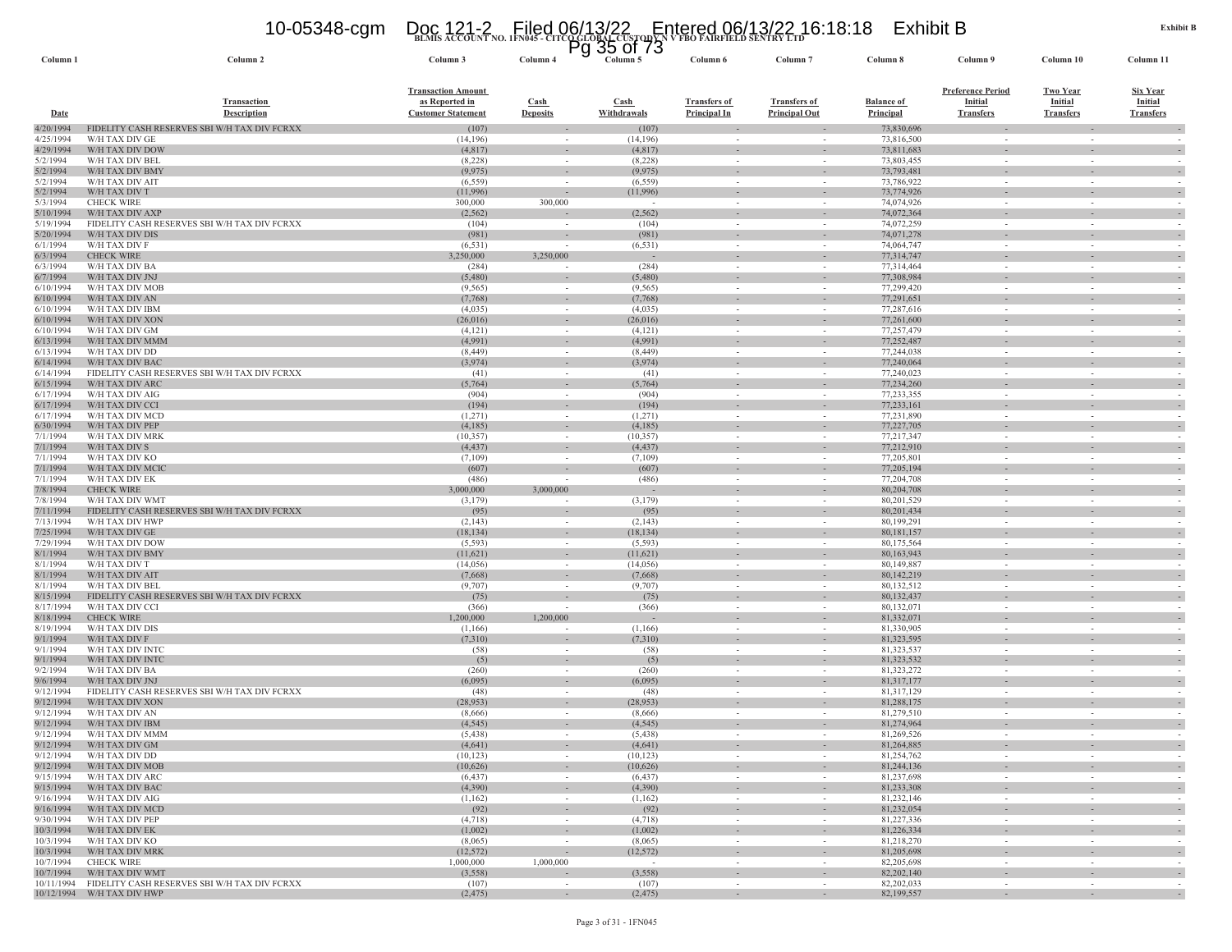# **BLMIS ACCOUNT NO. 1FN045 - CITCO GLOBAL CUSTODY N V FBO FAIRFIELD SENTRY LTD** 10-05348-cgm Doc 121-2 Filed 06/13/22 Entered 06/13/22 16:18:18 Exhibit B Pg 35 of 73

| Column 1               | Column <sub>2</sub>                                             | Column 3                                                                 | Column 4                       | Column 5                            | Column 6                                   | Column 7                                             | Column 8                       | Column 9                                                       | Column 10                                      | Column 11                                             |
|------------------------|-----------------------------------------------------------------|--------------------------------------------------------------------------|--------------------------------|-------------------------------------|--------------------------------------------|------------------------------------------------------|--------------------------------|----------------------------------------------------------------|------------------------------------------------|-------------------------------------------------------|
| Date                   | <b>Transaction</b><br><b>Description</b>                        | <b>Transaction Amount</b><br>as Reported in<br><b>Customer Statement</b> | <b>Cash</b><br><b>Deposits</b> | Cash<br>Withdrawals                 | <b>Transfers of</b><br><b>Principal In</b> | <b>Transfers of</b><br><b>Principal Out</b>          | <b>Balance of</b><br>Principal | <b>Preference Period</b><br><b>Initial</b><br><b>Transfers</b> | <b>Two Year</b><br>Initial<br><b>Transfers</b> | <b>Six Year</b><br><b>Initial</b><br><b>Transfers</b> |
| 4/20/1994              | FIDELITY CASH RESERVES SBI W/H TAX DIV FCRXX                    | (107)                                                                    |                                | (107)                               |                                            |                                                      | 73,830,696                     |                                                                |                                                |                                                       |
| 4/25/1994              | W/H TAX DIV GE                                                  | (14, 196)                                                                | $\sim$                         | (14,196)                            | $\sim$                                     |                                                      | 73,816,500                     | $\sim$                                                         | $\sim$                                         |                                                       |
| 4/29/1994<br>5/2/1994  | W/H TAX DIV DOW<br>W/H TAX DIV BEL                              | (4,817)<br>(8,228)                                                       | $\sim$                         | (4, 817)<br>(8,228)                 | $\sim$                                     | $\sim$                                               | 73,811,683<br>73,803,455       | $\sim$                                                         | $\sim$                                         |                                                       |
| 5/2/1994               | W/H TAX DIV BMY                                                 | (9, 975)                                                                 |                                | (9, 975)                            | $\sim$                                     | $\sim$                                               | 73,793,481                     |                                                                | $\sim$                                         |                                                       |
| 5/2/1994               | W/H TAX DIV AIT                                                 | (6, 559)                                                                 |                                | (6, 559)                            | $\sim$                                     | $\sim$                                               | 73,786,922                     | $\sim$                                                         | $\sim$                                         |                                                       |
| 5/2/1994               | W/H TAX DIV T                                                   | (11,996)                                                                 |                                | (11,996)                            | $\sim$                                     | $\sim$                                               | 73,774,926                     |                                                                | $\sim$                                         |                                                       |
| 5/3/1994               | <b>CHECK WIRE</b>                                               | 300,000                                                                  | 300,000                        | $\sim$                              | $\sim$                                     | $\sim$                                               | 74,074,926                     | $\sim$                                                         | $\sim$                                         | $\sim$                                                |
| 5/10/1994              | W/H TAX DIV AXP                                                 | (2, 562)                                                                 |                                | (2, 562)                            | $\sim$                                     | $\sim$                                               | 74,072,364                     | $\sim$                                                         | $\sim$                                         |                                                       |
| 5/19/1994<br>5/20/1994 | FIDELITY CASH RESERVES SBI W/H TAX DIV FCRXX<br>W/H TAX DIV DIS | (104)<br>(981)                                                           |                                | (104)<br>(981)                      | $\overline{\phantom{a}}$<br>$\sim$         | $\overline{\phantom{a}}$<br>$\overline{\phantom{a}}$ | 74,072,259<br>74,071,278       | $\sim$                                                         | $\overline{\phantom{a}}$                       |                                                       |
| 6/1/1994               | W/H TAX DIV F                                                   | (6, 531)                                                                 |                                | (6, 531)                            | $\overline{\phantom{a}}$                   | $\sim$                                               | 74,064,747                     | $\sim$                                                         | $\overline{\phantom{a}}$                       |                                                       |
| 6/3/1994               | <b>CHECK WIRE</b>                                               | 3,250,000                                                                | 3,250,000                      | $\sim$                              | $\sim$                                     | $\sim$                                               | 77,314,747                     | $\sim$                                                         | $\sim$                                         |                                                       |
| 6/3/1994               | W/H TAX DIV BA                                                  | (284)                                                                    | $\sim$                         | (284)                               | $\sim$                                     | $\sim$                                               | 77,314,464                     | $\sim$                                                         | $\sim$                                         |                                                       |
| 6/7/1994               | W/H TAX DIV JNJ                                                 | (5,480)                                                                  | $\sim$                         | (5,480)                             | $\sim$                                     | $\overline{\phantom{a}}$                             | 77,308,984                     |                                                                |                                                |                                                       |
| 6/10/1994              | W/H TAX DIV MOB                                                 | (9, 565)                                                                 | $\sim$                         | (9, 565)                            | $\sim$                                     | $\sim$                                               | 77,299,420                     | $\sim$                                                         | $\sim$                                         |                                                       |
| 6/10/1994              | W/H TAX DIV AN                                                  | (7,768)                                                                  |                                | (7,768)                             |                                            | $\overline{\phantom{a}}$                             | 77,291,651                     |                                                                | ÷.                                             |                                                       |
| 6/10/1994<br>6/10/1994 | W/H TAX DIV IBM                                                 | (4,035)                                                                  | $\sim$<br>$\sim$               | (4,035)                             | $\sim$<br>$\sim$                           | $\sim$<br>$\overline{\phantom{a}}$                   | 77,287,616                     | $\sim$                                                         | $\sim$<br>$\overline{\phantom{a}}$             |                                                       |
| 6/10/1994              | W/H TAX DIV XON<br>W/H TAX DIV GM                               | (26,016)<br>(4,121)                                                      | $\sim$                         | (26,016)<br>(4,121)                 | $\sim$                                     | $\sim$                                               | 77,261,600<br>77,257,479       | $\sim$                                                         | $\sim$                                         |                                                       |
| 6/13/1994              | W/H TAX DIV MMM                                                 | (4,991)                                                                  |                                | (4,991)                             |                                            |                                                      | 77,252,487                     |                                                                |                                                |                                                       |
| 6/13/1994              | W/H TAX DIV DD                                                  | (8,449)                                                                  | $\sim$                         | (8, 449)                            | $\sim$                                     | $\sim$                                               | 77,244,038                     | $\sim$                                                         | $\sim$                                         | $\sim$                                                |
| 6/14/1994              | W/H TAX DIV BAC                                                 | (3,974)                                                                  | $\sim$                         | (3,974)                             | $\sim$                                     | $\overline{\phantom{a}}$                             | 77,240,064                     |                                                                | $\sim$                                         |                                                       |
| 6/14/1994              | FIDELITY CASH RESERVES SBI W/H TAX DIV FCRXX                    | (41)                                                                     | $\sim$                         | (41)                                | $\sim$                                     | $\sim$                                               | 77,240,023                     | $\sim$                                                         | $\sim$                                         |                                                       |
| 6/15/1994              | W/H TAX DIV ARC                                                 | (5,764)                                                                  |                                | (5,764)                             |                                            |                                                      | 77,234,260                     |                                                                |                                                |                                                       |
| 6/17/1994              | W/H TAX DIV AIG                                                 | (904)                                                                    | $\sim$                         | (904)                               | $\overline{\phantom{a}}$                   | $\sim$                                               | 77,233,355                     | $\sim$                                                         | $\overline{\phantom{a}}$                       |                                                       |
| 6/17/1994<br>6/17/1994 | W/H TAX DIV CCI<br>W/H TAX DIV MCD                              | (194)<br>(1,271)                                                         | $\sim$                         | (194)<br>(1,271)                    | $\sim$                                     | $\sim$<br>$\overline{\phantom{a}}$                   | 77,233,161<br>77,231,890       | $\sim$                                                         | $\sim$                                         |                                                       |
| 6/30/1994              | W/H TAX DIV PEP                                                 | (4,185)                                                                  | $\sim$                         | (4,185)                             | $\sim$                                     | $\overline{\phantom{a}}$                             | 77,227,705                     |                                                                | $\overline{\phantom{a}}$                       |                                                       |
| 7/1/1994               | W/H TAX DIV MRK                                                 | (10, 357)                                                                | $\sim$                         | (10, 357)                           | $\sim$                                     | $\sim$                                               | 77,217,347                     | $\sim$                                                         | $\sim$                                         |                                                       |
| 7/1/1994               | W/H TAX DIV S                                                   | (4, 437)                                                                 |                                | (4, 437)                            |                                            | $\overline{\phantom{a}}$                             | 77,212,910                     |                                                                | $\sim$                                         |                                                       |
| 7/1/1994               | W/H TAX DIV KO                                                  | (7,109)                                                                  | $\sim$                         | (7,109)                             | $\sim$                                     | $\sim$                                               | 77,205,801                     | $\sim$                                                         | $\sim$                                         |                                                       |
| 7/1/1994               | W/H TAX DIV MCIO                                                | (607)                                                                    |                                | (607)                               | $\overline{\phantom{a}}$                   | $\overline{\phantom{a}}$                             | 77,205,194                     |                                                                |                                                |                                                       |
| 7/1/1994               | W/H TAX DIV EK                                                  | (486)                                                                    |                                | (486)                               | $\sim$                                     | $\sim$                                               | 77,204,708                     | $\sim$                                                         | $\sim$                                         |                                                       |
| 7/8/1994               | <b>CHECK WIRE</b><br>W/H TAX DIV WMT                            | 3,000,000                                                                | 3,000,000                      | $\overline{\phantom{a}}$<br>(3,179) |                                            |                                                      | 80,204,708                     |                                                                |                                                |                                                       |
| 7/8/1994<br>7/11/1994  | FIDELITY CASH RESERVES SBI W/H TAX DIV FCRXX                    | (3,179)<br>(95)                                                          | $\sim$                         | (95)                                | $\sim$<br>$\sim$                           | $\sim$                                               | 80,201,529<br>80, 201, 434     | $\sim$                                                         | $\sim$                                         | $\sim$                                                |
| 7/13/1994              | W/H TAX DIV HWP                                                 | (2,143)                                                                  | $\sim$                         | (2,143)                             | $\sim$                                     | $\sim$                                               | 80,199,291                     | $\sim$                                                         | $\sim$                                         |                                                       |
| 7/25/1994              | W/H TAX DIV GE                                                  | (18, 134)                                                                |                                | (18, 134)                           |                                            |                                                      | 80,181,157                     |                                                                |                                                |                                                       |
| 7/29/1994              | W/H TAX DIV DOW                                                 | (5, 593)                                                                 | $\sim$                         | (5, 593)                            | $\sim$                                     | $\sim$                                               | 80,175,564                     | $\sim$                                                         | $\sim$                                         |                                                       |
| 8/1/1994               | W/H TAX DIV BMY                                                 | (11,621)                                                                 | $\sim$                         | (11,621)                            | $\sim$                                     | $\sim$                                               | 80,163,943                     | $\sim$                                                         | $\sim$                                         |                                                       |
| 8/1/1994               | W/H TAX DIV T                                                   | (14,056)                                                                 |                                | (14,056)                            | $\sim$                                     |                                                      | 80,149,887                     |                                                                | $\sim$                                         |                                                       |
| 8/1/1994               | W/H TAX DIV AIT                                                 | (7,668)                                                                  | $\sim$                         | (7,668)                             | $\sim$                                     | $\sim$                                               | 80,142,219                     |                                                                | ٠                                              |                                                       |
| 8/1/1994<br>8/15/1994  | W/H TAX DIV BEL<br>FIDELITY CASH RESERVES SBI W/H TAX DIV FCRXX | (9,707)<br>(75)                                                          | $\sim$                         | (9,707)<br>(75)                     | $\overline{\phantom{a}}$<br>$\sim$         | $\overline{\phantom{a}}$<br>÷.                       | 80, 132, 512<br>80,132,437     | $\sim$<br>$\sim$                                               | $\overline{\phantom{a}}$<br>$\sim$             |                                                       |
| 8/17/1994              | W/H TAX DIV CCI                                                 | (366)                                                                    |                                | (366)                               | $\overline{\phantom{a}}$                   | $\overline{\phantom{a}}$                             | 80,132,071                     | $\sim$                                                         | $\overline{\phantom{a}}$                       |                                                       |
| 8/18/1994              | <b>CHECK WIRE</b>                                               | 1,200,000                                                                | 1,200,000                      | $\sim$                              |                                            | $\overline{\phantom{a}}$                             | 81,332,071                     |                                                                |                                                |                                                       |
| 8/19/1994              | W/H TAX DIV DIS                                                 | (1,166)                                                                  |                                | (1,166)                             | $\sim$                                     |                                                      | 81,330,905                     | $\sim$                                                         | $\sim$                                         |                                                       |
| 9/1/1994               | W/H TAX DIV F                                                   | (7,310)                                                                  |                                | (7,310)                             | $\overline{\phantom{a}}$                   | $\overline{\phantom{a}}$                             | 81,323,595                     |                                                                | $\overline{\phantom{a}}$                       |                                                       |
| 9/1/1994               | W/H TAX DIV INTC                                                | (58)                                                                     | $\sim$                         | (58)                                | $\sim$                                     | $\sim$                                               | 81,323,537                     | $\sim$                                                         | $\sim$                                         |                                                       |
| 9/1/1994<br>9/2/1994   | W/H TAX DIV INTO<br>W/H TAX DIV BA                              | (5)<br>(260)                                                             | $\sim$<br>$\sim$               | (5)<br>(260)                        | $\sim$<br>$\sim$                           | $\sim$                                               | 81,323,532<br>81,323,272       | $\sim$                                                         | $\sim$                                         |                                                       |
| 9/6/1994               | W/H TAX DIV JNJ                                                 | (6,095)                                                                  |                                | (6,095)                             |                                            |                                                      | 81,317,177                     |                                                                |                                                |                                                       |
| 9/12/1994              | FIDELITY CASH RESERVES SBI W/H TAX DIV FCRXX                    | (48)                                                                     | $\sim$                         | (48)                                | $\sim$                                     | $\sim$                                               | 81,317,129                     | $\sim$                                                         | $\sim$                                         | $\sim$                                                |
| 9/12/1994              | W/H TAX DIV XON                                                 | (28,953)                                                                 | $\sim$                         | (28,953)                            | $\sim$                                     | $\sim$                                               | 81,288,175                     | $\sim$                                                         | $\sim$                                         | $\overline{\phantom{a}}$                              |
| 9/12/1994              | W/H TAX DIV AN                                                  | (8,666)                                                                  |                                | (8,666)                             | $\sim$                                     | $\sim$                                               | 81,279,510                     | $\sim$                                                         | $\sim$                                         |                                                       |
| 9/12/1994              | W/H TAX DIV IBM                                                 | (4, 545)                                                                 |                                | (4, 545)                            |                                            | $\overline{\phantom{a}}$                             | 81,274,964                     |                                                                |                                                |                                                       |
| 9/12/1994              | W/H TAX DIV MMM                                                 | (5, 438)                                                                 | $\sim$                         | (5, 438)                            | $\sim$                                     | $\sim$                                               | 81,269,526                     | $\sim$                                                         | $\sim$                                         |                                                       |
| 9/12/1994              | W/H TAX DIV GM                                                  | (4,641)                                                                  |                                | (4,641)                             | $\sim$                                     | $\sim$                                               | 81,264,885                     |                                                                |                                                |                                                       |
| 9/12/1994<br>9/12/1994 | W/H TAX DIV DD<br>W/H TAX DIV MOB                               | (10, 123)<br>(10,626)                                                    | $\sim$<br>$\sim$               | (10, 123)<br>(10,626)               | $\sim$<br>$\sim$                           | $\overline{\phantom{a}}$<br>$\sim$                   | 81,254,762<br>81,244,136       | $\sim$<br>$\sim$                                               | $\overline{\phantom{a}}$<br>$\sim$             | $\overline{\phantom{a}}$                              |
| 9/15/1994              | W/H TAX DIV ARC                                                 | (6, 437)                                                                 | $\sim$                         | (6, 437)                            | $\overline{\phantom{a}}$                   | $\overline{\phantom{a}}$                             | 81,237,698                     | $\sim$                                                         | $\overline{\phantom{a}}$                       | $\overline{\phantom{a}}$                              |
| 9/15/1994              | W/H TAX DIV BAC                                                 | (4,390)                                                                  | $\sim$                         | (4,390)                             | $\sim$                                     | $\sim$                                               | 81,233,308                     | $\sim$                                                         | $\sim$                                         | $\sim$                                                |
| 9/16/1994              | W/H TAX DIV AIG                                                 | (1,162)                                                                  | $\sim$                         | (1,162)                             | $\sim$                                     | $\sim$                                               | 81,232,146                     | $\sim$                                                         | $\sim$                                         | $\sim$                                                |
| 9/16/1994              | W/H TAX DIV MCD                                                 | (92)                                                                     | $\sim$                         | (92)                                | $\sim$                                     | $\overline{\phantom{a}}$                             | 81,232,054                     | $\overline{\phantom{a}}$                                       | $\overline{\phantom{a}}$                       | $\overline{\phantom{a}}$                              |
| 9/30/1994              | W/H TAX DIV PEP                                                 | (4,718)                                                                  | $\sim$                         | (4,718)                             | $\sim$                                     | $\sim$                                               | 81,227,336                     | $\sim$                                                         | $\sim$                                         | $\overline{\phantom{a}}$                              |
| 10/3/1994              | W/H TAX DIV EK                                                  | (1,002)                                                                  |                                | (1,002)                             | $\overline{\phantom{a}}$                   | $\overline{\phantom{a}}$                             | 81,226,334                     |                                                                | $\overline{\phantom{a}}$                       | $\overline{\phantom{a}}$                              |
| 10/3/1994              | W/H TAX DIV KO                                                  | (8,065)                                                                  | $\sim$                         | (8,065)                             | $\sim$                                     | $\sim$                                               | 81,218,270                     | $\sim$                                                         | $\sim$                                         | $\sim$                                                |
| 10/3/1994              | W/H TAX DIV MRK<br>10/7/1994 CHECK WIRE                         | (12, 572)<br>1,000,000                                                   | $\sim$<br>1,000,000            | (12, 572)<br>$\sim$                 | $\sim$<br>$\sim$                           | $\sim$<br>$\sim$                                     | 81,205,698<br>82,205,698       | $\sim$<br>$\sim$                                               | $\sim$<br>$\sim$                               | $\overline{\phantom{a}}$<br>$\sim$                    |
| 10/7/1994              | W/H TAX DIV WMT                                                 | (3, 558)                                                                 |                                | (3,558)                             | $\overline{\phantom{a}}$                   | $\blacksquare$                                       | 82,202,140                     |                                                                | $\overline{\phantom{a}}$                       | $\sim$                                                |
|                        | 10/11/1994 FIDELITY CASH RESERVES SBI W/H TAX DIV FCRXX         | (107)                                                                    | $\sim$                         | (107)                               | $\sim$                                     | $\sim$                                               | 82,202,033                     | $\sim$                                                         | $\sim$                                         | $\sim$                                                |
|                        | 10/12/1994 W/H TAX DIV HWP                                      | (2, 475)                                                                 | $\sim$                         | (2, 475)                            | $\sim$                                     | $\sim$                                               | 82,199,557                     | $\sim$                                                         | $\sim$                                         |                                                       |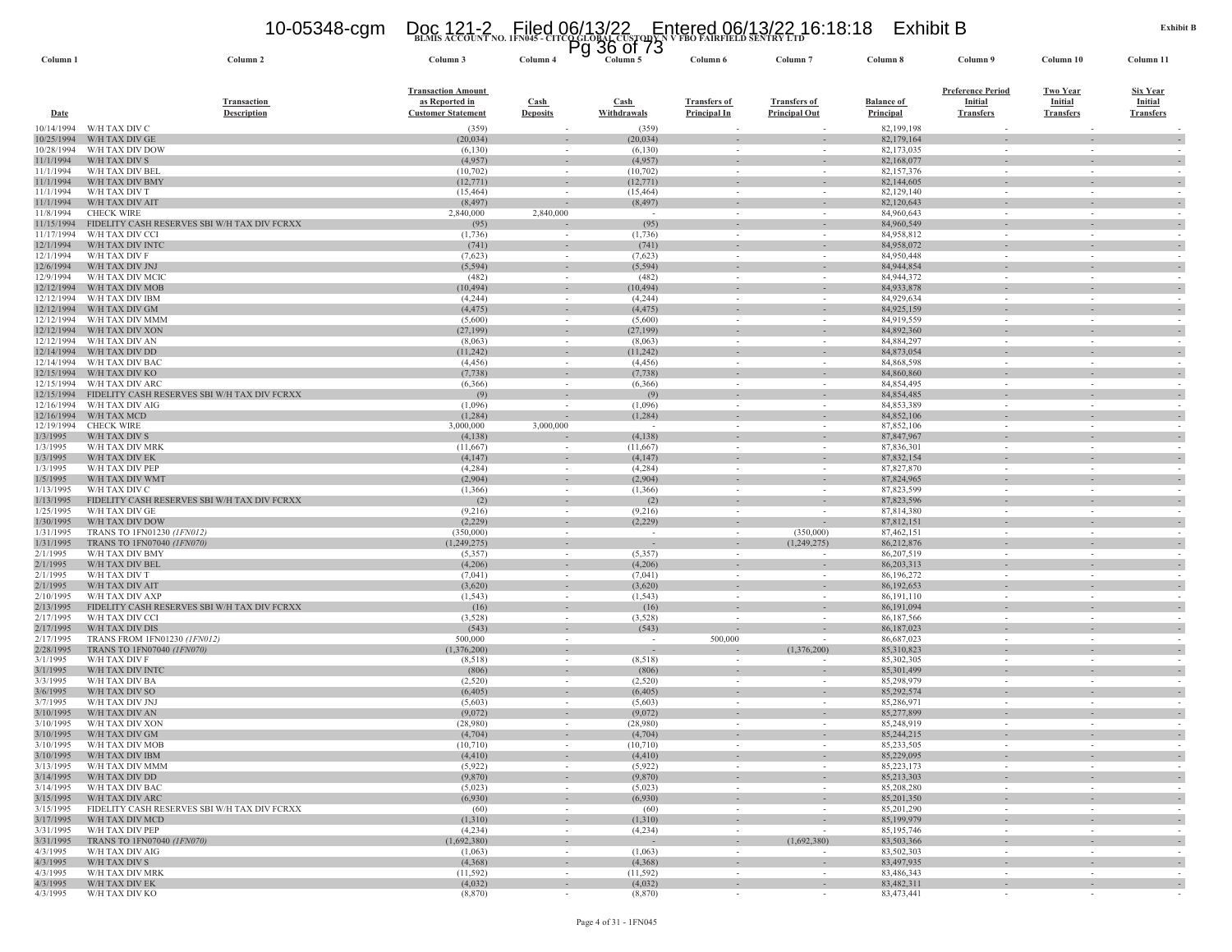# **BLMIS ACCOUNT NO. 1FN045 - CITCO GLOBAL CUSTODY N V FBO FAIRFIELD SENTRY LTD** 10-05348-cgm Doc 121-2 Filed 06/13/22 Entered 06/13/22 16:18:18 Exhibit B Pg 36 of 73

| Column 1                 | Column 2                                                        | Column 3                   | Column 4                 | Column 5                                             | Column 6                                             | Column <sub>7</sub>                | Column 8                   | Column 9                 | Column 10                                            | Column 11                                            |
|--------------------------|-----------------------------------------------------------------|----------------------------|--------------------------|------------------------------------------------------|------------------------------------------------------|------------------------------------|----------------------------|--------------------------|------------------------------------------------------|------------------------------------------------------|
|                          |                                                                 | <b>Transaction Amount</b>  |                          |                                                      |                                                      |                                    |                            | <b>Preference Period</b> | <b>Two Year</b>                                      | <b>Six Year</b>                                      |
|                          | <b>Transaction</b>                                              | as Reported in             | <b>Cash</b>              | <b>Cash</b>                                          | <b>Transfers of</b>                                  | <b>Transfers of</b>                | <b>Balance of</b>          | Initial                  | Initial                                              | <b>Initial</b>                                       |
| Date                     | <b>Description</b>                                              | <b>Customer Statement</b>  | <b>Deposits</b>          | Withdrawals                                          | <b>Principal In</b>                                  | <b>Principal Out</b>               | Principal                  | <b>Transfers</b>         | <b>Transfers</b>                                     | <b>Transfers</b>                                     |
| 10/14/1994               | W/H TAX DIV C                                                   | (359)                      |                          | (359)                                                |                                                      |                                    | 82,199,198                 |                          |                                                      |                                                      |
| 10/25/1994               | W/H TAX DIV GE                                                  | (20, 034)                  |                          | (20, 034)                                            |                                                      |                                    | 82,179,164                 |                          | $\overline{\phantom{a}}$                             |                                                      |
| 10/28/1994               | W/H TAX DIV DOW                                                 | (6,130)                    | $\sim$                   | (6,130)                                              | $\sim$                                               | $\sim$                             | 82,173,035                 | $\sim$                   | $\sim$                                               |                                                      |
| 11/1/1994                | W/H TAX DIV S                                                   | (4,957)                    |                          | (4,957)                                              |                                                      |                                    | 82,168,077                 |                          |                                                      |                                                      |
| 11/1/1994<br>11/1/1994   | W/H TAX DIV BEL<br>W/H TAX DIV BMY                              | (10,702)                   | $\sim$<br>$\sim$         | (10,702)                                             | $\sim$<br>$\sim$                                     | $\sim$<br>$\sim$                   | 82,157,376                 | $\sim$<br>$\sim$         | $\sim$                                               |                                                      |
| 11/1/1994                | W/H TAX DIV T                                                   | (12, 771)<br>(15, 464)     | $\sim$                   | (12,771)<br>(15, 464)                                | $\sim$                                               |                                    | 82,144,605<br>82,129,140   | $\sim$                   | $\sim$<br>$\sim$                                     | $\sim$                                               |
| 11/1/1994                | W/H TAX DIV AIT                                                 | (8, 497)                   |                          | (8, 497)                                             | $\overline{\phantom{a}}$                             |                                    | 82,120,643                 |                          | $\sim$                                               | $\sim$                                               |
| 11/8/1994                | <b>CHECK WIRE</b>                                               | 2,840,000                  | 2,840,000                | $\sim$                                               | $\sim$                                               | $\sim$                             | 84,960,643                 | $\sim$                   | $\sim$                                               | $\overline{\phantom{a}}$                             |
| 11/15/1994               | FIDELITY CASH RESERVES SBI W/H TAX DIV FCRXX                    | (95)                       |                          | (95)                                                 | $\sim$                                               | $\sim$                             | 84,960,549                 | $\sim$                   | $\sim$                                               | $\sim$                                               |
| 11/17/1994               | W/H TAX DIV CCI                                                 | (1,736)                    | $\sim$                   | (1,736)                                              | $\overline{\phantom{a}}$                             |                                    | 84,958,812                 | $\overline{\phantom{a}}$ | $\overline{\phantom{a}}$                             |                                                      |
| 12/1/1994<br>12/1/1994   | W/H TAX DIV INTC<br>W/H TAX DIV F                               | (741)<br>(7,623)           | $\sim$                   | (741)<br>(7,623)                                     | $\overline{\phantom{a}}$<br>$\overline{\phantom{a}}$ | $\sim$                             | 84,958,072<br>84,950,448   |                          | $\overline{\phantom{a}}$<br>$\overline{\phantom{a}}$ | $\overline{\phantom{a}}$                             |
| 12/6/1994                | W/H TAX DIV JNJ                                                 | (5, 594)                   | $\sim$                   | (5, 594)                                             | $\sim$                                               |                                    | 84,944,854                 | $\overline{\phantom{a}}$ | $\overline{\phantom{a}}$                             | $\sim$                                               |
| 12/9/1994                | W/H TAX DIV MCIC                                                | (482)                      | $\sim$                   | (482)                                                | $\sim$                                               | $\sim$                             | 84,944,372                 |                          | $\sim$                                               |                                                      |
| 12/12/1994               | W/H TAX DIV MOB                                                 | (10, 494)                  | $\sim$                   | (10, 494)                                            | $\overline{\phantom{a}}$                             | $\sim$                             | 84,933,878                 | $\overline{\phantom{a}}$ | $\overline{\phantom{a}}$                             |                                                      |
| 12/12/1994               | W/H TAX DIV IBM                                                 | (4,244)                    | $\sim$                   | (4,244)                                              | $\sim$                                               | $\sim$                             | 84,929,634                 | $\sim$                   | $\sim$                                               |                                                      |
| 12/12/1994               | W/H TAX DIV GM                                                  | (4, 475)                   |                          | (4, 475)                                             |                                                      |                                    | 84,925,159                 |                          |                                                      | $\overline{\phantom{a}}$                             |
| 12/12/1994<br>12/12/1994 | W/H TAX DIV MMM<br>W/H TAX DIV XON                              | (5,600)<br>(27, 199)       | $\sim$<br>$\sim$         | (5,600)<br>(27, 199)                                 | $\sim$<br>$\overline{\phantom{a}}$                   | $\sim$                             | 84,919,559<br>84,892,360   | $\sim$                   | $\sim$<br>$\overline{\phantom{a}}$                   | $\sim$<br>$\sim$                                     |
| 12/12/1994               | W/H TAX DIV AN                                                  | (8,063)                    | $\sim$                   | (8,063)                                              | $\sim$                                               | $\sim$                             | 84,884,297                 |                          | $\sim$                                               |                                                      |
| 12/14/1994               | W/H TAX DIV DD                                                  | (11, 242)                  |                          | (11,242)                                             | ٠                                                    |                                    | 84,873,054                 |                          |                                                      | $\sim$                                               |
| 12/14/1994               | W/H TAX DIV BAC                                                 | (4, 456)                   | $\sim$                   | (4, 456)                                             | $\sim$                                               | $\sim$                             | 84,868,598                 | $\sim$                   | $\sim$                                               | $\overline{\phantom{a}}$                             |
| 12/15/1994               | W/H TAX DIV KO                                                  | (7, 738)                   | $\sim$                   | (7, 738)                                             | $\sim$                                               | $\sim$                             | 84,860,860                 | $\sim$                   | $\sim$                                               | $\sim$                                               |
| 12/15/1994               | W/H TAX DIV ARC                                                 | (6,366)                    | $\sim$                   | (6,366)                                              | $\sim$                                               |                                    | 84,854,495                 | $\sim$                   | $\sim$                                               |                                                      |
| 12/15/1994<br>12/16/1994 | FIDELITY CASH RESERVES SBI W/H TAX DIV FCRXX<br>W/H TAX DIV AIG | (9)<br>(1,096)             |                          | (9)<br>(1,096)                                       | $\sim$                                               | $\sim$                             | 84,854,485<br>84,853,389   | $\sim$                   | $\sim$<br>$\overline{\phantom{a}}$                   | $\overline{\phantom{a}}$                             |
| 12/16/1994               | W/H TAX MCD                                                     | (1,284)                    | $\sim$                   | (1,284)                                              | $\sim$                                               | $\sim$                             | 84,852,106                 | $\omega$                 | $\sim$                                               | $\sim$                                               |
| 12/19/1994               | <b>CHECK WIRE</b>                                               | 3,000,000                  | 3,000,000                | $\overline{\phantom{a}}$                             |                                                      |                                    | 87,852,106                 |                          | $\overline{\phantom{a}}$                             |                                                      |
| 1/3/1995                 | W/H TAX DIV S                                                   | (4,138)                    |                          | (4,138)                                              | $\overline{\phantom{a}}$                             | $\sim$                             | 87,847,967                 |                          | $\overline{\phantom{a}}$                             | $\overline{\phantom{a}}$                             |
| 1/3/1995                 | W/H TAX DIV MRK                                                 | (11,667)                   |                          | (11,667)                                             | $\sim$                                               | $\sim$                             | 87,836,301                 |                          | $\sim$                                               |                                                      |
| 1/3/1995<br>1/3/1995     | W/H TAX DIV EK<br>W/H TAX DIV PEP                               | (4,147)<br>(4,284)         | $\sim$                   | (4, 147)<br>(4,284)                                  | $\overline{\phantom{a}}$<br>$\sim$                   |                                    | 87,832,154<br>87,827,870   | $\sim$                   | $\overline{\phantom{a}}$<br>$\sim$                   |                                                      |
| 1/5/1995                 | W/H TAX DIV WMT                                                 | (2,904)                    | $\sim$<br>$\sim$         | (2,904)                                              | $\sim$                                               | $\sim$<br>$\sim$                   | 87,824,965                 | $\sim$                   | $\sim$                                               | $\overline{\phantom{a}}$                             |
| 1/13/1995                | W/H TAX DIV C                                                   | (1,366)                    | $\sim$                   | (1,366)                                              | $\sim$                                               | $\sim$                             | 87,823,599                 |                          | $\sim$                                               |                                                      |
| 1/13/1995                | FIDELITY CASH RESERVES SBI W/H TAX DIV FCRXX                    | (2)                        |                          | (2)                                                  | $\blacksquare$                                       |                                    | 87,823,596                 |                          |                                                      |                                                      |
| 1/25/1995                | W/H TAX DIV GE                                                  | (9,216)                    | $\sim$                   | (9,216)                                              | $\sim$                                               | $\sim$                             | 87,814,380                 | $\sim$                   | $\sim$                                               | $\sim$                                               |
| 1/30/1995                | W/H TAX DIV DOW                                                 | (2,229)                    | $\sim$                   | (2, 229)                                             | $\overline{\phantom{a}}$                             |                                    | 87,812,151                 |                          | $\overline{\phantom{a}}$                             |                                                      |
| 1/31/1995<br>1/31/1995   | TRANS TO 1FN01230 (1FN012)<br>TRANS TO 1FN07040 (1FN070)        | (350,000)<br>(1, 249, 275) | $\sim$                   | $\overline{\phantom{a}}$<br>$\overline{\phantom{a}}$ | $\sim$<br>$\overline{\phantom{a}}$                   | (350,000)<br>(1,249,275)           | 87,462,151<br>86,212,876   | $\sim$                   | $\sim$                                               |                                                      |
| 2/1/1995                 | W/H TAX DIV BMY                                                 | (5,357)                    | $\sim$                   | (5, 357)                                             | $\sim$                                               |                                    | 86,207,519                 | $\sim$                   | $\sim$                                               | $\sim$                                               |
| 2/1/1995                 | W/H TAX DIV BEL                                                 | (4,206)                    | ۰                        | (4,206)                                              | $\overline{\phantom{a}}$                             | $\sim$                             | 86,203,313                 | $\sim$                   | $\sim$                                               | $\sim$                                               |
| 2/1/1995                 | W/H TAX DIV T                                                   | (7,041)                    |                          | (7,041)                                              |                                                      |                                    | 86,196,272                 |                          |                                                      |                                                      |
| 2/1/1995                 | W/H TAX DIV AIT                                                 | (3,620)                    | $\sim$                   | (3,620)                                              | $\overline{\phantom{a}}$                             | $\sim$                             | 86,192,653                 | $\sim$                   | $\overline{\phantom{a}}$                             | $\overline{\phantom{a}}$                             |
| 2/10/1995<br>2/13/1995   | W/H TAX DIV AXP                                                 | (1, 543)                   | $\sim$<br>$\sim$         | (1, 543)                                             | $\overline{\phantom{a}}$<br>$\sim$                   | $\sim$                             | 86, 191, 110               | $\sim$                   | $\overline{\phantom{a}}$<br>$\sim$                   | $\overline{\phantom{a}}$                             |
| 2/17/1995                | FIDELITY CASH RESERVES SBI W/H TAX DIV FCRXX<br>W/H TAX DIV CCI | (16)<br>(3,528)            | $\sim$                   | (16)<br>(3,528)                                      | $\sim$                                               |                                    | 86,191,094<br>86,187,566   | $\sim$                   | $\sim$                                               | $\sim$                                               |
| 2/17/1995                | W/H TAX DIV DIS                                                 | (543)                      | $\overline{\phantom{a}}$ | (543)                                                | $\overline{\phantom{a}}$                             | $\overline{\phantom{a}}$           | 86,187,023                 | $\overline{\phantom{a}}$ | $\overline{\phantom{a}}$                             | $\overline{\phantom{a}}$                             |
| 2/17/1995                | TRANS FROM 1FN01230 (1FN012)                                    | 500,000                    | $\sim$                   | $\overline{\phantom{a}}$                             | 500,000                                              |                                    | 86,687,023                 |                          | $\sim$                                               |                                                      |
| 2/28/1995                | TRANS TO 1FN07040 (1FN070)                                      | (1,376,200)                | $\sim$                   | $\overline{\phantom{a}}$                             |                                                      | (1,376,200)                        | 85,310,823                 | $\sim$                   | $\sim$                                               | $\overline{\phantom{a}}$                             |
| 3/1/1995                 | W/H TAX DIV F                                                   | (8,518)                    | $\sim$                   | (8,518)                                              | $\sim$                                               | $\sim$                             | 85,302,305                 | $\sim$                   | $\sim$                                               | $\sim$                                               |
| 3/1/1995<br>3/3/1995     | W/H TAX DIV INTO<br>W/H TAX DIV BA                              | (806)<br>(2,520)           | $\sim$<br>$\sim$         | (806)<br>(2,520)                                     | $\sim$                                               | $\sim$                             | 85,301,499<br>85,298,979   | $\sim$                   | $\overline{\phantom{a}}$<br>$\sim$                   |                                                      |
| 3/6/1995                 | W/H TAX DIV SO                                                  | (6,405)                    |                          | (6, 405)                                             |                                                      |                                    | 85,292,574                 |                          |                                                      |                                                      |
| 3/7/1995                 | W/H TAX DIV JNJ                                                 | (5,603)                    | $\sim$                   | (5,603)                                              | $\sim$                                               | $\sim$                             | 85,286,971                 | $\sim$                   | $\sim$                                               | $\sim$                                               |
| 3/10/1995                | W/H TAX DIV AN                                                  | (9,072)                    | $\sim$                   | (9,072)                                              | $\sim$                                               | $\sim$                             | 85,277,899                 | $\sim$                   | $\sim$                                               | $\sim$                                               |
| 3/10/1995                | W/H TAX DIV XON                                                 | (28,980)                   |                          | (28,980)                                             |                                                      |                                    | 85,248,919                 |                          | $\sim$                                               |                                                      |
| 3/10/1995<br>3/10/1995   | W/H TAX DIV GM                                                  | (4,704)                    |                          | (4,704)                                              |                                                      |                                    | 85,244,215<br>85,233,505   |                          |                                                      |                                                      |
| 3/10/1995                | W/H TAX DIV MOB<br>W/H TAX DIV IBM                              | (10,710)<br>(4, 410)       |                          | (10,710)<br>(4, 410)                                 | $\sim$                                               |                                    | 85,229,095                 |                          | $\sim$                                               |                                                      |
| 3/13/1995                | W/H TAX DIV MMM                                                 | (5,922)                    | $\sim$                   | (5,922)                                              | $\sim$                                               | $\sim$                             | 85,223,173                 | $\sim$                   | $\sim$                                               |                                                      |
| 3/14/1995                | W/H TAX DIV DD                                                  | (9,870)                    | $\sim$                   | (9, 870)                                             | $\sim$                                               | $\sim$                             | 85,213,303                 | $\overline{\phantom{a}}$ | $\overline{\phantom{a}}$                             | $\overline{\phantom{a}}$                             |
| 3/14/1995                | W/H TAX DIV BAC                                                 | (5,023)                    | $\sim$                   | (5,023)                                              | $\overline{\phantom{a}}$                             | $\sim$                             | 85,208,280                 | $\sim$                   | $\sim$                                               | $\overline{\phantom{a}}$                             |
| 3/15/1995                | W/H TAX DIV ARC                                                 | (6,930)                    | $\sim$                   | (6,930)                                              | $\omega$                                             | $\sim$                             | 85,201,350                 | $\sim$                   | $\sim$                                               | $\sim$                                               |
| 3/15/1995                | FIDELITY CASH RESERVES SBI W/H TAX DIV FCRXX<br>W/H TAX DIV MCD | (60)<br>(1,310)            | $\sim$                   | (60)                                                 | $\overline{\phantom{a}}$                             | $\overline{\phantom{a}}$           | 85,201,290                 | $\sim$                   | $\sim$                                               | $\sim$                                               |
| 3/17/1995<br>3/31/1995   | W/H TAX DIV PEP                                                 | (4,234)                    | $\sim$<br>$\sim$         | (1,310)<br>(4,234)                                   | $\sim$<br>$\sim$                                     | $\overline{\phantom{a}}$<br>$\sim$ | 85,199,979<br>85, 195, 746 | $\sim$<br>$\sim$         | $\sim$<br>$\sim$                                     | $\overline{\phantom{a}}$<br>$\overline{\phantom{a}}$ |
| 3/31/1995                | TRANS TO 1FN07040 (1FN070)                                      | (1,692,380)                | $\sim$                   | $\sim$                                               | $\blacksquare$                                       | (1,692,380)                        | 83,503,366                 |                          | $\sim$                                               | $\overline{\phantom{a}}$                             |
| 4/3/1995                 | W/H TAX DIV AIG                                                 | (1,063)                    | $\sim$                   | (1,063)                                              | $\sim$                                               | $\sim$                             | 83,502,303                 | $\sim$                   | $\sim$                                               | $\sim$                                               |
| 4/3/1995                 | W/H TAX DIV S                                                   | (4,368)                    | $\sim$                   | (4,368)                                              | $\sim$                                               | $\sim$                             | 83,497,935                 | $\sim$                   | $\sim$                                               | $\overline{\phantom{a}}$                             |
| 4/3/1995                 | W/H TAX DIV MRK                                                 | (11, 592)                  | $\sim$                   | (11, 592)                                            | $\sim$                                               | $\sim$                             | 83,486,343                 | $\sim$                   | $\sim$                                               | $\sim$                                               |
| 4/3/1995<br>4/3/1995     | W/H TAX DIV EK<br>W/H TAX DIV KO                                | (4,032)<br>(8, 870)        | $\sim$<br>$\sim$         | (4,032)<br>(8, 870)                                  | $\overline{\phantom{a}}$<br>$\sim$                   | $\sim$<br>$\sim$                   | 83,482,311<br>83,473,441   | $\sim$<br>$\sim$         | $\sim$<br>$\sim$                                     | $\sim$                                               |
|                          |                                                                 |                            |                          |                                                      |                                                      |                                    |                            |                          |                                                      |                                                      |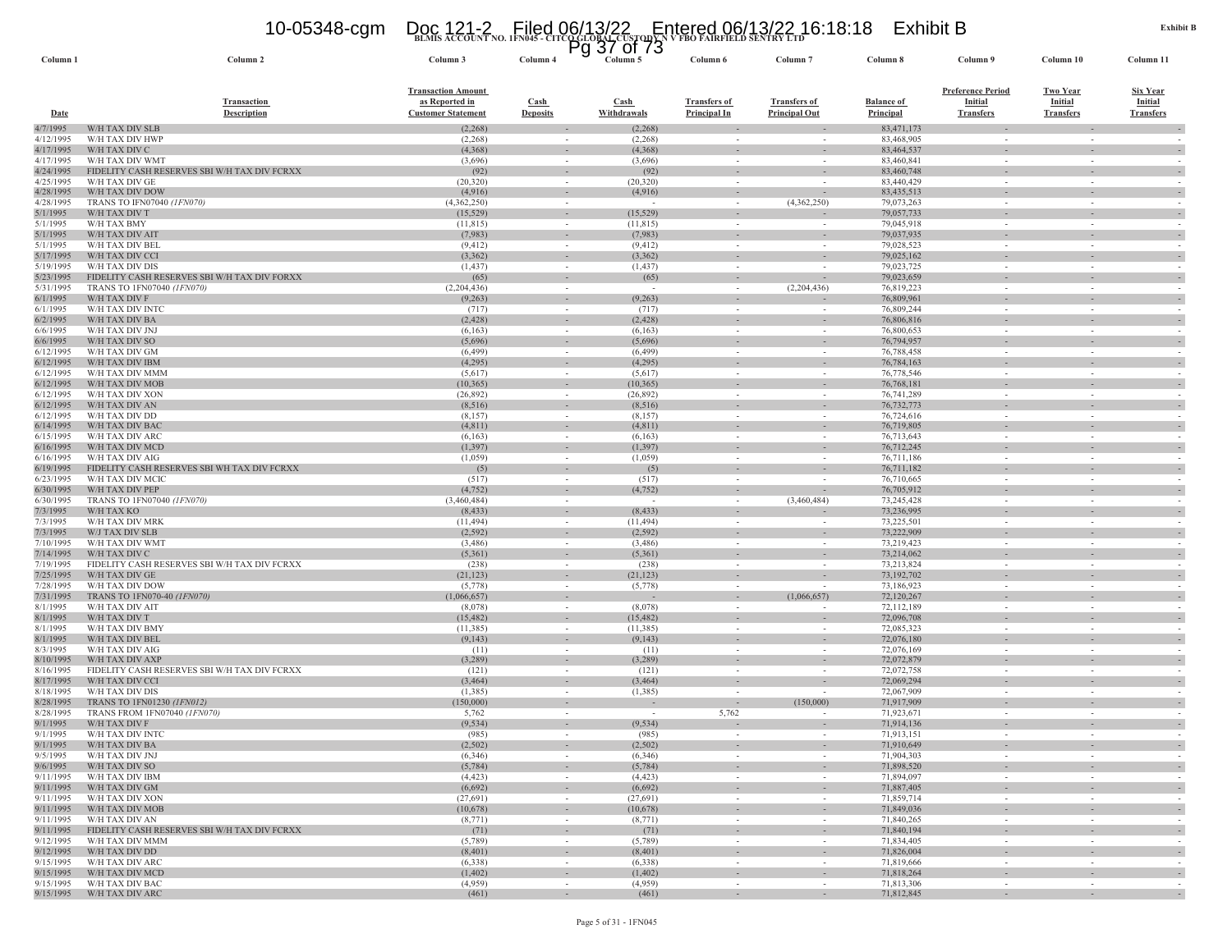### **BLMIS ACCOUNT NO. 1FN045 - CITCO GLOBAL CUSTODY N V FBO FAIRFIELD SENTRY LTD** 10-05348-cgm Doc 121-2 Filed 06/13/22 Entered 06/13/22 16:18:18 Exhibit B Pg 37 of 73

| Column 1               | Column 2                                                        | Column 3                                                                 | Column 4                       | Column 5              | Column 6                                   | Column <sub>7</sub>                                  | Column 8                       | Column 9                                                       | Column 10                                      | Column 11                                             |
|------------------------|-----------------------------------------------------------------|--------------------------------------------------------------------------|--------------------------------|-----------------------|--------------------------------------------|------------------------------------------------------|--------------------------------|----------------------------------------------------------------|------------------------------------------------|-------------------------------------------------------|
| Date                   | <b>Transaction</b><br><b>Description</b>                        | <b>Transaction Amount</b><br>as Reported in<br><b>Customer Statement</b> | <b>Cash</b><br><b>Deposits</b> | Cash<br>Withdrawals   | <b>Transfers of</b><br><b>Principal In</b> | <b>Transfers of</b><br><b>Principal Out</b>          | <b>Balance of</b><br>Principal | <b>Preference Period</b><br><b>Initial</b><br><b>Transfers</b> | <b>Two Year</b><br>Initial<br><b>Transfers</b> | <b>Six Year</b><br><b>Initial</b><br><b>Transfers</b> |
| 4/7/1995               | W/H TAX DIV SLB                                                 | (2,268)                                                                  |                                | (2,268)               |                                            |                                                      | 83,471,173                     |                                                                |                                                |                                                       |
| 4/12/1995              | W/H TAX DIV HWP                                                 | (2,268)                                                                  | $\sim$                         | (2,268)               | $\sim$                                     |                                                      | 83,468,905                     | $\sim$                                                         | $\sim$                                         |                                                       |
| 4/17/1995              | W/H TAX DIV C                                                   | (4,368)                                                                  |                                | (4,368)               |                                            |                                                      | 83,464,537                     |                                                                |                                                |                                                       |
| 4/17/1995<br>4/24/1995 | W/H TAX DIV WMT<br>FIDELITY CASH RESERVES SBI W/H TAX DIV FCRXX | (3,696)<br>(92)                                                          | $\sim$<br>$\sim$               | (3,696)<br>(92)       | $\sim$<br>$\sim$                           | $\sim$<br>$\sim$                                     | 83,460,841<br>83,460,748       | $\sim$                                                         | $\sim$<br>$\sim$                               |                                                       |
| 4/25/1995              | W/H TAX DIV GE                                                  | (20, 320)                                                                |                                | (20, 320)             | $\sim$                                     |                                                      | 83,440,429                     | $\sim$                                                         | $\sim$                                         |                                                       |
| 4/28/1995              | W/H TAX DIV DOW                                                 | (4,916)                                                                  |                                | (4,916)               | $\overline{\phantom{a}}$                   | $\overline{\phantom{a}}$                             | 83,435,513                     |                                                                | $\sim$                                         |                                                       |
| 4/28/1995              | TRANS TO IFN07040 (1FN070)                                      | (4,362,250)                                                              | $\sim$                         | $\sim$                | $\sim$                                     | (4,362,250)                                          | 79,073,263                     | $\sim$                                                         | $\sim$                                         | $\sim$                                                |
| 5/1/1995               | W/H TAX DIV T                                                   | (15, 529)                                                                | $\sim$                         | (15, 529)             | $\sim$                                     |                                                      | 79,057,733                     | $\sim$                                                         | $\sim$                                         |                                                       |
| 5/1/1995<br>5/1/1995   | W/H TAX BMY<br>W/H TAX DIV AIT                                  | (11, 815)<br>(7,983)                                                     |                                | (11, 815)<br>(7,983)  | $\overline{\phantom{a}}$<br>$\sim$         | $\overline{\phantom{a}}$<br>$\overline{\phantom{a}}$ | 79,045,918<br>79,037,935       | $\sim$                                                         | $\overline{\phantom{a}}$                       |                                                       |
| 5/1/1995               | W/H TAX DIV BEL                                                 | (9, 412)                                                                 | $\sim$                         | (9, 412)              | $\overline{\phantom{a}}$                   |                                                      | 79,028,523                     |                                                                | $\overline{\phantom{a}}$                       |                                                       |
| 5/17/1995              | W/H TAX DIV CCI                                                 | (3,362)                                                                  | $\sim$                         | (3,362)               | $\sim$                                     | $\sim$                                               | 79,025,162                     | $\sim$                                                         | $\sim$                                         |                                                       |
| 5/19/1995              | W/H TAX DIV DIS                                                 | (1, 437)                                                                 | $\sim$                         | (1, 437)              | $\sim$                                     | $\sim$                                               | 79,023,725                     | $\sim$                                                         | $\sim$                                         |                                                       |
| 5/23/1995              | FIDELITY CASH RESERVES SBI W/H TAX DIV FORXX                    | (65)                                                                     | $\sim$                         | (65)                  | $\overline{\phantom{a}}$                   |                                                      | 79,023,659                     |                                                                |                                                |                                                       |
| 5/31/1995              | TRANS TO 1FN07040 (1FN070)                                      | (2,204,436)                                                              | $\sim$                         | $\sim$                | $\sim$                                     | (2,204,436)                                          | 76,819,223                     | $\sim$                                                         | $\sim$                                         |                                                       |
| 6/1/1995               | W/H TAX DIV F<br>W/H TAX DIV INTC                               | (9, 263)                                                                 |                                | (9, 263)<br>(717)     | $\sim$                                     |                                                      | 76,809,961<br>76,809,244       |                                                                | ÷.                                             |                                                       |
| 6/1/1995<br>6/2/1995   | W/H TAX DIV BA                                                  | (717)<br>(2, 428)                                                        | $\sim$<br>$\sim$               | (2, 428)              | $\sim$<br>$\sim$                           | $\sim$                                               | 76,806,816                     | $\sim$                                                         | $\sim$                                         |                                                       |
| 6/6/1995               | W/H TAX DIV JNJ                                                 | (6,163)                                                                  | $\sim$                         | (6,163)               | $\sim$                                     | $\sim$                                               | 76,800,653                     | $\sim$                                                         | $\sim$                                         |                                                       |
| 6/6/1995               | W/H TAX DIV SO                                                  | (5,696)                                                                  |                                | (5,696)               |                                            |                                                      | 76,794,957                     |                                                                |                                                |                                                       |
| 6/12/1995              | W/H TAX DIV GM                                                  | (6, 499)                                                                 | $\sim$                         | (6, 499)              | $\sim$                                     | $\sim$                                               | 76,788,458                     | $\sim$                                                         | $\sim$                                         | $\sim$                                                |
| 6/12/1995              | W/H TAX DIV IBM                                                 | (4,295)                                                                  |                                | (4,295)               | $\sim$                                     | $\sim$                                               | 76,784,163                     |                                                                |                                                |                                                       |
| 6/12/1995<br>6/12/1995 | W/H TAX DIV MMM<br>W/H TAX DIV MOB                              | (5,617)<br>(10, 365)                                                     | $\sim$                         | (5,617)<br>(10, 365)  | $\sim$                                     | $\sim$                                               | 76,778,546<br>76, 768, 181     | $\sim$                                                         | $\sim$                                         |                                                       |
| 6/12/1995              | W/H TAX DIV XON                                                 | (26, 892)                                                                | $\sim$                         | (26,892)              | $\overline{\phantom{a}}$                   | $\sim$                                               | 76,741,289                     | $\sim$                                                         | $\overline{\phantom{a}}$                       |                                                       |
| 6/12/1995              | W/H TAX DIV AN                                                  | (8,516)                                                                  | $\sim$                         | (8,516)               | $\sim$                                     | $\sim$                                               | 76, 732, 773                   | $\sim$                                                         | $\sim$                                         |                                                       |
| 6/12/1995              | W/H TAX DIV DD                                                  | (8,157)                                                                  |                                | (8,157)               |                                            | $\overline{\phantom{a}}$                             | 76,724,616                     |                                                                |                                                |                                                       |
| 6/14/1995              | W/H TAX DIV BAC                                                 | (4,811)                                                                  | $\sim$                         | (4, 811)              | $\sim$                                     | $\overline{\phantom{a}}$                             | 76,719,805                     |                                                                | $\sim$                                         |                                                       |
| 6/15/1995              | W/H TAX DIV ARC                                                 | (6,163)                                                                  | $\sim$                         | (6,163)               | $\sim$                                     | $\sim$                                               | 76,713,643                     | $\sim$                                                         | $\sim$                                         |                                                       |
| 6/16/1995<br>6/16/1995 | W/H TAX DIV MCD<br>W/H TAX DIV AIG                              | (1, 397)<br>(1,059)                                                      | $\sim$                         | (1, 397)<br>(1,059)   | $\sim$                                     | $\overline{\phantom{a}}$<br>$\sim$                   | 76,712,245<br>76,711,186       | $\sim$                                                         | $\sim$<br>$\sim$                               |                                                       |
| 6/19/1995              | FIDELITY CASH RESERVES SBI WH TAX DIV FCRXX                     | (5)                                                                      |                                | (5)                   | $\overline{\phantom{a}}$                   |                                                      | 76,711,182                     |                                                                |                                                |                                                       |
| 6/23/1995              | W/H TAX DIV MCIC                                                | (517)                                                                    |                                | (517)                 | $\sim$                                     |                                                      | 76,710,665                     | $\sim$                                                         | $\sim$                                         |                                                       |
| 6/30/1995              | W/H TAX DIV PEP                                                 | (4, 752)                                                                 |                                | (4, 752)              |                                            | $\overline{\phantom{a}}$                             | 76,705,912                     |                                                                |                                                |                                                       |
| 6/30/1995              | TRANS TO 1FN07040 (1FN070)                                      | (3,460,484)                                                              | $\sim$                         | $\sim$                | $\sim$                                     | (3,460,484)                                          | 73,245,428                     | $\sim$                                                         | $\sim$                                         | $\sim$                                                |
| 7/3/1995               | W/H TAX KO                                                      | (8, 433)                                                                 |                                | (8, 433)              | $\sim$                                     |                                                      | 73,236,995                     |                                                                |                                                |                                                       |
| 7/3/1995<br>7/3/1995   | W/H TAX DIV MRK<br>W/J TAX DIV SLB                              | (11, 494)<br>(2, 592)                                                    | $\sim$                         | (11, 494)<br>(2, 592) | $\sim$                                     | $\sim$                                               | 73,225,501<br>73,222,909       | $\sim$                                                         | $\sim$                                         |                                                       |
| 7/10/1995              | W/H TAX DIV WMT                                                 | (3,486)                                                                  | $\sim$                         | (3,486)               | $\sim$                                     | $\sim$                                               | 73,219,423                     | $\sim$                                                         | $\sim$                                         |                                                       |
| 7/14/1995              | W/H TAX DIV C                                                   | (5,361)                                                                  | $\sim$                         | (5,361)               | $\sim$                                     | $\overline{\phantom{a}}$                             | 73,214,062                     | $\sim$                                                         | $\sim$                                         |                                                       |
| 7/19/1995              | FIDELITY CASH RESERVES SBI W/H TAX DIV FCRXX                    | (238)                                                                    |                                | (238)                 | $\sim$                                     |                                                      | 73,213,824                     |                                                                | $\sim$                                         |                                                       |
| 7/25/1995              | W/H TAX DIV GE                                                  | (21, 123)                                                                | $\sim$                         | (21, 123)             | $\sim$                                     | $\overline{\phantom{a}}$                             | 73,192,702                     |                                                                | ٠                                              |                                                       |
| 7/28/1995              | W/H TAX DIV DOW<br>TRANS TO 1FN070-40 (1FN070)                  | (5,778)                                                                  | $\sim$<br>$\sim$               | (5,778)               | $\overline{\phantom{a}}$<br>$\sim$         | ÷,<br>(1,066,657)                                    | 73,186,923<br>72,120,267       | $\sim$<br>$\sim$                                               | $\overline{\phantom{a}}$<br>$\sim$             |                                                       |
| 7/31/1995<br>8/1/1995  | W/H TAX DIV AIT                                                 | (1,066,657)<br>(8,078)                                                   |                                | (8,078)               | $\overline{\phantom{a}}$                   |                                                      | 72,112,189                     |                                                                | $\overline{\phantom{a}}$                       |                                                       |
| 8/1/1995               | W/H TAX DIV T                                                   | (15, 482)                                                                |                                | (15, 482)             |                                            |                                                      | 72,096,708                     |                                                                |                                                |                                                       |
| 8/1/1995               | W/H TAX DIV BMY                                                 | (11, 385)                                                                |                                | (11, 385)             | $\sim$                                     |                                                      | 72,085,323                     | $\sim$                                                         | $\sim$                                         |                                                       |
| 8/1/1995               | W/H TAX DIV BEL                                                 | (9,143)                                                                  |                                | (9,143)               | $\overline{\phantom{a}}$                   | $\overline{\phantom{a}}$                             | 72,076,180                     |                                                                | $\sim$                                         |                                                       |
| 8/3/1995               | W/H TAX DIV AIG                                                 | (11)                                                                     | $\sim$                         | (11)                  | $\sim$                                     | $\sim$                                               | 72,076,169                     | $\sim$                                                         | $\sim$                                         |                                                       |
| 8/10/1995              | W/H TAX DIV AXP<br>FIDELITY CASH RESERVES SBI W/H TAX DIV FCRXX | (3,289)<br>(121)                                                         | $\sim$                         | (3,289)<br>(121)      | $\sim$<br>$\sim$                           | ٠                                                    | 72,072,879                     | $\sim$                                                         | $\sim$                                         |                                                       |
| 8/16/1995<br>8/17/1995 | W/H TAX DIV CCI                                                 | (3, 464)                                                                 |                                | (3, 464)              |                                            |                                                      | 72,072,758<br>72,069,294       |                                                                |                                                |                                                       |
| 8/18/1995              | W/H TAX DIV DIS                                                 | (1,385)                                                                  | $\sim$                         | (1,385)               | $\sim$                                     | $\sim$                                               | 72,067,909                     | $\sim$                                                         | $\sim$                                         | $\sim$                                                |
| 8/28/1995              | TRANS TO 1FN01230 (1FN012)                                      | (150,000)                                                                | $\sim$                         | $\sim$                | $\sim$ $-$                                 | (150,000)                                            | 71,917,909                     | $\sim$                                                         | $\sim$                                         |                                                       |
| 8/28/1995              | TRANS FROM 1FN07040 (1FN070)                                    | 5,762                                                                    |                                |                       | 5,762                                      | $\sim$                                               | 71,923,671                     | $\sim$                                                         | $\sim$                                         |                                                       |
| 9/1/1995               | W/H TAX DIV F                                                   | (9, 534)                                                                 |                                | (9, 534)              | $\sim$                                     | $\overline{\phantom{a}}$                             | 71,914,136                     |                                                                |                                                |                                                       |
| 9/1/1995<br>9/1/1995   | W/H TAX DIV INTC<br>W/H TAX DIV BA                              | (985)<br>(2,502)                                                         | $\sim$                         | (985)<br>(2,502)      | $\sim$                                     | $\sim$<br>$\overline{\phantom{a}}$                   | 71,913,151<br>71,910,649       | $\sim$                                                         | $\sim$                                         |                                                       |
| 9/5/1995               | W/H TAX DIV JNJ                                                 | (6,346)                                                                  | $\sim$                         | (6,346)               | $\sim$                                     | $\overline{\phantom{a}}$                             | 71,904,303                     | $\sim$                                                         | $\overline{\phantom{a}}$                       |                                                       |
| 9/6/1995               | W/H TAX DIV SO                                                  | (5,784)                                                                  | $\sim$                         | (5,784)               | $\sim$                                     | $\overline{\phantom{a}}$                             | 71,898,520                     | $\sim$                                                         | $\sim$                                         | $\overline{\phantom{a}}$                              |
| 9/11/1995              | W/H TAX DIV IBM                                                 | (4, 423)                                                                 | $\sim$                         | (4, 423)              | $\overline{\phantom{a}}$                   | $\overline{\phantom{a}}$                             | 71,894,097                     | $\sim$                                                         | $\overline{\phantom{a}}$                       | $\overline{\phantom{a}}$                              |
| 9/11/1995              | W/H TAX DIV GM                                                  | (6,692)                                                                  | $\sim$                         | (6,692)               | $\sim$                                     | $\sim$                                               | 71,887,405                     | $\sim$                                                         | $\sim$                                         | $\sim$                                                |
| 9/11/1995              | W/H TAX DIV XON                                                 | (27,691)                                                                 | $\sim$                         | (27, 691)             | $\sim$                                     | $\sim$                                               | 71,859,714                     | $\sim$                                                         | $\sim$                                         | $\sim$                                                |
| 9/11/1995<br>9/11/1995 | W/H TAX DIV MOB<br>W/H TAX DIV AN                               | (10,678)<br>(8, 771)                                                     | $\sim$<br>$\sim$               | (10,678)<br>(8,771)   | $\sim$<br>$\sim$                           | $\overline{\phantom{a}}$<br>$\sim$                   | 71,849,036<br>71,840,265       | $\overline{\phantom{a}}$<br>$\sim$                             | $\overline{\phantom{a}}$<br>$\sim$             | $\overline{\phantom{a}}$<br>$\overline{\phantom{a}}$  |
| 9/11/1995              | FIDELITY CASH RESERVES SBI W/H TAX DIV FCRXX                    | (71)                                                                     |                                | (71)                  | $\overline{\phantom{a}}$                   | $\overline{\phantom{a}}$                             | 71,840,194                     | $\sim$                                                         | $\sim$                                         |                                                       |
| 9/12/1995              | W/H TAX DIV MMM                                                 | (5,789)                                                                  | $\sim$                         | (5,789)               | $\sim$                                     | $\sim$                                               | 71,834,405                     | $\sim$                                                         | $\sim$                                         | $\sim$                                                |
| 9/12/1995              | W/H TAX DIV DD                                                  | (8,401)                                                                  | $\sim$                         | (8,401)               | $\sim$                                     | $\sim$                                               | 71,826,004                     | $\sim$                                                         | $\sim$                                         | $\overline{\phantom{a}}$                              |
| 9/15/1995              | W/H TAX DIV ARC                                                 | (6,338)                                                                  | $\sim$                         | (6,338)               | $\sim$                                     | $\sim$                                               | 71,819,666                     | $\sim$                                                         | $\sim$                                         | $\sim$                                                |
| 9/15/1995              | W/H TAX DIV MCD                                                 | (1, 402)                                                                 |                                | (1, 402)              | $\sim$                                     | $\blacksquare$                                       | 71,818,264                     |                                                                | $\overline{\phantom{a}}$                       | $\overline{\phantom{a}}$                              |
| 9/15/1995              | W/H TAX DIV BAC<br>9/15/1995 W/H TAX DIV ARC                    | (4,959)<br>(461)                                                         | $\sim$<br>$\sim$               | (4,959)<br>(461)      | $\sim$<br>$\sim$                           | $\sim$<br>$\sim$                                     | 71,813,306<br>71,812,845       | $\sim$<br>$\sim$                                               | $\sim$<br>$\sim$                               | $\overline{\phantom{a}}$                              |
|                        |                                                                 |                                                                          |                                |                       |                                            |                                                      |                                |                                                                |                                                |                                                       |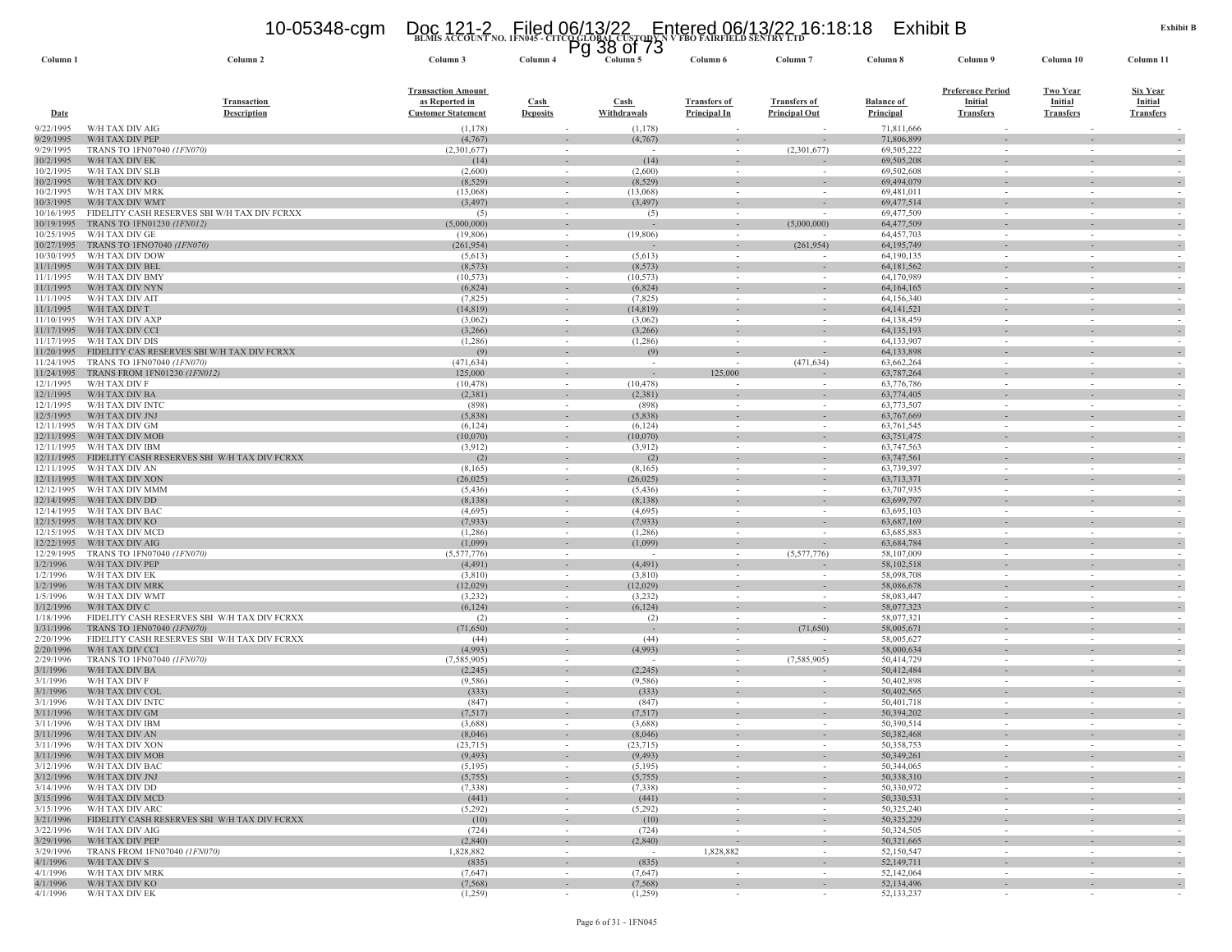## **BLMIS ACCOUNT NO. 1FN045 - CITCO GLOBAL CUSTODY N V FBO FAIRFIELD SENTRY LTD** 10-05348-cgm Doc 121-2 Filed 06/13/22 Entered 06/13/22 16:18:18 Exhibit B Pg 38 of 73

**Column 1 Column 2 Column 3 Column 4 Column 5 Column 6 Column 7 Column 8 Column 9 Column 10 Column 11**

| Date                     | <b>Transaction</b><br><b>Description</b>                        | <b>Transaction Amount</b><br>as Reported in<br><b>Customer Statement</b> | <b>Cash</b><br><b>Deposits</b> | Cash<br>Withdrawals      | <b>Transfers of</b><br><b>Principal In</b> | <b>Transfers of</b><br><b>Principal Out</b> | <b>Balance of</b><br>Principal | <b>Preference Period</b><br><b>Initial</b><br><b>Transfers</b> | <b>Two Year</b><br><b>Initial</b><br><b>Transfers</b> | <b>Six Year</b><br>Initial<br><b>Transfers</b>       |
|--------------------------|-----------------------------------------------------------------|--------------------------------------------------------------------------|--------------------------------|--------------------------|--------------------------------------------|---------------------------------------------|--------------------------------|----------------------------------------------------------------|-------------------------------------------------------|------------------------------------------------------|
| 9/22/1995                | W/H TAX DIV AIG                                                 | (1,178)                                                                  |                                | (1,178)                  |                                            |                                             | 71,811,666                     |                                                                |                                                       |                                                      |
| 9/29/1995                | W/H TAX DIV PEP                                                 | (4,767)                                                                  |                                | (4,767)                  | $\overline{\phantom{a}}$                   | $\overline{\phantom{a}}$                    | 71,806,899                     |                                                                | $\sim$                                                |                                                      |
| 9/29/1995                | TRANS TO 1FN07040 (1FN070)                                      | (2,301,677)                                                              | $\sim$                         |                          | $\sim$                                     | (2,301,677)                                 | 69,505,222                     |                                                                | $\sim$                                                | $\overline{\phantom{a}}$                             |
| 10/2/1995<br>10/2/1995   | W/H TAX DIV EK<br>W/H TAX DIV SLB                               | (14)<br>(2,600)                                                          | $\sim$<br>$\sim$               | (14)<br>(2,600)          | $\overline{\phantom{a}}$<br>$\sim$         | $\overline{\phantom{a}}$<br>$\sim$          | 69,505,208<br>69,502,608       | $\sim$                                                         | $\sim$                                                |                                                      |
| 10/2/1995                | W/H TAX DIV KO                                                  | (8, 529)                                                                 |                                | (8, 529)                 |                                            |                                             | 69,494,079                     | $\overline{\phantom{a}}$                                       |                                                       |                                                      |
| 10/2/1995                | W/H TAX DIV MRK                                                 | (13,068)                                                                 | $\sim$                         | (13,068)                 | $\sim$                                     | $\sim$                                      | 69,481,011                     | $\sim$                                                         | $\sim$                                                | $\sim$                                               |
| 10/3/1995                | W/H TAX DIV WMT                                                 | (3, 497)                                                                 | $\sim$                         | (3, 497)                 | $\sim$                                     |                                             | 69,477,514                     | $\sim$                                                         |                                                       | $\overline{\phantom{a}}$                             |
| 10/16/1995               | FIDELITY CASH RESERVES SBI W/H TAX DIV FCRXX                    | (5)                                                                      |                                | (5)                      | $\sim$                                     |                                             | 69,477,509                     |                                                                |                                                       |                                                      |
| 10/19/1995               | TRANS TO 1FN01230 (1FN012)                                      | (5,000,000)                                                              |                                |                          | $\overline{\phantom{a}}$                   | (5,000,000)                                 | 64,477,509                     |                                                                |                                                       | $\sim$                                               |
| 10/25/1995               | W/H TAX DIV GE                                                  | (19, 806)                                                                | $\sim$                         | (19,806)                 | $\sim$                                     |                                             | 64,457,703                     | $\sim$                                                         | $\sim$                                                | $\sim$                                               |
| 10/27/1995<br>10/30/1995 | TRANS TO 1FNO7040 (1FN070)<br>W/H TAX DIV DOW                   | (261, 954)<br>(5,613)                                                    | $\sim$<br>$\sim$               | (5,613)                  | $\sim$<br>$\sim$                           | (261, 954)                                  | 64, 195, 749<br>64,190,135     | $\sim$                                                         | $\sim$                                                | $\sim$                                               |
| 11/1/1995                | W/H TAX DIV BEL                                                 | (8, 573)                                                                 | $\sim$                         | (8, 573)                 | $\sim$                                     | $\overline{\phantom{a}}$                    | 64, 181, 562                   |                                                                |                                                       | $\overline{\phantom{a}}$                             |
| 11/1/1995                | W/H TAX DIV BMY                                                 | (10, 573)                                                                | $\sim$                         | (10, 573)                | $\overline{\phantom{a}}$                   | $\sim$                                      | 64,170,989                     | $\sim$                                                         | $\sim$                                                | $\overline{\phantom{a}}$                             |
| 11/1/1995                | W/H TAX DIV NYN                                                 | (6,824)                                                                  | $\sim$                         | (6,824)                  | $\sim$                                     | $\sim$                                      | 64,164,165                     | $\sim$                                                         | $\sim$                                                | $\sim$                                               |
| 11/1/1995                | W/H TAX DIV AIT                                                 | (7, 825)                                                                 |                                | (7,825)                  | $\overline{\phantom{a}}$                   |                                             | 64,156,340                     |                                                                |                                                       |                                                      |
| 11/1/1995                | W/H TAX DIV T                                                   | (14, 819)                                                                | $\sim$                         | (14, 819)                | $\sim$                                     | $\overline{\phantom{a}}$                    | 64, 141, 521                   | $\sim$                                                         |                                                       | $\overline{\phantom{a}}$                             |
| 11/10/1995               | W/H TAX DIV AXP<br>W/H TAX DIV CCI                              | (3,062)<br>(3,266)                                                       | $\sim$                         | (3,062)<br>(3,266)       | $\sim$                                     | $\sim$<br>$\overline{\phantom{a}}$          | 64,138,459                     | $\sim$                                                         | $\sim$                                                |                                                      |
| 11/17/1995<br>11/17/1995 | W/H TAX DIV DIS                                                 | (1,286)                                                                  | $\sim$                         | (1,286)                  | $\overline{\phantom{a}}$<br>$\sim$         | $\sim$                                      | 64, 135, 193<br>64,133,907     | $\sim$                                                         | $\sim$                                                | $\sim$                                               |
| 11/20/1995               | FIDELITY CAS RESERVES SBI W/H TAX DIV FCRXX                     | (9)                                                                      | $\sim$                         | (9)                      | $\sim$                                     |                                             | 64,133,898                     | $\sim$                                                         |                                                       | $\overline{\phantom{a}}$                             |
| 11/24/1995               | TRANS TO 1FN07040 (1FN070)                                      | (471, 634)                                                               | $\sim$                         |                          |                                            | (471, 634)                                  | 63,662,264                     |                                                                | $\sim$                                                |                                                      |
| 11/24/1995               | TRANS FROM 1FN01230 (1FN012)                                    | 125,000                                                                  |                                | $\overline{\phantom{a}}$ | 125,000                                    |                                             | 63,787,264                     |                                                                |                                                       | $\sim$                                               |
| 12/1/1995                | W/H TAX DIV F                                                   | (10, 478)                                                                | $\sim$                         | (10, 478)                | $\sim$                                     | $\overline{\phantom{a}}$                    | 63,776,786                     | $\sim$                                                         | $\sim$                                                | $\sim$                                               |
| 12/1/1995                | W/H TAX DIV BA                                                  | (2,381)                                                                  | $\sim$                         | (2,381)                  | $\sim$                                     | $\overline{\phantom{a}}$                    | 63,774,405                     | $\sim$                                                         | $\sim$                                                | $\overline{\phantom{a}}$                             |
| 12/1/1995<br>12/5/1995   | W/H TAX DIV INTC<br>W/H TAX DIV JNJ                             | (898)<br>(5,838)                                                         | $\sim$                         | (898)<br>(5,838)         | $\sim$                                     | $\sim$<br>$\overline{\phantom{a}}$          | 63,773,507<br>63,767,669       | $\sim$                                                         | $\sim$                                                | $\sim$                                               |
| 12/11/1995               | W/H TAX DIV GM                                                  | (6,124)                                                                  | $\sim$                         | (6, 124)                 | $\overline{\phantom{a}}$<br>$\sim$         | $\sim$                                      | 63,761,545                     | $\sim$                                                         | $\sim$                                                | $\sim$                                               |
| 12/11/1995               | W/H TAX DIV MOB                                                 | (10,070)                                                                 | $\sim$                         | (10,070)                 | $\sim$                                     | $\sim$                                      | 63,751,475                     | $\sim$                                                         | $\sim$                                                | $\overline{\phantom{a}}$                             |
| 12/11/1995               | W/H TAX DIV IBM                                                 | (3,912)                                                                  |                                | (3,912)                  |                                            | $\sim$                                      | 63,747,563                     |                                                                |                                                       |                                                      |
| 12/11/1995               | FIDELITY CASH RESERVES SBI W/H TAX DIV FCRXX                    | (2)                                                                      | $\sim$                         | (2)                      | $\sim$                                     | $\overline{\phantom{a}}$                    | 63,747,561                     | $\sim$                                                         | $\sim$                                                | $\sim$                                               |
| 12/11/1995               | W/H TAX DIV AN                                                  | (8,165)                                                                  | $\sim$                         | (8,165)                  | $\overline{\phantom{a}}$                   | $\overline{\phantom{a}}$                    | 63,739,397                     |                                                                |                                                       | $\overline{\phantom{a}}$                             |
| 12/11/1995<br>12/12/1995 | W/H TAX DIV XON                                                 | (26, 025)                                                                |                                | (26,025)                 | $\sim$                                     | $\sim$                                      | 63,713,371                     |                                                                |                                                       |                                                      |
| 12/14/1995               | W/H TAX DIV MMM<br>W/H TAX DIV DD                               | (5, 436)<br>(8,138)                                                      | $\sim$<br>$\sim$               | (5, 436)<br>(8,138)      | $\sim$<br>$\overline{\phantom{a}}$         | $\sim$<br>$\overline{\phantom{a}}$          | 63,707,935<br>63,699,797       | $\sim$<br>$\sim$                                               | $\sim$                                                | $\overline{\phantom{a}}$                             |
| 12/14/1995               | W/H TAX DIV BAC                                                 | (4,695)                                                                  | $\sim$                         | (4,695)                  | $\sim$                                     | $\sim$                                      | 63,695,103                     | $\sim$                                                         | $\sim$                                                |                                                      |
| 12/15/1995               | W/H TAX DIV KO                                                  | (7,933)                                                                  |                                | (7,933)                  | $\overline{\phantom{a}}$                   | $\sim$                                      | 63,687,169                     |                                                                |                                                       | $\sim$                                               |
| 12/15/1995               | W/H TAX DIV MCD                                                 | (1,286)                                                                  | $\sim$                         | (1,286)                  | $\sim$                                     | $\sim$                                      | 63,685,883                     | $\sim$                                                         | $\sim$                                                | $\sim$                                               |
| 12/22/1995               | W/H TAX DIV AIG                                                 | (1,099)                                                                  | $\sim$                         | (1,099)                  | $\sim$                                     |                                             | 63,684,784                     | $\sim$                                                         |                                                       | $\overline{\phantom{a}}$                             |
| 12/29/1995               | TRANS TO 1FN07040 (1FN070)                                      | (5,577,776)                                                              | $\sim$                         |                          | $\sim$                                     | (5,577,776)                                 | 58,107,009                     | $\sim$                                                         | $\sim$                                                | $\sim$                                               |
| 1/2/1996<br>1/2/1996     | W/H TAX DIV PEP<br>W/H TAX DIV EK                               | (4, 491)<br>(3,810)                                                      | $\sim$                         | (4, 491)<br>(3,810)      | $\overline{\phantom{a}}$<br>$\sim$         | $\sim$                                      | 58,102,518<br>58,098,708       | $\sim$                                                         | $\sim$                                                | $\overline{\phantom{a}}$<br>$\sim$                   |
| 1/2/1996                 | W/H TAX DIV MRK                                                 | (12,029)                                                                 | $\sim$                         | (12,029)                 | $\sim$                                     | $\sim$                                      | 58,086,678                     | $\sim$                                                         | $\sim$                                                | $\sim$                                               |
| 1/5/1996                 | W/H TAX DIV WMT                                                 | (3,232)                                                                  |                                | (3,232)                  |                                            | $\sim$                                      | 58,083,447                     |                                                                |                                                       |                                                      |
| 1/12/1996                | W/H TAX DIV C                                                   | (6, 124)                                                                 | $\sim$                         | (6, 124)                 | $\overline{\phantom{a}}$                   | $\overline{\phantom{a}}$                    | 58,077,323                     |                                                                |                                                       | $\sim$                                               |
| 1/18/1996                | FIDELITY CASH RESERVES SBI W/H TAX DIV FCRXX                    | (2)                                                                      | $\sim$                         | (2)                      | $\overline{\phantom{a}}$                   | $\sim$                                      | 58,077,321                     | $\sim$                                                         | $\sim$                                                | $\overline{\phantom{a}}$                             |
| 1/31/1996                | TRANS TO 1FN07040 (1FN070)                                      | (71,650)                                                                 | $\sim$                         |                          | $\sim$                                     | (71,650)                                    | 58,005,671                     | $\sim$                                                         | $\sim$                                                | $\sim$                                               |
| 2/20/1996                | FIDELITY CASH RESERVES SBI W/H TAX DIV FCRXX                    | (44)                                                                     |                                | (44)                     | $\overline{\phantom{a}}$                   |                                             | 58,005,627                     |                                                                |                                                       |                                                      |
| 2/20/1996<br>2/29/1996   | W/H TAX DIV CCI<br>TRANS TO 1FN07040 (1FN070)                   | (4,993)<br>(7, 585, 905)                                                 | $\sim$<br>$\sim$               | (4,993)                  | $\overline{\phantom{a}}$<br>$\sim$         | $\overline{\phantom{a}}$<br>(7,585,905)     | 58,000,634<br>50,414,729       | $\sim$<br>$\sim$                                               | $\sim$                                                | $\overline{\phantom{a}}$<br>$\overline{\phantom{a}}$ |
| 3/1/1996                 | W/H TAX DIV BA                                                  | (2, 245)                                                                 | $\sim$                         | (2,245)                  | $\overline{\phantom{a}}$                   |                                             | 50,412,484                     |                                                                |                                                       | $\sim$                                               |
| 3/1/1996                 | W/H TAX DIV F                                                   | (9, 586)                                                                 | $\sim$                         | (9,586)                  | $\sim$                                     | $\overline{\phantom{a}}$                    | 50,402,898                     |                                                                | $\overline{\phantom{a}}$                              | $\overline{\phantom{a}}$                             |
| 3/1/1996                 | W/H TAX DIV COL                                                 | (333)                                                                    | $\sim$                         | (333)                    | $\overline{\phantom{a}}$                   | $\overline{\phantom{a}}$                    | 50,402,565                     | $\sim$                                                         | $\sim$                                                | $\overline{\phantom{a}}$                             |
| 3/1/1996                 | W/H TAX DIV INTC                                                | (847)                                                                    | $\sim$                         | (847)                    | $\sim$                                     | $\sim$                                      | 50,401,718                     | $\sim$                                                         | $\sim$                                                |                                                      |
| 3/11/1996                | W/H TAX DIV GM                                                  | (7,517)                                                                  |                                | (7,517)                  |                                            |                                             | 50,394,202                     |                                                                |                                                       | $\overline{\phantom{a}}$                             |
| 3/11/1996                | W/H TAX DIV IBM<br>W/H TAX DIV AN                               | (3,688)                                                                  | $\sim$                         | (3,688)                  | $\sim$                                     | $\sim$                                      | 50,390,514                     | $\sim$                                                         | $\sim$                                                | $\sim$                                               |
| 3/11/1996<br>3/11/1996   | W/H TAX DIV XON                                                 | (8,046)<br>(23, 715)                                                     | $\sim$                         | (8,046)<br>(23, 715)     | $\sim$<br>$\sim$                           | $\sim$<br>$\sim$                            | 50,382,468<br>50,358,753       | $\sim$                                                         | $\sim$                                                | $\overline{\phantom{a}}$                             |
| 3/11/1996                | W/H TAX DIV MOB                                                 | (9, 493)                                                                 |                                | (9, 493)                 | ÷,                                         | $\overline{\phantom{a}}$                    | 50,349,261                     |                                                                |                                                       |                                                      |
| 3/12/1996                | W/H TAX DIV BAC                                                 | (5,195)                                                                  | $\sim$                         | (5,195)                  |                                            |                                             | 50,344,065                     |                                                                |                                                       |                                                      |
| 3/12/1996                | W/H TAX DIV JNJ                                                 | (5,755)                                                                  | $\sim$                         | (5,755)                  | $\sim$                                     | $\sim$                                      | 50,338,310                     | $\sim$                                                         | $\sim$                                                | $\sim$                                               |
| 3/14/1996                | W/H TAX DIV DD                                                  | (7, 338)                                                                 | $\sim$                         | (7,338)                  | $\sim$                                     | $\sim$                                      | 50,330,972                     | $\sim$                                                         | $\sim$                                                |                                                      |
| 3/15/1996                | W/H TAX DIV MCD                                                 | (441)                                                                    | $\sim$                         | (441)                    | $\sim$                                     | $\sim$                                      | 50,330,531                     |                                                                | $\sim$                                                | $\overline{\phantom{a}}$                             |
| 3/15/1996<br>3/21/1996   | W/H TAX DIV ARC<br>FIDELITY CASH RESERVES SBI W/H TAX DIV FCRXX | (5,292)                                                                  | $\sim$<br>$\sim$               | (5,292)                  | $\sim$<br>$\sim$                           | $\sim$<br>$\sim$                            | 50,325,240<br>50,325,229       | $\sim$<br>$\sim$                                               | $\sim$<br>$\sim$                                      | $\overline{\phantom{a}}$<br>$\sim$                   |
| 3/22/1996                | W/H TAX DIV AIG                                                 | (10)<br>(724)                                                            | $\sim$                         | (10)<br>(724)            | $\overline{\phantom{a}}$                   | $\sim$                                      | 50,324,505                     | $\sim$                                                         | $\sim$                                                |                                                      |
| 3/29/1996                | W/H TAX DIV PEP                                                 | (2,840)                                                                  | $\sim$                         | (2,840)                  | $\overline{\phantom{a}}$                   | $\overline{\phantom{a}}$                    | 50,321,665                     | $\sim$                                                         | $\sim$                                                | $\overline{\phantom{a}}$                             |
| 3/29/1996                | TRANS FROM 1FN07040 (1FN070)                                    | 1,828,882                                                                | $\sim$                         | $\sim$                   | 1,828,882                                  | $\sim$                                      | 52,150,547                     | $\sim$                                                         | $\sim$                                                | $\sim$                                               |
| 4/1/1996                 | W/H TAX DIV S                                                   | (835)                                                                    | $\sim$                         | (835)                    | $\overline{\phantom{a}}$                   | $\sim$                                      | 52,149,711                     |                                                                | $\sim$                                                | $\overline{\phantom{a}}$                             |
| 4/1/1996                 | W/H TAX DIV MRK                                                 | (7,647)                                                                  | $\sim$                         | (7,647)                  | $\sim$                                     | $\sim$                                      | 52,142,064                     | $\sim$                                                         | $\sim$                                                | $\sim$                                               |
| 4/1/1996<br>4/1/1996     | W/H TAX DIV KO<br>W/H TAX DIV EK                                | (7, 568)                                                                 | $\sim$<br>$\sim$               | (7, 568)                 | $\sim$                                     | $\sim$<br>$\sim$                            | 52,134,496<br>52,133,237       | $\sim$                                                         | $\sim$<br>$\sim$                                      | $\overline{\phantom{a}}$                             |
|                          |                                                                 | (1,259)                                                                  |                                | (1,259)                  | $\sim$                                     |                                             |                                | $\sim$                                                         |                                                       |                                                      |

Column 11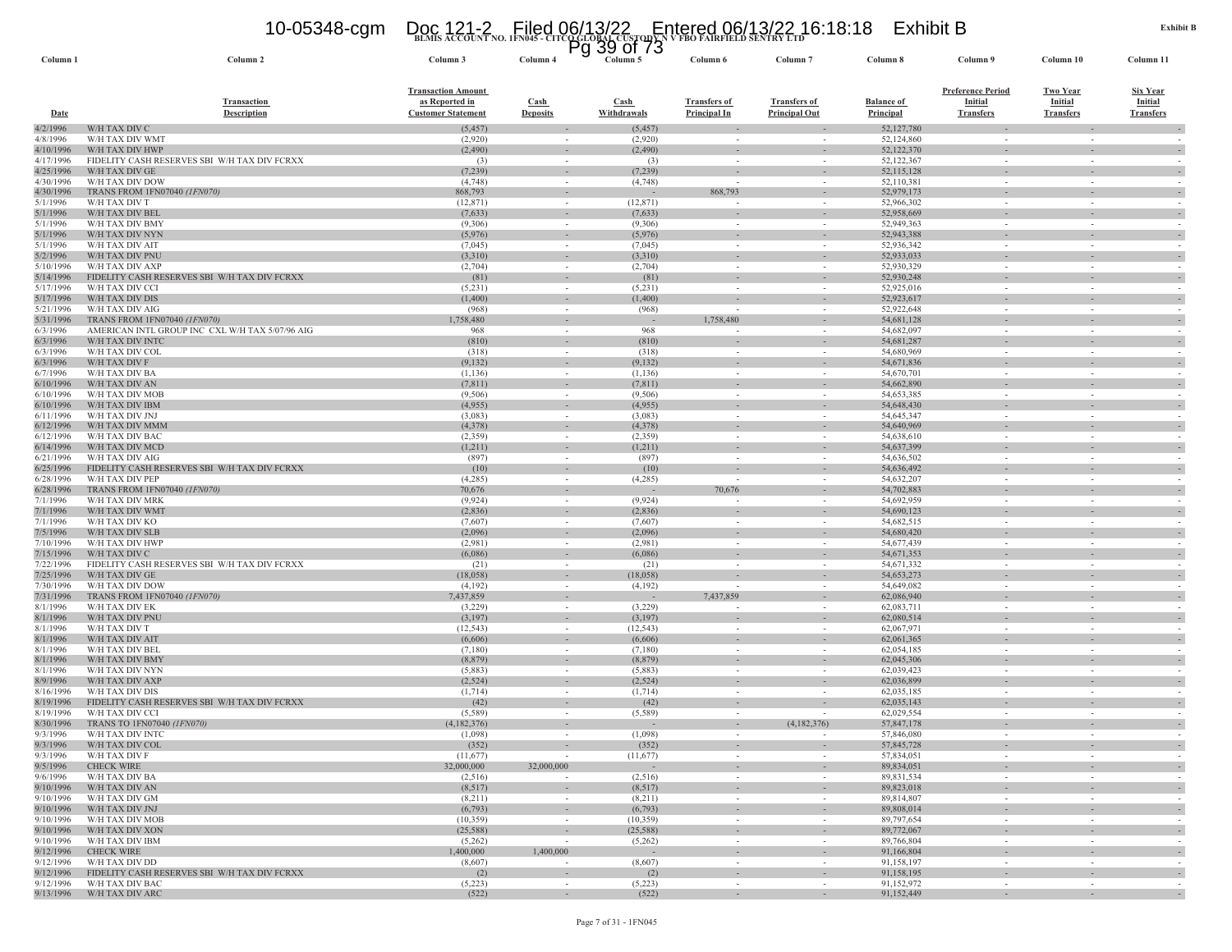## **BLMIS ACCOUNT NO. 1FN045 - CITCO GLOBAL CUSTODY N V FBO FAIRFIELD SENTRY LTD** 10-05348-cgm Doc 121-2 Filed 06/13/22 Entered 06/13/22 16:18:18 Exhibit B Pg 39 of 73

| Column <sub>1</sub>    | Column 2                                                        | Column 3                                                                 | Column 4                                 | Column 5            | Column 6                            | Column <sub>7</sub>                                  | Column 8                       | Column 9                                                | Column 10                                      | Column 11                                             |
|------------------------|-----------------------------------------------------------------|--------------------------------------------------------------------------|------------------------------------------|---------------------|-------------------------------------|------------------------------------------------------|--------------------------------|---------------------------------------------------------|------------------------------------------------|-------------------------------------------------------|
| <b>Date</b>            | <b>Transaction</b><br><b>Description</b>                        | <b>Transaction Amount</b><br>as Reported in<br><b>Customer Statement</b> | $\operatorname{Cash}$<br><b>Deposits</b> | Cash<br>Withdrawals | <b>Transfers of</b><br>Principal In | <b>Transfers of</b><br><b>Principal Out</b>          | <b>Balance of</b><br>Principal | <b>Preference Period</b><br>Initial<br><b>Transfers</b> | <b>Two Year</b><br>Initial<br><b>Transfers</b> | <b>Six Year</b><br><b>Initial</b><br><b>Transfers</b> |
| 4/2/1996               | W/H TAX DIV C                                                   | (5, 457)                                                                 | $\sim$                                   | (5, 457)            | $\sim$                              |                                                      | 52,127,780                     | $\sim$                                                  | $\sim$                                         |                                                       |
| 4/8/1996               | W/H TAX DIV WMT                                                 | (2,920)                                                                  | $\sim$                                   | (2,920)             | $\sim$                              | $\sim$                                               | 52,124,860                     | $\sim$                                                  | $\sim$                                         |                                                       |
| 4/10/1996<br>4/17/1996 | W/H TAX DIV HWP<br>FIDELITY CASH RESERVES SBI W/H TAX DIV FCRXX | (2, 490)                                                                 |                                          | (2, 490)<br>(3)     | $\sim$                              | $\sim$<br>$\sim$                                     | 52,122,370<br>52,122,367       | $\sim$                                                  | $\sim$<br>$\sim$                               |                                                       |
| 4/25/1996              | W/H TAX DIV GE                                                  | (3)<br>(7,239)                                                           | $\sim$<br>$\sim$                         | (7,239)             |                                     |                                                      | 52,115,128                     |                                                         |                                                |                                                       |
| 4/30/1996              | W/H TAX DIV DOW                                                 | (4,748)                                                                  | $\sim$                                   | (4,748)             |                                     |                                                      | 52,110,381                     | $\sim$                                                  | $\sim$                                         |                                                       |
| 4/30/1996              | TRANS FROM 1FN07040 (1FN070)                                    | 868,793                                                                  |                                          |                     | 868,793                             |                                                      | 52,979,173                     |                                                         |                                                |                                                       |
| 5/1/1996               | W/H TAX DIV T                                                   | (12, 871)                                                                | $\sim$                                   | (12, 871)           | $\overline{\phantom{a}}$            | $\sim$                                               | 52,966,302                     | $\sim$                                                  | $\sim$                                         | $\sim$                                                |
| 5/1/1996               | W/H TAX DIV BEL                                                 | (7,633)                                                                  | $\sim$                                   | (7,633)             | $\sim$                              | $\overline{\phantom{a}}$                             | 52,958,669                     | $\sim$                                                  | $\sim$                                         |                                                       |
| 5/1/1996               | W/H TAX DIV BMY<br>W/H TAX DIV NYN                              | (9,306)                                                                  | $\sim$                                   | (9,306)<br>(5,976)  | $\sim$                              | $\sim$                                               | 52,949,363<br>52,943,388       | $\sim$                                                  | $\sim$                                         |                                                       |
| 5/1/1996<br>5/1/1996   | W/H TAX DIV AIT                                                 | (5,976)<br>(7,045)                                                       | $\sim$                                   | (7,045)             | $\sim$                              | $\sim$                                               | 52,936,342                     | $\sim$                                                  | $\sim$                                         |                                                       |
| 5/2/1996               | W/H TAX DIV PNU                                                 | (3,310)                                                                  | $\sim$                                   | (3,310)             | $\sim$                              | $\sim$                                               | 52,933,033                     | $\sim$                                                  | $\sim$                                         | $\sim$                                                |
| 5/10/1996              | W/H TAX DIV AXP                                                 | (2,704)                                                                  |                                          | (2,704)             | $\overline{\phantom{a}}$            |                                                      | 52,930,329                     |                                                         | $\overline{\phantom{a}}$                       |                                                       |
| 5/14/1996              | FIDELITY CASH RESERVES SBI W/H TAX DIV FCRXX                    | (81)                                                                     | $\sim$                                   | (81)                | $\sim$                              | $\overline{\phantom{a}}$                             | 52,930,248                     |                                                         | ٠                                              |                                                       |
| 5/17/1996              | W/H TAX DIV CCI                                                 | (5,231)                                                                  | $\sim$                                   | (5,231)             | $\overline{\phantom{a}}$            | $\overline{\phantom{a}}$                             | 52,925,016                     | $\sim$                                                  | $\sim$                                         |                                                       |
| 5/17/1996              | W/H TAX DIV DIS                                                 | (1,400)                                                                  | $\sim$                                   | (1,400)             | $\sim$                              | ÷.                                                   | 52,923,617                     | $\sim$                                                  | $\sim$                                         |                                                       |
| 5/21/1996<br>5/31/1996 | W/H TAX DIV AIG<br>TRANS FROM 1FN07040 (1FN070)                 | (968)<br>1,758,480                                                       | $\sim$<br>$\sim$                         | (968)               | $\sim$<br>1,758,480                 | $\sim$<br>$\overline{\phantom{a}}$                   | 52,922,648<br>54,681,128       | $\sim$                                                  | $\sim$<br>$\overline{\phantom{a}}$             |                                                       |
| 6/3/1996               | AMERICAN INTL GROUP INC CXL W/H TAX 5/07/96 AIG                 | 968                                                                      |                                          | 968                 |                                     |                                                      | 54,682,097                     | $\sim$                                                  | $\sim$                                         |                                                       |
| 6/3/1996               | W/H TAX DIV INTC                                                | (810)                                                                    |                                          | (810)               |                                     | $\overline{\phantom{a}}$                             | 54,681,287                     |                                                         | $\omega$ .                                     |                                                       |
| 6/3/1996               | W/H TAX DIV COL                                                 | (318)                                                                    | $\sim$                                   | (318)               | $\sim$                              | $\sim$                                               | 54,680,969                     | $\sim$                                                  | $\sim$                                         | $\sim$                                                |
| 6/3/1996               | W/H TAX DIV F                                                   | (9,132)                                                                  | $\sim$                                   | (9,132)             |                                     | $\overline{\phantom{a}}$                             | 54,671,836                     |                                                         |                                                |                                                       |
| 6/7/1996               | W/H TAX DIV BA                                                  | (1,136)                                                                  | $\sim$                                   | (1, 136)            | $\sim$                              | $\sim$                                               | 54,670,701                     | $\sim$                                                  | $\sim$                                         |                                                       |
| 6/10/1996              | W/H TAX DIV AN                                                  | (7, 811)                                                                 |                                          | (7, 811)            |                                     |                                                      | 54,662,890                     |                                                         |                                                |                                                       |
| 6/10/1996<br>6/10/1996 | W/H TAX DIV MOB<br>W/H TAX DIV IBM                              | (9,506)<br>(4,955)                                                       | $\sim$<br>$\sim$                         | (9,506)<br>(4,955)  | $\sim$<br>$\sim$                    | $\sim$<br>$\sim$                                     | 54,653,385<br>54,648,430       | $\sim$<br>$\sim$                                        | $\sim$<br>$\sim$                               | $\sim$                                                |
| 6/11/1996              | W/H TAX DIV JNJ                                                 | (3,083)                                                                  |                                          | (3,083)             | $\sim$                              |                                                      | 54,645,347                     | $\sim$                                                  | $\sim$                                         |                                                       |
| 6/12/1996              | W/H TAX DIV MMM                                                 | (4,378)                                                                  | $\sim$                                   | (4,378)             |                                     | $\sim$                                               | 54,640,969                     |                                                         |                                                |                                                       |
| 6/12/1996              | W/H TAX DIV BAC                                                 | (2,359)                                                                  | $\sim$                                   | (2,359)             | $\overline{\phantom{a}}$            | $\overline{\phantom{a}}$                             | 54,638,610                     | $\sim$                                                  | $\overline{\phantom{a}}$                       |                                                       |
| 6/14/1996              | W/H TAX DIV MCD                                                 | (1,211)                                                                  | $\sim$                                   | (1,211)             | $\sim$                              | ÷.                                                   | 54,637,399                     | $\sim$                                                  | $\sim$                                         |                                                       |
| 6/21/1996              | W/H TAX DIV AIG                                                 | (897)                                                                    |                                          | (897)               | $\overline{\phantom{a}}$            | $\overline{\phantom{a}}$                             | 54,636,502                     |                                                         | $\overline{\phantom{a}}$                       |                                                       |
| 6/25/1996              | FIDELITY CASH RESERVES SBI W/H TAX DIV FCRXX                    | (10)                                                                     | $\sim$                                   | (10)                |                                     | $\overline{\phantom{a}}$                             | 54,636,492                     |                                                         | $\overline{\phantom{a}}$                       |                                                       |
| 6/28/1996<br>6/28/1996 | W/H TAX DIV PEP<br>TRANS FROM 1FN07040 (1FN070)                 | (4,285)<br>70,676                                                        |                                          | (4,285)             | 70,676                              | ÷.                                                   | 54,632,207<br>54,702,883       | $\sim$                                                  | $\sim$                                         |                                                       |
| 7/1/1996               | W/H TAX DIV MRK                                                 | (9, 924)                                                                 | $\sim$                                   | (9,924)             | $\sim$                              | $\sim$                                               | 54,692,959                     | $\sim$                                                  | $\sim$                                         |                                                       |
| 7/1/1996               | W/H TAX DIV WMT                                                 | (2,836)                                                                  | $\sim$                                   | (2,836)             | $\overline{\phantom{a}}$            | $\overline{\phantom{a}}$                             | 54,690,123                     | $\sim$                                                  |                                                |                                                       |
| 7/1/1996               | W/H TAX DIV KO                                                  | (7,607)                                                                  | $\sim$                                   | (7,607)             | $\sim$                              |                                                      | 54,682,515                     | $\sim$                                                  |                                                |                                                       |
| 7/5/1996               | W/H TAX DIV SLB                                                 | (2,096)                                                                  |                                          | (2,096)             |                                     |                                                      | 54,680,420                     |                                                         |                                                |                                                       |
| 7/10/1996              | W/H TAX DIV HWP                                                 | (2,981)                                                                  | $\sim$                                   | (2,981)             | $\sim$                              | $\sim$                                               | 54,677,439                     | $\sim$                                                  | $\sim$                                         | $\sim$                                                |
| 7/15/1996<br>7/22/1996 | W/H TAX DIV C<br>FIDELITY CASH RESERVES SBI W/H TAX DIV FCRXX   | (6,086)<br>(21)                                                          | $\sim$<br>$\sim$                         | (6,086)<br>(21)     | $\sim$<br>$\sim$                    | $\overline{\phantom{a}}$<br>$\sim$                   | 54,671,353<br>54,671,332       | $\sim$<br>$\sim$                                        | $\overline{\phantom{a}}$<br>$\sim$             | $\overline{\phantom{a}}$                              |
| 7/25/1996              | W/H TAX DIV GE                                                  | (18,058)                                                                 |                                          | (18,058)            |                                     |                                                      | 54,653,273                     |                                                         |                                                |                                                       |
| 7/30/1996              | W/H TAX DIV DOW                                                 | (4,192)                                                                  | $\sim$                                   | (4,192)             | $\sim$                              | $\sim$                                               | 54,649,082                     | $\sim$                                                  | $\sim$                                         | $\sim$                                                |
| 7/31/1996              | TRANS FROM 1FN07040 (1FN070)                                    | 7,437,859                                                                | $\sim$                                   |                     | 7,437,859                           | $\overline{\phantom{a}}$                             | 62,086,940                     |                                                         | $\sim$                                         |                                                       |
| 8/1/1996               | W/H TAX DIV EK                                                  | (3,229)                                                                  | $\sim$                                   | (3,229)             | $\sim$                              | $\sim$                                               | 62,083,711                     | $\sim$                                                  | $\sim$                                         |                                                       |
| 8/1/1996               | W/H TAX DIV PNU                                                 | (3,197)                                                                  | $\sim$                                   | (3,197)             |                                     |                                                      | 62,080,514                     |                                                         |                                                |                                                       |
| 8/1/1996               | W/H TAX DIV T                                                   | (12, 543)                                                                | $\sim$                                   | (12, 543)           | $\overline{\phantom{a}}$            | $\sim$                                               | 62,067,971                     | $\sim$                                                  | $\overline{\phantom{a}}$                       |                                                       |
| 8/1/1996<br>8/1/1996   | W/H TAX DIV AIT<br>W/H TAX DIV BEL                              | (6,606)<br>(7,180)                                                       | $\sim$                                   | (6,606)<br>(7,180)  | $\sim$                              | $\sim$                                               | 62,061,365<br>62,054,185       | $\sim$                                                  | $\sim$<br>$\overline{\phantom{a}}$             | $\sim$                                                |
| 8/1/1996               | W/H TAX DIV BMY                                                 | (8, 879)                                                                 | $\sim$                                   | (8, 879)            | $\overline{\phantom{a}}$            | $\overline{\phantom{a}}$                             | 62,045,306                     |                                                         | $\overline{\phantom{a}}$                       |                                                       |
| 8/1/1996               | W/H TAX DIV NYN                                                 | (5,883)                                                                  | $\sim$                                   | (5,883)             | $\sim$                              | $\sim$                                               | 62,039,423                     | $\sim$                                                  | $\sim$                                         |                                                       |
| 8/9/1996               | W/H TAX DIV AXP                                                 | (2,524)                                                                  |                                          | (2, 524)            | $\sim$                              | $\sim$                                               | 62,036,899                     |                                                         | $\sim$                                         |                                                       |
| 8/16/1996              | W/H TAX DIV DIS                                                 | (1,714)                                                                  | $\sim$                                   | (1,714)             | $\sim$                              | $\overline{\phantom{a}}$                             | 62,035,185                     | $\sim$                                                  | $\sim$                                         |                                                       |
| 8/19/1996              | FIDELITY CASH RESERVES SBI W/H TAX DIV FCRXX                    | (42)                                                                     | $\sim$                                   | (42)                | $\sim$                              |                                                      | 62,035,143                     |                                                         | $\overline{\phantom{a}}$                       | $\overline{\phantom{a}}$                              |
| 8/19/1996<br>8/30/1996 | W/H TAX DIV CCI                                                 | (5,589)<br>(4,182,376)                                                   | $\sim$                                   | (5,589)             | $\sim$                              | (4,182,376)                                          | 62,029,554<br>57,847,178       | $\sim$                                                  | $\sim$                                         |                                                       |
| 9/3/1996               | TRANS TO 1FN07040 (1FN070)<br>W/H TAX DIV INTC                  | (1,098)                                                                  | $\sim$                                   | (1,098)             | $\sim$                              |                                                      | 57,846,080                     | $\sim$                                                  | $\sim$                                         |                                                       |
| 9/3/1996               | W/H TAX DIV COL                                                 | (352)                                                                    |                                          | (352)               | $\sim$                              | $\sim$                                               | 57,845,728                     |                                                         |                                                |                                                       |
| 9/3/1996               | W/H TAX DIV F                                                   | (11,677)                                                                 | $\sim$                                   | (11,677)            | $\sim$                              | $\sim$                                               | 57,834,051                     | $\sim$                                                  | $\sim$                                         |                                                       |
| 9/5/1996               | <b>CHECK WIRE</b>                                               | 32,000,000                                                               | 32,000,000                               | $\sim$ $-$          | $\sim$                              | $\sim$                                               | 89,834,051                     |                                                         | $\overline{\phantom{a}}$                       | $\overline{\phantom{a}}$                              |
| 9/6/1996               | W/H TAX DIV BA                                                  | (2,516)                                                                  | $\sim$                                   | (2,516)             | $\sim$                              | $\sim$                                               | 89, 831, 534                   | $\sim$                                                  | $\sim$                                         | $\overline{\phantom{a}}$                              |
| 9/10/1996              | W/H TAX DIV AN                                                  | (8,517)                                                                  | $\sim$                                   | (8,517)             | $\sim$                              | $\sim$                                               | 89,823,018                     | $\sim$                                                  | $\sim$                                         | $\sim$                                                |
| 9/10/1996<br>9/10/1996 | W/H TAX DIV GM<br>W/H TAX DIV JNJ                               | (8,211)<br>(6, 793)                                                      | $\sim$                                   | (8,211)<br>(6, 793) | $\sim$                              | $\overline{\phantom{a}}$<br>$\overline{\phantom{a}}$ | 89,814,807<br>89,808,014       | $\sim$<br>$\sim$                                        | $\overline{\phantom{a}}$                       |                                                       |
| 9/10/1996              | W/H TAX DIV MOB                                                 | (10,359)                                                                 | $\sim$<br>$\sim$                         | (10, 359)           | $\sim$<br>$\sim$                    | $\sim$                                               | 89,797,654                     | $\sim$                                                  | $\sim$<br>$\overline{\phantom{a}}$             | $\overline{\phantom{a}}$<br>$\overline{\phantom{a}}$  |
| 9/10/1996              | W/H TAX DIV XON                                                 | (25,588)                                                                 | $\sim$                                   | (25, 588)           | $\sim$                              | $\sim$                                               | 89,772,067                     | $\sim$                                                  | $\sim$                                         | $\overline{\phantom{a}}$                              |
| 9/10/1996              | W/H TAX DIV IBM                                                 | (5,262)                                                                  | $\sim$                                   | (5,262)             | $\sim$                              | $\sim$                                               | 89,766,804                     | $\sim$                                                  | $\sim$                                         | $\sim$                                                |
| 9/12/1996              | <b>CHECK WIRE</b>                                               | 1,400,000                                                                | 1,400,000                                | $\sim$              | $\sim$                              | $\sim$                                               | 91,166,804                     | $\overline{\phantom{a}}$                                | $\sim$                                         | $\overline{\phantom{a}}$                              |
| 9/12/1996              | W/H TAX DIV DD                                                  | (8,607)                                                                  | $\sim$                                   | (8,607)             | $\sim$                              | $\sim$                                               | 91,158,197                     | $\sim$                                                  | $\sim$                                         | $\sim$                                                |
| 9/12/1996              | FIDELITY CASH RESERVES SBI W/H TAX DIV FCRXX                    | (2)                                                                      |                                          | (2)                 | $\sim$                              | $\overline{\phantom{a}}$                             | 91,158,195                     | $\overline{\phantom{a}}$                                | $\sim$                                         | $\overline{\phantom{a}}$                              |
| 9/12/1996              | W/H TAX DIV BAC<br>9/13/1996 W/H TAX DIV ARC                    | (5,223)<br>(522)                                                         | $\sim$<br>$\sim$                         | (5,223)<br>(522)    | $\sim$<br>$\sim$                    | $\sim$<br>$\sim$                                     | 91,152,972<br>91,152,449       | $\sim$<br>$\sim$                                        | $\sim$<br>$\sim$                               | $\sim$                                                |
|                        |                                                                 |                                                                          |                                          |                     |                                     |                                                      |                                |                                                         |                                                |                                                       |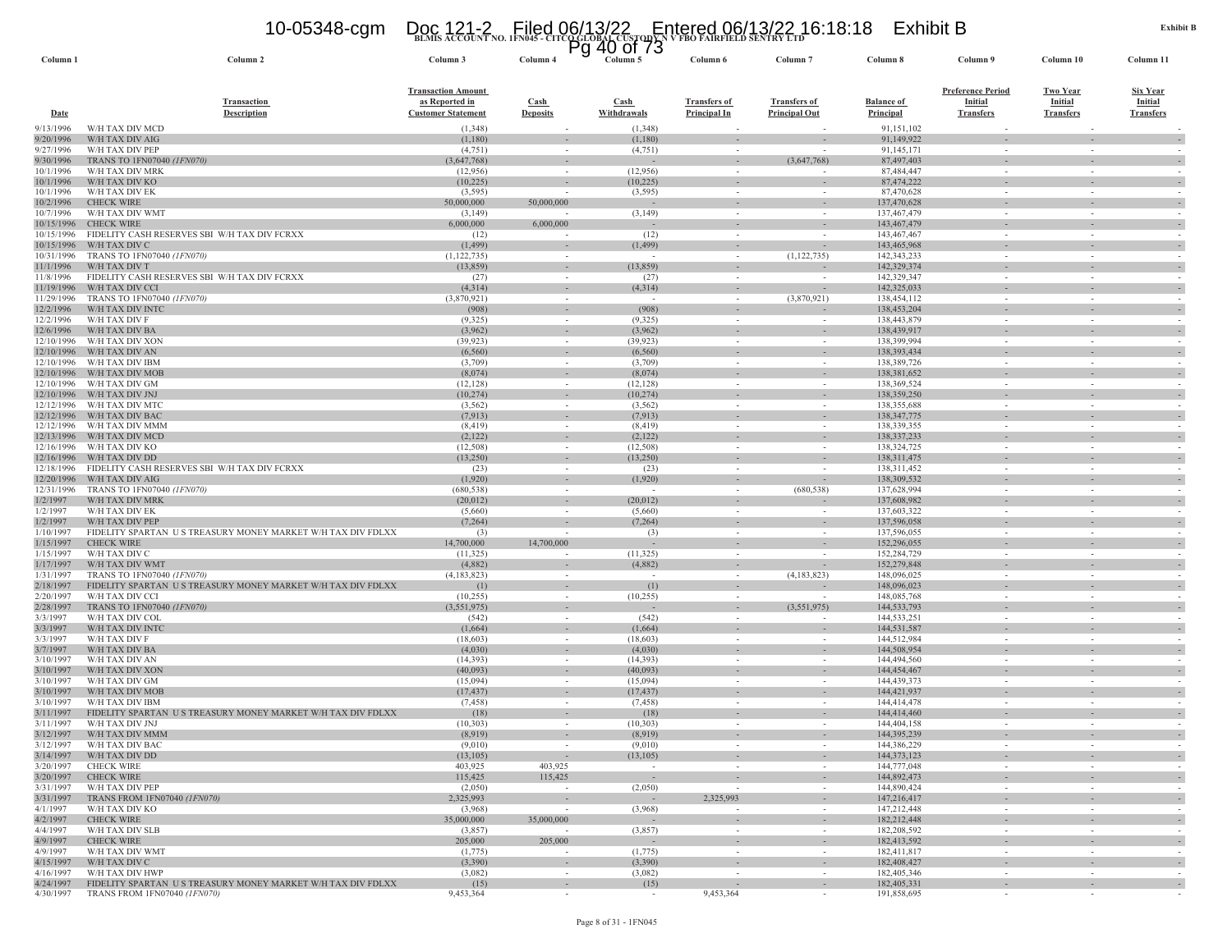# **BLMIS ACCOUNT NO. 1FN045 - CITCO GLOBAL CUSTODY N V FBO FAIRFIELD SENTRY LTD** 10-05348-cgm Doc 121-2 Filed 06/13/22 Entered 06/13/22 16:18:18 Exhibit B Pg 40 of 73

| Column 1                 | Column 2                                                        | Column 3                   | Column 4                 | Column 5              | Column 6                           | Column <sub>7</sub>  | Column 8                     | Column 9                 | Column 10                          | Column 11        |
|--------------------------|-----------------------------------------------------------------|----------------------------|--------------------------|-----------------------|------------------------------------|----------------------|------------------------------|--------------------------|------------------------------------|------------------|
|                          |                                                                 |                            |                          |                       |                                    |                      |                              |                          |                                    |                  |
|                          |                                                                 | <b>Transaction Amount</b>  |                          |                       |                                    |                      |                              | <b>Preference Period</b> | <b>Two Year</b>                    | <u>Six Year</u>  |
|                          | Transaction                                                     | as Reported in             | $\operatorname{Cash}$    | $\operatorname{Cash}$ | <b>Transfers of</b>                | <b>Transfers of</b>  | <b>Balance of</b>            | Initial                  | <b>Initial</b>                     | <b>Initial</b>   |
| Date                     | <b>Description</b>                                              | <b>Customer Statement</b>  | <b>Deposits</b>          | Withdrawals           | <b>Principal In</b>                | <b>Principal Out</b> | Principal                    | <b>Transfers</b>         | <b>Transfers</b>                   | <b>Transfers</b> |
| 9/13/1996<br>9/20/1996   | W/H TAX DIV MCD<br>W/H TAX DIV AIG                              | (1, 348)<br>(1,180)        | $\sim$                   | (1,348)<br>(1,180)    | $\sim$                             |                      | 91,151,102<br>91,149,922     | $\sim$                   | ÷.                                 |                  |
| 9/27/1996                | W/H TAX DIV PEP                                                 | (4, 751)                   | $\overline{\phantom{a}}$ | (4,751)               | $\overline{\phantom{a}}$           |                      | 91,145,171                   |                          | $\overline{\phantom{a}}$           |                  |
| 9/30/1996                | TRANS TO 1FN07040 (1FN070)                                      | (3,647,768)                | $\sim$                   |                       | $\sim$                             | (3,647,768)          | 87,497,403                   | $\sim$                   | $\overline{\phantom{a}}$           |                  |
| 10/1/1996                | W/H TAX DIV MRK                                                 | (12,956)                   |                          | (12,956)              |                                    |                      | 87,484,447                   |                          |                                    |                  |
| 10/1/1996<br>10/1/1996   | W/H TAX DIV KO<br>W/H TAX DIV EK                                | (10, 225)<br>(3, 595)      |                          | (10, 225)<br>(3,595)  | $\sim$<br>$\sim$                   | $\sim$               | 87,474,222<br>87,470,628     | $\sim$<br>$\sim$         | $\sim$<br>$\sim$                   |                  |
| 10/2/1996                | <b>CHECK WIRE</b>                                               | 50,000,000                 | 50,000,000               |                       | $\overline{\phantom{a}}$           |                      | 137,470,628                  | $\overline{\phantom{a}}$ | $\overline{\phantom{a}}$           |                  |
| 10/7/1996                | W/H TAX DIV WMT                                                 | (3,149)                    |                          | (3,149)               | $\sim$                             |                      | 137, 467, 479                |                          | $\sim$                             |                  |
| 10/15/1996               | <b>CHECK WIRE</b>                                               | 6,000,000                  | 6,000,000                |                       |                                    |                      | 143,467,479                  |                          |                                    |                  |
| 10/15/1996<br>10/15/1996 | FIDELITY CASH RESERVES SBI W/H TAX DIV FCRXX<br>W/H TAX DIV C   | (12)<br>(1, 499)           |                          | (12)<br>(1, 499)      | $\sim$<br>$\overline{\phantom{a}}$ | $\sim$               | 143, 467, 467<br>143,465,968 | $\sim$                   | $\sim$                             |                  |
| 10/31/1996               | TRANS TO 1FN07040 (1FN070)                                      | (1, 122, 735)              |                          |                       | $\sim$                             | (1,122,735)          | 142,343,233                  |                          | $\sim$                             |                  |
| 11/1/1996                | W/H TAX DIV T                                                   | (13, 859)                  |                          | (13, 859)             |                                    |                      | 142,329,374                  |                          |                                    |                  |
| 11/8/1996                | FIDELITY CASH RESERVES SBI W/H TAX DIV FCRXX                    | (27)                       | $\sim$                   | (27)                  | $\sim$                             | $\sim$               | 142,329,347                  | $\sim$                   | $\sim$                             |                  |
| 11/19/1996<br>11/29/1996 | W/H TAX DIV CCI<br>TRANS TO 1FN07040 (1FN070)                   | (4,314)<br>(3,870,921)     | $\sim$<br>$\sim$         | (4,314)<br>$\sim$     | $\sim$<br>$\sim$                   | (3,870,921)          | 142,325,033<br>138,454,112   | $\sim$<br>$\sim$         | $\sim$<br>$\sim$                   |                  |
| 12/2/1996                | W/H TAX DIV INTC                                                | (908)                      | $\sim$                   | (908)                 | $\sim$                             |                      | 138,453,204                  |                          |                                    |                  |
| 12/2/1996                | W/H TAX DIV F                                                   | (9, 325)                   | $\sim$                   | (9, 325)              | $\sim$                             |                      | 138,443,879                  | $\sim$                   | $\sim$                             |                  |
| 12/6/1996<br>12/10/1996  | W/H TAX DIV BA<br>W/H TAX DIV XON                               | (3,962)<br>(39, 923)       | $\sim$                   | (3,962)<br>(39, 923)  | $\sim$                             | $\sim$               | 138,439,917<br>138,399,994   | $\sim$                   | $\sim$                             |                  |
| 12/10/1996               | W/H TAX DIV AN                                                  | (6, 560)                   | $\sim$                   | (6, 560)              | $\overline{\phantom{a}}$           |                      | 138,393,434                  | $\sim$                   |                                    |                  |
| 12/10/1996               | W/H TAX DIV IBM                                                 | (3,709)                    | $\sim$                   | (3,709)               | $\sim$                             |                      | 138,389,726                  | $\sim$                   | $\sim$                             |                  |
| 12/10/1996               | W/H TAX DIV MOB                                                 | (8,074)                    |                          | (8,074)               |                                    |                      | 138,381,652                  |                          |                                    |                  |
| 12/10/1996               | W/H TAX DIV GM                                                  | (12, 128)                  | $\sim$                   | (12, 128)             | $\sim$                             | $\sim$               | 138,369,524                  | $\sim$                   | $\sim$                             |                  |
| 12/10/1996<br>12/12/1996 | W/H TAX DIV JNJ<br>W/H TAX DIV MTC                              | (10, 274)<br>(3, 562)      | $\sim$                   | (10, 274)<br>(3, 562) | $\sim$                             |                      | 138,359,250<br>138,355,688   |                          | $\sim$                             |                  |
| 12/12/1996               | W/H TAX DIV BAC                                                 | (7, 913)                   |                          | (7, 913)              |                                    |                      | 138, 347, 775                |                          |                                    |                  |
| 12/12/1996               | W/H TAX DIV MMM                                                 | (8, 419)                   | $\sim$                   | (8, 419)              | $\sim$                             | $\sim$               | 138,339,355                  | $\sim$                   | $\sim$                             |                  |
| 12/13/1996<br>12/16/1996 | W/H TAX DIV MCD<br>W/H TAX DIV KO                               | (2,122)<br>(12, 508)       | $\sim$<br>$\sim$         | (2,122)<br>(12,508)   | $\sim$<br>$\sim$                   |                      | 138, 337, 233<br>138,324,725 | $\sim$<br>$\sim$         | $\sim$<br>$\sim$                   |                  |
| 12/16/1996               | W/H TAX DIV DD                                                  | (13,250)                   | $\overline{\phantom{a}}$ | (13,250)              |                                    |                      | 138,311,475                  |                          |                                    |                  |
| 12/18/1996               | FIDELITY CASH RESERVES SBI W/H TAX DIV FCRXX                    | (23)                       | $\sim$                   | (23)                  | $\sim$                             | $\sim$               | 138, 311, 452                | $\sim$                   | $\sim$                             |                  |
| 12/20/1996               | W/H TAX DIV AIG                                                 | (1,920)                    | $\sim$                   | (1,920)               | $\sim$                             | $\sim$               | 138,309,532                  | $\sim$                   | $\sim$                             |                  |
| 12/31/1996<br>1/2/1997   | TRANS TO 1FN07040 (1FN070)<br>W/H TAX DIV MRK                   | (680, 538)<br>(20,012)     | $\sim$                   | (20,012)              | $\sim$                             | (680, 538)           | 137,628,994<br>137,608,982   | $\sim$                   | $\sim$                             |                  |
| 1/2/1997                 | W/H TAX DIV EK                                                  | (5,660)                    | $\overline{\phantom{a}}$ | (5,660)               | $\overline{\phantom{a}}$           |                      | 137,603,322                  | $\sim$                   | $\overline{\phantom{a}}$           |                  |
| 1/2/1997                 | W/H TAX DIV PEP                                                 | (7, 264)                   |                          | (7, 264)              | $\sim$                             |                      | 137,596,058                  | $\sim$                   |                                    |                  |
| 1/10/1997                | FIDELITY SPARTAN US TREASURY MONEY MARKET W/H TAX DIV FDLXX     | (3)                        |                          | (3)                   | $\sim$                             |                      | 137,596,055                  | $\sim$                   | $\sim$                             |                  |
| 1/15/1997<br>1/15/1997   | <b>CHECK WIRE</b><br>W/H TAX DIV C                              | 14,700,000<br>(11, 325)    | 14,700,000               | (11,325)              | $\overline{\phantom{a}}$<br>$\sim$ |                      | 152,296,055<br>152,284,729   |                          |                                    |                  |
| 1/17/1997                | W/H TAX DIV WMT                                                 | (4,882)                    |                          | (4,882)               | $\overline{\phantom{a}}$           |                      | 152,279,848                  |                          |                                    |                  |
| 1/31/1997                | TRANS TO 1FN07040 (1FN070)                                      | (4,183,823)                | $\sim$                   | $\sim$                | $\sim$                             | (4,183,823)          | 148,096,025                  | $\sim$                   | $\sim$                             |                  |
| 2/18/1997                | FIDELITY SPARTAN US TREASURY MONEY MARKET W/H TAX DIV FDLXX     | (1)                        | $\sim$                   | (1)                   | $\overline{\phantom{a}}$           |                      | 148,096,023                  |                          |                                    |                  |
| 2/20/1997<br>2/28/1997   | W/H TAX DIV CCI<br>TRANS TO 1FN07040 (1FN070)                   | (10, 255)<br>(3, 551, 975) | $\sim$                   | (10, 255)             | $\sim$                             | (3,551,975)          | 148,085,768<br>144,533,793   | $\sim$                   | $\sim$                             |                  |
| 3/3/1997                 | W/H TAX DIV COL                                                 | (542)                      | $\sim$                   | (542)                 | $\sim$                             |                      | 144,533,251                  | $\sim$                   | $\sim$                             | $\sim$           |
| 3/3/1997                 | W/H TAX DIV INTO                                                | (1,664)                    | $\sim$                   | (1,664)               | $\sim$                             |                      | 144,531,587                  | $\sim$                   | $\sim$                             |                  |
| 3/3/1997<br>3/7/1997     | W/H TAX DIV F<br>W/H TAX DIV BA                                 | (18,603)<br>(4,030)        | $\overline{\phantom{a}}$ | (18,603)<br>(4,030)   |                                    |                      | 144,512,984<br>144,508,954   |                          |                                    |                  |
| 3/10/1997                | W/H TAX DIV AN                                                  | (14,393)                   | $\sim$                   | (14,393)              | $\overline{\phantom{a}}$           |                      | 144,494,560                  | $\sim$                   | $\overline{\phantom{a}}$           |                  |
| 3/10/1997                | W/H TAX DIV XON                                                 | (40,093)                   | $\sim$                   | (40,093)              | $\sim$                             |                      | 144,454,467                  | $\sim$                   | $\sim$                             |                  |
| 3/10/1997                | W/H TAX DIV GM                                                  | (15,094)                   | $\overline{\phantom{a}}$ | (15,094)              | $\overline{\phantom{a}}$           |                      | 144,439,373                  |                          | $\overline{\phantom{a}}$           |                  |
| 3/10/1997<br>3/10/1997   | W/H TAX DIV MOB<br>W/H TAX DIV IBM                              | (17, 437)<br>(7, 458)      | $\sim$<br>$\sim$         | (17, 437)<br>(7, 458) | $\sim$<br>$\sim$                   |                      | 144,421,937<br>144,414,478   | $\sim$                   | $\sim$                             |                  |
| 3/11/1997                | FIDELITY SPARTAN<br>U S TREASURY MONEY MARKET W/H TAX DIV FDLXX | (18)                       | $\overline{\phantom{a}}$ | (18)                  | $\overline{\phantom{a}}$           |                      | 144,414,460                  |                          |                                    |                  |
| 3/11/1997                | W/H TAX DIV JNJ                                                 | (10, 303)                  | $\sim$                   | (10, 303)             | $\sim$                             |                      | 144,404,158                  |                          | $\sim$                             | $\sim$           |
| 3/12/1997                | W/H TAX DIV MMM                                                 | (8,919)                    | $\overline{\phantom{a}}$ | (8,919)               | $\overline{\phantom{a}}$           |                      | 144,395,239                  |                          |                                    |                  |
| 3/12/1997<br>3/14/1997   | W/H TAX DIV BAC<br>W/H TAX DIV DD                               | (9,010)<br>(13,105)        | $\sim$                   | (9,010)<br>(13, 105)  |                                    |                      | 144,386,229<br>144, 373, 123 |                          |                                    | - 1              |
| 3/20/1997                | <b>CHECK WIRE</b>                                               | 403,925                    | 403,925                  | $\sim$ $-$            | $\sim$                             | $\sim$               | 144,777,048                  | $\sim$                   | $\sim$                             | $\sim$           |
| 3/20/1997                | <b>CHECK WIRE</b>                                               | 115,425                    | 115,425                  | $\sim$ $-$            |                                    | $\sim$               | 144,892,473                  | $\sim$                   |                                    | $\sim$           |
| 3/31/1997                | W/H TAX DIV PEP                                                 | (2,050)                    |                          | (2,050)               |                                    | $\sim$               | 144,890,424                  | $\sim$                   | $\sim$                             | $\sim$           |
| 3/31/1997<br>4/1/1997    | TRANS FROM 1FN07040 (1FN070)<br>W/H TAX DIV KO                  | 2,325,993<br>(3,968)       | $\sim$                   | $\sim$<br>(3,968)     | 2,325,993<br>$\sim$                | $\sim$               | 147,216,417<br>147,212,448   | $\sim$<br>$\sim$         | $\sim$                             | $\sim$<br>$\sim$ |
| 4/2/1997                 | <b>CHECK WIRE</b>                                               | 35,000,000                 | 35,000,000               | $\sim$                | $\sim$                             | $\sim$               | 182,212,448                  | $\sim$                   | $\sim$                             | $\sim$           |
| 4/4/1997                 | W/H TAX DIV SLB                                                 | (3,857)                    |                          | (3,857)               | $\sim$                             | $\sim$               | 182,208,592                  | $\sim$                   | $\sim$                             | $\sim$           |
| 4/9/1997<br>4/9/1997     | <b>CHECK WIRE</b><br>W/H TAX DIV WMT                            | 205,000<br>(1,775)         | 205,000<br>$\sim$        | $\sim$<br>(1,775)     | $\sim$<br>$\overline{\phantom{a}}$ | $\sim$<br>$\sim$     | 182,413,592<br>182,411,817   | $\sim$<br>$\sim$         | $\sim$<br>$\overline{\phantom{a}}$ | $\sim$<br>$\sim$ |
| 4/15/1997                | W/H TAX DIV C                                                   | (3,390)                    | $\sim$                   | (3,390)               | $\overline{\phantom{a}}$           | $\sim$               | 182,408,427                  | $\sim$                   | $\sim$                             | $\sim$           |
| 4/16/1997                | W/H TAX DIV HWP                                                 | (3,082)                    | $\sim$                   | (3,082)               | $\overline{\phantom{a}}$           | $\sim$               | 182,405,346                  | $\sim$                   | $\overline{\phantom{a}}$           |                  |
| 4/24/1997                | FIDELITY SPARTAN US TREASURY MONEY MARKET W/H TAX DIV FDLXX     | (15)                       | $\sim$                   | (15)                  | $\overline{\phantom{a}}$           | $\sim$               | 182,405,331                  | $\sim$                   | $\overline{\phantom{a}}$           |                  |
| 4/30/1997                | TRANS FROM 1FN07040 (1FN070)                                    | 9,453,364                  | $\sim$                   | $\sim$                | 9,453,364                          | $\sim$               | 191,858,695                  | $\sim$                   | $\sim$                             |                  |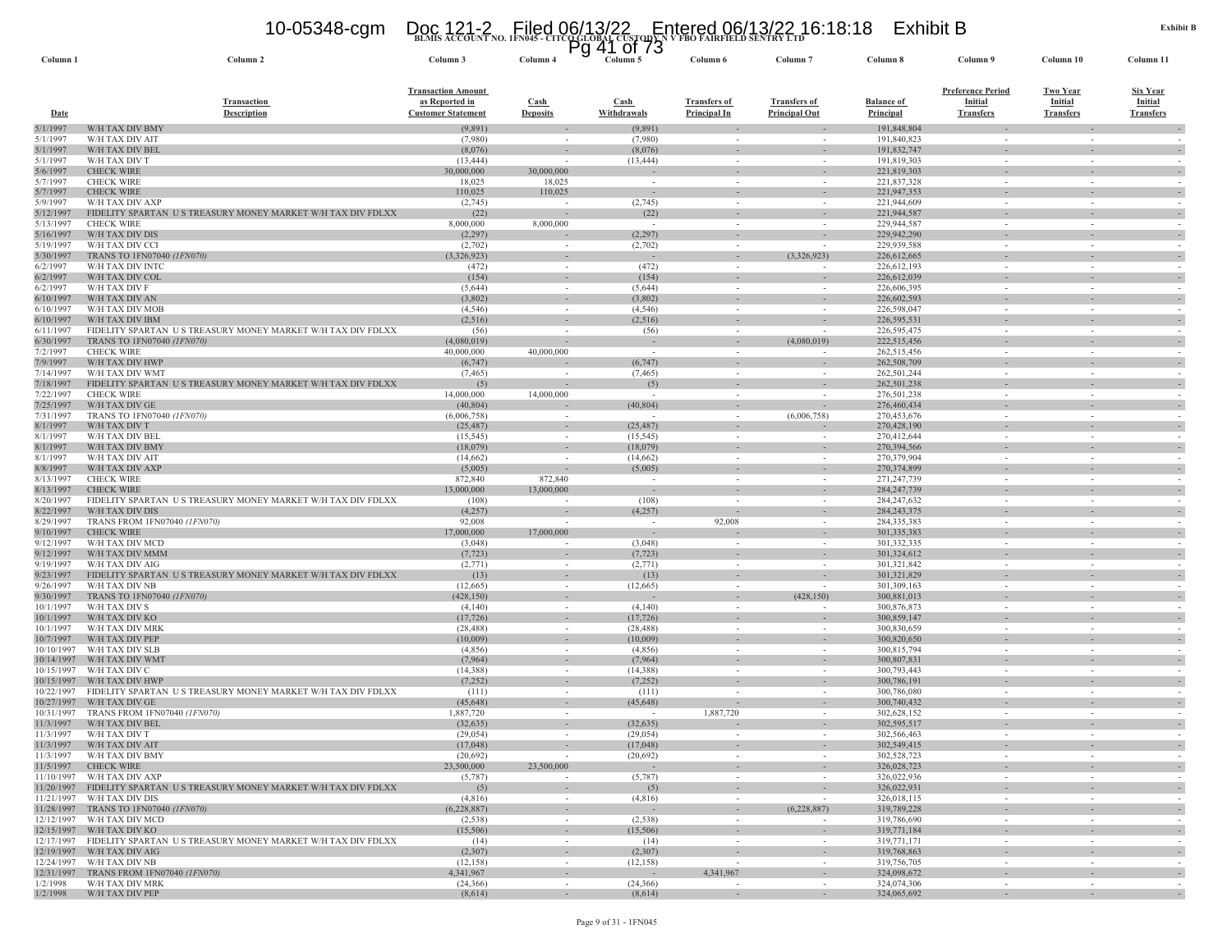|  |                                                                                          | 10-05348-cqm    Doc 121-2    Filed 06/13/22    Entered 06/13/22 16:18:18 | Exhibit B |
|--|------------------------------------------------------------------------------------------|--------------------------------------------------------------------------|-----------|
|  |                                                                                          |                                                                          |           |
|  | BLMIS ACCOUNT NO. 1FN045 - CITCOGLOBAL CUSTODEN VYBO FAIRFIELD SENTRY LTD<br>PQ 41 Of 73 |                                                                          |           |

| Column 1                 | Column 2                                                                | Column 3                                    | Column 4                                 | Column 5                 | Column 6                                   | Column <sub>7</sub>                         | Column 8                       | Column 9                    | Column 10                          | Column 11                          |
|--------------------------|-------------------------------------------------------------------------|---------------------------------------------|------------------------------------------|--------------------------|--------------------------------------------|---------------------------------------------|--------------------------------|-----------------------------|------------------------------------|------------------------------------|
|                          |                                                                         |                                             |                                          |                          |                                            |                                             |                                |                             |                                    |                                    |
|                          |                                                                         | <b>Transaction Amount</b>                   |                                          |                          |                                            |                                             |                                | <b>Preference Period</b>    | <b>Two Year</b>                    | <b>Six Year</b>                    |
| Date                     | <b>Transaction</b><br><b>Description</b>                                | as Reported in<br><b>Customer Statement</b> | $\operatorname{Cash}$<br><b>Deposits</b> | Cash<br>Withdrawals      | <b>Transfers of</b><br><b>Principal In</b> | <b>Transfers of</b><br><b>Principal Out</b> | <b>Balance of</b><br>Principal | Initial<br><b>Transfers</b> | <b>Initial</b><br><b>Transfers</b> | <b>Initial</b><br><b>Transfers</b> |
|                          | W/H TAX DIV BMY                                                         |                                             |                                          |                          |                                            |                                             | 191,848,804                    |                             |                                    |                                    |
| 5/1/1997<br>5/1/1997     | W/H TAX DIV AIT                                                         | (9,891)<br>(7,980)                          | $\sim$                                   | (9,891)<br>(7,980)       |                                            |                                             | 191,840,823                    | $\sim$                      | $\sim$                             |                                    |
| 5/1/1997                 | W/H TAX DIV BEL                                                         | (8,076)                                     |                                          | (8,076)                  |                                            |                                             | 191,832,747                    |                             |                                    |                                    |
| 5/1/1997                 | W/H TAX DIV T                                                           | (13, 444)                                   | $\sim$                                   | (13, 444)                | $\sim$                                     | $\sim$                                      | 191,819,303                    | $\sim$                      | $\sim$                             | $\overline{\phantom{a}}$           |
| 5/6/1997<br>5/7/1997     | <b>CHECK WIRE</b><br><b>CHECK WIRE</b>                                  | 30,000,000<br>18,025                        | 30,000,000<br>18,025                     |                          |                                            | $\sim$<br>$\sim$                            | 221,819,303<br>221,837,328     |                             |                                    |                                    |
| 5/7/1997                 | <b>CHECK WIRE</b>                                                       | 110,025                                     | 110,025                                  |                          |                                            |                                             | 221,947,353                    |                             |                                    |                                    |
| 5/9/1997                 | W/H TAX DIV AXP                                                         | (2,745)                                     | $\sim$                                   | (2,745)                  | $\sim$                                     | $\sim$                                      | 221,944,609                    | $\sim$                      | $\sim$                             |                                    |
| 5/12/1997                | FIDELITY SPARTAN US TREASURY MONEY MARKET W/H TAX DIV FDLXX             | (22)                                        |                                          | (22)                     | $\sim$                                     | $\sim$                                      | 221,944,587                    | $\sim$                      | $\sim$                             |                                    |
| 5/13/1997<br>5/16/1997   | <b>CHECK WIRE</b><br>W/H TAX DIV DIS                                    | 8,000,000<br>(2,297)                        | 8,000,000                                | $\sim$<br>(2, 297)       |                                            | $\overline{\phantom{a}}$                    | 229,944,587<br>229,942,290     |                             |                                    |                                    |
| 5/19/1997                | W/H TAX DIV CCI                                                         | (2,702)                                     |                                          | (2,702)                  |                                            |                                             | 229,939,588                    |                             |                                    |                                    |
| 5/30/1997                | TRANS TO 1FN07040 (1FN070)                                              | (3,326,923)                                 | $\sim$                                   |                          | $\sim$                                     | (3,326,923)                                 | 226,612,665                    | $\sim$                      | $\sim$                             |                                    |
| 6/2/1997                 | W/H TAX DIV INTC                                                        | (472)                                       | $\sim$                                   | (472)                    |                                            | $\sim$                                      | 226,612,193                    |                             |                                    |                                    |
| 6/2/1997                 | W/H TAX DIV COL                                                         | (154)                                       | $\overline{\phantom{a}}$                 | (154)                    |                                            | $\overline{\phantom{a}}$                    | 226,612,039                    | $\overline{\phantom{a}}$    |                                    |                                    |
| 6/2/1997<br>6/10/1997    | W/H TAX DIV F<br>W/H TAX DIV AN                                         | (5,644)<br>(3,802)                          | $\sim$                                   | (5,644)<br>(3,802)       | $\sim$                                     | $\sim$                                      | 226,606,395<br>226,602,593     | $\sim$                      | $\sim$                             |                                    |
| 6/10/1997                | W/H TAX DIV MOB                                                         | (4, 546)                                    | $\sim$                                   | (4,546)                  | $\sim$                                     | $\sim$                                      | 226,598,047                    | $\sim$                      | $\sim$                             |                                    |
| 6/10/1997                | W/H TAX DIV IBM                                                         | (2,516)                                     | $\overline{\phantom{a}}$                 | (2,516)                  |                                            |                                             | 226, 595, 531                  |                             |                                    |                                    |
| 6/11/1997                | FIDELITY SPARTAN US TREASURY MONEY MARKET W/H TAX DIV FDLXX             | (56)                                        |                                          | (56)                     |                                            |                                             | 226,595,475                    |                             |                                    |                                    |
| 6/30/1997                | TRANS TO 1FN07040 (1FN070)                                              | (4,080,019)                                 |                                          |                          |                                            | (4,080,019)                                 | 222,515,456                    |                             |                                    |                                    |
| 7/2/1997<br>7/9/1997     | <b>CHECK WIRE</b><br>W/H TAX DIV HWP                                    | 40,000,000<br>(6,747)                       | 40,000,000                               | $\sim$<br>(6,747)        | $\sim$                                     | $\overline{\phantom{a}}$                    | 262,515,456<br>262,508,709     | $\sim$                      | $\sim$                             | ٠.                                 |
| 7/14/1997                | W/H TAX DIV WMT                                                         | (7, 465)                                    | $\overline{\phantom{a}}$                 | (7, 465)                 |                                            |                                             | 262,501,244                    | $\sim$                      | $\sim$                             |                                    |
| 7/18/1997                | FIDELITY SPARTAN US TREASURY MONEY MARKET W/H TAX DIV FDLXX             | (5)                                         |                                          | (5)                      |                                            |                                             | 262,501,238                    |                             |                                    |                                    |
| 7/22/1997                | <b>CHECK WIRE</b>                                                       | 14,000,000                                  | 14,000,000                               |                          |                                            |                                             | 276,501,238                    | $\sim$                      | $\sim$                             |                                    |
| 7/25/1997<br>7/31/1997   | W/H TAX DIV GE                                                          | (40, 804)                                   |                                          | (40, 804)                | $\sim$                                     | $\overline{\phantom{a}}$<br>(6,006,758)     | 276,460,434<br>270,453,676     | $\sim$                      | $\sim$                             |                                    |
| 8/1/1997                 | TRANS TO 1FN07040 (1FN070)<br>W/H TAX DIV T                             | (6,006,758)<br>(25, 487)                    | $\sim$                                   | (25, 487)                | $\sim$                                     | $\overline{\phantom{a}}$                    | 270,428,190                    | $\sim$                      |                                    |                                    |
| 8/1/1997                 | W/H TAX DIV BEI                                                         | (15, 545)                                   | $\sim$                                   | (15, 545)                |                                            | $\sim$                                      | 270,412,644                    | $\sim$                      | $\sim$                             |                                    |
| 8/1/1997                 | W/H TAX DIV BMY                                                         | (18,079)                                    | $\overline{\phantom{a}}$                 | (18,079)                 |                                            |                                             | 270,394,566                    |                             |                                    |                                    |
| 8/1/1997                 | W/H TAX DIV AIT                                                         | (14,662)                                    | $\sim$                                   | (14,662)                 |                                            | $\sim$                                      | 270,379,904                    | $\sim$                      | $\overline{\phantom{a}}$           |                                    |
| 8/8/1997<br>8/13/1997    | W/H TAX DIV AXP<br><b>CHECK WIRE</b>                                    | (5,005)<br>872,840                          | 872,840                                  | (5,005)                  |                                            | $\overline{\phantom{a}}$                    | 270, 374, 899<br>271,247,739   |                             |                                    |                                    |
| 8/13/1997                | <b>CHECK WIRE</b>                                                       | 13,000,000                                  | 13,000,000                               | $\overline{\phantom{a}}$ |                                            |                                             | 284, 247, 739                  |                             |                                    |                                    |
| 8/20/1997                | FIDELITY SPARTAN US TREASURY MONEY MARKET W/H TAX DIV FDLXX             | (108)                                       | $\sim$                                   | (108)                    |                                            | $\sim$                                      | 284, 247, 632                  | $\sim$                      | $\overline{\phantom{a}}$           |                                    |
| 8/22/1997                | W/H TAX DIV DIS                                                         | (4,257)                                     |                                          | (4, 257)                 |                                            |                                             | 284, 243, 375                  |                             |                                    |                                    |
| 8/29/1997                | TRANS FROM 1FN07040 (1FN070)                                            | 92,008                                      |                                          | $\sim$                   | 92,008                                     | $\sim$                                      | 284, 335, 383                  | $\sim$                      |                                    |                                    |
| 9/10/1997<br>9/12/1997   | <b>CHECK WIRE</b><br>W/H TAX DIV MCD                                    | 17,000,000<br>(3,048)                       | 17,000,000<br>$\sim$                     | $\sim$<br>(3,048)        |                                            | $\sim$                                      | 301,335,383<br>301,332,335     | $\sim$                      | $\sim$                             | $\sim$                             |
| 9/12/1997                | W/H TAX DIV MMM                                                         | (7, 723)                                    | $\sim$                                   | (7, 723)                 | $\sim$                                     | $\sim$                                      | 301,324,612                    | $\sim$                      | $\sim$                             |                                    |
| 9/19/1997                | W/H TAX DIV AIG                                                         | (2,771)                                     | $\sim$                                   | (2,771)                  |                                            |                                             | 301,321,842                    |                             |                                    |                                    |
| 9/23/1997                | FIDELITY SPARTAN US TREASURY MONEY MARKET W/H TAX DIV FDLXX             | (13)                                        | $\sim$                                   | (13)                     | $\sim$                                     | $\overline{\phantom{a}}$                    | 301,321,829                    |                             |                                    |                                    |
| 9/26/1997<br>9/30/1997   | W/H TAX DIV NB<br>TRANS TO 1FN07040 (1FN070)                            | (12,665)<br>(428, 150)                      | $\overline{\phantom{a}}$<br>$\sim$       | (12,665)                 | $\sim$                                     | (428, 150)                                  | 301,309,163<br>300,881,013     | $\sim$                      | $\overline{\phantom{a}}$           |                                    |
| 10/1/1997                | W/H TAX DIV S                                                           | (4,140)                                     | $\overline{\phantom{a}}$                 | (4,140)                  |                                            | $\overline{\phantom{a}}$                    | 300,876,873                    |                             |                                    |                                    |
| 10/1/1997                | W/H TAX DIV KO                                                          | (17, 726)                                   | $\overline{\phantom{a}}$                 | (17, 726)                |                                            |                                             | 300,859,147                    |                             |                                    |                                    |
| 10/1/1997                | W/H TAX DIV MRK                                                         | (28, 488)                                   |                                          | (28, 488)                |                                            |                                             | 300,830,659                    |                             |                                    |                                    |
| 10/7/1997<br>10/10/1997  | W/H TAX DIV PEP<br>W/H TAX DIV SLB                                      | (10,009)<br>(4,856)                         | $\overline{\phantom{a}}$                 | (10,009)<br>(4,856)      |                                            |                                             | 300,820,650<br>300,815,794     |                             |                                    |                                    |
| 10/14/1997               | W/H TAX DIV WMT                                                         | (7,964)                                     | $\sim$<br>$\overline{\phantom{a}}$       | (7,964)                  |                                            | $\overline{\phantom{a}}$                    | 300,807,83                     | $\sim$                      | $\overline{\phantom{a}}$           |                                    |
| 10/15/1997               | W/H TAX DIV C                                                           | (14,388)                                    | $\sim$                                   | (14,388)                 | $\sim$                                     | $\sim$                                      | 300,793,443                    | $\sim$                      | $\sim$                             |                                    |
| 10/15/1997               | W/H TAX DIV HWP                                                         | (7, 252)                                    |                                          | (7, 252)                 |                                            |                                             | 300,786,191                    |                             |                                    |                                    |
| 10/22/1997               | FIDELITY SPARTAN US TREASURY MONEY MARKET W/H TAX DIV FDLXX             | (111)                                       | $\sim$                                   | (111)                    | $\sim$                                     | $\sim$                                      | 300,786,080                    | $\sim$                      | $\sim$                             | $\overline{\phantom{a}}$           |
| 10/27/1997<br>10/31/1997 | W/H TAX DIV GE<br>TRANS FROM 1FN07040 (1FN070)                          | (45, 648)<br>1,887,720                      | $\sim$<br>$\sim$                         | (45, 648)                | 1,887,720                                  | $\sim$                                      | 300,740,432<br>302,628,152     | $\sim$                      | $\sim$                             |                                    |
| 11/3/1997                | W/H TAX DIV BEL                                                         | (32, 635)                                   | $\sim$                                   | (32, 635)                |                                            |                                             | 302,595,517                    |                             |                                    |                                    |
| 11/3/1997                | W/H TAX DIV T                                                           | (29, 054)                                   | $\sim$                                   | (29, 054)                | $\sim$                                     | $\sim$                                      | 302,566,463                    | $\sim$                      | $\sim$                             |                                    |
| 11/3/1997                | W/H TAX DIV AIT                                                         | (17,048)                                    | $\sim$                                   | (17,048)                 |                                            | $\sim$                                      | 302,549,415                    |                             |                                    |                                    |
| 11/3/1997                | W/H TAX DIV BMY                                                         | (20,692)                                    | $\overline{\phantom{a}}$                 | (20,692)                 | $\sim$                                     | $\overline{\phantom{a}}$                    | 302,528,723                    | $\sim$                      | $\overline{\phantom{a}}$           | $\sim$                             |
|                          | 11/5/1997 CHECK WIRE<br>11/10/1997 W/H TAX DIV AXP                      | 23,500,000<br>(5,787)                       | 23,500,000<br>$\sim$                     | $\sim$<br>(5,787)        | $\sim$<br>$\overline{\phantom{a}}$         | $\sim$<br>$\overline{\phantom{a}}$          | 326,028,723<br>326,022,936     | $\sim$<br>$\sim$            | $\sim$<br>$\overline{\phantom{a}}$ | $\sim$                             |
|                          | 11/20/1997 FIDELITY SPARTAN US TREASURY MONEY MARKET W/H TAX DIV FDLXX  | (5)                                         | $\sim$                                   | (5)                      | $\sim$                                     | $\sim$                                      | 326,022,931                    | $\sim$                      | $\sim$                             | $\sim$                             |
|                          | 11/21/1997 W/H TAX DIV DIS                                              | (4,816)                                     | $\sim$                                   | (4,816)                  | $\sim$                                     | $\sim$                                      | 326,018,115                    | $\sim$                      | $\sim$                             | $\sim$                             |
|                          | 11/28/1997 TRANS TO 1FN07040 (1FN070)                                   | (6,228,887)                                 | $\sim$                                   | $\sim$                   | $\sim$                                     | (6,228,887)                                 | 319,789,228                    | $\sim$                      | $\sim$                             | $\sim$                             |
|                          | 12/12/1997 W/H TAX DIV MCD<br>12/15/1997 W/H TAX DIV KO                 | (2,538)                                     | $\sim$                                   | (2,538)<br>(15,506)      | $\sim$                                     | $\sim$<br>$\overline{\phantom{a}}$          | 319,786,690                    | $\sim$                      | $\sim$                             | $\sim$                             |
|                          | 12/17/1997 FIDELITY SPARTAN U S TREASURY MONEY MARKET W/H TAX DIV FDLXX | (15,506)<br>(14)                            | $\overline{\phantom{a}}$<br>$\sim$       | (14)                     | $\sim$                                     | $\sim$                                      | 319,771,184<br>319,771,171     | $\sim$                      | $\sim$                             | $\sim$<br>$\sim$ $-$               |
|                          | 12/19/1997 W/H TAX DIV AIG                                              | (2,307)                                     | $\sim$                                   | (2,307)                  |                                            | $\sim$                                      | 319,768,863                    | $\sim$                      | $\sim$                             | $\sim$                             |
|                          | 12/24/1997 W/H TAX DIV NB                                               | (12, 158)                                   | $\sim$                                   | (12, 158)                |                                            | $\sim$                                      | 319,756,705                    | $\sim$                      | $\sim$                             | $\sim$                             |
|                          | 12/31/1997 TRANS FROM 1FN07040 (1FN070)                                 | 4,341,967                                   | $\overline{\phantom{a}}$                 | $\sim$                   | 4,341,967                                  | $\sim$                                      | 324,098,672                    |                             |                                    | $\sim$                             |
| 1/2/1998                 | W/H TAX DIV MRK<br>1/2/1998 W/H TAX DIV PEP                             | (24, 366)<br>(8,614)                        | $\sim$<br>$\sim$                         | (24, 366)<br>(8,614)     | $\sim$<br>$\sim$                           | $\sim$<br>$\sim$                            | 324,074,306<br>324,065,692     | $\sim$<br>$\sim$            | $\sim$<br>$\sim$                   | $\sim$<br>$\sim$                   |
|                          |                                                                         |                                             |                                          |                          |                                            |                                             |                                |                             |                                    |                                    |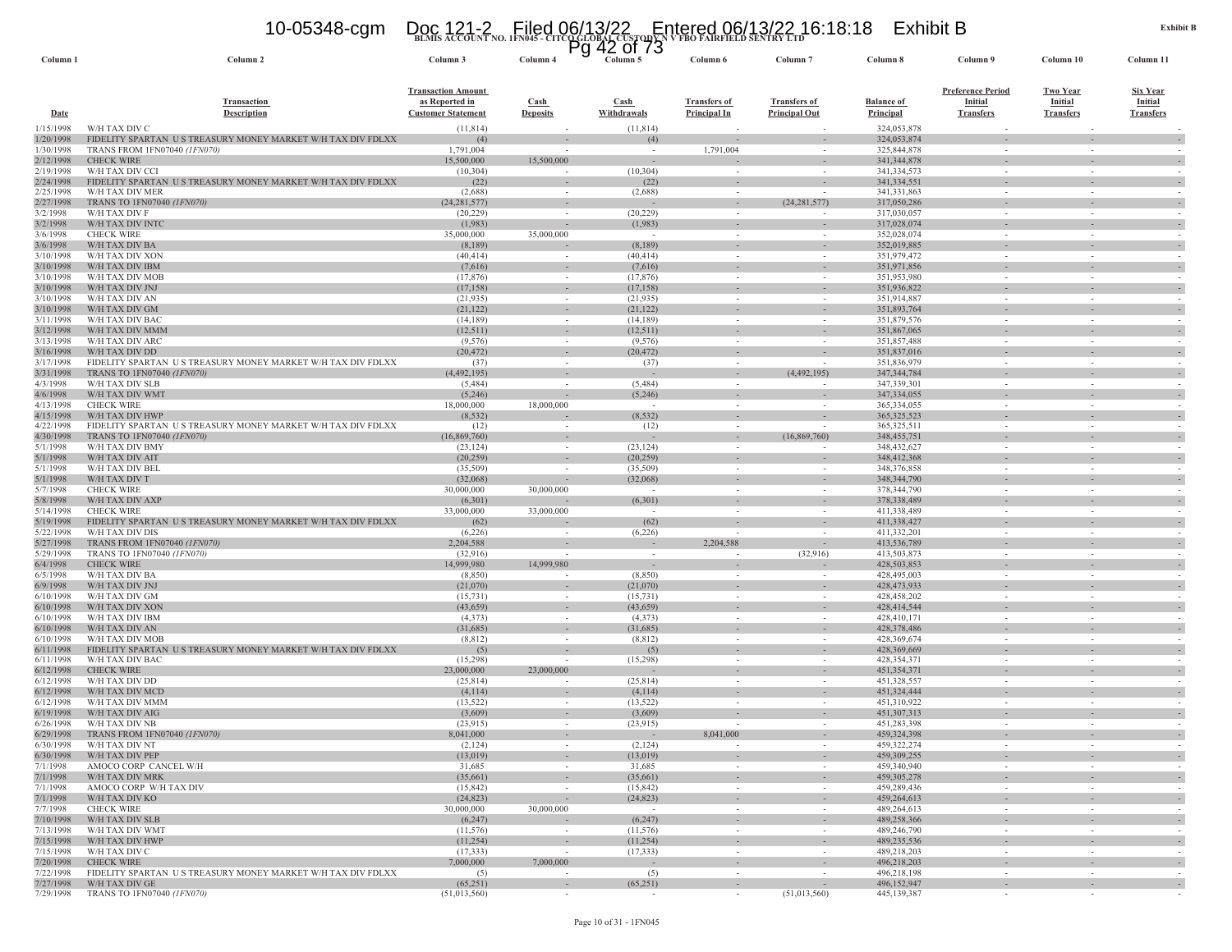### **BLMIS ACCOUNT NO. 1FN045 - CITCO GLOBAL CUSTODY N V FBO FAIRFIELD SENTRY LTD** 10-05348-cgm Doc 121-2 Filed 06/13/22 Entered 06/13/22 16:18:18 Exhibit B Pg 42 of 73

| Column 1               | Column <sub>2</sub>                                                                       | Column 3                                                                 | ۳y<br>Column 4                         | 44<br><b>UI</b> 13<br>Column 5       | Column 6                                   | Column <sub>7</sub>                                  | Column 8                              | Column 9                                                       | Column 10                                             | Column 11                                             |
|------------------------|-------------------------------------------------------------------------------------------|--------------------------------------------------------------------------|----------------------------------------|--------------------------------------|--------------------------------------------|------------------------------------------------------|---------------------------------------|----------------------------------------------------------------|-------------------------------------------------------|-------------------------------------------------------|
| <b>Date</b>            | <b>Transaction</b><br><b>Description</b>                                                  | <b>Transaction Amount</b><br>as Reported in<br><b>Customer Statement</b> | <b>Cash</b><br><b>Deposits</b>         | <b>Cash</b><br>Withdrawals           | <b>Transfers of</b><br><b>Principal In</b> | <b>Transfers of</b><br><b>Principal Out</b>          | <b>Balance of</b><br><b>Principal</b> | <b>Preference Period</b><br><b>Initial</b><br><b>Transfers</b> | <b>Two Year</b><br><b>Initial</b><br><b>Transfers</b> | <u>Six Year</u><br><b>Initial</b><br><b>Transfers</b> |
| 1/15/1998              | W/H TAX DIV C                                                                             | (11, 814)                                                                |                                        | (11, 814)                            |                                            |                                                      | 324,053,878                           |                                                                |                                                       |                                                       |
| 1/20/1998              | FIDELITY SPARTAN US TREASURY MONEY MARKET W/H TAX DIV FDLXX                               | (4)                                                                      |                                        | (4)                                  |                                            |                                                      | 324,053,874                           |                                                                |                                                       |                                                       |
| 1/30/1998<br>2/12/1998 | TRANS FROM 1FN07040 (1FN070)<br><b>CHECK WIRE</b>                                         | 1,791,004<br>15,500,000                                                  | 15,500,000                             | $\sim$                               | 1,791,004                                  | $\sim$                                               | 325,844,878<br>341, 344, 878          | $\sim$                                                         | $\sim$<br>$\sim$                                      |                                                       |
| 2/19/1998              | W/H TAX DIV CCI                                                                           | (10, 304)                                                                |                                        | (10, 304)                            |                                            |                                                      | 341,334,573                           |                                                                | $\overline{\phantom{a}}$                              |                                                       |
| 2/24/1998              | FIDELITY SPARTAN US TREASURY MONEY MARKET W/H TAX DIV FDLXX                               | (22)                                                                     | $\overline{\phantom{a}}$               | (22)                                 |                                            |                                                      | 341,334,551                           |                                                                |                                                       |                                                       |
| 2/25/1998<br>2/27/1998 | W/H TAX DIV MER<br>TRANS TO 1FN07040 (1FN070)                                             | (2,688)<br>(24, 281, 577)                                                |                                        | (2,688)                              | $\sim$<br>$\sim$                           | (24, 281, 577)                                       | 341, 331, 863<br>317,050,286          | $\sim$<br>$\sim$                                               | $\sim$<br>$\sim$                                      |                                                       |
| 3/2/1998               | W/H TAX DIV F                                                                             | (20, 229)                                                                |                                        | (20, 229)                            |                                            |                                                      | 317,030,057                           |                                                                |                                                       |                                                       |
| 3/2/1998               | W/H TAX DIV INTO                                                                          | (1,983)                                                                  |                                        | (1,983)                              | $\overline{\phantom{a}}$                   | $\overline{\phantom{a}}$                             | 317,028,074                           |                                                                | $\overline{\phantom{a}}$                              |                                                       |
| 3/6/1998<br>3/6/1998   | <b>CHECK WIRE</b><br>W/H TAX DIV BA                                                       | 35,000,000<br>(8,189)                                                    | 35,000,000                             | $\sim$<br>(8,189)                    | $\sim$                                     | $\overline{\phantom{a}}$<br>$\sim$                   | 352,028,074<br>352,019,885            | $\sim$                                                         |                                                       |                                                       |
| 3/10/1998              | W/H TAX DIV XON                                                                           | (40, 414)                                                                |                                        | (40, 414)                            | $\sim$                                     | $\overline{\phantom{a}}$                             | 351,979,472                           | $\sim$                                                         | $\sim$                                                |                                                       |
| 3/10/1998              | W/H TAX DIV IBM                                                                           | (7,616)                                                                  |                                        | (7,616)                              |                                            | $\overline{\phantom{a}}$                             | 351,971,856                           |                                                                | $\overline{\phantom{a}}$                              |                                                       |
| 3/10/1998<br>3/10/1998 | W/H TAX DIV MOB<br>W/H TAX DIV JNJ                                                        | (17, 876)<br>(17, 158)                                                   |                                        | (17, 876)<br>(17, 158)               | $\sim$                                     |                                                      | 351,953,980<br>351,936,822            | $\sim$                                                         | $\sim$                                                |                                                       |
| 3/10/1998              | W/H TAX DIV AN                                                                            | (21, 935)                                                                | $\sim$                                 | (21, 935)                            | $\sim$                                     | $\sim$                                               | 351,914,887                           | $\sim$                                                         | $\sim$                                                |                                                       |
| 3/10/1998              | W/H TAX DIV GM                                                                            | (21, 122)                                                                | $\sim$                                 | (21, 122)                            | $\sim$                                     | $\overline{\phantom{a}}$                             | 351,893,764                           |                                                                | $\sim$                                                |                                                       |
| 3/11/1998<br>3/12/1998 | W/H TAX DIV BAC<br>W/H TAX DIV MMM                                                        | (14, 189)<br>(12, 511)                                                   | $\sim$                                 | (14, 189)<br>(12,511)                | $\sim$                                     | $\sim$                                               | 351,879,576<br>351,867,065            | $\sim$                                                         | $\sim$                                                |                                                       |
| 3/13/1998              | W/H TAX DIV ARC                                                                           | (9,576)                                                                  | $\sim$                                 | (9, 576)                             | $\sim$                                     | $\sim$                                               | 351,857,488                           | $\sim$                                                         | $\sim$                                                |                                                       |
| 3/16/1998              | W/H TAX DIV DD                                                                            | (20, 472)                                                                | $\sim$                                 | (20, 472)                            | $\sim$                                     | $\sim$                                               | 351,837,016                           | $\sim$                                                         | $\sim$                                                |                                                       |
| 3/17/1998              | FIDELITY SPARTAN US TREASURY MONEY MARKET W/H TAX DIV FDLXX<br>TRANS TO 1FN07040 (1FN070) | (37)                                                                     |                                        | (37)                                 |                                            |                                                      | 351,836,979                           |                                                                |                                                       |                                                       |
| 3/31/1998<br>4/3/1998  | W/H TAX DIV SLB                                                                           | (4,492,195)<br>(5,484)                                                   | $\sim$                                 | $\overline{\phantom{a}}$<br>(5, 484) | $\sim$<br>$\overline{\phantom{a}}$         | (4,492,195)                                          | 347, 344, 784<br>347,339,301          |                                                                |                                                       |                                                       |
| 4/6/1998               | W/H TAX DIV WMT                                                                           | (5,246)                                                                  |                                        | (5,246)                              |                                            |                                                      | 347,334,055                           |                                                                |                                                       |                                                       |
| 4/13/1998              | <b>CHECK WIRE</b>                                                                         | 18,000,000                                                               | 18,000,000                             | $\sim$                               | $\sim$                                     | $\overline{\phantom{a}}$                             | 365,334,055                           | $\sim$                                                         | $\sim$                                                |                                                       |
| 4/15/1998<br>4/22/1998 | W/H TAX DIV HWP<br>FIDELITY SPARTAN US TREASURY MONEY MARKET W/H TAX DIV FDLXX            | (8, 532)<br>(12)                                                         |                                        | (8, 532)<br>(12)                     | $\sim$                                     |                                                      | 365, 325, 523<br>365, 325, 511        | $\sim$                                                         | $\sim$                                                |                                                       |
| 4/30/1998              | TRANS TO 1FN07040 (1FN070)                                                                | (16,869,760)                                                             |                                        |                                      |                                            | (16,869,760)                                         | 348, 455, 751                         |                                                                |                                                       |                                                       |
| 5/1/1998               | W/H TAX DIV BMY                                                                           | (23, 124)                                                                | $\sim$                                 | (23, 124)                            | $\sim$                                     | $\sim$                                               | 348, 432, 627                         | $\sim$                                                         | $\sim$                                                |                                                       |
| 5/1/1998<br>5/1/1998   | W/H TAX DIV AIT<br>W/H TAX DIV BEL                                                        | (20, 259)<br>(35,509)                                                    |                                        | (20, 259)<br>(35,509)                | $\sim$                                     |                                                      | 348, 412, 368<br>348,376,858          | $\sim$                                                         | $\sim$                                                |                                                       |
| 5/1/1998               | W/H TAX DIV T                                                                             | (32,068)                                                                 |                                        | (32,068)                             |                                            |                                                      | 348, 344, 790                         |                                                                |                                                       |                                                       |
| 5/7/1998               | <b>CHECK WIRE</b>                                                                         | 30,000,000                                                               | 30,000,000                             | $\sim$                               | $\sim$                                     | $\sim$                                               | 378, 344, 790                         | $\sim$                                                         | $\sim$                                                |                                                       |
| 5/8/1998<br>5/14/1998  | W/H TAX DIV AXP<br><b>CHECK WIRE</b>                                                      | (6,301)<br>33,000,000                                                    | 33,000,000                             | (6,301)                              | $\sim$                                     | $\sim$                                               | 378,338,489<br>411,338,489            | $\sim$                                                         | $\sim$<br>$\sim$                                      |                                                       |
| 5/19/1998              | FIDELITY SPARTAN US TREASURY MONEY MARKET W/H TAX DIV FDLXX                               | (62)                                                                     |                                        | (62)                                 |                                            | $\overline{\phantom{a}}$                             | 411,338,427                           |                                                                |                                                       |                                                       |
| 5/22/1998              | W/H TAX DIV DIS                                                                           | (6,226)                                                                  | $\sim$                                 | (6,226)                              | $\sim$                                     | $\sim$                                               | 411,332,201                           | $\sim$                                                         | $\sim$                                                |                                                       |
| 5/27/1998<br>5/29/1998 | TRANS FROM 1FN07040 (1FN070)<br>TRANS TO 1FN07040 (1FN070)                                | 2,204,588<br>(32,916)                                                    |                                        | $\sim$                               | 2,204,588<br>$\overline{\phantom{a}}$      | $\sim$<br>(32,916)                                   | 413,536,789<br>413,503,873            |                                                                | $\sim$                                                |                                                       |
| 6/4/1998               | <b>CHECK WIRE</b>                                                                         | 14,999,980                                                               | 14,999,980                             | $\sim$                               |                                            | $\overline{\phantom{a}}$                             | 428,503,853                           |                                                                |                                                       |                                                       |
| 6/5/1998               | W/H TAX DIV BA                                                                            | (8,850)                                                                  |                                        | (8,850)                              | $\sim$                                     |                                                      | 428,495,003                           | $\sim$                                                         | $\sim$                                                |                                                       |
| 6/9/1998<br>6/10/1998  | W/H TAX DIV JNJ<br>W/H TAX DIV GM                                                         | (21,070)<br>(15, 731)                                                    | $\sim$                                 | (21,070)<br>(15, 731)                | $\sim$                                     | $\overline{\phantom{a}}$<br>$\overline{\phantom{a}}$ | 428, 473, 933<br>428,458,202          | $\sim$                                                         | $\overline{\phantom{a}}$<br>$\sim$                    |                                                       |
| 6/10/1998              | W/H TAX DIV XON                                                                           | (43, 659)                                                                | $\sim$                                 | (43, 659)                            |                                            | $\overline{\phantom{a}}$                             | 428,414,544                           |                                                                |                                                       |                                                       |
| 6/10/1998              | W/H TAX DIV IBM                                                                           | (4,373)                                                                  | $\sim$                                 | (4,373)                              | $\sim$                                     | $\sim$                                               | 428,410,171                           | $\sim$                                                         | $\sim$                                                |                                                       |
| 6/10/1998<br>6/10/1998 | W/H TAX DIV AN<br>W/H TAX DIV MOB                                                         | (31,685)<br>(8, 812)                                                     | $\sim$                                 | (31,685)<br>(8, 812)                 | $\sim$                                     | $\sim$                                               | 428,378,486<br>428,369,674            | $\sim$                                                         | $\sim$                                                |                                                       |
| 6/11/1998              | FIDELITY SPARTAN US TREASURY MONEY MARKET W/H TAX DIV FDLXX                               | (5)                                                                      |                                        | (5)                                  |                                            |                                                      | 428, 369, 669                         |                                                                |                                                       |                                                       |
| 6/11/1998              | W/H TAX DIV BAC                                                                           | (15,298)                                                                 |                                        | (15,298)                             | $\sim$                                     |                                                      | 428,354,371                           | $\sim$                                                         | $\sim$                                                |                                                       |
| 6/12/1998<br>6/12/1998 | <b>CHECK WIRE</b><br>W/H TAX DIV DD                                                       | 23,000,000<br>(25, 814)                                                  | 23,000,000<br>$\overline{\phantom{a}}$ | (25, 814)                            | $\sim$                                     | $\overline{\phantom{a}}$<br>$\sim$                   | 451,354,371<br>451,328,557            | $\sim$                                                         | $\sim$                                                | $\sim$                                                |
| 6/12/1998              | W/H TAX DIV MCD                                                                           | (4,114)                                                                  |                                        | (4,114)                              |                                            | $\sim$                                               | 451,324,444                           |                                                                |                                                       |                                                       |
| 6/12/1998              | W/H TAX DIV MMM                                                                           | (13, 522)                                                                |                                        | (13, 522)                            | $\sim$                                     |                                                      | 451,310,922                           |                                                                | $\overline{\phantom{a}}$                              |                                                       |
| 6/19/1998<br>6/26/1998 | W/H TAX DIV AIG<br>W/H TAX DIV NB                                                         | (3,609)<br>(23,915)                                                      | $\overline{\phantom{a}}$               | (3,609)<br>(23,915)                  |                                            | $\overline{\phantom{a}}$                             | 451,307,313<br>451,283,398            |                                                                |                                                       |                                                       |
| 6/29/1998              | TRANS FROM 1FN07040 (1FN070)                                                              | 8,041,000                                                                | $\sim$                                 |                                      | 8,041,000                                  | $\sim$                                               | 459.324.398                           |                                                                | $\sim$                                                |                                                       |
| 6/30/1998              | W/H TAX DIV NT                                                                            | (2,124)                                                                  |                                        | (2,124)                              |                                            |                                                      | 459,322,274                           |                                                                |                                                       |                                                       |
| 6/30/1998<br>7/1/1998  | W/H TAX DIV PEP<br>AMOCO CORP CANCEL W/H                                                  | (13,019)<br>31,685                                                       | $\overline{\phantom{a}}$<br>$\sim$     | (13,019)<br>31,685                   | $\sim$<br>$\sim$                           | $\overline{\phantom{a}}$<br>$\sim$                   | 459,309,255<br>459,340,940            | $\sim$                                                         | $\overline{\phantom{a}}$<br>$\sim$                    | $\sim$                                                |
| 7/1/1998               | W/H TAX DIV MRK                                                                           | (35,661)                                                                 |                                        | (35,661)                             | $\sim$                                     | $\sim$                                               | 459,305,278                           | $\sim$                                                         | $\sim$                                                |                                                       |
| 7/1/1998               | AMOCO CORP W/H TAX DIV                                                                    | (15, 842)                                                                | $\sim$                                 | (15, 842)                            | $\sim$                                     | $\sim$                                               | 459,289,436                           | $\sim$                                                         | $\sim$                                                | $\overline{\phantom{a}}$                              |
| 7/1/1998               | W/H TAX DIV KO                                                                            | (24, 823)                                                                | $\sim$                                 | (24, 823)                            | $\sim$                                     | $\sim$                                               | 459,264,613                           | $\sim$                                                         | $\overline{\phantom{a}}$                              | $\overline{\phantom{a}}$                              |
| 7/7/1998<br>7/10/1998  | <b>CHECK WIRE</b><br>W/H TAX DIV SLB                                                      | 30,000,000<br>(6,247)                                                    | 30,000,000                             | $\sim$<br>(6,247)                    | $\sim$<br>$\sim$                           | $\sim$<br>$\sim$                                     | 489.264.613<br>489,258,366            | $\sim$                                                         | $\sim$<br>$\overline{\phantom{a}}$                    | $\overline{\phantom{a}}$                              |
| 7/13/1998              | W/H TAX DIV WMT                                                                           | (11, 576)                                                                | $\sim$                                 | (11, 576)                            | $\sim$                                     | $\sim$                                               | 489,246,790                           | $\sim$                                                         | $\sim$                                                | $\sim$                                                |
| 7/15/1998              | W/H TAX DIV HWP                                                                           | (11,254)                                                                 | $\sim$                                 | (11,254)                             | $\sim$                                     | $\sim$                                               | 489,235,536                           | $\sim$                                                         | $\sim$                                                | $\overline{\phantom{a}}$                              |
| 7/15/1998<br>7/20/1998 | W/H TAX DIV C<br><b>CHECK WIRE</b>                                                        | (17, 333)<br>7,000,000                                                   | $\sim$<br>7,000,000                    | (17, 333)<br>$\sim$                  | $\sim$<br>$\sim$                           | $\sim$<br>٠                                          | 489,218,203<br>496,218,203            | $\sim$                                                         | $\sim$<br>$\overline{\phantom{a}}$                    | $\overline{\phantom{a}}$                              |
| 7/22/1998              | FIDELITY SPARTAN U S TREASURY MONEY MARKET W/H TAX DIV FDLXX                              | (5)                                                                      | $\sim$                                 | (5)                                  | $\sim$                                     | $\sim$                                               | 496,218,198                           | $\sim$                                                         | $\sim$                                                | $\sim$                                                |
| 7/27/1998              | W/H TAX DIV GE                                                                            | (65,251)<br>(51,013,560)                                                 | $\sim$                                 | (65,251)                             | $\sim$                                     | $\sim$                                               | 496,152,947                           | $\sim$                                                         | $\sim$                                                | $\overline{\phantom{a}}$                              |
| 7/29/1998              | TRANS TO 1FN07040 (1FN070)                                                                |                                                                          |                                        |                                      | $\sim$                                     | (51,013,560)                                         | 445,139,387                           |                                                                |                                                       |                                                       |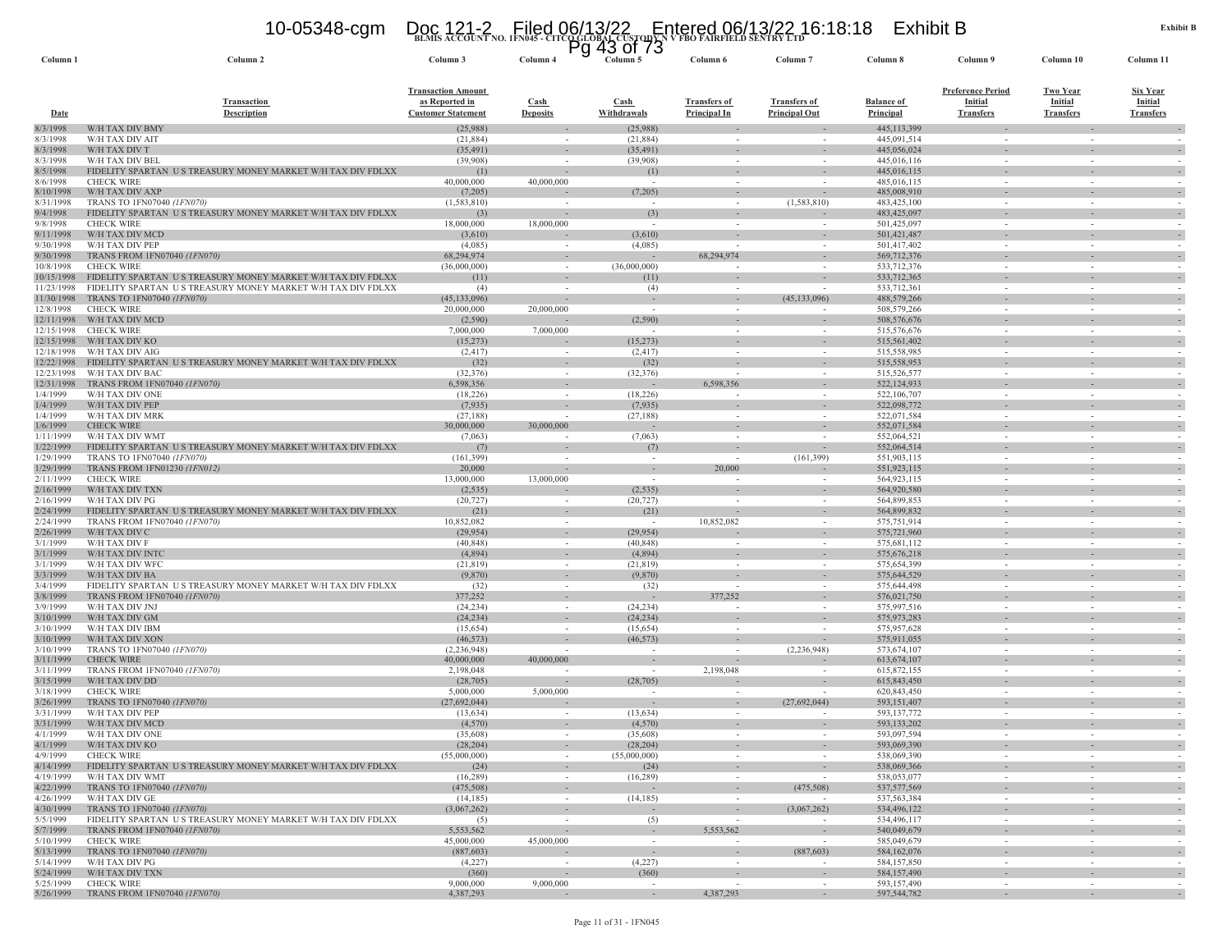## **BLMIS ACCOUNT NO. 1FN045 - CITCO GLOBAL CUSTODY N V FBO FAIRFIELD SENTRY LTD** 10-05348-cgm Doc 121-2 Filed 06/13/22 Entered 06/13/22 16:18:18 Exhibit B Pg 43 of 73

| Column <sub>1</sub>     | Column <sub>2</sub>                                                                         | Column 3                                                                 | Column <sub>4</sub>                | ט ויט ש<br>Column 5      | Column 6                            | Column <sub>7</sub>                                  | Column 8                       | Column 9                                                       | Column 10                                             | Column 11                                             |
|-------------------------|---------------------------------------------------------------------------------------------|--------------------------------------------------------------------------|------------------------------------|--------------------------|-------------------------------------|------------------------------------------------------|--------------------------------|----------------------------------------------------------------|-------------------------------------------------------|-------------------------------------------------------|
| Date                    | <b>Transaction</b><br>Description                                                           | <b>Transaction Amount</b><br>as Reported in<br><b>Customer Statement</b> | Cash<br><b>Deposits</b>            | Cash<br>Withdrawals      | <b>Transfers of</b><br>Principal In | <b>Transfers of</b><br><b>Principal Out</b>          | <b>Balance of</b><br>Principal | <b>Preference Period</b><br><b>Initial</b><br><b>Transfers</b> | <b>Two Year</b><br><b>Initial</b><br><b>Transfers</b> | <b>Six Year</b><br><b>Initial</b><br><b>Transfers</b> |
| 8/3/1998                | W/H TAX DIV BMY                                                                             | (25,988)                                                                 |                                    | (25,988)                 |                                     |                                                      | 445,113,399                    |                                                                |                                                       |                                                       |
| 8/3/1998                | W/H TAX DIV AIT                                                                             | (21, 884)                                                                | $\sim$                             | (21, 884)                | $\sim$                              | $\sim$                                               | 445,091,514                    | $\sim$                                                         | $\sim$                                                |                                                       |
| 8/3/1998<br>8/3/1998    | W/H TAX DIV T<br>W/H TAX DIV BEI                                                            | (35, 491)<br>(39,908)                                                    |                                    | (35, 491)<br>(39,908)    |                                     |                                                      | 445,056,024<br>445,016,116     |                                                                |                                                       |                                                       |
| 8/5/1998                | FIDELITY SPARTAN US TREASURY MONEY MARKET W/H TAX DIV FDLXX                                 | (1)                                                                      | $\overline{\phantom{a}}$           | (1)                      |                                     |                                                      | 445,016,115                    |                                                                |                                                       |                                                       |
| 8/6/1998                | <b>CHECK WIRE</b>                                                                           | 40,000,000                                                               | 40,000,000                         |                          | $\sim$                              |                                                      | 485,016,115                    |                                                                | $\sim$                                                |                                                       |
| 8/10/1998               | W/H TAX DIV AXP                                                                             | (7,205)                                                                  |                                    | (7,205)                  | $\sim$                              | $\sim$                                               | 485,008,910                    |                                                                | $\sim$                                                |                                                       |
| 8/31/1998               | TRANS TO 1FN07040 (1FN070)                                                                  | (1, 583, 810)                                                            |                                    | $\overline{\phantom{a}}$ |                                     | (1,583,810)                                          | 483, 425, 100                  |                                                                | $\overline{\phantom{a}}$                              |                                                       |
| 9/4/1998                | FIDELITY SPARTAN US TREASURY MONEY MARKET W/H TAX DIV FDLXX                                 | (3)                                                                      |                                    | (3)                      |                                     |                                                      | 483, 425, 097                  |                                                                |                                                       |                                                       |
| 9/8/1998<br>9/11/1998   | <b>CHECK WIRE</b><br>W/H TAX DIV MCD                                                        | 18,000,000<br>(3,610)                                                    | 18,000,000                         | (3,610)                  |                                     | $\overline{\phantom{a}}$                             | 501,425,097<br>501,421,487     |                                                                | $\overline{\phantom{a}}$                              |                                                       |
| 9/30/1998               | W/H TAX DIV PEP                                                                             | (4,085)                                                                  |                                    | (4,085)                  |                                     | $\overline{\phantom{a}}$                             | 501,417,402                    | $\sim$                                                         |                                                       |                                                       |
| 9/30/1998               | TRANS FROM 1FN07040 (1FN070)                                                                | 68,294,974                                                               | $\sim$                             |                          | 68,294,974                          |                                                      | 569,712,376                    |                                                                |                                                       |                                                       |
| 10/8/1998               | <b>CHECK WIRE</b>                                                                           | (36,000,000)                                                             | $\sim$                             | (36,000,000)             |                                     |                                                      | 533,712,376                    | $\sim$                                                         | $\sim$                                                |                                                       |
| 10/15/1998              | FIDELITY SPARTAN US TREASURY MONEY MARKET W/H TAX DIV FDLXX                                 | (11)                                                                     |                                    | (11)                     |                                     |                                                      | 533,712,365                    |                                                                |                                                       |                                                       |
| 11/23/1998              | FIDELITY SPARTAN US TREASURY MONEY MARKET W/H TAX DIV FDLXX                                 | (4)                                                                      | $\sim$                             | (4)                      | $\sim$                              |                                                      | 533,712,361                    | $\sim$                                                         | $\sim$                                                |                                                       |
| 11/30/1998              | TRANS TO 1FN07040 (1FN070)                                                                  | (45, 133, 096)                                                           |                                    |                          |                                     | (45, 133, 096)                                       | 488,579,266                    |                                                                |                                                       |                                                       |
| 12/8/1998<br>12/11/1998 | <b>CHECK WIRE</b><br>W/H TAX DIV MCD                                                        | 20,000,000<br>(2,590)                                                    | 20,000,000                         | (2,590)                  | $\sim$                              |                                                      | 508,579,266<br>508,576,676     |                                                                | $\sim$                                                |                                                       |
| 12/15/1998              | <b>CHECK WIRE</b>                                                                           | 7,000,000                                                                | 7,000,000                          | $\sim$                   | $\sim$                              | $\sim$                                               | 515,576,676                    | $\sim$                                                         | $\sim$                                                |                                                       |
| 12/15/1998              | W/H TAX DIV KO                                                                              | (15,273)                                                                 |                                    | (15,273)                 |                                     |                                                      | 515, 561, 402                  |                                                                |                                                       |                                                       |
| 12/18/1998              | W/H TAX DIV AIG                                                                             | (2, 417)                                                                 |                                    | (2, 417)                 |                                     |                                                      | 515,558,985                    |                                                                | $\overline{\phantom{a}}$                              |                                                       |
| 12/22/1998              | FIDELITY SPARTAN US TREASURY MONEY MARKET W/H TAX DIV FDLXX                                 | (32)                                                                     | $\sim$                             | (32)                     |                                     | $\overline{\phantom{a}}$                             | 515,558,953                    |                                                                |                                                       |                                                       |
| 12/23/1998              | W/H TAX DIV BAC                                                                             | (32, 376)                                                                |                                    | (32, 376)                |                                     |                                                      | 515,526,577                    |                                                                |                                                       |                                                       |
| 12/31/1998              | TRANS FROM 1FN07040 (1FN070)                                                                | 6,598,356                                                                | $\sim$                             |                          | 6,598,356                           | $\sim$                                               | 522,124,933                    | $\sim$                                                         | $\sim$                                                |                                                       |
| 1/4/1999<br>1/4/1999    | W/H TAX DIV ONE<br>W/H TAX DIV PEP                                                          | (18, 226)<br>(7,935)                                                     | $\sim$<br>$\overline{\phantom{a}}$ | (18,226)<br>(7,935)      | $\sim$                              | $\overline{\phantom{a}}$<br>$\overline{\phantom{a}}$ | 522,106,707<br>522,098,772     | $\sim$                                                         |                                                       |                                                       |
| 1/4/1999                | W/H TAX DIV MRK                                                                             | (27, 188)                                                                |                                    | (27, 188)                | $\sim$                              |                                                      | 522,071,584                    |                                                                |                                                       |                                                       |
| 1/6/1999                | <b>CHECK WIRE</b>                                                                           | 30,000,000                                                               | 30,000,000                         |                          |                                     |                                                      | 552,071,584                    |                                                                |                                                       |                                                       |
| 1/11/1999               | W/H TAX DIV WMT                                                                             | (7,063)                                                                  | $\sim$                             | (7,063)                  | $\sim$                              | $\sim$                                               | 552,064,521                    | $\sim$                                                         | $\sim$                                                |                                                       |
| 1/22/1999               | FIDELITY SPARTAN US TREASURY MONEY MARKET W/H TAX DIV FDLXX                                 | (7)                                                                      |                                    | (7)                      |                                     |                                                      | 552,064,514                    |                                                                |                                                       |                                                       |
| 1/29/1999               | TRANS TO 1FN07040 (1FN070)                                                                  | (161, 399)                                                               |                                    | $\sim$                   |                                     | (161, 399)                                           | 551,903,115                    | $\sim$                                                         | $\sim$                                                |                                                       |
| 1/29/1999               | TRANS FROM 1FN01230 (1FN012)                                                                | 20,000                                                                   |                                    |                          | 20,000                              |                                                      | 551,923,115                    |                                                                |                                                       |                                                       |
| 2/11/1999<br>2/16/1999  | <b>CHECK WIRE</b><br>W/H TAX DIV TXN                                                        | 13,000,000<br>(2, 535)                                                   | 13,000,000                         | $\sim$<br>(2,535)        | $\sim$                              | $\sim$                                               | 564,923,115<br>564,920,580     | $\sim$                                                         | $\sim$                                                |                                                       |
| 2/16/1999               | W/H TAX DIV PG                                                                              | (20, 727)                                                                | $\sim$                             | (20, 727)                | $\sim$                              | $\sim$                                               | 564,899,853                    | $\sim$                                                         | $\sim$                                                |                                                       |
| 2/24/1999               | FIDELITY SPARTAN U S TREASURY MONEY MARKET W/H TAX DIV FDLXX                                | (21)                                                                     |                                    | (21)                     | $\sim$                              |                                                      | 564,899,832                    |                                                                |                                                       |                                                       |
| 2/24/1999               | TRANS FROM 1FN07040 (1FN070)                                                                | 10,852,082                                                               | $\sim$                             | $\sim$                   | 10,852,082                          | $\sim$                                               | 575,751,914                    | $\sim$                                                         | $\sim$                                                |                                                       |
| 2/26/1999               | W/H TAX DIV C                                                                               | (29, 954)                                                                | $\sim$                             | (29, 954)                |                                     | $\sim$                                               | 575,721,960                    | $\sim$                                                         | $\sim$                                                |                                                       |
| 3/1/1999                | W/H TAX DIV F                                                                               | (40, 848)                                                                |                                    | (40, 848)                |                                     |                                                      | 575,681,112                    |                                                                |                                                       |                                                       |
| 3/1/1999                | W/H TAX DIV INTC                                                                            | (4,894)                                                                  | $\sim$                             | (4,894)                  | $\sim$                              | $\overline{\phantom{a}}$                             | 575, 676, 218                  |                                                                |                                                       |                                                       |
| 3/1/1999<br>3/3/1999    | W/H TAX DIV WFC<br>W/H TAX DIV BA                                                           | (21, 819)<br>(9,870)                                                     | $\sim$                             | (21, 819)<br>(9,870)     |                                     | $\overline{\phantom{a}}$                             | 575,654,399<br>575,644,529     |                                                                |                                                       |                                                       |
| 3/4/1999                | FIDELITY SPARTAN US TREASURY MONEY MARKET W/H TAX DIV FDLXX                                 | (32)                                                                     | $\sim$                             | (32)                     |                                     |                                                      | 575,644,498                    | $\sim$                                                         | $\sim$                                                |                                                       |
| 3/8/1999                | TRANS FROM 1FN07040 (1FN070)                                                                | 377,252                                                                  |                                    |                          | 377,252                             |                                                      | 576,021,750                    |                                                                |                                                       |                                                       |
| 3/9/1999                | W/H TAX DIV JNJ                                                                             | (24, 234)                                                                |                                    | (24, 234)                |                                     |                                                      | 575,997,516                    |                                                                |                                                       |                                                       |
| 3/10/1999               | W/H TAX DIV GM                                                                              | (24, 234)                                                                |                                    | (24, 234)                |                                     |                                                      | 575,973,283                    |                                                                |                                                       |                                                       |
| 3/10/1999               | W/H TAX DIV IBM                                                                             | (15, 654)                                                                | $\sim$                             | (15, 654)                | $\sim$                              | $\overline{\phantom{a}}$                             | 575,957,628                    | $\sim$                                                         | $\sim$                                                |                                                       |
| 3/10/1999               | W/H TAX DIV XON<br>TRANS TO 1FN07040 (1FN070)                                               | (46, 573)                                                                |                                    | (46, 573)                |                                     | (2,236,948)                                          | 575,911,055<br>573,674,107     | $\sim$                                                         | $\sim$                                                |                                                       |
| 3/10/1999<br>3/11/1999  | <b>CHECK WIRE</b>                                                                           | (2, 236, 948)<br>40,000,000                                              | 40,000,000                         |                          | $\overline{\phantom{a}}$            |                                                      | 613, 674, 107                  |                                                                |                                                       |                                                       |
| 3/11/1999               | TRANS FROM 1FN07040 (1FN070)                                                                | 2,198,048                                                                |                                    | $\sim$                   | 2,198,048                           | $\sim$                                               | 615,872,155                    | $\sim$                                                         | $\sim$                                                |                                                       |
| 3/15/1999               | W/H TAX DIV DD                                                                              | (28, 705)                                                                |                                    | (28, 705)                |                                     |                                                      | 615,843,450                    | $\sim$                                                         | $\sim$                                                |                                                       |
| 3/18/1999               | <b>CHECK WIRE</b>                                                                           | 5,000,000                                                                | 5,000,000                          | $\sim$                   |                                     |                                                      | 620, 843, 450                  |                                                                |                                                       |                                                       |
| 3/26/1999               | TRANS TO 1FN07040 (1FN070)                                                                  | (27,692,044)                                                             |                                    |                          |                                     | (27,692,044)                                         | 593,151,407                    |                                                                |                                                       |                                                       |
| 3/31/1999               | W/H TAX DIV PEP                                                                             | (13, 634)                                                                | $\sim$                             | (13, 634)                | $\sim$                              |                                                      | 593, 137, 772                  |                                                                | $\sim$                                                |                                                       |
| 3/31/1999<br>4/1/1999   | W/H TAX DIV MCD<br>W/H TAX DIV ONE                                                          | (4,570)<br>(35,608)                                                      |                                    | (4,570)<br>(35,608)      |                                     |                                                      | 593,133,202<br>593,097,594     |                                                                |                                                       |                                                       |
| 4/1/1999                | W/H TAX DIV KO                                                                              | (28, 204)                                                                |                                    | (28, 204)                |                                     |                                                      | 593,069,390                    |                                                                |                                                       |                                                       |
| 4/9/1999                | <b>CHECK WIRE</b>                                                                           | (55,000,000)                                                             | $\sim$                             | (55,000,000)             | $\sim$                              | $\sim$                                               | 538,069,390                    | $\sim$                                                         |                                                       |                                                       |
| 4/14/1999               | FIDELITY SPARTAN US TREASURY MONEY MARKET W/H TAX DIV FDLXX                                 | (24)                                                                     | $\sim$                             | (24)                     | $\sim$                              | $\overline{\phantom{a}}$                             | 538,069,366                    | $\sim$                                                         | $\sim$                                                | $\sim$                                                |
| 4/19/1999               | W/H TAX DIV WMT                                                                             | (16, 289)                                                                | $\sim$                             | (16, 289)                | $\sim$                              |                                                      | 538,053,077                    | $\sim$                                                         | $\sim$                                                | $\sim$                                                |
| 4/22/1999               | TRANS TO 1FN07040 (1FN070)                                                                  | (475,508)                                                                | $\sim$                             |                          | $\sim$                              | (475,508)                                            | 537, 577, 569                  | $\sim$                                                         | $\overline{\phantom{a}}$                              | $\overline{\phantom{a}}$                              |
| 4/26/1999               | W/H TAX DIV GE                                                                              | (14, 185)                                                                | $\sim$                             | (14, 185)                | $\sim$                              |                                                      | 537, 563, 384                  | $\sim$                                                         | $\sim$                                                |                                                       |
| 4/30/1999<br>5/5/1999   | TRANS TO 1FN07040 (1FN070)                                                                  | (3,067,262)                                                              |                                    |                          |                                     | (3,067,262)                                          | 534,496,122<br>534,496,117     |                                                                |                                                       | $\overline{\phantom{a}}$                              |
| 5/7/1999                | FIDELITY SPARTAN US TREASURY MONEY MARKET W/H TAX DIV FDLXX<br>TRANS FROM 1FN07040 (1FN070) | (5)<br>5,553,562                                                         | $\sim$                             | (5)<br>$\sim$            | $\sim$<br>5,553,562                 | $\sim$                                               | 540,049,679                    | $\sim$<br>$\sim$                                               | $\sim$<br>$\overline{\phantom{a}}$                    | $\sim$<br>$\sim$                                      |
| 5/10/1999               | <b>CHECK WIRE</b>                                                                           | 45,000,000                                                               | 45,000,000                         | $\sim$                   |                                     |                                                      | 585,049,679                    | $\sim$                                                         | $\sim$                                                |                                                       |
| 5/13/1999               | TRANS TO 1FN07040 (1FN070)                                                                  | (887, 603)                                                               |                                    | $\sim$                   | $\sim$                              | (887, 603)                                           | 584,162,076                    |                                                                | $\sim$                                                | $\sim$                                                |
| 5/14/1999               | W/H TAX DIV PG                                                                              | (4,227)                                                                  | $\sim$                             | (4,227)                  | $\sim$                              | $\sim$                                               | 584,157,850                    | $\sim$                                                         | $\sim$                                                | $\overline{\phantom{a}}$                              |
| 5/24/1999               | W/H TAX DIV TXN                                                                             | (360)                                                                    |                                    | (360)                    | $\sim$                              | $\sim$                                               | 584,157,490                    | $\sim$                                                         | $\sim$                                                | $\overline{\phantom{a}}$                              |
| 5/25/1999               | <b>CHECK WIRE</b>                                                                           | 9,000,000                                                                | 9,000,000                          | $\overline{\phantom{a}}$ |                                     |                                                      | 593,157,490                    | $\overline{\phantom{a}}$                                       |                                                       |                                                       |
|                         | 5/26/1999 TRANS FROM 1FN07040 (1FN070)                                                      | 4,387,293                                                                |                                    | $\sim$                   | 4,387,293                           |                                                      | 597,544,782                    |                                                                |                                                       |                                                       |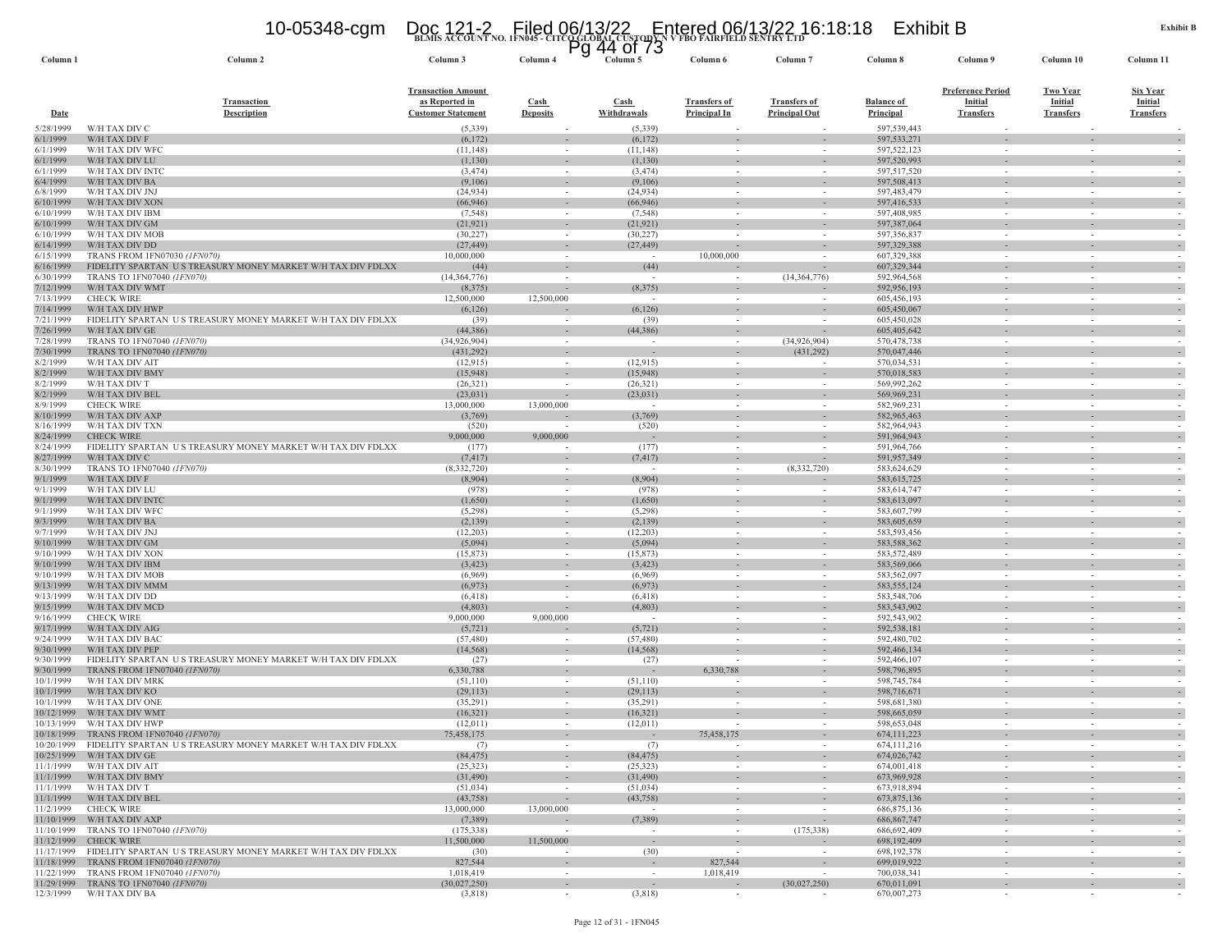W/H TAX DIV BA

### **BLMIS ACCOUNT NO. 1FN045 - CITCO GLOBAL CUSTODY N V FBO FAIRFIELD SENTRY LTD** 10-05348-cgm Doc 121-2 Filed 06/13/22 Entered 06/13/22 16:18:18 Exhibit B Pg 44 of 73

**Column 1 Column 2 Column 3 Column 4 Column 5 Column 6 Column 7 Column 8 Column 9 Column 10 Column 11**

| Date                     | <b>Transaction</b><br><b>Description</b>                                       | <b>Transaction Amount</b><br>as Reported in<br><b>Customer Statement</b> | $\operatorname{Cash}$<br><b>Deposits</b> | $\frac{\text{Cash}}{\text{Cash}}$<br>Withdrawals | <b>Transfers of</b><br>Principal In  | <b>Transfers of</b><br><b>Principal Out</b> | <b>Balance of</b><br>Principal | <b>Preference Period</b><br><b>Initial</b><br><b>Transfers</b> | Two Year<br><b>Initial</b><br><b>Transfers</b> | Six Year<br><b>Initial</b><br><b>Transfers</b> |
|--------------------------|--------------------------------------------------------------------------------|--------------------------------------------------------------------------|------------------------------------------|--------------------------------------------------|--------------------------------------|---------------------------------------------|--------------------------------|----------------------------------------------------------------|------------------------------------------------|------------------------------------------------|
| 5/28/1999                | W/H TAX DIV C                                                                  | (5, 339)                                                                 |                                          | (5, 339)                                         |                                      |                                             | 597,539,443                    |                                                                |                                                |                                                |
| 6/1/1999                 | W/H TAX DIV F                                                                  | (6,172)                                                                  | $\sim$                                   | (6,172)                                          |                                      |                                             | 597,533,271                    |                                                                | $\sim$                                         |                                                |
| 6/1/1999                 | W/H TAX DIV WFC                                                                | (11, 148)                                                                |                                          | (11, 148)                                        | $\sim$                               |                                             | 597,522,123                    | $\sim$                                                         | ÷                                              |                                                |
| 6/1/1999                 | W/H TAX DIV LU                                                                 | (1,130)                                                                  | $\sim$                                   | (1, 130)                                         | $\sim$                               | $\overline{\phantom{a}}$                    | 597,520,993                    |                                                                | $\sim$                                         |                                                |
| 6/1/1999<br>6/4/1999     | W/H TAX DIV INTC<br>W/H TAX DIV BA                                             | (3, 474)<br>(9,106)                                                      |                                          | (3, 474)<br>(9,106)                              |                                      |                                             | 597,517,520<br>597,508,413     |                                                                | ÷.                                             |                                                |
| 6/8/1999                 | W/H TAX DIV JNJ                                                                | (24, 934)                                                                |                                          | (24, 934)                                        |                                      |                                             | 597,483,479                    |                                                                |                                                |                                                |
| 6/10/1999                | W/H TAX DIV XON                                                                | (66, 946)                                                                |                                          | (66, 946)                                        |                                      |                                             | 597,416,533                    |                                                                | ÷,                                             |                                                |
| 6/10/1999                | W/H TAX DIV IBM                                                                | (7, 548)                                                                 |                                          | (7, 548)                                         |                                      |                                             | 597,408,985                    |                                                                |                                                |                                                |
| 6/10/1999                | W/H TAX DIV GM                                                                 | (21, 921)                                                                |                                          | (21, 921)                                        |                                      |                                             | 597,387,064                    |                                                                |                                                |                                                |
| 6/10/1999                | W/H TAX DIV MOB                                                                | (30, 227)                                                                |                                          | (30, 227)                                        |                                      |                                             | 597,356,837                    |                                                                |                                                |                                                |
| 6/14/1999<br>6/15/1999   | W/H TAX DIV DD<br>TRANS FROM 1FN07030 (1FN070)                                 | (27, 449)<br>10,000,000                                                  |                                          | (27, 449)                                        | $\sim$<br>10,000,000                 |                                             | 597,329,388<br>607,329,388     |                                                                | $\blacksquare$                                 |                                                |
| 6/16/1999                | FIDELITY SPARTAN US TREASURY MONEY MARKET W/H TAX DIV FDLXX                    | (44)                                                                     |                                          | (44)                                             | $\sim$                               |                                             | 607,329,344                    |                                                                | ÷,                                             |                                                |
| 6/30/1999                | TRANS TO 1FN07040 (1FN070)                                                     | (14, 364, 776)                                                           |                                          |                                                  | $\sim$                               | (14,364,776)                                | 592,964,568                    |                                                                |                                                |                                                |
| 7/12/1999                | W/H TAX DIV WMT                                                                | (8,375)                                                                  | $\sim$                                   | (8,375)                                          | $\sim$                               |                                             | 592,956,193                    |                                                                | $\overline{\phantom{a}}$                       |                                                |
| 7/13/1999                | <b>CHECK WIRE</b>                                                              | 12,500,000                                                               | 12,500,000                               |                                                  | $\sim$                               |                                             | 605,456,193                    |                                                                |                                                |                                                |
| 7/14/1999                | W/H TAX DIV HWP                                                                | (6,126)                                                                  |                                          | (6, 126)                                         | $\sim$                               | $\sim$                                      | 605,450,067                    | $\sim$                                                         | ÷,                                             |                                                |
| 7/21/1999<br>7/26/1999   | FIDELITY SPARTAN US TREASURY MONEY MARKET W/H TAX DIV FDLXX<br>W/H TAX DIV GE  | (39)<br>(44, 386)                                                        |                                          | (39)<br>(44, 386)                                | $\sim$                               |                                             | 605,450,028<br>605,405,642     | $\sim$                                                         | $\sim$                                         |                                                |
| 7/28/1999                | TRANS TO 1FN07040 (1FN070)                                                     | (34,926,904)                                                             | $\sim$<br>$\sim$                         | $\overline{\phantom{a}}$                         | $\sim$<br>$\sim$                     | (34,926,904)                                | 570,478,738                    | $\sim$<br>$\sim$                                               | $\sim$                                         |                                                |
| 7/30/1999                | TRANS TO 1FN07040 (1FN070)                                                     | (431,292)                                                                | $\sim$                                   | $\overline{\phantom{a}}$                         | $\sim$                               | (431, 292)                                  | 570,047,446                    | $\sim$                                                         | $\sim$                                         |                                                |
| 8/2/1999                 | W/H TAX DIV AIT                                                                | (12, 915)                                                                | $\sim$                                   | (12.915)                                         | $\sim$                               |                                             | 570,034,531                    | $\sim$                                                         | $\sim$                                         | $\overline{\phantom{a}}$                       |
| 8/2/1999                 | W/H TAX DIV BMY                                                                | (15,948)                                                                 | $\sim$                                   | (15,948)                                         | $\sim$                               | $\overline{\phantom{a}}$                    | 570,018.583                    | $\sim$                                                         | $\overline{\phantom{a}}$                       |                                                |
| 8/2/1999                 | W/H TAX DIV T                                                                  | (26, 321)                                                                | $\sim$                                   | (26, 321)                                        | $\sim$                               | $\overline{\phantom{a}}$                    | 569,992,262                    | $\sim$                                                         | $\sim$                                         | $\overline{\phantom{a}}$                       |
| 8/2/1999                 | W/H TAX DIV BEL                                                                | (23, 031)                                                                |                                          | (23, 031)                                        | $\sim$                               | $\overline{\phantom{a}}$                    | 569,969,23                     | $\sim$                                                         | $\overline{\phantom{a}}$                       |                                                |
| 8/9/1999                 | <b>CHECK WIRE</b>                                                              | 13,000,000                                                               | 13,000,000                               | $\overline{\phantom{a}}$                         | $\sim$                               | $\sim$                                      | 582,969,231                    | $\sim$                                                         | $\sim$                                         | $\sim$                                         |
| 8/10/1999<br>8/16/1999   | W/H TAX DIV AXP<br>W/H TAX DIV TXN                                             | (3,769)<br>(520)                                                         | $\sim$                                   | (3,769)<br>(520)                                 | $\sim$<br>$\sim$                     | $\overline{\phantom{a}}$<br>$\sim$          | 582,965,463<br>582,964,943     | $\overline{\phantom{a}}$<br>$\sim$                             | $\overline{\phantom{a}}$<br>$\sim$             | $\sim$                                         |
| 8/24/1999                | <b>CHECK WIRE</b>                                                              | 9,000,000                                                                | 9,000,000                                |                                                  | $\sim$                               | $\sim$                                      | 591,964,943                    | $\sim$                                                         |                                                |                                                |
| 8/24/1999                | FIDELITY SPARTAN US TREASURY MONEY MARKET W/H TAX DIV FDLXX                    | (177)                                                                    |                                          | (177)                                            | $\sim$                               | ÷.                                          | 591,964,766                    | $\sim$                                                         | $\sim$                                         |                                                |
| 8/27/1999                | W/H TAX DIV C                                                                  | (7, 417)                                                                 |                                          | (7, 417)                                         | $\sim$                               |                                             | 591,957,349                    | $\sim$                                                         |                                                |                                                |
| 8/30/1999                | TRANS TO 1FN07040 (1FN070)                                                     | (8,332,720)                                                              | $\sim$                                   | $\sim$                                           | $\sim$                               | (8, 332, 720)                               | 583,624,629                    | $\sim$                                                         | $\sim$                                         |                                                |
| 9/1/1999                 | W/H TAX DIV F                                                                  | (8,904)                                                                  | $\sim$                                   | (8,904)                                          | $\sim$                               |                                             | 583,615,725                    | $\sim$                                                         |                                                |                                                |
| 9/1/1999<br>9/1/1999     | W/H TAX DIV LU<br>W/H TAX DIV INTO                                             | (978)<br>(1,650)                                                         |                                          | (978)<br>(1,650)                                 | ÷,                                   |                                             | 583,614,747<br>583,613,097     | $\sim$                                                         |                                                |                                                |
| 9/1/1999                 | W/H TAX DIV WFC                                                                | (5,298)                                                                  | $\sim$                                   | (5,298)                                          | $\overline{\phantom{a}}$<br>$\equiv$ | $\overline{\phantom{a}}$<br>$\sim$          | 583,607,799                    | $\sim$<br>$\blacksquare$                                       | $\bar{\phantom{a}}$                            |                                                |
| 9/3/1999                 | W/H TAX DIV BA                                                                 | (2,139)                                                                  | $\sim$                                   | (2,139)                                          | $\overline{\phantom{a}}$             | $\overline{\phantom{a}}$                    | 583,605,659                    | $\sim$                                                         |                                                |                                                |
| 9/7/1999                 | W/H TAX DIV JNJ                                                                | (12,203)                                                                 | $\sim$                                   | (12,203)                                         | $\omega$                             | $\sim$                                      | 583,593,456                    | $\sim$                                                         | $\sim$                                         |                                                |
| 9/10/1999                | W/H TAX DIV GM                                                                 | (5,094)                                                                  | $\sim$                                   | (5,094)                                          | $\sim$                               | $\sim$                                      | 583,588,362                    | $\sim$                                                         | $\sim$                                         |                                                |
| 9/10/1999                | W/H TAX DIV XON                                                                | (15, 873)                                                                | $\sim$                                   | (15, 873)                                        | $\sim$                               | $\sim$                                      | 583,572,489                    | $\sim$                                                         | $\sim$                                         |                                                |
| 9/10/1999                | W/H TAX DIV IBM<br>W/H TAX DIV MOB                                             | (3, 423)<br>(6.969)                                                      | $\sim$                                   | (3, 423)                                         | $\sim$                               | $\sim$<br>$\sim$                            | 583,569,066<br>583,562,097     | $\sim$<br>$\sim$                                               | $\sim$<br>$\sim$                               |                                                |
| 9/10/1999<br>9/13/1999   | W/H TAX DIV MMN                                                                | (6,973)                                                                  | $\sim$                                   | (6,969)<br>(6,973)                               | $\sim$<br>$\sim$                     | $\sim$                                      | 583, 555, 124                  | $\sim$                                                         | $\sim$                                         |                                                |
| 9/13/1999                | W/H TAX DIV DD                                                                 | (6.418)                                                                  |                                          | (6.418)                                          | $\sim$                               | $\sim$                                      | 583,548,706                    | $\sim$                                                         | $\sim$                                         |                                                |
| 9/15/1999                | W/H TAX DIV MCD                                                                | (4, 803)                                                                 |                                          | (4, 803)                                         | $\sim$                               | $\sim$                                      | 583.543.902                    | $\sim$                                                         | $\sim$                                         |                                                |
| 9/16/1999                | <b>CHECK WIRE</b>                                                              | 9,000,000                                                                | 9,000,000                                |                                                  | $\sim$                               | $\sim$                                      | 592,543,902                    | $\sim$                                                         | $\sim$                                         |                                                |
| 9/17/1999                | W/H TAX DIV AIG                                                                | (5, 721)                                                                 |                                          | (5, 721)                                         | $\sim$                               | $\sim$                                      | 592,538,181                    |                                                                | $\sim$                                         |                                                |
| 9/24/1999                | W/H TAX DIV BAC                                                                | (57, 480)<br>(14, 568)                                                   | $\sim$                                   | (57, 480)<br>(14, 568)                           | in 1919.                             | $\sim$                                      | 592,480,702                    | $\sim$                                                         | $\sim$                                         |                                                |
| 9/30/1999<br>9/30/1999   | W/H TAX DIV PEP<br>FIDELITY SPARTAN US TREASURY MONEY MARKET W/H TAX DIV FDLXX | (27)                                                                     | $\sim$                                   | (27)                                             |                                      | $\overline{\phantom{a}}$<br>$\sim$          | 592,466,134<br>592,466,107     | $\sim$                                                         | $\sim$<br>$\sim$                               |                                                |
| 9/30/1999                | TRANS FROM 1FN07040 (1FN070)                                                   | 6,330,788                                                                |                                          |                                                  | 6,330,788                            |                                             | 598,796,895                    |                                                                | ÷.                                             |                                                |
| 10/1/1999                | W/H TAX DIV MRK                                                                | (51, 110)                                                                | $\sim$                                   | (51, 110)                                        | $\sim$                               | $\sim$                                      | 598,745,784                    | $\sim$                                                         | $\sim$                                         |                                                |
| 10/1/1999                | W/H TAX DIV KO                                                                 | (29, 113)                                                                |                                          | (29, 113)                                        |                                      |                                             | 598,716,671                    |                                                                | ÷.                                             |                                                |
| 10/1/1999                | W/H TAX DIV ONE                                                                | (35,291)                                                                 |                                          | (35,291)                                         |                                      |                                             | 598,681,380                    |                                                                | $\omega$                                       |                                                |
| 10/12/1999               | W/H TAX DIV WMT                                                                | (16,321)                                                                 |                                          | (16,321)                                         |                                      |                                             | 598,665,059                    |                                                                |                                                |                                                |
| 10/13/1999<br>10/18/1999 | W/H TAX DIV HWP<br>TRANS FROM 1FN07040 (1FN070)                                | (12,011)<br>75,458,175                                                   |                                          | (12,011)<br>$\overline{\phantom{a}}$             | 75,458,175                           |                                             | 598,653,048<br>674, 111, 223   |                                                                | ÷.                                             |                                                |
| 10/20/1999               | FIDELITY SPARTAN US TREASURY MONEY MARKET W/H TAX DIV FDLXX                    | (7)                                                                      |                                          | (7)                                              |                                      |                                             | 674,111,216                    |                                                                |                                                |                                                |
| 10/25/1999               | W/H TAX DIV GE                                                                 | (84, 475)                                                                |                                          | (84, 475)                                        |                                      |                                             | 674,026,742                    |                                                                |                                                |                                                |
| 11/1/1999                | W/H TAX DIV AIT                                                                | (25, 323)                                                                |                                          | (25, 323)                                        |                                      |                                             | 674,001,418                    |                                                                |                                                |                                                |
| 11/1/1999                | W/H TAX DIV BMY                                                                | (31, 490)                                                                |                                          | (31, 490)                                        |                                      |                                             | 673,969,928                    |                                                                |                                                |                                                |
| 11/1/1999                | W/H TAX DIV T                                                                  | (51, 034)                                                                |                                          | (51, 034)                                        |                                      |                                             | 673,918,894                    |                                                                |                                                |                                                |
| 11/1/1999                | W/H TAX DIV BEL                                                                | (43, 758)                                                                |                                          | (43, 758)                                        |                                      |                                             | 673,875,136                    |                                                                |                                                |                                                |
| 11/2/1999<br>11/10/1999  | <b>CHECK WIRE</b><br>W/H TAX DIV AXP                                           | 13,000,000<br>(7,389)                                                    | 13,000,000                               | (7,389)                                          | $\overline{\phantom{a}}$             | $\sim$                                      | 686, 875, 136<br>686, 867, 747 |                                                                |                                                |                                                |
| 11/10/1999               | TRANS TO 1FN07040 (1FN070)                                                     | (175, 338)                                                               |                                          |                                                  |                                      | (175, 338)                                  | 686,692,409                    |                                                                |                                                |                                                |
| 11/12/1999               | <b>CHECK WIRE</b>                                                              | 11,500,000                                                               | 11,500,000                               | $\sim$                                           | $\sim$                               |                                             | 698,192,409                    |                                                                | $\sim$                                         |                                                |
| 11/17/1999               | FIDELITY SPARTAN U S TREASURY MONEY MARKET W/H TAX DIV FDLXX                   | (30)                                                                     |                                          | (30)                                             |                                      |                                             | 698,192,378                    | $\sim$                                                         |                                                |                                                |
| 11/18/1999               | TRANS FROM 1FN07040 (1FN070)                                                   | 827,544                                                                  |                                          |                                                  | 827,544                              |                                             | 699,019,922                    |                                                                |                                                |                                                |

Column 11

 $(3,818)$  -  $(3,818)$  -  $670,007,273$  -  $-$ 

11/29/1999 TRANS TO 1FN07040 *(IFN070)* (30,027,250) (30,027,250) (30,027,250) (30,027,250) 670,011,091 (30,027,250) 670,011,091 (30,027,250) 670,007,273

11/22/1999 TRANS FROM 1FN07040 *(IFN070)* 1.018,419 11/22/1999 TRANS FROM 1FN07040 *(IFN070)* 1.018,419 11/29/1999 TRANS TO 1FN07040 *(IFN070)* 1.018,419 11/29/1999 TRANS TO 1FN07040 *(IFN070)* 1.018,419 (30,027,250) 670,0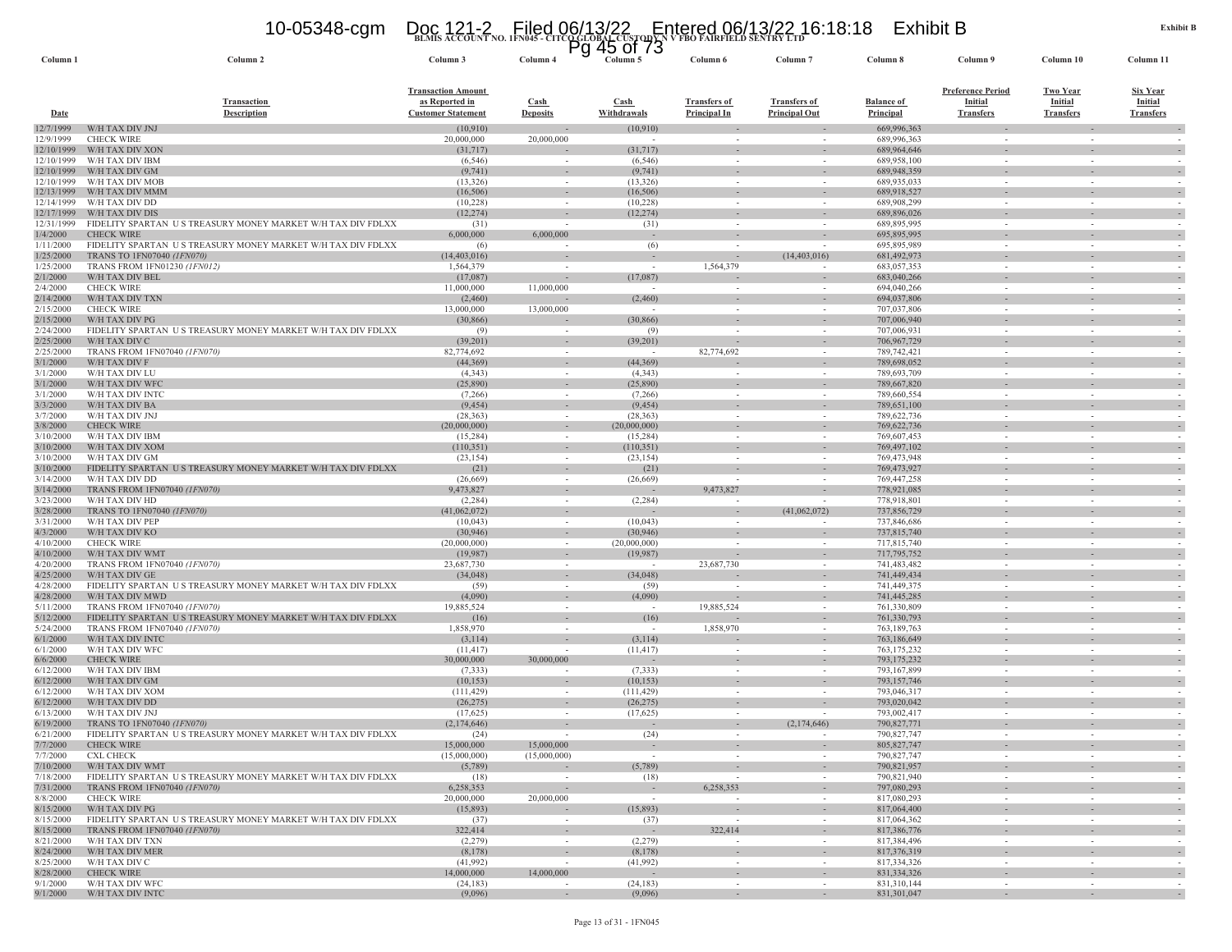### **BLMIS ACCOUNT NO. 1FN045 - CITCO GLOBAL CUSTODY N V FBO FAIRFIELD SENTRY LTD** 10-05348-cgm Doc 121-2 Filed 06/13/22 Entered 06/13/22 16:18:18 Exhibit B Pg 45 of 73

| Column <sub>1</sub>      | Column 2                                                                         | Column 3                                                                 | Column 4                 | ্ড<br>vı<br>ں ،<br>Column 5 | Column 6                                   | Column <sub>7</sub>                         | Column 8                              | Column 9                                                       | Column 10                                             | Column 11                                      |
|--------------------------|----------------------------------------------------------------------------------|--------------------------------------------------------------------------|--------------------------|-----------------------------|--------------------------------------------|---------------------------------------------|---------------------------------------|----------------------------------------------------------------|-------------------------------------------------------|------------------------------------------------|
| <b>Date</b>              | <b>Transaction</b><br>Description                                                | <b>Transaction Amount</b><br>as Reported in<br><b>Customer Statement</b> | Cash<br><b>Deposits</b>  | Cash<br>Withdrawals         | <b>Transfers of</b><br><b>Principal In</b> | <b>Transfers of</b><br><b>Principal Out</b> | <b>Balance of</b><br><b>Principal</b> | <b>Preference Period</b><br><b>Initial</b><br><b>Transfers</b> | <b>Two Year</b><br><b>Initial</b><br><b>Transfers</b> | Six Year<br><b>Initial</b><br><b>Transfers</b> |
| 12/7/1999                | W/H TAX DIV JNJ                                                                  | (10, 910)                                                                |                          | (10,910)                    |                                            |                                             | 669,996,363                           |                                                                |                                                       |                                                |
| 12/9/1999                | <b>CHECK WIRE</b>                                                                | 20,000,000                                                               | 20,000,000               | $\sim$                      | $\sim$                                     |                                             | 689,996,363                           | $\sim$                                                         | $\sim$                                                |                                                |
| 12/10/1999               | W/H TAX DIV XON                                                                  | (31,717)                                                                 |                          | (31,717)                    |                                            |                                             | 689,964,646                           |                                                                |                                                       |                                                |
| 12/10/1999               | W/H TAX DIV IBM                                                                  | (6, 546)                                                                 |                          | (6, 546)                    |                                            |                                             | 689,958,100                           |                                                                |                                                       |                                                |
| 12/10/1999<br>12/10/1999 | W/H TAX DIV GM<br>W/H TAX DIV MOB                                                | (9, 741)<br>(13, 326)                                                    | $\sim$                   | (9, 741)<br>(13, 326)       | $\sim$                                     | $\sim$                                      | 689,948,359<br>689,935,033            | $\sim$                                                         | $\sim$                                                | $\sim$                                         |
| 12/13/1999               | W/H TAX DIV MMM                                                                  | (16,506)                                                                 |                          | (16,506)                    |                                            |                                             | 689,918,527                           |                                                                |                                                       |                                                |
| 12/14/1999               | W/H TAX DIV DD                                                                   | (10,228)                                                                 |                          | (10, 228)                   | $\sim$                                     | ٠                                           | 689,908,299                           | $\sim$                                                         | $\sim$                                                |                                                |
| 12/17/1999               | W/H TAX DIV DIS                                                                  | (12, 274)                                                                |                          | (12, 274)                   |                                            |                                             | 689,896,026                           |                                                                |                                                       |                                                |
| 12/31/1999               | FIDELITY SPARTAN US TREASURY MONEY MARKET W/H TAX DIV FDLXX                      | (31)                                                                     |                          | (31)                        | $\sim$                                     |                                             | 689,895,995                           | $\sim$                                                         | $\sim$                                                |                                                |
| 1/4/2000<br>1/11/2000    | <b>CHECK WIRE</b><br>FIDELITY SPARTAN US TREASURY MONEY MARKET W/H TAX DIV FDLXX | 6,000,000<br>(6)                                                         | 6,000,000                | $\sim$<br>(6)               | $\sim$                                     | $\sim$                                      | 695,895,995<br>695,895,989            | $\sim$                                                         | $\sim$                                                |                                                |
| 1/25/2000                | TRANS TO 1FN07040 (1FN070)                                                       | (14, 403, 016)                                                           |                          | $\sim$                      | $\sim$                                     | (14, 403, 016)                              | 681,492,973                           |                                                                |                                                       |                                                |
| 1/25/2000                | TRANS FROM 1FN01230 (1FN012)                                                     | 1,564,379                                                                |                          | $\sim$                      | 1,564,379                                  |                                             | 683,057,353                           | $\sim$                                                         |                                                       |                                                |
| 2/1/2000                 | W/H TAX DIV BEL                                                                  | (17,087)                                                                 |                          | (17,087)                    |                                            |                                             | 683,040,266                           |                                                                |                                                       |                                                |
| 2/4/2000                 | <b>CHECK WIRE</b>                                                                | 11,000,000                                                               | 11,000,000               | $\sim$                      |                                            | $\overline{\phantom{a}}$                    | 694,040,266                           | $\sim$                                                         | $\sim$                                                |                                                |
| 2/14/2000                | W/H TAX DIV TXN                                                                  | (2,460)                                                                  |                          | (2,460)                     |                                            |                                             | 694,037,806                           |                                                                |                                                       |                                                |
| 2/15/2000<br>2/15/2000   | <b>CHECK WIRE</b><br>W/H TAX DIV PG                                              | 13,000,000<br>(30, 866)                                                  | 13,000,000               | (30, 866)                   |                                            |                                             | 707,037,806                           | $\sim$                                                         |                                                       |                                                |
| 2/24/2000                | FIDELITY SPARTAN US TREASURY MONEY MARKET W/H TAX DIV FDLXX                      | (9)                                                                      | $\sim$                   | (9)                         | $\overline{\phantom{a}}$                   | $\sim$                                      | 707,006,940<br>707,006,931            | $\sim$                                                         | $\sim$                                                |                                                |
| 2/25/2000                | W/H TAX DIV C                                                                    | (39,201)                                                                 |                          | (39,201)                    |                                            |                                             | 706, 967, 729                         |                                                                |                                                       |                                                |
| 2/25/2000                | TRANS FROM 1FN07040 (1FN070)                                                     | 82,774,692                                                               | $\sim$                   | $\sim$                      | 82,774,692                                 | $\sim$                                      | 789,742,421                           | $\sim$                                                         | $\sim$                                                |                                                |
| 3/1/2000                 | W/H TAX DIV F                                                                    | (44, 369)                                                                |                          | (44, 369)                   |                                            |                                             | 789,698,052                           |                                                                |                                                       |                                                |
| 3/1/2000                 | W/H TAX DIV LU                                                                   | (4,343)                                                                  | $\sim$                   | (4,343)                     | $\sim$                                     | $\sim$                                      | 789,693,709                           | $\sim$                                                         | $\sim$                                                |                                                |
| 3/1/2000<br>3/1/2000     | W/H TAX DIV WFC<br>W/H TAX DIV INTO                                              | (25,890)<br>(7,266)                                                      | $\sim$                   | (25,890)<br>(7,266)         | $\sim$                                     | $\sim$                                      | 789,667,820<br>789,660,554            | $\sim$                                                         | $\sim$                                                |                                                |
| 3/3/2000                 | W/H TAX DIV BA                                                                   | (9, 454)                                                                 | $\sim$                   | (9, 454)                    | $\sim$                                     | $\sim$                                      | 789,651,100                           |                                                                |                                                       |                                                |
| 3/7/2000                 | W/H TAX DIV JNJ                                                                  | (28, 363)                                                                |                          | (28, 363)                   | $\sim$                                     |                                             | 789,622,736                           |                                                                |                                                       |                                                |
| 3/8/2000                 | <b>CHECK WIRE</b>                                                                | (20,000,000)                                                             |                          | (20,000,000)                |                                            | $\sim$                                      | 769,622,736                           |                                                                |                                                       |                                                |
| 3/10/2000                | W/H TAX DIV IBM                                                                  | (15, 284)                                                                | $\sim$                   | (15, 284)                   | $\sim$                                     | $\sim$                                      | 769,607,453                           | $\sim$                                                         | $\sim$                                                |                                                |
| 3/10/2000                | W/H TAX DIV XOM                                                                  | (110, 351)                                                               |                          | (110, 351)                  |                                            |                                             | 769, 497, 102                         |                                                                |                                                       |                                                |
| 3/10/2000<br>3/10/2000   | W/H TAX DIV GM<br>FIDELITY SPARTAN US TREASURY MONEY MARKET W/H TAX DIV FDLXX    | (23, 154)<br>(21)                                                        |                          | (23, 154)<br>(21)           |                                            | $\overline{\phantom{a}}$                    | 769,473,948<br>769,473,927            | $\sim$                                                         | $\sim$<br>$\overline{\phantom{a}}$                    |                                                |
| 3/14/2000                | W/H TAX DIV DD                                                                   | (26,669)                                                                 | $\sim$                   | (26, 669)                   |                                            |                                             | 769,447,258                           | $\sim$                                                         | $\sim$                                                |                                                |
| 3/14/2000                | TRANS FROM 1FN07040 (1FN070)                                                     | 9,473,827                                                                |                          |                             | 9,473,827                                  |                                             | 778,921,085                           |                                                                |                                                       |                                                |
| 3/23/2000                | W/H TAX DIV HD                                                                   | (2, 284)                                                                 | $\sim$                   | (2, 284)                    | $\sim$                                     |                                             | 778,918,801                           | $\sim$                                                         | $\sim$                                                |                                                |
| 3/28/2000                | TRANS TO 1FN07040 (1FN070)                                                       | (41,062,072)                                                             |                          |                             |                                            | (41,062,072)                                | 737,856,729                           |                                                                |                                                       |                                                |
| 3/31/2000                | W/H TAX DIV PEP<br>W/H TAX DIV KO                                                | (10,043)                                                                 | $\sim$                   | (10,043)                    | $\sim$                                     | $\sim$                                      | 737,846,686                           | $\sim$<br>$\sim$                                               | $\sim$<br>$\sim$                                      |                                                |
| 4/3/2000<br>4/10/2000    | <b>CHECK WIRE</b>                                                                | (30, 946)<br>(20,000,000)                                                | $\sim$                   | (30, 946)<br>(20,000,000)   | $\sim$                                     |                                             | 737,815,740<br>717,815,740            |                                                                | $\sim$                                                |                                                |
| 4/10/2000                | W/H TAX DIV WMT                                                                  | (19,987)                                                                 |                          | (19,987)                    | $\overline{\phantom{a}}$                   | $\overline{\phantom{a}}$                    | 717,795,752                           |                                                                |                                                       |                                                |
| 4/20/2000                | TRANS FROM 1FN07040 (1FN070)                                                     | 23,687,730                                                               | $\sim$                   |                             | 23,687,730                                 | $\sim$                                      | 741,483,482                           | $\sim$                                                         | $\sim$                                                | $\overline{\phantom{a}}$                       |
| 4/25/2000                | W/H TAX DIV GE                                                                   | (34,048)                                                                 |                          | (34,048)                    |                                            | $\sim$                                      | 741,449,434                           |                                                                |                                                       |                                                |
| 4/28/2000                | FIDELITY SPARTAN US TREASURY MONEY MARKET W/H TAX DIV FDLXX                      | (59)                                                                     |                          | (59)                        |                                            |                                             | 741,449,375                           |                                                                | $\sim$                                                |                                                |
| 4/28/2000<br>5/11/2000   | W/H TAX DIV MWD<br>TRANS FROM 1FN07040 (1FN070)                                  | (4,090)<br>19,885,524                                                    |                          | (4,090)                     | $\sim$<br>19,885,524                       |                                             | 741,445,285<br>761,330,809            |                                                                |                                                       |                                                |
| 5/12/2000                | FIDELITY SPARTAN US TREASURY MONEY MARKET W/H TAX DIV FDLXX                      | (16)                                                                     |                          | (16)                        |                                            | $\overline{\phantom{a}}$                    | 761,330,793                           |                                                                | $\sim$                                                |                                                |
| 5/24/2000                | TRANS FROM 1FN07040 (1FN070)                                                     | 1,858,970                                                                |                          | $\sim$                      | 1,858,970                                  | $\overline{\phantom{a}}$                    | 763,189,763                           | $\sim$                                                         |                                                       |                                                |
| 6/1/2000                 | W/H TAX DIV INTC                                                                 | (3,114)                                                                  |                          | (3, 114)                    |                                            | $\overline{\phantom{a}}$                    | 763,186,649                           |                                                                |                                                       |                                                |
| 6/1/2000                 | W/H TAX DIV WFC                                                                  | (11, 417)                                                                | $\sim$                   | (11, 417)                   | $\sim$                                     |                                             | 763,175,232                           | $\sim$                                                         |                                                       |                                                |
| 6/6/2000                 | <b>CHECK WIRE</b>                                                                | 30,000,000                                                               | 30,000,000               |                             |                                            |                                             | 793,175,232                           |                                                                |                                                       |                                                |
| 6/12/2000<br>6/12/2000   | W/H TAX DIV IBM<br>W/H TAX DIV GM                                                | (7, 333)<br>(10, 153)                                                    | $\sim$                   | (7, 333)<br>(10, 153)       | $\sim$                                     | $\sim$                                      | 793,167,899<br>793, 157, 746          | $\sim$                                                         | $\sim$                                                |                                                |
| 6/12/2000                | W/H TAX DIV XOM                                                                  | (111, 429)                                                               |                          | (111, 429)                  |                                            |                                             | 793,046,317                           |                                                                |                                                       |                                                |
| 6/12/2000                | W/H TAX DIV DD                                                                   | (26, 275)                                                                |                          | (26, 275)                   |                                            |                                             | 793,020,042                           |                                                                |                                                       |                                                |
| 6/13/2000                | W/H TAX DIV JNJ                                                                  | (17,625)                                                                 | $\sim$                   | (17,625)                    | $\sim$                                     | $\overline{\phantom{a}}$                    | 793,002,417                           | $\sim$                                                         | $\sim$                                                |                                                |
| 6/19/2000                | TRANS TO 1FN07040 (1FN070)                                                       | (2,174,646)                                                              |                          |                             |                                            | (2,174,646)                                 | 790,827,771                           |                                                                |                                                       |                                                |
| 6/21/2000                | FIDELITY SPARTAN US TREASURY MONEY MARKET W/H TAX DIV FDLXX                      | (24)                                                                     |                          | (24)                        |                                            |                                             | 790,827,747                           |                                                                |                                                       |                                                |
| 7/7/2000                 | <b>CHECK WIRE</b>                                                                | 15,000,000                                                               | 15,000,000               | $\sim$                      | $\sim$                                     | $\sim$                                      | 805, 827, 747                         |                                                                | $\sim$                                                |                                                |
| 7/7/2000<br>7/10/2000    | CXL CHECK<br>W/H TAX DIV WMT                                                     | (15,000,000)<br>(5,789)                                                  | (15,000,000)             | (5,789)                     | $\sim$                                     | $\sim$                                      | 790,827,747<br>790,821,957            | $\sim$<br>$\sim$                                               | $\sim$                                                | $\overline{\phantom{a}}$                       |
| 7/18/2000                | FIDELITY SPARTAN US TREASURY MONEY MARKET W/H TAX DIV FDLXX                      | (18)                                                                     |                          | (18)                        |                                            |                                             | 790,821,940                           |                                                                |                                                       |                                                |
| 7/31/2000                | TRANS FROM 1FN07040 (1FN070)                                                     | 6,258,353                                                                | $\overline{\phantom{a}}$ | $\sim$                      | 6,258,353                                  | $\overline{\phantom{a}}$                    | 797,080,293                           | $\sim$                                                         | $\sim$                                                | $\overline{\phantom{a}}$                       |
| 8/8/2000                 | <b>CHECK WIRE</b>                                                                | 20,000,000                                                               | 20,000,000               | $\sim$                      | $\sim$                                     | $\sim$                                      | 817,080,293                           | $\sim$                                                         | $\sim$                                                |                                                |
| 8/15/2000                | W/H TAX DIV PG                                                                   | (15,893)                                                                 |                          | (15,893)                    |                                            | $\overline{\phantom{a}}$                    | 817,064,400                           |                                                                | $\overline{\phantom{a}}$                              |                                                |
| 8/15/2000<br>8/15/2000   | FIDELITY SPARTAN US TREASURY MONEY MARKET W/H TAX DIV FDLXX                      | (37)                                                                     | $\sim$                   | (37)                        | $\sim$<br>322,414                          | $\sim$                                      | 817,064,362                           | $\sim$                                                         | $\sim$                                                |                                                |
| 8/21/2000                | <b>TRANS FROM 1FN07040 (1FN070)</b><br>W/H TAX DIV TXN                           | 322,414<br>(2,279)                                                       | $\sim$<br>$\sim$         | $\overline{a}$<br>(2,279)   | $\sim$                                     | $\overline{\phantom{a}}$<br>$\sim$          | 817,386,776<br>817,384,496            | $\overline{\phantom{a}}$<br>$\sim$                             | $\overline{\phantom{a}}$<br>$\sim$                    | $\overline{\phantom{a}}$                       |
| 8/24/2000                | W/H TAX DIV MER                                                                  | (8,178)                                                                  |                          | (8,178)                     |                                            | $\overline{\phantom{a}}$                    | 817,376,319                           |                                                                | $\overline{\phantom{a}}$                              | $\sim$                                         |
| 8/25/2000                | W/H TAX DIV C                                                                    | (41,992)                                                                 | $\sim$                   | (41,992)                    | $\sim$                                     | $\sim$                                      | 817,334,326                           | $\sim$                                                         | $\sim$                                                | $\sim$                                         |
| 8/28/2000                | <b>CHECK WIRE</b>                                                                | 14,000,000                                                               | 14,000,000               |                             | $\sim$                                     | $\overline{\phantom{a}}$                    | 831,334,326                           | $\sim$                                                         | $\overline{\phantom{a}}$                              |                                                |
| 9/1/2000                 | W/H TAX DIV WFC                                                                  | (24, 183)                                                                |                          | (24, 183)                   | $\sim$                                     | $\sim$                                      | 831,310,144                           | $\sim$                                                         | $\sim$                                                |                                                |
| 9/1/2000                 | W/H TAX DIV INTC                                                                 | (9,096)                                                                  | $\sim$                   | (9,096)                     | $\sim$                                     | $\sim$                                      | 831,301,047                           |                                                                |                                                       |                                                |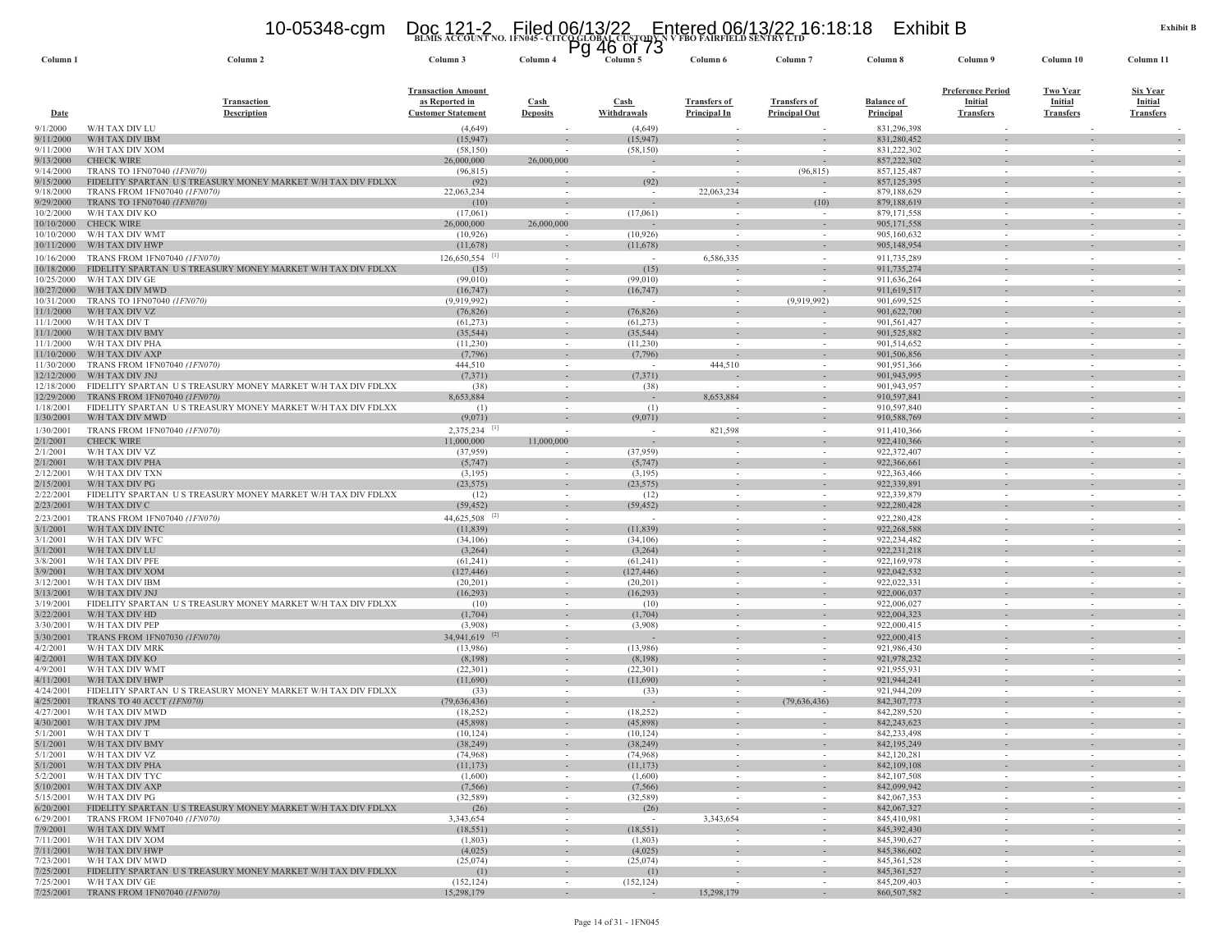### **BLMIS ACCOUNT NO. 1FN045 - CITCO GLOBAL CUSTODY N V FBO FAIRFIELD SENTRY LTD** 10-05348-cgm Doc 121-2 Filed 06/13/22 Entered 06/13/22 16:18:18 Exhibit B Pg 46 of 73

| Column <sub>1</sub>      | Column 2                                                                                 | Column 3                                                                 | гy<br>Column <sub>4</sub>      | 4υ<br>טו וט<br>Column 5 | Column 6                                   | Column <sub>7</sub>                                  | Column 8                              | Column 9                                                       | Column 10                                      | Column 11                                             |
|--------------------------|------------------------------------------------------------------------------------------|--------------------------------------------------------------------------|--------------------------------|-------------------------|--------------------------------------------|------------------------------------------------------|---------------------------------------|----------------------------------------------------------------|------------------------------------------------|-------------------------------------------------------|
| <b>Date</b>              | <b>Transaction</b><br><b>Description</b>                                                 | <b>Transaction Amount</b><br>as Reported in<br><b>Customer Statement</b> | <b>Cash</b><br><b>Deposits</b> | Cash<br>Withdrawals     | <b>Transfers of</b><br><b>Principal In</b> | <b>Transfers of</b><br><b>Principal Out</b>          | <b>Balance of</b><br><b>Principal</b> | <b>Preference Period</b><br><b>Initial</b><br><b>Transfers</b> | <b>Two Year</b><br>Initial<br><b>Transfers</b> | <b>Six Year</b><br><b>Initial</b><br><b>Transfers</b> |
| 9/1/2000                 | W/H TAX DIV LU                                                                           | (4,649)                                                                  |                                | (4,649)                 |                                            |                                                      | 831,296,398                           |                                                                |                                                |                                                       |
| 9/11/2000<br>9/11/2000   | W/H TAX DIV IBM<br>W/H TAX DIV XOM                                                       | (15, 947)<br>(58, 150)                                                   |                                | (15, 947)<br>(58, 150)  | $\overline{\phantom{a}}$                   |                                                      | 831,280,452<br>831,222,302            | $\sim$                                                         | $\overline{\phantom{a}}$                       |                                                       |
| 9/13/2000                | <b>CHECK WIRE</b>                                                                        | 26,000,000                                                               | 26,000,000                     |                         | $\overline{\phantom{a}}$                   |                                                      | 857,222,302                           |                                                                |                                                |                                                       |
| 9/14/2000                | TRANS TO 1FN07040 (1FN070)                                                               | (96, 815)                                                                |                                | $\sim$                  |                                            | (96, 815)                                            | 857,125,487                           | $\sim$                                                         |                                                |                                                       |
| 9/15/2000                | FIDELITY SPARTAN US TREASURY MONEY MARKET W/H TAX DIV FDLXX                              | (92)                                                                     |                                | (92)                    | $\overline{\phantom{a}}$                   |                                                      | 857,125,395                           |                                                                |                                                |                                                       |
| 9/18/2000<br>9/29/2000   | TRANS FROM 1FN07040 (1FN070)<br>TRANS TO 1FN07040 (1FN070                                | 22,063,234<br>(10)                                                       | $\sim$                         | $\sim$                  | 22,063,234                                 | (10)                                                 | 879,188,629<br>879,188,619            | $\sim$                                                         | $\sim$                                         |                                                       |
| 10/2/2000                | W/H TAX DIV KO                                                                           | (17,061)                                                                 |                                | (17,061)                |                                            |                                                      | 879,171,558                           |                                                                |                                                |                                                       |
| 10/10/2000               | <b>CHECK WIRE</b>                                                                        | 26,000,000                                                               | 26,000,000                     |                         |                                            |                                                      | 905,171,558                           |                                                                |                                                |                                                       |
| 10/10/2000<br>10/11/2000 | W/H TAX DIV WMT<br>W/H TAX DIV HWP                                                       | (10, 926)<br>(11,678)                                                    | $\sim$                         | (10, 926)<br>(11,678)   | $\sim$<br>$\sim$                           | $\sim$                                               | 905,160,632<br>905,148,954            | $\sim$                                                         | $\sim$                                         |                                                       |
| 10/16/2000               | TRANS FROM 1FN07040 (1FN070)                                                             | $126,650,554$ <sup>[1]</sup>                                             | $\sim$                         | ÷.                      | 6,586,335                                  | $\sim$                                               | 911,735,289                           | $\sim$                                                         | $\sim$                                         |                                                       |
| 10/18/2000               | FIDELITY SPARTAN US TREASURY MONEY MARKET W/H TAX DIV FDLXX                              | (15)                                                                     | $\sim$                         | (15)                    |                                            | $\overline{\phantom{a}}$                             | 911,735,274                           | $\sim$                                                         | $\sim$                                         |                                                       |
| 10/25/2000               | W/H TAX DIV GE                                                                           | (99,010)                                                                 |                                | (99,010)                |                                            |                                                      | 911,636,264                           |                                                                |                                                |                                                       |
| 10/27/2000               | W/H TAX DIV MWD                                                                          | (16, 747)                                                                | $\sim$                         | (16,747)                | $\sim$                                     | $\sim$                                               | 911,619,517                           |                                                                | $\overline{\phantom{a}}$                       |                                                       |
| 10/31/2000<br>11/1/2000  | TRANS TO 1FN07040 (1FN070)<br>W/H TAX DIV VZ                                             | (9,919,992)<br>(76, 826)                                                 | $\sim$                         | (76, 826)               | $\sim$                                     | (9.919.992)                                          | 901,699,525<br>901,622,700            | $\sim$                                                         | $\sim$                                         |                                                       |
| 11/1/2000                | W/H TAX DIV T                                                                            | (61, 273)                                                                | $\sim$                         | (61, 273)               | $\sim$                                     |                                                      | 901,561,427                           | $\sim$                                                         | $\sim$                                         |                                                       |
| 11/1/2000                | W/H TAX DIV BMY                                                                          | (35, 544)                                                                |                                | (35, 544)               |                                            |                                                      | 901,525,882                           |                                                                |                                                |                                                       |
| 11/1/2000                | W/H TAX DIV PHA                                                                          | (11,230)                                                                 |                                | (11,230)                |                                            |                                                      | 901,514,652                           | $\sim$                                                         |                                                |                                                       |
| 11/10/2000<br>11/30/2000 | W/H TAX DIV AXP<br>TRANS FROM 1FN07040 (1FN070)                                          | (7,796)<br>444,510                                                       | $\sim$                         | (7,796)<br>$\sim$       | $\overline{\phantom{a}}$<br>444,510        | $\overline{\phantom{a}}$                             | 901,506,856<br>901,951,366            | $\sim$                                                         | $\sim$                                         |                                                       |
| 12/12/2000               | W/H TAX DIV JNJ                                                                          | (7, 371)                                                                 |                                | (7,371)                 |                                            |                                                      | 901,943,995                           |                                                                |                                                |                                                       |
| 12/18/2000               | FIDELITY SPARTAN U S TREASURY MONEY MARKET W/H TAX DIV FDLXX                             | (38)                                                                     | $\sim$                         | (38)                    |                                            |                                                      | 901,943,957                           | $\sim$                                                         | $\sim$                                         |                                                       |
| 12/29/2000               | TRANS FROM 1FN07040 (1FN070)                                                             | 8,653,884                                                                |                                | $\sim$                  | 8,653,884                                  |                                                      | 910,597,841                           |                                                                |                                                |                                                       |
| 1/18/2001<br>1/30/2001   | FIDELITY SPARTAN US TREASURY MONEY MARKET W/H TAX DIV FDLXX<br>W/H TAX DIV MWD           | (1)<br>(9,071)                                                           | $\sim$                         | (1)<br>(9,071)          | $\overline{a}$                             | $\sim$<br>$\sim$                                     | 910,597,840<br>910,588,769            | $\sim$<br>$\sim$                                               | $\sim$<br>$\sim$                               |                                                       |
| 1/30/2001                | TRANS FROM 1FN07040 (1FN070)                                                             | 2,375,234                                                                | $\sim$                         | $\sim$                  | 821,598                                    | $\sim$                                               | 911,410,366                           | $\sim$                                                         | $\sim$                                         |                                                       |
| 2/1/2001                 | <b>CHECK WIRE</b>                                                                        | 11,000,000                                                               | 11,000,000                     |                         |                                            | $\sim$                                               | 922,410,366                           |                                                                | $\sim$                                         |                                                       |
| 2/1/2001                 | W/H TAX DIV VZ                                                                           | (37,959)                                                                 |                                | (37,959)                |                                            |                                                      | 922,372,407                           |                                                                | $\overline{\phantom{a}}$                       |                                                       |
| 2/1/2001<br>2/12/2001    | W/H TAX DIV PHA<br>W/H TAX DIV TXN                                                       | (5,747)<br>(3,195)                                                       | $\overline{\phantom{a}}$       | (5,747)<br>(3,195)      |                                            |                                                      | 922,366,661<br>922,363,466            |                                                                |                                                |                                                       |
| 2/15/200                 | W/H TAX DIV PG                                                                           | (23, 575)                                                                |                                | (23, 575)               | $\overline{\phantom{a}}$                   | $\sim$                                               | 922,339,891                           |                                                                | $\overline{\phantom{a}}$                       |                                                       |
| 2/22/2001                | FIDELITY SPARTAN US TREASURY MONEY MARKET W/H TAX DIV FDLXX                              | (12)                                                                     | $\sim$                         | (12)                    | $\overline{\phantom{a}}$                   | $\overline{\phantom{a}}$                             | 922,339,879                           | $\sim$                                                         |                                                |                                                       |
| 2/23/200                 | W/H TAX DIV C                                                                            | (59, 452)                                                                | $\sim$                         | (59, 452)               | $\overline{\phantom{a}}$                   | $\overline{\phantom{a}}$                             | 922,280,428                           |                                                                |                                                |                                                       |
| 2/23/200                 | TRANS FROM 1FN07040 (1FN070)                                                             | $44,625,508$ <sup>[2]</sup>                                              | $\sim$                         | $\sim$                  | $\sim$                                     | $\sim$                                               | 922,280,428                           | $\sim$                                                         | $\sim$                                         |                                                       |
| 3/1/2001<br>3/1/2001     | W/H TAX DIV INTO<br>W/H TAX DIV WFC                                                      | (11, 839)<br>(34,106)                                                    |                                | (11, 839)<br>(34,106)   |                                            |                                                      | 922,268,588<br>922,234,482            |                                                                |                                                |                                                       |
| 3/1/2001                 | W/H TAX DIV LU                                                                           | (3,264)                                                                  |                                | (3,264)                 |                                            |                                                      | 922,231,218                           |                                                                |                                                |                                                       |
| 3/8/2001                 | W/H TAX DIV PFE                                                                          | (61,241)                                                                 | $\sim$                         | (61,241)                | $\sim$                                     | $\sim$                                               | 922,169,978                           | $\sim$                                                         | $\sim$                                         | $\sim$                                                |
| 3/9/2001                 | W/H TAX DIV XOM                                                                          | (127, 446)                                                               | $\sim$                         | (127, 446)              | $\sim$                                     | $\sim$                                               | 922,042,532                           |                                                                |                                                |                                                       |
| 3/12/200<br>3/13/2001    | W/H TAX DIV IBM<br>W/H TAX DIV JNJ                                                       | (20, 201)<br>(16,293)                                                    | $\sim$                         | (20,201)<br>(16,293)    | $\sim$                                     | $\sim$                                               | 922,022,331<br>922,006,037            | $\sim$                                                         | $\sim$                                         |                                                       |
| 3/19/2001                | FIDELITY SPARTAN US TREASURY MONEY MARKET W/H TAX DIV FDLXX                              | (10)                                                                     | $\sim$                         | (10)                    | $\sim$                                     |                                                      | 922,006,027                           | $\sim$                                                         | $\sim$                                         |                                                       |
| 3/22/2001                | W/H TAX DIV HD                                                                           | (1,704)                                                                  |                                | (1,704)                 | $\sim$                                     | $\overline{\phantom{a}}$                             | 922,004,323                           | $\sim$                                                         | $\sim$                                         |                                                       |
| 3/30/200                 | W/H TAX DIV PEP                                                                          | (3,908)                                                                  |                                | (3,908)                 |                                            |                                                      | 922,000,415                           |                                                                |                                                |                                                       |
| 3/30/200                 | TRANS FROM 1FN07030 (1FN070)<br>W/H TAX DIV MRK                                          | 34,941,619 <sup>[2]</sup><br>(13,986)                                    |                                | (13,986)                |                                            |                                                      | 922,000,415<br>921,986,430            |                                                                |                                                |                                                       |
| 4/2/2001<br>4/2/2001     | W/H TAX DIV KO                                                                           | (8,198)                                                                  | $\sim$                         | (8,198)                 | $\sim$                                     | $\overline{\phantom{a}}$<br>$\overline{\phantom{a}}$ | 921,978,232                           | $\sim$                                                         | $\sim$                                         |                                                       |
| 4/9/2001                 | W/H TAX DIV WMT                                                                          | (22,301)                                                                 |                                | (22, 301)               |                                            |                                                      | 921,955,931                           |                                                                |                                                |                                                       |
| 4/11/200                 | W/H TAX DIV HWP                                                                          | (11,690)                                                                 |                                | (11,690)                |                                            | $\sim$                                               | 921,944,241                           |                                                                | $\sim$                                         |                                                       |
| 4/24/2001<br>4/25/200    | FIDELITY SPARTAN US TREASURY MONEY MARKET W/H TAX DIV FDLXX<br>TRANS TO 40 ACCT (IFN070) | (33)<br>(79,636,436)                                                     | $\sim$<br>$\sim$               | (33)                    | $\sim$<br>$\sim$                           | $\overline{\phantom{a}}$<br>(79,636,436)             | 921,944,209<br>842, 307, 773          | $\sim$                                                         | $\sim$                                         |                                                       |
| 4/27/200                 | W/H TAX DIV MWD                                                                          | (18, 252)                                                                | $\sim$                         | (18,252)                | $\sim$                                     |                                                      | 842,289,520                           | $\sim$                                                         | $\sim$                                         |                                                       |
| 4/30/2001                | W/H TAX DIV JPM                                                                          | (45,898)                                                                 |                                | (45,898)                |                                            |                                                      | 842, 243, 623                         |                                                                |                                                |                                                       |
| 5/1/2001                 | W/H TAX DIV T                                                                            | (10, 124)                                                                | $\sim$                         | (10, 124)               | $\sim$                                     | $\sim$                                               | 842,233,498                           | $\sim$                                                         | $\sim$                                         |                                                       |
| 5/1/2001<br>5/1/2001     | W/H TAX DIV BMY<br>W/H TAX DIV VZ                                                        | (38.249)<br>(74,968)                                                     | $\sim$                         | (38.249)<br>(74,968)    | $\sim$                                     | $\sim$                                               | 842, 195, 249<br>842,120,281          | $\sim$                                                         | $\sim$                                         |                                                       |
| 5/1/2001                 | W/H TAX DIV PHA                                                                          | (11, 173)                                                                | $\sim$                         | (11, 173)               | $\overline{\phantom{a}}$                   | $\sim$                                               | 842,109,108                           |                                                                | $\overline{\phantom{a}}$                       | $\sim$                                                |
| 5/2/2001                 | W/H TAX DIV TYC                                                                          | (1,600)                                                                  | $\sim$                         | (1,600)                 | $\sim$                                     | $\overline{\phantom{a}}$                             | 842, 107, 508                         | $\sim$                                                         | $\overline{\phantom{a}}$                       | $\overline{\phantom{a}}$                              |
| 5/10/2001                | W/H TAX DIV AXP                                                                          | (7, 566)                                                                 | $\sim$                         | (7, 566)                | $\sim$                                     | $\sim$                                               | 842,099,942                           | $\sim$                                                         | $\sim$                                         | $\overline{\phantom{a}}$                              |
| 5/15/2001<br>6/20/2001   | W/H TAX DIV PG<br>FIDELITY SPARTAN US TREASURY MONEY MARKET W/H TAX DIV FDLXX            | (32, 589)<br>(26)                                                        | $\sim$<br>$\sim$               | (32, 589)<br>(26)       | $\sim$<br>$\sim$                           | $\overline{\phantom{a}}$<br>$\overline{\phantom{a}}$ | 842,067,353<br>842,067,327            | $\sim$<br>$\sim$                                               | $\sim$<br>$\overline{\phantom{a}}$             | $\overline{\phantom{a}}$                              |
| 6/29/2001                | TRANS FROM 1FN07040 (1FN070)                                                             | 3,343,654                                                                | $\sim$                         |                         | 3,343,654                                  | $\sim$                                               | 845,410,981                           | $\sim$                                                         | $\sim$                                         |                                                       |
| 7/9/2001                 | W/H TAX DIV WMT                                                                          | (18, 551)                                                                |                                | (18, 551)               |                                            | $\overline{\phantom{a}}$                             | 845,392,430                           | $\overline{\phantom{a}}$                                       | $\sim$                                         | $\sim$                                                |
| 7/11/2001                | W/H TAX DIV XOM                                                                          | (1,803)                                                                  | $\sim$                         | (1,803)                 | $\sim$                                     | $\overline{\phantom{a}}$                             | 845,390,627                           | $\sim$                                                         | $\sim$                                         | $\sim$                                                |
| 7/11/2001<br>7/23/2001   | W/H TAX DIV HWP<br>W/H TAX DIV MWD                                                       | (4,025)<br>(25,074)                                                      | $\sim$<br>$\sim$               | (4,025)<br>(25,074)     | $\overline{\phantom{a}}$<br>$\sim$         | $\overline{\phantom{a}}$<br>$\sim$                   | 845,386,602<br>845, 361, 528          | $\overline{\phantom{a}}$<br>$\sim$                             | $\overline{\phantom{a}}$<br>$\sim$             | $\overline{\phantom{a}}$                              |
| 7/25/2001                | FIDELITY SPARTAN US TREASURY MONEY MARKET W/H TAX DIV FDLXX                              | (1)                                                                      |                                | (1)                     |                                            | $\overline{a}$                                       | 845, 361, 527                         |                                                                |                                                | $\overline{\phantom{a}}$                              |
| 7/25/2001                | W/H TAX DIV GE                                                                           | (152, 124)                                                               | $\sim$                         | (152, 124)              | $\sim$                                     | $\sim$                                               | 845,209,403                           | $\sim$                                                         | $\sim$                                         | $\sim$                                                |
| 7/25/2001                | TRANS FROM 1FN07040 (1FN070)                                                             | 15,298,179                                                               | $\sim$                         |                         | 15,298,179                                 | $\sim$                                               | 860, 507, 582                         | $\sim$                                                         | $\sim$                                         |                                                       |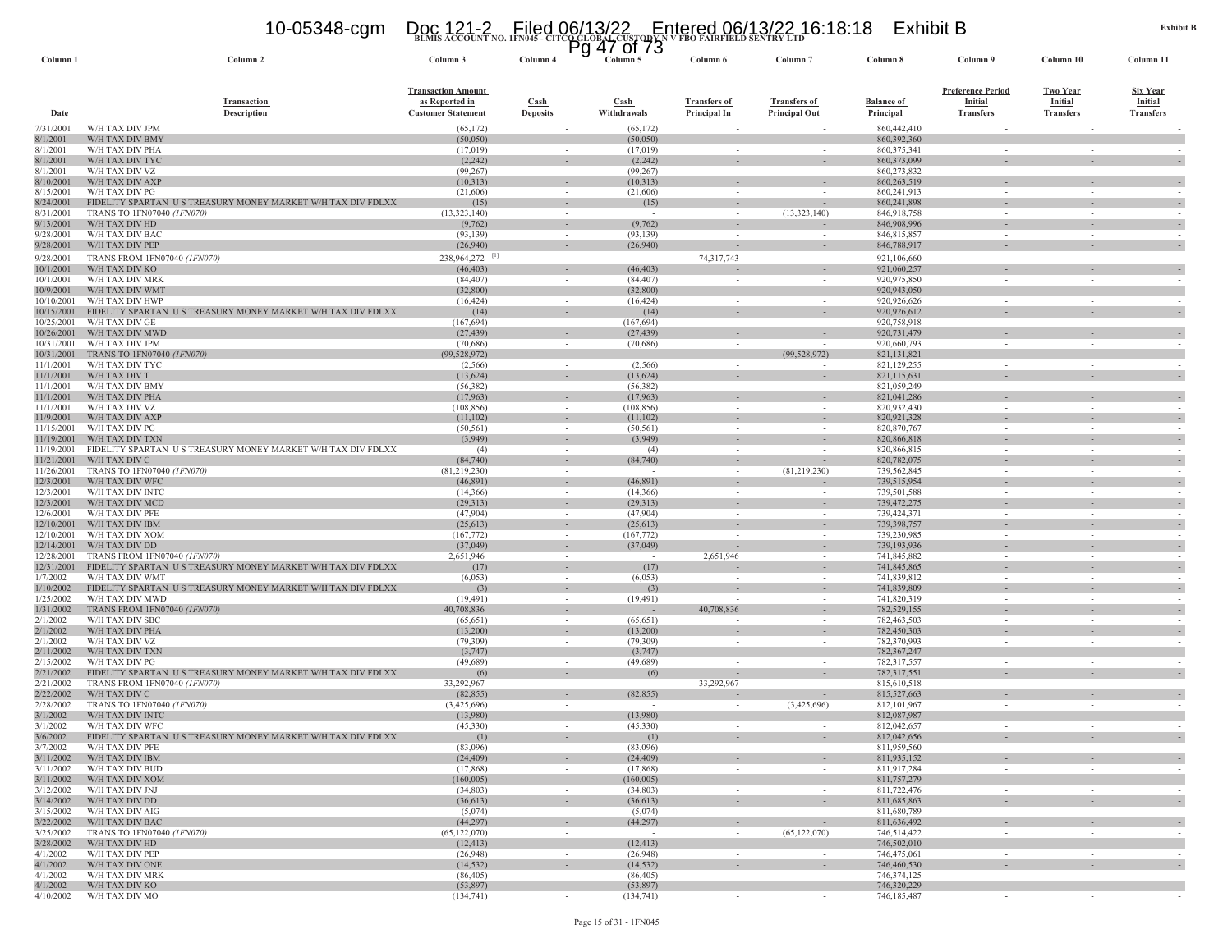**BLMIS ACCOUNT NO. 1FN045 - CITCO GLOBAL CUSTODY N V FBO FAIRFIELD SENTRY LTD** 10-05348-cgm Doc 121-2 Filed 06/13/22 Entered 06/13/22 16:18:18 Exhibit B Pg 47 of 73

| Column 1                 | Column 2                                                                                  | Column 3                                                                 | Column 4                                 | ະ | Column 5                   | Column 6                                   | Column <sub>7</sub>                         | Column 8                       | Column 9                                                | Column 10                                             | Column 11                                             |
|--------------------------|-------------------------------------------------------------------------------------------|--------------------------------------------------------------------------|------------------------------------------|---|----------------------------|--------------------------------------------|---------------------------------------------|--------------------------------|---------------------------------------------------------|-------------------------------------------------------|-------------------------------------------------------|
| Date                     | <b>Transaction</b><br><b>Description</b>                                                  | <b>Transaction Amount</b><br>as Reported in<br><b>Customer Statement</b> | $\operatorname{Cash}$<br><b>Deposits</b> |   | <b>Cash</b><br>Withdrawals | <b>Transfers of</b><br><b>Principal In</b> | <b>Transfers of</b><br><b>Principal Out</b> | <b>Balance of</b><br>Principal | <u>Preference Period</u><br>Initial<br><b>Transfers</b> | <b>Two Year</b><br><b>Initial</b><br><b>Transfers</b> | <b>Six Year</b><br><b>Initial</b><br><b>Transfers</b> |
| 7/31/2001                | W/H TAX DIV JPM                                                                           | (65, 172)                                                                |                                          |   | (65, 172)                  |                                            |                                             | 860,442,410                    |                                                         |                                                       |                                                       |
| 8/1/2001                 | W/H TAX DIV BMY                                                                           | (50,050)                                                                 |                                          |   | (50,050)                   |                                            |                                             | 860,392,360                    |                                                         |                                                       |                                                       |
| 8/1/2001<br>8/1/2001     | W/H TAX DIV PHA<br>W/H TAX DIV TYC                                                        | (17, 019)<br>(2, 242)                                                    | $\sim$<br>$\overline{\phantom{a}}$       |   | (17,019)<br>(2, 242)       |                                            |                                             | 860, 375, 341<br>860,373,099   | $\sim$                                                  |                                                       |                                                       |
| 8/1/2001                 | W/H TAX DIV VZ                                                                            | (99, 267)                                                                |                                          |   | (99, 267)                  |                                            |                                             | 860.273.832                    |                                                         |                                                       |                                                       |
| 8/10/2001                | W/H TAX DIV AXP                                                                           | (10,313)                                                                 |                                          |   | (10,313)                   |                                            |                                             | 860,263,519                    |                                                         |                                                       |                                                       |
| 8/15/2001                | W/H TAX DIV PG                                                                            | (21,606)                                                                 | $\sim$                                   |   | (21,606)                   | $\sim$                                     |                                             | 860,241,913                    | $\sim$                                                  | $\overline{\phantom{a}}$                              |                                                       |
| 8/24/2001                | FIDELITY SPARTAN US TREASURY MONEY MARKET W/H TAX DIV FDLXX<br>TRANS TO 1FN07040 (1FN070) | (15)<br>(13,323,140)                                                     | $\overline{\phantom{a}}$<br>$\sim$       |   | (15)                       |                                            | (13,323,140)                                | 860,241,898                    | $\sim$                                                  |                                                       |                                                       |
| 8/31/2001<br>9/13/2001   | W/H TAX DIV HD                                                                            | (9, 762)                                                                 |                                          |   | (9, 762)                   |                                            |                                             | 846,918,758<br>846,908,996     |                                                         |                                                       |                                                       |
| 9/28/2001                | W/H TAX DIV BAC                                                                           | (93, 139)                                                                | $\sim$                                   |   | (93, 139)                  | $\overline{\phantom{a}}$                   | $\sim$                                      | 846, 815, 857                  | $\sim$                                                  | $\sim$                                                |                                                       |
| 9/28/2001                | W/H TAX DIV PEP                                                                           | (26,940)                                                                 |                                          |   | (26,940)                   |                                            |                                             | 846,788,917                    | $\sim$                                                  |                                                       |                                                       |
| 9/28/2001                | TRANS FROM 1FN07040 (1FN070)                                                              | 238,964,272                                                              | $\sim$                                   |   | $\sim$                     | 74,317,743                                 |                                             | 921,106,660                    | $\sim$                                                  | $\sim$                                                |                                                       |
| 10/1/2001                | W/H TAX DIV KO                                                                            | (46, 403)                                                                | $\sim$                                   |   | (46, 403)                  |                                            |                                             | 921,060,257                    | ÷.                                                      |                                                       |                                                       |
| 10/1/2001<br>10/9/2001   | W/H TAX DIV MRK<br>W/H TAX DIV WMT                                                        | (84, 407)<br>(32, 800)                                                   | $\overline{\phantom{a}}$                 |   | (84, 407)<br>(32,800)      |                                            |                                             | 920,975,850<br>920,943,050     |                                                         |                                                       |                                                       |
| 10/10/2001               | W/H TAX DIV HWP                                                                           | (16, 424)                                                                | $\sim$                                   |   | (16, 424)                  |                                            |                                             | 920,926,626                    |                                                         |                                                       |                                                       |
| 10/15/2001               | FIDELITY SPARTAN<br>U S TREASURY MONEY MARKET W/H TAX DIV FDLXX                           | (14)                                                                     |                                          |   | (14)                       |                                            |                                             | 920,926,612                    |                                                         |                                                       |                                                       |
| 10/25/2001               | W/H TAX DIV GE                                                                            | (167, 694)                                                               | $\sim$                                   |   | (167, 694)                 |                                            |                                             | 920,758,918                    | $\sim$                                                  |                                                       |                                                       |
| 10/26/2001               | W/H TAX DIV MWD                                                                           | (27, 439)                                                                | $\overline{\phantom{a}}$                 |   | (27, 439)                  |                                            |                                             | 920,731,479                    |                                                         |                                                       |                                                       |
| 10/31/2001<br>10/31/2001 | W/H TAX DIV JPM<br>TRANS TO 1FN07040 (1FN070)                                             | (70, 686)<br>(99, 528, 972)                                              | $\sim$                                   |   | (70,686)                   | $\sim$                                     | (99, 528, 972)                              | 920,660,793<br>821,131,821     | $\sim$                                                  | $\sim$                                                |                                                       |
| 11/1/2001                | W/H TAX DIV TYC                                                                           | (2, 566)                                                                 | $\sim$                                   |   | (2, 566)                   | $\sim$                                     |                                             | 821,129,255                    | $\sim$                                                  | $\sim$                                                |                                                       |
| 11/1/2001                | W/H TAX DIV T                                                                             | (13, 624)                                                                | $\overline{\phantom{a}}$                 |   | (13, 624)                  |                                            |                                             | 821,115,631                    |                                                         |                                                       |                                                       |
| 11/1/2001                | W/H TAX DIV BMY                                                                           | (56, 382)                                                                |                                          |   | (56, 382)                  |                                            |                                             | 821,059,249                    |                                                         |                                                       |                                                       |
| 11/1/2001                | W/H TAX DIV PHA                                                                           | (17,963)                                                                 | ٠                                        |   | (17,963)                   |                                            |                                             | 821.041.286                    |                                                         |                                                       |                                                       |
| 11/1/2001<br>11/9/2001   | W/H TAX DIV VZ<br>W/H TAX DIV AXP                                                         | (108, 856)<br>(11,102)                                                   | $\sim$<br>$\sim$                         |   | (108, 856)<br>(11,102)     | $\overline{\phantom{a}}$                   |                                             | 820,932,430<br>820,921,328     | $\sim$                                                  | $\sim$                                                |                                                       |
| 11/15/2001               | W/H TAX DIV PG                                                                            | (50, 561)                                                                | $\sim$                                   |   | (50, 561)                  |                                            |                                             | 820, 870, 767                  | $\sim$                                                  | $\sim$                                                |                                                       |
| 11/19/2001               | W/H TAX DIV TXN                                                                           | (3,949)                                                                  | $\overline{\phantom{a}}$                 |   | (3,949)                    |                                            |                                             | 820,866,818                    |                                                         |                                                       |                                                       |
| 11/19/2001               | FIDELITY SPARTAN US TREASURY MONEY MARKET W/H TAX DIV FDLXX                               | (4)                                                                      | $\sim$                                   |   | (4)                        |                                            |                                             | 820,866,815                    | $\sim$                                                  | $\sim$                                                |                                                       |
| 11/21/2001<br>11/26/2001 | W/H TAX DIV C<br>TRANS TO 1FN07040 (1FN070)                                               | (84,740)<br>(81, 219, 230)                                               | $\sim$                                   |   | (84,740)                   | $\sim$                                     | $\sim$<br>(81,219,230)                      | 820,782,075<br>739,562,845     | $\sim$                                                  | $\sim$                                                |                                                       |
| 12/3/2001                | W/H TAX DIV WFC                                                                           | (46,891)                                                                 | $\overline{\phantom{a}}$                 |   | (46,891)                   |                                            |                                             | 739,515,954                    |                                                         |                                                       |                                                       |
| 12/3/2001                | W/H TAX DIV INTC                                                                          | (14,366)                                                                 | $\sim$                                   |   | (14,366)                   |                                            |                                             | 739,501,588                    |                                                         |                                                       |                                                       |
| 12/3/2001                | W/H TAX DIV MCD                                                                           | (29, 313)                                                                |                                          |   | (29,313)                   |                                            |                                             | 739,472,275                    |                                                         |                                                       |                                                       |
| 12/6/2001                | W/H TAX DIV PFE                                                                           | (47,904)                                                                 | $\sim$                                   |   | (47,904)                   | $\sim$                                     |                                             | 739,424,371                    | $\sim$                                                  | $\sim$                                                |                                                       |
| 12/10/2001<br>12/10/2001 | W/H TAX DIV IBM<br>W/H TAX DIV XOM                                                        | (25, 613)<br>(167, 772)                                                  | $\overline{\phantom{a}}$                 |   | (25, 613)<br>(167, 772)    |                                            |                                             | 739,398,757<br>739,230,985     |                                                         |                                                       |                                                       |
| 12/14/2001               | W/H TAX DIV DD                                                                            | (37,049)                                                                 |                                          |   | (37,049)                   |                                            |                                             | 739,193,936                    |                                                         |                                                       |                                                       |
| 12/28/2001               | TRANS FROM 1FN07040 (1FN070)                                                              | 2,651,946                                                                | $\sim$                                   |   | $\sim$                     | 2,651,946                                  |                                             | 741,845,882                    | $\sim$                                                  | $\overline{\phantom{a}}$                              |                                                       |
| 12/31/2001               | FIDELITY SPARTAN US TREASURY MONEY MARKET W/H TAX DIV FDLXX                               | (17)                                                                     | $\sim$                                   |   | (17)                       |                                            |                                             | 741,845,865                    |                                                         |                                                       |                                                       |
| 1/7/2002<br>1/10/2002    | W/H TAX DIV WMT<br>FIDELITY SPARTAN US TREASURY MONEY MARKET W/H TAX DIV FDLXX            | (6,053)                                                                  | $\sim$                                   |   | (6,053)<br>(3)             | $\overline{\phantom{a}}$                   |                                             | 741,839,812<br>741,839,809     | $\sim$                                                  | $\sim$                                                |                                                       |
| 1/25/2002                | W/H TAX DIV MWD                                                                           | (3)<br>(19, 491)                                                         | $\sim$                                   |   | (19, 491)                  | $\overline{\phantom{a}}$                   |                                             | 741,820,319                    | $\sim$                                                  | $\sim$                                                |                                                       |
| 1/31/2002                | TRANS FROM 1FN07040 (1FN070)                                                              | 40,708,836                                                               | $\sim$                                   |   |                            | 40,708,836                                 | $\sim$                                      | 782,529,155                    | $\sim$                                                  | $\sim$                                                |                                                       |
| 2/1/2002                 | W/H TAX DIV SBC                                                                           | (65, 651)                                                                |                                          |   | (65, 651)                  |                                            |                                             | 782,463,503                    |                                                         |                                                       |                                                       |
| 2/1/2002                 | W/H TAX DIV PHA                                                                           | (13,200)                                                                 | $\overline{\phantom{a}}$                 |   | (13,200)                   |                                            |                                             | 782,450,303                    |                                                         |                                                       |                                                       |
| 2/1/2002<br>2/11/2002    | W/H TAX DIV VZ<br>W/H TAX DIV TXN                                                         | (79,309)<br>(3,747)                                                      | $\overline{\phantom{a}}$                 |   | (79,309)<br>(3,747)        | $\sim$                                     |                                             | 782,370,993<br>782,367,247     |                                                         | $\sim$                                                |                                                       |
| 2/15/2002                | W/H TAX DIV PG                                                                            | (49, 689)                                                                | $\sim$                                   |   | (49,689)                   |                                            |                                             | 782,317,557                    | $\sim$                                                  |                                                       |                                                       |
| 2/21/2002                | FIDELITY SPARTAN US TREASURY MONEY MARKET W/H TAX DIV FDLXX                               | (6)                                                                      |                                          |   | (6)                        |                                            |                                             | 782,317,551                    |                                                         |                                                       |                                                       |
| 2/21/2002                | TRANS FROM 1FN07040 (1FN070)                                                              | 33,292,967                                                               |                                          |   |                            | 33,292,967                                 |                                             | 815,610,518                    |                                                         |                                                       |                                                       |
| 2/22/2002<br>2/28/2002   | W/H TAX DIV C<br>TRANS TO 1FN07040 (1FN070)                                               | (82, 855)<br>(3,425,696)                                                 | $\sim$                                   |   | (82, 855)<br>$\sim$        | $\overline{\phantom{a}}$                   | (3,425,696)                                 | 815,527,663<br>812, 101, 967   | $\sim$                                                  | $\overline{\phantom{a}}$                              |                                                       |
| 3/1/2002                 | W/H TAX DIV INTC                                                                          | (13,980)                                                                 |                                          |   | (13,980)                   |                                            |                                             | 812,087,987                    |                                                         |                                                       |                                                       |
| 3/1/2002                 | W/H TAX DIV WFC                                                                           | (45,330)                                                                 |                                          |   | (45,330)                   |                                            |                                             | 812,042,657                    |                                                         |                                                       |                                                       |
| 3/6/2002                 | FIDELITY SPARTAN US TREASURY MONEY MARKET W/H TAX DIV FDLXX                               | (1)                                                                      |                                          |   |                            |                                            |                                             | 812,042,656                    |                                                         |                                                       |                                                       |
| 3/7/2002                 | W/H TAX DIV PFE<br>3/11/2002 W/H TAX DIV IBM                                              | (83,096)                                                                 |                                          |   | (83,096)                   |                                            |                                             | 811,959,560                    |                                                         |                                                       |                                                       |
| 3/11/2002                | W/H TAX DIV BUD                                                                           | (24, 409)<br>(17, 868)                                                   | $\sim$<br>$\sim$                         |   | (24, 409)<br>(17, 868)     | $\sim$<br>$\sim$                           | $\sim$<br>$\sim$                            | 811,935,152<br>811,917,284     | $\sim$<br>$\sim$                                        | $\sim$<br>$\sim$                                      | $\sim$<br>$\sim$                                      |
| 3/11/2002                | W/H TAX DIV XOM                                                                           | (160,005)                                                                | $\sim$                                   |   | (160,005)                  | $\sim$                                     | $\overline{\phantom{a}}$                    | 811,757,279                    | $\overline{\phantom{a}}$                                | $\sim$                                                |                                                       |
| 3/12/2002                | W/H TAX DIV JNJ                                                                           | (34, 803)                                                                | $\sim$                                   |   | (34, 803)                  | $\sim$                                     | $\sim$                                      | 811,722,476                    | $\overline{\phantom{a}}$                                | $\sim$                                                | $\sim$                                                |
| 3/14/2002                | W/H TAX DIV DD                                                                            | (36,613)                                                                 | $\sim$                                   |   | (36,613)                   | $\sim$                                     | $\sim$                                      | 811,685,863                    | $\sim$                                                  | $\sim$                                                | $\sim$                                                |
| 3/15/2002<br>3/22/2002   | W/H TAX DIV AIG<br>W/H TAX DIV BAC                                                        | (5,074)<br>(44, 297)                                                     | $\sim$                                   |   | (5,074)<br>(44, 297)       | $\sim$<br>$\sim$                           | $\sim$<br>$\overline{\phantom{a}}$          | 811,680,789<br>811,636,492     | $\sim$<br>$\overline{\phantom{a}}$                      | $\overline{\phantom{a}}$<br>$\overline{\phantom{a}}$  |                                                       |
| 3/25/2002                | TRANS TO 1FN07040 (1FN070)                                                                | (65, 122, 070)                                                           | $\sim$<br>$\sim$                         |   | $\sim$                     | $\sim$                                     | (65, 122, 070)                              | 746,514,422                    | $\sim$                                                  | $\sim$                                                |                                                       |
| 3/28/2002                | W/H TAX DIV HD                                                                            | (12, 413)                                                                | $\overline{\phantom{a}}$                 |   | (12, 413)                  | $\sim$                                     |                                             | 746,502,010                    | $\overline{\phantom{a}}$                                | $\overline{\phantom{a}}$                              |                                                       |
| 4/1/2002                 | W/H TAX DIV PEP                                                                           | (26,948)                                                                 | $\sim$                                   |   | (26,948)                   | $\sim$                                     | $\sim$                                      | 746,475,061                    | $\sim$                                                  | $\sim$                                                | $\sim$                                                |
| 4/1/2002<br>4/1/2002     | W/H TAX DIV ONE                                                                           | (14, 532)                                                                | $\sim$                                   |   | (14, 532)                  | $\sim$                                     | $\overline{\phantom{a}}$                    | 746,460,530<br>746,374,125     | $\overline{\phantom{a}}$<br>$\sim$                      | $\sim$                                                |                                                       |
| 4/1/2002                 | W/H TAX DIV MRK<br>W/H TAX DIV KO                                                         | (86, 405)<br>(53, 897)                                                   | $\sim$<br>$\overline{\phantom{a}}$       |   | (86, 405)<br>(53, 897)     | $\sim$                                     | $\overline{\phantom{a}}$                    | 746,320,229                    |                                                         | $\sim$                                                | $\sim$                                                |
| 4/10/2002                | W/H TAX DIV MO                                                                            | (134, 741)                                                               | $\sim$                                   |   | (134, 741)                 | $\sim$                                     | $\sim$                                      | 746,185,487                    | $\sim$                                                  | $\sim$                                                | $\sim$                                                |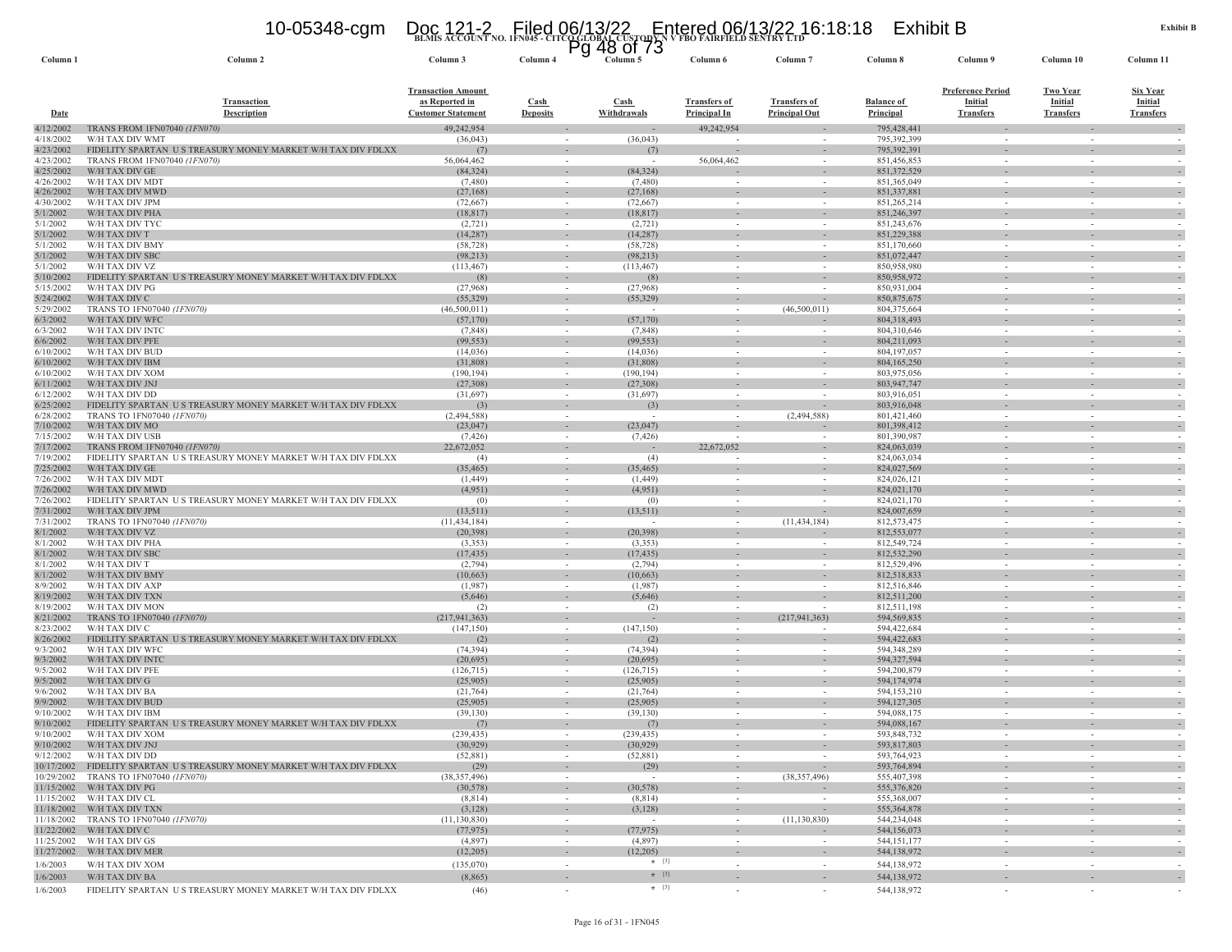### **BLMIS ACCOUNT NO. 1FN045 - CITCO GLOBAL CUSTODY N V FBO FAIRFIELD SENTRY LTD** 10-05348-cgm Doc 121-2 Filed 06/13/22 Entered 06/13/22 16:18:18 Exhibit B Pg 48 of 73

| Column <sub>1</sub>    | Column 2                                                                       | Column 3                                                                 | ٣y<br>Column 4                 | 48 UI 73<br>Column 5   | Column 6                                   | Column <sub>7</sub>                                  | Column 8                              | Column 9                                                       | Column 10                                             | Column 11                                      |
|------------------------|--------------------------------------------------------------------------------|--------------------------------------------------------------------------|--------------------------------|------------------------|--------------------------------------------|------------------------------------------------------|---------------------------------------|----------------------------------------------------------------|-------------------------------------------------------|------------------------------------------------|
| <u>Date</u>            | <b>Transaction</b><br><b>Description</b>                                       | <b>Transaction Amount</b><br>as Reported in<br><b>Customer Statement</b> | <b>Cash</b><br><b>Deposits</b> | Cash<br>Withdrawals    | <b>Transfers of</b><br><b>Principal In</b> | <b>Transfers of</b><br><b>Principal Out</b>          | <b>Balance of</b><br><b>Principal</b> | <b>Preference Period</b><br><b>Initial</b><br><b>Transfers</b> | <b>Two Year</b><br><b>Initial</b><br><b>Transfers</b> | Six Year<br><b>Initial</b><br><b>Transfers</b> |
| 4/12/2002              | TRANS FROM 1FN07040 (1FN070)                                                   | 49,242,954                                                               |                                |                        | 49,242,954                                 |                                                      | 795,428,441                           |                                                                |                                                       |                                                |
| 4/18/2002<br>4/23/2002 | W/H TAX DIV WMT<br>FIDELITY SPARTAN US TREASURY MONEY MARKET W/H TAX DIV FDLXX | (36, 043)<br>(7)                                                         | $\sim$                         | (36,043)<br>(7)        | $\overline{\phantom{a}}$                   |                                                      | 795,392,399<br>795,392,391            | $\sim$                                                         | $\sim$                                                |                                                |
| 4/23/2002              | TRANS FROM 1FN07040 (1FN070)                                                   | 56,064,462                                                               | $\sim$                         | $\sim$                 | 56,064,462                                 |                                                      | 851,456,853                           | $\sim$                                                         | $\sim$                                                |                                                |
| 4/25/2002              | W/H TAX DIV GE                                                                 | (84, 324)                                                                |                                | (84, 324)              |                                            |                                                      | 851,372,529                           |                                                                |                                                       |                                                |
| 4/26/2002<br>4/26/2002 | W/H TAX DIV MDT<br>W/H TAX DIV MWD                                             | (7,480)<br>(27,168)                                                      | $\sim$<br>$\sim$               | (7,480)<br>(27,168)    | $\sim$                                     | $\sim$<br>$\overline{\phantom{a}}$                   | 851,365,049<br>851,337,881            | $\sim$<br>$\sim$                                               | $\sim$<br>$\sim$                                      |                                                |
| 4/30/2002              | W/H TAX DIV JPM                                                                | (72, 667)                                                                |                                | (72,667)               |                                            |                                                      | 851,265,214                           |                                                                | $\sim$                                                |                                                |
| 5/1/2002               | W/H TAX DIV PHA                                                                | (18, 817)                                                                | $\sim$                         | (18, 817)              | $\sim$                                     | $\sim$                                               | 851,246,397                           |                                                                |                                                       |                                                |
| 5/1/2002<br>5/1/2002   | W/H TAX DIV TYC<br>W/H TAX DIV T                                               | (2,721)<br>(14, 287)                                                     | $\sim$<br>$\sim$               | (2,721)<br>(14, 287)   | $\sim$                                     | $\sim$<br>$\overline{\phantom{a}}$                   | 851,243,676<br>851,229,388            | $\sim$                                                         | $\sim$<br>$\sim$                                      |                                                |
| 5/1/2002               | W/H TAX DIV BMY                                                                | (58, 728)                                                                |                                | (58, 728)              | $\overline{\phantom{a}}$                   |                                                      | 851,170,660                           |                                                                | $\overline{\phantom{a}}$                              |                                                |
| 5/1/2002               | W/H TAX DIV SBC                                                                | (98, 213)                                                                | $\sim$                         | (98,213)               |                                            |                                                      | 851,072,447                           |                                                                |                                                       |                                                |
| 5/1/2002<br>5/10/2002  | W/H TAX DIV VZ<br>U S TREASURY MONEY MARKET W/H TAX DIV FDLXX                  | (113, 467)                                                               |                                | (113, 467)             | $\overline{\phantom{a}}$                   |                                                      | 850,958,980                           |                                                                |                                                       |                                                |
| 5/15/2002              | FIDELITY SPARTAN<br>W/H TAX DIV PG                                             | (8)<br>(27,968)                                                          | $\sim$                         | (8)<br>(27,968)        | $\sim$                                     | $\overline{\phantom{a}}$<br>$\overline{\phantom{a}}$ | 850,958,972<br>850,931,004            | $\sim$                                                         | $\overline{\phantom{a}}$<br>$\sim$                    |                                                |
| 5/24/2002              | W/H TAX DIV C                                                                  | (55, 329)                                                                | $\sim$                         | (55,329)               | $\overline{\phantom{a}}$                   |                                                      | 850, 875, 675                         |                                                                |                                                       |                                                |
| 5/29/2002              | TRANS TO 1FN07040 (1FN070)                                                     | (46,500,011)                                                             | $\sim$                         | $\sim$                 | $\sim$                                     | (46,500,011)                                         | 804,375,664                           | $\sim$                                                         | $\sim$                                                |                                                |
| 6/3/2002<br>6/3/2002   | W/H TAX DIV WFC<br>W/H TAX DIV INTC                                            | (57,170)<br>(7,848)                                                      | $\sim$                         | (57, 170)<br>(7, 848)  | $\sim$                                     | $\overline{\phantom{a}}$                             | 804,318,493<br>804,310,646            | $\sim$                                                         | $\sim$                                                |                                                |
| 6/6/2002               | W/H TAX DIV PFE                                                                | (99, 553)                                                                |                                | (99, 553)              |                                            |                                                      | 804,211,093                           |                                                                |                                                       |                                                |
| 6/10/2002              | W/H TAX DIV BUD                                                                | (14,036)                                                                 |                                | (14,036)               | $\sim$                                     |                                                      | 804, 197, 057                         | $\sim$                                                         | $\sim$                                                |                                                |
| 6/10/2002              | W/H TAX DIV IBM                                                                | (31,808)                                                                 |                                | (31,808)               |                                            | $\sim$                                               | 804,165,250                           |                                                                |                                                       |                                                |
| 6/10/2002<br>6/11/2002 | W/H TAX DIV XOM<br>W/H TAX DIV JNJ                                             | (190, 194)<br>(27,308)                                                   | $\sim$                         | (190, 194)<br>(27,308) | $\sim$                                     | $\sim$                                               | 803,975,056<br>803,947,747            | $\sim$                                                         | $\sim$                                                |                                                |
| 6/12/2002              | W/H TAX DIV DD                                                                 | (31,697)                                                                 |                                | (31,697)               | $\sim$                                     |                                                      | 803,916,051                           |                                                                | $\overline{\phantom{a}}$                              |                                                |
| 6/25/2002              | FIDELITY SPARTAN US TREASURY MONEY MARKET W/H TAX DIV FDLXX                    | (3)                                                                      | $\overline{\phantom{a}}$       | (3)                    | $\sim$                                     |                                                      | 803,916,048                           |                                                                |                                                       |                                                |
| 6/28/2002<br>7/10/2002 | TRANS TO 1FN07040 (1FN070)<br>W/H TAX DIV MO                                   | (2,494,588)<br>(23, 047)                                                 |                                | (23,047)               | $\sim$                                     | (2,494,588)                                          | 801,421,460<br>801,398,412            | $\sim$                                                         | $\sim$                                                |                                                |
| 7/15/2002              | W/H TAX DIV USB                                                                | (7, 426)                                                                 | $\sim$                         | (7, 426)               |                                            | $\sim$                                               | 801,390,987                           | $\sim$                                                         | $\sim$                                                |                                                |
| 7/17/2002              | TRANS FROM 1FN07040 (1FN070)                                                   | 22,672,052                                                               |                                |                        | 22,672,052                                 |                                                      | 824,063,039                           |                                                                |                                                       |                                                |
| 7/19/2002              | FIDELITY SPARTAN US TREASURY MONEY MARKET W/H TAX DIV FDLXX                    | (4)                                                                      | $\sim$                         | (4)                    | $\sim$                                     |                                                      | 824,063,034                           | $\sim$                                                         |                                                       |                                                |
| 7/25/2002<br>7/26/2002 | W/H TAX DIV GE<br>W/H TAX DIV MDT                                              | (35, 465)<br>(1,449)                                                     | $\sim$                         | (35, 465)<br>(1, 449)  | $\sim$                                     | $\sim$                                               | 824,027,569<br>824,026,121            | $\sim$                                                         | $\sim$                                                |                                                |
| 7/26/2002              | W/H TAX DIV MWD                                                                | (4,951)                                                                  |                                | (4,951)                |                                            |                                                      | 824,021,170                           |                                                                |                                                       |                                                |
| 7/26/2002              | FIDELITY SPARTAN US TREASURY MONEY MARKET W/H TAX DIV FDLXX                    | (0)                                                                      | $\sim$                         | (0)                    | $\sim$                                     |                                                      | 824,021,170                           | $\sim$                                                         | $\sim$                                                |                                                |
| 7/31/2002<br>7/31/2002 | W/H TAX DIV JPM<br>TRANS TO 1FN07040 (1FN070)                                  | (13, 511)<br>(11, 434, 184)                                              | $\sim$                         | (13,511)<br>$\sim$     | $\sim$                                     | $\overline{\phantom{a}}$<br>(11, 434, 184)           | 824,007,659<br>812,573,475            | $\sim$                                                         | $\sim$                                                |                                                |
| 8/1/2002               | W/H TAX DIV VZ                                                                 | (20, 398)                                                                | $\sim$                         | (20, 398)              | $\sim$                                     |                                                      | 812,553,077                           |                                                                |                                                       |                                                |
| 8/1/2002               | W/H TAX DIV PHA                                                                | (3, 353)                                                                 | $\sim$                         | (3,353)                | $\sim$                                     | $\sim$                                               | 812,549,724                           | $\sim$                                                         | $\sim$                                                |                                                |
| 8/1/2002               | W/H TAX DIV SBC                                                                | (17, 435)                                                                |                                | (17, 435)              |                                            |                                                      | 812,532,290                           |                                                                |                                                       |                                                |
| 8/1/2002<br>8/1/2002   | W/H TAX DIV T<br>W/H TAX DIV BMY                                               | (2,794)<br>(10,663)                                                      | $\sim$<br>$\sim$               | (2,794)<br>(10,663)    | $\sim$<br>$\sim$                           | $\sim$<br>$\sim$                                     | 812,529,496<br>812,518,833            | $\sim$<br>$\sim$                                               | $\sim$<br>$\sim$                                      |                                                |
| 8/9/2002               | W/H TAX DIV AXP                                                                | (1,987)                                                                  |                                | (1,987)                |                                            |                                                      | 812,516,846                           |                                                                |                                                       |                                                |
| 8/19/2002              | W/H TAX DIV TXN                                                                | (5,646)                                                                  | $\sim$                         | (5,646)                | $\sim$                                     | $\overline{\phantom{a}}$                             | 812,511,200                           |                                                                |                                                       |                                                |
| 8/19/2002<br>8/21/2002 | W/H TAX DIV MON<br>TRANS TO 1FN07040 (1FN070)                                  | (2)<br>(217, 941, 363)                                                   |                                | (2)                    | $\overline{\phantom{a}}$                   | (217, 941, 363)                                      | 812,511,198<br>594,569,835            |                                                                |                                                       |                                                |
| 8/23/2002              | W/H TAX DIV C                                                                  | (147, 150)                                                               | $\sim$                         | (147, 150)             | $\sim$                                     | $\overline{\phantom{a}}$                             | 594,422,684                           | $\sim$                                                         | $\sim$                                                |                                                |
| 8/26/2002              | FIDELITY SPARTAN US TREASURY MONEY MARKET W/H TAX DIV FDLXX                    | (2)                                                                      |                                | (2)                    |                                            |                                                      | 594, 422, 683                         |                                                                |                                                       |                                                |
| 9/3/2002<br>9/3/2002   | W/H TAX DIV WFC<br>W/H TAX DIV INTO                                            | (74, 394)                                                                | $\sim$                         | (74, 394)<br>(20,695)  | $\sim$                                     |                                                      | 594,348,289<br>594,327,594            | $\sim$                                                         | $\sim$                                                |                                                |
| 9/5/2002               | W/H TAX DIV PFE                                                                | (20,695)<br>(126, 715)                                                   | $\sim$                         | (126, 715)             | $\sim$                                     | $\sim$                                               | 594,200,879                           | $\sim$                                                         | $\sim$                                                |                                                |
| 9/5/2002               | W/H TAX DIV G                                                                  | (25,905)                                                                 |                                | (25,905)               |                                            |                                                      | 594,174,974                           |                                                                |                                                       |                                                |
| 9/6/2002               | W/H TAX DIV BA                                                                 | (21, 764)                                                                | $\sim$                         | (21,764)               | $\sim$                                     |                                                      | 594,153,210                           | $\sim$                                                         |                                                       |                                                |
| 9/9/2002<br>9/10/2002  | W/H TAX DIV BUD<br>W/H TAX DIV IBM                                             | (25,905)<br>(39, 130)                                                    | $\sim$                         | (25,905)<br>(39, 130)  | $\sim$                                     | $\sim$                                               | 594,127,305<br>594,088,175            | $\sim$                                                         | $\sim$                                                |                                                |
| 9/10/2002              | FIDELITY SPARTAN US TREASURY MONEY MARKET W/H TAX DIV FDLXX                    | (7)                                                                      |                                | (7)                    | $\sim$                                     | $\sim$                                               | 594,088,167                           | $\sim$                                                         | $\sim$                                                |                                                |
| 9/10/2002              | W/H TAX DIV XOM                                                                | (239, 435)                                                               |                                | (239, 435)             |                                            |                                                      | 593,848,732                           |                                                                |                                                       |                                                |
|                        | 9/10/2002 W/H TAX DIV JNJ<br>9/12/2002 W/H TAX DIV DD                          | (30,929)<br>(52, 881)                                                    | $\sim$                         | (30,929)<br>(52, 881)  | $\sim$                                     | $\sim$                                               | 593,817,803<br>593,764,923            | $\sim$                                                         | $\sim$                                                | $\overline{\phantom{a}}$                       |
|                        | 10/17/2002 FIDELITY SPARTAN US TREASURY MONEY MARKET W/H TAX DIV FDLXX         | (29)                                                                     | $\sim$                         | (29)                   | $\sim$                                     | $\sim$                                               | 593,764,894                           | $\sim$                                                         | $\sim$                                                | $\sim$                                         |
|                        | 10/29/2002 TRANS TO 1FN07040 (1FN070)                                          | (38, 357, 496)                                                           |                                | $\sim$                 | $\overline{\phantom{a}}$                   | (38, 357, 496)                                       | 555,407,398                           |                                                                | $\overline{\phantom{a}}$                              |                                                |
|                        | 11/15/2002 W/H TAX DIV PG                                                      | (30, 578)                                                                | $\sim$                         | (30, 578)              | $\sim$                                     |                                                      | 555,376,820                           |                                                                | $\sim$                                                | $\overline{\phantom{a}}$                       |
|                        | 11/15/2002 W/H TAX DIV CL<br>11/18/2002 W/H TAX DIV TXN                        | (8, 814)<br>(3,128)                                                      | $\sim$<br>$\sim$               | (8, 814)<br>(3,128)    | $\sim$<br>$\sim$                           | $\overline{\phantom{a}}$                             | 555,368,007<br>555, 364, 878          | $\sim$<br>$\overline{\phantom{a}}$                             | $\sim$<br>$\sim$                                      | $\overline{\phantom{a}}$                       |
|                        | 11/18/2002 TRANS TO 1FN07040 (1FN070)                                          | (11, 130, 830)                                                           | $\sim$                         | $\sim$ $-$             | $\sim$                                     | (11, 130, 830)                                       | 544,234,048                           | $\sim$                                                         | $\sim$                                                | $\sim$                                         |
|                        | 11/22/2002 W/H TAX DIV C                                                       | (77, 975)                                                                | $\sim$                         | (77, 975)              | $\sim$                                     | $\overline{\phantom{a}}$                             | 544,156,073                           | $\overline{\phantom{a}}$                                       | $\overline{\phantom{a}}$                              | $\sim$                                         |
|                        | 11/25/2002 W/H TAX DIV GS<br>11/27/2002 W/H TAX DIV MER                        | (4,897)<br>(12,205)                                                      | $\sim$                         | (4,897)<br>(12, 205)   | $\sim$                                     | $\sim$                                               | 544, 151, 177<br>544,138,972          | $\sim$                                                         | $\sim$                                                | $\overline{\phantom{a}}$                       |
| 1/6/2003               | W/H TAX DIV XOM                                                                | (135,070)                                                                | $\sim$                         | $\star$ [3]            | $\sim$                                     | $\sim$                                               | 544,138,972                           | $\sim$                                                         | $\sim$                                                | $\sim$                                         |
| 1/6/2003               | W/H TAX DIV BA                                                                 | (8,865)                                                                  | $\overline{\phantom{a}}$       | $*$ [3]                | $\sim$                                     | $\sim$                                               | 544,138,972                           | $\sim$                                                         | $\sim$                                                | $\sim$                                         |
| 1/6/2003               | FIDELITY SPARTAN US TREASURY MONEY MARKET W/H TAX DIV FDLXX                    | (46)                                                                     | $\sim$                         | $*$ [3]                | $\sim$                                     | $\sim$                                               | 544,138,972                           | $\sim$                                                         |                                                       |                                                |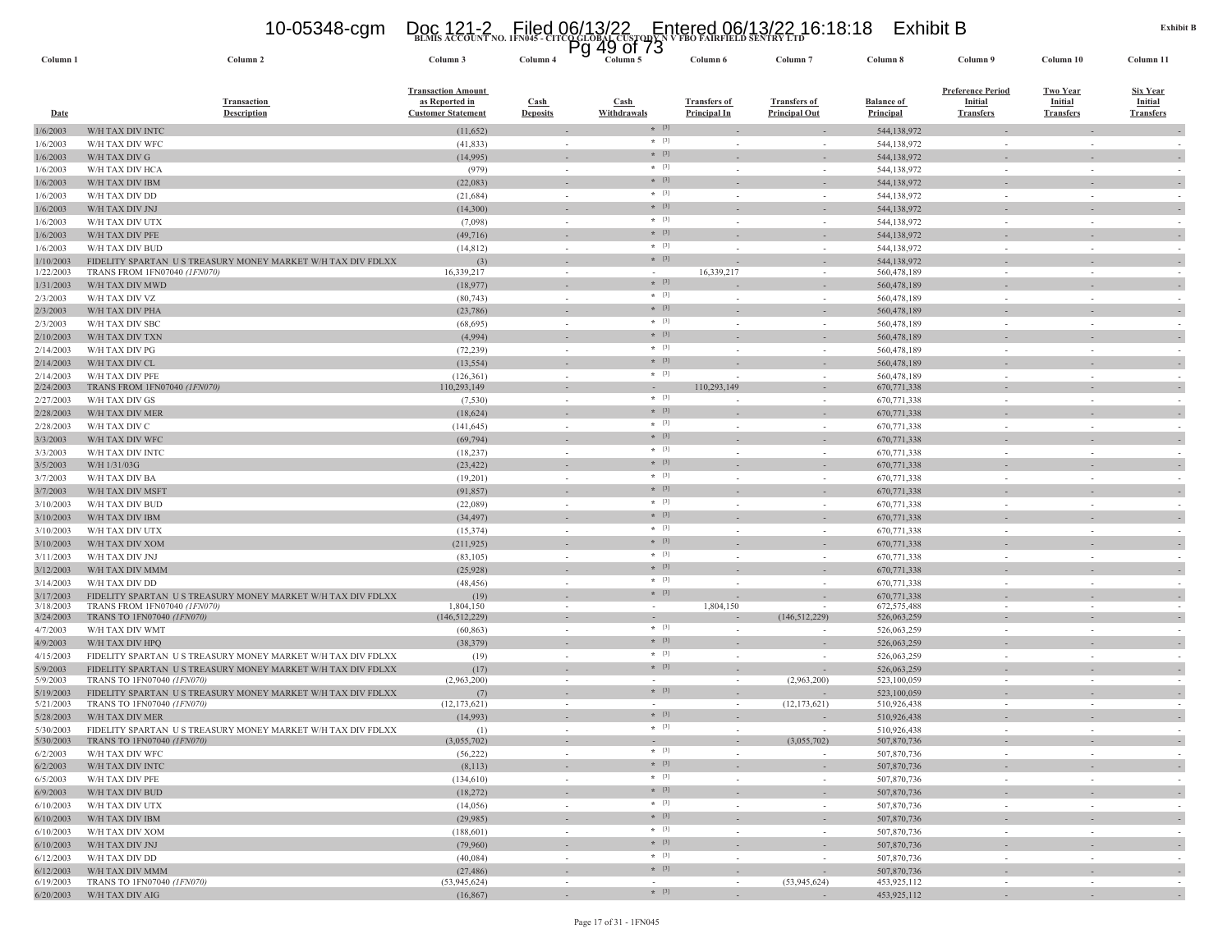## **BLMIS ACCOUNT NO. 1FN045 - CITCO GLOBAL CUSTODY N V FBO FAIRFIELD SENTRY LTD** 10-05348-cgm Doc 121-2 Filed 06/13/22 Entered 06/13/22 16:18:18 Exhibit B Pg 49 of 73

| Column <sub>1</sub>    | Column <sub>2</sub>                                                                       | Column 3                                                                 | Column <sub>4</sub>      | Column 5            | Column <sub>6</sub>                 | Column                                      | Column 8                              | Column 9                                                       | Column 10                                             | Column 11                                             |
|------------------------|-------------------------------------------------------------------------------------------|--------------------------------------------------------------------------|--------------------------|---------------------|-------------------------------------|---------------------------------------------|---------------------------------------|----------------------------------------------------------------|-------------------------------------------------------|-------------------------------------------------------|
| <b>Date</b>            | <b>Transaction</b><br><b>Description</b>                                                  | <b>Transaction Amount</b><br>as Reported in<br><b>Customer Statement</b> | Cash<br><b>Deposits</b>  | Cash<br>Withdrawals | <b>Transfers of</b><br>Principal In | <b>Transfers of</b><br><b>Principal Out</b> | <b>Balance of</b><br><b>Principal</b> | <b>Preference Period</b><br><b>Initial</b><br><b>Transfers</b> | <b>Two Year</b><br><b>Initial</b><br><b>Transfers</b> | <b>Six Year</b><br><b>Initial</b><br><b>Transfers</b> |
| 1/6/2003               | W/H TAX DIV INTC                                                                          | (11,652)                                                                 |                          | $*$ [3]             |                                     |                                             | 544,138,972                           |                                                                |                                                       |                                                       |
| 1/6/2003               | W/H TAX DIV WFC                                                                           | (41, 833)                                                                |                          | $*$ [3]             |                                     | $\overline{\phantom{a}}$                    | 544,138,972                           | $\sim$                                                         |                                                       |                                                       |
| 1/6/2003               | W/H TAX DIV G                                                                             | (14,995)                                                                 |                          | $* [3]$             |                                     |                                             | 544,138,972                           |                                                                |                                                       |                                                       |
| 1/6/2003               | W/H TAX DIV HCA                                                                           | (979)                                                                    | $\overline{\phantom{a}}$ | $*$ [3]             |                                     | $\overline{\phantom{a}}$                    | 544,138,972                           |                                                                |                                                       |                                                       |
| 1/6/2003               | W/H TAX DIV IBM                                                                           | (22,083)                                                                 |                          | $*$ [3]             |                                     |                                             | 544,138,972                           |                                                                |                                                       |                                                       |
| 1/6/2003               | W/H TAX DIV DD                                                                            | (21, 684)                                                                | $\sim$                   | $*$ [3]             |                                     | $\overline{\phantom{a}}$                    | 544,138,972                           |                                                                |                                                       |                                                       |
| 1/6/2003               | W/H TAX DIV JNJ                                                                           | (14,300)                                                                 |                          | $*$ [3]             |                                     |                                             | 544,138,972                           |                                                                |                                                       |                                                       |
| 1/6/2003               | W/H TAX DIV UTX                                                                           | (7,098)                                                                  |                          | $*$ [3]             |                                     |                                             | 544,138,972                           |                                                                |                                                       |                                                       |
| 1/6/2003               | W/H TAX DIV PFE                                                                           | (49, 716)                                                                |                          | $*$ [3]             |                                     |                                             | 544,138,972                           |                                                                |                                                       |                                                       |
| 1/6/2003               | W/H TAX DIV BUD                                                                           | (14, 812)                                                                | $\sim$                   | $*$ [3]             |                                     | $\overline{\phantom{a}}$                    | 544,138,972                           |                                                                |                                                       |                                                       |
| 1/10/2003              | FIDELITY SPARTAN US TREASURY MONEY MARKET W/H TAX DIV FDLXX                               | (3)                                                                      |                          | $*$ [3]             |                                     |                                             | 544,138,972                           |                                                                |                                                       |                                                       |
| 1/22/2003              | TRANS FROM 1FN07040 (1FN070)                                                              | 16,339,217                                                               | $\sim$                   | $\sim$<br>$*$ [3]   | 16,339,217                          | $\sim$                                      | 560,478,189                           | $\sim$                                                         | $\sim$                                                | $\sim$                                                |
| 1/31/2003              | W/H TAX DIV MWD                                                                           | (18,977)                                                                 |                          | $*$ [3]             |                                     |                                             | 560,478,189                           |                                                                |                                                       |                                                       |
| 2/3/2003               | W/H TAX DIV VZ                                                                            | (80, 743)                                                                | $\sim$                   | $*$ [3]             |                                     | $\sim$                                      | 560,478,189                           | $\sim$                                                         |                                                       |                                                       |
| 2/3/2003               | W/H TAX DIV PHA                                                                           | (23,786)                                                                 |                          | $*$ [3]             |                                     |                                             | 560,478,189                           |                                                                |                                                       |                                                       |
| 2/3/2003               | W/H TAX DIV SBC                                                                           | (68, 695)                                                                | $\sim$                   | $*$ [3]             |                                     | $\sim$                                      | 560,478,189                           | $\sim$                                                         |                                                       | $\sim$                                                |
| 2/10/2003              | W/H TAX DIV TXN                                                                           | (4,994)                                                                  |                          | $*$ [3]             |                                     | $\overline{\phantom{a}}$                    | 560,478,189                           |                                                                |                                                       |                                                       |
| 2/14/2003              | W/H TAX DIV PG                                                                            | (72, 239)                                                                | $\sim$                   | $* [3]$             |                                     | $\sim$                                      | 560,478,189                           |                                                                |                                                       |                                                       |
| 2/14/2003              | W/H TAX DIV CL                                                                            | (13, 554)                                                                |                          | $*$ [3]             |                                     |                                             | 560,478,189                           |                                                                |                                                       |                                                       |
| 2/14/2003<br>2/24/2003 | W/H TAX DIV PFE<br>TRANS FROM 1FN07040 (1FN070)                                           | (126, 361)<br>110,293,149                                                | $\sim$                   | $\sim$              | 110,293,149                         | $\sim$                                      | 560,478,189<br>670,771,338            |                                                                |                                                       |                                                       |
| 2/27/2003              | W/H TAX DIV GS                                                                            | (7,530)                                                                  | $\sim$                   | $*$ [3]             |                                     | $\sim$                                      | 670,771,338                           | $\sim$                                                         |                                                       | $\sim$                                                |
| 2/28/2003              | W/H TAX DIV MER                                                                           | (18,624)                                                                 |                          | $* [3]$             |                                     |                                             | 670,771,338                           |                                                                |                                                       |                                                       |
| 2/28/2003              | W/H TAX DIV C                                                                             | (141, 645)                                                               | $\sim$                   | $*$ [3]             |                                     | $\sim$                                      | 670,771,338                           | $\sim$                                                         |                                                       | - 2                                                   |
| 3/3/2003               | W/H TAX DIV WFC                                                                           | (69, 794)                                                                |                          | $*$ [3]             |                                     |                                             | 670,771,338                           |                                                                |                                                       |                                                       |
| 3/3/2003               | W/H TAX DIV INTC                                                                          | (18, 237)                                                                | $\sim$                   | $*$ [3]             |                                     | $\sim$                                      | 670,771,338                           |                                                                |                                                       |                                                       |
| 3/5/2003               | W/H 1/31/03G                                                                              | (23, 422)                                                                |                          | $*$ [3]             |                                     | $\sim$                                      | 670,771,338                           |                                                                |                                                       |                                                       |
| 3/7/2003               | W/H TAX DIV BA                                                                            | (19,201)                                                                 |                          | $*$ [3]             |                                     | $\sim$                                      | 670,771,338                           |                                                                |                                                       |                                                       |
| 3/7/2003               | W/H TAX DIV MSFT                                                                          | (91, 857)                                                                |                          | $*$ [3]             |                                     |                                             | 670,771,338                           |                                                                |                                                       |                                                       |
| 3/10/2003              | W/H TAX DIV BUD                                                                           | (22,089)                                                                 | $\sim$                   | $*$ [3]             |                                     |                                             | 670,771,338                           |                                                                |                                                       |                                                       |
| 3/10/2003              | W/H TAX DIV IBM                                                                           | (34, 497)                                                                |                          | $*$ [3]             |                                     |                                             | 670,771,338                           |                                                                |                                                       |                                                       |
| 3/10/2003              | W/H TAX DIV UTX                                                                           | (15, 374)                                                                | $\sim$                   | $*$ [3]             | $\sim$                              | $\sim$                                      | 670,771,338                           | $\sim$                                                         |                                                       |                                                       |
| 3/10/2003              | W/H TAX DIV XOM                                                                           | (211, 925)                                                               |                          | $* [3]$             |                                     |                                             | 670,771,338                           |                                                                |                                                       |                                                       |
| 3/11/2003              | W/H TAX DIV JNJ                                                                           | (83, 105)                                                                | $\sim$                   | $*$ [3]             |                                     | $\sim$                                      | 670,771,338                           | $\sim$                                                         |                                                       |                                                       |
| 3/12/2003              | W/H TAX DIV MMM                                                                           | (25,928)                                                                 |                          | $*$ [3]             |                                     |                                             | 670,771,338                           |                                                                |                                                       |                                                       |
| 3/14/2003              | W/H TAX DIV DD                                                                            | (48, 456)                                                                | $\sim$                   | $*$ [3]             |                                     | $\sim$                                      | 670,771,338                           |                                                                |                                                       |                                                       |
| 3/17/2003              | FIDELITY SPARTAN US TREASURY MONEY MARKET W/H TAX DIV FDLXX                               | (19)                                                                     |                          | $*$ [3]             |                                     |                                             | 670,771,338                           |                                                                |                                                       |                                                       |
| 3/18/2003              | TRANS FROM 1FN07040 (1FN070)                                                              | 1,804,150                                                                |                          |                     | 1,804,150                           |                                             | 672,575,488                           |                                                                |                                                       |                                                       |
| 3/24/2003              | TRANS TO 1FN07040 (1FN070)                                                                | (146, 512, 229)                                                          | ٠                        | $\sim$              |                                     | (146, 512, 229)                             | 526,063,259                           |                                                                |                                                       |                                                       |
| 4/7/2003               | W/H TAX DIV WMT                                                                           | (60, 863)                                                                | $\sim$                   | $*$ [3]             |                                     |                                             | 526,063,259                           |                                                                |                                                       |                                                       |
| 4/9/2003               | W/H TAX DIV HPQ                                                                           | (38, 379)                                                                |                          | $* [3]$             |                                     |                                             | 526,063,259                           |                                                                |                                                       |                                                       |
| 4/15/2003              | FIDELITY SPARTAN US TREASURY MONEY MARKET W/H TAX DIV FDLXX                               | (19)                                                                     |                          | $*$ [3]             |                                     |                                             | 526,063,259                           |                                                                |                                                       |                                                       |
| 5/9/2003               | FIDELITY SPARTAN US TREASURY MONEY MARKET W/H TAX DIV FDLXX                               | (17)                                                                     |                          | $* [3]$             |                                     |                                             | 526,063,259                           |                                                                |                                                       |                                                       |
| 5/9/2003               | TRANS TO 1FN07040 (1FN070)                                                                | (2,963,200)                                                              |                          | $* [3]$             |                                     | (2,963,200)                                 | 523,100,059                           |                                                                |                                                       |                                                       |
| 5/19/2003<br>5/21/2003 | FIDELITY SPARTAN US TREASURY MONEY MARKET W/H TAX DIV FDLXX<br>TRANS TO 1FN07040 (1FN070) | (7)<br>(12, 173, 621)                                                    |                          |                     |                                     | (12, 173, 621)                              | 523,100,059<br>510,926,438            |                                                                |                                                       |                                                       |
| 5/28/2003              | W/H TAX DIV MER                                                                           | (14,993)                                                                 |                          | $* [3]$             |                                     |                                             | 510,926,438                           |                                                                |                                                       |                                                       |
| 5/30/2003              | FIDELITY SPARTAN US TREASURY MONEY MARKET W/H TAX DIV FDLXX                               | (1)                                                                      | $\sim$                   | $*$ [3]             |                                     |                                             | 510,926,438                           |                                                                |                                                       |                                                       |
| 5/30/2003              | TRANS TO 1FN07040 (1FN070)                                                                | (3,055,702)                                                              |                          |                     |                                     | (3,055,702)                                 | 507,870,736                           |                                                                |                                                       |                                                       |
| 6/2/2003               | W/H TAX DIV WFC                                                                           | (56, 222)                                                                |                          | $*$ [3]             |                                     |                                             | 507,870,736                           |                                                                |                                                       |                                                       |
| 6/2/2003               | W/H TAX DIV INTC                                                                          | (8,113)                                                                  |                          | $*$ [3]             |                                     | $\overline{\phantom{a}}$                    | 507,870,736                           | $\sim$                                                         |                                                       |                                                       |
| 6/5/2003               | W/H TAX DIV PFE                                                                           | (134, 610)                                                               | $\sim$                   | $*$ [3]             | $\sim$                              | $\sim$                                      | 507,870,736                           | $\sim$                                                         | $\sim$                                                | $\sim$                                                |
| 6/9/2003               | W/H TAX DIV BUD                                                                           | (18, 272)                                                                |                          | $*$ [3]             |                                     |                                             | 507,870,736                           |                                                                |                                                       | $\sim$                                                |
| 6/10/2003              | W/H TAX DIV UTX                                                                           | (14,056)                                                                 | $\sim$                   | $*$ [3]             | $\sim$                              | $\sim$                                      | 507,870,736                           | $\sim$                                                         | $\sim$                                                | $\sim$                                                |
| 6/10/2003              | W/H TAX DIV IBM                                                                           | (29,985)                                                                 | $\overline{\phantom{a}}$ | $*$ [3]             |                                     | $\sim$                                      | 507,870,736                           | $\sim$                                                         | $\overline{\phantom{a}}$                              | $\sim$                                                |
| 6/10/2003              | W/H TAX DIV XOM                                                                           | (188, 601)                                                               | $\sim$                   | $*$ [3]             | $\sim$                              | $\sim$                                      | 507,870,736                           | $\sim$                                                         | $\sim$                                                | $\sim$                                                |
| 6/10/2003              | W/H TAX DIV JNJ                                                                           | (79,960)                                                                 |                          | $*$ [3]             |                                     |                                             | 507,870,736                           |                                                                |                                                       | $\sim$                                                |
| 6/12/2003              | W/H TAX DIV DD                                                                            | (40,084)                                                                 | $\sim$                   | $*$ [3]             | $\sim$                              | $\sim$                                      | 507,870,736                           | $\sim$                                                         | $\sim$                                                | $\sim$                                                |
| 6/12/2003              | W/H TAX DIV MMM                                                                           | (27, 486)                                                                | $\sim$                   | $*$ [3]             | $\sim$                              | $\sim$                                      | 507,870,736                           | $\sim$                                                         | $\sim$                                                | $\sim$                                                |
| 6/19/2003              | TRANS TO 1FN07040 (1FN070)                                                                | (53,945,624)                                                             | $\overline{\phantom{a}}$ | $\sim$              | $\sim$                              | (53,945,624)                                | 453,925,112                           | $\sim$                                                         | $\blacksquare$                                        |                                                       |
| 6/20/2003              | W/H TAX DIV AIG                                                                           | (16, 867)                                                                | $\sim$                   | $*$ [3]             | $\sim$                              | $\sim$                                      | 453,925,112                           | $\sim$                                                         |                                                       |                                                       |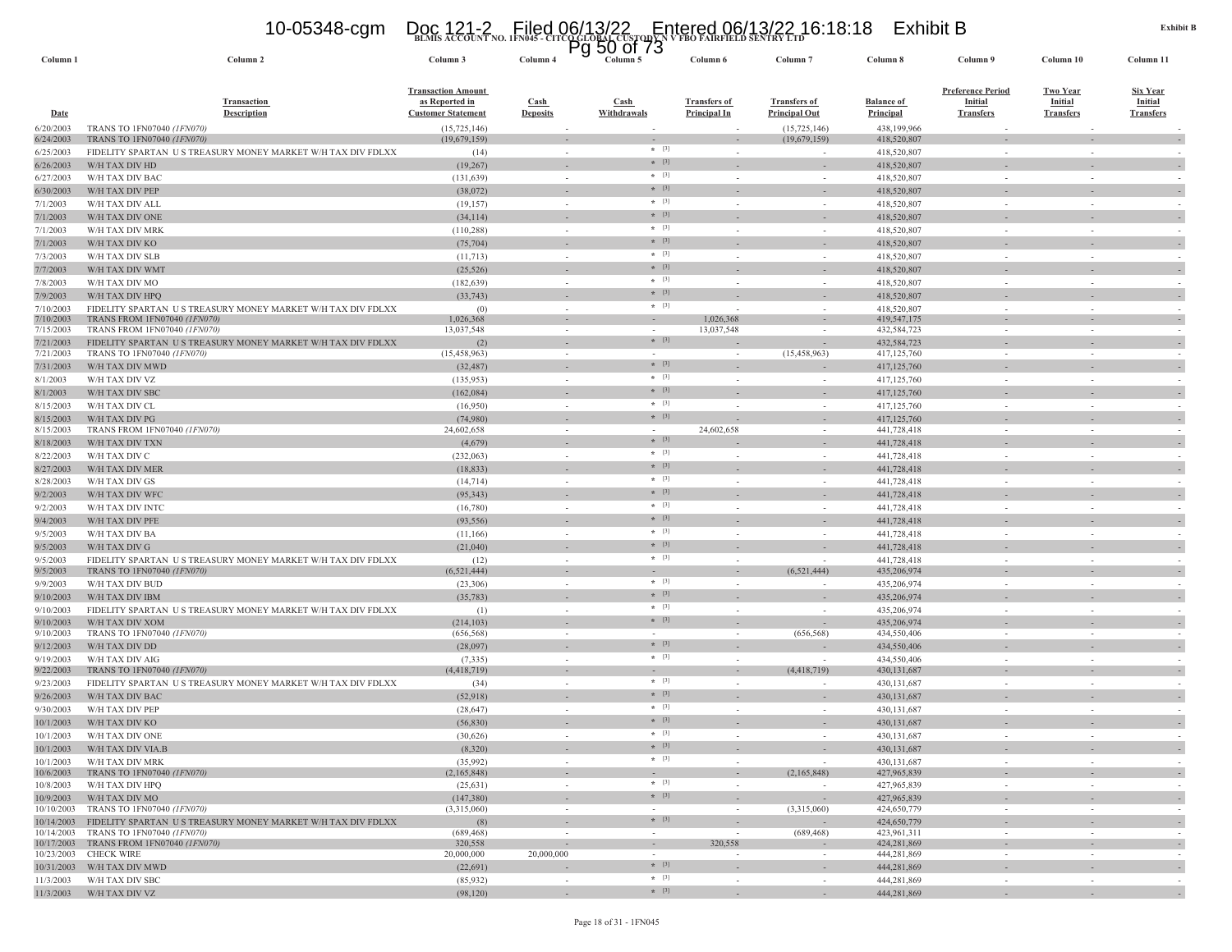### **BLMIS ACCOUNT NO. 1FN045 - CITCO GLOBAL CUSTODY N V FBO FAIRFIELD SENTRY LTD** 10-05348-cgm Doc 121-2 Filed 06/13/22 Entered 06/13/22 16:18:18 Exhibit B Pg 50 of 73

| Column <sub>1</sub>    | Column 2                                                                                                        | Column 3                                                                 | Column 4                       | ٣y | ວບ ບເ 7ວ<br>Column 5 | Column 6                                   | Column <sub>7</sub>                         | Column 8                              | Column 9                                                       | Column 10                                             | Column 11                                             |                          |
|------------------------|-----------------------------------------------------------------------------------------------------------------|--------------------------------------------------------------------------|--------------------------------|----|----------------------|--------------------------------------------|---------------------------------------------|---------------------------------------|----------------------------------------------------------------|-------------------------------------------------------|-------------------------------------------------------|--------------------------|
| <b>Date</b>            | <b>Transaction</b><br><b>Description</b>                                                                        | <b>Transaction Amount</b><br>as Reported in<br><b>Customer Statement</b> | <b>Cash</b><br><b>Deposits</b> |    | Cash<br>Withdrawals  | <b>Transfers of</b><br><b>Principal In</b> | <b>Transfers of</b><br><b>Principal Out</b> | <b>Balance of</b><br><b>Principal</b> | <b>Preference Period</b><br><b>Initial</b><br><b>Transfers</b> | <b>Two Year</b><br><b>Initial</b><br><b>Transfers</b> | <b>Six Year</b><br><b>Initial</b><br><b>Transfers</b> |                          |
| 6/20/2003              | TRANS TO 1FN07040 (1FN070)                                                                                      | (15, 725, 146)                                                           |                                |    |                      |                                            | (15, 725, 146)                              | 438,199,966<br>418,520,807            |                                                                |                                                       |                                                       |                          |
| 6/24/2003<br>6/25/2003 | TRANS TO 1FN07040 (1FN070)<br>FIDELITY SPARTAN US TREASURY MONEY MARKET W/H TAX DIV FDLXX                       | (19,679,159)<br>(14)                                                     | $\sim$                         |    | $*$ [3]              | $\sim$                                     | (19,679,159)                                | 418,520,807                           | $\sim$                                                         | $\sim$                                                |                                                       |                          |
| 6/26/2003              | W/H TAX DIV HD                                                                                                  | (19, 267)                                                                |                                |    | $* [3]$              |                                            |                                             | 418,520,807                           |                                                                |                                                       |                                                       |                          |
| 6/27/2003              | W/H TAX DIV BAC                                                                                                 | (131, 639)                                                               |                                |    | $* [3]$              |                                            |                                             | 418,520,807                           |                                                                |                                                       |                                                       |                          |
| 6/30/2003              | W/H TAX DIV PEP                                                                                                 | (38,072)                                                                 |                                |    | $*$ [3]              |                                            |                                             | 418,520,807                           |                                                                |                                                       |                                                       |                          |
| 7/1/2003               | W/H TAX DIV ALL                                                                                                 | (19, 157)                                                                | $\sim$                         |    | $*$ [3]              |                                            |                                             | 418,520,807                           |                                                                | $\sim$                                                |                                                       |                          |
| 7/1/2003               | W/H TAX DIV ONE                                                                                                 | (34, 114)                                                                |                                |    | $*$ [3]              |                                            |                                             | 418,520,807                           |                                                                |                                                       |                                                       |                          |
| 7/1/2003               | W/H TAX DIV MRK                                                                                                 | (110, 288)                                                               | $\sim$                         |    | $*$ [3]              | $\sim$                                     | $\sim$                                      | 418,520,807                           | $\sim$                                                         | $\sim$                                                |                                                       |                          |
| 7/1/2003               | W/H TAX DIV KO                                                                                                  | (75, 704)                                                                |                                |    | $* [3]$<br>$*$ [3]   |                                            |                                             | 418,520,807                           |                                                                |                                                       |                                                       |                          |
| 7/3/2003               | W/H TAX DIV SLB                                                                                                 | (11, 713)                                                                | $\sim$                         |    | $* [3]$              | $\overline{\phantom{a}}$                   | $\sim$                                      | 418,520,807                           | $\sim$                                                         | $\sim$                                                |                                                       |                          |
| 7/7/2003<br>7/8/2003   | W/H TAX DIV WMT<br>W/H TAX DIV MO                                                                               | (25, 526)<br>(182, 639)                                                  | $\sim$                         |    | $*$ [3]              | $\overline{\phantom{a}}$                   | $\sim$                                      | 418,520,807<br>418,520,807            | $\sim$                                                         | $\sim$                                                |                                                       |                          |
| 7/9/2003               | W/H TAX DIV HPQ                                                                                                 | (33,743)                                                                 |                                |    | $*$ [3]              |                                            |                                             | 418,520,807                           |                                                                |                                                       |                                                       |                          |
| 7/10/2003              | FIDELITY SPARTAN US TREASURY MONEY MARKET W/H TAX DIV FDLXX                                                     | (0)                                                                      | $\sim$                         |    | $* [3]$              |                                            | $\sim$                                      | 418,520,807                           | $\overline{\phantom{a}}$                                       | $\sim$                                                |                                                       |                          |
| 7/10/2003              | TRANS FROM 1FN07040 (1FN070)                                                                                    | 1,026,368                                                                |                                |    | $\sim$               | 1,026,368                                  | $\sim$                                      | 419,547,175                           |                                                                | $\sim$                                                |                                                       |                          |
| 7/15/2003              | TRANS FROM 1FN07040 (1FN070)                                                                                    | 13,037,548                                                               | $\sim$                         |    |                      | 13,037,548                                 | $\overline{\phantom{a}}$                    | 432,584,723                           | $\sim$                                                         | $\sim$                                                |                                                       |                          |
| 7/21/2003              | FIDELITY SPARTAN US TREASURY MONEY MARKET W/H TAX DIV FDLXX                                                     | (2)                                                                      |                                |    | $*$ [3]              |                                            | (15, 458, 963)                              | 432,584,723                           |                                                                |                                                       |                                                       |                          |
| 7/21/2003<br>7/31/2003 | TRANS TO 1FN07040 (1FN070)<br>W/H TAX DIV MWD                                                                   | (15, 458, 963)<br>(32, 487)                                              | $\sim$                         |    | $\sim$<br>$*$ [3]    | $\sim$                                     |                                             | 417, 125, 760<br>417, 125, 760        | $\sim$                                                         | $\sim$                                                |                                                       |                          |
| 8/1/2003               | W/H TAX DIV VZ                                                                                                  | (135, 953)                                                               | $\sim$                         |    | $*$ [3]              |                                            | $\sim$                                      | 417, 125, 760                         | $\sim$                                                         | ÷.                                                    |                                                       |                          |
| 8/1/2003               | W/H TAX DIV SBC                                                                                                 | (162,084)                                                                |                                |    | $*$ [3]              |                                            |                                             | 417, 125, 760                         |                                                                |                                                       |                                                       |                          |
| 8/15/2003              | W/H TAX DIV CL                                                                                                  | (16,950)                                                                 | $\sim$                         |    | $*$ [3]              | $\sim$                                     | $\sim$                                      | 417,125,760                           | $\sim$                                                         | $\sim$                                                |                                                       |                          |
| 8/15/2003              | W/H TAX DIV PG                                                                                                  | (74,980)                                                                 |                                |    | $*$ [3]              |                                            |                                             | 417, 125, 760                         |                                                                |                                                       |                                                       |                          |
| 8/15/2003              | TRANS FROM 1FN07040 (1FN070)                                                                                    | 24,602,658                                                               | $\sim$                         |    | $\sim$               | 24,602,658                                 | $\sim$                                      | 441,728,418                           | $\sim$                                                         | $\sim$                                                |                                                       |                          |
| 8/18/2003              | W/H TAX DIV TXN                                                                                                 | (4,679)                                                                  |                                |    | $*$ [3]              |                                            |                                             | 441,728,418                           |                                                                |                                                       |                                                       |                          |
| 8/22/2003              | W/H TAX DIV C                                                                                                   | (232,063)                                                                | $\sim$                         |    | $*$ [3]<br>$*$ [3]   | $\sim$                                     | $\sim$                                      | 441,728,418                           | $\sim$                                                         | $\sim$                                                |                                                       |                          |
| 8/27/2003              | W/H TAX DIV MER                                                                                                 | (18, 833)                                                                |                                |    | $*$ [3]              |                                            |                                             | 441,728,418                           |                                                                |                                                       |                                                       |                          |
| 8/28/2003<br>9/2/2003  | W/H TAX DIV GS<br>W/H TAX DIV WFC                                                                               | (14, 714)<br>(95, 343)                                                   | $\sim$                         |    | $*$ [3]              |                                            |                                             | 441,728,418<br>441,728,418            |                                                                |                                                       |                                                       |                          |
| 9/2/2003               | W/H TAX DIV INTC                                                                                                | (16,780)                                                                 | $\sim$                         |    | $*$ [3]              |                                            | ٠                                           | 441,728,418                           | $\sim$                                                         | $\sim$                                                |                                                       |                          |
| 9/4/2003               | W/H TAX DIV PFE                                                                                                 | (93, 556)                                                                |                                |    | $*$ [3]              |                                            |                                             | 441,728,418                           |                                                                |                                                       |                                                       |                          |
| 9/5/2003               | W/H TAX DIV BA                                                                                                  | (11,166)                                                                 |                                |    | $*$ [3]              |                                            | ٠                                           | 441,728,418                           |                                                                | $\sim$                                                |                                                       |                          |
| 9/5/2003               | W/H TAX DIV G                                                                                                   | (21,040)                                                                 |                                |    | $*$ [3]              |                                            |                                             | 441,728,418                           |                                                                |                                                       |                                                       |                          |
| 9/5/2003               | FIDELITY SPARTAN US TREASURY MONEY MARKET W/H TAX DIV FDLXX                                                     | (12)                                                                     | $\sim$                         |    | $*$ [3]              | $\overline{\phantom{a}}$                   | ٠                                           | 441,728,418                           | $\sim$                                                         | $\sim$                                                |                                                       |                          |
| 9/5/2003               | TRANS TO 1FN07040 (1FN070)                                                                                      | (6, 521, 444)                                                            |                                |    | $\sim$               |                                            | (6,521,444)                                 | 435,206,974                           |                                                                |                                                       |                                                       |                          |
| 9/9/2003               | W/H TAX DIV BUD                                                                                                 | (23,306)                                                                 | $\sim$                         |    | $* [3]$<br>$*$ [3]   | $\sim$                                     |                                             | 435,206,974                           | $\sim$                                                         | $\sim$                                                |                                                       |                          |
| 9/10/2003              | W/H TAX DIV IBM                                                                                                 | (35, 783)                                                                | $\sim$                         |    | $*$ [3]              |                                            |                                             | 435,206,974                           |                                                                |                                                       |                                                       |                          |
| 9/10/2003              | FIDELITY SPARTAN US TREASURY MONEY MARKET W/H TAX DIV FDLXX                                                     | (1)                                                                      | $\sim$                         |    | $*$ [3]              |                                            |                                             | 435,206,974                           |                                                                |                                                       |                                                       |                          |
| 9/10/2003<br>9/10/2003 | W/H TAX DIV XOM<br>TRANS TO 1FN07040 (1FN070)                                                                   | (214, 103)<br>(656, 568)                                                 | $\sim$                         |    | $\sim$               | $\sim$                                     | (656, 568)                                  | 435,206,974<br>434,550,406            | $\sim$                                                         | $\sim$                                                |                                                       |                          |
| 9/12/2003              | W/H TAX DIV DD                                                                                                  | (28,097)                                                                 |                                |    | $* [3]$              |                                            |                                             | 434,550,406                           |                                                                |                                                       |                                                       |                          |
| 9/19/2003              | W/H TAX DIV AIG                                                                                                 | (7, 335)                                                                 | $\sim$                         |    | $*$ [3]              | $\sim$                                     |                                             | 434,550,406                           | $\sim$                                                         | $\sim$                                                |                                                       |                          |
| 9/22/2003              | TRANS TO 1FN07040 (1FN070)                                                                                      | (4, 418, 719)                                                            |                                |    |                      |                                            | (4,418,719)                                 | 430,131,687                           |                                                                |                                                       |                                                       |                          |
| 9/23/2003              | FIDELITY SPARTAN US TREASURY MONEY MARKET W/H TAX DIV FDLXX                                                     | (34)                                                                     |                                |    | $*$ [3]<br>$*$ [3]   | $\sim$                                     |                                             | 430, 131, 687                         | $\sim$                                                         | $\sim$                                                |                                                       |                          |
| 9/26/2003              | W/H TAX DIV BAC                                                                                                 | (52,918)                                                                 |                                |    | $*$ [3]              |                                            |                                             | 430, 131, 687                         |                                                                |                                                       |                                                       |                          |
| 9/30/2003              | W/H TAX DIV PEP                                                                                                 | (28, 647)                                                                |                                |    | $*$ [3]              | $\overline{\phantom{a}}$                   |                                             | 430, 131, 687                         |                                                                |                                                       |                                                       |                          |
| 10/1/2003<br>10/1/2003 | W/H TAX DIV KO<br>W/H TAX DIV ONE                                                                               | (56, 830)<br>(30,626)                                                    |                                |    | $*$ [3]              |                                            |                                             | 430,131,687<br>430,131,687            |                                                                |                                                       |                                                       |                          |
|                        | 10/1/2003 W/H TAX DIV VIA.B                                                                                     | (8,320)                                                                  |                                |    | $*$ [3]              |                                            |                                             | 430,131,687                           |                                                                |                                                       |                                                       |                          |
|                        | 10/1/2003 W/H TAX DIV MRK                                                                                       | (35,992)                                                                 | $\sim$                         |    | $*$ [3]              | $\sim$                                     |                                             | 430, 131, 687                         | $\sim$                                                         | $\sim$                                                |                                                       | $\sim$                   |
| 10/6/2003              | TRANS TO 1FN07040 (1FN070)                                                                                      | (2,165,848)                                                              |                                |    | $\sim$               |                                            | (2,165,848)                                 | 427,965,839                           |                                                                | $\blacksquare$                                        |                                                       | $\sim$                   |
|                        | 10/8/2003 W/H TAX DIV HPQ                                                                                       | (25, 631)                                                                | $\sim$                         |    | $*$ [3]              | $\sim$                                     | $\sim$                                      | 427,965,839                           | $\sim$                                                         | $\sim$                                                |                                                       |                          |
|                        | 10/9/2003 W/H TAX DIV MO                                                                                        | (147,380)                                                                |                                |    | $*$ [3]              |                                            |                                             | 427,965,839                           |                                                                |                                                       |                                                       | $\overline{\phantom{a}}$ |
|                        | 10/10/2003 TRANS TO 1FN07040 (1FN070)                                                                           | (3,315,060)                                                              | $\sim$                         |    | $\sim$<br>$*$ [3]    | $\sim$                                     | (3,315,060)                                 | 424,650,779                           | $\sim$                                                         | $\sim$                                                |                                                       |                          |
|                        | 10/14/2003 FIDELITY SPARTAN US TREASURY MONEY MARKET W/H TAX DIV FDLXX<br>10/14/2003 TRANS TO 1FN07040 (1FN070) | (8)<br>(689, 468)                                                        | $\sim$                         |    | $\sim$               | $\sim$<br>$\sim$                           | (689, 468)                                  | 424,650,779<br>423,961,311            | $\sim$                                                         | $\sim$                                                |                                                       | $\sim$                   |
|                        | 10/17/2003 TRANS FROM 1FN07040 (1FN070)                                                                         | 320,558                                                                  | $\overline{\phantom{a}}$       |    | $\sim$               | 320,558                                    |                                             | 424,281,869                           |                                                                |                                                       |                                                       | $\overline{\phantom{a}}$ |
|                        | 10/23/2003 CHECK WIRE                                                                                           | 20,000,000                                                               | 20,000,000                     |    | $\sim$               | $\sim$                                     | $\overline{\phantom{a}}$                    | 444,281,869                           | $\sim$                                                         | $\overline{\phantom{a}}$                              |                                                       | $\overline{\phantom{a}}$ |
|                        | 10/31/2003 W/H TAX DIV MWD                                                                                      | (22, 691)                                                                |                                |    | $*$ [3]<br>$*$ [3]   | $\sim$                                     | $\overline{\phantom{a}}$                    | 444,281,869                           | $\sim$                                                         | $\overline{\phantom{a}}$                              |                                                       | $\overline{\phantom{a}}$ |
|                        | 11/3/2003 W/H TAX DIV SBC                                                                                       | (85,932)                                                                 | $\sim$                         |    | $*$ [3]              | $\sim$                                     | $\sim$                                      | 444.281.869                           | $\sim$                                                         | $\sim$                                                |                                                       |                          |
|                        | 11/3/2003 W/H TAX DIV VZ                                                                                        | (98, 120)                                                                |                                |    |                      | $\sim$                                     |                                             | 444,281,869                           |                                                                |                                                       |                                                       |                          |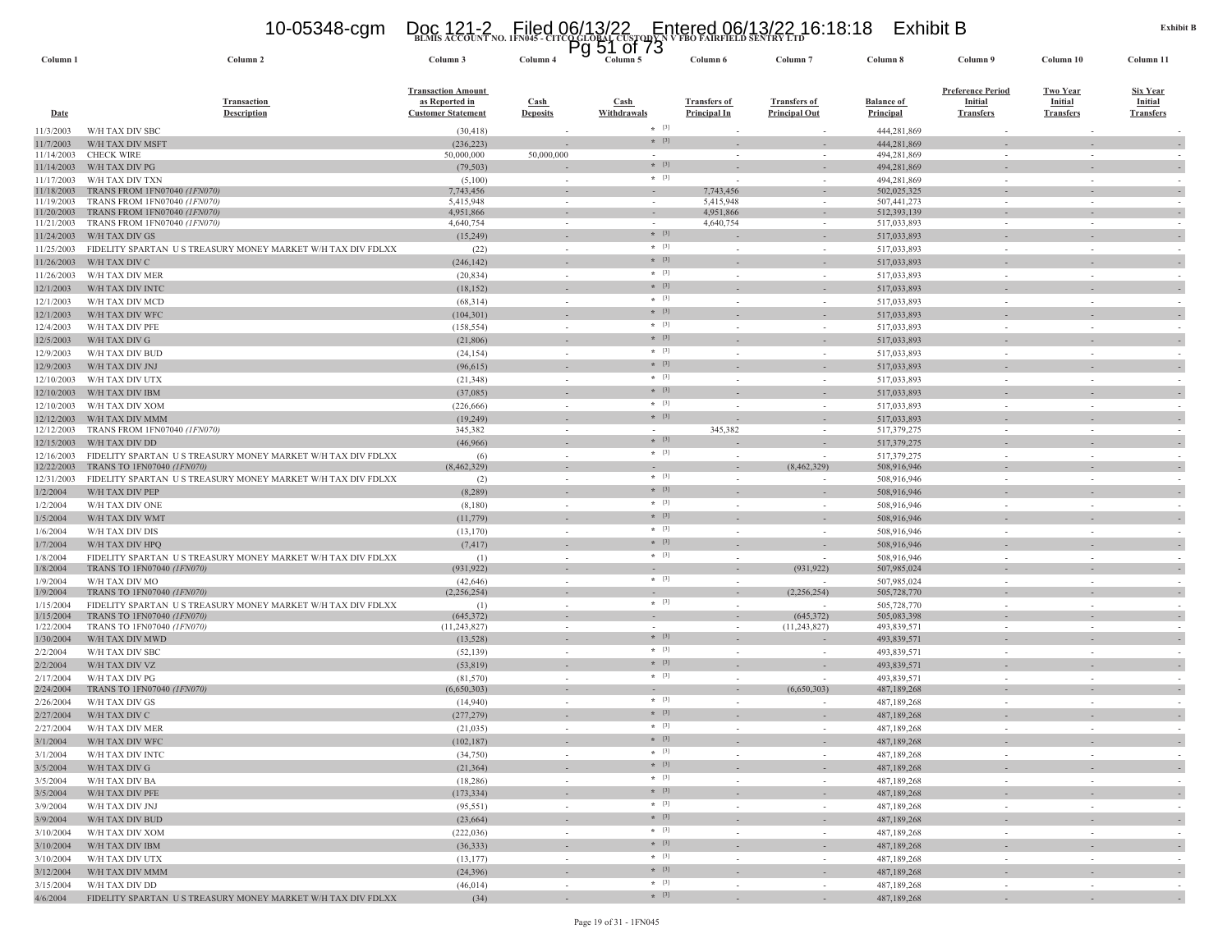### **BLMIS ACCOUNT NO. 1FN045 - CITCO GLOBAL CUSTODY N V FBO FAIRFIELD SENTRY LTD** 10-05348-cgm Doc 121-2 Filed 06/13/22 Entered 06/13/22 16:18:18 Exhibit B Pg 51 of 73

| Column <sub>1</sub>      | Column <sub>2</sub>                                         | Column 3                                                                 | Column 4                           | এ<br>ັ<br>יי יט ⊥<br>Column 5 | Column 6                                   | Column <sub>7</sub>                         | Column 8                              | Column 9                                                       | Column 10                                             | Column 11                                             |
|--------------------------|-------------------------------------------------------------|--------------------------------------------------------------------------|------------------------------------|-------------------------------|--------------------------------------------|---------------------------------------------|---------------------------------------|----------------------------------------------------------------|-------------------------------------------------------|-------------------------------------------------------|
| <b>Date</b>              | <b>Transaction</b><br><b>Description</b>                    | <b>Transaction Amount</b><br>as Reported in<br><b>Customer Statement</b> | Cash<br><b>Deposits</b>            | <b>Cash</b><br>Withdrawals    | <b>Transfers of</b><br><b>Principal In</b> | <b>Transfers of</b><br><b>Principal Out</b> | <b>Balance of</b><br><b>Principal</b> | <b>Preference Period</b><br><b>Initial</b><br><b>Transfers</b> | <b>Two Year</b><br><b>Initial</b><br><b>Transfers</b> | <u>Six Year</u><br><b>Initial</b><br><b>Transfers</b> |
| 11/3/2003                | W/H TAX DIV SBC                                             | (30, 418)                                                                |                                    | $*$ [3]                       |                                            |                                             | 444,281,869                           |                                                                |                                                       |                                                       |
| 11/7/2003                | W/H TAX DIV MSFT                                            | (236, 223)                                                               |                                    | $*$ [3]                       |                                            |                                             | 444,281,869                           |                                                                |                                                       |                                                       |
| 11/14/2003               | <b>CHECK WIRE</b>                                           | 50,000,000                                                               | 50,000,000                         | $*$ [3]                       |                                            |                                             | 494,281,869                           |                                                                |                                                       |                                                       |
| 11/14/2003               | W/H TAX DIV PG                                              | (79, 503)                                                                |                                    | $*$ [3]                       |                                            |                                             | 494,281,869                           |                                                                |                                                       |                                                       |
| 11/17/2003<br>11/18/2003 | W/H TAX DIV TXN<br>TRANS FROM 1FN07040 (1FN070)             | (5,100)<br>7,743,456                                                     |                                    |                               | 7,743,456                                  | $\overline{\phantom{a}}$                    | 494,281,869<br>502,025,325            |                                                                |                                                       |                                                       |
| 11/19/2003               | TRANS FROM 1FN07040 (1FN070)                                | 5,415,948                                                                | $\overline{\phantom{a}}$<br>$\sim$ |                               | 5,415,948                                  |                                             | 507,441,273                           |                                                                |                                                       |                                                       |
| 11/20/2003               | TRANS FROM 1FN07040 (1FN070)                                | 4,951,866                                                                |                                    |                               | 4,951,866                                  |                                             | 512,393,139                           |                                                                |                                                       |                                                       |
| 11/21/2003               | TRANS FROM 1FN07040 (1FN070)                                | 4,640,754                                                                | $\overline{\phantom{a}}$           | $\sim$                        | 4,640,754                                  | $\overline{\phantom{a}}$                    | 517,033,893                           | $\sim$                                                         | $\sim$                                                |                                                       |
| 11/24/2003               | W/H TAX DIV GS                                              | (15,249)                                                                 |                                    | $* [3]$                       |                                            |                                             | 517,033,893                           |                                                                |                                                       |                                                       |
| 11/25/2003               | FIDELITY SPARTAN US TREASURY MONEY MARKET W/H TAX DIV FDLXX | (22)                                                                     | $\sim$                             | $*$ [3]                       |                                            | $\sim$                                      | 517,033,893                           |                                                                | $\sim$                                                |                                                       |
| 11/26/2003               | W/H TAX DIV C                                               | (246, 142)                                                               |                                    | $*$ [3]                       |                                            |                                             | 517,033,893                           |                                                                |                                                       |                                                       |
| 11/26/2003               | W/H TAX DIV MER                                             | (20, 834)                                                                | $\sim$                             | $*$ [3]                       |                                            |                                             | 517,033,893                           |                                                                |                                                       |                                                       |
| 12/1/2003                | W/H TAX DIV INTC                                            | (18, 152)                                                                |                                    | $*$ [3]                       |                                            |                                             | 517,033,893                           |                                                                |                                                       |                                                       |
| 12/1/2003                | W/H TAX DIV MCD                                             | (68,314)                                                                 | $\sim$                             | $*$ [3]<br>$* [3]$            |                                            | $\sim$                                      | 517,033,893                           |                                                                | ÷,                                                    |                                                       |
| 12/1/2003                | W/H TAX DIV WFC                                             | (104, 301)                                                               |                                    | $*$ [3]                       |                                            |                                             | 517,033,893                           |                                                                |                                                       |                                                       |
| 12/4/2003                | W/H TAX DIV PFE                                             | (158, 554)                                                               | ÷,                                 | $*$ [3]                       |                                            |                                             | 517,033,893                           |                                                                |                                                       |                                                       |
| 12/5/2003                | W/H TAX DIV G                                               | (21, 806)                                                                |                                    | $*$ [3]                       |                                            |                                             | 517,033,893                           |                                                                |                                                       |                                                       |
| 12/9/2003                | W/H TAX DIV BUD                                             | (24, 154)                                                                | $\sim$                             | $* [3]$                       |                                            | $\overline{\phantom{a}}$                    | 517,033,893                           | $\sim$                                                         | $\overline{\phantom{a}}$                              |                                                       |
| 12/9/2003                | W/H TAX DIV JNJ                                             | (96, 615)                                                                |                                    | $* [3]$                       |                                            |                                             | 517,033,893                           |                                                                |                                                       |                                                       |
| 12/10/2003               | W/H TAX DIV UTX                                             | (21, 348)                                                                | $\sim$                             | $*$ [3]                       |                                            | $\sim$                                      | 517,033,893                           |                                                                | ٠                                                     |                                                       |
| 12/10/2003               | W/H TAX DIV IBM                                             | (37,085)                                                                 |                                    | $*$ [3]                       |                                            |                                             | 517,033,893                           |                                                                |                                                       |                                                       |
| 12/10/2003               | W/H TAX DIV XOM<br>W/H TAX DIV MMM                          | (226, 666)                                                               | $\sim$                             | $*$ [3]                       |                                            | ÷,                                          | 517,033,893<br>517,033,893            |                                                                | $\sim$                                                |                                                       |
| 12/12/2003<br>12/12/2003 | TRANS FROM 1FN07040 (1FN070)                                | (19,249)<br>345,382                                                      | $\overline{\phantom{a}}$           |                               | 345,382                                    |                                             | 517,379,275                           |                                                                |                                                       |                                                       |
| 12/15/2003               | W/H TAX DIV DD                                              | (46,966)                                                                 |                                    | $*$ [3]                       |                                            |                                             | 517,379,275                           |                                                                |                                                       |                                                       |
| 12/16/2003               | FIDELITY SPARTAN US TREASURY MONEY MARKET W/H TAX DIV FDLXX | (6)                                                                      |                                    | $*$ [3]                       |                                            |                                             | 517,379,275                           |                                                                |                                                       |                                                       |
| 12/22/2003               | TRANS TO 1FN07040 (1FN070)                                  | (8,462,329)                                                              | $\overline{\phantom{a}}$           |                               |                                            | (8,462,329)                                 | 508,916,946                           |                                                                |                                                       |                                                       |
| 12/31/2003               | FIDELITY SPARTAN US TREASURY MONEY MARKET W/H TAX DIV FDLXX | (2)                                                                      | $\sim$                             | $*$ [3]                       |                                            |                                             | 508,916,946                           | $\sim$                                                         |                                                       |                                                       |
| 1/2/2004                 | W/H TAX DIV PEP                                             | (8, 289)                                                                 |                                    | $* [3]$                       |                                            |                                             | 508,916,946                           |                                                                |                                                       |                                                       |
| 1/2/2004                 | W/H TAX DIV ONE                                             | (8,180)                                                                  | $\sim$                             | $*$ [3]                       | $\sim$                                     | $\sim$                                      | 508,916,946                           | $\sim$                                                         | $\sim$                                                |                                                       |
| 1/5/2004                 | W/H TAX DIV WMT                                             | (11, 779)                                                                |                                    | $*$ [3]                       |                                            |                                             | 508,916,946                           |                                                                |                                                       |                                                       |
| 1/6/2004                 | W/H TAX DIV DIS                                             | (13, 170)                                                                | $\sim$                             | $*$ [3]                       | $\sim$                                     | $\overline{\phantom{a}}$                    | 508,916,946                           | $\sim$                                                         | $\sim$                                                |                                                       |
| 1/7/2004                 | W/H TAX DIV HPQ                                             | (7, 417)                                                                 | $\overline{\phantom{a}}$           | $* [3]$                       |                                            |                                             | 508,916,946                           |                                                                |                                                       |                                                       |
| 1/8/2004                 | FIDELITY SPARTAN US TREASURY MONEY MARKET W/H TAX DIV FDLXX | (1)                                                                      | $\sim$                             | $*$ [3]                       |                                            |                                             | 508,916,946                           |                                                                | $\sim$                                                |                                                       |
| 1/8/2004                 | TRANS TO 1FN07040 (1FN070)                                  | (931, 922)                                                               | $\overline{\phantom{a}}$           | $* [3]$                       |                                            | (931, 922)                                  | 507,985,024                           |                                                                | $\overline{\phantom{a}}$                              |                                                       |
| 1/9/2004<br>1/9/2004     | W/H TAX DIV MO<br>TRANS TO 1FN07040 (1FN070)                | (42, 646)<br>(2, 256, 254)                                               | $\sim$<br>$\overline{\phantom{a}}$ |                               |                                            | (2,256,254)                                 | 507,985,024<br>505,728,770            |                                                                |                                                       |                                                       |
| 1/15/2004                | FIDELITY SPARTAN US TREASURY MONEY MARKET W/H TAX DIV FDLXX | (1)                                                                      | $\sim$                             | $*$ [3]                       |                                            |                                             | 505,728,770                           | $\sim$                                                         | $\sim$                                                |                                                       |
| 1/15/2004                | TRANS TO 1FN07040 (1FN070)                                  | (645, 372)                                                               | $\overline{\phantom{a}}$           |                               |                                            | (645,372)                                   | 505,083,398                           |                                                                |                                                       |                                                       |
| 1/22/2004                | TRANS TO 1FN07040 (1FN070)                                  | (11, 243, 827)                                                           | $\sim$                             |                               |                                            | (11, 243, 827)                              | 493,839,571                           |                                                                |                                                       |                                                       |
| 1/30/2004                | W/H TAX DIV MWD                                             | (13, 528)                                                                |                                    | $*$ [3]                       |                                            |                                             | 493,839,571                           |                                                                |                                                       |                                                       |
| 2/2/2004                 | W/H TAX DIV SBC                                             | (52, 139)                                                                | $\sim$                             | $*$ [3]                       |                                            | $\overline{\phantom{a}}$                    | 493,839,571                           | $\sim$                                                         | $\sim$                                                |                                                       |
| 2/2/2004                 | W/H TAX DIV VZ                                              | (53, 819)                                                                |                                    | $*$ [3]                       |                                            |                                             | 493,839,571                           |                                                                |                                                       |                                                       |
| 2/17/2004                | W/H TAX DIV PG                                              | (81,570)                                                                 | $\sim$                             | $*$ [3]                       |                                            |                                             | 493,839,571                           |                                                                | ÷,                                                    |                                                       |
| 2/24/2004                | TRANS TO 1FN07040 (1FN070)                                  | (6,650,303)                                                              | $\overline{\phantom{a}}$           | $*$ [3]                       |                                            | (6,650,303)                                 | 487,189,268                           | $\sim$                                                         | $\overline{\phantom{a}}$<br>$\sim$                    |                                                       |
| 2/26/2004                | W/H TAX DIV GS                                              | (14,940)                                                                 | $\overline{\phantom{a}}$           | $* [3]$                       |                                            |                                             | 487, 189, 268                         |                                                                |                                                       |                                                       |
| 2/27/2004<br>2/27/2004   | W/H TAX DIV C<br>W/H TAX DIV MER                            | (277, 279)<br>(21, 035)                                                  |                                    | $*$ [3]                       |                                            |                                             | 487,189,268<br>487,189,268            |                                                                |                                                       |                                                       |
| 3/1/2004                 | W/H TAX DIV WFC                                             | (102, 187)                                                               |                                    | $* [3]$                       |                                            |                                             | 487,189,268                           |                                                                |                                                       |                                                       |
| 3/1/2004                 | W/H TAX DIV INTC                                            | (34,750)                                                                 | $\sim$                             | $*$ [3]                       | $\sim$                                     | $\sim$                                      | 487,189,268                           | $\sim$                                                         | $\sim$                                                | $\sim$                                                |
| 3/5/2004                 | W/H TAX DIV G                                               | (21, 364)                                                                |                                    | $*$ [3]                       |                                            |                                             | 487,189,268                           |                                                                |                                                       | $\sim$                                                |
| 3/5/2004                 | W/H TAX DIV BA                                              | (18, 286)                                                                | $\sim$                             | $*$ [3]                       | $\sim$                                     | $\sim$                                      | 487,189,268                           | $\sim$                                                         | $\sim$                                                | $\overline{\phantom{a}}$                              |
| 3/5/2004                 | W/H TAX DIV PFE                                             | (173, 334)                                                               | $\sim$                             | $*$ [3]                       |                                            | $\overline{\phantom{a}}$                    | 487,189,268                           | $\sim$                                                         | $\sim$                                                | $\sim$                                                |
| 3/9/2004                 | W/H TAX DIV JNJ                                             | (95, 551)                                                                | $\sim$                             | $*$ [3]                       | $\sim$                                     | $\sim$                                      | 487,189,268                           | $\sim$                                                         | $\sim$                                                | $\sim$                                                |
| 3/9/2004                 | W/H TAX DIV BUD                                             | (23, 664)                                                                |                                    | $*$ [3]                       |                                            |                                             | 487,189,268                           |                                                                | $\sim$                                                | $\overline{\phantom{a}}$                              |
| 3/10/2004                | W/H TAX DIV XOM                                             | (222, 036)                                                               | $\sim$                             | $*$ [3]                       | $\sim$                                     | $\sim$                                      | 487,189,268                           | $\sim$                                                         | $\sim$                                                | $\overline{\phantom{a}}$                              |
| 3/10/2004                | W/H TAX DIV IBM                                             | (36, 333)                                                                |                                    | $*$ [3]                       |                                            | ÷.                                          | 487,189,268                           |                                                                | ÷.                                                    | $\overline{\phantom{a}}$                              |
| 3/10/2004                | W/H TAX DIV UTX                                             | (13, 177)                                                                | $\sim$                             | $*$ [3]                       | $\sim$                                     | $\sim$                                      | 487,189,268                           | $\sim$                                                         | $\sim$                                                | $\sim$                                                |
| 3/12/2004                | W/H TAX DIV MMM                                             | (24, 396)                                                                | $\overline{\phantom{a}}$           | $*$ [3]                       |                                            | $\overline{\phantom{a}}$                    | 487,189,268                           | $\overline{\phantom{a}}$                                       | $\overline{\phantom{a}}$                              | $\overline{\phantom{a}}$                              |
| 3/15/2004                | W/H TAX DIV DD                                              | (46, 014)                                                                | $\sim$                             | $*$ [3]                       | $\sim$                                     | $\sim$                                      | 487,189,268                           | $\sim$                                                         | $\sim$                                                | $\sim$                                                |
| 4/6/2004                 | FIDELITY SPARTAN US TREASURY MONEY MARKET W/H TAX DIV FDLXX | (34)                                                                     |                                    | $*$ [3]                       |                                            |                                             | 487,189,268                           |                                                                |                                                       |                                                       |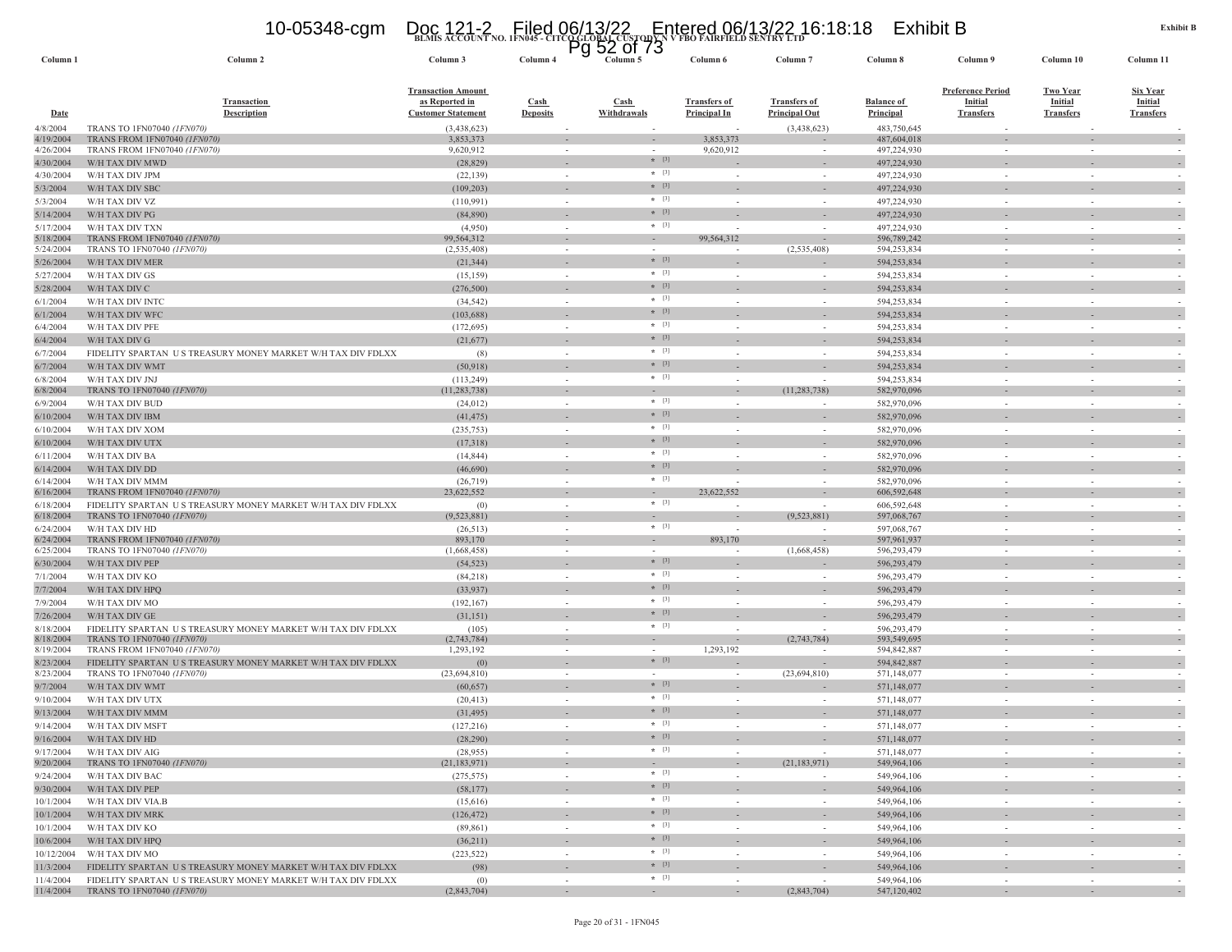### **BLMIS ACCOUNT NO. 1FN045 - CITCO GLOBAL CUSTODY N V FBO FAIRFIELD SENTRY LTD** 10-05348-cgm Doc 121-2 Filed 06/13/22 Entered 06/13/22 16:18:18 Exhibit B Pg 52 of 73

| Column <sub>1</sub>    | Column <sub>2</sub>                                                                       | Column 3                                                                 | Column 4                       | гy     | ےت<br>טו וט<br>Column 5              | Column 6                                   | Column <sub>7</sub>                         | Column 8                              | Column 9                                                       | Column 10                                             | Column 11                                             |                          |
|------------------------|-------------------------------------------------------------------------------------------|--------------------------------------------------------------------------|--------------------------------|--------|--------------------------------------|--------------------------------------------|---------------------------------------------|---------------------------------------|----------------------------------------------------------------|-------------------------------------------------------|-------------------------------------------------------|--------------------------|
| Date                   | <b>Transaction</b><br><b>Description</b>                                                  | <b>Transaction Amount</b><br>as Reported in<br><b>Customer Statement</b> | <b>Cash</b><br><b>Deposits</b> |        | $\operatorname{Cash}$<br>Withdrawals | <b>Transfers of</b><br><b>Principal In</b> | <b>Transfers of</b><br><b>Principal Out</b> | <b>Balance of</b><br><b>Principal</b> | <b>Preference Period</b><br><b>Initial</b><br><b>Transfers</b> | <b>Two Year</b><br><b>Initial</b><br><b>Transfers</b> | <b>Six Year</b><br><b>Initial</b><br><b>Transfers</b> |                          |
| 4/8/2004               | TRANS TO 1FN07040 (1FN070)                                                                | (3,438,623)                                                              |                                |        |                                      |                                            | (3,438,623)                                 | 483,750,645                           |                                                                |                                                       |                                                       |                          |
| 4/19/2004<br>4/26/2004 | TRANS FROM 1FN07040 (1FN070)<br>TRANS FROM 1FN07040 (1FN070)                              | 3,853,373<br>9,620,912                                                   |                                |        | $\sim$                               | 3,853,373<br>9,620,912                     |                                             | 487,604,018<br>497,224,930            |                                                                | $\sim$                                                |                                                       |                          |
| 4/30/2004              | W/H TAX DIV MWD                                                                           | (28, 829)                                                                |                                |        | $*$ [3]                              |                                            |                                             | 497,224,930                           |                                                                |                                                       |                                                       |                          |
| 4/30/2004              | W/H TAX DIV JPM                                                                           | (22, 139)                                                                |                                |        | $*$ [3]                              |                                            |                                             | 497,224,930                           |                                                                |                                                       |                                                       |                          |
| 5/3/2004               | W/H TAX DIV SBC                                                                           | (109, 203)                                                               |                                |        | $*$ [3]                              |                                            |                                             | 497,224,930                           |                                                                |                                                       |                                                       |                          |
| 5/3/2004               | W/H TAX DIV VZ                                                                            | (110, 991)                                                               | $\sim$                         |        | $*$ [3]                              |                                            | $\sim$                                      | 497,224,930                           | $\sim$                                                         | $\sim$                                                |                                                       |                          |
| 5/14/2004              | W/H TAX DIV PG                                                                            | (84,890)                                                                 |                                |        | $*$ [3]                              |                                            |                                             | 497,224,930                           |                                                                |                                                       |                                                       |                          |
| 5/17/2004              | W/H TAX DIV TXN                                                                           | (4,950)                                                                  | $\sim$                         |        | $*$ [3]                              | $\sim$                                     | $\sim$                                      | 497,224,930                           | $\sim$                                                         | $\sim$                                                |                                                       |                          |
| 5/18/2004              | TRANS FROM 1FN07040 (1FN070)                                                              | 99,564,312                                                               |                                |        | $\sim$                               | 99,564,312                                 |                                             | 596,789,242                           |                                                                |                                                       |                                                       |                          |
| 5/24/2004              | TRANS TO 1FN07040 (1FN070)<br>W/H TAX DIV MER                                             | (2, 535, 408)                                                            | $\sim$                         |        | $\sim$<br>$*$ [3]                    | $\overline{\phantom{a}}$                   | (2,535,408)                                 | 594,253,834                           | $\sim$                                                         | $\sim$                                                |                                                       |                          |
| 5/26/2004              |                                                                                           | (21, 344)                                                                |                                |        | $*$ [3]                              |                                            | $\sim$                                      | 594,253,834                           | $\sim$                                                         | $\sim$                                                |                                                       |                          |
| 5/27/2004<br>5/28/2004 | W/H TAX DIV GS<br>W/H TAX DIV C                                                           | (15, 159)<br>(276, 500)                                                  |                                |        | $*$ [3]                              |                                            |                                             | 594,253,834<br>594,253,834            |                                                                |                                                       |                                                       |                          |
| 6/1/2004               | W/H TAX DIV INTC                                                                          | (34, 542)                                                                |                                |        | $*$ [3]                              |                                            |                                             | 594,253,834                           |                                                                |                                                       |                                                       |                          |
| 6/1/2004               | W/H TAX DIV WFC                                                                           | (103, 688)                                                               |                                |        | $*$ [3]                              |                                            |                                             | 594,253,834                           |                                                                |                                                       |                                                       |                          |
| 6/4/2004               | W/H TAX DIV PFE                                                                           | (172, 695)                                                               | $\sim$                         |        | $*$ [3]                              |                                            |                                             | 594,253,834                           |                                                                | $\sim$                                                |                                                       |                          |
| 6/4/2004               | W/H TAX DIV G                                                                             | (21,677)                                                                 |                                |        | $*$ [3]                              |                                            |                                             | 594,253,834                           |                                                                |                                                       |                                                       |                          |
| 6/7/2004               | FIDELITY SPARTAN US TREASURY MONEY MARKET W/H TAX DIV FDLXX                               | (8)                                                                      | $\sim$                         |        | $*$ [3]                              | $\sim$                                     | $\sim$                                      | 594,253,834                           | $\sim$                                                         | $\sim$                                                |                                                       |                          |
| 6/7/2004               | W/H TAX DIV WMT                                                                           | (50, 918)                                                                |                                |        | $*$ [3]                              |                                            |                                             | 594,253,834                           |                                                                |                                                       |                                                       |                          |
| 6/8/2004               | W/H TAX DIV JNJ                                                                           | (113, 249)                                                               | in 1919.                       |        | $*$ [3]                              | $\sim$                                     | ٠                                           | 594,253,834                           | $\sim$                                                         | $\sim$                                                |                                                       |                          |
| 6/8/2004               | TRANS TO 1FN07040 (1FN070)                                                                | (11, 283, 738)                                                           |                                |        | $\sim$                               | $\sim$                                     | (11, 283, 738)                              | 582,970,096                           |                                                                |                                                       |                                                       |                          |
| 6/9/2004               | W/H TAX DIV BUD                                                                           | (24, 012)                                                                | $\sim$                         |        | $*$ [3]                              | $\overline{\phantom{a}}$                   |                                             | 582,970,096                           |                                                                | $\sim$                                                |                                                       |                          |
| 6/10/2004              | W/H TAX DIV IBM                                                                           | (41, 475)                                                                |                                |        | $*$ [3]                              |                                            |                                             | 582,970,096                           |                                                                |                                                       |                                                       |                          |
| 6/10/2004              | W/H TAX DIV XOM                                                                           | (235, 753)                                                               | $\sim$                         |        | $*$ [3]                              | $\sim$                                     | $\sim$                                      | 582,970,096                           | $\sim$                                                         | $\sim$                                                |                                                       |                          |
| 6/10/2004              | W/H TAX DIV UTX                                                                           | (17,318)                                                                 |                                |        | $*$ [3]<br>$*$ [3]                   |                                            |                                             | 582,970,096                           |                                                                |                                                       |                                                       |                          |
| 6/11/2004              | W/H TAX DIV BA                                                                            | (14, 844)                                                                |                                |        | $*$ [3]                              |                                            |                                             | 582,970,096                           |                                                                |                                                       |                                                       |                          |
| 6/14/2004              | W/H TAX DIV DD                                                                            | (46,690)                                                                 |                                |        | $*$ [3]                              |                                            |                                             | 582,970,096                           |                                                                |                                                       |                                                       |                          |
| 6/14/2004<br>6/16/2004 | W/H TAX DIV MMM<br>TRANS FROM 1FN07040 (1FN070)                                           | (26, 719)<br>23,622,552                                                  | $\sim$                         |        | $\sim$                               | $\overline{a}$<br>23,622,552               |                                             | 582,970,096<br>606,592,648            |                                                                |                                                       |                                                       |                          |
| 6/18/2004              | FIDELITY SPARTAN US TREASURY MONEY MARKET W/H TAX DIV FDLXX                               | (0)                                                                      | $\sim$                         |        | $*$ [3]                              |                                            | $\sim$                                      | 606,592,648                           |                                                                | in 1919.                                              |                                                       |                          |
| 6/18/2004              | TRANS TO 1FN07040 (1FN070)                                                                | (9,523,881)                                                              |                                |        |                                      |                                            | (9,523,881)                                 | 597,068,767                           |                                                                |                                                       |                                                       |                          |
| 6/24/2004              | W/H TAX DIV HD                                                                            | (26,513)                                                                 |                                | $\sim$ | $*$ [3]                              | $\overline{\phantom{a}}$                   |                                             | 597,068,767                           | $\sim$                                                         | $\sim$                                                |                                                       |                          |
| 6/24/2004              | TRANS FROM 1FN07040 (1FN070)                                                              | 893,170                                                                  | $\sim$                         |        | $\sim$                               | 893,170                                    |                                             | 597,961,937                           | $\sim$                                                         | $\sim$                                                |                                                       |                          |
| 6/25/2004              | TRANS TO 1FN07040 (1FN070)<br>W/H TAX DIV PEP                                             | (1,668,458)                                                              |                                |        | $*$ [3]                              |                                            | (1,668,458)                                 | 596,293,479<br>596,293,479            |                                                                |                                                       |                                                       |                          |
| 6/30/2004<br>7/1/2004  | W/H TAX DIV KO                                                                            | (54, 523)<br>(84,218)                                                    |                                |        | $*$ [3]                              |                                            | ÷,                                          | 596,293,479                           |                                                                |                                                       |                                                       |                          |
| 7/7/2004               | W/H TAX DIV HPQ                                                                           | (33,937)                                                                 |                                |        | $*$ [3]                              |                                            |                                             | 596,293,479                           |                                                                |                                                       |                                                       |                          |
| 7/9/2004               | W/H TAX DIV MO                                                                            | (192, 167)                                                               |                                |        | $*$ [3]                              |                                            |                                             | 596,293,479                           | $\sim$                                                         | $\sim$                                                |                                                       |                          |
| 7/26/2004              | W/H TAX DIV GE                                                                            | (31, 151)                                                                |                                |        | $*$ [3]                              |                                            |                                             | 596,293,479                           |                                                                |                                                       |                                                       |                          |
| 8/18/2004              | FIDELITY SPARTAN US TREASURY MONEY MARKET W/H TAX DIV FDLXX                               | (105)                                                                    | $\sim$                         |        | $*$ [3]                              | $\overline{\phantom{a}}$                   |                                             | 596,293,479                           | $\sim$                                                         | $\sim$                                                |                                                       |                          |
| 8/18/2004              | TRANS TO 1FN07040 (1FN070)                                                                | (2,743,784)                                                              |                                |        |                                      | $\overline{\phantom{a}}$                   | (2,743,784)                                 | 593,549,695                           |                                                                |                                                       |                                                       |                          |
| 8/19/2004              | TRANS FROM 1FN07040 (1FN070)                                                              | 1,293,192                                                                | $\sim$                         |        | $\sim$                               | 1,293,192                                  |                                             | 594,842,887                           | $\sim$                                                         | $\sim$                                                |                                                       |                          |
| 8/23/2004              | FIDELITY SPARTAN US TREASURY MONEY MARKET W/H TAX DIV FDLXX<br>TRANS TO 1FN07040 (1FN070) | (0)<br>(23, 694, 810)                                                    | $\sim$                         |        | $*$ [3]<br>$\sim$                    | $\sim$                                     | (23, 694, 810)                              | 594,842,887<br>571,148,077            | $\sim$                                                         | $\sim$                                                |                                                       |                          |
| 8/23/2004<br>9/7/2004  | W/H TAX DIV WMT                                                                           | (60, 657)                                                                |                                |        | $*$ [3]                              |                                            |                                             | 571,148,077                           |                                                                |                                                       |                                                       |                          |
| 9/10/2004              | W/H TAX DIV UTX                                                                           | (20, 413)                                                                | $\sim$                         |        | $* [3]$                              | $\sim$                                     | $\sim$                                      | 571,148,077                           | $\sim$                                                         | $\sim$                                                |                                                       |                          |
| 9/13/2004              | W/H TAX DIV MMM                                                                           | (31, 495)                                                                |                                |        | $*$ [3]                              |                                            |                                             | 571,148,077                           |                                                                |                                                       |                                                       |                          |
| 9/14/2004              | W/H TAX DIV MSFT                                                                          | (127,216)                                                                |                                |        | $*$ [3]                              |                                            |                                             | 571,148,077                           |                                                                |                                                       |                                                       |                          |
| 9/16/2004              | W/H TAX DIV HD                                                                            | (28, 290)                                                                |                                |        | $*$ [3]                              |                                            |                                             | 571,148,077                           |                                                                |                                                       |                                                       |                          |
| 9/17/2004              | W/H TAX DIV AIG                                                                           | (28,955)                                                                 |                                | $\sim$ | $*$ [3]                              | $\sim$                                     | $\sim$                                      | 571,148,077                           | $\sim$                                                         | $\sim$                                                |                                                       |                          |
| 9/20/2004              | TRANS TO 1FN07040 (1FN070)                                                                | (21, 183, 971)                                                           |                                | $\sim$ | $\sim$                               | $\sim$                                     | (21, 183, 971)                              | 549,964,106                           | $\sim$                                                         | $\overline{\phantom{a}}$                              | $\overline{\phantom{a}}$                              |                          |
| 9/24/2004              | W/H TAX DIV BAC                                                                           | (275, 575)                                                               |                                | $\sim$ | $*$ [3]                              | $\sim$                                     | $\sim$                                      | 549,964,106                           | $\sim$                                                         | $\sim$                                                |                                                       | $\sim$                   |
| 9/30/2004              | W/H TAX DIV PEP                                                                           | (58, 177)                                                                |                                |        | $*$ [3]                              |                                            |                                             | 549,964,106                           |                                                                |                                                       |                                                       | $\overline{a}$           |
| 10/1/2004              | W/H TAX DIV VIA.B                                                                         | (15,616)                                                                 |                                | $\sim$ | $*$ [3]                              | $\sim$                                     | $\sim$                                      | 549,964,106                           | $\sim$                                                         | $\sim$                                                |                                                       |                          |
| 10/1/2004              | W/H TAX DIV MRK                                                                           | (126, 472)                                                               | $\sim$                         |        | $*$ [3]                              | ÷.                                         | $\sim$                                      | 549,964,106                           | $\sim$                                                         | $\sim$                                                | $\sim$                                                |                          |
| 10/1/2004              | W/H TAX DIV KO                                                                            | (89, 861)                                                                |                                | $\sim$ | $* [3]$                              | $\sim$                                     | $\sim$                                      | 549,964,106                           | $\sim$                                                         | $\sim$                                                |                                                       | $\overline{\phantom{a}}$ |
| 10/6/2004              | W/H TAX DIV HPQ                                                                           | (36,211)                                                                 | $\sim$                         |        | $*$ [3]<br>$*$ [3]                   | $\sim$                                     | $\overline{\phantom{a}}$                    | 549,964,106                           | $\sim$                                                         | $\sim$                                                | $\sim$                                                |                          |
| 10/12/2004             | W/H TAX DIV MO<br>FIDELITY SPARTAN US TREASURY MONEY MARKET W/H TAX DIV FDLXX             | (223, 522)                                                               | $\sim$                         |        | $*$ [3]                              | $\sim$                                     | $\sim$                                      | 549,964,106                           | $\sim$                                                         | $\sim$                                                |                                                       |                          |
| 11/3/2004<br>11/4/2004 | FIDELITY SPARTAN US TREASURY MONEY MARKET W/H TAX DIV FDLXX                               | (98)<br>(0)                                                              | $\sim$                         |        | $*$ [3]                              | $\sim$                                     |                                             | 549,964,106<br>549,964,106            | $\sim$                                                         | $\overline{\phantom{a}}$<br>÷.                        |                                                       |                          |
| 11/4/2004              | <b>TRANS TO 1FN07040 (1FN070)</b>                                                         | (2,843,704)                                                              |                                |        |                                      | $\sim$                                     | (2,843,704)                                 | 547,120,402                           |                                                                |                                                       |                                                       |                          |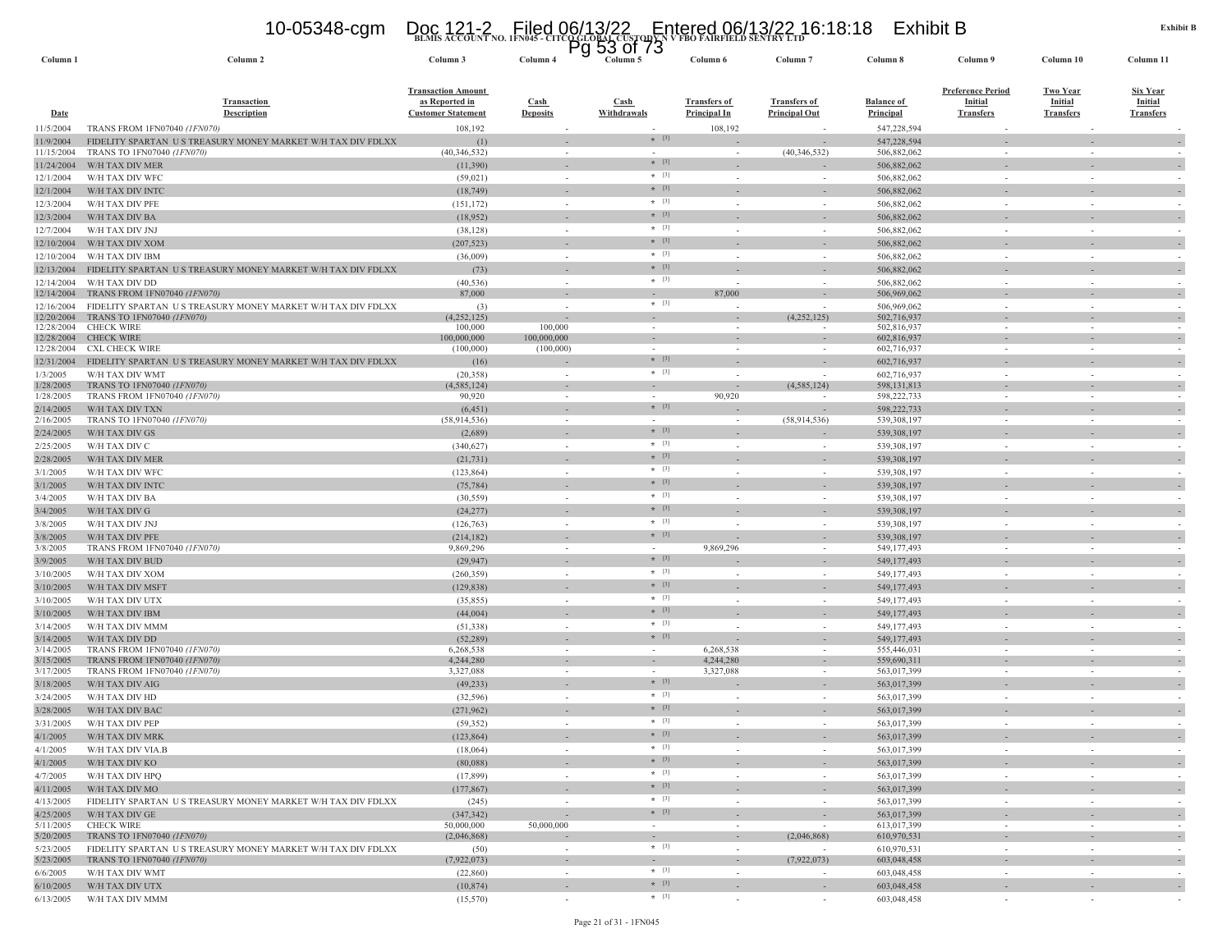### **BLMIS ACCOUNT NO. 1FN045 - CITCO GLOBAL CUSTODY N V FBO FAIRFIELD SENTRY LTD** 10-05348-cgm Doc 121-2 Filed 06/13/22 Entered 06/13/22 16:18:18 Exhibit B Pg 53 of 73

| Column 1                 | Column <sub>2</sub>                                                                       | Column 3                                                                 | Column 4                               | y<br><u>JJ UI I J</u><br>Column 5 | Column 6                                   | Column <sub>7</sub>                         | Column 8                              | Column 9                                                | Column 10                                      | Column 11                                      |
|--------------------------|-------------------------------------------------------------------------------------------|--------------------------------------------------------------------------|----------------------------------------|-----------------------------------|--------------------------------------------|---------------------------------------------|---------------------------------------|---------------------------------------------------------|------------------------------------------------|------------------------------------------------|
| <b>Date</b>              | Transaction<br><b>Description</b>                                                         | <b>Transaction Amount</b><br>as Reported in<br><b>Customer Statement</b> | Cash<br><b>Deposits</b>                | Cash<br>Withdrawals               | <b>Transfers of</b><br><b>Principal In</b> | <b>Transfers of</b><br><b>Principal Out</b> | <b>Balance of</b><br><b>Principal</b> | <b>Preference Period</b><br>Initial<br><b>Transfers</b> | <b>Two Year</b><br>Initial<br><b>Transfers</b> | <u>Six Year</u><br>Initial<br><b>Transfers</b> |
| 11/5/2004                | TRANS FROM 1FN07040 (1FN070)                                                              | 108,192                                                                  |                                        |                                   | 108,192                                    |                                             | 547,228,594                           |                                                         |                                                |                                                |
| 11/9/2004                | FIDELITY SPARTAN US TREASURY MONEY MARKET W/H TAX DIV FDLXX                               | (1)                                                                      |                                        | $* [3]$                           |                                            |                                             | 547,228,594                           |                                                         |                                                |                                                |
| 11/15/2004               | TRANS TO 1FN07040 (1FN070)                                                                | (40, 346, 532)                                                           | $\sim$                                 | $\sim$                            | $\sim$                                     | (40,346,532)                                | 506,882,062                           | $\sim$                                                  | $\overline{\phantom{a}}$                       |                                                |
| 11/24/2004               | W/H TAX DIV MER                                                                           | (11,390)                                                                 |                                        | $*$ [3]                           |                                            |                                             | 506,882,062                           |                                                         |                                                |                                                |
| 12/1/2004                | W/H TAX DIV WFC                                                                           | (59, 021)                                                                | $\sim$                                 | $*$ [3]                           | $\sim$                                     | $\sim$                                      | 506,882,062                           | $\sim$                                                  | $\sim$                                         |                                                |
| 12/1/2004                | W/H TAX DIV INTC                                                                          | (18, 749)                                                                |                                        | $*$ [3]                           |                                            |                                             | 506,882,062                           |                                                         |                                                |                                                |
| 12/3/2004                | W/H TAX DIV PFE                                                                           | (151, 172)                                                               | in a                                   | $*$ [3]                           | $\overline{\phantom{a}}$                   | $\sim$                                      | 506,882,062                           | $\sim$                                                  | ÷                                              |                                                |
| 12/3/2004                | W/H TAX DIV BA                                                                            | (18,952)                                                                 |                                        | $*$ [3]                           |                                            |                                             | 506,882,062                           |                                                         |                                                |                                                |
| 12/7/2004                | W/H TAX DIV JNJ                                                                           | (38, 128)                                                                |                                        | $*$ [3]                           |                                            |                                             | 506,882,062                           |                                                         |                                                |                                                |
| 12/10/2004               | W/H TAX DIV XOM                                                                           | (207, 523)                                                               |                                        | $*$ [3]                           |                                            |                                             | 506,882,062                           |                                                         |                                                |                                                |
| 12/10/2004               | W/H TAX DIV IBM                                                                           | (36,009)                                                                 |                                        | $*$ [3]                           |                                            |                                             | 506,882,062                           |                                                         |                                                |                                                |
| 12/13/2004               | FIDELITY SPARTAN US TREASURY MONEY MARKET W/H TAX DIV FDLXX                               | (73)                                                                     |                                        | $*$ [3]                           |                                            |                                             | 506,882,062                           |                                                         |                                                |                                                |
| 12/14/2004               | W/H TAX DIV DD                                                                            | (40, 536)                                                                | $\sim$                                 | $*$ [3]                           |                                            |                                             | 506,882,062                           |                                                         |                                                |                                                |
| 12/14/2004               | TRANS FROM 1FN07040 (1FN070)                                                              | 87,000                                                                   |                                        | $*$ [3]                           | 87,000                                     |                                             | 506,969,062                           |                                                         |                                                |                                                |
| 12/16/2004<br>12/20/2004 | FIDELITY SPARTAN US TREASURY MONEY MARKET W/H TAX DIV FDLXX<br>TRANS TO 1FN07040 (1FN070) | (3)<br>(4,252,125)                                                       |                                        |                                   |                                            | $\sim$<br>(4,252,125)                       | 506,969,062<br>502,716,937            | $\sim$                                                  | $\sim$                                         |                                                |
| 12/28/2004               | <b>CHECK WIRE</b>                                                                         | 100,000                                                                  | 100,000                                | $\sim$                            |                                            |                                             | 502,816,937                           |                                                         |                                                |                                                |
| 12/28/2004               | <b>CHECK WIRE</b>                                                                         | 100,000,000                                                              | 100,000,000                            |                                   |                                            |                                             | 602,816,937                           |                                                         |                                                |                                                |
| 12/28/2004               | <b>CXL CHECK WIRE</b>                                                                     | (100,000)                                                                | (100,000)                              | $\sim$                            |                                            |                                             | 602,716,937                           |                                                         |                                                |                                                |
| 12/31/2004               | FIDELITY SPARTAN US TREASURY MONEY MARKET W/H TAX DIV FDLXX                               | (16)                                                                     |                                        | $*$ [3]                           |                                            |                                             | 602,716,937                           |                                                         |                                                |                                                |
| 1/3/2005                 | W/H TAX DIV WMT                                                                           | (20, 358)                                                                |                                        | $*$ [3]                           |                                            |                                             | 602,716,937                           |                                                         |                                                |                                                |
| 1/28/2005<br>1/28/2005   | TRANS TO 1FN07040 (1FN070)<br>TRANS FROM 1FN07040 (1FN070)                                | (4, 585, 124)<br>90,920                                                  |                                        |                                   | 90,920                                     | (4, 585, 124)                               | 598, 131, 813<br>598,222,733          |                                                         |                                                |                                                |
| 2/14/2005                | W/H TAX DIV TXN                                                                           | (6, 451)                                                                 |                                        | $*$ [3]                           |                                            |                                             | 598,222,733                           |                                                         |                                                |                                                |
| 2/16/2005                | TRANS TO 1FN07040 (1FN070)                                                                | (58, 914, 536)                                                           |                                        |                                   |                                            | (58,914,536)                                | 539,308,197                           |                                                         |                                                |                                                |
| 2/24/2005                | W/H TAX DIV GS                                                                            | (2,689)                                                                  |                                        | $*$ [3]                           |                                            |                                             | 539,308,197                           |                                                         |                                                |                                                |
| 2/25/2005                | W/H TAX DIV C                                                                             | (340, 627)                                                               |                                        | $*$ [3]                           |                                            | $\sim$                                      | 539,308,197                           | $\sim$                                                  |                                                |                                                |
| 2/28/2005                | W/H TAX DIV MER                                                                           | (21, 731)                                                                |                                        | $*$ [3]                           |                                            |                                             | 539,308,197                           |                                                         |                                                |                                                |
| 3/1/2005                 | W/H TAX DIV WFC                                                                           | (123, 864)                                                               |                                        | $*$ [3]                           | $\sim$                                     | $\sim$                                      | 539,308,197                           | $\sim$                                                  | $\sim$                                         |                                                |
| 3/1/2005                 | W/H TAX DIV INTO                                                                          | (75, 784)                                                                |                                        | $*$ [3]                           |                                            |                                             | 539,308,197                           |                                                         |                                                |                                                |
| 3/4/2005                 | W/H TAX DIV BA                                                                            | (30, 559)                                                                |                                        | $*$ [3]                           |                                            |                                             | 539,308,197                           |                                                         |                                                |                                                |
| 3/4/2005                 | W/H TAX DIV G                                                                             | (24, 277)                                                                |                                        | $*$ [3]                           |                                            |                                             | 539,308,197                           |                                                         |                                                |                                                |
| 3/8/2005                 | W/H TAX DIV JNJ                                                                           | (126, 763)                                                               |                                        | $* [3]$                           |                                            |                                             | 539,308,197                           |                                                         |                                                |                                                |
| 3/8/2005                 | W/H TAX DIV PFE                                                                           | (214, 182)                                                               |                                        | $*$ [3]                           |                                            |                                             | 539,308,197                           |                                                         |                                                |                                                |
| 3/8/2005                 | TRANS FROM 1FN07040 (1FN070)                                                              | 9,869,296                                                                | $\sim$                                 | $\sim$<br>$* [3]$                 | 9,869,296                                  | $\overline{\phantom{a}}$                    | 549,177,493                           | $\sim$                                                  | $\sim$                                         |                                                |
| 3/9/2005                 | W/H TAX DIV BUD                                                                           | (29, 947)                                                                |                                        | $*$ [3]                           |                                            |                                             | 549,177,493                           |                                                         |                                                |                                                |
| 3/10/2005                | W/H TAX DIV XOM                                                                           | (260, 359)                                                               |                                        | $*$ [3]                           |                                            |                                             | 549,177,493                           |                                                         |                                                |                                                |
| 3/10/2005                | W/H TAX DIV MSFT                                                                          | (129, 838)                                                               |                                        | $*$ [3]                           |                                            |                                             | 549,177,493                           |                                                         |                                                |                                                |
| 3/10/2005                | W/H TAX DIV UTX                                                                           | (35, 855)                                                                | $\sim$                                 | $*$ [3]                           | $\sim$                                     | $\sim$                                      | 549,177,493                           |                                                         | $\sim$                                         |                                                |
| 3/10/2005                | W/H TAX DIV IBM                                                                           | (44,004)                                                                 | $\sim$                                 | $*$ [3]                           |                                            |                                             | 549,177,493                           |                                                         |                                                |                                                |
| 3/14/2005                | W/H TAX DIV MMN<br>W/H TAX DIV DD                                                         | (51, 338)<br>(52, 289)                                                   |                                        | $*$ [3]                           |                                            | $\sim$                                      | 549,177,493<br>549,177,493            |                                                         |                                                |                                                |
| 3/14/2005<br>3/14/2005   | TRANS FROM 1FN07040 (1FN070)                                                              | 6,268,538                                                                |                                        | $\sim$                            | 6,268,538                                  | $\overline{\phantom{a}}$                    | 555,446,031                           | $\sim$                                                  | $\overline{\phantom{a}}$                       |                                                |
| 3/15/2005                | TRANS FROM 1FN07040 (1FN070)                                                              | 4,244,280                                                                |                                        |                                   | 4,244,280                                  |                                             | 559,690,31                            |                                                         |                                                |                                                |
| 3/17/2005                | TRANS FROM 1FN07040 (1FN070)                                                              | 3,327,088                                                                |                                        |                                   | 3,327,088                                  |                                             | 563,017,399                           |                                                         |                                                |                                                |
| 3/18/2005                | W/H TAX DIV AIG                                                                           | (49, 233)                                                                |                                        | $*$ [3]                           |                                            |                                             | 563,017,399                           |                                                         |                                                |                                                |
| 3/24/2005                | W/H TAX DIV HD                                                                            | (32, 596)                                                                |                                        | $*$ [3]                           |                                            | $\sim$                                      | 563,017,399                           | $\sim$                                                  |                                                |                                                |
| 3/28/2005                | W/H TAX DIV BAC                                                                           | (271,962)                                                                |                                        | $*$ [3]                           |                                            |                                             | 563,017,399                           |                                                         |                                                |                                                |
| 3/31/2005                | W/H TAX DIV PEP                                                                           | (59, 352)                                                                |                                        | $*$ [3]                           |                                            |                                             | 563,017,399                           |                                                         |                                                |                                                |
| 4/1/2005                 | W/H TAX DIV MRK                                                                           | (123, 864)                                                               |                                        | $*$ [3]                           |                                            |                                             | 563,017,399                           |                                                         |                                                |                                                |
| 4/1/2005                 | W/H TAX DIV VIA.B                                                                         | (18,064)                                                                 |                                        |                                   |                                            |                                             | 563,017,399                           |                                                         |                                                |                                                |
| 4/1/2005                 | W/H TAX DIV KO                                                                            | (80,088)                                                                 | $\overline{\phantom{a}}$               | $*$ [3]                           |                                            | $\overline{\phantom{a}}$                    | 563,017,399                           | $\sim$                                                  | $\overline{\phantom{a}}$                       | $\overline{\phantom{a}}$                       |
| 4/7/2005                 | W/H TAX DIV HPQ                                                                           | (17, 899)                                                                | $\sim$                                 | $*$ [3]<br>$*$ [3]                | $\sim$                                     | $\sim$                                      | 563,017,399                           | $\sim$                                                  | $\overline{\phantom{a}}$                       |                                                |
| 4/11/2005                | W/H TAX DIV MO                                                                            | (177, 867)                                                               |                                        | $*$ [3]                           |                                            | ÷.                                          | 563,017,399                           |                                                         |                                                |                                                |
| 4/13/2005                | FIDELITY SPARTAN US TREASURY MONEY MARKET W/H TAX DIV FDLXX                               | (245)                                                                    | $\sim$                                 | $\star$ [3]                       | $\sim$                                     | $\sim$                                      | 563,017,399                           | $\sim$                                                  | $\sim$                                         | $\sim$                                         |
| 4/25/2005                | W/H TAX DIV GE<br><b>CHECK WIRE</b>                                                       | (347, 342)                                                               | $\overline{\phantom{a}}$<br>50,000,000 |                                   | $\overline{\phantom{a}}$                   |                                             | 563,017,399                           | $\sim$                                                  | $\overline{\phantom{a}}$                       | $\sim$                                         |
| 5/11/2005<br>5/20/2005   | TRANS TO 1FN07040 (1FN070)                                                                | 50,000,000<br>(2,046,868)                                                |                                        | $\sim$                            | $\sim$                                     | (2,046,868)                                 | 613,017,399<br>610,970,531            | $\sim$                                                  | $\sim$                                         | $\overline{\phantom{a}}$                       |
| 5/23/2005                | FIDELITY SPARTAN US TREASURY MONEY MARKET W/H TAX DIV FDLXX                               | (50)                                                                     | $\sim$                                 | $*$ [3]                           | $\sim$                                     | $\sim$                                      | 610,970,531                           | $\sim$                                                  | $\sim$                                         | $\sim$                                         |
| 5/23/2005                | TRANS TO 1FN07040 (1FN070)                                                                | (7,922,073)                                                              | $\overline{\phantom{a}}$               | $\sim$                            | $\sim$                                     | (7,922,073)                                 | 603,048,458                           | $\sim$                                                  | $\overline{\phantom{a}}$                       | $\overline{\phantom{a}}$                       |
| 6/6/2005                 | W/H TAX DIV WMT                                                                           | (22, 860)                                                                | $\sim$                                 | $*$ [3]                           | $\sim$                                     | $\sim$                                      | 603,048,458                           | $\sim$                                                  | $\sim$                                         |                                                |
|                          | 6/10/2005 W/H TAX DIV UTX                                                                 | (10, 874)                                                                |                                        | $*$ [3]                           |                                            | $\sim$                                      | 603,048,458                           |                                                         |                                                | $\overline{\phantom{a}}$                       |
|                          | 6/13/2005 W/H TAX DIV MMM                                                                 | (15, 570)                                                                | $\overline{\phantom{a}}$               | $*$ [3]                           | $\sim$                                     | $\sim$                                      | 603,048,458                           |                                                         |                                                |                                                |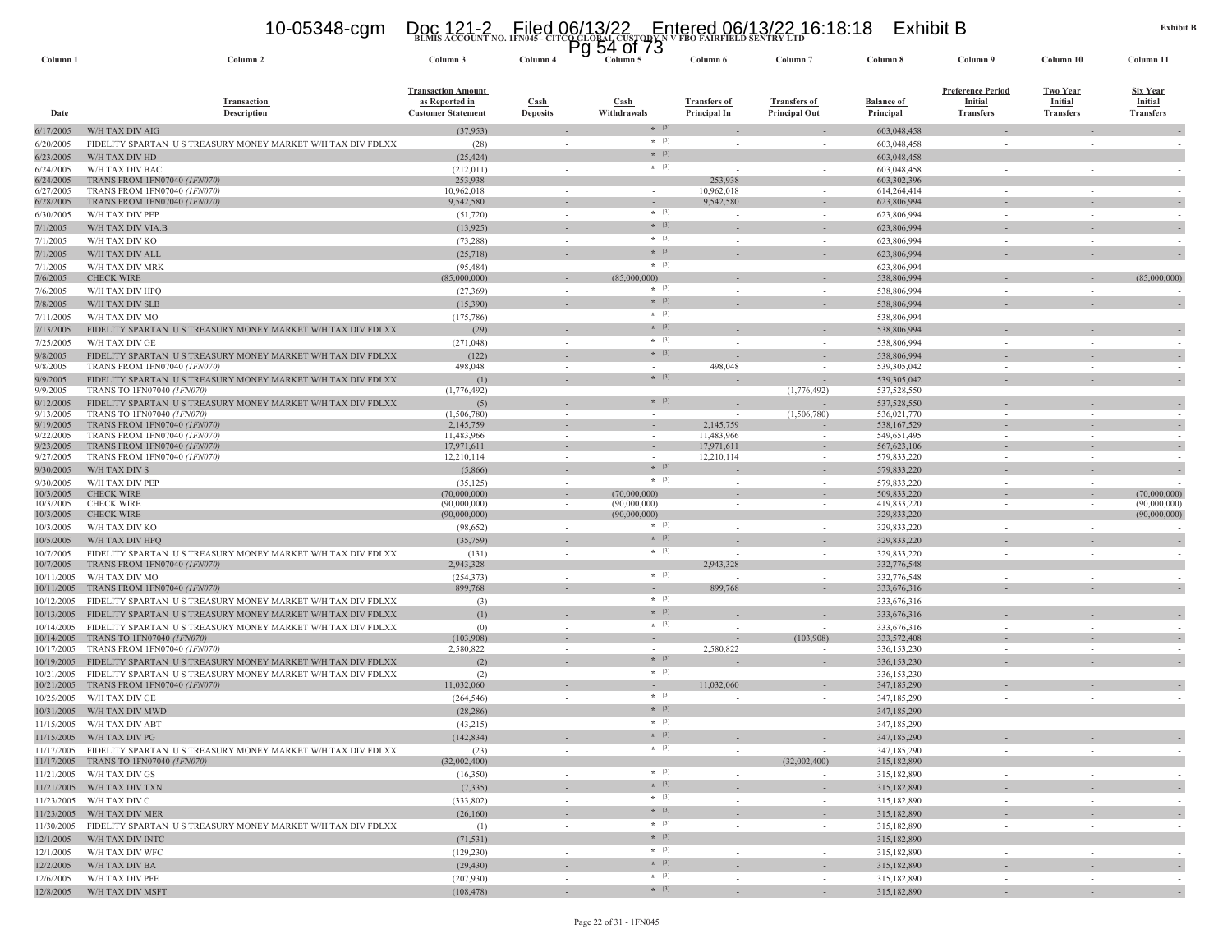## **BLMIS ACCOUNT NO. 1FN045 - CITCO GLOBAL CUSTODY N V FBO FAIRFIELD SENTRY LTD** 10-05348-cgm Doc 121-2 Filed 06/13/22 Entered 06/13/22 16:18:18 Exhibit B Pg 54 of 73

| Column <sub>1</sub>      | Column <sub>2</sub>                                                                                             | Column 3                                                                 | ิษ<br>Column 4                 | ט <i>ו</i> וט <del>וי</del> ט<br>Column 5 | Column 6                                   | Column <sub>7</sub>                         | Column 8                              | Column 9                                                       | Column 10                                             | Column 11                                      |
|--------------------------|-----------------------------------------------------------------------------------------------------------------|--------------------------------------------------------------------------|--------------------------------|-------------------------------------------|--------------------------------------------|---------------------------------------------|---------------------------------------|----------------------------------------------------------------|-------------------------------------------------------|------------------------------------------------|
| <b>Date</b>              | <b>Transaction</b><br><b>Description</b>                                                                        | <b>Transaction Amount</b><br>as Reported in<br><b>Customer Statement</b> | <b>Cash</b><br><b>Deposits</b> | Cash<br>Withdrawals                       | <b>Transfers of</b><br><b>Principal In</b> | <b>Transfers of</b><br><b>Principal Out</b> | <b>Balance of</b><br><b>Principal</b> | <b>Preference Period</b><br><b>Initial</b><br><b>Transfers</b> | <b>Two Year</b><br><b>Initial</b><br><b>Transfers</b> | <b>Six Year</b><br>Initial<br><b>Transfers</b> |
| 6/17/2005                | W/H TAX DIV AIG                                                                                                 | (37, 953)                                                                |                                | $*$ [3]                                   |                                            |                                             | 603,048,458                           |                                                                |                                                       |                                                |
| 6/20/2005                | FIDELITY SPARTAN US TREASURY MONEY MARKET W/H TAX DIV FDLXX                                                     | (28)                                                                     |                                | $*$ [3]                                   |                                            |                                             | 603,048,458                           |                                                                |                                                       |                                                |
| 6/23/2005                | W/H TAX DIV HD                                                                                                  | (25, 424)                                                                |                                | $*$ [3]<br>$*$ [3]                        |                                            |                                             | 603,048,458                           |                                                                |                                                       |                                                |
| 6/24/2005<br>6/24/2005   | W/H TAX DIV BAC<br>TRANS FROM 1FN07040 (1FN070)                                                                 | (212, 011)<br>253,938                                                    | $\sim$                         | $\sim$                                    | 253,938                                    |                                             | 603,048,458<br>603,302,396            | $\overline{\phantom{a}}$                                       |                                                       |                                                |
| 6/27/2005                | TRANS FROM 1FN07040 (1FN070)                                                                                    | 10,962,018                                                               | $\sim$                         | $\sim$                                    | 10,962,018                                 |                                             | 614,264,414                           | $\overline{\phantom{a}}$                                       |                                                       |                                                |
| 6/28/2005                | TRANS FROM 1FN07040 (1FN070)                                                                                    | 9,542,580                                                                |                                |                                           | 9,542,580                                  |                                             | 623,806,994                           |                                                                |                                                       |                                                |
| 6/30/2005                | W/H TAX DIV PEP                                                                                                 | (51, 720)                                                                |                                | $*$ [3]                                   |                                            |                                             | 623,806,994                           | $\sim$                                                         |                                                       |                                                |
| 7/1/2005                 | W/H TAX DIV VIA.B                                                                                               | (13, 925)                                                                |                                | $*$ [3]                                   |                                            |                                             | 623,806,994                           |                                                                |                                                       |                                                |
| 7/1/2005                 | W/H TAX DIV KO                                                                                                  | (73, 288)                                                                |                                | $* [3]$<br>$*$ [3]                        |                                            |                                             | 623,806,994                           | $\sim$                                                         |                                                       |                                                |
| 7/1/2005                 | W/H TAX DIV ALL                                                                                                 | (25,718)                                                                 |                                | $*$ [3]                                   |                                            |                                             | 623,806,994                           |                                                                |                                                       | $\sim$                                         |
| 7/1/2005<br>7/6/2005     | W/H TAX DIV MRK<br><b>CHECK WIRE</b>                                                                            | (95, 484)<br>(85,000,000)                                                |                                | (85,000,000)                              |                                            |                                             | 623,806,994<br>538,806,994            |                                                                |                                                       | (85,000,000)                                   |
| 7/6/2005                 | W/H TAX DIV HPQ                                                                                                 | (27, 369)                                                                | $\sim$                         | $*$ [3]                                   |                                            |                                             | 538,806,994                           | $\sim$                                                         |                                                       |                                                |
| 7/8/2005                 | W/H TAX DIV SLB                                                                                                 | (15,390)                                                                 |                                | $*$ [3]                                   |                                            |                                             | 538,806,994                           |                                                                |                                                       |                                                |
| 7/11/2005                | W/H TAX DIV MO                                                                                                  | (175, 786)                                                               | $\sim$                         | $*$ [3]                                   |                                            |                                             | 538,806,994                           | $\sim$                                                         |                                                       |                                                |
| 7/13/2005                | FIDELITY SPARTAN US TREASURY MONEY MARKET W/H TAX DIV FDLXX                                                     | (29)                                                                     |                                | $*$ [3]                                   |                                            |                                             | 538,806,994                           |                                                                |                                                       |                                                |
| 7/25/2005                | W/H TAX DIV GE                                                                                                  | (271, 048)                                                               | $\sim$                         | $*$ [3]                                   |                                            | - 2                                         | 538,806,994                           | $\sim$                                                         |                                                       |                                                |
| 9/8/2005                 | FIDELITY SPARTAN US TREASURY MONEY MARKET W/H TAX DIV FDLXX                                                     | (122)                                                                    |                                | $*$ [3]                                   |                                            |                                             | 538,806,994                           |                                                                |                                                       |                                                |
| 9/8/2005                 | TRANS FROM 1FN07040 (1FN070)                                                                                    | 498,048                                                                  | $\sim$                         | $\sim$                                    | 498,048                                    |                                             | 539,305,042                           | $\sim$                                                         |                                                       |                                                |
| 9/9/2005                 | FIDELITY SPARTAN US TREASURY MONEY MARKET W/H TAX DIV FDLXX                                                     | (1)                                                                      |                                | $*$ [3]                                   |                                            |                                             | 539,305,042                           |                                                                |                                                       | $\overline{\phantom{a}}$                       |
| 9/9/2005                 | TRANS TO 1FN07040 (1FN070)<br>FIDELITY SPARTAN US TREASURY MONEY MARKET W/H TAX DIV FDLXX                       | (1,776,492)                                                              |                                | $*$ [3]                                   |                                            | (1,776,492)                                 | 537,528,550<br>537,528,550            |                                                                |                                                       |                                                |
| 9/12/2005<br>9/13/2005   | TRANS TO 1FN07040 (1FN070)                                                                                      | (5)<br>(1, 506, 780)                                                     |                                | $\sim$                                    |                                            | (1,506,780)                                 | 536,021,770                           |                                                                |                                                       |                                                |
| 9/19/2005                | TRANS FROM 1FN07040 (1FN070)                                                                                    | 2,145,759                                                                |                                |                                           | 2,145,759                                  |                                             | 538, 167, 529                         |                                                                |                                                       |                                                |
| 9/22/2005                | TRANS FROM 1FN07040 (1FN070)                                                                                    | 11,483,966                                                               |                                | $\sim$                                    | 11,483,966                                 |                                             | 549,651,495                           | $\sim$                                                         |                                                       |                                                |
| 9/23/2005<br>9/27/2005   | TRANS FROM 1FN07040 (1FN070)<br>TRANS FROM 1FN07040 (1FN070)                                                    | 17,971,611<br>12,210,114                                                 |                                |                                           | 17,971,611<br>12,210,114                   |                                             | 567, 623, 106<br>579,833,220          |                                                                |                                                       |                                                |
| 9/30/2005                | W/H TAX DIV S                                                                                                   | (5,866)                                                                  |                                | $*$ [3]                                   |                                            |                                             | 579,833,220                           |                                                                |                                                       |                                                |
| 9/30/2005                | W/H TAX DIV PEP                                                                                                 | (35, 125)                                                                |                                | $*$ [3]                                   |                                            |                                             | 579,833,220                           | $\sim$                                                         |                                                       |                                                |
| 10/3/2005                | <b>CHECK WIRE</b>                                                                                               | (70,000,000)                                                             |                                | (70,000,000)                              |                                            |                                             | 509,833,220                           | $\sim$                                                         |                                                       | (70,000,000)                                   |
| 10/3/2005                | <b>CHECK WIRE</b>                                                                                               | (90,000,000)                                                             |                                | (90,000,000)                              |                                            |                                             | 419,833,220                           |                                                                |                                                       | (90,000,000)                                   |
| 10/3/2005                | <b>CHECK WIRE</b>                                                                                               | (90,000,000)                                                             |                                | (90,000,000)<br>$*$ [3]                   |                                            |                                             | 329,833,220                           |                                                                |                                                       | (90,000,000)                                   |
| 10/3/2005<br>10/5/2005   | W/H TAX DIV KO<br>W/H TAX DIV HPO                                                                               | (98, 652)                                                                |                                | $*$ [3]                                   |                                            | $\sim$                                      | 329,833,220<br>329,833,220            | $\sim$                                                         |                                                       |                                                |
| 10/7/2005                | FIDELITY SPARTAN US TREASURY MONEY MARKET W/H TAX DIV FDLXX                                                     | (35,759)<br>(131)                                                        |                                | $*$ [3]                                   |                                            |                                             | 329,833,220                           |                                                                |                                                       |                                                |
| 10/7/2005                | TRANS FROM 1FN07040 (1FN070)                                                                                    | 2,943,328                                                                |                                |                                           | 2,943,328                                  |                                             | 332,776,548                           |                                                                |                                                       |                                                |
| 10/11/2005               | W/H TAX DIV MO                                                                                                  | (254, 373)                                                               |                                | $*$ [3]                                   |                                            |                                             | 332,776,548                           |                                                                |                                                       |                                                |
| 10/11/2005               | TRANS FROM 1FN07040 (1FN070)                                                                                    | 899,768                                                                  |                                |                                           | 899,768                                    |                                             | 333,676,316                           |                                                                |                                                       |                                                |
| 10/12/2005               | FIDELITY SPARTAN US TREASURY MONEY MARKET W/H TAX DIV FDLXX                                                     | (3)                                                                      |                                | $*$ [3]                                   |                                            |                                             | 333,676,316                           |                                                                |                                                       |                                                |
| 10/13/2005               | FIDELITY SPARTAN US TREASURY MONEY MARKET W/H TAX DIV FDLXX                                                     | (1)                                                                      |                                | $*$ [3]                                   |                                            |                                             | 333,676,316                           |                                                                |                                                       |                                                |
| 10/14/2005<br>10/14/2005 | FIDELITY SPARTAN US TREASURY MONEY MARKET W/H TAX DIV FDLXX<br>TRANS TO 1FN07040 (1FN070)                       | (0)                                                                      |                                | $*$ [3]                                   |                                            | (103,908)                                   | 333,676,316<br>333,572,408            |                                                                |                                                       |                                                |
| 10/17/2005               | TRANS FROM 1FN07040 (1FN070)                                                                                    | (103,908)<br>2,580,822                                                   |                                | $\sim$<br>in 1919.                        | 2,580,822                                  |                                             | 336,153,230                           |                                                                |                                                       |                                                |
| 10/19/2005               | FIDELITY SPARTAN US TREASURY MONEY MARKET W/H TAX DIV FDLXX                                                     | (2)                                                                      |                                | $*$ [3]                                   |                                            |                                             | 336,153,230                           |                                                                |                                                       |                                                |
| 10/21/2005               | FIDELITY SPARTAN US TREASURY MONEY MARKET W/H TAX DIV FDLXX                                                     | (2)                                                                      |                                | $* [3]$                                   |                                            |                                             | 336,153,230                           | $\sim$                                                         |                                                       |                                                |
| 10/21/2005               | TRANS FROM 1FN07040 (1FN070)                                                                                    | 11,032,060                                                               |                                | $\sim$                                    | 11,032,060                                 |                                             | 347,185,290                           |                                                                |                                                       |                                                |
| 10/25/2005               | W/H TAX DIV GE                                                                                                  | (264, 546)                                                               |                                | $*$ [3]                                   |                                            |                                             | 347,185,290                           |                                                                |                                                       |                                                |
| 10/31/2005               | W/H TAX DIV MWD                                                                                                 | (28, 286)                                                                |                                | $*$ [3]                                   |                                            |                                             | 347,185,290                           |                                                                |                                                       |                                                |
| 11/15/2005               | W/H TAX DIV ABT                                                                                                 | (43,215)                                                                 |                                | $*$ [3]<br>$*$ [3]                        |                                            |                                             | 347,185,290                           |                                                                |                                                       |                                                |
|                          | 11/15/2005 W/H TAX DIV PG                                                                                       | (142, 834)                                                               |                                |                                           |                                            |                                             | 347,185,290                           |                                                                |                                                       |                                                |
|                          | 11/17/2005 FIDELITY SPARTAN US TREASURY MONEY MARKET W/H TAX DIV FDLXX<br>11/17/2005 TRANS TO 1FN07040 (1FN070) | (23)<br>(32,002,400)                                                     | $\sim$                         | $+$ [3]<br>$\omega_{\rm{eff}}$            | $\sim$                                     | (32,002,400)                                | 347,185,290<br>315,182,890            | $\sim$                                                         | $\sim$                                                | $\overline{\phantom{a}}$                       |
|                          | 11/21/2005 W/H TAX DIV GS                                                                                       | (16,350)                                                                 | $\sim$                         | $*$ [3]                                   | $\sim$                                     | $\sim$                                      | 315,182,890                           | $\sim$                                                         | $\sim$                                                | $\sim$                                         |
|                          | 11/21/2005 W/H TAX DIV TXN                                                                                      | (7, 335)                                                                 | $\sim$                         | $*$ [3]                                   |                                            |                                             | 315,182,890                           |                                                                |                                                       | $\sim$                                         |
|                          | 11/23/2005 W/H TAX DIV C                                                                                        | (333, 802)                                                               | $\sim$                         | $*$ [3]                                   | $\sim$                                     | $\sim$                                      | 315,182,890                           | $\sim$                                                         | $\sim$                                                | $\sim$                                         |
|                          | 11/23/2005 W/H TAX DIV MER                                                                                      | (26,160)                                                                 | $\sim$                         | $*$ [3]                                   | $\overline{\phantom{a}}$                   | $\overline{\phantom{a}}$                    | 315,182,890                           | $\sim$                                                         | $\sim$                                                | $\overline{\phantom{a}}$                       |
|                          | 11/30/2005 FIDELITY SPARTAN U S TREASURY MONEY MARKET W/H TAX DIV FDLXX                                         | (1)                                                                      | $\sim$                         | $*$ [3]                                   | $\overline{\phantom{a}}$                   | $\sim$                                      | 315,182,890                           | $\sim$                                                         | $\sim$                                                |                                                |
|                          | 12/1/2005 W/H TAX DIV INTC                                                                                      | (71, 531)                                                                | $\sim$                         | $*$ [3]                                   | $\sim$                                     | $\sim$                                      | 315,182,890                           | $\overline{\phantom{a}}$                                       |                                                       | $\sim$                                         |
|                          | 12/1/2005 W/H TAX DIV WFC                                                                                       | (129, 230)                                                               | $\sim$                         | $\star$ [3]                               | $\sim$                                     |                                             | 315,182,890                           | $\sim$                                                         |                                                       |                                                |
|                          | 12/2/2005 W/H TAX DIV BA                                                                                        | (29, 430)                                                                |                                | $*$ [3]                                   |                                            | $\sim$                                      | 315,182,890                           | ۰                                                              |                                                       | $\sim$                                         |
|                          | 12/6/2005 W/H TAX DIV PFE                                                                                       | (207, 930)                                                               | $\sim$                         | $*$ [3]                                   | $\sim$                                     | $\sim$                                      | 315,182,890                           | $\sim$                                                         | $\sim$                                                | $\sim$                                         |
|                          | 12/8/2005 W/H TAX DIV MSFT                                                                                      | (108, 478)                                                               |                                | $*$ [3]                                   | $\sim$                                     |                                             | 315,182,890                           |                                                                |                                                       |                                                |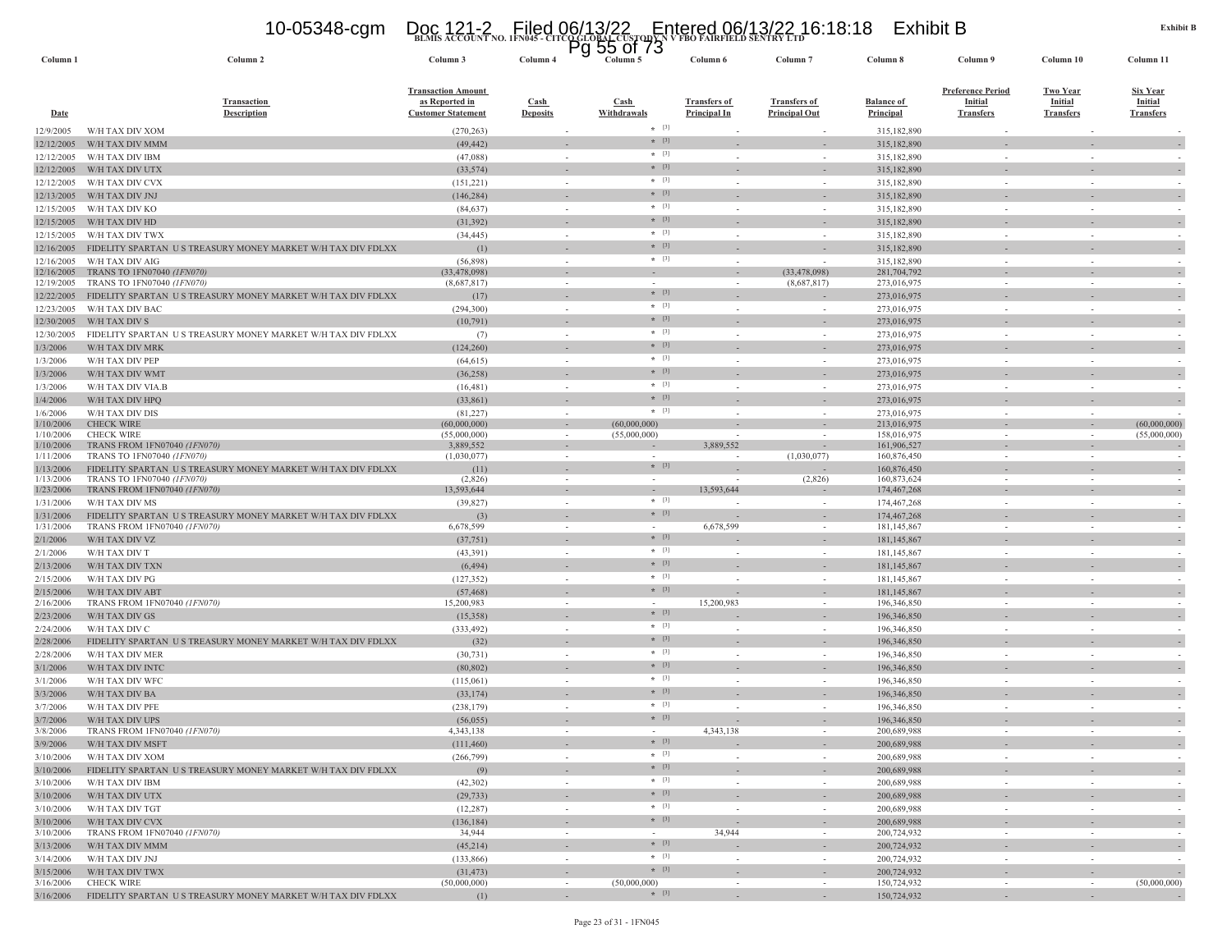|                          | 10-05348-cgm                                                                  | Doc 121-2 Filed 06/13/22 Entered 06/13/22 16:18:18<br>Pg 55 01 /3<br>Column 6 Column 6 Column Column 6 |                                                      |                            |                                            |                                             | Exhibit B                      |                                                                |                                                       | Exhib                                                 |
|--------------------------|-------------------------------------------------------------------------------|--------------------------------------------------------------------------------------------------------|------------------------------------------------------|----------------------------|--------------------------------------------|---------------------------------------------|--------------------------------|----------------------------------------------------------------|-------------------------------------------------------|-------------------------------------------------------|
| Column <sub>1</sub>      | Column 2                                                                      | Column 3                                                                                               | Column 4                                             | Column 5                   | Column 6                                   | Column <sub>7</sub>                         | Column 8                       | Column 9                                                       | Column 10                                             | Column 11                                             |
| <b>Date</b>              | <b>Transaction</b><br><b>Description</b>                                      | <b>Transaction Amount</b><br>as Reported in<br><b>Customer Statement</b>                               | $\operatorname{Cash}$<br><b>Deposits</b>             | <b>Cash</b><br>Withdrawals | <b>Transfers of</b><br><b>Principal In</b> | <b>Transfers of</b><br><b>Principal Out</b> | <b>Balance of</b><br>Principal | <b>Preference Period</b><br><b>Initial</b><br><b>Transfers</b> | <b>Two Year</b><br><b>Initial</b><br><b>Transfers</b> | <b>Six Year</b><br><b>Initial</b><br><b>Transfers</b> |
| 12/9/2005                | W/H TAX DIV XOM                                                               | (270, 263)                                                                                             |                                                      | $*$ [3]                    |                                            |                                             | 315,182,890                    |                                                                |                                                       |                                                       |
| 12/12/2005               | W/H TAX DIV MMM                                                               | (49, 442)                                                                                              |                                                      | $*$ [3]<br>$*$ [3]         |                                            |                                             | 315,182,890                    |                                                                |                                                       |                                                       |
| 12/12/2005               | W/H TAX DIV IBM                                                               | (47,088)                                                                                               | $\sim$                                               | $*$ [3]                    |                                            | $\sim$                                      | 315,182,890                    |                                                                | $\sim$                                                |                                                       |
| 12/12/2005<br>12/12/2005 | W/H TAX DIV UTX<br>W/H TAX DIV CVX                                            | (33, 574)<br>(151, 221)                                                                                | $\sim$                                               | $*$ [3]                    |                                            | $\sim$                                      | 315,182,890<br>315,182,890     |                                                                | $\sim$                                                |                                                       |
| 12/13/2005               | W/H TAX DIV JNJ                                                               | (146, 284)                                                                                             |                                                      | $*$ [3]                    |                                            |                                             | 315,182,890                    |                                                                |                                                       |                                                       |
| 12/15/2005               | W/H TAX DIV KO                                                                | (84, 637)                                                                                              | $\sim$                                               | $*$ [3]                    |                                            | $\sim$                                      | 315,182,890                    |                                                                | $\sim$                                                |                                                       |
| 12/15/2005               | W/H TAX DIV HD                                                                | (31, 392)                                                                                              |                                                      | $*$ [3]                    |                                            |                                             | 315,182,890                    |                                                                |                                                       |                                                       |
| 12/15/2005               | W/H TAX DIV TWX                                                               | (34, 445)                                                                                              | $\sim$                                               | $*$ [3]                    |                                            | $\sim$                                      | 315,182,890                    |                                                                | $\overline{\phantom{a}}$                              |                                                       |
| 12/16/2005               | FIDELITY SPARTAN US TREASURY MONEY MARKET W/H TAX DIV FDLXX                   | (1)                                                                                                    | $\sim$                                               | $*$ [3]                    |                                            |                                             | 315,182,890                    |                                                                |                                                       |                                                       |
| 12/16/2005               | W/H TAX DIV AIG<br>TRANS TO 1FN07040 (1FN070)                                 | (56,898)                                                                                               | $\sim$                                               | $*$ [3]                    |                                            |                                             | 315,182,890<br>281,704,792     |                                                                |                                                       |                                                       |
| 12/16/2005<br>12/19/2005 | TRANS TO 1FN07040 (1FN070)                                                    | (33, 478, 098)<br>(8,687,817)                                                                          | $\overline{\phantom{a}}$<br>$\sim$                   |                            |                                            | (33, 478, 098)<br>(8,687,817)               | 273,016,975                    |                                                                | $\overline{\phantom{a}}$<br>$\sim$                    |                                                       |
| 12/22/2005               | FIDELITY SPARTAN U S TREASURY MONEY MARKET W/H TAX DIV FDLXX                  | (17)                                                                                                   |                                                      | $*$ [3]                    |                                            |                                             | 273,016,975                    |                                                                |                                                       |                                                       |
| 12/23/2005               | W/H TAX DIV BAC                                                               | (294, 300)                                                                                             | $\sim$                                               | $*$ [3]                    |                                            | $\sim$                                      | 273,016,975                    | $\sim$                                                         | ÷.                                                    |                                                       |
| 12/30/2005               | W/H TAX DIV S                                                                 | (10,791)                                                                                               |                                                      | $* [3]$                    |                                            |                                             | 273,016,975                    |                                                                |                                                       |                                                       |
| 12/30/2005               | FIDELITY SPARTAN US TREASURY MONEY MARKET W/H TAX DIV FDLXX                   | (7)                                                                                                    | $\sim$                                               | $*$ [3]                    | $\sim$                                     | $\sim$                                      | 273,016,975                    | $\sim$                                                         | $\sim$                                                |                                                       |
| 1/3/2006                 | W/H TAX DIV MRK                                                               | (124, 260)                                                                                             | $\overline{\phantom{a}}$                             | $*$ [3]<br>$*$ [3]         |                                            |                                             | 273,016,975                    |                                                                |                                                       |                                                       |
| 1/3/2006                 | W/H TAX DIV PEP                                                               | (64, 615)                                                                                              | $\sim$                                               | $*$ [3]                    |                                            | $\sim$                                      | 273,016,975                    |                                                                | $\sim$                                                |                                                       |
| 1/3/2006                 | W/H TAX DIV WMT                                                               | (36, 258)                                                                                              | $\sim$                                               | $*$ [3]                    |                                            | $\sim$                                      | 273,016,975<br>273,016,975     |                                                                | $\sim$                                                |                                                       |
| 1/3/2006<br>1/4/2006     | W/H TAX DIV VIA.B<br>W/H TAX DIV HPQ                                          | (16, 481)<br>(33, 861)                                                                                 |                                                      | $*$ [3]                    |                                            |                                             | 273,016,975                    |                                                                |                                                       |                                                       |
| 1/6/2006                 | W/H TAX DIV DIS                                                               | (81, 227)                                                                                              | $\sim$                                               | $*$ [3]                    |                                            |                                             | 273,016,975                    |                                                                |                                                       |                                                       |
| 1/10/2006                | <b>CHECK WIRE</b>                                                             | (60,000,000)                                                                                           | $\sim$                                               | (60,000,000)               |                                            | $\overline{\phantom{a}}$                    | 213,016,975                    |                                                                | $\sim$                                                | (60,000,000)                                          |
| 1/10/2006                | <b>CHECK WIRE</b>                                                             | (55,000,000)                                                                                           | $\sim$                                               | (55,000,000)               |                                            |                                             | 158,016,975                    |                                                                | $\sim$                                                | (55,000,000)                                          |
| 1/10/2006<br>1/11/2006   | TRANS FROM 1FN07040 <i>(1FN070)</i><br>TRANS TO 1FN07040 (1FN070)             | 3,889,552<br>(1,030,077)                                                                               | $\sim$                                               | $\sim$                     | 3,889,552                                  | $\overline{\phantom{a}}$<br>(1,030,077)     | 161,906,527<br>160,876,450     | $\sim$                                                         | $\sim$                                                | $\sim$                                                |
| 1/13/2006                | FIDELITY SPARTAN US TREASURY MONEY MARKET W/H TAX DIV FDLXX                   | (11)                                                                                                   |                                                      | $*$ [3]                    |                                            |                                             | 160,876,450                    |                                                                |                                                       |                                                       |
| 1/13/2006                | TRANS TO 1FN07040 (1FN070)                                                    | (2,826)                                                                                                | $\sim$                                               | $\sim$                     |                                            | (2,826)                                     | 160,873,624                    |                                                                | $\sim$                                                |                                                       |
| 1/23/2006                | TRANS FROM 1FN07040 (1FN070)                                                  | 13,593,644                                                                                             |                                                      | $\sim$<br>$*$ [3]          | 13,593,644                                 |                                             | 174, 467, 268                  |                                                                |                                                       |                                                       |
| 1/31/2006                | W/H TAX DIV MS<br>FIDELITY SPARTAN US TREASURY MONEY MARKET W/H TAX DIV FDLXX | (39, 827)                                                                                              | $\sim$                                               | $*$ [3]                    |                                            | $\sim$                                      | 174,467,268<br>174, 467, 268   | $\sim$                                                         | $\sim$                                                |                                                       |
| 1/31/2006<br>1/31/2006   | TRANS FROM 1FN07040 (1FN070)                                                  | (3)<br>6,678,599                                                                                       | $\overline{\phantom{a}}$<br>$\overline{\phantom{a}}$ |                            | 6,678,599                                  |                                             | 181, 145, 867                  |                                                                |                                                       |                                                       |
| 2/1/2006                 | W/H TAX DIV VZ                                                                | (37, 751)                                                                                              | $\overline{\phantom{a}}$                             | $*$ [3]                    |                                            |                                             | 181,145,867                    |                                                                |                                                       |                                                       |
| 2/1/2006                 | W/H TAX DIV T                                                                 | (43,391)                                                                                               | $\sim$                                               | $*$ [3]                    |                                            | $\overline{\phantom{a}}$                    | 181,145,867                    |                                                                | $\overline{\phantom{a}}$                              |                                                       |
| 2/13/2006                | W/H TAX DIV TXN                                                               | (6, 494)                                                                                               |                                                      | $*$ [3]                    |                                            |                                             | 181,145,867                    |                                                                |                                                       |                                                       |
| 2/15/2006                | W/H TAX DIV PG                                                                | (127, 352)                                                                                             | $\sim$                                               | $\star$ [3]                |                                            | $\sim$                                      | 181,145,867                    |                                                                | $\sim$                                                |                                                       |
| 2/15/2006                | W/H TAX DIV ABT                                                               | (57, 468)                                                                                              | $\sim$                                               | $*$ [3]                    |                                            |                                             | 181,145,867                    |                                                                |                                                       |                                                       |
| 2/16/2006<br>2/23/2006   | TRANS FROM 1FN07040 (1FN070)<br>W/H TAX DIV GS                                | 15,200,983<br>(15,358)                                                                                 |                                                      | $*$ [3]                    | 15,200,983                                 |                                             | 196,346,850<br>196,346,850     |                                                                |                                                       |                                                       |
| 2/24/2006                | W/H TAX DIV C                                                                 | (333, 492)                                                                                             | $\sim$                                               | $*$ [3]                    |                                            | $\sim$                                      | 196,346,850                    |                                                                | $\sim$                                                |                                                       |
| 2/28/2006                | FIDELITY SPARTAN US TREASURY MONEY MARKET W/H TAX DIV FDLXX                   | (32)                                                                                                   | $\sim$                                               | $*$ [3]                    |                                            |                                             | 196,346,850                    |                                                                |                                                       |                                                       |
| 2/28/2006                | W/H TAX DIV MER                                                               | (30, 731)                                                                                              | $\sim$                                               | $*$ [3]                    |                                            | $\sim$                                      | 196,346,850                    |                                                                | $\sim$                                                |                                                       |
| 3/1/2006                 | W/H TAX DIV INTC                                                              | (80, 802)                                                                                              | $\sim$                                               | $*$ [3]                    |                                            |                                             | 196,346,850                    |                                                                |                                                       |                                                       |
| 3/1/2006                 | W/H TAX DIV WFC                                                               | (115,061)                                                                                              |                                                      | $*$ [3]                    |                                            |                                             | 196,346,850                    |                                                                |                                                       |                                                       |
| 3/3/2006                 | W/H TAX DIV BA                                                                | (33, 174)                                                                                              |                                                      | $*$ [3]<br>$*$ [3]         |                                            |                                             | 196,346,850                    |                                                                |                                                       |                                                       |
| 3/7/2006                 | W/H TAX DIV PFE                                                               | (238, 179)                                                                                             |                                                      | $*$ [3]                    |                                            |                                             | 196,346,850                    |                                                                |                                                       |                                                       |
| 3/7/2006<br>3/8/2006     | W/H TAX DIV UPS<br>TRANS FROM 1FN07040 (1FN070)                               | (56, 055)<br>4,343,138                                                                                 | $\sim$                                               | $\sim$                     | 4,343,138                                  | $\sim$                                      | 196,346,850<br>200,689,988     | $\sim$                                                         | $\sim$                                                | $\sim$                                                |
| 3/9/2006                 | W/H TAX DIV MSFT                                                              | (111, 460)                                                                                             |                                                      | $*$ [3]                    |                                            |                                             | 200,689,988                    |                                                                |                                                       | $\overline{a}$                                        |
| 3/10/2006                | W/H TAX DIV XOM                                                               | (266, 799)                                                                                             | $\sim$                                               | $*$ [3]                    | $\sim$                                     | $\sim$                                      | 200,689,988                    | $\sim$                                                         | $\sim$                                                | $\sim$                                                |
| 3/10/2006                | FIDELITY SPARTAN US TREASURY MONEY MARKET W/H TAX DIV FDLXX                   | (9)                                                                                                    | $\sim$                                               | $*$ [3]                    |                                            | $\sim$                                      | 200,689,988                    |                                                                | $\sim$                                                | $\sim$                                                |
| 3/10/2006                | W/H TAX DIV IBM                                                               | (42,302)                                                                                               | $\sim$                                               | $*$ [3]                    | $\sim$                                     | $\sim$                                      | 200,689,988                    | $\sim$                                                         | $\sim$                                                | $\overline{\phantom{a}}$                              |
| 3/10/2006                | W/H TAX DIV UTX                                                               | (29, 733)                                                                                              | $\sim$                                               | $*$ [3]                    |                                            | $\overline{\phantom{a}}$                    | 200,689,988                    | $\sim$                                                         | $\overline{\phantom{a}}$                              | $\overline{\phantom{a}}$                              |
| 3/10/2006                | W/H TAX DIV TGT                                                               | (12, 287)                                                                                              | $\sim$                                               | $*$ [3]                    |                                            | $\sim$                                      | 200,689,988                    | $\sim$                                                         | $\sim$                                                |                                                       |
| 3/10/2006<br>3/10/2006   | W/H TAX DIV CVX<br>TRANS FROM 1FN07040 (1FN070)                               | (136, 184)<br>34,944                                                                                   | $\sim$                                               | $*$ [3]<br>$\sim$          | 34,944                                     | $\sim$                                      | 200,689,988<br>200,724,932     | $\sim$                                                         | $\sim$<br>$\sim$                                      | $\sim$                                                |
| 3/13/2006                | W/H TAX DIV MMM                                                               | (45, 214)                                                                                              |                                                      | $*$ [3]                    |                                            | $\sim$                                      | 200,724,932                    |                                                                |                                                       | $\sim$<br>$\overline{\phantom{a}}$                    |
| 3/14/2006                | W/H TAX DIV JNJ                                                               | (133, 866)                                                                                             | $\sim$                                               | $*$ [3]                    | $\sim$                                     | $\sim$                                      | 200,724,932                    | $\sim$                                                         | $\sim$                                                | $\sim$                                                |
| 3/15/2006                | W/H TAX DIV TWX                                                               | (31, 473)                                                                                              | $\overline{\phantom{a}}$                             | $*$ [3]                    |                                            | $\overline{\phantom{a}}$                    | 200,724,932                    |                                                                | $\overline{\phantom{a}}$                              |                                                       |
| 3/16/2006                | <b>CHECK WIRE</b>                                                             | (50,000,000)                                                                                           | $\sim$                                               | (50,000,000)               | $\sim$                                     |                                             | 150,724,932                    |                                                                |                                                       | (50,000,000)                                          |

3/16/2006 FIDELITY SPARTAN US TREASURY MONEY MARKET W/H TAX DIV FDLXX (1)  $*$  <sup>[3]</sup>  $*$  <sup>[3]</sup>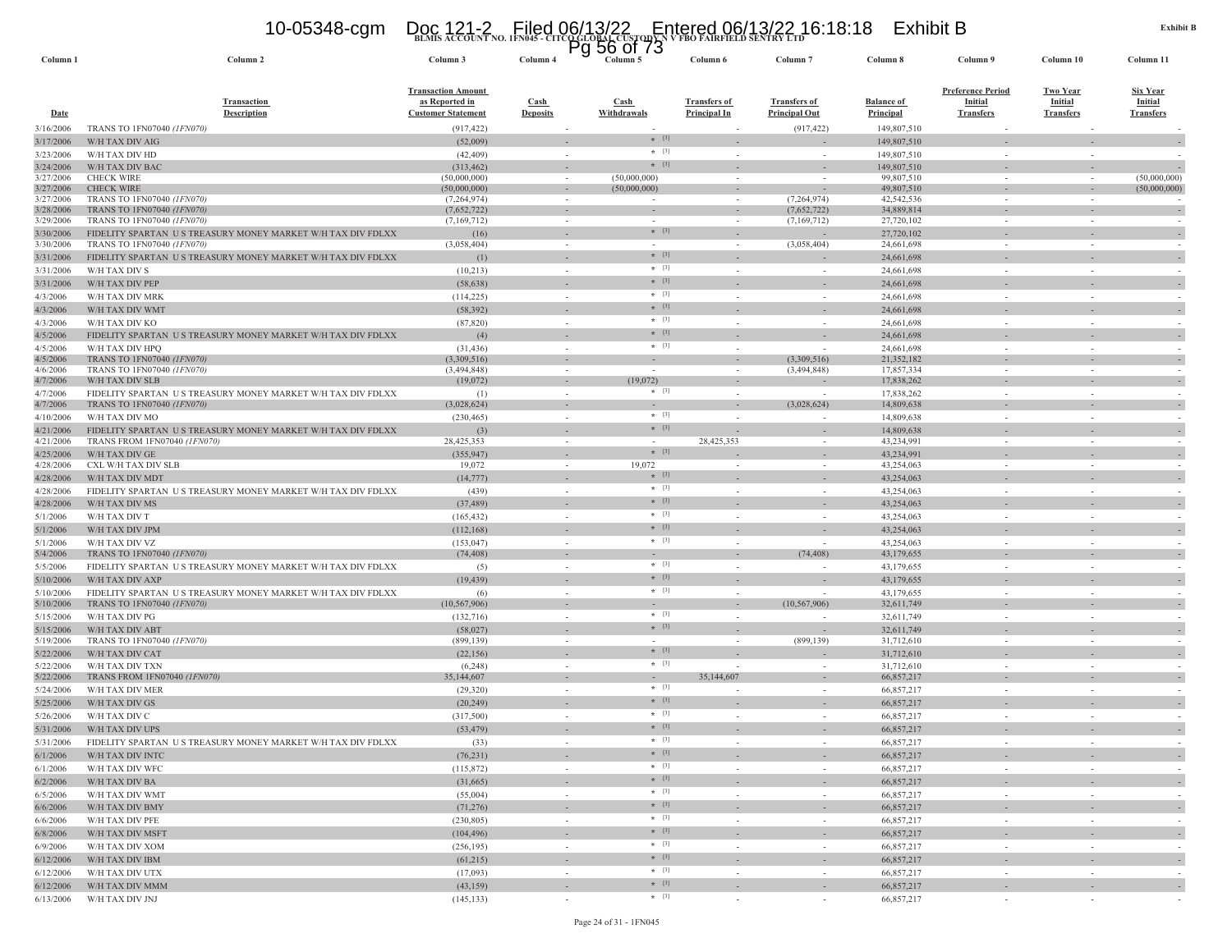### **BLMIS ACCOUNT NO. 1FN045 - CITCO GLOBAL CUSTODY N V FBO FAIRFIELD SENTRY LTD** 10-05348-cgm Doc 121-2 Filed 06/13/22 Entered 06/13/22 16:18:18 Exhibit B Pg 56 of 73

| Column <sub>1</sub>    | Column <sub>2</sub>                                                                       | Column 3                                                                 | Column 4                                 | ิษ<br><u>JU UI I J</u><br>Column 5 | Column 6                                   | Column <sub>7</sub>                         | Column 8                              | Column 9                                                       | Column 10                                             | Column 11                               |
|------------------------|-------------------------------------------------------------------------------------------|--------------------------------------------------------------------------|------------------------------------------|------------------------------------|--------------------------------------------|---------------------------------------------|---------------------------------------|----------------------------------------------------------------|-------------------------------------------------------|-----------------------------------------|
| <b>Date</b>            | <b>Transaction</b><br><b>Description</b>                                                  | <b>Transaction Amount</b><br>as Reported in<br><b>Customer Statement</b> | $\operatorname{Cash}$<br><b>Deposits</b> | Cash<br><b>Withdrawals</b>         | <b>Transfers of</b><br><b>Principal In</b> | <b>Transfers of</b><br><b>Principal Out</b> | <b>Balance of</b><br><b>Principal</b> | <b>Preference Period</b><br><b>Initial</b><br><b>Transfers</b> | <b>Two Year</b><br><b>Initial</b><br><b>Transfers</b> | Six Year<br>Initial<br><b>Transfers</b> |
| 3/16/2006              | TRANS TO 1FN07040 (1FN070)                                                                | (917, 422)                                                               |                                          |                                    |                                            | (917, 422)                                  | 149,807,510                           |                                                                |                                                       |                                         |
| 3/17/2006              | W/H TAX DIV AIG                                                                           | (52,009)                                                                 |                                          | $*$ [3]                            |                                            |                                             | 149,807,510                           |                                                                |                                                       |                                         |
| 3/23/2006              | W/H TAX DIV HD                                                                            | (42, 409)                                                                | $\sim$                                   | $*$ [3]                            | - 20                                       | $\sim$                                      | 149,807,510                           |                                                                | $\sim$                                                |                                         |
| 3/24/2006              | W/H TAX DIV BAC                                                                           | (313, 462)                                                               |                                          | $* [3]$                            |                                            |                                             | 149,807,510                           |                                                                |                                                       |                                         |
| 3/27/2006<br>3/27/2006 | <b>CHECK WIRE</b><br><b>CHECK WIRE</b>                                                    | (50,000,000)<br>(50,000,000)                                             | $\sim$                                   | (50,000,000)<br>(50,000,000)       | $\overline{\phantom{a}}$                   |                                             | 99,807,510<br>49,807,510              | $\sim$                                                         | $\sim$                                                | (50,000,000)<br>(50,000,000)            |
| 3/27/2006              | TRANS TO 1FN07040 (1FN070)                                                                | (7, 264, 974)                                                            | $\sim$                                   | $\sim$                             |                                            | (7,264,974)                                 | 42,542,536                            |                                                                |                                                       |                                         |
| 3/28/2006              | TRANS TO 1FN07040 (1FN070)                                                                | (7,652,722)                                                              |                                          |                                    |                                            | (7,652,722)                                 | 34,889,814                            |                                                                |                                                       |                                         |
| 3/29/2006              | TRANS TO 1FN07040 (1FN070)                                                                | (7,169,712)                                                              | $\overline{\phantom{a}}$                 |                                    |                                            | (7,169,712)                                 | 27,720,102                            |                                                                |                                                       |                                         |
| 3/30/2006              | FIDELITY SPARTAN US TREASURY MONEY MARKET W/H TAX DIV FDLXX                               | (16)                                                                     |                                          | $*$ [3]                            |                                            |                                             | 27,720,102                            |                                                                |                                                       |                                         |
| 3/30/2006              | TRANS TO 1FN07040 (1FN070)                                                                | (3,058,404)                                                              | $\sim$                                   | $\sim$<br>$* [3]$                  | $\sim$                                     | (3,058,404)                                 | 24,661,698                            | $\sim$                                                         | $\overline{\phantom{a}}$                              |                                         |
| 3/31/2006              | FIDELITY SPARTAN US TREASURY MONEY MARKET W/H TAX DIV FDLXX                               |                                                                          | $\sim$                                   | $*$ [3]                            |                                            | $\sim$                                      | 24,661,698                            |                                                                | $\sim$                                                |                                         |
| 3/31/2006              | W/H TAX DIV S<br>W/H TAX DIV PEP                                                          | (10,213)<br>(58, 638)                                                    |                                          | $*$ [3]                            |                                            |                                             | 24,661,698<br>24,661,698              |                                                                |                                                       |                                         |
| 3/31/2006<br>4/3/2006  | W/H TAX DIV MRK                                                                           | (114, 225)                                                               | $\sim$                                   | $*$ [3]                            |                                            | $\sim$                                      | 24,661,698                            | $\sim$                                                         |                                                       |                                         |
| 4/3/2006               | W/H TAX DIV WMT                                                                           | (58, 392)                                                                |                                          | $*$ [3]                            |                                            |                                             | 24,661,698                            |                                                                |                                                       |                                         |
| 4/3/2006               | W/H TAX DIV KO                                                                            | (87, 820)                                                                | $\sim$                                   | $*$ [3]                            |                                            | $\sim$                                      | 24,661,698                            |                                                                |                                                       |                                         |
| 4/5/2006               | FIDELITY SPARTAN US TREASURY MONEY MARKET W/H TAX DIV FDLXX                               | (4)                                                                      |                                          | $*$ [3]                            |                                            |                                             | 24,661,698                            |                                                                |                                                       |                                         |
| 4/5/2006               | W/H TAX DIV HPQ                                                                           | (31, 436)                                                                |                                          | $*$ [3]                            |                                            |                                             | 24,661,698                            |                                                                |                                                       |                                         |
| 4/5/2006               | TRANS TO 1FN07040 (1FN070)                                                                | (3,309,516)                                                              |                                          |                                    |                                            | (3,309,516)                                 | 21,352,182                            |                                                                |                                                       |                                         |
| 4/6/2006               | TRANS TO 1FN07040 (1FN070)                                                                | (3,494,848)                                                              | $\overline{\phantom{a}}$                 | $\sim$                             |                                            | (3,494,848)                                 | 17,857,334                            |                                                                |                                                       |                                         |
| 4/7/2006               | W/H TAX DIV SLB                                                                           | (19,072)                                                                 | $\sim$                                   | (19,072)                           |                                            |                                             | 17,838,262                            |                                                                |                                                       |                                         |
| 4/7/2006               | FIDELITY SPARTAN US TREASURY MONEY MARKET W/H TAX DIV FDLXX                               | (1)                                                                      | $\sim$                                   | $\star$ [3]                        |                                            | $\sim$                                      | 17,838,262                            |                                                                |                                                       |                                         |
| 4/7/2006               | TRANS TO 1FN07040 (1FN070)                                                                | (3,028,624)                                                              | $\overline{\phantom{a}}$                 | $\sim$<br>$*$ [3]                  |                                            | (3,028,624)                                 | 14,809,638                            |                                                                |                                                       |                                         |
| 4/10/2006<br>4/21/2006 | W/H TAX DIV MO<br>FIDELITY SPARTAN US TREASURY MONEY MARKET W/H TAX DIV FDLXX             | (230, 465)<br>(3)                                                        | $\sim$                                   | $*$ [3]                            |                                            |                                             | 14,809,638<br>14,809,638              | $\sim$                                                         | $\sim$                                                |                                         |
| 4/21/2006              | TRANS FROM 1FN07040 (1FN070)                                                              | 28,425,353                                                               | $\sim$                                   | $\sim$                             | 28,425,353                                 | $\sim$                                      | 43,234,991                            | $\sim$                                                         | $\sim$                                                |                                         |
| 4/25/2006              | W/H TAX DIV GE                                                                            | (355, 947)                                                               |                                          | $*$ [3]                            |                                            |                                             | 43,234,991                            |                                                                |                                                       |                                         |
| 4/28/2006              | CXL W/H TAX DIV SLB                                                                       | 19,072                                                                   | $\sim$                                   | 19,072                             |                                            |                                             | 43,254,063                            | $\sim$                                                         | $\sim$                                                |                                         |
| 4/28/2006              | W/H TAX DIV MDT                                                                           | (14, 777)                                                                | $\sim$                                   | $*$ [3]                            |                                            |                                             | 43,254,063                            |                                                                |                                                       |                                         |
| 4/28/2006              | FIDELITY SPARTAN US TREASURY MONEY MARKET W/H TAX DIV FDLXX                               | (439)                                                                    | $\sim$                                   | $*$ [3]                            |                                            |                                             | 43,254,063                            |                                                                |                                                       |                                         |
| 4/28/2006              | W/H TAX DIV MS                                                                            | (37, 489)                                                                |                                          | $*$ [3]                            |                                            |                                             | 43,254,063                            |                                                                |                                                       |                                         |
| 5/1/2006               | W/H TAX DIV T                                                                             | (165, 432)                                                               |                                          | $+ [3]$                            |                                            |                                             | 43,254,063                            |                                                                |                                                       |                                         |
| 5/1/2006               | W/H TAX DIV JPM                                                                           | (112, 168)                                                               |                                          | $*$ [3]                            |                                            |                                             | 43,254,063                            |                                                                |                                                       |                                         |
| 5/1/2006               | W/H TAX DIV VZ                                                                            | (153, 047)                                                               | $\sim$                                   | $*$ [3]                            |                                            | $\overline{\phantom{a}}$                    | 43,254,063                            |                                                                | $\overline{\phantom{a}}$                              |                                         |
| 5/4/2006               | <b>TRANS TO 1FN07040 (1FN070)</b>                                                         | (74, 408)                                                                | $\sim$                                   | $\sim$<br>$*$ [3]                  |                                            | (74, 408)                                   | 43,179,655                            |                                                                |                                                       |                                         |
| 5/5/2006               | FIDELITY SPARTAN US TREASURY MONEY MARKET W/H TAX DIV FDLXX                               | (5)                                                                      | $\sim$                                   | $*$ [3]                            | $\sim$                                     |                                             | 43,179,655                            | $\sim$                                                         | $\sim$                                                |                                         |
| 5/10/2006              | W/H TAX DIV AXP                                                                           | (19, 439)                                                                |                                          | $*$ [3]                            |                                            |                                             | 43,179,655                            |                                                                |                                                       |                                         |
| 5/10/2006<br>5/10/2006 | FIDELITY SPARTAN US TREASURY MONEY MARKET W/H TAX DIV FDLXX<br>TRANS TO 1FN07040 (1FN070) | (6)<br>(10, 567, 906)                                                    | $\sim$<br>$\sim$                         | $\sim$                             | $\sim$                                     | (10, 567, 906)                              | 43,179,655<br>32,611,749              |                                                                |                                                       |                                         |
| 5/15/2006              | W/H TAX DIV PG                                                                            | (132, 716)                                                               | $\overline{\phantom{a}}$                 | $*$ [3]                            |                                            |                                             | 32,611,749                            |                                                                | $\sim$                                                |                                         |
| 5/15/2006              | W/H TAX DIV ABT                                                                           | (58,027)                                                                 |                                          | $*$ [3]                            |                                            |                                             | 32,611,749                            |                                                                |                                                       |                                         |
| 5/19/2006              | TRANS TO 1FN07040 (1FN070)                                                                | (899, 139)                                                               | $\sim$                                   |                                    |                                            | (899, 139)                                  | 31,712,610                            | $\sim$                                                         |                                                       |                                         |
| 5/22/2006              | W/H TAX DIV CAT                                                                           | (22, 156)                                                                |                                          | $*$ [3]                            |                                            |                                             | 31,712,610                            |                                                                |                                                       |                                         |
| 5/22/2006              | W/H TAX DIV TXN                                                                           | (6,248)                                                                  | $\sim$                                   | $\star$ [3]                        |                                            | $\sim$                                      | 31,712,610                            |                                                                | $\sim$                                                |                                         |
| 5/22/2006              | TRANS FROM 1FN07040 (1FN070)                                                              | 35,144,607                                                               |                                          | $*$ [3]                            | 35,144,607                                 |                                             | 66,857,217                            |                                                                |                                                       |                                         |
| 5/24/2006              | W/H TAX DIV MER                                                                           | (29,320)                                                                 | $\sim$                                   |                                    |                                            | $\sim$                                      | 66,857,217                            | $\sim$                                                         | $\sim$                                                |                                         |
| 5/25/2006              | W/H TAX DIV GS                                                                            | (20, 249)                                                                | $\sim$                                   | $*$ [3]                            |                                            |                                             | 66,857,217                            |                                                                |                                                       |                                         |
| 5/26/2006              | W/H TAX DIV C                                                                             | (317,500)                                                                | $\sim$                                   | $*$ [3]<br>$*$ [3]                 | $\sim$                                     | $\sim$                                      | 66,857,217                            | $\sim$                                                         | $\sim$                                                |                                         |
| 5/31/2006              | W/H TAX DIV UPS                                                                           | (53, 479)                                                                |                                          | $*$ [3]                            |                                            |                                             | 66,857,217                            |                                                                |                                                       |                                         |
| 5/31/2006              | FIDELITY SPARTAN US TREASURY MONEY MARKET W/H TAX DIV FDLXX                               | (33)                                                                     | $\sim$                                   | $*$ [3]                            |                                            |                                             | 66,857,217                            |                                                                |                                                       |                                         |
| 6/1/2006               | W/H TAX DIV INTC                                                                          | (76, 231)                                                                |                                          | $*$ [3]                            |                                            | $\sim$                                      | 66,857,217                            |                                                                |                                                       |                                         |
| 6/1/2006               | W/H TAX DIV WFC                                                                           | (115, 872)                                                               | $\sim$                                   | $*$ [3]                            | $\sim$                                     | $\sim$                                      | 66,857,217                            | $\sim$                                                         | $\sim$                                                |                                         |
| 6/2/2006               | W/H TAX DIV BA                                                                            | (31,665)                                                                 | $\sim$                                   | $*$ [3]                            | $\overline{\phantom{a}}$                   | $\sim$                                      | 66,857,217                            | $\sim$                                                         | $\overline{\phantom{a}}$                              |                                         |
| 6/5/2006               | W/H TAX DIV WMT                                                                           | (55,004)                                                                 | $\sim$                                   | $*$ [3]                            | $\sim$                                     | $\sim$                                      | 66,857,217                            | $\sim$                                                         | $\sim$                                                | $\sim$                                  |
| 6/6/2006               | W/H TAX DIV BMY                                                                           | (71, 276)                                                                | $\sim$                                   | $*$ [3]                            | $\sim$                                     | $\sim$                                      | 66,857,217<br>66,857,217              | $\sim$                                                         | $\sim$                                                | $\sim$                                  |
| 6/6/2006               | W/H TAX DIV PFE<br>W/H TAX DIV MSFT                                                       | (230, 805)<br>(104, 496)                                                 | $\sim$                                   | $*$ [3]                            |                                            | $\sim$                                      | 66,857,217                            | $\sim$                                                         | $\sim$                                                |                                         |
| 6/8/2006<br>6/9/2006   | W/H TAX DIV XOM                                                                           | (256, 195)                                                               | $\sim$                                   | $*$ [3]                            | $\sim$                                     | $\sim$                                      | 66,857,217                            | $\sim$                                                         | $\sim$                                                | $\sim$<br>$\sim$                        |
| 6/12/2006              | W/H TAX DIV IBM                                                                           | (61,215)                                                                 | $\sim$                                   | $*$ [3]                            | $\sim$                                     | $\sim$                                      | 66,857,217                            | $\sim$                                                         | $\sim$                                                |                                         |
| 6/12/2006              | W/H TAX DIV UTX                                                                           | (17,093)                                                                 | $\sim$                                   | $*$ [3]                            | $\sim$                                     | $\sim$                                      | 66,857,217                            | $\sim$                                                         | $\overline{\phantom{a}}$                              | $\sim$                                  |
| 6/12/2006              | W/H TAX DIV MMM                                                                           | (43, 159)                                                                | $\sim$                                   | $*$ [3]                            | ÷.                                         | $\sim$                                      | 66,857,217                            |                                                                | $\sim$                                                |                                         |
| 6/13/2006              | W/H TAX DIV JNJ                                                                           | (145, 133)                                                               | $\sim$                                   | $*$ [3]                            | $\sim$                                     | $\sim$                                      | 66,857,217                            | $\sim$                                                         | $\sim$                                                |                                         |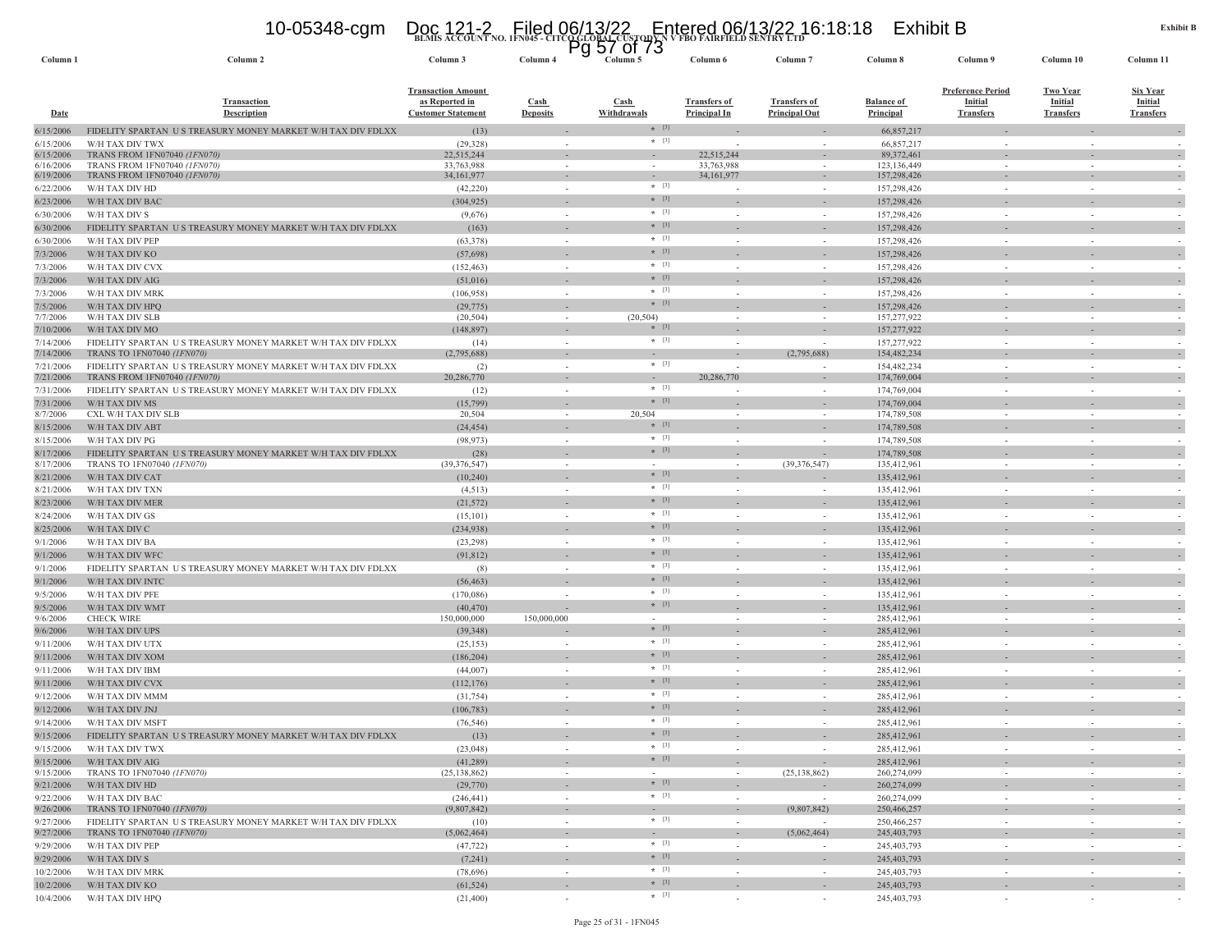## **BLMIS ACCOUNT NO. 1FN045 - CITCO GLOBAL CUSTODY N V FBO FAIRFIELD SENTRY LTD** 10-05348-cgm Doc 121-2 Filed 06/13/22 Entered 06/13/22 16:18:18 Exhibit B Pg 57 of 73

| Column <sub>1</sub>    | Column 2                                                                                  | Column 3                                                                 | Column 4                                             | 37 UL 73<br>гy<br>Column 5 | Column 6                                   | Column <sub>7</sub>                         | Column 8                       | Column 9                                                       | Column 10                                             | Column 11                                      |
|------------------------|-------------------------------------------------------------------------------------------|--------------------------------------------------------------------------|------------------------------------------------------|----------------------------|--------------------------------------------|---------------------------------------------|--------------------------------|----------------------------------------------------------------|-------------------------------------------------------|------------------------------------------------|
| <b>Date</b>            | <b>Transaction</b><br><b>Description</b>                                                  | <b>Transaction Amount</b><br>as Reported in<br><b>Customer Statement</b> | $\frac{\text{Cash}}{\text{Cash}}$<br><b>Deposits</b> | <b>Cash</b><br>Withdrawals | <b>Transfers of</b><br><b>Principal In</b> | <b>Transfers of</b><br><b>Principal Out</b> | <b>Balance of</b><br>Principal | <b>Preference Period</b><br><b>Initial</b><br><b>Transfers</b> | <b>Two Year</b><br><b>Initial</b><br><b>Transfers</b> | Six Year<br><b>Initial</b><br><b>Transfers</b> |
| 6/15/2006              | FIDELITY SPARTAN US TREASURY MONEY MARKET W/H TAX DIV FDLXX                               | (13)                                                                     |                                                      | $*$ [3]                    |                                            |                                             | 66,857,217                     |                                                                |                                                       |                                                |
| 6/15/2006              | W/H TAX DIV TWX                                                                           | (29, 328)                                                                | $\sim$                                               | $*$ [3]                    |                                            |                                             | 66,857,217                     |                                                                |                                                       |                                                |
| 6/15/2006              | TRANS FROM 1FN07040 (1FN070)                                                              | 22,515,244                                                               | $\overline{\phantom{a}}$                             |                            | 22,515,244                                 |                                             | 89, 372, 461                   |                                                                |                                                       | $\overline{\phantom{a}}$                       |
| 6/16/2006<br>6/19/2006 | TRANS FROM 1FN07040 (1FN070)<br>TRANS FROM 1FN07040 (1FN070)                              | 33,763,988<br>34,161,977                                                 | $\sim$                                               | $\sim$                     | 33,763,988<br>34,161,977                   |                                             | 123, 136, 449<br>157,298,426   |                                                                |                                                       |                                                |
| 6/22/2006              | W/H TAX DIV HD                                                                            | (42, 220)                                                                | $\sim$                                               | $*$ [3]                    |                                            | $\sim$                                      | 157,298,426                    | $\sim$                                                         | $\sim$                                                |                                                |
| 6/23/2006              | W/H TAX DIV BAC                                                                           | (304, 925)                                                               | $\overline{\phantom{a}}$                             | $*$ [3]                    |                                            |                                             | 157,298,426                    |                                                                |                                                       | $\sim$                                         |
| 6/30/2006              | W/H TAX DIV S                                                                             | (9,676)                                                                  | $\sim$                                               | $*$ [3]                    | $\sim$                                     |                                             | 157,298,426                    | $\sim$                                                         |                                                       |                                                |
| 6/30/2006              | FIDELITY SPARTAN US TREASURY MONEY MARKET W/H TAX DIV FDLXX                               | (163)                                                                    |                                                      | $*$ [3]                    |                                            |                                             | 157,298,426                    |                                                                |                                                       |                                                |
| 6/30/2006              | W/H TAX DIV PEP                                                                           | (63, 378)                                                                | $\sim$                                               | $*$ [3]                    | ÷,                                         | $\sim$                                      | 157,298,426                    | $\sim$                                                         | $\sim$                                                |                                                |
| 7/3/2006               | W/H TAX DIV KO                                                                            | (57, 698)                                                                | $\sim$                                               | $*$ [3]                    |                                            |                                             | 157,298,426                    |                                                                |                                                       |                                                |
| 7/3/2006               | W/H TAX DIV CVX                                                                           | (152, 463)                                                               |                                                      | $*$ [3]                    |                                            |                                             | 157,298,426                    |                                                                |                                                       |                                                |
| 7/3/2006               | W/H TAX DIV AIG                                                                           | (51,016)                                                                 |                                                      | $*$ [3]                    |                                            |                                             | 157,298,426                    |                                                                |                                                       |                                                |
| 7/3/2006               | W/H TAX DIV MRK                                                                           | (106,958)                                                                | $\sim$                                               | $\star$ [3]                |                                            |                                             | 157,298,426                    | $\sim$                                                         |                                                       |                                                |
| 7/5/2006               | W/H TAX DIV HPQ                                                                           | (29, 775)                                                                |                                                      | $* [3]$                    |                                            |                                             | 157,298,426                    |                                                                |                                                       |                                                |
| 7/7/2006               | W/H TAX DIV SLB                                                                           | (20, 504)                                                                | $\sim$                                               | (20, 504)<br>$*$ [3]       | $\sim$                                     | $\sim$                                      | 157,277,922                    | $\sim$                                                         | $\sim$                                                | $\sim$                                         |
| 7/10/2006<br>7/14/2006 | W/H TAX DIV MO<br>FIDELITY SPARTAN US TREASURY MONEY MARKET W/H TAX DIV FDLXX             | (148, 897)<br>(14)                                                       | $\sim$                                               | $*$ [3]                    | $\sim$                                     |                                             | 157,277,922<br>157,277,922     | $\sim$                                                         | in a                                                  |                                                |
| 7/14/2006              | <b>TRANS TO 1FN07040 (1FN070)</b>                                                         | (2,795,688)                                                              | $\overline{\phantom{a}}$                             |                            |                                            | (2,795,688)                                 | 154,482,234                    |                                                                |                                                       | $\sim$                                         |
| 7/21/2006              | FIDELITY SPARTAN US TREASURY MONEY MARKET W/H TAX DIV FDLXX                               | (2)                                                                      | $\sim$                                               | $*$ [3]                    | $\sim$                                     |                                             | 154,482,234                    | $\sim$                                                         | $\sim$                                                |                                                |
| 7/21/2006              | TRANS FROM 1FN07040 (1FN070)                                                              | 20,286,770                                                               | $\sim$                                               | $\sim$                     | 20,286,770                                 |                                             | 174,769,004                    |                                                                |                                                       | $\overline{\phantom{a}}$                       |
| 7/31/2006              | FIDELITY SPARTAN US TREASURY MONEY MARKET W/H TAX DIV FDLXX                               | (12)                                                                     | $\overline{\phantom{a}}$                             | $*$ [3]                    |                                            |                                             | 174,769,004                    | $\sim$                                                         |                                                       |                                                |
| 7/31/2006              | W/H TAX DIV MS                                                                            | (15,799)                                                                 |                                                      | $*$ [3]                    |                                            |                                             | 174,769,004                    |                                                                |                                                       |                                                |
| 8/7/2006               | CXL W/H TAX DIV SLB                                                                       | 20,504                                                                   | $\sim$                                               | 20,504                     | $\overline{\phantom{a}}$                   |                                             | 174,789,508                    | $\sim$                                                         |                                                       |                                                |
| 8/15/2006              | W/H TAX DIV ABT                                                                           | (24, 454)                                                                |                                                      | $*$ [3]<br>$*$ [3]         |                                            |                                             | 174,789,508                    |                                                                |                                                       |                                                |
| 8/15/2006              | W/H TAX DIV PG                                                                            | (98, 973)                                                                | $\sim$                                               | $*$ [3]                    |                                            |                                             | 174,789,508                    | $\sim$                                                         |                                                       |                                                |
| 8/17/2006<br>8/17/2006 | FIDELITY SPARTAN US TREASURY MONEY MARKET W/H TAX DIV FDLXX<br>TRANS TO 1FN07040 (1FN070) | (28)<br>(39, 376, 547)                                                   | $\sim$                                               |                            | $\overline{\phantom{a}}$                   | (39, 376, 547)                              | 174,789,508<br>135,412,961     | $\overline{\phantom{a}}$                                       |                                                       | $\sim$                                         |
| 8/21/2006              | W/H TAX DIV CAT                                                                           | (10, 240)                                                                | $\overline{\phantom{a}}$                             | $*$ [3]                    |                                            |                                             | 135,412,961                    |                                                                |                                                       | $\sim$                                         |
| 8/21/2006              | W/H TAX DIV TXN                                                                           | (4,513)                                                                  | $\sim$                                               | $*$ [3]                    | $\overline{\phantom{a}}$                   | $\sim$                                      | 135,412,961                    | $\sim$                                                         |                                                       | $\sim$                                         |
| 8/23/2006              | W/H TAX DIV MER                                                                           | (21, 572)                                                                |                                                      | $*$ [3]                    |                                            |                                             | 135,412,961                    |                                                                |                                                       |                                                |
| 8/24/2006              | W/H TAX DIV GS                                                                            | (15,101)                                                                 | $\sim$                                               | $*$ [3]                    |                                            | $\sim$                                      | 135,412,961                    | $\sim$                                                         |                                                       |                                                |
| 8/25/2006              | W/H TAX DIV C                                                                             | (234, 938)                                                               |                                                      | $*$ [3]                    |                                            |                                             | 135,412,961                    |                                                                |                                                       | $\sim$                                         |
| 9/1/2006               | W/H TAX DIV BA                                                                            | (23, 298)                                                                |                                                      | $*$ [3]                    |                                            |                                             | 135,412,961                    |                                                                |                                                       |                                                |
| 9/1/2006               | W/H TAX DIV WFC                                                                           | (91, 812)                                                                |                                                      | $*$ [3]                    |                                            |                                             | 135,412,961                    |                                                                |                                                       |                                                |
| 9/1/2006               | FIDELITY SPARTAN US TREASURY MONEY MARKET W/H TAX DIV FDLXX                               | (8)                                                                      | $\sim$                                               | $\star$ [3]                |                                            |                                             | 135,412,961                    | $\sim$                                                         |                                                       |                                                |
| 9/1/2006               | W/H TAX DIV INTC                                                                          | (56, 463)                                                                |                                                      | $*$ [3]                    |                                            |                                             | 135,412,961                    |                                                                |                                                       |                                                |
| 9/5/2006               | W/H TAX DIV PFE                                                                           | (170,086)                                                                | $\sim$                                               | $*$ [3]                    | $\sim$                                     | $\sim$                                      | 135,412,961                    | $\sim$                                                         | $\sim$                                                | $\sim$                                         |
| 9/5/2006               | W/H TAX DIV WMT                                                                           | (40, 470)                                                                |                                                      | $*$ [3]                    |                                            |                                             | 135,412,961                    |                                                                |                                                       | $\sim$                                         |
| 9/6/2006<br>9/6/2006   | <b>CHECK WIRE</b><br>W/H TAX DIV UPS                                                      | 150,000,000<br>(39, 348)                                                 | 150,000,000                                          | $\sim$<br>$*$ [3]          |                                            |                                             | 285,412,961<br>285,412,961     | $\sim$                                                         |                                                       |                                                |
| 9/11/2006              | W/H TAX DIV UTX                                                                           | (25, 153)                                                                |                                                      | $*$ [3]                    | ÷                                          |                                             | 285,412,961                    | $\sim$                                                         |                                                       |                                                |
| 9/11/2006              | W/H TAX DIV XOM                                                                           | (186, 204)                                                               | $\overline{\phantom{a}}$                             | $*$ [3]                    |                                            |                                             | 285,412,961                    |                                                                |                                                       | $\overline{\phantom{a}}$                       |
| 9/11/2006              | W/H TAX DIV IBM                                                                           | (44,007)                                                                 | $\sim$                                               | $*$ [3]                    |                                            |                                             | 285,412,961                    | $\sim$                                                         |                                                       |                                                |
| 9/11/2006              | W/H TAX DIV CVX                                                                           | (112, 176)                                                               |                                                      | $*$ [3]                    |                                            |                                             | 285,412,961                    |                                                                |                                                       |                                                |
| 9/12/2006              | W/H TAX DIV MMM                                                                           | (31, 754)                                                                | $\sim$                                               | $*$ [3]                    |                                            |                                             | 285,412,961                    | ÷,                                                             |                                                       |                                                |
| 9/12/2006              | W/H TAX DIV JNJ                                                                           | (106, 783)                                                               |                                                      | $*$ [3]                    |                                            |                                             | 285,412,961                    |                                                                |                                                       | $\sim$                                         |
| 9/14/2006              | W/H TAX DIV MSFT                                                                          | (76, 546)                                                                | $\sim$                                               | $*$ [3]                    | $\overline{\phantom{a}}$                   | $\sim$                                      | 285,412,961                    | $\sim$                                                         |                                                       |                                                |
| 9/15/2006              | FIDELITY SPARTAN US TREASURY MONEY MARKET W/H TAX DIV FDLXX                               | (13)                                                                     |                                                      | $*$ [3]                    |                                            |                                             | 285,412,961                    |                                                                |                                                       |                                                |
| 9/15/2006              | W/H TAX DIV TWX                                                                           | (23, 048)                                                                |                                                      | * [3]                      |                                            |                                             | 285,412,961                    |                                                                |                                                       |                                                |
| 9/15/2006              | W/H TAX DIV AIG                                                                           | (41, 289)                                                                | $\sim$                                               | $*$ [3]                    | $\sim$                                     | $\sim$                                      | 285,412,961                    | $\sim$                                                         | $\sim$                                                | $\sim$                                         |
| 9/15/2006              | TRANS TO 1FN07040 (1FN070)                                                                | (25, 138, 862)                                                           |                                                      |                            | $\overline{\phantom{a}}$                   | (25, 138, 862)                              | 260,274,099                    |                                                                |                                                       | $\overline{\phantom{a}}$                       |
| 9/21/2006              | W/H TAX DIV HD                                                                            | (29,770)                                                                 | $\sim$                                               | $*$ [3]                    | $\sim$                                     |                                             | 260,274,099                    |                                                                |                                                       | $\sim$                                         |
| 9/22/2006<br>9/26/2006 | W/H TAX DIV BAC<br>TRANS TO 1FN07040 (1FN070)                                             | (246, 441)<br>(9,807,842)                                                | $\sim$                                               | $*$ [3]                    | $\sim$                                     | $\sim$                                      | 260,274,099                    | $\sim$                                                         | in 1919.                                              | $\sim$                                         |
| 9/27/2006              | FIDELITY SPARTAN US TREASURY MONEY MARKET W/H TAX DIV FDLXX                               | (10)                                                                     | $\sim$<br>$\sim$                                     | $\sim$<br>$*$ [3]          | $\overline{\phantom{a}}$<br>$\sim$         | (9,807,842)                                 | 250,466,257<br>250,466,257     | $\overline{\phantom{a}}$<br>$\sim$                             | $\overline{\phantom{a}}$                              | $\sim$                                         |
| 9/27/2006              | TRANS TO 1FN07040 (1FN070)                                                                | (5,062,464)                                                              |                                                      | $\sim$                     | $\bar{a}$                                  | (5,062,464)                                 | 245, 403, 793                  | $\sim$                                                         |                                                       | $\overline{\phantom{a}}$                       |
| 9/29/2006              | W/H TAX DIV PEP                                                                           | (47, 722)                                                                | $\sim$                                               | $*$ [3]                    | $\sim$                                     | $\sim$                                      | 245, 403, 793                  | $\sim$                                                         | $\sim$                                                | $\sim$                                         |
| 9/29/2006              | W/H TAX DIV S                                                                             | (7,241)                                                                  | $\sim$                                               | $*$ [3]                    | $\overline{\phantom{a}}$                   |                                             | 245, 403, 793                  |                                                                |                                                       | $\sim$                                         |
| 10/2/2006              | W/H TAX DIV MRK                                                                           | (78,696)                                                                 | $\sim$                                               | $*$ [3]                    | $\sim$                                     | $\sim$                                      | 245, 403, 793                  | $\sim$                                                         | $\sim$                                                | $\sim$                                         |
| 10/2/2006              | W/H TAX DIV KO                                                                            | (61, 524)                                                                |                                                      | $*$ [3]                    |                                            |                                             | 245, 403, 793                  |                                                                |                                                       | $\overline{\phantom{a}}$                       |
| 10/4/2006              | W/H TAX DIV HPQ                                                                           | (21,400)                                                                 | $\sim$                                               | $*$ [3]                    | $\sim$                                     | $\sim$                                      | 245, 403, 793                  | $\sim$                                                         |                                                       |                                                |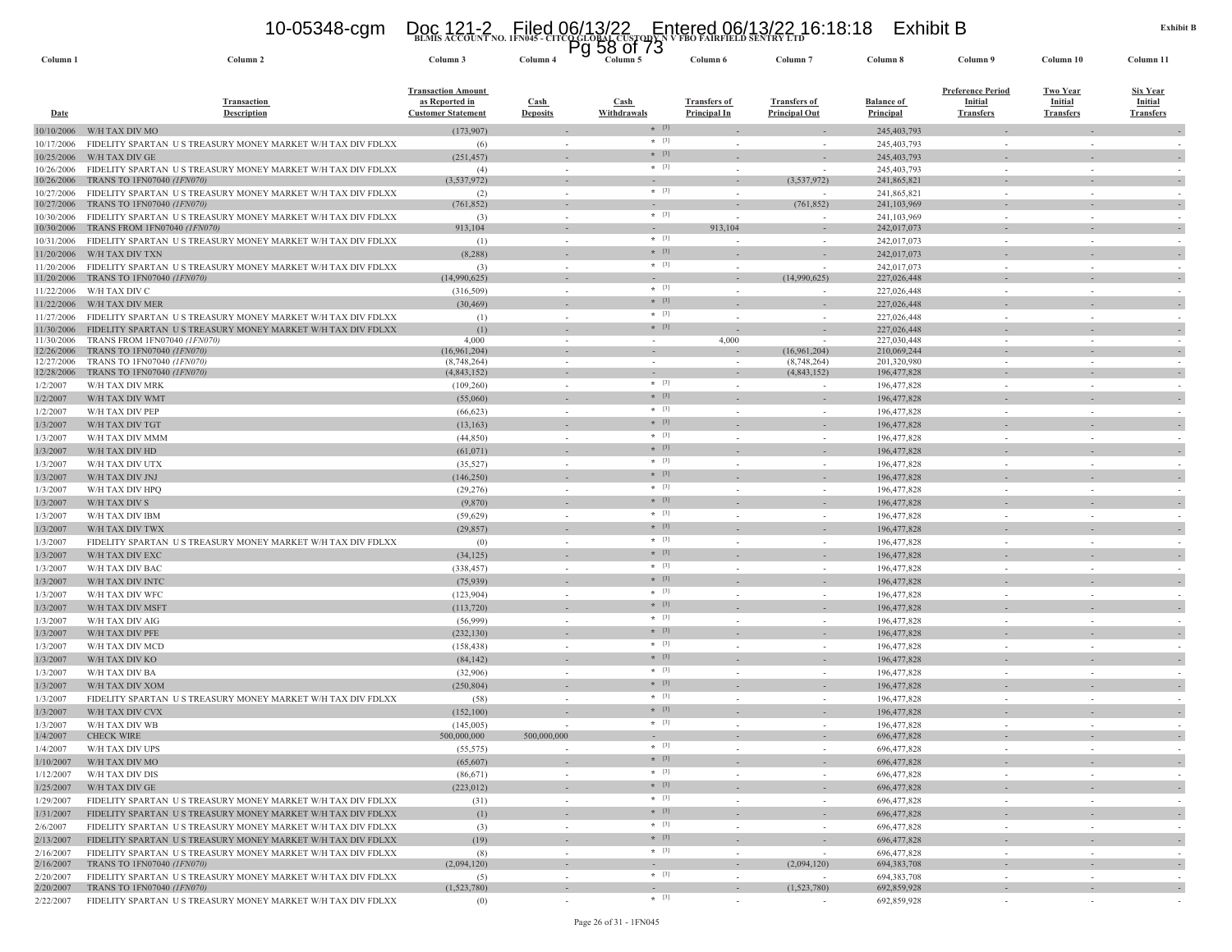## **BLMIS ACCOUNT NO. 1FN045 - CITCO GLOBAL CUSTODY N V FBO FAIRFIELD SENTRY LTD** 10-05348-cgm Doc 121-2 Filed 06/13/22 Entered 06/13/22 16:18:18 Exhibit B Pg 58 of 73

| Column <sub>1</sub>      | Column <sub>2</sub>                                                                       | Column 3                                                                 | гy<br>Column <sub>4</sub>      | ט וט סט<br>Column 5        | Column 6                                   | Column <sub>7</sub>                         | Column 8                       | Column 9                                                       | Column 10                                             | Column 11                                             |
|--------------------------|-------------------------------------------------------------------------------------------|--------------------------------------------------------------------------|--------------------------------|----------------------------|--------------------------------------------|---------------------------------------------|--------------------------------|----------------------------------------------------------------|-------------------------------------------------------|-------------------------------------------------------|
| <b>Date</b>              | <b>Transaction</b><br><b>Description</b>                                                  | <b>Transaction Amount</b><br>as Reported in<br><b>Customer Statement</b> | <b>Cash</b><br><b>Deposits</b> | <b>Cash</b><br>Withdrawals | <b>Transfers of</b><br><b>Principal In</b> | <b>Transfers of</b><br><b>Principal Out</b> | <b>Balance of</b><br>Principal | <b>Preference Period</b><br><b>Initial</b><br><b>Transfers</b> | <b>Two Year</b><br><b>Initial</b><br><b>Transfers</b> | <b>Six Year</b><br><b>Initial</b><br><b>Transfers</b> |
| 10/10/2006               | W/H TAX DIV MO                                                                            | (173,907)                                                                |                                | $*$ [3]                    |                                            |                                             | 245, 403, 793                  |                                                                |                                                       |                                                       |
| 10/17/2006               | FIDELITY SPARTAN US TREASURY MONEY MARKET W/H TAX DIV FDLXX                               | (6)                                                                      |                                | $*$ [3]                    | $\sim$                                     |                                             | 245, 403, 793                  | $\sim$                                                         | $\sim$                                                |                                                       |
| 10/25/2006               | W/H TAX DIV GE                                                                            | (251, 457)                                                               |                                | $*$ [3]                    |                                            |                                             | 245, 403, 793                  |                                                                |                                                       | $\sim$                                                |
| 10/26/2006               | FIDELITY SPARTAN US TREASURY MONEY MARKET W/H TAX DIV FDLXX                               | (4)                                                                      | $\sim$                         | $* [3]$                    | $\sim$                                     |                                             | 245, 403, 793                  | $\sim$                                                         |                                                       |                                                       |
| 10/26/2006               | TRANS TO 1FN07040 (1FN070)                                                                | (3,537,972)                                                              |                                | $\sim$<br>$*$ [3]          |                                            | (3,537,972)                                 | 241,865,821                    |                                                                |                                                       |                                                       |
| 10/27/2006<br>10/27/2006 | FIDELITY SPARTAN US TREASURY MONEY MARKET W/H TAX DIV FDLXX<br>TRANS TO 1FN07040 (1FN070) | (2)<br>(761, 852)                                                        | $\overline{\phantom{a}}$       |                            |                                            | (761, 852)                                  | 241,865,821<br>241,103,969     |                                                                |                                                       |                                                       |
| 10/30/2006               | FIDELITY SPARTAN US TREASURY MONEY MARKET W/H TAX DIV FDLXX                               | (3)                                                                      | $\sim$                         | $*$ [3]                    |                                            |                                             | 241,103,969                    |                                                                |                                                       |                                                       |
| 10/30/2006               | TRANS FROM 1FN07040 (1FN070)                                                              | 913,104                                                                  |                                |                            | 913,104                                    |                                             | 242,017,073                    |                                                                |                                                       |                                                       |
| 10/31/2006               | FIDELITY SPARTAN US TREASURY MONEY MARKET W/H TAX DIV FDLXX                               | (1)                                                                      | $\sim$                         | $*$ [3]                    |                                            |                                             | 242,017,073                    | $\sim$                                                         |                                                       |                                                       |
| 11/20/2006               | W/H TAX DIV TXN                                                                           | (8, 288)                                                                 |                                | $*$ [3]                    |                                            |                                             | 242,017,073                    |                                                                |                                                       | $\sim$                                                |
| 11/20/2006               | FIDELITY SPARTAN US TREASURY MONEY MARKET W/H TAX DIV FDLXX                               | (3)                                                                      | $\sim$                         | $*$ [3]                    | $\sim$                                     | - 2                                         | 242,017,073                    | $\sim$                                                         |                                                       |                                                       |
| 11/20/2006               | TRANS TO 1FN07040 (1FN070)                                                                | (14,990,625)                                                             | $\sim$<br>$\sim$               | $\sim$<br>$*$ [3]          | $\sim$<br>$\overline{\phantom{a}}$         | (14,990,625)                                | 227,026,448                    | $\sim$<br>$\sim$                                               |                                                       | $\overline{\phantom{a}}$                              |
| 11/22/2006               | W/H TAX DIV C<br>W/H TAX DIV MER                                                          | (316, 509)<br>(30, 469)                                                  |                                | $*$ [3]                    |                                            |                                             | 227,026,448<br>227,026,448     |                                                                |                                                       | $\sim$                                                |
| 11/22/2006<br>11/27/2006 | FIDELITY SPARTAN US TREASURY MONEY MARKET W/H TAX DIV FDLXX                               | (1)                                                                      | $\sim$                         | $*$ [3]                    | $\sim$                                     | $\sim$                                      | 227,026,448                    | $\sim$                                                         | $\sim$                                                |                                                       |
| 11/30/2006               | FIDELITY SPARTAN US TREASURY MONEY MARKET W/H TAX DIV FDLXX                               | (1)                                                                      |                                | $*$ [3]                    |                                            |                                             | 227,026,448                    |                                                                |                                                       |                                                       |
| 11/30/2006               | TRANS FROM 1FN07040 (1FN070)                                                              | 4,000                                                                    | $\sim$                         | $\sim$                     | 4,000                                      |                                             | 227,030,448                    | $\overline{\phantom{a}}$                                       |                                                       |                                                       |
| 12/26/2006               | TRANS TO 1FN07040 (1FN070)                                                                | (16,961,204)                                                             |                                |                            |                                            | (16,961,204)                                | 210,069,244                    | $\overline{\phantom{a}}$                                       |                                                       |                                                       |
| 12/27/2006<br>12/28/2006 | TRANS TO 1FN07040 (1FN070)<br>TRANS TO 1FN07040 (1FN070)                                  | (8,748,264)<br>(4,843,152)                                               |                                | $\overline{\phantom{a}}$   |                                            | (8,748,264)<br>(4,843,152)                  | 201.320.980<br>196,477,828     |                                                                |                                                       |                                                       |
| 1/2/2007                 | W/H TAX DIV MRK                                                                           | (109, 260)                                                               | $\sim$                         | $*$ [3]                    |                                            |                                             | 196,477,828                    | $\sim$                                                         |                                                       |                                                       |
| 1/2/2007                 | W/H TAX DIV WMT                                                                           | (55,060)                                                                 |                                | $*$ [3]                    |                                            |                                             | 196,477,828                    |                                                                |                                                       | $\sim$                                                |
| 1/2/2007                 | W/H TAX DIV PEP                                                                           | (66, 623)                                                                | $\sim$                         | $*$ [3]                    | $\overline{\phantom{a}}$                   |                                             | 196,477,828                    | $\sim$                                                         |                                                       |                                                       |
| 1/3/2007                 | W/H TAX DIV TGT                                                                           | (13, 163)                                                                |                                | $*$ [3]                    |                                            |                                             | 196,477,828                    |                                                                |                                                       |                                                       |
| 1/3/2007                 | W/H TAX DIV MMM                                                                           | (44, 850)                                                                | $\sim$                         | $*$ [3]                    | $\sim$                                     | $\sim$                                      | 196,477,828                    | $\sim$                                                         | $\sim$                                                |                                                       |
| 1/3/2007                 | W/H TAX DIV HD                                                                            | (61,071)                                                                 |                                | $*$ [3]                    |                                            |                                             | 196,477,828                    |                                                                |                                                       |                                                       |
| 1/3/2007                 | W/H TAX DIV UTX                                                                           | (35,527)                                                                 | $\sim$                         | $*$ [3]                    | $\sim$                                     | $\sim$                                      | 196,477,828                    | $\sim$                                                         |                                                       | $\sim$                                                |
| 1/3/2007                 | W/H TAX DIV JNJ                                                                           | (146, 250)                                                               |                                | $*$ [3]                    |                                            |                                             | 196,477,828                    |                                                                |                                                       |                                                       |
| 1/3/2007                 | W/H TAX DIV HPQ                                                                           | (29, 276)                                                                |                                | $*$ [3]                    |                                            | $\overline{\phantom{a}}$                    | 196,477,828                    | $\sim$                                                         |                                                       |                                                       |
| 1/3/2007                 | W/H TAX DIV S                                                                             | (9,870)                                                                  |                                | $*$ [3]                    |                                            |                                             | 196,477,828                    |                                                                |                                                       |                                                       |
| 1/3/2007                 | W/H TAX DIV IBM                                                                           | (59, 629)                                                                |                                | $*$ [3]                    |                                            |                                             | 196,477,828                    |                                                                |                                                       |                                                       |
| 1/3/2007                 | W/H TAX DIV TWX                                                                           | (29, 857)                                                                |                                | $*$ [3]<br>$*$ [3]         |                                            |                                             | 196,477,828                    |                                                                |                                                       | $\sim$                                                |
| 1/3/2007                 | FIDELITY SPARTAN US TREASURY MONEY MARKET W/H TAX DIV FDLXX                               | (0)                                                                      | $\sim$                         | $*$ [3]                    | $\overline{\phantom{a}}$                   |                                             | 196,477,828                    | $\sim$                                                         |                                                       |                                                       |
| 1/3/2007                 | W/H TAX DIV EXC                                                                           | (34, 125)                                                                | $\sim$                         | $*$ [3]                    | $\sim$                                     | $\sim$                                      | 196,477,828                    | $\sim$                                                         | $\sim$                                                |                                                       |
| 1/3/2007<br>1/3/2007     | W/H TAX DIV BAC<br>W/H TAX DIV INTC                                                       | (338, 457)                                                               |                                | $*$ [3]                    |                                            |                                             | 196,477,828<br>196,477,828     |                                                                |                                                       | $\sim$                                                |
| 1/3/2007                 | W/H TAX DIV WFC                                                                           | (75, 939)<br>(123, 904)                                                  | $\sim$                         | $*$ [3]                    | $\sim$                                     | $\sim$                                      | 196,477,828                    | $\sim$                                                         |                                                       | $\sim$                                                |
| 1/3/2007                 | W/H TAX DIV MSFT                                                                          | (113, 720)                                                               |                                | $*$ [3]                    |                                            |                                             | 196,477,828                    |                                                                |                                                       |                                                       |
| 1/3/2007                 | W/H TAX DIV AIG                                                                           | (56,999)                                                                 |                                | $*$ [3]                    |                                            | $\sim$                                      | 196,477,828                    | $\sim$                                                         |                                                       |                                                       |
| 1/3/2007                 | W/H TAX DIV PFE                                                                           | (232, 130)                                                               |                                | $*$ [3]                    |                                            |                                             | 196,477,828                    |                                                                |                                                       |                                                       |
| 1/3/2007                 | W/H TAX DIV MCD                                                                           | (158, 438)                                                               |                                | $*$ [3]                    |                                            |                                             | 196,477,828                    |                                                                |                                                       |                                                       |
| 1/3/2007                 | W/H TAX DIV KO                                                                            | (84, 142)                                                                |                                | $*$ [3]                    |                                            |                                             | 196,477,828                    |                                                                |                                                       | $\sim$                                                |
| 1/3/2007                 | W/H TAX DIV BA                                                                            | (32,906)                                                                 | $\sim$                         | $*$ [3]                    | $\sim$                                     |                                             | 196,477,828                    | $\sim$                                                         |                                                       |                                                       |
| 1/3/2007                 | W/H TAX DIV XOM                                                                           | (250, 804)                                                               |                                | $*$ [3]                    |                                            |                                             | 196,477,828                    |                                                                |                                                       |                                                       |
| 1/3/2007                 | FIDELITY SPARTAN US TREASURY MONEY MARKET W/H TAX DIV FDLXX                               | (58)                                                                     | $\sim$                         | $*$ [3]                    | $\sim$                                     | $\sim$                                      | 196,477,828                    | $\sim$                                                         | $\sim$                                                |                                                       |
| 1/3/2007                 | W/H TAX DIV CVX                                                                           | (152, 100)                                                               |                                | $*$ [3]                    |                                            |                                             | 196,477,828                    |                                                                |                                                       |                                                       |
| 1/3/2007<br>1/4/2007     | W/H TAX DIV WB<br><b>CHECK WIRE</b>                                                       | (145,005)<br>500,000,000                                                 | 500,000,000                    | $*$ [3]                    | $\sim$                                     | $\sim$                                      | 196, 477, 828<br>696, 477, 828 | $\sim$                                                         | $\sim$                                                | $\sim$                                                |
| 1/4/2007                 | W/H TAX DIV UPS                                                                           | (55, 575)                                                                |                                | $* [3]$                    |                                            |                                             | 696, 477, 828                  |                                                                |                                                       |                                                       |
| 1/10/2007                | W/H TAX DIV MO                                                                            | (65,607)                                                                 | $\overline{\phantom{a}}$       | $*$ [3]                    |                                            | $\overline{\phantom{a}}$                    | 696, 477, 828                  | $\overline{\phantom{a}}$                                       |                                                       | $\overline{\phantom{a}}$                              |
| 1/12/2007                | W/H TAX DIV DIS                                                                           | (86, 671)                                                                | $\sim$                         | $*$ [3]                    | $\sim$                                     | $\sim$                                      | 696,477,828                    | $\sim$                                                         | $\sim$                                                | $\sim$                                                |
| 1/25/2007                | W/H TAX DIV GE                                                                            | (223, 012)                                                               |                                | $*$ [3]                    |                                            |                                             | 696, 477, 828                  |                                                                |                                                       | $\overline{\phantom{a}}$                              |
| 1/29/2007                | FIDELITY SPARTAN US TREASURY MONEY MARKET W/H TAX DIV FDLXX                               | (31)                                                                     | $\sim$                         | $*$ [3]                    | $\sim$                                     | $\sim$                                      | 696,477,828                    | $\sim$                                                         | $\sim$                                                | $\sim$                                                |
| 1/31/2007                | FIDELITY SPARTAN US TREASURY MONEY MARKET W/H TAX DIV FDLXX                               | (1)                                                                      |                                | $*$ [3]                    |                                            |                                             | 696, 477, 828                  |                                                                |                                                       | $\sim$                                                |
| 2/6/2007                 | FIDELITY SPARTAN US TREASURY MONEY MARKET W/H TAX DIV FDLXX                               | (3)                                                                      | $\sim$                         | $*$ [3]                    | $\sim$                                     | $\sim$                                      | 696,477,828                    | $\sim$                                                         | $\sim$                                                | $\sim$                                                |
| 2/13/2007                | FIDELITY SPARTAN US TREASURY MONEY MARKET W/H TAX DIV FDLXX                               | (19)                                                                     |                                | $*$ [3]                    | $\sim$                                     |                                             | 696,477,828                    | $\sim$                                                         |                                                       | $\sim$                                                |
| 2/16/2007                | FIDELITY SPARTAN US TREASURY MONEY MARKET W/H TAX DIV FDLXX                               | (8)                                                                      | $\sim$                         | $*$ [3]                    | $\sim$                                     | $\sim$                                      | 696,477,828                    | $\bar{\phantom{a}}$                                            | $\sim$                                                |                                                       |
| 2/16/2007                | TRANS TO 1FN07040 (1FN070)                                                                | (2,094,120)                                                              | $\sim$                         | $\sim$<br>$*$ [3]          | $\sim$                                     | (2,094,120)                                 | 694, 383, 708                  | $\sim$                                                         | $\sim$                                                | $\overline{\phantom{a}}$                              |
| 2/20/2007<br>2/20/2007   | FIDELITY SPARTAN US TREASURY MONEY MARKET W/H TAX DIV FDLXX<br>TRANS TO 1FN07040 (1FN070) | (5)<br>(1,523,780)                                                       | $\sim$<br>$\sim$               | $\sim$                     | $\sim$<br>$\sim$                           | (1,523,780)                                 | 694, 383, 708<br>692,859,928   | $\sim$<br>$\overline{\phantom{a}}$                             | $\sim$                                                | $\overline{\phantom{a}}$                              |
| 2/22/2007                | FIDELITY SPARTAN US TREASURY MONEY MARKET W/H TAX DIV FDLXX                               | (0)                                                                      | $\sim$                         | $*$ [3]                    | $\sim$                                     |                                             | 692,859,928                    | $\sim$                                                         |                                                       |                                                       |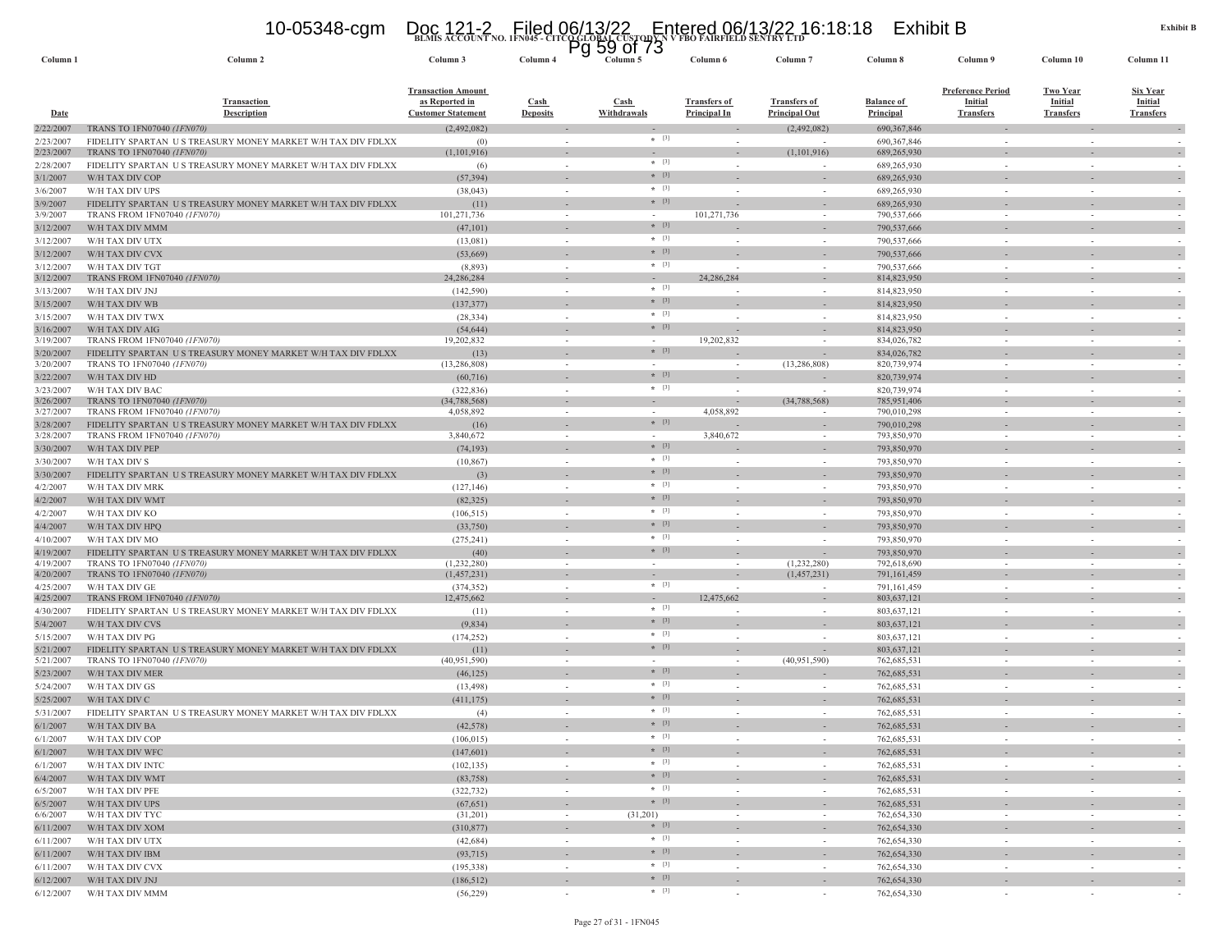## **BLMIS ACCOUNT NO. 1FN045 - CITCO GLOBAL CUSTODY N V FBO FAIRFIELD SENTRY LTD** 10-05348-cgm Doc 121-2 Filed 06/13/22 Entered 06/13/22 16:18:18 Exhibit B Pg 59 of 73

| Column <sub>1</sub>    | Column <sub>2</sub>                                                                       | Column 3                                                                 | Column <sub>4</sub>                      | ບບ<br>ט וט<br>Column 5 | Column 6                                   | Column <sub>7</sub>                         | Column 8                              | Column 9                                                       | Column 10                                             | Column 11                                             |
|------------------------|-------------------------------------------------------------------------------------------|--------------------------------------------------------------------------|------------------------------------------|------------------------|--------------------------------------------|---------------------------------------------|---------------------------------------|----------------------------------------------------------------|-------------------------------------------------------|-------------------------------------------------------|
| <u>Date</u>            | <b>Transaction</b><br><b>Description</b>                                                  | <b>Transaction Amount</b><br>as Reported in<br><b>Customer Statement</b> | $\operatorname{Cash}$<br><b>Deposits</b> | Cash<br>Withdrawals    | <b>Transfers of</b><br><b>Principal In</b> | <b>Transfers of</b><br><b>Principal Out</b> | <b>Balance of</b><br><b>Principal</b> | <b>Preference Period</b><br><b>Initial</b><br><b>Transfers</b> | <b>Two Year</b><br><b>Initial</b><br><b>Transfers</b> | <b>Six Year</b><br><b>Initial</b><br><b>Transfers</b> |
| 2/22/2007              | <b>TRANS TO 1FN07040 (1FN070)</b>                                                         | (2,492,082)                                                              |                                          |                        |                                            | (2,492,082)                                 | 690, 367, 846                         |                                                                |                                                       |                                                       |
| 2/23/2007              | FIDELITY SPARTAN US TREASURY MONEY MARKET W/H TAX DIV FDLXX                               | (0)                                                                      |                                          | $* [3]$                |                                            |                                             | 690, 367, 846                         |                                                                |                                                       |                                                       |
| 2/23/2007              | TRANS TO 1FN07040 (1FN070)                                                                | (1,101,916)                                                              |                                          |                        |                                            | (1,101,916)                                 | 689,265,930                           |                                                                |                                                       |                                                       |
| 2/28/2007              | FIDELITY SPARTAN US TREASURY MONEY MARKET W/H TAX DIV FDLXX                               | (6)                                                                      |                                          | $*$ [3]                |                                            |                                             | 689,265,930                           | $\sim$                                                         |                                                       |                                                       |
| 3/1/2007               | W/H TAX DIV COP                                                                           | (57, 394)                                                                |                                          | $* [3]$                |                                            |                                             | 689,265,930                           |                                                                |                                                       |                                                       |
| 3/6/2007               | W/H TAX DIV UPS                                                                           | (38, 043)                                                                |                                          | $*$ [3]                |                                            |                                             | 689,265,930                           | $\sim$                                                         |                                                       |                                                       |
| 3/9/2007               | FIDELITY SPARTAN US TREASURY MONEY MARKET W/H TAX DIV FDLXX                               | (11)                                                                     |                                          | $*$ [3]                |                                            |                                             | 689,265,930                           |                                                                |                                                       |                                                       |
| 3/9/2007               | TRANS FROM 1FN07040 (1FN070)                                                              | 101,271,736                                                              |                                          |                        | 101,271,736                                |                                             | 790,537,666                           |                                                                |                                                       |                                                       |
| 3/12/2007              | W/H TAX DIV MMM                                                                           | (47,101)                                                                 |                                          | $*$ [3]                |                                            |                                             | 790,537,666                           |                                                                |                                                       |                                                       |
| 3/12/2007              | W/H TAX DIV UTX                                                                           | (13,081)                                                                 |                                          | $* [3]$                |                                            | $\sim$                                      | 790,537,666                           |                                                                | $\sim$                                                |                                                       |
| 3/12/2007              | W/H TAX DIV CVX                                                                           | (53,669)                                                                 |                                          | $*$ [3]                |                                            |                                             | 790,537,666                           |                                                                |                                                       |                                                       |
| 3/12/2007              | W/H TAX DIV TGT                                                                           | (8,893)                                                                  |                                          | $*$ [3]                |                                            |                                             | 790,537,666                           |                                                                |                                                       |                                                       |
| 3/12/2007              | TRANS FROM 1FN07040 (1FN070)                                                              | 24,286,284                                                               |                                          |                        | 24,286,284                                 |                                             | 814, 823, 950                         |                                                                |                                                       |                                                       |
| 3/13/2007              | W/H TAX DIV JNJ                                                                           | (142, 590)                                                               |                                          | $*$ [3]                |                                            |                                             | 814,823,950                           |                                                                |                                                       |                                                       |
| 3/15/2007              | W/H TAX DIV WB                                                                            | (137, 377)                                                               |                                          | $*$ [3]                |                                            |                                             | 814,823,950                           |                                                                |                                                       |                                                       |
| 3/15/2007              | W/H TAX DIV TWX                                                                           | (28, 334)                                                                | $\sim$                                   | $*$ [3]                |                                            | $\sim$                                      | 814,823,950                           | $\sim$                                                         | $\sim$                                                |                                                       |
| 3/16/2007              | W/H TAX DIV AIG                                                                           | (54, 644)                                                                |                                          | $*$ [3]                |                                            |                                             | 814,823,950                           |                                                                |                                                       |                                                       |
| 3/19/2007              | TRANS FROM 1FN07040 (1FN070)                                                              | 19,202,832                                                               |                                          |                        | 19,202,832                                 |                                             | 834,026,782                           |                                                                |                                                       |                                                       |
| 3/20/2007              | FIDELITY SPARTAN US TREASURY MONEY MARKET W/H TAX DIV FDLXX                               | (13)                                                                     |                                          | $*$ [3]                |                                            |                                             | 834,026,782                           |                                                                |                                                       |                                                       |
| 3/20/2007              | TRANS TO 1FN07040 (1FN070)                                                                | (13, 286, 808)                                                           |                                          |                        |                                            | (13, 286, 808)                              | 820,739,974                           |                                                                |                                                       |                                                       |
| 3/22/2007              | W/H TAX DIV HD                                                                            | (60, 716)                                                                |                                          | $*$ [3]                |                                            |                                             | 820,739,974                           |                                                                |                                                       |                                                       |
| 3/23/2007              | W/H TAX DIV BAC                                                                           | (322, 836)                                                               |                                          | $*$ [3]                |                                            |                                             | 820,739,974                           | in 1919.                                                       | $\sim$                                                |                                                       |
| 3/26/2007              | TRANS TO 1FN07040 (1FN070)<br>TRANS FROM 1FN07040 (1FN070)                                | (34,788,568)<br>4,058,892                                                |                                          |                        | 4,058,892                                  | (34,788,568)                                | 785,951,406<br>790,010,298            |                                                                | $\sim$                                                |                                                       |
| 3/27/2007              | FIDELITY SPARTAN US TREASURY MONEY MARKET W/H TAX DIV FDLXX                               | (16)                                                                     |                                          | $*$ [3]                |                                            | $\sim$                                      | 790,010,298                           |                                                                |                                                       |                                                       |
| 3/28/2007<br>3/28/2007 | <b>TRANS FROM 1FN07040 (1FN070)</b>                                                       | 3,840,672                                                                | $\overline{\phantom{a}}$                 |                        | 3,840,672                                  | $\sim$                                      | 793,850,970                           | $\sim$                                                         | $\sim$                                                |                                                       |
| 3/30/2007              | W/H TAX DIV PEP                                                                           | (74, 193)                                                                |                                          | $*$ [3]                |                                            |                                             | 793,850,970                           |                                                                |                                                       |                                                       |
| 3/30/2007              | W/H TAX DIV S                                                                             | (10, 867)                                                                |                                          | $*$ [3]                |                                            |                                             | 793,850,970                           |                                                                |                                                       |                                                       |
| 3/30/2007              | FIDELITY SPARTAN US TREASURY MONEY MARKET W/H TAX DIV FDLXX                               | (3)                                                                      |                                          | $*$ [3]                |                                            |                                             | 793,850,970                           |                                                                |                                                       |                                                       |
| 4/2/2007               | W/H TAX DIV MRK                                                                           | (127, 146)                                                               |                                          | $*$ [3]                |                                            | ٠                                           | 793,850,970                           |                                                                |                                                       |                                                       |
|                        | W/H TAX DIV WMT                                                                           | (82, 325)                                                                |                                          | $*$ [3]                |                                            |                                             | 793,850,970                           |                                                                |                                                       |                                                       |
| 4/2/2007               |                                                                                           |                                                                          |                                          | $*$ [3]                |                                            |                                             |                                       |                                                                |                                                       |                                                       |
| 4/2/2007               | W/H TAX DIV KO                                                                            | (106, 515)                                                               |                                          | $*$ [3]                |                                            |                                             | 793,850,970                           |                                                                |                                                       |                                                       |
| 4/4/2007               | W/H TAX DIV HPQ                                                                           | (33,750)                                                                 |                                          | $*$ [3]                |                                            |                                             | 793,850,970                           |                                                                |                                                       |                                                       |
| 4/10/2007              | W/H TAX DIV MO                                                                            | (275, 241)                                                               |                                          | $*$ [3]                |                                            |                                             | 793,850,970                           |                                                                |                                                       |                                                       |
| 4/19/2007<br>4/19/2007 | FIDELITY SPARTAN US TREASURY MONEY MARKET W/H TAX DIV FDLXX<br>TRANS TO 1FN07040 (1FN070) | (40)<br>(1,232,280)                                                      |                                          | $\sim$                 |                                            | (1,232,280)                                 | 793,850,970<br>792,618,690            |                                                                |                                                       |                                                       |
| 4/20/2007              | TRANS TO 1FN07040 (1FN070)                                                                | (1,457,231)                                                              |                                          |                        |                                            | (1,457,231)                                 | 791,161,459                           |                                                                |                                                       |                                                       |
| 4/25/2007              | W/H TAX DIV GE                                                                            | (374, 352)                                                               | $\sim$                                   | $*$ [3]                |                                            |                                             | 791,161,459                           |                                                                |                                                       |                                                       |
| 4/25/2007              | TRANS FROM 1FN07040 (IFN070)                                                              | 12,475,662                                                               |                                          |                        | 12,475,662                                 |                                             | 803,637,121                           |                                                                |                                                       |                                                       |
| 4/30/2007              | FIDELITY SPARTAN US TREASURY MONEY MARKET W/H TAX DIV FDLXX                               | (11)                                                                     | $\sim$                                   | $*$ [3]                |                                            |                                             | 803,637,121                           |                                                                |                                                       |                                                       |
| 5/4/2007               | W/H TAX DIV CVS                                                                           | (9,834)                                                                  |                                          | $*$ [3]                |                                            |                                             | 803,637,121                           |                                                                |                                                       |                                                       |
| 5/15/2007              | W/H TAX DIV PG                                                                            | (174, 252)                                                               | $\sim$                                   | $*$ [3]                | $\overline{\phantom{a}}$                   | ٠                                           | 803,637,121                           | $\sim$                                                         | $\sim$                                                |                                                       |
| 5/21/2007              | FIDELITY SPARTAN US TREASURY MONEY MARKET W/H TAX DIV FDLXX                               | (11)                                                                     |                                          | $*$ [3]                |                                            |                                             | 803,637,121                           |                                                                |                                                       |                                                       |
| 5/21/2007              | TRANS TO 1FN07040 (1FN070)                                                                | (40, 951, 590)                                                           |                                          |                        |                                            | (40,951,590)                                | 762,685,531                           |                                                                | $\sim$                                                |                                                       |
| 5/23/2007              | W/H TAX DIV MER                                                                           | (46, 125)                                                                | $\sim$                                   | $*$ [3]                |                                            |                                             | 762,685,531                           |                                                                |                                                       |                                                       |
| 5/24/2007              | W/H TAX DIV GS                                                                            | (13, 498)                                                                |                                          | $*$ [3]                |                                            |                                             | 762,685,531                           |                                                                |                                                       |                                                       |
| 5/25/2007              | W/H TAX DIV C                                                                             | (411, 175)                                                               |                                          | $*$ [3]                |                                            |                                             | 762,685,531                           |                                                                |                                                       |                                                       |
| 5/31/2007              | FIDELITY SPARTAN US TREASURY MONEY MARKET W/H TAX DIV FDLXX                               | (4)                                                                      |                                          | $*$ [3]                |                                            |                                             | 762,685,531                           |                                                                |                                                       |                                                       |
| 6/1/2007               | W/H TAX DIV BA                                                                            | (42, 578)                                                                |                                          | $* [3]$                |                                            |                                             | 762,685,531                           |                                                                |                                                       |                                                       |
| 6/1/2007               | W/H TAX DIV COP                                                                           | (106, 015)                                                               |                                          | $*$ [3]                |                                            |                                             | 762,685,531                           |                                                                |                                                       |                                                       |
| 6/1/2007               | W/H TAX DIV WFC                                                                           | (147,601)                                                                |                                          | $* [3]$                |                                            | $\overline{\phantom{a}}$                    | 762,685,531                           | $\sim$                                                         |                                                       | $\overline{\phantom{a}}$                              |
| 6/1/2007               | W/H TAX DIV INTC                                                                          | (102, 135)                                                               | $\sim$                                   | $*$ [3]                | $\sim$                                     | $\sim$                                      | 762,685,531                           | $\sim$                                                         | $\sim$                                                | $\overline{\phantom{a}}$                              |
| 6/4/2007               | W/H TAX DIV WMT                                                                           | (83,758)                                                                 | $\sim$                                   | $*$ [3]                | $\sim$                                     | $\overline{\phantom{a}}$                    | 762,685,531                           | $\sim$                                                         | $\sim$                                                | $\sim$                                                |
| 6/5/2007               | W/H TAX DIV PFE                                                                           | (322, 732)                                                               | $\sim$                                   | $* [3]$                | $\sim$                                     | $\sim$                                      | 762,685,531                           | $\sim$                                                         | $\sim$                                                | $\overline{\phantom{a}}$                              |
| 6/5/2007               | W/H TAX DIV UPS                                                                           | (67, 651)                                                                | $\sim$                                   | $*$ [3]                | $\sim$                                     | $\overline{\phantom{a}}$                    | 762,685,531                           | $\sim$                                                         | $\sim$                                                | $\overline{\phantom{a}}$                              |
| 6/6/2007               | W/H TAX DIV TYC                                                                           | (31,201)                                                                 | $\sim$                                   | (31,201)               | $\sim$                                     | $\sim$                                      | 762,654,330                           | $\sim$                                                         | $\sim$                                                | $\overline{\phantom{a}}$                              |
| 6/11/2007              | W/H TAX DIV XOM                                                                           | (310, 877)                                                               | $\sim$                                   | $*$ [3]                | $\overline{\phantom{a}}$                   | $\sim$                                      | 762,654,330                           | $\overline{\phantom{a}}$                                       | $\overline{\phantom{a}}$                              | $\overline{\phantom{a}}$                              |
| 6/11/2007              | W/H TAX DIV UTX                                                                           | (42, 684)                                                                | $\sim$                                   | $*$ [3]                | $\sim$                                     | $\sim$                                      | 762,654,330                           | $\sim$                                                         | $\sim$                                                |                                                       |
| 6/11/2007              | W/H TAX DIV IBM                                                                           | (93, 715)                                                                |                                          | $*$ [3]                |                                            |                                             | 762,654,330                           |                                                                |                                                       | $\overline{\phantom{a}}$                              |
| 6/11/2007              | W/H TAX DIV CVX                                                                           | (195, 338)                                                               | $\sim$                                   | $*$ [3]                | $\sim$                                     | $\sim$                                      | 762,654,330                           | $\sim$                                                         | $\sim$                                                | $\sim$                                                |
| 6/12/2007              | W/H TAX DIV JNJ                                                                           | (186, 512)                                                               | $\sim$                                   | $*$ [3]                | $\sim$                                     | $\sim$                                      | 762,654,330                           | $\sim$                                                         | $\sim$                                                | $\sim$                                                |
|                        | 6/12/2007 W/H TAX DIV MMM                                                                 | (56, 229)                                                                | $\sim$                                   | $*$ [3]                | $\sim$                                     | $\sim$                                      | 762,654,330                           | $\sim$                                                         |                                                       |                                                       |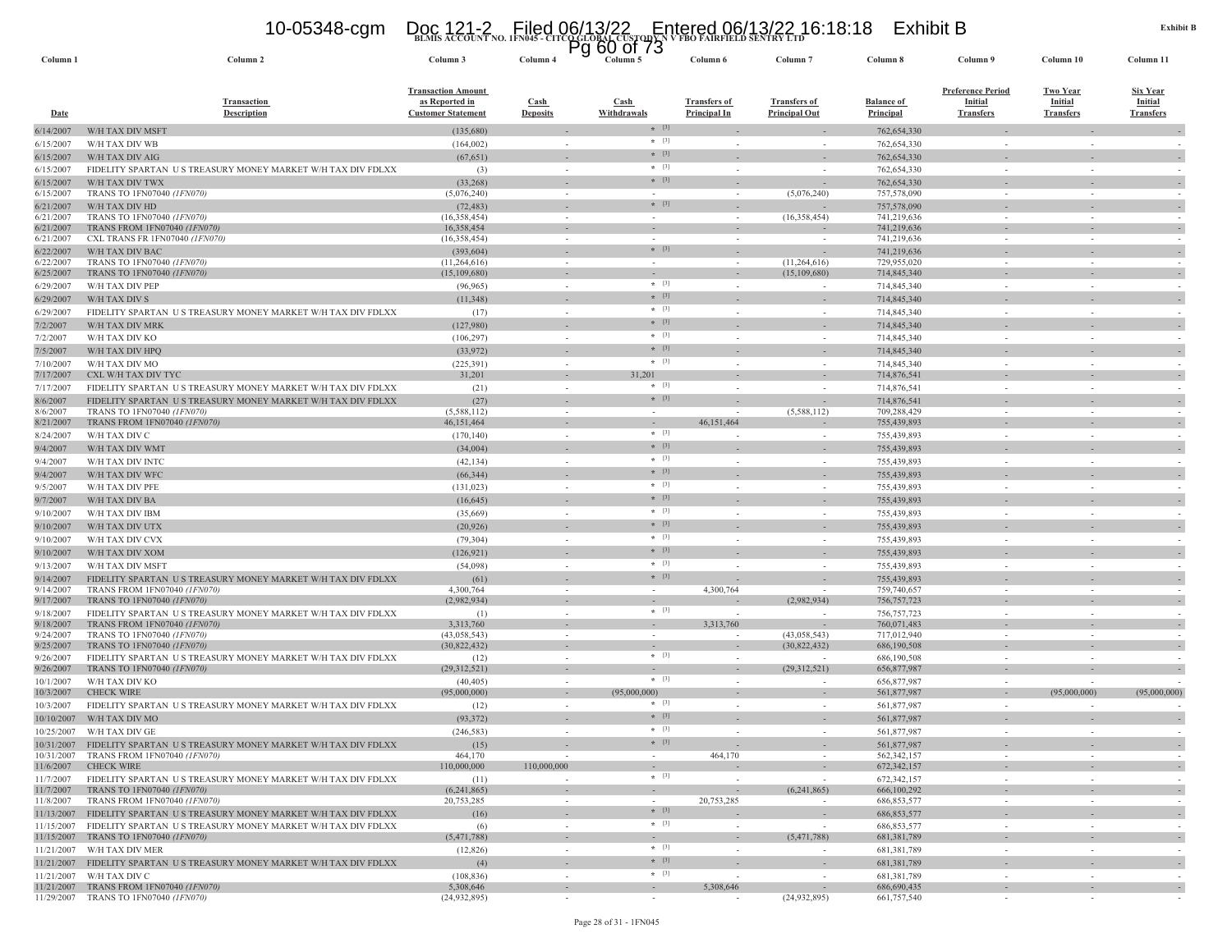### Page 28 of 31 - 1FN045

| Date                     | <b>Description</b>                                                                          | <b>Customer Statement</b>   | <b>Deposits</b>                    | Withdrawals             | Principal In | <b>Principal Out</b>     | <b>Principal</b>             | <b>Transfers</b>         | <b>Transfers</b> | <b>Transfers</b> |
|--------------------------|---------------------------------------------------------------------------------------------|-----------------------------|------------------------------------|-------------------------|--------------|--------------------------|------------------------------|--------------------------|------------------|------------------|
| 6/14/2007                | W/H TAX DIV MSFT                                                                            | (135,680)                   |                                    | $*$ [3]                 |              |                          | 762,654,330                  |                          |                  |                  |
| 6/15/2007                | W/H TAX DIV WB                                                                              | (164,002)                   | $\sim$                             | $*$ [3]                 | $\sim$       |                          | 762,654,330                  | $\sim$                   |                  |                  |
| 6/15/2007                | W/H TAX DIV AIG                                                                             | (67, 651)                   |                                    | $*$ [3]                 |              |                          | 762,654,330                  |                          |                  |                  |
| 6/15/2007                | FIDELITY SPARTAN US TREASURY MONEY MARKET W/H TAX DIV FDLXX                                 | (3)                         | $\sim$                             | $*$ [3]                 |              |                          | 762,654,330                  |                          |                  |                  |
| 6/15/2007                | W/H TAX DIV TWX                                                                             | (33, 268)                   |                                    | $*$ [3]                 |              |                          | 762.654.330                  |                          |                  |                  |
| 6/15/2007                | TRANS TO 1FN07040 (1FN070)                                                                  | (5,076,240)                 |                                    |                         |              | (5,076,240)              | 757,578,090                  |                          |                  |                  |
| 6/21/2007                | W/H TAX DIV HD                                                                              | (72, 483)                   |                                    | $*$ [3]                 |              |                          | 757,578,090                  |                          |                  |                  |
| 6/21/2007                | TRANS TO 1FN07040 (1FN070)                                                                  | (16,358,454)                | $\sim$                             |                         |              | (16,358,454)             | 741.219.636                  | $\sim$                   |                  |                  |
| 6/21/2007<br>6/21/2007   | TRANS FROM 1FN07040 (1FN070)<br>CXL TRANS FR 1FN07040 (1FN070)                              | 16,358,454<br>(16,358,454)  | $\sim$<br>$\sim$                   |                         |              |                          | 741,219,636<br>741,219,636   | $\sim$                   |                  |                  |
| 6/22/2007                | W/H TAX DIV BAC                                                                             | (393, 604)                  | $\sim$                             | $*$ [3]                 |              |                          | 741.219.636                  | $\sim$                   |                  |                  |
| 6/22/2007                | TRANS TO 1FN07040 (1FN070)                                                                  | (11, 264, 616)              |                                    |                         |              | (11,264,616)             | 729,955,020                  |                          |                  |                  |
| 6/25/2007                | TRANS TO 1FN07040 (1FN070)                                                                  | (15, 109, 680)              | $\sim$                             |                         |              | (15,109,680)             | 714,845,340                  | $\sim$                   |                  |                  |
| 6/29/2007                | W/H TAX DIV PEP                                                                             | (96, 965)                   |                                    | $* [3]$                 |              | $\overline{\phantom{a}}$ | 714,845,340                  |                          |                  |                  |
| 6/29/2007                | W/H TAX DIV S                                                                               | (11,348)                    |                                    | $*$ [3]                 |              | $\overline{\phantom{a}}$ | 714,845,340                  |                          |                  |                  |
| 6/29/2007                | FIDELITY SPARTAN US TREASURY MONEY MARKET W/H TAX DIV FDLXX                                 | (17)                        |                                    | $*$ [3]                 |              |                          | 714,845,340                  |                          |                  |                  |
| 7/2/2007                 | W/H TAX DIV MRK                                                                             | (127,980)                   |                                    | $*$ [3]                 |              |                          | 714,845,340                  |                          |                  |                  |
| 7/2/2007                 | W/H TAX DIV KO                                                                              | (106, 297)                  |                                    | $*$ [3]                 |              |                          | 714,845,340                  |                          |                  |                  |
| 7/5/2007                 | W/H TAX DIV HPQ                                                                             | (33,972)                    |                                    | $\star$ [3]             |              |                          | 714,845,340                  |                          |                  |                  |
| 7/10/2007                | W/H TAX DIV MO                                                                              | (225, 391)                  | ÷.                                 | $*$ [3]                 |              |                          | 714,845,340                  | i.                       |                  |                  |
| 7/17/2007                | CXL W/H TAX DIV TYC                                                                         | 31,201                      |                                    | 31.201                  |              |                          | 714,876,541                  |                          |                  |                  |
| 7/17/2007                | FIDELITY SPARTAN US TREASURY MONEY MARKET W/H TAX DIV FDLXX                                 | (21)                        |                                    | $*$ [3]                 |              |                          | 714,876,541                  | i.                       |                  |                  |
| 8/6/2007                 | FIDELITY SPARTAN US TREASURY MONEY MARKET W/H TAX DIV FDLXX                                 | (27)                        | $\sim$                             | $* [3]$                 |              |                          | 714,876,541                  | $\sim$                   | $\sim$           |                  |
| 8/6/2007                 | TRANS TO 1FN07040 (1FN070)                                                                  | (5,588,112)                 |                                    |                         |              | (5,588,112)              | 709.288.429                  |                          |                  |                  |
| 8/21/2007                | TRANS FROM 1FN07040 (1FN070)                                                                | 46,151,464                  |                                    | $+$ [3]                 | 46,151,464   |                          | 755,439,893                  |                          |                  |                  |
| 8/24/2007                | W/H TAX DIV C                                                                               | (170, 140)                  | $\sim$                             | $*$ [3]                 |              | $\sim$                   | 755,439,893                  | $\sim$                   |                  |                  |
| 9/4/2007                 | W/H TAX DIV WMT                                                                             | (34,004)                    |                                    | $*$ [3]                 |              | $\sim$                   | 755,439,893                  | $\sim$                   |                  |                  |
| 9/4/2007                 | W/H TAX DIV INTC                                                                            | (42, 134)                   |                                    | $*$ [3]                 |              |                          | 755,439,893                  |                          |                  |                  |
| 9/4/2007                 | W/H TAX DIV WFC                                                                             | (66, 344)                   |                                    | $*$ [3]                 |              | $\sim$                   | 755,439,893                  |                          |                  |                  |
| 9/5/2007                 | W/H TAX DIV PFE                                                                             | (131, 023)                  |                                    | $*$ [3]                 |              |                          | 755,439,893                  |                          |                  |                  |
| 9/7/2007                 | W/H TAX DIV BA                                                                              | (16, 645)                   |                                    | $*$ [3]                 |              |                          | 755,439,893                  |                          |                  |                  |
| 9/10/2007                | W/H TAX DIV IBM                                                                             | (35,669)                    |                                    |                         |              |                          | 755,439,893                  |                          |                  |                  |
| 9/10/2007                | W/H TAX DIV UTX                                                                             | (20, 926)                   |                                    | $*$ [3]                 |              |                          | 755,439,893                  |                          |                  |                  |
| 9/10/2007                | W/H TAX DIV CVX                                                                             | (79, 304)                   |                                    | $*$ [3]                 |              |                          | 755,439,893                  |                          |                  |                  |
| 9/10/2007                | W/H TAX DIV XOM                                                                             | (126, 921)                  |                                    | $\star$ [3]             |              |                          | 755,439,893                  |                          |                  |                  |
| 9/13/2007                | W/H TAX DIV MSFT                                                                            | (54,098)                    | $\sim$                             | $*$ [3]                 |              |                          | 755,439,893                  | $\overline{\phantom{a}}$ |                  |                  |
| 9/14/2007                | FIDELITY SPARTAN US TREASURY MONEY MARKET W/H TAX DIV FDLXX                                 | (61)                        |                                    | $*$ [3]                 |              |                          | 755,439,893                  |                          |                  |                  |
| 9/14/2007<br>9/17/2007   | TRANS FROM 1FN07040 (1FN070)<br>TRANS TO 1FN07040 (1FN070)                                  | 4,300,764<br>(2,982,934)    | $\sim$<br>$\overline{\phantom{a}}$ |                         | 4,300,764    | (2,982,934)              | 759,740,657<br>756, 757, 723 | $\sim$<br>$\sim$         |                  |                  |
| 9/18/2007                | FIDELITY SPARTAN US TREASURY MONEY MARKET W/H TAX DIV FDLXX                                 | (1)                         |                                    | $*$ [3]                 |              |                          | 756,757,723                  |                          |                  |                  |
| 9/18/2007                | TRANS FROM 1FN07040 (1FN070)                                                                | 3,313,760                   | $\sim$                             | $\sim$                  | 3,313,760    |                          | 760,071,483                  | $\sim$                   |                  |                  |
| 9/24/2007                | TRANS TO 1FN07040 (1FN070)                                                                  | (43.058.543)                |                                    |                         |              | (43.058.543)             | 717,012,940                  |                          |                  |                  |
| 9/25/2007                | TRANS TO 1FN07040 (1FN070)                                                                  | (30,822,432)                | $\sim$                             |                         |              | (30,822,432)             | 686,190,508                  | $\sim$                   |                  | $\sim$           |
| 9/26/2007                | FIDELITY SPARTAN US TREASURY MONEY MARKET W/H TAX DIV FDLXX                                 | (12)                        |                                    | $*$ [3]                 |              |                          | 686,190,508                  |                          |                  |                  |
| 9/26/2007                | TRANS TO 1FN07040 (1FN070)                                                                  | (29,312,521)                | $\overline{\phantom{a}}$           | $*$ [3]                 |              | (29,312,521)             | 656,877,987                  |                          |                  |                  |
| 10/1/2007<br>10/3/2007   | W/H TAX DIV KO<br><b>CHECK WIRE</b>                                                         | (40, 405)<br>(95,000,000)   |                                    |                         |              |                          | 656,877,987<br>561,877,987   |                          | (95,000,000)     |                  |
|                          |                                                                                             |                             | $\sim$                             | (95,000,000)<br>$*$ [3] |              | ×,                       |                              |                          |                  | (95,000,000)     |
| 10/3/2007                | FIDELITY SPARTAN US TREASURY MONEY MARKET W/H TAX DIV FDLXX                                 | (12)                        |                                    | $*$ [3]                 |              |                          | 561,877,987                  |                          |                  |                  |
| 10/10/2007               | W/H TAX DIV MO                                                                              | (93, 372)                   |                                    | $*$ [3]                 |              |                          | 561,877,987                  |                          |                  |                  |
| 10/25/2007               | W/H TAX DIV GE                                                                              | (246, 583)                  |                                    | $*$ [3]                 |              |                          | 561,877,987                  |                          |                  |                  |
| 10/31/2007<br>10/31/2007 | FIDELITY SPARTAN US TREASURY MONEY MARKET W/H TAX DIV FDLXX<br>TRANS FROM 1FN07040 (1FN070) | (15)<br>464,170             |                                    |                         | 464,170      |                          | 561,877,987<br>562, 342, 157 |                          |                  |                  |
| 11/6/2007                | <b>CHECK WIRE</b>                                                                           | 110,000,000                 | 110,000,000                        |                         |              |                          | 672,342,157                  |                          |                  |                  |
| 11/7/2007                | FIDELITY SPARTAN US TREASURY MONEY MARKET W/H TAX DIV FDLXX                                 | (11)                        | ÷.                                 | $* [3]$                 |              |                          | 672,342,157                  | $\sim$                   |                  |                  |
| 11/7/2007                | TRANS TO 1FN07040 (1FN070)                                                                  | (6,241,865)                 |                                    |                         |              | (6,241,865)              | 666.100.292                  |                          |                  |                  |
| 11/8/2007                | TRANS FROM 1FN07040 (1FN070)                                                                | 20,753,285                  |                                    |                         | 20,753,285   |                          | 686, 853, 577                |                          |                  |                  |
| 11/13/2007               | FIDELITY SPARTAN US TREASURY MONEY MARKET W/H TAX DIV FDLXX                                 | (16)                        |                                    | $* [3]$                 |              |                          | 686, 853, 577                |                          |                  |                  |
| 11/15/2007               | FIDELITY SPARTAN US TREASURY MONEY MARKET W/H TAX DIV FDLXX                                 | (6)                         |                                    | $*$ [3]                 |              |                          | 686, 853, 577                |                          |                  |                  |
| 11/15/2007               | TRANS TO 1FN07040 (1FN070)                                                                  | (5,471,788)                 |                                    | $*$ [3]                 |              | (5,471,788)              | 681,381,789                  |                          |                  |                  |
| 11/21/2007               | W/H TAX DIV MER                                                                             | (12, 826)                   |                                    |                         |              |                          | 681,381,789                  |                          |                  |                  |
| 11/21/2007               | FIDELITY SPARTAN US TREASURY MONEY MARKET W/H TAX DIV FDLXX                                 | (4)                         |                                    | $*$ [3]<br>$*$ [3]      |              |                          | 681,381,789                  |                          |                  |                  |
| 11/21/2007               | W/H TAX DIV C                                                                               | (108, 836)                  |                                    |                         |              |                          | 681,381,789                  |                          |                  |                  |
| 11/21/2007<br>11/29/2007 | TRANS FROM 1FN07040 (1FN070)<br>TRANS TO 1FN07040 (1FN070)                                  | 5,308,646<br>(24, 932, 895) |                                    |                         | 5,308,646    | (24.932.895)             | 686,690,435<br>661,757,540   |                          |                  |                  |
|                          |                                                                                             |                             |                                    |                         |              |                          |                              |                          |                  |                  |

**Column 1 Column 2 Column 3 Column 4 Column 5 Column 6 Column 7 Column 8 Column 9 Column 10 Column 11**

**BLMIS ACCOUNT NO. 1FN045 - CITCO GLOBAL CUSTODY N V FBO FAIRFIELD SENTRY LTD** 10-05348-cgm Doc 121-2 Filed 06/13/22 Entered 06/13/22 16:18:18 Exhibit B Pg 60 of 73

**Cash** 

**Transfers of** 

**Transfers of** 

**Balance of Principal**

**Preference Period Initial**

**Two YearInitial**

**Cash Deposits**

**Transaction Amount as Reported in Customer Statement**

**Transaction** 

Column 11

**Six YearInitial**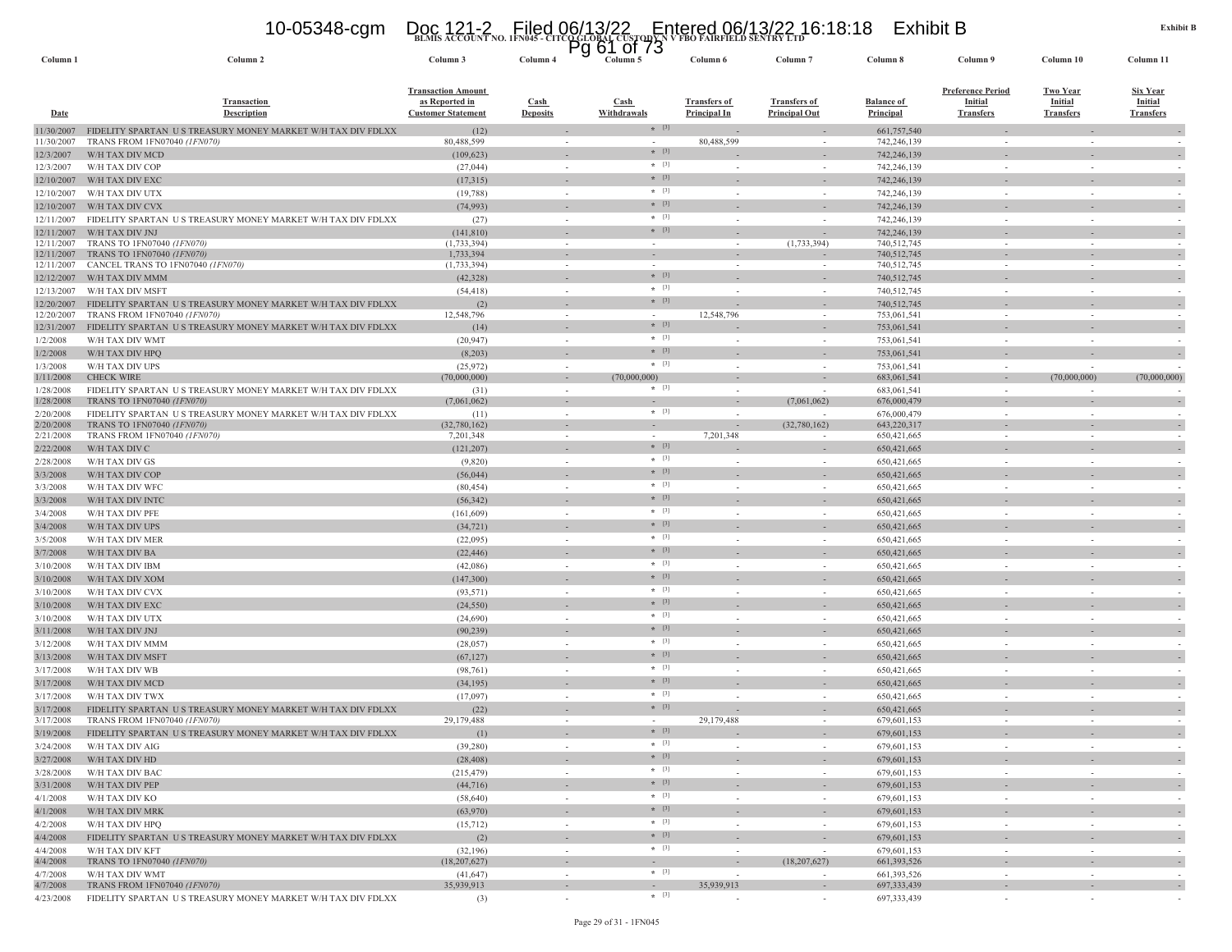## **BLMIS ACCOUNT NO. 1FN045 - CITCO GLOBAL CUSTODY N V FBO FAIRFIELD SENTRY LTD** 10-05348-cgm Doc 121-2 Filed 06/13/22 Entered 06/13/22 16:18:18 Exhibit B Pg 61 of 73

| Column 1                 | Column 2                                                                       | Column 3                                                                 | Column 4                           | A<br>ט וט ⊥ט<br>Column 5 | Column 6                                   | Column <sub>7</sub>                         | Column 8                              | Column 9                                                       | Column 10                                             | Column 11                                      |
|--------------------------|--------------------------------------------------------------------------------|--------------------------------------------------------------------------|------------------------------------|--------------------------|--------------------------------------------|---------------------------------------------|---------------------------------------|----------------------------------------------------------------|-------------------------------------------------------|------------------------------------------------|
| <u>Date</u>              | <b>Transaction</b><br><b>Description</b>                                       | <b>Transaction Amount</b><br>as Reported in<br><b>Customer Statement</b> | Cash<br><b>Deposits</b>            | Cash<br>Withdrawals      | <b>Transfers of</b><br><b>Principal In</b> | <b>Transfers of</b><br><b>Principal Out</b> | <b>Balance of</b><br><b>Principal</b> | <b>Preference Period</b><br><b>Initial</b><br><b>Transfers</b> | <b>Two Year</b><br><b>Initial</b><br><b>Transfers</b> | <u>Six Year</u><br>Initial<br><b>Transfers</b> |
| 11/30/2007               | FIDELITY SPARTAN US TREASURY MONEY MARKET W/H TAX DIV FDLXX                    | (12)                                                                     |                                    | $*$ [3]                  |                                            |                                             | 661,757,540                           |                                                                |                                                       |                                                |
| 11/30/2007               | TRANS FROM 1FN07040 (1FN070)                                                   | 80,488,599                                                               |                                    |                          | 80,488,599                                 |                                             | 742,246,139                           |                                                                |                                                       |                                                |
| 12/3/2007                | W/H TAX DIV MCD                                                                | (109, 623)                                                               |                                    | $*$ [3]                  |                                            |                                             | 742,246,139                           |                                                                |                                                       |                                                |
| 12/3/2007                | W/H TAX DIV COP                                                                | (27, 044)                                                                | $\sim$                             | $*$ [3]                  |                                            |                                             | 742,246,139                           |                                                                |                                                       |                                                |
| 12/10/2007               | W/H TAX DIV EXC                                                                | (17,315)                                                                 |                                    | $*$ [3]<br>$*$ [3]       |                                            |                                             | 742,246,139                           |                                                                |                                                       |                                                |
| 12/10/2007               | W/H TAX DIV UTX                                                                | (19, 788)                                                                | $\sim$                             | $*$ [3]                  |                                            | $\sim$                                      | 742,246,139                           | $\sim$                                                         |                                                       |                                                |
| 12/10/2007               | W/H TAX DIV CVX                                                                | (74, 993)                                                                |                                    | $*$ [3]                  |                                            |                                             | 742,246,139                           |                                                                |                                                       |                                                |
| 12/11/2007               | FIDELITY SPARTAN US TREASURY MONEY MARKET W/H TAX DIV FDLXX                    | (27)                                                                     | $\sim$                             | $*$ [3]                  |                                            | $\sim$                                      | 742,246,139                           |                                                                |                                                       |                                                |
| 12/11/2007<br>12/11/2007 | W/H TAX DIV JNJ<br>TRANS TO 1FN07040 (1FN070)                                  | (141, 810)<br>(1,733,394)                                                | $\overline{\phantom{a}}$<br>$\sim$ |                          |                                            | (1,733,394)                                 | 742,246,139<br>740,512,745            |                                                                |                                                       | $\sim$                                         |
| 12/11/2007               | TRANS TO 1FN07040 (1FN070)                                                     | 1,733,394                                                                | $\overline{\phantom{a}}$           |                          |                                            |                                             | 740,512,745                           |                                                                |                                                       |                                                |
| 12/11/2007               | CANCEL TRANS TO 1FN07040 (1FN070)                                              | (1,733,394)                                                              | $\overline{\phantom{a}}$           |                          |                                            |                                             | 740,512,745                           |                                                                |                                                       |                                                |
| 12/12/2007               | W/H TAX DIV MMM                                                                | (42, 328)                                                                |                                    | $*$ [3]                  |                                            |                                             | 740,512,745                           |                                                                |                                                       |                                                |
| 12/13/2007               | W/H TAX DIV MSFT                                                               | (54, 418)                                                                | $\overline{\phantom{a}}$           | $*$ [3]                  |                                            |                                             | 740,512,745                           |                                                                |                                                       |                                                |
| 12/20/2007               | FIDELITY SPARTAN US TREASURY MONEY MARKET W/H TAX DIV FDLXX                    | (2)                                                                      |                                    | $*$ [3]                  |                                            |                                             | 740,512,745                           |                                                                |                                                       |                                                |
| 12/20/2007               | TRANS FROM 1FN07040 (1FN070)                                                   | 12,548,796                                                               | $\overline{\phantom{a}}$           | $*$ [3]                  | 12,548,796                                 | $\overline{\phantom{a}}$                    | 753,061,541<br>753,061,541            | $\sim$                                                         | $\overline{\phantom{a}}$                              |                                                |
| 12/31/2007               | FIDELITY SPARTAN US TREASURY MONEY MARKET W/H TAX DIV FDLXX<br>W/H TAX DIV WMT | (14)                                                                     |                                    | $*$ [3]                  |                                            |                                             |                                       |                                                                |                                                       |                                                |
| 1/2/2008<br>1/2/2008     | W/H TAX DIV HPQ                                                                | (20, 947)<br>(8,203)                                                     |                                    | $*$ [3]                  |                                            |                                             | 753,061,541<br>753,061,541            |                                                                |                                                       |                                                |
| 1/3/2008                 | W/H TAX DIV UPS                                                                | (25, 972)                                                                | $\sim$                             | $*$ [3]                  |                                            |                                             | 753,061,541                           |                                                                |                                                       |                                                |
| 1/11/2008                | <b>CHECK WIRE</b>                                                              | (70,000,000)                                                             |                                    | (70,000,000)             |                                            |                                             | 683,061,541                           |                                                                | (70,000,000)                                          | (70,000,000)                                   |
| 1/28/2008                | FIDELITY SPARTAN US TREASURY MONEY MARKET W/H TAX DIV FDLXX                    | (31)                                                                     | $\sim$                             | $*$ [3]                  |                                            | $\sim$                                      | 683,061,541                           |                                                                |                                                       |                                                |
| 1/28/2008                | TRANS TO 1FN07040 (1FN070)                                                     | (7,061,062)                                                              | $\sim$                             | $\sim$                   |                                            | (7,061,062)                                 | 676,000,479                           |                                                                |                                                       |                                                |
| 2/20/2008                | FIDELITY SPARTAN US TREASURY MONEY MARKET W/H TAX DIV FDLXX                    | (11)                                                                     | $\sim$                             | $*$ [3]                  |                                            |                                             | 676,000,479                           |                                                                |                                                       |                                                |
| 2/20/2008                | TRANS TO 1FN07040 (1FN070)                                                     | (32,780,162)                                                             |                                    | $\sim$                   |                                            | (32,780,162)                                | 643,220,317                           |                                                                |                                                       |                                                |
| 2/21/2008                | TRANS FROM 1FN07040 (1FN070)                                                   | 7,201,348                                                                |                                    | $*$ [3]                  | 7,201,348                                  |                                             | 650,421,665                           |                                                                |                                                       |                                                |
| 2/22/2008<br>2/28/2008   | W/H TAX DIV C                                                                  | (121, 207)                                                               |                                    | $*$ [3]                  |                                            |                                             | 650,421,665                           |                                                                |                                                       |                                                |
|                          | W/H TAX DIV GS                                                                 | (9,820)                                                                  |                                    | $*$ [3]                  |                                            |                                             | 650,421,665                           |                                                                |                                                       |                                                |
| 3/3/2008<br>3/3/2008     | W/H TAX DIV COP<br>W/H TAX DIV WFC                                             | (56, 044)<br>(80, 454)                                                   | $\sim$                             | $* [3]$                  |                                            | $\sim$                                      | 650, 421, 665<br>650,421,665          |                                                                |                                                       |                                                |
| 3/3/2008                 | W/H TAX DIV INTC                                                               | (56, 342)                                                                |                                    | $*$ [3]                  |                                            |                                             | 650,421,665                           |                                                                |                                                       |                                                |
| 3/4/2008                 | W/H TAX DIV PFE                                                                | (161, 609)                                                               | $\sim$                             | $*$ [3]                  |                                            | $\sim$                                      | 650,421,665                           | in 1919.                                                       | $\sim$                                                |                                                |
| 3/4/2008                 | W/H TAX DIV UPS                                                                | (34, 721)                                                                |                                    | $*$ [3]                  |                                            |                                             | 650,421,665                           |                                                                |                                                       |                                                |
| 3/5/2008                 | W/H TAX DIV MER                                                                | (22,095)                                                                 | $\sim$                             | $*$ [3]                  |                                            | $\sim$                                      | 650,421,665                           |                                                                | $\sim$                                                |                                                |
| 3/7/2008                 | W/H TAX DIV BA                                                                 | (22, 446)                                                                | $\overline{\phantom{a}}$           | $*$ [3]                  |                                            |                                             | 650,421,665                           |                                                                |                                                       |                                                |
| 3/10/2008                | W/H TAX DIV IBM                                                                | (42,086)                                                                 | $\sim$                             | $*$ [3]                  |                                            |                                             | 650,421,665                           |                                                                | $\sim$                                                |                                                |
| 3/10/2008                | W/H TAX DIV XOM                                                                | (147, 300)                                                               |                                    | $*$ [3]                  |                                            |                                             | 650,421,665                           |                                                                |                                                       |                                                |
| 3/10/2008                | W/H TAX DIV CVX                                                                | (93, 571)                                                                |                                    | $*$ [3]                  |                                            |                                             | 650,421,665                           |                                                                |                                                       |                                                |
| 3/10/2008                | W/H TAX DIV EXC                                                                | (24, 550)                                                                |                                    | $*$ [3]                  |                                            |                                             | 650, 421, 665                         |                                                                |                                                       |                                                |
| 3/10/2008                | W/H TAX DIV UTX                                                                | (24, 690)                                                                | $\sim$                             | $* [3]$                  |                                            | $\sim$                                      | 650,421,665                           |                                                                |                                                       |                                                |
| 3/11/2008                | W/H TAX DIV JNJ                                                                | (90, 239)                                                                |                                    | $*$ [3]                  |                                            |                                             | 650,421,665                           |                                                                |                                                       |                                                |
| 3/12/2008                | W/H TAX DIV MMM                                                                | (28,057)                                                                 | $\sim$                             | $*$ [3]                  |                                            | $\sim$                                      | 650,421,665                           | in 1919.                                                       | $\sim$                                                |                                                |
| 3/13/2008                | W/H TAX DIV MSFT                                                               | (67, 127)                                                                |                                    | $*$ [3]                  |                                            |                                             | 650,421,665                           |                                                                |                                                       |                                                |
| 3/17/2008                | W/H TAX DIV WB                                                                 | (98, 761)                                                                | $\sim$                             | $*$ [3]                  |                                            | $\sim$                                      | 650,421,665                           |                                                                | $\sim$                                                |                                                |
| 3/17/2008                | W/H TAX DIV MCD                                                                | (34, 195)                                                                |                                    | $*$ [3]                  |                                            |                                             | 650,421,665                           |                                                                |                                                       |                                                |
| 3/17/2008                | W/H TAX DIV TWX                                                                | (17,097)                                                                 |                                    | $*$ [3]                  |                                            |                                             | 650,421,665                           |                                                                |                                                       |                                                |
| 3/17/2008                | FIDELITY SPARTAN US TREASURY MONEY MARKET W/H TAX DIV FDLXX                    | (22)                                                                     |                                    | $*$ [3]                  |                                            |                                             | 650,421,665                           |                                                                |                                                       |                                                |
| 3/17/2008                | TRANS FROM 1FN07040 (1FN070)                                                   | 29,179,488                                                               |                                    | $*$ [3]                  | 29,179,488                                 |                                             | 679,601,153                           |                                                                |                                                       |                                                |
| 3/19/2008                | FIDELITY SPARTAN US TREASURY MONEY MARKET W/H TAX DIV FDLXX                    | (1)                                                                      |                                    | $*$ [3]                  |                                            |                                             | 679,601,153                           |                                                                |                                                       |                                                |
| 3/24/2008                | W/H TAX DIV AIG                                                                | (39, 280)                                                                |                                    | $*$ [3]                  |                                            |                                             | 679 601 153                           |                                                                |                                                       |                                                |
| 3/27/2008                | W/H TAX DIV HD                                                                 | (28, 408)                                                                |                                    | $*$ [3]                  |                                            |                                             | 679,601,153                           |                                                                |                                                       |                                                |
| 3/28/2008                | W/H TAX DIV BAC                                                                | (215, 479)                                                               | $\sim$                             | $*$ [3]                  | $\sim$                                     | $\sim$                                      | 679,601,153<br>679,601,153            | $\sim$                                                         | $\sim$<br>$\sim$                                      |                                                |
| 3/31/2008<br>4/1/2008    | W/H TAX DIV PEP<br>W/H TAX DIV KO                                              | (44, 716)<br>(58, 640)                                                   | $\sim$                             | $*$ [3]                  | $\sim$                                     | $\sim$                                      | 679,601,153                           | $\sim$                                                         | $\sim$                                                | $\overline{a}$                                 |
|                          | W/H TAX DIV MRK                                                                |                                                                          | $\sim$                             | $*$ [3]                  | $\sim$                                     | $\sim$                                      | 679,601,153                           |                                                                | $\sim$                                                |                                                |
| 4/1/2008<br>4/2/2008     | W/H TAX DIV HPQ                                                                | (63,970)<br>(15, 712)                                                    | $\overline{\phantom{a}}$           | $*$ [3]                  | $\sim$                                     | $\sim$                                      | 679,601,153                           | $\sim$                                                         | $\sim$                                                | $\sim$<br>$\sim$                               |
| 4/4/2008                 | FIDELITY SPARTAN US TREASURY MONEY MARKET W/H TAX DIV FDLXX                    | (2)                                                                      | $\overline{\phantom{a}}$           | $*$ [3]                  |                                            | $\sim$                                      | 679,601,153                           |                                                                | $\overline{\phantom{a}}$                              |                                                |
| 4/4/2008                 | W/H TAX DIV KFT                                                                | (32, 196)                                                                | $\sim$                             | $*$ [3]                  |                                            | $\sim$                                      | 679,601,153                           | $\sim$                                                         | $\sim$                                                | $\overline{\phantom{a}}$                       |
| 4/4/2008                 | TRANS TO 1FN07040 (1FN070)                                                     | (18, 207, 627)                                                           | $\overline{\phantom{a}}$           |                          | $\sim$                                     | (18, 207, 627)                              | 661, 393, 526                         |                                                                | $\overline{\phantom{a}}$                              | $\overline{\phantom{a}}$                       |
| 4/7/2008                 | W/H TAX DIV WMT                                                                | (41, 647)                                                                | $\sim$                             | $*$ [3]                  | $\sim$                                     |                                             | 661,393,526                           | $\sim$                                                         | $\sim$                                                |                                                |
| 4/7/2008                 | TRANS FROM 1FN07040 (1FN070)                                                   | 35,939,913                                                               | $\sim$                             | $\sim$                   | 35,939,913                                 | $\sim$                                      | 697, 333, 439                         |                                                                | $\sim$                                                | $\overline{\phantom{a}}$                       |
| 4/23/2008                | FIDELITY SPARTAN US TREASURY MONEY MARKET W/H TAX DIV FDLXX                    | (3)                                                                      | $\sim$                             | $*$ [3]                  | $\sim$                                     | $\sim$                                      | 697, 333, 439                         | $\sim$                                                         | $\sim$                                                |                                                |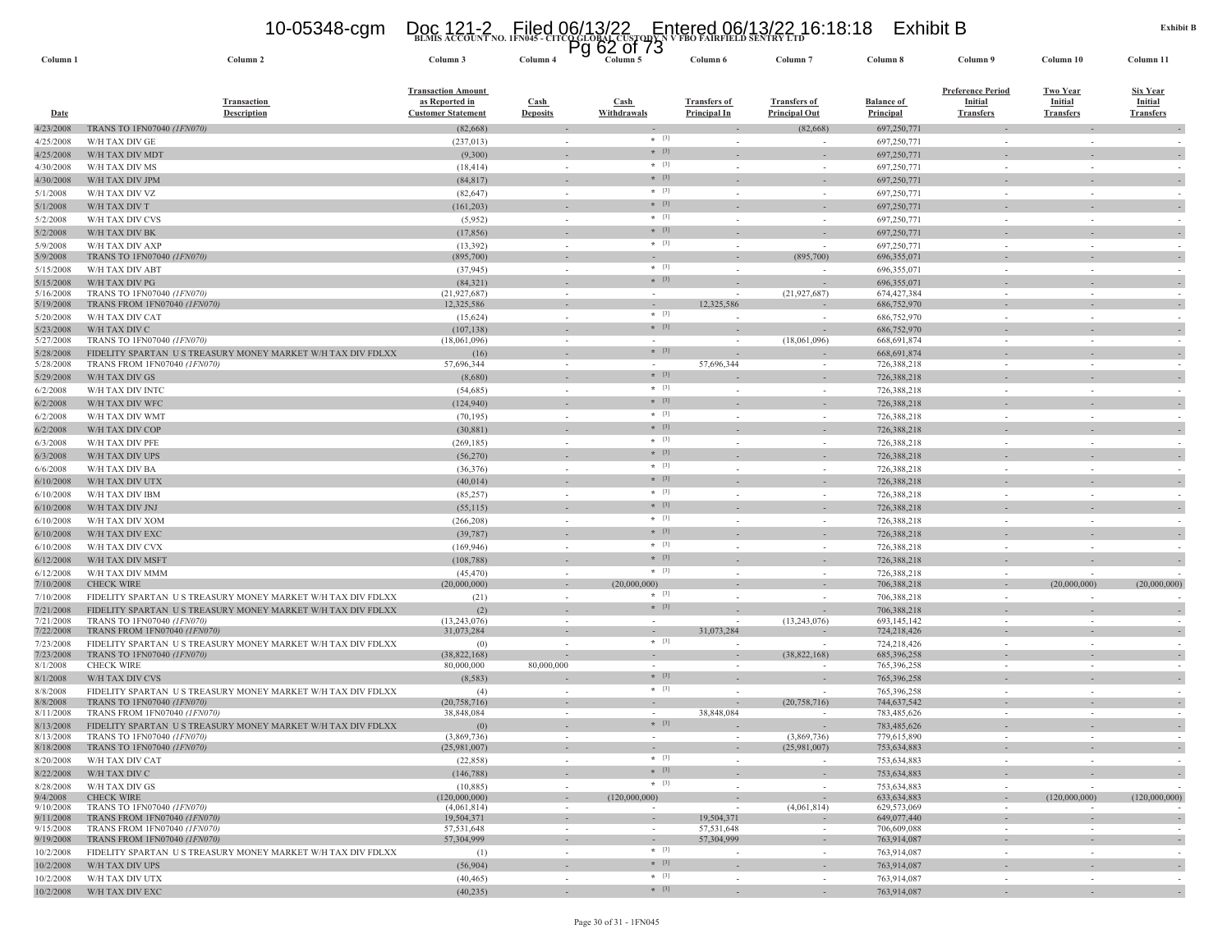|                       | <b>Transaction</b>                                                                        | as Reported in               | Cash                     | <b>Cash</b>       | <b>Transfers of</b>      | Transfers of             | <b>Balance of</b>          | <b>Initial</b>           | <b>Initial</b>   | <b>Initial</b>   |
|-----------------------|-------------------------------------------------------------------------------------------|------------------------------|--------------------------|-------------------|--------------------------|--------------------------|----------------------------|--------------------------|------------------|------------------|
| <b>Date</b>           | <b>Description</b>                                                                        | <b>Customer Statement</b>    | <b>Deposits</b>          | Withdrawals       | <b>Principal In</b>      | <b>Principal Out</b>     | Principal                  | <b>Transfers</b>         | <b>Transfers</b> | <b>Transfers</b> |
| 4/23/2008             | TRANS TO 1FN07040 (1FN070)                                                                | (82, 668)                    |                          |                   |                          | (82, 668)                | 697,250,771                | ٠                        |                  |                  |
| 4/25/2008             | W/H TAX DIV GE                                                                            | (237, 013)                   |                          | $*$ [3]           |                          |                          | 697,250,771                |                          |                  |                  |
| 4/25/2008             | W/H TAX DIV MDT                                                                           | (9,300)                      |                          | $*$ [3]           |                          |                          | 697,250,771                |                          |                  |                  |
| 4/30/2008             | W/H TAX DIV MS                                                                            | (18, 414)                    |                          | $*$ [3]           |                          |                          | 697,250,771                |                          |                  |                  |
| 4/30/2008             | W/H TAX DIV JPM                                                                           | (84, 817)                    |                          | $*$ [3]           |                          |                          | 697,250,771                |                          |                  |                  |
| 5/1/2008              | W/H TAX DIV VZ                                                                            | (82, 647)                    |                          | $+$ [3]           |                          |                          | 697,250,771                |                          |                  |                  |
| 5/1/2008              | W/H TAX DIV T                                                                             | (161, 203)                   | $\overline{\phantom{a}}$ | $*$ [3]           |                          |                          | 697,250,771                | ٠                        |                  |                  |
| 5/2/2008              | W/H TAX DIV CVS                                                                           | (5,952)                      | $\sim$                   | $\star$ [3]       |                          |                          | 697,250,771                |                          |                  |                  |
| 5/2/2008              | W/H TAX DIV BK                                                                            | (17, 856)                    |                          | $*$ [3]           |                          |                          | 697,250,771                |                          |                  |                  |
| 5/9/2008              | W/H TAX DIV AXP                                                                           | (13, 392)                    | $\bar{a}$                | $*$ [3]           |                          |                          | 697,250,771                |                          |                  |                  |
| 5/9/2008              | TRANS TO 1FN07040 (1FN070)                                                                | (895,700)                    | $\sim$                   |                   | $\overline{\phantom{a}}$ | (895,700)                | 696,355,071                | $\overline{\phantom{a}}$ |                  | $\sim$           |
| 5/15/2008             | W/H TAX DIV ABT                                                                           | (37, 945)                    |                          | $*$ [3]           |                          |                          | 696,355,071                |                          |                  |                  |
| 5/15/2008             | W/H TAX DIV PG                                                                            | (84, 321)                    |                          | $*$ [3]           |                          |                          | 696, 355, 071              |                          |                  |                  |
| 5/16/2008             | TRANS TO 1FN07040 (1FN070)                                                                | (21, 927, 687)               | $\sim$                   | in 1999.          |                          | (21, 927, 687)           | 674,427,384                | $\sim$                   |                  | $\sim$           |
| 5/19/2008             | TRANS FROM 1FN07040 (1FN070)                                                              | 12,325,586                   | $\sim$                   |                   | 12,325,586               |                          | 686,752,970                |                          |                  |                  |
| 5/20/2008             | W/H TAX DIV CAT                                                                           | (15,624)                     | $\sim$                   | $*$ [3]           |                          |                          | 686,752,970                | $\sim$                   |                  |                  |
| 5/23/2008             | W/H TAX DIV C                                                                             | (107, 138)                   |                          | $+$ [3]           |                          |                          | 686,752,970                |                          |                  |                  |
| 5/27/2008             | TRANS TO 1FN07040 (1FN070)                                                                | (18,061,096)                 | $\sim$                   |                   |                          | (18,061,096)             | 668,691,874                | $\sim$                   |                  |                  |
| 5/28/2008             | FIDELITY SPARTAN US TREASURY MONEY MARKET W/H TAX DIV FDLXX                               | (16)                         | $\sim$                   | $*$ [3]           |                          |                          | 668,691,874                | $\sim$                   |                  | $\sim$           |
| 5/28/2008             | TRANS FROM 1FN07040 (1FN070)                                                              | 57,696,344                   |                          | $*$ [3]           | 57,696,344               |                          | 726,388,218                |                          |                  |                  |
| 5/29/2008             | W/H TAX DIV GS                                                                            | (8,680)                      |                          |                   |                          |                          | 726,388,218                |                          |                  | $\sim$           |
| 6/2/2008              | W/H TAX DIV INTC                                                                          | (54, 685)                    | $\sim$                   | $*$ [3]           |                          |                          | 726,388,218                |                          |                  |                  |
| 6/2/2008              | W/H TAX DIV WFC                                                                           | (124, 940)                   |                          | $*$ [3]           |                          |                          | 726,388,218                |                          |                  |                  |
| 6/2/2008              | W/H TAX DIV WMT                                                                           | (70, 195)                    | ÷.                       | $*$ [3]           |                          |                          | 726,388,218                | ÷.                       |                  |                  |
| 6/2/2008              | W/H TAX DIV COP                                                                           | (30, 881)                    |                          | $*$ [3]           |                          |                          | 726,388,218                |                          |                  | $\Box$           |
| 6/3/2008              | W/H TAX DIV PFE                                                                           | (269, 185)                   | $\sim$                   | $*$ [3]           |                          |                          | 726,388,218                | $\sim$                   |                  | $\sim$           |
| 6/3/2008              | W/H TAX DIV UPS                                                                           | (56, 270)                    |                          | $*$ [3]           |                          | ÷                        | 726,388,218                |                          |                  | $\sim$           |
| 6/6/2008              | W/H TAX DIV BA                                                                            | (36, 376)                    | $\sim$                   | $*$ [3]           | $\overline{\phantom{a}}$ | $\sim$                   | 726,388,218                | $\sim$                   |                  | $\sim$           |
| 6/10/2008             | W/H TAX DIV UTX                                                                           | (40, 014)                    | $\sim$                   | $*$ [3]           | $\sim$                   | $\sim$                   | 726,388,218                | $\sim$                   |                  | $\sim$           |
| 6/10/2008             | W/H TAX DIV IBM                                                                           | (85, 257)                    |                          | $*$ [3]           |                          |                          | 726,388,218                |                          |                  |                  |
| 6/10/2008             | W/H TAX DIV JNJ                                                                           | (55,115)                     |                          | $*$ [3]           |                          |                          | 726,388,218                |                          |                  |                  |
| 6/10/2008             | W/H TAX DIV XOM                                                                           | (266, 208)                   |                          | $\star$ [3]       |                          |                          | 726,388,218                |                          |                  |                  |
| 6/10/2008             | W/H TAX DIV EXC                                                                           | (39, 787)                    |                          | $*$ [3]           |                          |                          | 726,388,218                |                          |                  |                  |
| 6/10/2008             | W/H TAX DIV CVX                                                                           | (169, 946)                   |                          | $* [3]$           |                          |                          | 726,388,218                |                          |                  |                  |
| 6/12/2008             | W/H TAX DIV MSFT                                                                          | (108, 788)                   | $\sim$                   | $*$ [3]           |                          | $\overline{\phantom{a}}$ | 726,388,218                | $\sim$                   |                  | $\sim$           |
| 6/12/2008             | W/H TAX DIV MMM                                                                           | (45, 470)                    | $\sim$                   | $+$ [3]           | $\overline{\phantom{a}}$ | $\sim$                   | 726,388,218                | i.                       |                  |                  |
| 7/10/2008             | <b>CHECK WIRE</b>                                                                         | (20,000,000)                 |                          | (20,000,<br>(000) |                          |                          | 706,388,218                |                          | (20,000,000)     | (20,000,000)     |
| 7/10/2008             | FIDELITY SPARTAN US TREASURY MONEY MARKET W/H TAX DIV FDLXX                               | (21)                         | $\sim$                   | $*$ [3]           |                          |                          | 706,388,218                | $\sim$                   |                  |                  |
| 7/21/2008             | FIDELITY SPARTAN US TREASURY MONEY MARKET W/H TAX DIV FDLXX                               | (2)                          | $\sim$                   | $*$ [3]           | $\sim$                   |                          | 706,388,218                | $\sim$                   |                  | $\sim$           |
| 7/21/2008             | TRANS TO 1FN07040 (1FN070)                                                                | (13, 243, 076)               |                          |                   |                          | (13,243,076)             | 693,145,142                |                          |                  |                  |
| 7/22/2008             | TRANS FROM 1FN07040 (1FN070)                                                              | 31,073,284                   | $\sim$                   |                   | 31,073,284               |                          | 724,218,426                | $\sim$                   |                  | $\sim$           |
| 7/23/2008             | FIDELITY SPARTAN US TREASURY MONEY MARKET W/H TAX DIV FDLXX                               | (0)                          |                          | $\star$ [3]       |                          |                          | 724,218,426                |                          |                  |                  |
| 7/23/2008             | TRANS TO 1FN07040 (1FN070)                                                                | (38, 822, 168)               |                          |                   |                          | (38,822,168)             | 685,396,258                |                          |                  |                  |
| 8/1/2008              | <b>CHECK WIRE</b>                                                                         | 80,000,000                   | 80,000,000               | $*$ [3]           |                          |                          | 765,396,258                |                          |                  |                  |
| 8/1/2008              | W/H TAX DIV CVS                                                                           | (8, 583)                     |                          |                   |                          |                          | 765,396,258                |                          |                  |                  |
| 8/8/2008              | FIDELITY SPARTAN US TREASURY MONEY MARKET W/H TAX DIV FDLXX                               | (4)                          |                          | $*$ [3]           |                          |                          | 765,396,258                | ÷.                       |                  |                  |
| 8/8/2008<br>8/11/2008 | TRANS TO 1FN07040 (1FN070)<br>TRANS FROM 1FN07040 (1FN070)                                | (20, 758, 716)<br>38,848,084 |                          |                   | 38,848,084               | (20, 758, 716)           | 744,637,542<br>783,485,626 |                          |                  |                  |
| 8/13/2008             |                                                                                           |                              |                          | $* [3]$           |                          |                          |                            |                          |                  |                  |
| 8/13/2008             | FIDELITY SPARTAN US TREASURY MONEY MARKET W/H TAX DIV FDLXX<br>TRANS TO 1FN07040 (1FN070) | (0)<br>(3,869,736)           | $\sim$                   | $\sim$            | $\sim$                   | (3,869,736)              | 783,485,626<br>779,615,890 | $\sim$                   | $\sim$           |                  |
| 8/18/2008             | TRANS TO 1FN07040 (1FN070)                                                                | (25,981,007)                 | $\sim$                   |                   | ÷                        | (25,981,007)             | 753,634,883                | $\overline{\phantom{a}}$ |                  | $\sim$           |
| 8/20/2008             | W/H TAX DIV CAT                                                                           | (22, 858)                    | in 1919.                 | $*$ [3]           |                          |                          | 753,634,883                | i.                       |                  |                  |
| 8/22/2008             | W/H TAX DIV C                                                                             | (146, 788)                   | $\sim$                   | $+$ [3]           |                          |                          | 753,634,883                | $\sim$                   |                  | $\sim$           |
| 8/28/2008             | W/H TAX DIV GS                                                                            | (10, 885)                    |                          | $*$ [3]           |                          |                          | 753,634,883                | $\sim$                   |                  |                  |
| 9/4/2008              | <b>CHECK WIRE</b>                                                                         | (120,000,000)                | $\sim$                   | (120,000,000)     |                          |                          | 633.634.883                | $\overline{\phantom{a}}$ | (120,000,000)    | (120,000,000)    |
| 9/10/2008             | TRANS TO 1FN07040 (1FN070)                                                                | (4,061,814)                  | $\sim$                   |                   |                          | (4,061,814)              | 629,573,069                | $\overline{\phantom{a}}$ |                  |                  |
| 9/11/2008             | TRANS FROM 1FN07040 (1FN070)                                                              | 19,504,371                   | $\sim$                   |                   | 19,504,371               |                          | 649,077,440                | ٠                        |                  |                  |
| 9/15/2008             | TRANS FROM 1FN07040 (1FN070)                                                              | 57,531,648                   |                          |                   | 57,531,648               |                          | 706,609,088                |                          |                  |                  |
| 9/19/2008             | TRANS FROM 1FN07040 (1FN070)                                                              | 57,304,999                   |                          | $*$ [3]           | 57,304,999               |                          | 763,914,087                |                          |                  |                  |
| 10/2/2008             | FIDELITY SPARTAN US TREASURY MONEY MARKET W/H TAX DIV FDLXX                               | (1)                          |                          | $*$ [3]           |                          |                          | 763,914,087                |                          |                  |                  |
| 10/2/2008             | W/H TAX DIV UPS                                                                           | (56,904)                     |                          | $*$ [3]           |                          |                          | 763,914,087                |                          |                  |                  |
| 10/2/2008             | W/H TAX DIV UTX                                                                           | (40, 465)                    |                          | $+$ [3]           |                          |                          | 763,914,087                |                          |                  |                  |
| 10/2/2008             | W/H TAX DIV EXC                                                                           | (40, 235)                    |                          |                   |                          |                          | 763,914,087                |                          |                  |                  |

**Column 1 Column 2 Column 3 Column 4 Column 5 Column 6 Column 7 Column 8 Column 9 Column 10 Column 11**

**BLMIS ACCOUNT NO. 1FN045 - CITCO GLOBAL CUSTODY N V FBO FAIRFIELD SENTRY LTD** 10-05348-cgm Doc 121-2 Filed 06/13/22 Entered 06/13/22 16:18:18 Exhibit B Pg 62 of 73

**Transfers of** 

**Transfers of** 

**Balance of** 

**Preference Period InitialTransfers**

**Two YearInitial**

**Transaction Amount as Reported in Customer Statement**

**Transaction** 

Column 11

**Six YearInitial**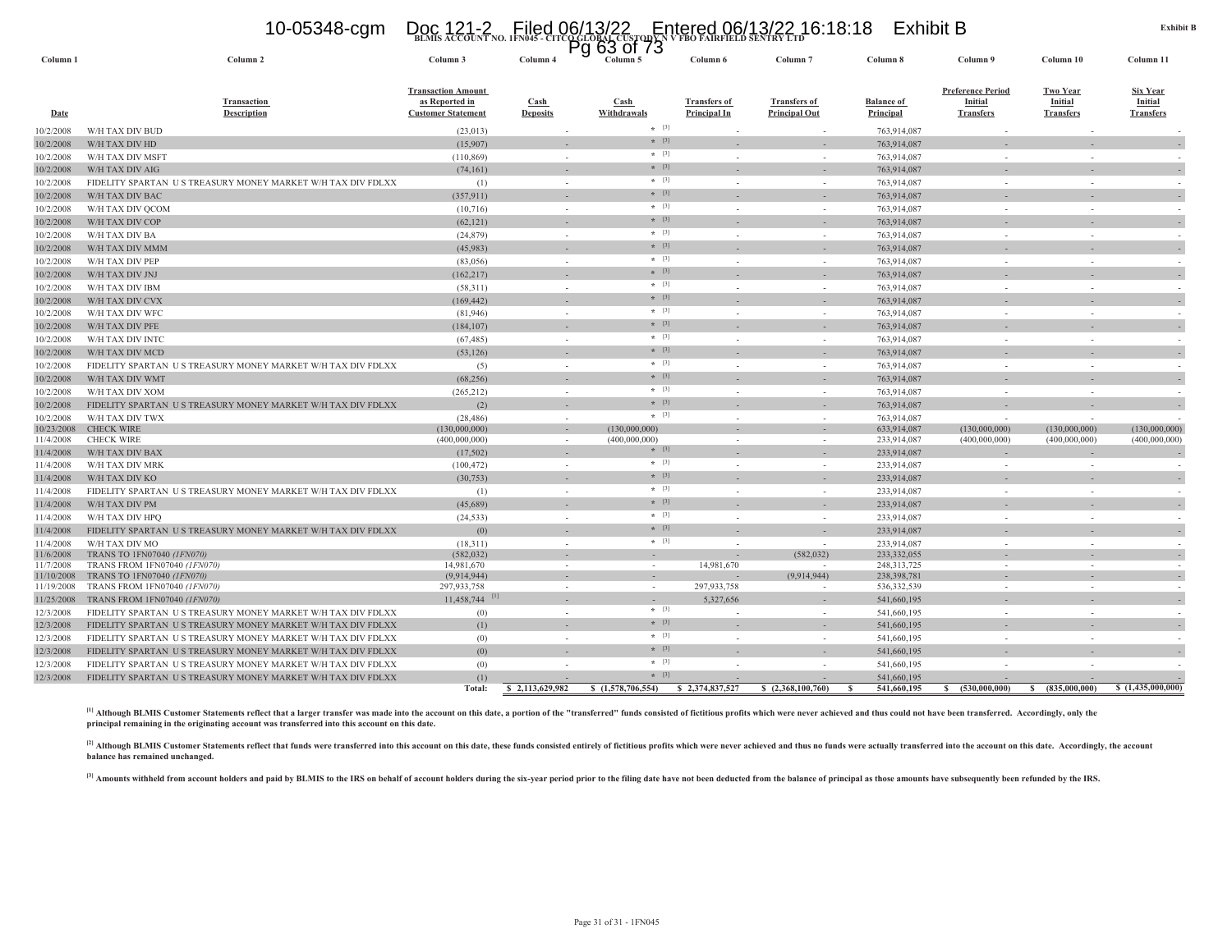### 10-05348-cgm Doc 121-2 Filed 06/13/22 Entered 06/13/22 16:18:18 Exhibit B<br>https://www.count.no.irn45-citcQclobalcustopy.htme.htm

|                     |                                                             |                                                                          |                         | Pg 63 of 73         |                                     |                                             |                                |                                                         |                                                |                                                |
|---------------------|-------------------------------------------------------------|--------------------------------------------------------------------------|-------------------------|---------------------|-------------------------------------|---------------------------------------------|--------------------------------|---------------------------------------------------------|------------------------------------------------|------------------------------------------------|
| Column <sub>1</sub> | Column <sub>2</sub>                                         | Column 3                                                                 | Column 4                | Column 5            | Column 6                            | Column <sub>7</sub>                         | Column 8                       | Column 9                                                | Column 10                                      | Column 11                                      |
| Date                | Transaction<br><b>Description</b>                           | <b>Transaction Amount</b><br>as Reported in<br><b>Customer Statement</b> | Cash<br><b>Deposits</b> | Cash<br>Withdrawals | <b>Transfers of</b><br>Principal In | <b>Transfers of</b><br><b>Principal Out</b> | <b>Balance</b> of<br>Principal | <b>Preference Period</b><br>Initial<br><b>Transfers</b> | <b>Two Year</b><br>Initial<br><b>Transfers</b> | <b>Six Year</b><br>Initial<br><b>Transfers</b> |
| 10/2/2008           | W/H TAX DIV BUD                                             | (23, 013)                                                                |                         | $*$ [3]             |                                     |                                             | 763,914,087                    |                                                         |                                                |                                                |
| 10/2/2008           | W/H TAX DIV HD                                              | (15,907)                                                                 |                         | $*$ [3]             |                                     |                                             | 763,914,087                    |                                                         |                                                |                                                |
| 10/2/2008           | W/H TAX DIV MSFT                                            | (110, 869)                                                               | $\sim$                  | $*$ [3]             |                                     | $\sim$                                      | 763,914,087                    |                                                         | $\sim$                                         |                                                |
| 10/2/2008           | W/H TAX DIV AIG                                             | (74, 161)                                                                |                         | $*$ [3]             |                                     |                                             | 763,914,087                    |                                                         |                                                |                                                |
| 10/2/2008           | FIDELITY SPARTAN US TREASURY MONEY MARKET W/H TAX DIV FDLXX | (1)                                                                      | $\sim$                  | $*$ [3]             |                                     | $\sim$                                      | 763,914,087                    | $\sim$                                                  | $\sim$                                         |                                                |
| 10/2/2008           | W/H TAX DIV BAC                                             | (357, 911)                                                               |                         | $*$ [3]             |                                     |                                             | 763,914,087                    |                                                         |                                                |                                                |
| 10/2/2008           | W/H TAX DIV QCOM                                            | (10,716)                                                                 | $\sim$                  | $*$ [3]             |                                     | $\sim$                                      | 763,914,087                    | $\sim$                                                  | $\sim$                                         |                                                |
| 10/2/2008           | W/H TAX DIV COP                                             | (62, 121)                                                                |                         | $*$ [3]             |                                     |                                             | 763,914,087                    |                                                         |                                                |                                                |
| 10/2/2008           | W/H TAX DIV BA                                              | (24, 879)                                                                | $\sim$                  | $*$ [3]             |                                     | $\sim$                                      | 763,914,087                    | $\sim$                                                  | $\sim$                                         |                                                |
| 10/2/2008           | W/H TAX DIV MMM                                             | (45,983)                                                                 |                         | $*$ [3]             |                                     |                                             | 763,914,087                    |                                                         |                                                |                                                |
| 10/2/2008           | W/H TAX DIV PEP                                             | (83,056)                                                                 | $\sim$                  | $*$ [3]             |                                     | $\sim$                                      | 763,914,087                    | $\sim$                                                  | $\sim$                                         |                                                |
| 10/2/2008           | W/H TAX DIV JNJ                                             | (162, 217)                                                               |                         | $*$ [3]             |                                     |                                             | 763,914,087                    |                                                         |                                                |                                                |
| 10/2/2008           | W/H TAX DIV IBM                                             | (58,311)                                                                 | $\sim$                  | $*$ [3]             |                                     | $\sim$                                      | 763,914,087                    | $\sim$                                                  | $\sim$                                         |                                                |
| 10/2/2008           | W/H TAX DIV CVX                                             | (169, 442)                                                               |                         | $*$ [3]             |                                     |                                             | 763,914,087                    |                                                         |                                                |                                                |
| 10/2/2008           | W/H TAX DIV WFC                                             | (81, 946)                                                                | $\sim$                  | $*$ [3]             |                                     | $\sim$                                      | 763,914,087                    | $\sim$                                                  | $\sim$                                         |                                                |
| 10/2/2008           | W/H TAX DIV PFE                                             | (184, 107)                                                               |                         | $*$ [3]             |                                     |                                             | 763,914,087                    |                                                         |                                                |                                                |
| 10/2/2008           | W/H TAX DIV INTC                                            | (67, 485)                                                                | $\sim$                  | $*$ [3]             |                                     | $\sim$                                      | 763,914,087                    |                                                         | $\sim$                                         |                                                |
| 10/2/2008           | W/H TAX DIV MCD                                             | (53, 126)                                                                |                         | $*$ [3]             |                                     |                                             | 763,914,087                    |                                                         |                                                |                                                |
| 10/2/2008           | FIDELITY SPARTAN US TREASURY MONEY MARKET W/H TAX DIV FDLXX | (5)                                                                      | $\sim$                  | $*$ [3]             |                                     | $\sim$                                      | 763,914,087                    | $\sim$                                                  | $\sim$                                         |                                                |
| 10/2/2008           | W/H TAX DIV WMT                                             | (68, 256)                                                                |                         | $*$ [3]             |                                     |                                             | 763,914,087                    |                                                         |                                                |                                                |
| 10/2/2008           | W/H TAX DIV XOM                                             | (265, 212)                                                               | $\sim$                  | $*$ [3]             |                                     | $\sim$                                      | 763,914,087                    |                                                         |                                                |                                                |
| 10/2/2008           | FIDELITY SPARTAN US TREASURY MONEY MARKET W/H TAX DIV FDLXX | (2)                                                                      |                         | $*$ [3]             |                                     |                                             | 763,914,087                    |                                                         |                                                |                                                |
| 10/2/2008           | W/H TAX DIV TWX                                             |                                                                          | $\sim$                  | $*$ [3]             |                                     | $\sim$                                      | 763,914,087                    |                                                         |                                                |                                                |
| 10/23/2008          | <b>CHECK WIRE</b>                                           | (28, 486)<br>(130,000,000)                                               |                         | (130,000,000)       |                                     |                                             | 633,914,087                    | (130,000,000)                                           | (130,000,000)                                  | (130,000,000)                                  |
| 11/4/2008           | <b>CHECK WIRE</b>                                           | (400,000,000)                                                            | $\sim$                  | (400,000,000)       |                                     |                                             | 233,914,087                    | (400,000,000)                                           | (400,000,000)                                  | (400,000,000)                                  |
| 11/4/2008           | W/H TAX DIV BAX                                             | (17,502)                                                                 |                         | $*$ [3]             |                                     |                                             | 233,914,087                    |                                                         |                                                |                                                |
| 11/4/2008           | W/H TAX DIV MRK                                             | (100, 472)                                                               | $\sim$                  | $*$ [3]             |                                     | $\sim$                                      | 233,914,087                    |                                                         | ÷.                                             |                                                |
| 11/4/2008           | W/H TAX DIV KO                                              | (30, 753)                                                                |                         | $*$ [3]             |                                     |                                             | 233,914,087                    |                                                         |                                                |                                                |
| 11/4/2008           | FIDELITY SPARTAN US TREASURY MONEY MARKET W/H TAX DIV FDLXX | (1)                                                                      | $\sim$                  | $*$ [3]             |                                     | $\sim$                                      | 233,914,087                    |                                                         |                                                |                                                |
| 11/4/2008           | W/H TAX DIV PM                                              | (45,689)                                                                 |                         | $*$ [3]             |                                     |                                             | 233,914,087                    |                                                         |                                                |                                                |
| 11/4/2008           | W/H TAX DIV HPO                                             | (24, 533)                                                                | $\sim$                  | $*$ [3]             |                                     | $\sim$                                      | 233,914,087                    |                                                         | $\sim$                                         |                                                |
| 11/4/2008           | FIDELITY SPARTAN US TREASURY MONEY MARKET W/H TAX DIV FDLXX | (0)                                                                      | $\sim$                  | $* [3]$             |                                     |                                             | 233,914,087                    |                                                         |                                                |                                                |
| 11/4/2008           | W/H TAX DIV MO                                              | (18,311)                                                                 | $\sim$                  | $*$ [3]             |                                     |                                             | 233,914,087                    |                                                         |                                                |                                                |
| 11/6/2008           | TRANS TO 1FN07040 (1FN070)                                  | (582, 032)                                                               |                         |                     |                                     | (582, 032)                                  | 233,332,055                    |                                                         |                                                |                                                |
| 11/7/2008           | <b>TRANS FROM 1FN07040 (1FN070)</b>                         | 14,981,670                                                               | $\sim$                  | $\sim$              | 14.981.670                          |                                             | 248, 313, 725                  |                                                         | $\sim$                                         |                                                |
| 11/10/2008          | TRANS TO 1FN07040 (1FN070)                                  | (9,914,944)                                                              |                         |                     |                                     | (9,914,944)                                 | 238,398,781                    |                                                         |                                                |                                                |
| 11/19/2008          | TRANS FROM 1FN07040 (1FN070)                                | 297,933,758                                                              | $\sim$                  | $\sim$              | 297,933,758                         | $\overline{\phantom{a}}$                    | 536, 332, 539                  | $\sim$                                                  | $\sim$                                         | $\sim$                                         |
| 11/25/2008          | TRANS FROM 1FN07040 (1FN070)                                | $11.458.744$ <sup>[1]</sup>                                              |                         |                     | 5,327,656                           |                                             | 541,660,195                    |                                                         |                                                |                                                |
| 12/3/2008           | FIDELITY SPARTAN US TREASURY MONEY MARKET W/H TAX DIV FDLXX | (0)                                                                      | in 1919.                | $*$ [3]             |                                     | in 19                                       | 541,660,195                    | $\sim$                                                  | $\sim$                                         |                                                |
| 12/3/2008           | FIDELITY SPARTAN US TREASURY MONEY MARKET W/H TAX DIV FDLXX | (1)                                                                      |                         | $*$ [3]             |                                     |                                             | 541,660,195                    |                                                         |                                                |                                                |
| 12/3/2008           | FIDELITY SPARTAN US TREASURY MONEY MARKET W/H TAX DIV FDLXX | (0)                                                                      | $\sim$                  | $*$ [3]             |                                     | $\sim$                                      | 541,660,195                    |                                                         |                                                |                                                |
| 12/3/2008           | FIDELITY SPARTAN US TREASURY MONEY MARKET W/H TAX DIV FDLXX | (0)                                                                      |                         | $*$ [3]             |                                     |                                             | 541,660,195                    |                                                         |                                                |                                                |
| 12/3/2008           | FIDELITY SPARTAN US TREASURY MONEY MARKET W/H TAX DIV FDLXX | (0)                                                                      |                         | $*$ [3]             |                                     |                                             | 541,660,195                    |                                                         |                                                |                                                |
| 12/3/2008           | FIDELITY SPARTAN US TREASURY MONEY MARKET W/H TAX DIV FDLXX | (1)                                                                      |                         | $*$ [3]             |                                     |                                             | 541,660,195                    |                                                         |                                                |                                                |
|                     |                                                             | Total:                                                                   | \$2,113,629,982         | \$(1,578,706,554)   | \$2,374,837,527                     | \$(2,368,100,760)                           | 541,660,195<br>- 8             | s.<br>(530,000,000)                                     | S.<br>(835,000,000)                            | \$(1,435,000,000)                              |

[1] Although BLMIS Customer Statements reflect that a larger transfer was made into the account on this date, a portion of the "transferred" funds consisted of fictitious profits which were never achieved and thus could no **principal remaining in the originating account was transferred into this account on this date.**

[2] Although BLMIS Customer Statements reflect that funds were transferred into this account on this date, these funds consisted entirely of fictitious profits which were never achieved and thus no funds were actually tran **balance has remained unchanged.**

[3] Amounts withheld from account holders and paid by BLMIS to the IRS on behalf of account holders during the six-year period prior to the filing date have not been deducted from the balance of principal as those amounts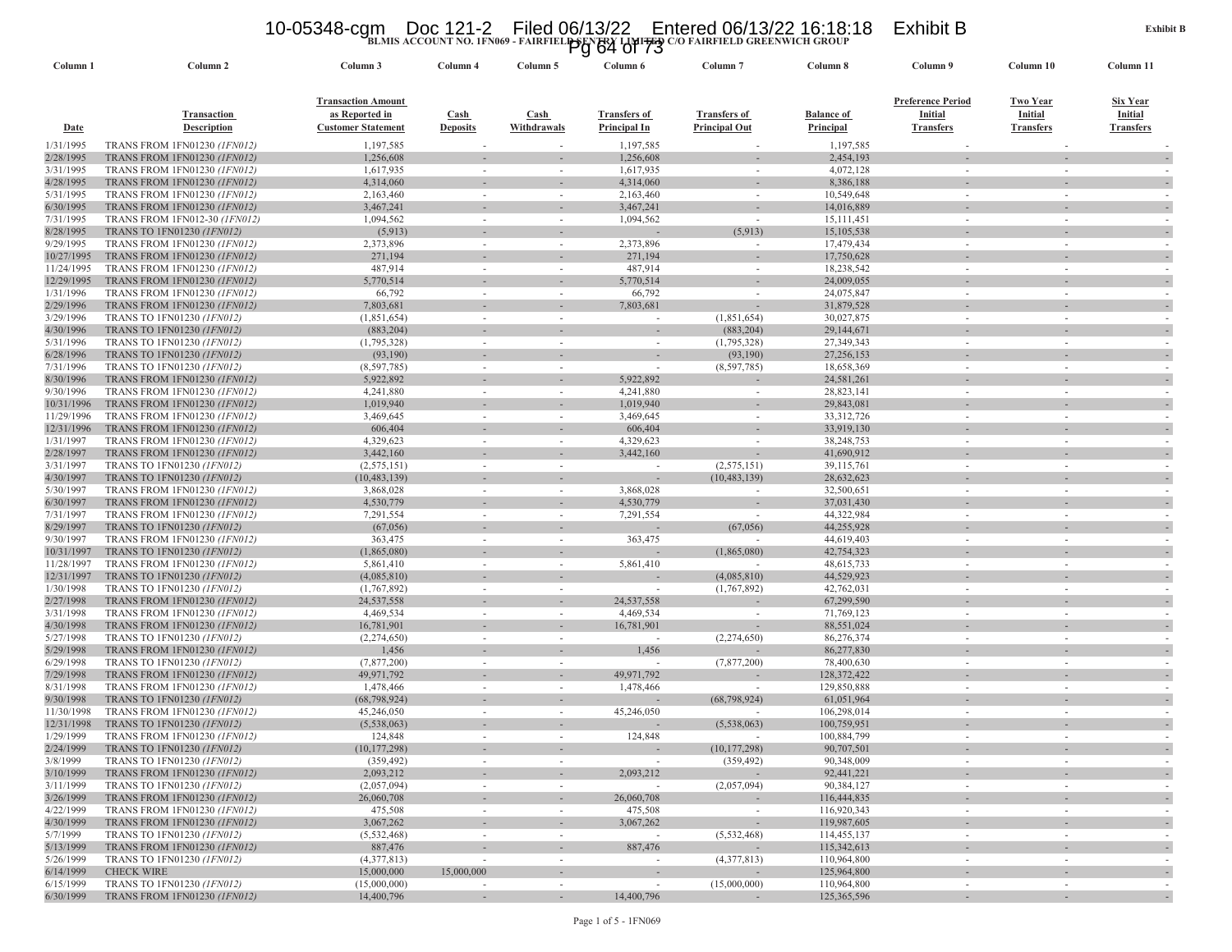### 10-05348-cgm Doc 121-2 Filed 06/13/22 Entered 06/13/22 16:18:18 Exhibit B<br>Pg 64 of 73<br>Pg 64 of 73

| Column 1               | Column <sub>2</sub>                                                        | Column 3                                    | Column 4                 | Column 5                           | Column 6                                   | Column <sub>7</sub>                         | Column 8                       | Column 9                    | Column 10                   | Column 11                   |
|------------------------|----------------------------------------------------------------------------|---------------------------------------------|--------------------------|------------------------------------|--------------------------------------------|---------------------------------------------|--------------------------------|-----------------------------|-----------------------------|-----------------------------|
|                        |                                                                            | <b>Transaction Amount</b>                   |                          |                                    |                                            |                                             |                                | <b>Preference Period</b>    | <b>Two Year</b>             | <b>Six Year</b>             |
| <b>Date</b>            | Transaction<br><b>Description</b>                                          | as Reported in<br><b>Customer Statement</b> | Cash<br><b>Deposits</b>  | Cash<br>Withdrawals                | <b>Transfers of</b><br><b>Principal In</b> | <b>Transfers of</b><br><b>Principal Out</b> | <b>Balance of</b><br>Principal | Initial<br><b>Transfers</b> | Initial<br><b>Transfers</b> | Initial<br><b>Transfers</b> |
|                        |                                                                            |                                             |                          |                                    |                                            |                                             |                                |                             |                             |                             |
| 1/31/1995              | <b>TRANS FROM 1FN01230 (1FN012)</b><br><b>TRANS FROM 1FN01230 (1FN012)</b> | 1,197,585                                   |                          |                                    | 1,197,585                                  |                                             | 1,197,585                      |                             |                             |                             |
| 2/28/1995<br>3/31/1995 | TRANS FROM 1FN01230 (1FN012)                                               | 1,256,608<br>1,617,935                      | $\sim$                   | $\sim$                             | 1,256,608<br>1,617,935                     | $\sim$                                      | 2,454,193<br>4,072,128         | $\sim$                      | $\sim$                      |                             |
| 4/28/1995              | <b>TRANS FROM 1FN01230 (IFN012)</b>                                        | 4,314,060                                   |                          |                                    | 4,314,060                                  |                                             | 8,386,188                      |                             |                             |                             |
| 5/31/1995              | TRANS FROM 1FN01230 (1FN012)                                               | 2,163,460                                   |                          | $\sim$                             | 2,163,460                                  | $\sim$                                      | 10,549,648                     | $\sim$                      |                             |                             |
| 6/30/1995              | <b>TRANS FROM 1FN01230 (1FN012)</b>                                        | 3,467,241                                   |                          |                                    | 3,467,241                                  |                                             | 14,016,889                     |                             |                             |                             |
| 7/31/1995              | TRANS FROM 1FN012-30 (1FN012)                                              | 1,094,562                                   |                          |                                    | 1,094,562                                  | $\overline{\phantom{a}}$                    | 15, 111, 451                   |                             |                             |                             |
| 8/28/1995              | TRANS TO 1FN01230 (1FN012)                                                 | (5,913)                                     |                          |                                    |                                            | (5,913)                                     | 15,105,538                     |                             |                             |                             |
| 9/29/1995              | TRANS FROM 1FN01230 (1FN012)                                               | 2,373,896                                   | $\sim$                   | $\sim$                             | 2,373,896                                  | $\sim$                                      | 17,479,434                     | $\sim$                      | $\sim$                      |                             |
| 10/27/1995             | TRANS FROM 1FN01230 (1FN012)                                               | 271,194                                     |                          |                                    | 271,194                                    |                                             | 17,750,628                     |                             |                             |                             |
| 11/24/1995             | TRANS FROM 1FN01230 (1FN012)                                               | 487,914                                     |                          | $\sim$                             | 487,914                                    | $\sim$                                      | 18,238,542                     |                             |                             |                             |
| 12/29/1995             | TRANS FROM 1FN01230 (1FN012)                                               | 5,770,514                                   |                          |                                    | 5,770,514                                  |                                             | 24,009,055                     |                             |                             |                             |
| 1/31/1996              | TRANS FROM 1FN01230 (1FN012)                                               | 66,792                                      |                          |                                    | 66,792                                     | $\sim$                                      | 24,075,847                     |                             |                             |                             |
| 2/29/1996<br>3/29/1996 | <b>TRANS FROM 1FN01230 (1FN012)</b><br>TRANS TO 1FN01230 (1FN012)          | 7,803,681<br>(1,851,654)                    |                          |                                    | 7,803,681                                  | (1,851,654)                                 | 31,879,528<br>30,027,875       |                             |                             |                             |
| 4/30/1996              | TRANS TO 1FN01230 (1FN012)                                                 | (883,204)                                   |                          |                                    |                                            | (883,204)                                   | 29,144,671                     |                             |                             |                             |
| 5/31/1996              | TRANS TO 1FN01230 (1FN012)                                                 | (1,795,328)                                 | $\sim$                   | $\sim$                             | $\sim$                                     | (1,795,328)                                 | 27,349,343                     | $\sim$                      | $\sim$                      |                             |
| 6/28/1996              | TRANS TO 1FN01230 (1FN012)                                                 | (93,190)                                    |                          |                                    |                                            | (93,190)                                    | 27,256,153                     |                             |                             |                             |
| 7/31/1996              | TRANS TO 1FN01230 (1FN012)                                                 | (8,597,785)                                 | $\sim$                   | $\sim$                             |                                            | (8,597,785)                                 | 18,658,369                     | $\sim$                      | $\sim$                      |                             |
| 8/30/1996              | <b>TRANS FROM 1FN01230 (IFN012)</b>                                        | 5,922,892                                   |                          |                                    | 5,922,892                                  |                                             | 24,581,261                     |                             |                             |                             |
| 9/30/1996              | TRANS FROM 1FN01230 (1FN012)                                               | 4,241,880                                   |                          | ٠                                  | 4,241,880                                  | $\sim$                                      | 28,823,141                     |                             |                             |                             |
| 10/31/1996             | TRANS FROM 1FN01230 (1FN012)                                               | 1,019,940                                   |                          |                                    | 1,019,940                                  |                                             | 29,843,081                     |                             |                             |                             |
| 11/29/1996             | <b>TRANS FROM 1FN01230 (1FN012)</b>                                        | 3,469,645                                   |                          | $\sim$                             | 3,469,645                                  | $\sim$                                      | 33, 312, 726                   | $\sim$                      |                             |                             |
| 12/31/1996             | TRANS FROM 1FN01230 (IFN012)                                               | 606,404                                     |                          |                                    | 606,404                                    |                                             | 33,919,130                     |                             |                             |                             |
| 1/31/1997              | TRANS FROM 1FN01230 (1FN012)                                               | 4,329,623                                   | $\sim$                   | $\sim$                             | 4,329,623                                  | $\sim$                                      | 38,248,753                     | $\sim$                      | $\sim$                      |                             |
| 2/28/1997              | <b>TRANS FROM 1FN01230 (1FN012)</b>                                        | 3,442,160                                   |                          |                                    | 3,442,160                                  |                                             | 41,690,912                     |                             |                             |                             |
| 3/31/1997              | TRANS TO 1FN01230 (1FN012)                                                 | (2, 575, 151)                               |                          |                                    | $\sim$                                     | (2,575,151)<br>(10, 483, 139)               | 39,115,761                     |                             |                             |                             |
| 4/30/1997<br>5/30/1997 | TRANS TO 1FN01230 (1FN012)<br>TRANS FROM 1FN01230 (1FN012)                 | (10, 483, 139)<br>3,868,028                 |                          | $\sim$                             | 3.868,028                                  | $\sim$                                      | 28,632,623<br>32,500,651       |                             |                             |                             |
| 6/30/1997              | <b>TRANS FROM 1FN01230 (IFN012)</b>                                        | 4,530,779                                   |                          |                                    | 4,530,779                                  |                                             | 37,031,430                     |                             |                             |                             |
| 7/31/1997              | TRANS FROM 1FN01230 (1FN012)                                               | 7,291,554                                   | $\sim$                   | $\sim$                             | 7,291,554                                  | $\sim$                                      | 44,322,984                     | $\sim$                      | $\sim$                      | $\sim$                      |
| 8/29/1997              | TRANS TO 1FN01230 (1FN012)                                                 | (67,056)                                    |                          |                                    |                                            | (67,056)                                    | 44,255,928                     |                             |                             |                             |
| 9/30/1997              | TRANS FROM 1FN01230 (1FN012)                                               | 363,475                                     | $\sim$                   | $\sim$                             | 363,475                                    | $\sim$                                      | 44,619,403                     | $\sim$                      |                             |                             |
| 10/31/1997             | TRANS TO 1FN01230 (1FN012)                                                 | (1,865,080)                                 |                          |                                    |                                            | (1,865,080)                                 | 42,754,323                     |                             |                             |                             |
| 11/28/1997             | TRANS FROM 1FN01230 (1FN012)                                               | 5,861,410                                   |                          | $\sim$                             | 5,861,410                                  |                                             | 48,615,733                     | $\sim$                      | $\sim$                      |                             |
| 12/31/1997             | TRANS TO 1FN01230 (1FN012)                                                 | (4,085,810)                                 |                          |                                    |                                            | (4,085,810)                                 | 44,529,923                     |                             |                             |                             |
| 1/30/1998              | TRANS TO 1FN01230 (1FN012)                                                 | (1,767,892)                                 | $\sim$                   | $\sim$                             | $\sim$                                     | (1,767,892)                                 | 42,762,031                     | $\sim$                      |                             | $\overline{\phantom{a}}$    |
| 2/27/1998              | TRANS FROM 1FN01230 (1FN012)                                               | 24,537,558                                  |                          |                                    | 24,537,558                                 |                                             | 67,299,590                     |                             |                             |                             |
| 3/31/1998              | TRANS FROM 1FN01230 (1FN012)                                               | 4,469,534                                   | $\sim$                   | $\sim$                             | 4,469,534                                  | $\sim$                                      | 71,769,123                     | $\sim$                      | $\sim$                      |                             |
| 4/30/1998              | <b>TRANS FROM 1FN01230 (IFN012)</b>                                        | 16,781,901                                  |                          |                                    | 16,781,901                                 |                                             | 88,551,024                     | $\sim$                      |                             |                             |
| 5/27/1998<br>5/29/1998 | TRANS TO 1FN01230 (1FN012)<br><b>TRANS FROM 1FN01230 (1FN012)</b>          | (2,274,650)<br>1,456                        | $\sim$                   |                                    | 1,456                                      | (2,274,650)                                 | 86,276,374<br>86,277,830       |                             |                             |                             |
| 6/29/1998              | TRANS TO 1FN01230 (1FN012)                                                 | (7,877,200)                                 |                          |                                    |                                            | (7,877,200)                                 | 78,400,630                     |                             |                             |                             |
| 7/29/1998              | <b>TRANS FROM 1FN01230 (IFN012)</b>                                        | 49,971,792                                  |                          |                                    | 49,971,792                                 |                                             | 128,372,422                    |                             |                             |                             |
| 8/31/1998              | <b>TRANS FROM 1FN01230 (1FN012)</b>                                        | 1,478,466                                   | $\sim$                   | $\sim$                             | 1,478,466                                  | $\overline{\phantom{a}}$                    | 129,850,888                    | $\sim$                      |                             |                             |
| 9/30/1998              | TRANS TO 1FN01230 (1FN012)                                                 | (68, 798, 924)                              |                          |                                    |                                            | (68, 798, 924)                              | 61,051,964                     |                             |                             |                             |
| 11/30/1998             | TRANS FROM 1FN01230 (1FN012)                                               | 45,246,050                                  |                          | $\sim$                             | 45,246,050                                 |                                             | 106,298,014                    | $\sim$                      | $\sim$                      |                             |
| 12/31/1998             | TRANS TO 1FN01230 (1FN012)                                                 | (5,538,063)                                 |                          |                                    |                                            | (5,538,063)                                 | 100,759,951                    |                             |                             |                             |
| 1/29/1999              | TRANS FROM 1FN01230 (1FN012)                                               | 124,848                                     |                          |                                    | 124,848                                    |                                             | 100,884,799                    |                             |                             |                             |
| 2/24/1999              | <b>TRANS TO 1FN01230 (1FN012)</b>                                          | (10, 177, 298)                              |                          |                                    |                                            | (10, 177, 298)                              | 90,707,501                     |                             |                             |                             |
| 3/8/1999               | TRANS TO 1FN01230 (1FN012)                                                 | (359, 492)                                  | $\sim$                   | $\sim$                             | $\sim$                                     | (359, 492)                                  | 90,348,009                     | $\sim$                      | $\sim$                      | $\sim$                      |
| 3/10/1999              | TRANS FROM 1FN01230 (1FN012)                                               | 2,093,212                                   |                          |                                    | 2,093,212                                  |                                             | 92,441,221                     |                             |                             |                             |
| 3/11/1999              | TRANS TO 1FN01230 (1FN012)                                                 | (2,057,094)                                 | $\sim$                   | $\sim$                             |                                            | (2,057,094)                                 | 90,384,127                     | $\sim$                      | $\sim$                      | $\sim$                      |
| 3/26/1999              | <b>TRANS FROM 1FN01230 (1FN012)</b><br><b>TRANS FROM 1FN01230 (1FN012)</b> | 26,060,708                                  |                          | $\overline{\phantom{a}}$           | 26,060,708                                 |                                             | 116,444,835                    | $\sim$                      |                             | $\sim$                      |
| 4/22/1999<br>4/30/1999 | <b>TRANS FROM 1FN01230 (1FN012)</b>                                        | 475,508<br>3,067,262                        | $\sim$<br>$\sim$         | $\sim$<br>$\overline{\phantom{a}}$ | 475,508<br>3,067,262                       | $\sim$<br>$\overline{\phantom{a}}$          | 116,920,343<br>119,987,605     |                             | $\sim$                      |                             |
| 5/7/1999               | TRANS TO 1FN01230 (1FN012)                                                 | (5,532,468)                                 |                          | $\overline{\phantom{a}}$           |                                            | (5,532,468)                                 | 114,455,137                    | ٠                           | $\overline{\phantom{a}}$    | ٠<br>$\sim$                 |
| 5/13/1999              | <b>TRANS FROM 1FN01230 (1FN012)</b>                                        | 887,476                                     |                          |                                    | 887,476                                    |                                             | 115,342,613                    |                             |                             |                             |
| 5/26/1999              | TRANS TO 1FN01230 (1FN012)                                                 | (4,377,813)                                 | $\sim$                   | $\sim$                             | $\sim$                                     | (4,377,813)                                 | 110,964,800                    | $\sim$                      | $\sim$                      | $\sim$                      |
| 6/14/1999              | <b>CHECK WIRE</b>                                                          | 15,000,000                                  | 15,000,000               |                                    |                                            |                                             | 125,964,800                    |                             |                             |                             |
| 6/15/1999              | TRANS TO 1FN01230 (1FN012)                                                 | (15,000,000)                                | $\overline{\phantom{a}}$ | $\sim$                             | $\sim$                                     | (15,000,000)                                | 110,964,800                    | ٠                           |                             |                             |
| 6/30/1999              | TRANS FROM 1FN01230 (IFN012)                                               | 14,400,796                                  | $\sim$                   | $\sim$                             | 14,400,796                                 |                                             | 125,365,596                    | $\sim$                      | $\sim$                      |                             |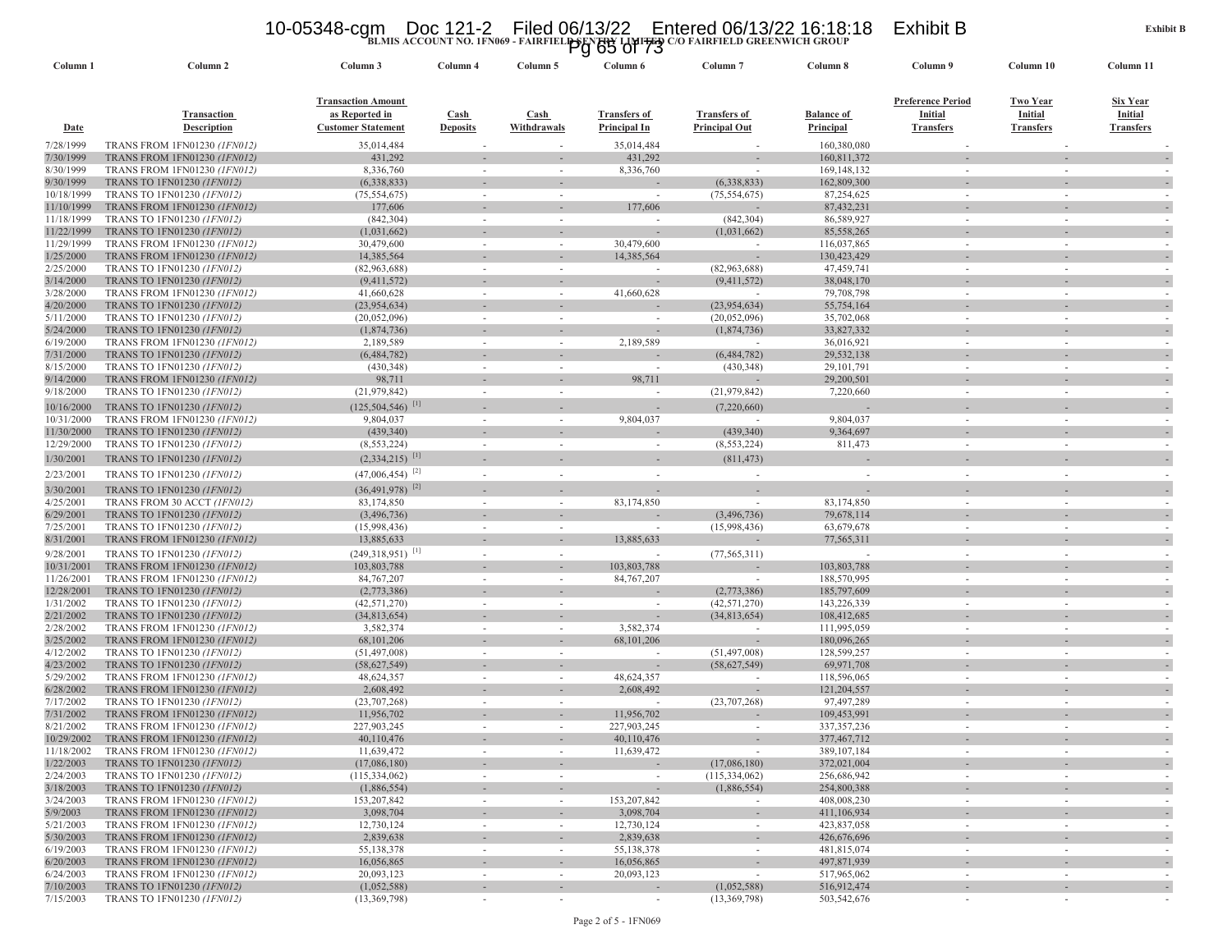### 10-05348-cgm Doc 121-2 Filed 06/13/22 Entered 06/13/22 16:18:18 Exhibit B<br>Pg 65 of 73<br><sup>20</sup> Pairfield greenwich group

| Column 1                 | Column <sub>2</sub>                                          | Column 3                         | Column 4                 | Column 5    | Column 6                               | Column <sub>7</sub>      | Column 8                   | Column 9                 | Column 10        | Column 11                     |
|--------------------------|--------------------------------------------------------------|----------------------------------|--------------------------|-------------|----------------------------------------|--------------------------|----------------------------|--------------------------|------------------|-------------------------------|
|                          |                                                              |                                  |                          |             |                                        |                          |                            |                          |                  |                               |
|                          |                                                              | <b>Transaction Amount</b>        |                          |             |                                        |                          |                            | <b>Preference Period</b> | Two Year         | Six Year                      |
|                          | <b>Transaction</b>                                           | as Reported in                   | Cash                     | Cash        | <b>Transfers of</b>                    | <b>Transfers of</b>      | <b>Balance of</b>          | Initial                  | Initial          | Initial                       |
| <b>Date</b>              | <b>Description</b>                                           | <b>Customer Statement</b>        | <b>Deposits</b>          | Withdrawals | Principal In                           | <b>Principal Out</b>     | Principal                  | <b>Transfers</b>         | <b>Transfers</b> | <b>Transfers</b>              |
| 7/28/1999                | <b>TRANS FROM 1FN01230 (1FN012)</b>                          | 35,014,484                       |                          |             | 35,014,484                             |                          | 160,380,080                |                          |                  |                               |
| 7/30/1999                | TRANS FROM 1FN01230 (1FN012)                                 | 431,292                          |                          |             | 431,292                                |                          | 160,811,372                |                          |                  | $\overline{\phantom{a}}$      |
| 8/30/1999                | TRANS FROM 1FN01230 (1FN012)                                 | 8,336,760                        | $\overline{\phantom{a}}$ | $\sim$      | 8,336,760                              |                          | 169, 148, 132              |                          |                  |                               |
| 9/30/1999                | TRANS TO 1FN01230 (1FN012)                                   | (6,338,833)                      |                          |             |                                        | (6,338,833)              | 162,809,300                |                          |                  |                               |
| 10/18/1999               | TRANS TO 1FN01230 (1FN012)                                   | (75, 554, 675)                   | $\sim$                   | $\sim$      | $\sim$                                 | (75, 554, 675)           | 87,254,625                 | $\sim$                   |                  |                               |
| 11/10/1999               | TRANS FROM 1FN01230 (1FN012)                                 | 177,606                          |                          |             | 177,606                                |                          | 87,432,231                 |                          |                  |                               |
| 11/18/1999               | TRANS TO 1FN01230 (1FN012)                                   | (842, 304)                       | $\overline{\phantom{a}}$ |             | $\overline{\phantom{a}}$               | (842, 304)               | 86,589,927                 | $\sim$                   |                  |                               |
| 11/22/1999<br>11/29/1999 | TRANS TO 1FN01230 (1FN012)<br>TRANS FROM 1FN01230 (1FN012)   | (1,031,662)<br>30,479,600        | $\sim$                   | $\sim$      | 30,479,600                             | (1,031,662)              | 85,558,265<br>116,037,865  | $\sim$                   |                  |                               |
| 1/25/2000                | <b>TRANS FROM 1FN01230 (1FN012)</b>                          | 14,385,564                       |                          |             | 14,385,564                             |                          | 130,423,429                |                          |                  |                               |
| 2/25/2000                | TRANS TO 1FN01230 (1FN012)                                   | (82,963,688)                     | $\overline{\phantom{a}}$ |             |                                        | (82,963,688)             | 47,459,741                 |                          |                  |                               |
| 3/14/2000                | TRANS TO 1FN01230 (IFN012)                                   | (9,411,572)                      |                          |             |                                        | (9,411,572)              | 38,048,170                 |                          |                  |                               |
| 3/28/2000                | TRANS FROM 1FN01230 (1FN012)                                 | 41,660,628                       | $\sim$                   | $\sim$      | 41,660,628                             | $\sim$                   | 79,708,798                 | $\sim$                   |                  |                               |
| 4/20/2000                | TRANS TO 1FN01230 (1FN012)                                   | (23,954,634)                     |                          |             |                                        | (23, 954, 634)           | 55,754,164                 |                          |                  |                               |
| 5/11/2000                | TRANS TO 1FN01230 (1FN012)                                   | (20,052,096)                     | $\overline{\phantom{a}}$ |             | $\overline{\phantom{a}}$               | (20,052,096)             | 35,702,068                 | $\sim$                   |                  |                               |
| 5/24/2000                | TRANS TO 1FN01230 (IFN012)                                   | (1,874,736)                      |                          |             |                                        | (1,874,736)              | 33,827,332                 |                          |                  |                               |
| 6/19/2000                | TRANS FROM 1FN01230 (1FN012)                                 | 2,189,589                        | $\overline{\phantom{a}}$ |             | 2,189,589                              |                          | 36,016,921                 |                          |                  |                               |
| 7/31/2000                | TRANS TO 1FN01230 (1FN012)                                   | (6,484,782)                      |                          |             |                                        | (6,484,782)              | 29,532,138                 |                          |                  |                               |
| 8/15/2000                | TRANS TO 1FN01230 (1FN012)                                   | (430, 348)                       | $\sim$                   |             |                                        | (430, 348)               | 29, 101, 791               |                          |                  |                               |
| 9/14/2000                | TRANS FROM 1FN01230 (IFN012)                                 | 98,711                           |                          |             | 98,711                                 |                          | 29,200,501                 |                          |                  |                               |
| 9/18/2000                | TRANS TO 1FN01230 (IFN012)                                   | (21, 979, 842)                   | $\sim$                   | $\sim$      | $\overline{\phantom{a}}$               | (21, 979, 842)           | 7,220,660                  | $\sim$                   | $\sim$           | $\overline{\phantom{a}}$      |
| 10/16/2000               | TRANS TO 1FN01230 (1FN012)                                   | $(125, 504, 546)$ <sup>[1]</sup> |                          |             |                                        | (7,220,660)              |                            |                          |                  |                               |
| 10/31/2000               | <b>TRANS FROM 1FN01230 (1FN012)</b>                          | 9,804,037                        | $\sim$                   | $\sim$      | 9,804,037                              | $\overline{\phantom{a}}$ | 9,804,037                  | $\sim$                   | $\sim$           | $\sim$                        |
| 11/30/2000               | TRANS TO 1FN01230 (1FN012)                                   | (439, 340)                       |                          |             |                                        | (439, 340)               | 9,364,697                  |                          |                  |                               |
| 12/29/2000               | TRANS TO 1FN01230 (IFN012)                                   | (8, 553, 224)                    | $\overline{\phantom{a}}$ | $\sim$      | $\sim$                                 | (8, 553, 224)            | 811,473                    | $\sim$                   |                  |                               |
| 1/30/2001                | TRANS TO 1FN01230 (1FN012)                                   | $(2.334.215)$ <sup>[1]</sup>     |                          |             |                                        | (811, 473)               |                            |                          |                  |                               |
| 2/23/2001                | TRANS TO 1FN01230 (IFN012)                                   | $(47,006,454)^{[2]}$             | $\overline{\phantom{a}}$ | $\sim$      | $\sim$                                 |                          | $\sim$                     | $\sim$                   | $\sim$           |                               |
| 3/30/2001                | TRANS TO 1FN01230 (1FN012)                                   | $(36,491,978)$ <sup>[2]</sup>    |                          |             |                                        |                          |                            |                          |                  |                               |
| 4/25/2001                | TRANS FROM 30 ACCT (IFN012)                                  | 83,174,850                       | $\sim$                   | $\sim$      | 83,174,850                             | $\sim$                   | 83,174,850                 | $\sim$                   |                  |                               |
| 6/29/2001                | TRANS TO 1FN01230 (IFN012)                                   | (3,496,736)                      |                          |             |                                        | (3,496,736)              | 79,678,114                 |                          |                  |                               |
| 7/25/2001                | TRANS TO 1FN01230 (1FN012)                                   | (15,998,436)                     | $\overline{\phantom{a}}$ | $\sim$      | $\overline{\phantom{a}}$               | (15,998,436)             | 63,679,678                 | $\sim$                   |                  |                               |
| 8/31/2001                | TRANS FROM 1FN01230 (IFN012)                                 | 13,885,633                       |                          |             | 13,885,633                             |                          | 77,565,311                 |                          |                  |                               |
| 9/28/2001                | TRANS TO 1FN01230 (1FN012)                                   | $(249,318,951)^{11}$             | ٠                        |             | ٠                                      | (77, 565, 311)           | ÷.                         | $\sim$                   |                  |                               |
| 10/31/2001               | TRANS FROM 1FN01230 (IFN012)                                 | 103,803,788                      |                          |             | 103,803,788                            |                          | 103,803,788                |                          |                  |                               |
| 11/26/2001               | TRANS FROM 1FN01230 (1FN012)                                 | 84, 767, 207                     | $\overline{\phantom{a}}$ | $\sim$      | 84, 767, 207                           |                          | 188,570,995                | $\sim$                   |                  | $\overline{\phantom{a}}$      |
| 12/28/2001               | TRANS TO 1FN01230 (IFN012)                                   | (2,773,386)                      |                          |             |                                        | (2,773,386)              | 185,797,609                |                          |                  |                               |
| 1/31/2002                | TRANS TO 1FN01230 (1FN012)                                   | (42, 571, 270)                   | $\overline{\phantom{a}}$ |             | $\sim$                                 | (42, 571, 270)           | 143,226,339                |                          |                  |                               |
| 2/21/2002                | TRANS TO 1FN01230 (1FN012)                                   | (34,813,654)                     |                          |             |                                        | (34,813,654)             | 108,412,685                |                          |                  |                               |
| 2/28/2002                | <b>TRANS FROM 1FN01230 (1FN012)</b>                          | 3,582,374                        | $\sim$                   | $\sim$      | 3,582,374                              | $\sim$                   | 111,995,059                |                          |                  |                               |
| 3/25/2002<br>4/12/2002   | TRANS FROM 1FN01230 (IFN012)<br>TRANS TO 1FN01230 (1FN012)   | 68, 101, 206<br>(51, 497, 008)   | $\sim$                   | $\sim$      | 68,101,206<br>$\overline{\phantom{a}}$ | (51, 497, 008)           | 180,096,265<br>128,599,257 | $\sim$                   |                  | $\overline{\phantom{a}}$      |
| 4/23/2002                | TRANS TO 1FN01230 (1FN012)                                   | (58, 627, 549)                   |                          |             |                                        | (58, 627, 549)           | 69,971,708                 |                          |                  |                               |
| 5/29/2002                | TRANS FROM 1FN01230 (1FN012)                                 | 48,624,357                       |                          |             | 48,624,357                             |                          | 118,596,065                |                          |                  |                               |
| 6/28/2002                | TRANS FROM 1FN01230 (IFN012)                                 | 2,608,492                        |                          |             | 2,608,492                              |                          | 121,204,557                |                          |                  |                               |
| 7/17/2002                | TRANS TO 1FN01230 (1FN012)                                   | (23,707,268)                     |                          |             | $\overline{\phantom{a}}$               | (23,707,268)             | 97,497,289                 |                          |                  |                               |
| 7/31/2002                | TRANS FROM 1FN01230 (1FN012)                                 | 11,956,702                       |                          |             | 11,956,702                             |                          | 109,453,991                |                          |                  |                               |
| 8/21/2002                | <b>TRANS FROM 1FN01230 (1FN012)</b>                          | 227,903,245                      | $\sim$                   | $\sim$      | 227,903,245                            | $\sim$                   | 337, 357, 236              | $\sim$                   |                  |                               |
| 10/29/2002               | <b>TRANS FROM 1FN01230 (1FN012)</b>                          | 40,110,476                       |                          |             | 40,110,476                             |                          | 377,467,712                |                          |                  |                               |
| 11/18/2002               | <b>TRANS FROM 1FN01230 (IFN012)</b>                          | 11,639,472                       |                          |             | 11,639,472                             |                          | 389, 107, 184              |                          |                  |                               |
| 1/22/2003                | TRANS TO 1FN01230 (1FN012)                                   | (17,086,180)                     |                          |             |                                        | (17,086,180)             | 372,021,004                |                          |                  | $\overline{\phantom{a}}$      |
| 2/24/2003                | TRANS TO 1FN01230 (1FN012)                                   | (115, 334, 062)                  | $\overline{\phantom{a}}$ | $\sim$      |                                        | (115, 334, 062)          | 256,686,942                | $\sim$                   | $\sim$           | $\sim$                        |
| 3/18/2003                | TRANS TO 1FN01230 (1FN012)                                   | (1,886,554)                      | $\overline{\phantom{a}}$ |             |                                        | (1,886,554)              | 254,800,388                |                          |                  |                               |
| 3/24/2003                | <b>TRANS FROM 1FN01230 (1FN012)</b>                          | 153,207,842                      | $\sim$                   | $\sim$      | 153,207,842                            |                          | 408,008,230                | $\sim$                   | $\sim$           | $\overline{\phantom{a}}$      |
| 5/9/2003<br>5/21/2003    | TRANS FROM 1FN01230 (1FN012)                                 | 3,098,704<br>12,730,124          |                          |             | 3,098,704<br>12,730,124                |                          | 411,106,934<br>423,837,058 |                          |                  |                               |
| 5/30/2003                | TRANS FROM 1FN01230 (1FN012)<br>TRANS FROM 1FN01230 (1FN012) | 2,839,638                        | $\overline{\phantom{a}}$ | $\sim$      | 2,839,638                              |                          | 426,676,696                | $\sim$                   | $\sim$           |                               |
| 6/19/2003                | TRANS FROM 1FN01230 (1FN012)                                 | 55,138,378                       | $\sim$                   | $\sim$      | 55,138,378                             | $\sim$                   | 481,815,074                | ٠                        | $\sim$           | ٠<br>$\overline{\phantom{a}}$ |
| 6/20/2003                | TRANS FROM 1FN01230 (1FN012)                                 | 16,056,865                       | $\overline{\phantom{a}}$ | $\sim$      | 16,056,865                             | $\overline{\phantom{a}}$ | 497,871,939                |                          |                  | $\overline{\phantom{a}}$      |
| 6/24/2003                | TRANS FROM 1FN01230 (1FN012)                                 | 20,093,123                       | $\overline{\phantom{a}}$ | $\sim$      | 20,093,123                             | $\sim$                   | 517,965,062                |                          |                  |                               |
| 7/10/2003                | TRANS TO 1FN01230 (1FN012)                                   | (1,052,588)                      |                          |             |                                        | (1,052,588)              | 516,912,474                |                          |                  |                               |
| 7/15/2003                | TRANS TO 1FN01230 (1FN012)                                   | (13,369,798)                     | $\overline{\phantom{a}}$ | $\sim$      | $\sim$                                 | (13,369,798)             | 503,542,676                | $\sim$                   | $\sim$           |                               |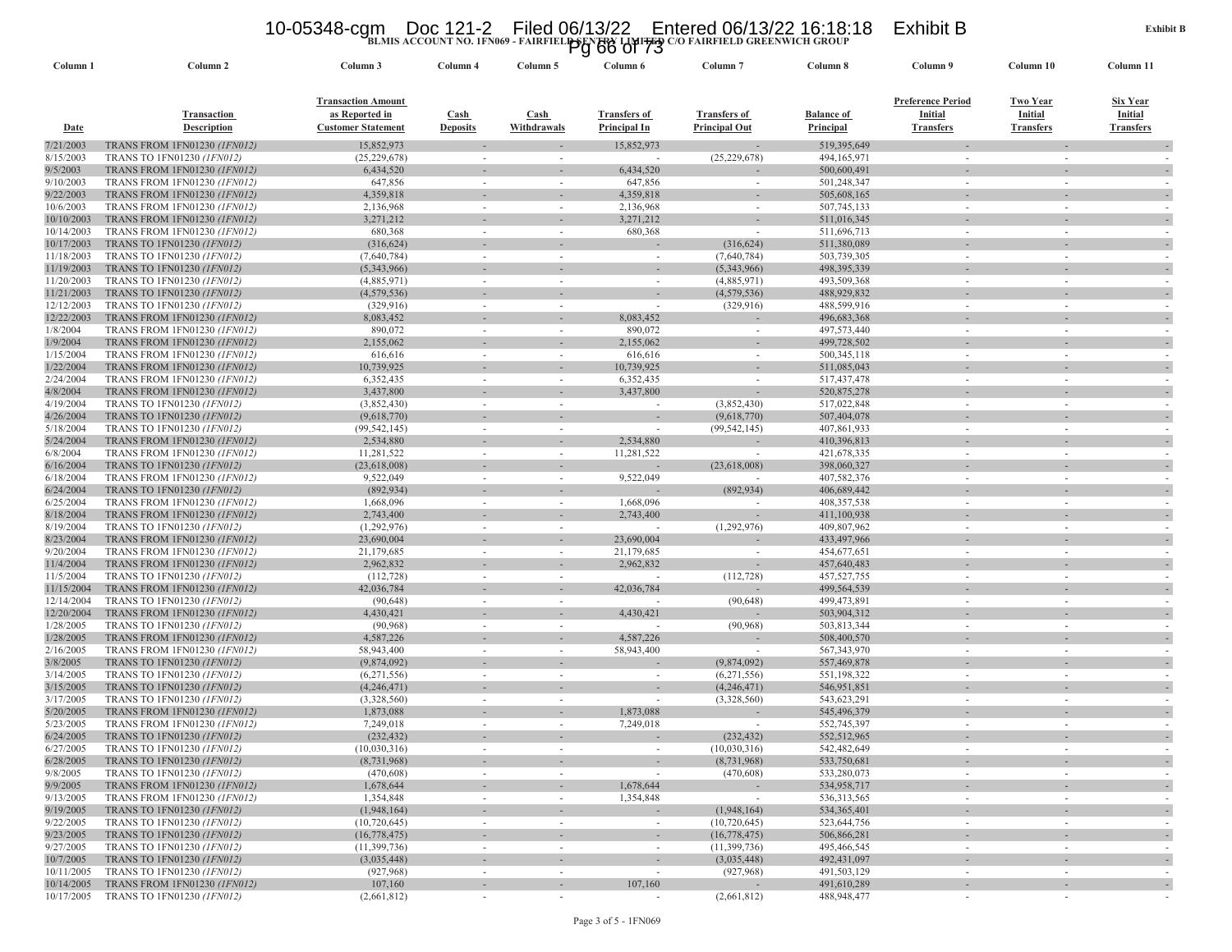### 10-05348-cgm Doc 121-2 Filed 06/13/22 Entered 06/13/22 16:18:18 Exhibit B<br>Pg 66 of 73<br>Pg 66 of 73

|                          |                                                                     |                                                                          |                                | ' ש                                  |                                     |                                             |                                |                                                         |                                                       |                                                |
|--------------------------|---------------------------------------------------------------------|--------------------------------------------------------------------------|--------------------------------|--------------------------------------|-------------------------------------|---------------------------------------------|--------------------------------|---------------------------------------------------------|-------------------------------------------------------|------------------------------------------------|
| Column <sub>1</sub>      | Column <sub>2</sub>                                                 | Column 3                                                                 | Column 4                       | Column 5                             | Column 6                            | Column 7                                    | Column 8                       | Column 9                                                | Column 10                                             | Column 11                                      |
| <b>Date</b>              | Transaction<br><b>Description</b>                                   | <b>Transaction Amount</b><br>as Reported in<br><b>Customer Statement</b> | <b>Cash</b><br><b>Deposits</b> | $\operatorname{Cash}$<br>Withdrawals | <b>Transfers of</b><br>Principal In | <b>Transfers of</b><br><b>Principal Out</b> | <b>Balance of</b><br>Principal | <b>Preference Period</b><br>Initial<br><b>Transfers</b> | <u>Two Year</u><br><b>Initial</b><br><b>Transfers</b> | Six Year<br><b>Initial</b><br><b>Transfers</b> |
| 7/21/2003                | <b>TRANS FROM 1FN01230 (IFN012)</b>                                 | 15,852,973                                                               |                                |                                      | 15,852,973                          |                                             | 519,395,649                    |                                                         |                                                       |                                                |
| 8/15/2003                | TRANS TO 1FN01230 (1FN012)                                          | (25, 229, 678)                                                           | $\overline{\phantom{a}}$       | $\sim$                               |                                     | (25, 229, 678)                              | 494,165,971                    | $\sim$                                                  |                                                       |                                                |
| 9/5/2003                 | TRANS FROM 1FN01230 (1FN012)                                        | 6,434,520                                                                |                                |                                      | 6,434,520                           |                                             | 500,600,491                    |                                                         |                                                       |                                                |
| 9/10/2003                | TRANS FROM 1FN01230 (1FN012)                                        | 647,856                                                                  |                                | $\overline{\phantom{a}}$             | 647,856                             | $\sim$                                      | 501,248,347                    |                                                         |                                                       |                                                |
| 9/22/2003                | TRANS FROM 1FN01230 (1FN012)                                        | 4,359,818                                                                |                                |                                      | 4,359,818                           |                                             | 505,608,165                    |                                                         |                                                       |                                                |
| 10/6/2003<br>10/10/2003  | TRANS FROM 1FN01230 (1FN012)<br>TRANS FROM 1FN01230 (IFN012)        | 2,136,968<br>3,271,212                                                   |                                | $\overline{\phantom{a}}$             | 2,136,968<br>3,271,212              | $\sim$<br>$\overline{\phantom{a}}$          | 507,745,133<br>511,016,345     |                                                         |                                                       |                                                |
| 10/14/2003               | <b>TRANS FROM 1FN01230 (1FN012)</b>                                 | 680,368                                                                  |                                | ٠                                    | 680,368                             | $\sim$                                      | 511,696,713                    |                                                         |                                                       |                                                |
| 10/17/2003               | TRANS TO 1FN01230 (1FN012)                                          | (316, 624)                                                               |                                |                                      |                                     | (316, 624)                                  | 511,380,089                    |                                                         |                                                       |                                                |
| 11/18/2003               | TRANS TO 1FN01230 (1FN012)                                          | (7,640,784)                                                              |                                | $\sim$                               | $\overline{\phantom{a}}$            | (7,640,784)                                 | 503,739,305                    |                                                         |                                                       |                                                |
| 11/19/2003               | TRANS TO 1FN01230 (1FN012)                                          | (5,343,966)                                                              |                                |                                      |                                     | (5,343,966)                                 | 498, 395, 339                  |                                                         |                                                       |                                                |
| 11/20/2003               | TRANS TO 1FN01230 (1FN012)                                          | (4,885,971)                                                              |                                |                                      | $\sim$                              | (4,885,971)                                 | 493,509,368                    |                                                         |                                                       |                                                |
| 11/21/2003               | TRANS TO 1FN01230 (1FN012)                                          | (4,579,536)                                                              |                                |                                      |                                     | (4,579,536)                                 | 488,929,832                    |                                                         |                                                       |                                                |
| 12/12/2003               | TRANS TO 1FN01230 (1FN012)                                          | (329, 916)                                                               |                                |                                      |                                     | (329, 916)                                  | 488,599,916                    |                                                         |                                                       |                                                |
| 12/22/2003               | TRANS FROM 1FN01230 (1FN012)                                        | 8,083,452                                                                |                                |                                      | 8,083,452                           |                                             | 496,683,368                    |                                                         |                                                       |                                                |
| 1/8/2004                 | <b>TRANS FROM 1FN01230 (IFN012)</b>                                 | 890,072                                                                  |                                |                                      | 890,072                             | $\sim$                                      | 497,573,440                    |                                                         |                                                       |                                                |
| 1/9/2004                 | TRANS FROM 1FN01230 (1FN012)                                        | 2,155,062                                                                |                                |                                      | 2,155,062                           |                                             | 499,728,502                    |                                                         |                                                       |                                                |
| 1/15/2004                | TRANS FROM 1FN01230 (1FN012)                                        | 616,616                                                                  | $\sim$                         | $\sim$                               | 616,616                             | $\sim$                                      | 500, 345, 118                  | $\sim$                                                  | $\sim$                                                |                                                |
| 1/22/2004                | <b>TRANS FROM 1FN01230 (1FN012)</b>                                 | 10,739,925                                                               |                                |                                      | 10,739,925                          |                                             | 511,085,043                    |                                                         |                                                       |                                                |
| 2/24/2004                | TRANS FROM 1FN01230 (1FN012)                                        | 6,352,435                                                                |                                | $\sim$                               | 6,352,435                           | $\sim$                                      | 517,437,478                    |                                                         |                                                       |                                                |
| 4/8/2004                 | TRANS FROM 1FN01230 (1FN012)                                        | 3,437,800                                                                |                                |                                      | 3,437,800                           |                                             | 520,875,278                    |                                                         |                                                       |                                                |
| 4/19/2004<br>4/26/2004   | TRANS TO 1FN01230 (1FN012)<br>TRANS TO 1FN01230 (1FN012)            | (3,852,430)<br>(9,618,770)                                               |                                | ٠                                    | $\overline{\phantom{a}}$            | (3,852,430)<br>(9,618,770)                  | 517,022,848<br>507,404,078     |                                                         |                                                       |                                                |
| 5/18/2004                | TRANS TO 1FN01230 (1FN012)                                          | (99, 542, 145)                                                           | $\sim$                         | $\sim$                               | $\sim$                              | (99, 542, 145)                              | 407,861,933                    | $\sim$                                                  |                                                       |                                                |
| 5/24/2004                | <b>TRANS FROM 1FN01230 (1FN012)</b>                                 | 2,534,880                                                                |                                |                                      | 2,534,880                           |                                             | 410,396,813                    |                                                         |                                                       |                                                |
| 6/8/2004                 | TRANS FROM 1FN01230 (1FN012)                                        | 11,281,522                                                               |                                | $\sim$                               | 11,281,522                          | $\overline{\phantom{a}}$                    | 421,678,335                    |                                                         |                                                       |                                                |
| 6/16/2004                | TRANS TO 1FN01230 (1FN012)                                          | (23,618,008)                                                             |                                |                                      |                                     | (23, 618, 008)                              | 398,060,327                    |                                                         |                                                       |                                                |
| 6/18/2004                | <b>TRANS FROM 1FN01230 (1FN012)</b>                                 | 9,522,049                                                                |                                | $\sim$                               | 9,522,049                           |                                             | 407,582,376                    |                                                         |                                                       |                                                |
| 6/24/2004                | TRANS TO 1FN01230 (1FN012)                                          | (892, 934)                                                               |                                |                                      |                                     | (892, 934)                                  | 406,689,442                    |                                                         |                                                       |                                                |
| 6/25/2004                | <b>TRANS FROM 1FN01230 (IFN012)</b>                                 | 1,668,096                                                                |                                | ٠                                    | 1,668,096                           |                                             | 408, 357, 538                  |                                                         |                                                       |                                                |
| 8/18/2004                | TRANS FROM 1FN01230 (IFN012)                                        | 2,743,400                                                                |                                |                                      | 2,743,400                           |                                             | 411,100,938                    |                                                         |                                                       |                                                |
| 8/19/2004                | TRANS TO 1FN01230 (1FN012)                                          | (1,292,976)                                                              |                                | $\sim$                               | $\sim$                              | (1,292,976)                                 | 409,807,962                    | $\sim$                                                  | $\sim$                                                |                                                |
| 8/23/2004                | <b>TRANS FROM 1FN01230 (IFN012)</b>                                 | 23,690,004                                                               |                                |                                      | 23,690,004                          |                                             | 433,497,966                    |                                                         |                                                       |                                                |
| 9/20/2004<br>11/4/2004   | TRANS FROM 1FN01230 (1FN012)<br>TRANS FROM 1FN01230 (1FN012)        | 21,179,685<br>2,962,832                                                  | $\sim$                         | $\sim$                               | 21,179,685<br>2,962,832             | $\sim$                                      | 454,677,651<br>457,640,483     | $\sim$                                                  | $\sim$                                                |                                                |
| 11/5/2004                | TRANS TO 1FN01230 (1FN012)                                          | (112, 728)                                                               |                                | ٠                                    |                                     | $\overline{\phantom{a}}$<br>(112, 728)      | 457,527,755                    |                                                         |                                                       |                                                |
| 11/15/2004               | TRANS FROM 1FN01230 (1FN012)                                        | 42,036,784                                                               |                                |                                      | 42,036,784                          |                                             | 499,564,539                    |                                                         |                                                       |                                                |
| 12/14/2004               | TRANS TO 1FN01230 (1FN012)                                          | (90, 648)                                                                |                                |                                      | $\sim$                              | (90, 648)                                   | 499,473,891                    |                                                         |                                                       |                                                |
| 12/20/2004               | TRANS FROM 1FN01230 (IFN012)                                        | 4,430,421                                                                |                                |                                      | 4,430,421                           |                                             | 503,904,312                    |                                                         |                                                       |                                                |
| 1/28/2005                | TRANS TO 1FN01230 (1FN012)                                          | (90, 968)                                                                | $\sim$                         | $\sim$                               |                                     | (90, 968)                                   | 503,813,344                    | $\sim$                                                  | $\sim$                                                |                                                |
| 1/28/2005                | TRANS FROM 1FN01230 (IFN012)                                        | 4,587,226                                                                |                                |                                      | 4,587,226                           |                                             | 508,400,570                    |                                                         |                                                       |                                                |
| 2/16/2005                | TRANS FROM 1FN01230 (1FN012)                                        | 58,943,400                                                               |                                | ٠                                    | 58,943,400                          | $\sim$                                      | 567, 343, 970                  |                                                         |                                                       |                                                |
| 3/8/2005                 | TRANS TO 1FN01230 (1FN012)                                          | (9,874,092)                                                              |                                |                                      |                                     | (9,874,092)                                 | 557,469,878                    |                                                         |                                                       |                                                |
| 3/14/2005                | TRANS TO 1FN01230 (1FN012)                                          | (6,271,556)                                                              |                                |                                      | $\sim$                              | (6,271,556)                                 | 551,198,322                    |                                                         |                                                       |                                                |
| 3/15/2005                | TRANS TO 1FN01230 (1FN012)                                          | (4,246,471)                                                              |                                |                                      |                                     | (4,246,471)                                 | 546,951,851                    |                                                         |                                                       |                                                |
| 3/17/2005                | TRANS TO 1FN01230 (1FN012)                                          | (3,328,560)                                                              | $\sim$                         | $\sim$                               | $\sim$                              | (3,328,560)                                 | 543,623,291<br>545,496,379     | $\sim$                                                  |                                                       |                                                |
| 5/20/2005<br>5/23/2005   | TRANS FROM 1FN01230 (IFN012)<br><b>TRANS FROM 1FN01230 (IFN012)</b> | 1,873,088<br>7,249,018                                                   |                                |                                      | 1,873,088<br>7,249,018              | $\sim$                                      | 552,745,397                    |                                                         |                                                       |                                                |
| 6/24/2005                | TRANS TO 1FN01230 (1FN012)                                          | (232, 432)                                                               |                                |                                      |                                     | (232, 432)                                  | 552,512,965                    |                                                         |                                                       |                                                |
| 6/27/2005                | TRANS TO 1FN01230 (1FN012)                                          | (10,030,316)                                                             |                                |                                      |                                     | (10,030,316)                                | 542,482,649                    |                                                         |                                                       |                                                |
| 6/28/2005                | TRANS TO 1FN01230 (IFN012)                                          | (8, 731, 968)                                                            |                                |                                      |                                     | (8,731,968)                                 | 533,750,681                    |                                                         |                                                       |                                                |
| 9/8/2005                 | TRANS TO 1FN01230 (1FN012)                                          | (470,608)                                                                | $\sim$                         | $\sim$                               |                                     | (470,608)                                   | 533,280,073                    | $\sim$                                                  | $\sim$                                                | $\sim$                                         |
| 9/9/2005                 | TRANS FROM 1FN01230 (IFN012)                                        | 1,678,644                                                                |                                |                                      | 1,678,644                           |                                             | 534,958,717                    |                                                         |                                                       |                                                |
| 9/13/2005                | <b>TRANS FROM 1FN01230 (1FN012)</b>                                 | 1,354,848                                                                | $\overline{\phantom{a}}$       | $\overline{\phantom{a}}$             | 1,354,848                           | $\overline{\phantom{a}}$                    | 536, 313, 565                  | $\overline{\phantom{a}}$                                | $\sim$                                                |                                                |
| 9/19/2005                | TRANS TO 1FN01230 (1FN012)                                          | (1,948,164)                                                              |                                | $\overline{\phantom{a}}$             |                                     | (1,948,164)                                 | 534, 365, 401                  |                                                         |                                                       |                                                |
| 9/22/2005                | TRANS TO 1FN01230 (1FN012)                                          | (10, 720, 645)                                                           | $\sim$                         | $\sim$                               | $\sim$                              | (10,720,645)                                | 523,644,756                    | $\sim$                                                  | $\overline{\phantom{a}}$                              | $\sim$                                         |
| 9/23/2005                | TRANS TO 1FN01230 (1FN012)                                          | (16, 778, 475)                                                           | $\overline{\phantom{a}}$       | $\overline{\phantom{a}}$             | $\sim$                              | (16, 778, 475)                              | 506,866,281                    |                                                         | $\overline{\phantom{a}}$                              | $\sim$                                         |
| 9/27/2005                | TRANS TO 1FN01230 (1FN012)                                          | (11,399,736)                                                             | $\overline{\phantom{a}}$       | $\sim$                               | $\sim$                              | (11,399,736)                                | 495,466,545                    | ٠                                                       | $\sim$                                                | $\sim$                                         |
| 10/7/2005                | TRANS TO 1FN01230 (1FN012)                                          | (3,035,448)                                                              |                                |                                      |                                     | (3,035,448)                                 | 492, 431, 097                  |                                                         |                                                       |                                                |
| 10/11/2005<br>10/14/2005 | TRANS TO 1FN01230 (1FN012)                                          | (927, 968)                                                               | $\sim$                         | $\sim$                               | $\sim$<br>107,160                   | (927, 968)                                  | 491,503,129                    | $\overline{\phantom{a}}$                                | $\sim$                                                | $\sim$                                         |
| 10/17/2005               | TRANS FROM 1FN01230 (IFN012)<br>TRANS TO 1FN01230 (1FN012)          | 107,160<br>(2,661,812)                                                   | $\sim$                         | $\sim$                               | $\sim$                              | (2,661,812)                                 | 491,610,289<br>488,948,477     | $\sim$                                                  | $\sim$                                                |                                                |
|                          |                                                                     |                                                                          |                                |                                      |                                     |                                             |                                |                                                         |                                                       |                                                |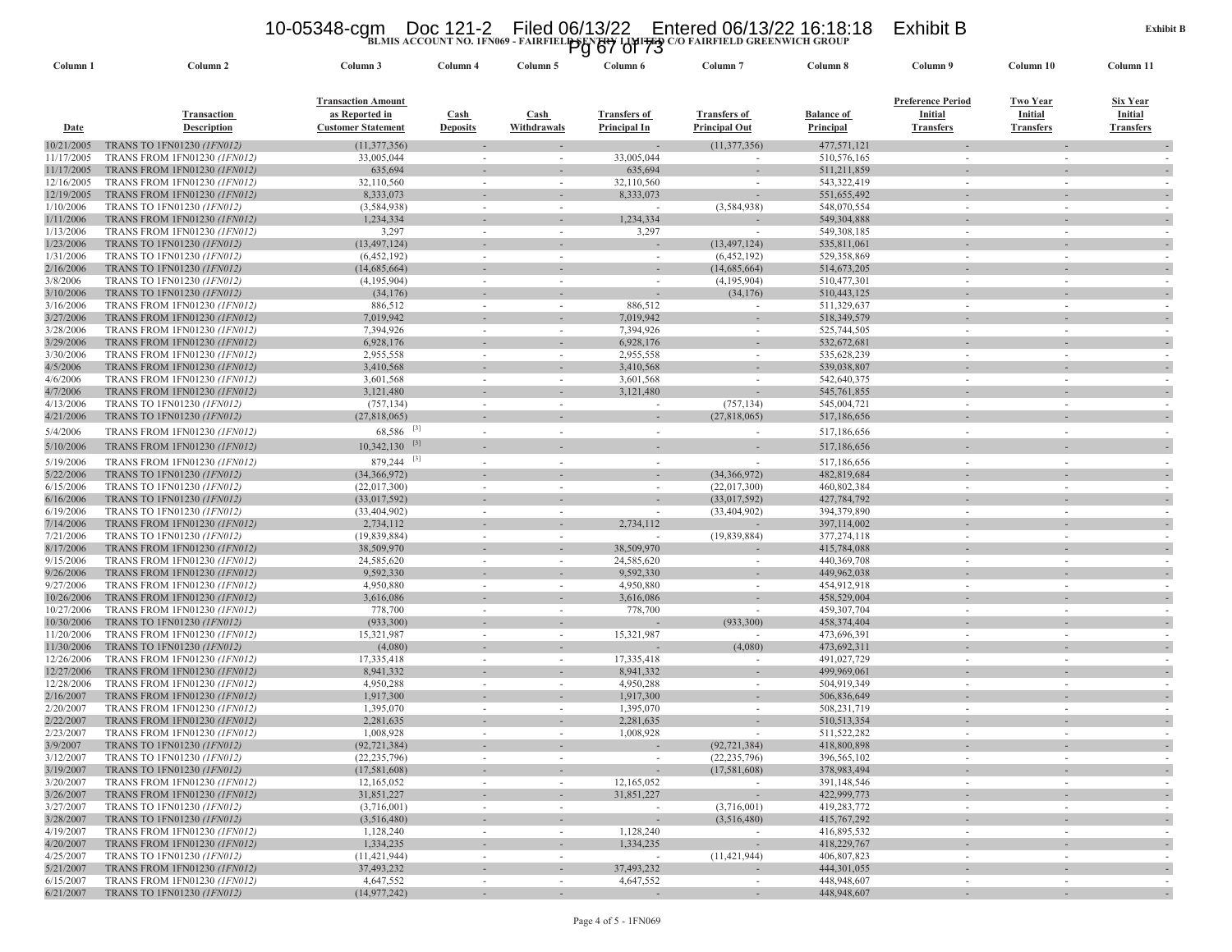### 10-05348-cgm Doc 121-2 Filed 06/13/22 Entered 06/13/22 16:18:18 Exhibit B<br>Pg 67 Of 73<br><sup>20</sup> Pairfield greenwich group

| Column 2<br>Column 3<br>Column 4<br>Column 6<br>Column <sub>7</sub><br>Column 8<br>Column 9<br>Column 10<br>Column <sub>1</sub><br>Column 5<br><b>Transaction Amount</b><br><b>Preference Period</b><br>Two Year<br>as Reported in<br><b>Transfers of</b><br>Initial<br>Initial<br>Transaction<br><b>Cash</b><br><b>Cash</b><br><b>Transfers of</b><br><b>Balance of</b><br><b>Transfers</b><br><b>Description</b><br><b>Customer Statement</b><br>Withdrawals<br>Principal In<br><b>Principal Out</b><br><b>Principal</b><br><b>Transfers</b><br><u>Date</u><br><b>Deposits</b><br>477,571,121<br>10/21/2005<br>TRANS TO 1FN01230 (1FN012)<br>(11, 377, 356)<br>(11, 377, 356)<br>TRANS FROM 1FN01230 (1FN012)<br>33,005,044<br>33,005,044<br>510, 576, 165<br>11/17/2005<br>$\sim$<br>11/17/2005<br>TRANS FROM 1FN01230 (1FN012)<br>635,694<br>635,694<br>511,211,859<br>543,322,419<br>12/16/2005<br>TRANS FROM 1FN01230 (1FN012)<br>32,110,560<br>32,110,560<br>$\sim$<br>٠<br>$\sim$<br>12/19/2005<br>8,333,073<br><b>TRANS FROM 1FN01230 (IFN012)</b><br>8,333,073<br>551,655,492<br>1/10/2006<br>TRANS TO 1FN01230 (1FN012)<br>(3,584,938)<br>(3, 584, 938)<br>548,070,554<br>1/11/2006<br><b>TRANS FROM 1FN01230 (IFN012)</b><br>1,234,334<br>1,234,334<br>549,304,888<br>1/13/2006<br><b>TRANS FROM 1FN01230 (1FN012)</b><br>3,297<br>3,297<br>549,308,185<br>$\sim$<br>$\sim$<br>1/23/2006<br>TRANS TO 1FN01230 (1FN012)<br>(13, 497, 124)<br>(13, 497, 124)<br>535,811,061<br>1/31/2006<br>TRANS TO 1FN01230 (1FN012)<br>(6,452,192)<br>(6,452,192)<br>529,358,869<br>$\sim$<br>$\sim$<br>2/16/2006<br>TRANS TO 1FN01230 (1FN012)<br>(14,685,664)<br>(14,685,664)<br>514, 673, 205<br>3/8/2006<br>TRANS TO 1FN01230 (1FN012)<br>(4,195,904)<br>(4,195,904)<br>510,477,301<br>$\sim$<br>$\sim$<br>$\sim$<br>$\sim$<br>3/10/2006<br>TRANS TO 1FN01230 (1FN012)<br>(34, 176)<br>(34, 176)<br>510, 443, 125<br>3/16/2006<br>TRANS FROM 1FN01230 (1FN012)<br>886,512<br>886,512<br>511,329,637<br>3/27/2006<br><b>TRANS FROM 1FN01230 (1FN012)</b><br>7,019,942<br>7,019,942<br>518,349,579<br>3/28/2006<br>TRANS FROM 1FN01230 (1FN012)<br>7,394,926<br>7,394,926<br>525,744,505<br>$\sim$<br>3/29/2006<br><b>TRANS FROM 1FN01230 (IFN012)</b><br>6,928,176<br>6,928,176<br>532,672,681<br>3/30/2006<br>2,955,558<br>2,955,558<br>TRANS FROM 1FN01230 (1FN012)<br>535,628,239<br>$\sim$<br>$\sim$<br>$\sim$<br>$\sim$<br>4/5/2006<br>3,410,568<br><b>TRANS FROM 1FN01230 (IFN012)</b><br>3,410,568<br>539,038,807<br>4/6/2006<br>3,601,568<br>3,601,568<br>542,640,375<br>TRANS FROM 1FN01230 (1FN012)<br>$\sim$<br>4/7/2006<br>TRANS FROM 1FN01230 (1FN012)<br>3,121,480<br>3,121,480<br>545,761,855<br>4/13/2006<br>TRANS TO 1FN01230 (1FN012)<br>(757, 134)<br>(757, 134)<br>545,004,721<br>4/21/2006<br>TRANS TO 1FN01230 (1FN012)<br>(27,818,065)<br>(27,818,065)<br>517,186,656<br>$68,586$ <sup>[3]</sup><br>5/4/2006<br>TRANS FROM 1FN01230 (1FN012)<br>517,186,656<br>$10,342,130$ <sup>[3]</sup><br>5/10/2006<br><b>TRANS FROM 1FN01230 (IFN012)</b><br>517,186,656<br>$[3]$<br>879,244<br>517,186,656<br>5/19/2006<br><b>TRANS FROM 1FN01230 (1FN012)</b><br>$\sim$<br>٠<br>(34,366,972)<br>5/22/2006<br>TRANS TO 1FN01230 (1FN012)<br>(34,366,972)<br>482,819,684 | Column 11<br>Six Year<br>Initial<br><b>Transfers</b> |
|--------------------------------------------------------------------------------------------------------------------------------------------------------------------------------------------------------------------------------------------------------------------------------------------------------------------------------------------------------------------------------------------------------------------------------------------------------------------------------------------------------------------------------------------------------------------------------------------------------------------------------------------------------------------------------------------------------------------------------------------------------------------------------------------------------------------------------------------------------------------------------------------------------------------------------------------------------------------------------------------------------------------------------------------------------------------------------------------------------------------------------------------------------------------------------------------------------------------------------------------------------------------------------------------------------------------------------------------------------------------------------------------------------------------------------------------------------------------------------------------------------------------------------------------------------------------------------------------------------------------------------------------------------------------------------------------------------------------------------------------------------------------------------------------------------------------------------------------------------------------------------------------------------------------------------------------------------------------------------------------------------------------------------------------------------------------------------------------------------------------------------------------------------------------------------------------------------------------------------------------------------------------------------------------------------------------------------------------------------------------------------------------------------------------------------------------------------------------------------------------------------------------------------------------------------------------------------------------------------------------------------------------------------------------------------------------------------------------------------------------------------------------------------------------------------------------------------------------------------------------------------------------------------------------------------------------------------------------------------------------------------------------------------------------------------------------------------------------------------------------------------------------------------------------------------------------------------------------------------------------------------------------------------------|------------------------------------------------------|
|                                                                                                                                                                                                                                                                                                                                                                                                                                                                                                                                                                                                                                                                                                                                                                                                                                                                                                                                                                                                                                                                                                                                                                                                                                                                                                                                                                                                                                                                                                                                                                                                                                                                                                                                                                                                                                                                                                                                                                                                                                                                                                                                                                                                                                                                                                                                                                                                                                                                                                                                                                                                                                                                                                                                                                                                                                                                                                                                                                                                                                                                                                                                                                                                                                                                                      |                                                      |
|                                                                                                                                                                                                                                                                                                                                                                                                                                                                                                                                                                                                                                                                                                                                                                                                                                                                                                                                                                                                                                                                                                                                                                                                                                                                                                                                                                                                                                                                                                                                                                                                                                                                                                                                                                                                                                                                                                                                                                                                                                                                                                                                                                                                                                                                                                                                                                                                                                                                                                                                                                                                                                                                                                                                                                                                                                                                                                                                                                                                                                                                                                                                                                                                                                                                                      |                                                      |
|                                                                                                                                                                                                                                                                                                                                                                                                                                                                                                                                                                                                                                                                                                                                                                                                                                                                                                                                                                                                                                                                                                                                                                                                                                                                                                                                                                                                                                                                                                                                                                                                                                                                                                                                                                                                                                                                                                                                                                                                                                                                                                                                                                                                                                                                                                                                                                                                                                                                                                                                                                                                                                                                                                                                                                                                                                                                                                                                                                                                                                                                                                                                                                                                                                                                                      |                                                      |
|                                                                                                                                                                                                                                                                                                                                                                                                                                                                                                                                                                                                                                                                                                                                                                                                                                                                                                                                                                                                                                                                                                                                                                                                                                                                                                                                                                                                                                                                                                                                                                                                                                                                                                                                                                                                                                                                                                                                                                                                                                                                                                                                                                                                                                                                                                                                                                                                                                                                                                                                                                                                                                                                                                                                                                                                                                                                                                                                                                                                                                                                                                                                                                                                                                                                                      |                                                      |
|                                                                                                                                                                                                                                                                                                                                                                                                                                                                                                                                                                                                                                                                                                                                                                                                                                                                                                                                                                                                                                                                                                                                                                                                                                                                                                                                                                                                                                                                                                                                                                                                                                                                                                                                                                                                                                                                                                                                                                                                                                                                                                                                                                                                                                                                                                                                                                                                                                                                                                                                                                                                                                                                                                                                                                                                                                                                                                                                                                                                                                                                                                                                                                                                                                                                                      |                                                      |
|                                                                                                                                                                                                                                                                                                                                                                                                                                                                                                                                                                                                                                                                                                                                                                                                                                                                                                                                                                                                                                                                                                                                                                                                                                                                                                                                                                                                                                                                                                                                                                                                                                                                                                                                                                                                                                                                                                                                                                                                                                                                                                                                                                                                                                                                                                                                                                                                                                                                                                                                                                                                                                                                                                                                                                                                                                                                                                                                                                                                                                                                                                                                                                                                                                                                                      |                                                      |
|                                                                                                                                                                                                                                                                                                                                                                                                                                                                                                                                                                                                                                                                                                                                                                                                                                                                                                                                                                                                                                                                                                                                                                                                                                                                                                                                                                                                                                                                                                                                                                                                                                                                                                                                                                                                                                                                                                                                                                                                                                                                                                                                                                                                                                                                                                                                                                                                                                                                                                                                                                                                                                                                                                                                                                                                                                                                                                                                                                                                                                                                                                                                                                                                                                                                                      |                                                      |
|                                                                                                                                                                                                                                                                                                                                                                                                                                                                                                                                                                                                                                                                                                                                                                                                                                                                                                                                                                                                                                                                                                                                                                                                                                                                                                                                                                                                                                                                                                                                                                                                                                                                                                                                                                                                                                                                                                                                                                                                                                                                                                                                                                                                                                                                                                                                                                                                                                                                                                                                                                                                                                                                                                                                                                                                                                                                                                                                                                                                                                                                                                                                                                                                                                                                                      |                                                      |
|                                                                                                                                                                                                                                                                                                                                                                                                                                                                                                                                                                                                                                                                                                                                                                                                                                                                                                                                                                                                                                                                                                                                                                                                                                                                                                                                                                                                                                                                                                                                                                                                                                                                                                                                                                                                                                                                                                                                                                                                                                                                                                                                                                                                                                                                                                                                                                                                                                                                                                                                                                                                                                                                                                                                                                                                                                                                                                                                                                                                                                                                                                                                                                                                                                                                                      |                                                      |
|                                                                                                                                                                                                                                                                                                                                                                                                                                                                                                                                                                                                                                                                                                                                                                                                                                                                                                                                                                                                                                                                                                                                                                                                                                                                                                                                                                                                                                                                                                                                                                                                                                                                                                                                                                                                                                                                                                                                                                                                                                                                                                                                                                                                                                                                                                                                                                                                                                                                                                                                                                                                                                                                                                                                                                                                                                                                                                                                                                                                                                                                                                                                                                                                                                                                                      |                                                      |
|                                                                                                                                                                                                                                                                                                                                                                                                                                                                                                                                                                                                                                                                                                                                                                                                                                                                                                                                                                                                                                                                                                                                                                                                                                                                                                                                                                                                                                                                                                                                                                                                                                                                                                                                                                                                                                                                                                                                                                                                                                                                                                                                                                                                                                                                                                                                                                                                                                                                                                                                                                                                                                                                                                                                                                                                                                                                                                                                                                                                                                                                                                                                                                                                                                                                                      |                                                      |
|                                                                                                                                                                                                                                                                                                                                                                                                                                                                                                                                                                                                                                                                                                                                                                                                                                                                                                                                                                                                                                                                                                                                                                                                                                                                                                                                                                                                                                                                                                                                                                                                                                                                                                                                                                                                                                                                                                                                                                                                                                                                                                                                                                                                                                                                                                                                                                                                                                                                                                                                                                                                                                                                                                                                                                                                                                                                                                                                                                                                                                                                                                                                                                                                                                                                                      |                                                      |
|                                                                                                                                                                                                                                                                                                                                                                                                                                                                                                                                                                                                                                                                                                                                                                                                                                                                                                                                                                                                                                                                                                                                                                                                                                                                                                                                                                                                                                                                                                                                                                                                                                                                                                                                                                                                                                                                                                                                                                                                                                                                                                                                                                                                                                                                                                                                                                                                                                                                                                                                                                                                                                                                                                                                                                                                                                                                                                                                                                                                                                                                                                                                                                                                                                                                                      |                                                      |
|                                                                                                                                                                                                                                                                                                                                                                                                                                                                                                                                                                                                                                                                                                                                                                                                                                                                                                                                                                                                                                                                                                                                                                                                                                                                                                                                                                                                                                                                                                                                                                                                                                                                                                                                                                                                                                                                                                                                                                                                                                                                                                                                                                                                                                                                                                                                                                                                                                                                                                                                                                                                                                                                                                                                                                                                                                                                                                                                                                                                                                                                                                                                                                                                                                                                                      |                                                      |
|                                                                                                                                                                                                                                                                                                                                                                                                                                                                                                                                                                                                                                                                                                                                                                                                                                                                                                                                                                                                                                                                                                                                                                                                                                                                                                                                                                                                                                                                                                                                                                                                                                                                                                                                                                                                                                                                                                                                                                                                                                                                                                                                                                                                                                                                                                                                                                                                                                                                                                                                                                                                                                                                                                                                                                                                                                                                                                                                                                                                                                                                                                                                                                                                                                                                                      |                                                      |
|                                                                                                                                                                                                                                                                                                                                                                                                                                                                                                                                                                                                                                                                                                                                                                                                                                                                                                                                                                                                                                                                                                                                                                                                                                                                                                                                                                                                                                                                                                                                                                                                                                                                                                                                                                                                                                                                                                                                                                                                                                                                                                                                                                                                                                                                                                                                                                                                                                                                                                                                                                                                                                                                                                                                                                                                                                                                                                                                                                                                                                                                                                                                                                                                                                                                                      | $\sim$                                               |
|                                                                                                                                                                                                                                                                                                                                                                                                                                                                                                                                                                                                                                                                                                                                                                                                                                                                                                                                                                                                                                                                                                                                                                                                                                                                                                                                                                                                                                                                                                                                                                                                                                                                                                                                                                                                                                                                                                                                                                                                                                                                                                                                                                                                                                                                                                                                                                                                                                                                                                                                                                                                                                                                                                                                                                                                                                                                                                                                                                                                                                                                                                                                                                                                                                                                                      |                                                      |
|                                                                                                                                                                                                                                                                                                                                                                                                                                                                                                                                                                                                                                                                                                                                                                                                                                                                                                                                                                                                                                                                                                                                                                                                                                                                                                                                                                                                                                                                                                                                                                                                                                                                                                                                                                                                                                                                                                                                                                                                                                                                                                                                                                                                                                                                                                                                                                                                                                                                                                                                                                                                                                                                                                                                                                                                                                                                                                                                                                                                                                                                                                                                                                                                                                                                                      |                                                      |
|                                                                                                                                                                                                                                                                                                                                                                                                                                                                                                                                                                                                                                                                                                                                                                                                                                                                                                                                                                                                                                                                                                                                                                                                                                                                                                                                                                                                                                                                                                                                                                                                                                                                                                                                                                                                                                                                                                                                                                                                                                                                                                                                                                                                                                                                                                                                                                                                                                                                                                                                                                                                                                                                                                                                                                                                                                                                                                                                                                                                                                                                                                                                                                                                                                                                                      |                                                      |
|                                                                                                                                                                                                                                                                                                                                                                                                                                                                                                                                                                                                                                                                                                                                                                                                                                                                                                                                                                                                                                                                                                                                                                                                                                                                                                                                                                                                                                                                                                                                                                                                                                                                                                                                                                                                                                                                                                                                                                                                                                                                                                                                                                                                                                                                                                                                                                                                                                                                                                                                                                                                                                                                                                                                                                                                                                                                                                                                                                                                                                                                                                                                                                                                                                                                                      |                                                      |
|                                                                                                                                                                                                                                                                                                                                                                                                                                                                                                                                                                                                                                                                                                                                                                                                                                                                                                                                                                                                                                                                                                                                                                                                                                                                                                                                                                                                                                                                                                                                                                                                                                                                                                                                                                                                                                                                                                                                                                                                                                                                                                                                                                                                                                                                                                                                                                                                                                                                                                                                                                                                                                                                                                                                                                                                                                                                                                                                                                                                                                                                                                                                                                                                                                                                                      |                                                      |
|                                                                                                                                                                                                                                                                                                                                                                                                                                                                                                                                                                                                                                                                                                                                                                                                                                                                                                                                                                                                                                                                                                                                                                                                                                                                                                                                                                                                                                                                                                                                                                                                                                                                                                                                                                                                                                                                                                                                                                                                                                                                                                                                                                                                                                                                                                                                                                                                                                                                                                                                                                                                                                                                                                                                                                                                                                                                                                                                                                                                                                                                                                                                                                                                                                                                                      |                                                      |
|                                                                                                                                                                                                                                                                                                                                                                                                                                                                                                                                                                                                                                                                                                                                                                                                                                                                                                                                                                                                                                                                                                                                                                                                                                                                                                                                                                                                                                                                                                                                                                                                                                                                                                                                                                                                                                                                                                                                                                                                                                                                                                                                                                                                                                                                                                                                                                                                                                                                                                                                                                                                                                                                                                                                                                                                                                                                                                                                                                                                                                                                                                                                                                                                                                                                                      |                                                      |
|                                                                                                                                                                                                                                                                                                                                                                                                                                                                                                                                                                                                                                                                                                                                                                                                                                                                                                                                                                                                                                                                                                                                                                                                                                                                                                                                                                                                                                                                                                                                                                                                                                                                                                                                                                                                                                                                                                                                                                                                                                                                                                                                                                                                                                                                                                                                                                                                                                                                                                                                                                                                                                                                                                                                                                                                                                                                                                                                                                                                                                                                                                                                                                                                                                                                                      |                                                      |
|                                                                                                                                                                                                                                                                                                                                                                                                                                                                                                                                                                                                                                                                                                                                                                                                                                                                                                                                                                                                                                                                                                                                                                                                                                                                                                                                                                                                                                                                                                                                                                                                                                                                                                                                                                                                                                                                                                                                                                                                                                                                                                                                                                                                                                                                                                                                                                                                                                                                                                                                                                                                                                                                                                                                                                                                                                                                                                                                                                                                                                                                                                                                                                                                                                                                                      |                                                      |
|                                                                                                                                                                                                                                                                                                                                                                                                                                                                                                                                                                                                                                                                                                                                                                                                                                                                                                                                                                                                                                                                                                                                                                                                                                                                                                                                                                                                                                                                                                                                                                                                                                                                                                                                                                                                                                                                                                                                                                                                                                                                                                                                                                                                                                                                                                                                                                                                                                                                                                                                                                                                                                                                                                                                                                                                                                                                                                                                                                                                                                                                                                                                                                                                                                                                                      |                                                      |
|                                                                                                                                                                                                                                                                                                                                                                                                                                                                                                                                                                                                                                                                                                                                                                                                                                                                                                                                                                                                                                                                                                                                                                                                                                                                                                                                                                                                                                                                                                                                                                                                                                                                                                                                                                                                                                                                                                                                                                                                                                                                                                                                                                                                                                                                                                                                                                                                                                                                                                                                                                                                                                                                                                                                                                                                                                                                                                                                                                                                                                                                                                                                                                                                                                                                                      |                                                      |
|                                                                                                                                                                                                                                                                                                                                                                                                                                                                                                                                                                                                                                                                                                                                                                                                                                                                                                                                                                                                                                                                                                                                                                                                                                                                                                                                                                                                                                                                                                                                                                                                                                                                                                                                                                                                                                                                                                                                                                                                                                                                                                                                                                                                                                                                                                                                                                                                                                                                                                                                                                                                                                                                                                                                                                                                                                                                                                                                                                                                                                                                                                                                                                                                                                                                                      |                                                      |
|                                                                                                                                                                                                                                                                                                                                                                                                                                                                                                                                                                                                                                                                                                                                                                                                                                                                                                                                                                                                                                                                                                                                                                                                                                                                                                                                                                                                                                                                                                                                                                                                                                                                                                                                                                                                                                                                                                                                                                                                                                                                                                                                                                                                                                                                                                                                                                                                                                                                                                                                                                                                                                                                                                                                                                                                                                                                                                                                                                                                                                                                                                                                                                                                                                                                                      |                                                      |
|                                                                                                                                                                                                                                                                                                                                                                                                                                                                                                                                                                                                                                                                                                                                                                                                                                                                                                                                                                                                                                                                                                                                                                                                                                                                                                                                                                                                                                                                                                                                                                                                                                                                                                                                                                                                                                                                                                                                                                                                                                                                                                                                                                                                                                                                                                                                                                                                                                                                                                                                                                                                                                                                                                                                                                                                                                                                                                                                                                                                                                                                                                                                                                                                                                                                                      |                                                      |
| 6/15/2006<br>TRANS TO 1FN01230 (1FN012)<br>(22,017,300)<br>460,802,384<br>(22,017,300)                                                                                                                                                                                                                                                                                                                                                                                                                                                                                                                                                                                                                                                                                                                                                                                                                                                                                                                                                                                                                                                                                                                                                                                                                                                                                                                                                                                                                                                                                                                                                                                                                                                                                                                                                                                                                                                                                                                                                                                                                                                                                                                                                                                                                                                                                                                                                                                                                                                                                                                                                                                                                                                                                                                                                                                                                                                                                                                                                                                                                                                                                                                                                                                               |                                                      |
| 6/16/2006<br>TRANS TO 1FN01230 (IFN012)<br>(33,017,592)<br>(33,017,592)<br>427,784,792                                                                                                                                                                                                                                                                                                                                                                                                                                                                                                                                                                                                                                                                                                                                                                                                                                                                                                                                                                                                                                                                                                                                                                                                                                                                                                                                                                                                                                                                                                                                                                                                                                                                                                                                                                                                                                                                                                                                                                                                                                                                                                                                                                                                                                                                                                                                                                                                                                                                                                                                                                                                                                                                                                                                                                                                                                                                                                                                                                                                                                                                                                                                                                                               |                                                      |
| 6/19/2006<br>TRANS TO 1FN01230 (1FN012)<br>(33, 404, 902)<br>(33, 404, 902)<br>394,379,890<br>$\sim$                                                                                                                                                                                                                                                                                                                                                                                                                                                                                                                                                                                                                                                                                                                                                                                                                                                                                                                                                                                                                                                                                                                                                                                                                                                                                                                                                                                                                                                                                                                                                                                                                                                                                                                                                                                                                                                                                                                                                                                                                                                                                                                                                                                                                                                                                                                                                                                                                                                                                                                                                                                                                                                                                                                                                                                                                                                                                                                                                                                                                                                                                                                                                                                 |                                                      |
| 7/14/2006<br><b>TRANS FROM 1FN01230 (IFN012)</b><br>2,734,112<br>2,734,112<br>397,114,002                                                                                                                                                                                                                                                                                                                                                                                                                                                                                                                                                                                                                                                                                                                                                                                                                                                                                                                                                                                                                                                                                                                                                                                                                                                                                                                                                                                                                                                                                                                                                                                                                                                                                                                                                                                                                                                                                                                                                                                                                                                                                                                                                                                                                                                                                                                                                                                                                                                                                                                                                                                                                                                                                                                                                                                                                                                                                                                                                                                                                                                                                                                                                                                            |                                                      |
| 7/21/2006<br>TRANS TO 1FN01230 (1FN012)<br>(19,839,884)<br>(19,839,884)<br>377, 274, 118                                                                                                                                                                                                                                                                                                                                                                                                                                                                                                                                                                                                                                                                                                                                                                                                                                                                                                                                                                                                                                                                                                                                                                                                                                                                                                                                                                                                                                                                                                                                                                                                                                                                                                                                                                                                                                                                                                                                                                                                                                                                                                                                                                                                                                                                                                                                                                                                                                                                                                                                                                                                                                                                                                                                                                                                                                                                                                                                                                                                                                                                                                                                                                                             |                                                      |
| 8/17/2006<br><b>TRANS FROM 1FN01230 (IFN012)</b><br>38,509,970<br>38,509,970<br>415,784,088<br>9/15/2006<br>TRANS FROM 1FN01230 (1FN012)<br>24,585,620<br>24,585,620<br>440,369,708<br>$\sim$<br>$\sim$<br>$\sim$<br>$\sim$                                                                                                                                                                                                                                                                                                                                                                                                                                                                                                                                                                                                                                                                                                                                                                                                                                                                                                                                                                                                                                                                                                                                                                                                                                                                                                                                                                                                                                                                                                                                                                                                                                                                                                                                                                                                                                                                                                                                                                                                                                                                                                                                                                                                                                                                                                                                                                                                                                                                                                                                                                                                                                                                                                                                                                                                                                                                                                                                                                                                                                                          |                                                      |
| 9/26/2006<br><b>TRANS FROM 1FN01230 (IFN012)</b><br>9,592,330<br>9,592,330<br>449,962,038                                                                                                                                                                                                                                                                                                                                                                                                                                                                                                                                                                                                                                                                                                                                                                                                                                                                                                                                                                                                                                                                                                                                                                                                                                                                                                                                                                                                                                                                                                                                                                                                                                                                                                                                                                                                                                                                                                                                                                                                                                                                                                                                                                                                                                                                                                                                                                                                                                                                                                                                                                                                                                                                                                                                                                                                                                                                                                                                                                                                                                                                                                                                                                                            |                                                      |
| 9/27/2006<br>TRANS FROM 1FN01230 (1FN012)<br>4,950,880<br>4,950,880<br>454,912,918<br>$\sim$                                                                                                                                                                                                                                                                                                                                                                                                                                                                                                                                                                                                                                                                                                                                                                                                                                                                                                                                                                                                                                                                                                                                                                                                                                                                                                                                                                                                                                                                                                                                                                                                                                                                                                                                                                                                                                                                                                                                                                                                                                                                                                                                                                                                                                                                                                                                                                                                                                                                                                                                                                                                                                                                                                                                                                                                                                                                                                                                                                                                                                                                                                                                                                                         |                                                      |
| 10/26/2006<br><b>TRANS FROM 1FN01230 (IFN012)</b><br>3,616,086<br>3,616,086<br>458,529,004                                                                                                                                                                                                                                                                                                                                                                                                                                                                                                                                                                                                                                                                                                                                                                                                                                                                                                                                                                                                                                                                                                                                                                                                                                                                                                                                                                                                                                                                                                                                                                                                                                                                                                                                                                                                                                                                                                                                                                                                                                                                                                                                                                                                                                                                                                                                                                                                                                                                                                                                                                                                                                                                                                                                                                                                                                                                                                                                                                                                                                                                                                                                                                                           |                                                      |
| 10/27/2006<br>TRANS FROM 1FN01230 (1FN012)<br>778,700<br>778,700<br>459,307,704                                                                                                                                                                                                                                                                                                                                                                                                                                                                                                                                                                                                                                                                                                                                                                                                                                                                                                                                                                                                                                                                                                                                                                                                                                                                                                                                                                                                                                                                                                                                                                                                                                                                                                                                                                                                                                                                                                                                                                                                                                                                                                                                                                                                                                                                                                                                                                                                                                                                                                                                                                                                                                                                                                                                                                                                                                                                                                                                                                                                                                                                                                                                                                                                      |                                                      |
| 10/30/2006<br>TRANS TO 1FN01230 (IFN012)<br>(933,300)<br>(933,300)<br>458,374,404                                                                                                                                                                                                                                                                                                                                                                                                                                                                                                                                                                                                                                                                                                                                                                                                                                                                                                                                                                                                                                                                                                                                                                                                                                                                                                                                                                                                                                                                                                                                                                                                                                                                                                                                                                                                                                                                                                                                                                                                                                                                                                                                                                                                                                                                                                                                                                                                                                                                                                                                                                                                                                                                                                                                                                                                                                                                                                                                                                                                                                                                                                                                                                                                    |                                                      |
| 15,321,987<br>11/20/2006<br><b>TRANS FROM 1FN01230 (1FN012)</b><br>15,321,987<br>473,696,391<br>$\sim$<br>$\sim$<br>$\overline{\phantom{a}}$<br>$\sim$                                                                                                                                                                                                                                                                                                                                                                                                                                                                                                                                                                                                                                                                                                                                                                                                                                                                                                                                                                                                                                                                                                                                                                                                                                                                                                                                                                                                                                                                                                                                                                                                                                                                                                                                                                                                                                                                                                                                                                                                                                                                                                                                                                                                                                                                                                                                                                                                                                                                                                                                                                                                                                                                                                                                                                                                                                                                                                                                                                                                                                                                                                                               |                                                      |
| 11/30/2006<br>TRANS TO 1FN01230 (1FN012)<br>(4,080)<br>(4,080)<br>473,692,311                                                                                                                                                                                                                                                                                                                                                                                                                                                                                                                                                                                                                                                                                                                                                                                                                                                                                                                                                                                                                                                                                                                                                                                                                                                                                                                                                                                                                                                                                                                                                                                                                                                                                                                                                                                                                                                                                                                                                                                                                                                                                                                                                                                                                                                                                                                                                                                                                                                                                                                                                                                                                                                                                                                                                                                                                                                                                                                                                                                                                                                                                                                                                                                                        |                                                      |
| 12/26/2006<br>TRANS FROM 1FN01230 (1FN012)<br>17,335,418<br>17,335,418<br>491,027,729<br>$\overline{\phantom{a}}$                                                                                                                                                                                                                                                                                                                                                                                                                                                                                                                                                                                                                                                                                                                                                                                                                                                                                                                                                                                                                                                                                                                                                                                                                                                                                                                                                                                                                                                                                                                                                                                                                                                                                                                                                                                                                                                                                                                                                                                                                                                                                                                                                                                                                                                                                                                                                                                                                                                                                                                                                                                                                                                                                                                                                                                                                                                                                                                                                                                                                                                                                                                                                                    |                                                      |
| 12/27/2006<br><b>TRANS FROM 1FN01230 (IFN012)</b><br>8,941,332<br>8,941,332<br>499,969,061                                                                                                                                                                                                                                                                                                                                                                                                                                                                                                                                                                                                                                                                                                                                                                                                                                                                                                                                                                                                                                                                                                                                                                                                                                                                                                                                                                                                                                                                                                                                                                                                                                                                                                                                                                                                                                                                                                                                                                                                                                                                                                                                                                                                                                                                                                                                                                                                                                                                                                                                                                                                                                                                                                                                                                                                                                                                                                                                                                                                                                                                                                                                                                                           |                                                      |
| 12/28/2006<br>TRANS FROM 1FN01230 (1FN012)<br>4,950,288<br>4,950,288<br>504,919,349<br>$\sim$                                                                                                                                                                                                                                                                                                                                                                                                                                                                                                                                                                                                                                                                                                                                                                                                                                                                                                                                                                                                                                                                                                                                                                                                                                                                                                                                                                                                                                                                                                                                                                                                                                                                                                                                                                                                                                                                                                                                                                                                                                                                                                                                                                                                                                                                                                                                                                                                                                                                                                                                                                                                                                                                                                                                                                                                                                                                                                                                                                                                                                                                                                                                                                                        |                                                      |
| 2/16/2007<br><b>TRANS FROM 1FN01230 (IFN012)</b><br>1,917,300<br>1,917,300<br>506,836,649<br>2/20/2007<br>1,395,070<br>508,231,719<br>TRANS FROM 1FN01230 (1FN012)<br>1,395,070<br>$\sim$<br>$\sim$<br>$\sim$                                                                                                                                                                                                                                                                                                                                                                                                                                                                                                                                                                                                                                                                                                                                                                                                                                                                                                                                                                                                                                                                                                                                                                                                                                                                                                                                                                                                                                                                                                                                                                                                                                                                                                                                                                                                                                                                                                                                                                                                                                                                                                                                                                                                                                                                                                                                                                                                                                                                                                                                                                                                                                                                                                                                                                                                                                                                                                                                                                                                                                                                        |                                                      |
| 2/22/2007<br><b>TRANS FROM 1FN01230 (IFN012)</b><br>2,281,635<br>2,281,635<br>510, 513, 354                                                                                                                                                                                                                                                                                                                                                                                                                                                                                                                                                                                                                                                                                                                                                                                                                                                                                                                                                                                                                                                                                                                                                                                                                                                                                                                                                                                                                                                                                                                                                                                                                                                                                                                                                                                                                                                                                                                                                                                                                                                                                                                                                                                                                                                                                                                                                                                                                                                                                                                                                                                                                                                                                                                                                                                                                                                                                                                                                                                                                                                                                                                                                                                          |                                                      |
| 2/23/2007<br>511,522,282<br><b>TRANS FROM 1FN01230 (1FN012)</b><br>1,008,928<br>1,008,928<br>$\sim$<br>$\sim$<br>$\sim$                                                                                                                                                                                                                                                                                                                                                                                                                                                                                                                                                                                                                                                                                                                                                                                                                                                                                                                                                                                                                                                                                                                                                                                                                                                                                                                                                                                                                                                                                                                                                                                                                                                                                                                                                                                                                                                                                                                                                                                                                                                                                                                                                                                                                                                                                                                                                                                                                                                                                                                                                                                                                                                                                                                                                                                                                                                                                                                                                                                                                                                                                                                                                              |                                                      |
| 3/9/2007<br>TRANS TO 1FN01230 (IFN012)<br>(92, 721, 384)<br>(92, 721, 384)<br>418,800,898                                                                                                                                                                                                                                                                                                                                                                                                                                                                                                                                                                                                                                                                                                                                                                                                                                                                                                                                                                                                                                                                                                                                                                                                                                                                                                                                                                                                                                                                                                                                                                                                                                                                                                                                                                                                                                                                                                                                                                                                                                                                                                                                                                                                                                                                                                                                                                                                                                                                                                                                                                                                                                                                                                                                                                                                                                                                                                                                                                                                                                                                                                                                                                                            |                                                      |
| 3/12/2007<br>TRANS TO 1FN01230 (1FN012)<br>(22, 235, 796)<br>(22, 235, 796)<br>396,565,102<br>$\sim$<br>$\sim$<br>$\sim$<br>$\sim$                                                                                                                                                                                                                                                                                                                                                                                                                                                                                                                                                                                                                                                                                                                                                                                                                                                                                                                                                                                                                                                                                                                                                                                                                                                                                                                                                                                                                                                                                                                                                                                                                                                                                                                                                                                                                                                                                                                                                                                                                                                                                                                                                                                                                                                                                                                                                                                                                                                                                                                                                                                                                                                                                                                                                                                                                                                                                                                                                                                                                                                                                                                                                   | $\sim$<br>$\overline{\phantom{a}}$                   |
| 3/19/2007<br>TRANS TO 1FN01230 (1FN012)<br>(17,581,608)<br>(17,581,608)<br>378,983,494                                                                                                                                                                                                                                                                                                                                                                                                                                                                                                                                                                                                                                                                                                                                                                                                                                                                                                                                                                                                                                                                                                                                                                                                                                                                                                                                                                                                                                                                                                                                                                                                                                                                                                                                                                                                                                                                                                                                                                                                                                                                                                                                                                                                                                                                                                                                                                                                                                                                                                                                                                                                                                                                                                                                                                                                                                                                                                                                                                                                                                                                                                                                                                                               | $\overline{\phantom{a}}$                             |
| 3/20/2007<br>12,165,052<br>12,165,052<br>391,148,546<br><b>TRANS FROM 1FN01230 (IFN012)</b><br>٠<br>٠                                                                                                                                                                                                                                                                                                                                                                                                                                                                                                                                                                                                                                                                                                                                                                                                                                                                                                                                                                                                                                                                                                                                                                                                                                                                                                                                                                                                                                                                                                                                                                                                                                                                                                                                                                                                                                                                                                                                                                                                                                                                                                                                                                                                                                                                                                                                                                                                                                                                                                                                                                                                                                                                                                                                                                                                                                                                                                                                                                                                                                                                                                                                                                                |                                                      |
| 3/26/2007<br><b>TRANS FROM 1FN01230 (1FN012)</b><br>31,851,227<br>31,851,227<br>422,999,773<br>$\sim$                                                                                                                                                                                                                                                                                                                                                                                                                                                                                                                                                                                                                                                                                                                                                                                                                                                                                                                                                                                                                                                                                                                                                                                                                                                                                                                                                                                                                                                                                                                                                                                                                                                                                                                                                                                                                                                                                                                                                                                                                                                                                                                                                                                                                                                                                                                                                                                                                                                                                                                                                                                                                                                                                                                                                                                                                                                                                                                                                                                                                                                                                                                                                                                |                                                      |
| 3/27/2007<br>(3,716,001)<br>TRANS TO 1FN01230 (1FN012)<br>(3,716,001)<br>419,283,772<br>$\overline{\phantom{a}}$<br>$\sim$<br>$\sim$<br>$\sim$                                                                                                                                                                                                                                                                                                                                                                                                                                                                                                                                                                                                                                                                                                                                                                                                                                                                                                                                                                                                                                                                                                                                                                                                                                                                                                                                                                                                                                                                                                                                                                                                                                                                                                                                                                                                                                                                                                                                                                                                                                                                                                                                                                                                                                                                                                                                                                                                                                                                                                                                                                                                                                                                                                                                                                                                                                                                                                                                                                                                                                                                                                                                       | $\sim$<br>$\overline{\phantom{a}}$                   |
| 3/28/2007<br>(3,516,480)<br>TRANS TO 1FN01230 (IFN012)<br>(3,516,480)<br>415, 767, 292                                                                                                                                                                                                                                                                                                                                                                                                                                                                                                                                                                                                                                                                                                                                                                                                                                                                                                                                                                                                                                                                                                                                                                                                                                                                                                                                                                                                                                                                                                                                                                                                                                                                                                                                                                                                                                                                                                                                                                                                                                                                                                                                                                                                                                                                                                                                                                                                                                                                                                                                                                                                                                                                                                                                                                                                                                                                                                                                                                                                                                                                                                                                                                                               | $\overline{\phantom{a}}$                             |
| 4/19/2007<br>1,128,240<br>1,128,240<br><b>TRANS FROM 1FN01230 (1FN012)</b><br>416,895,532<br>$\sim$<br>٠<br>$\sim$<br>٠                                                                                                                                                                                                                                                                                                                                                                                                                                                                                                                                                                                                                                                                                                                                                                                                                                                                                                                                                                                                                                                                                                                                                                                                                                                                                                                                                                                                                                                                                                                                                                                                                                                                                                                                                                                                                                                                                                                                                                                                                                                                                                                                                                                                                                                                                                                                                                                                                                                                                                                                                                                                                                                                                                                                                                                                                                                                                                                                                                                                                                                                                                                                                              | $\sim$                                               |
| 4/20/2007<br><b>TRANS FROM 1FN01230 (1FN012)</b><br>1,334,235<br>1,334,235<br>418,229,767<br>$\sim$<br>٠                                                                                                                                                                                                                                                                                                                                                                                                                                                                                                                                                                                                                                                                                                                                                                                                                                                                                                                                                                                                                                                                                                                                                                                                                                                                                                                                                                                                                                                                                                                                                                                                                                                                                                                                                                                                                                                                                                                                                                                                                                                                                                                                                                                                                                                                                                                                                                                                                                                                                                                                                                                                                                                                                                                                                                                                                                                                                                                                                                                                                                                                                                                                                                             | $\overline{\phantom{a}}$                             |
| 4/25/2007<br>TRANS TO 1FN01230 (1FN012)<br>(11, 421, 944)<br>(11, 421, 944)<br>406,807,823<br>$\overline{\phantom{a}}$<br>$\sim$<br>$\sim$<br>٠<br>5/21/2007<br>37,493,232<br><b>TRANS FROM 1FN01230 (1FN012)</b><br>37,493,232<br>444, 301, 055<br>$\overline{\phantom{a}}$                                                                                                                                                                                                                                                                                                                                                                                                                                                                                                                                                                                                                                                                                                                                                                                                                                                                                                                                                                                                                                                                                                                                                                                                                                                                                                                                                                                                                                                                                                                                                                                                                                                                                                                                                                                                                                                                                                                                                                                                                                                                                                                                                                                                                                                                                                                                                                                                                                                                                                                                                                                                                                                                                                                                                                                                                                                                                                                                                                                                         | $\sim$                                               |
| 4,647,552<br>4,647,552<br>6/15/2007<br><b>TRANS FROM 1FN01230 (1FN012)</b><br>448,948,607<br>$\sim$<br>$\sim$<br>٠                                                                                                                                                                                                                                                                                                                                                                                                                                                                                                                                                                                                                                                                                                                                                                                                                                                                                                                                                                                                                                                                                                                                                                                                                                                                                                                                                                                                                                                                                                                                                                                                                                                                                                                                                                                                                                                                                                                                                                                                                                                                                                                                                                                                                                                                                                                                                                                                                                                                                                                                                                                                                                                                                                                                                                                                                                                                                                                                                                                                                                                                                                                                                                   |                                                      |
| 6/21/2007<br>TRANS TO 1FN01230 (1FN012)<br>(14, 977, 242)<br>448,948,607<br>$\sim$<br>$\sim$<br>$\sim$<br>$\sim$                                                                                                                                                                                                                                                                                                                                                                                                                                                                                                                                                                                                                                                                                                                                                                                                                                                                                                                                                                                                                                                                                                                                                                                                                                                                                                                                                                                                                                                                                                                                                                                                                                                                                                                                                                                                                                                                                                                                                                                                                                                                                                                                                                                                                                                                                                                                                                                                                                                                                                                                                                                                                                                                                                                                                                                                                                                                                                                                                                                                                                                                                                                                                                     | $\overline{\phantom{a}}$<br>$\sim$                   |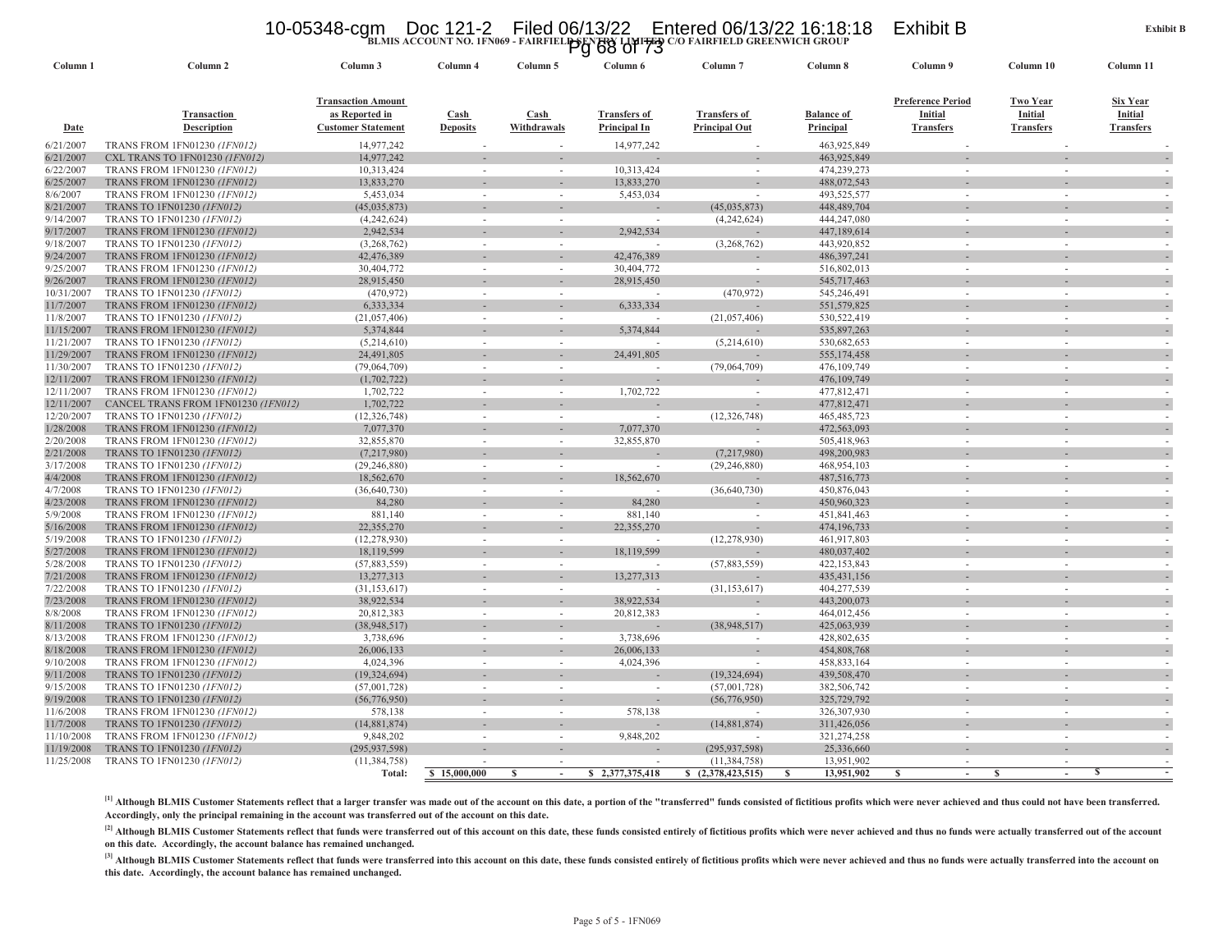### 10-05348-cgm Doc 121-2 Filed 06/13/22 Entered 06/13/22 16:18:18 Exhibit B<br>BLMIS ACCOUNT NO. IFN069 - FAIRFIEL<del>PSENZRY</del> LI<del>MITED</del> O/O FAIRFIELD GREENWICH GROUP

|                        |                                                                   |                                                                          |                                          |                                         | BLMIS ACCOUNT NO. IFN009 - FAIRFIEL PG 68 01 73 | U/O FAIRFIELD GREENWICH GROUP               |                                |                                                  |                                                |                                                |
|------------------------|-------------------------------------------------------------------|--------------------------------------------------------------------------|------------------------------------------|-----------------------------------------|-------------------------------------------------|---------------------------------------------|--------------------------------|--------------------------------------------------|------------------------------------------------|------------------------------------------------|
| Column 1               | Column 2                                                          | Column 3                                                                 | Column 4                                 | Column 5                                | Column 6                                        | Column 7                                    | Column 8                       | Column 9                                         | Column 10                                      | Column 11                                      |
| Date                   | Transaction<br><b>Description</b>                                 | <b>Transaction Amount</b><br>as Reported in<br><b>Customer Statement</b> | $\operatorname{Cash}$<br><b>Deposits</b> | $\overline{\text{Cash}}$<br>Withdrawals | <b>Transfers of</b><br>Principal In             | <b>Transfers of</b><br><b>Principal Out</b> | <b>Balance of</b><br>Principal | Preference Period<br>Initial<br><b>Transfers</b> | <b>Two Year</b><br>Initial<br><b>Transfers</b> | <b>Six Year</b><br>Initial<br><b>Transfers</b> |
| 6/21/2007              | <b>TRANS FROM 1FN01230 (1FN012)</b>                               | 14,977,242                                                               |                                          |                                         | 14,977,242                                      |                                             | 463,925,849                    |                                                  |                                                |                                                |
| 6/21/2007              | CXL TRANS TO 1FN01230 (IFN012)                                    | 14,977,242                                                               |                                          |                                         |                                                 |                                             | 463,925,849                    |                                                  |                                                |                                                |
| 6/22/2007              | TRANS FROM 1FN01230 (1FN012)                                      | 10,313,424                                                               |                                          | $\sim$                                  | 10,313,424                                      | $\sim$                                      | 474,239,273                    | $\sim$                                           |                                                |                                                |
| 6/25/2007              | TRANS FROM 1FN01230 (1FN012)                                      | 13,833,270                                                               |                                          |                                         | 13,833,270                                      |                                             | 488,072,543                    |                                                  |                                                |                                                |
| 8/6/2007               | TRANS FROM 1FN01230 (1FN012)                                      | 5,453,034                                                                |                                          | $\sim$                                  | 5,453,034                                       |                                             | 493,525,577                    | $\sim$                                           | $\overline{\phantom{a}}$                       |                                                |
| 8/21/2007              | TRANS TO 1FN01230 (1FN012)                                        | (45,035,873)                                                             |                                          |                                         |                                                 | (45, 035, 873)                              | 448,489,704                    |                                                  |                                                |                                                |
| 9/14/2007              | TRANS TO 1FN01230 (1FN012)                                        | (4,242,624)                                                              |                                          | $\sim$                                  | $\sim$                                          | (4,242,624)                                 | 444,247,080                    | $\sim$                                           | $\overline{\phantom{a}}$                       |                                                |
| 9/17/2007              | <b>TRANS FROM 1FN01230 (1FN012)</b>                               | 2,942,534                                                                |                                          |                                         | 2,942,534                                       |                                             | 447,189,614                    |                                                  |                                                |                                                |
| 9/18/2007              | TRANS TO 1FN01230 (1FN012)                                        | (3,268,762)                                                              |                                          |                                         |                                                 | (3,268,762)                                 | 443,920,852                    | $\sim$                                           |                                                |                                                |
| 9/24/2007              | <b>TRANS FROM 1FN01230 (IFN012)</b>                               | 42,476,389                                                               |                                          |                                         | 42,476,389                                      |                                             | 486,397,241                    |                                                  |                                                |                                                |
| 9/25/2007              | TRANS FROM 1FN01230 (1FN012)                                      | 30,404,772                                                               | $\sim$                                   | $\sim$                                  | 30,404,772                                      | $\sim$                                      | 516,802,013                    | $\sim$                                           | ÷.                                             |                                                |
| 9/26/2007              | TRANS FROM 1FN01230 (1FN012)                                      | 28,915,450                                                               |                                          |                                         | 28,915,450                                      |                                             | 545,717,463                    |                                                  |                                                |                                                |
| 10/31/2007             | TRANS TO 1FN01230 (1FN012)                                        | (470, 972)                                                               |                                          |                                         | 6,333,334                                       | (470, 972)                                  | 545,246,491                    | $\sim$                                           | $\overline{\phantom{a}}$                       |                                                |
| 11/7/2007<br>11/8/2007 | TRANS FROM 1FN01230 (1FN012)<br>TRANS TO 1FN01230 (1FN012)        | 6,333,334<br>(21,057,406)                                                |                                          | $\sim$                                  |                                                 | (21,057,406)                                | 551,579,825<br>530,522,419     | $\sim$                                           | $\sim$                                         |                                                |
| 11/15/2007             | TRANS FROM 1FN01230 (1FN012)                                      | 5,374,844                                                                |                                          |                                         | 5,374,844                                       |                                             | 535,897,263                    |                                                  |                                                |                                                |
| 11/21/2007             | TRANS TO 1FN01230 (1FN012)                                        | (5,214,610)                                                              |                                          |                                         |                                                 | (5,214,610)                                 | 530,682,653                    | $\sim$                                           |                                                |                                                |
| 11/29/2007             | TRANS FROM 1FN01230 (IFN012)                                      | 24,491,805                                                               |                                          |                                         | 24,491,805                                      |                                             | 555,174,458                    |                                                  |                                                |                                                |
| 11/30/2007             | TRANS TO 1FN01230 (1FN012)                                        | (79,064,709)                                                             | $\sim$                                   | $\sim$                                  | $\sim$                                          | (79,064,709)                                | 476,109,749                    | $\sim$                                           | ÷.                                             |                                                |
| 12/11/2007             | TRANS FROM 1FN01230 (IFN012)                                      | (1,702,722)                                                              |                                          |                                         |                                                 |                                             | 476,109,749                    |                                                  |                                                |                                                |
| 12/11/2007             | TRANS FROM 1FN01230 (1FN012)                                      | 1,702,722                                                                |                                          | $\sim$                                  | 1,702,722                                       |                                             | 477,812,471                    | $\sim$                                           | $\overline{\phantom{a}}$                       |                                                |
| 12/11/2007             | CANCEL TRANS FROM 1FN01230 (1FN012)                               | 1,702,722                                                                |                                          |                                         |                                                 | $\sim$                                      | 477,812,471                    |                                                  |                                                |                                                |
| 12/20/2007             | TRANS TO 1FN01230 (1FN012)                                        | (12, 326, 748)                                                           |                                          | $\sim$                                  |                                                 | (12, 326, 748)                              | 465, 485, 723                  | $\sim$                                           | $\sim$                                         |                                                |
| 1/28/2008              | TRANS FROM 1FN01230 (1FN012)                                      | 7,077,370                                                                |                                          |                                         | 7,077,370                                       |                                             | 472,563,093                    |                                                  |                                                |                                                |
| 2/20/2008              | TRANS FROM 1FN01230 (1FN012)                                      | 32,855,870                                                               |                                          | $\sim$                                  | 32,855,870                                      |                                             | 505,418,963                    | $\sim$                                           |                                                |                                                |
| 2/21/2008              | TRANS TO 1FN01230 (1FN012)                                        | (7,217,980)                                                              |                                          |                                         |                                                 | (7,217,980)                                 | 498,200,983                    |                                                  |                                                |                                                |
| 3/17/2008              | TRANS TO 1FN01230 (1FN012)                                        | (29, 246, 880)                                                           |                                          | $\sim$                                  | $\sim$                                          | (29, 246, 880)                              | 468,954,103                    | $\sim$                                           | ÷.                                             |                                                |
| 4/4/2008               | TRANS FROM 1FN01230 (1FN012)                                      | 18,562,670                                                               |                                          |                                         | 18,562,670                                      |                                             | 487,516,773                    |                                                  |                                                |                                                |
| 4/7/2008               | TRANS TO 1FN01230 (1FN012)                                        | (36, 640, 730)                                                           |                                          |                                         |                                                 | (36, 640, 730)                              | 450,876,043                    | $\sim$                                           |                                                |                                                |
| 4/23/2008              | TRANS FROM 1FN01230 (1FN012)                                      | 84,280                                                                   |                                          |                                         | 84,280                                          |                                             | 450,960,323                    |                                                  |                                                |                                                |
| 5/9/2008               | TRANS FROM 1FN01230 (1FN012)                                      | 881,140                                                                  |                                          | $\sim$                                  | 881,140                                         | $\sim$                                      | 451,841,463                    | $\sim$                                           | $\overline{\phantom{a}}$                       |                                                |
| 5/16/2008              | TRANS FROM 1FN01230 (1FN012)                                      | 22,355,270                                                               |                                          |                                         | 22,355,270                                      |                                             | 474,196,733                    |                                                  |                                                |                                                |
| 5/19/2008              | TRANS TO 1FN01230 (1FN012)                                        | (12, 278, 930)                                                           |                                          |                                         |                                                 | (12, 278, 930)                              | 461,917,803                    | $\sim$                                           |                                                |                                                |
| 5/27/2008<br>5/28/2008 | <b>TRANS FROM 1FN01230 (1FN012)</b><br>TRANS TO 1FN01230 (1FN012) | 18,119,599<br>(57,883,559)                                               | $\sim$                                   | $\sim$                                  | 18,119,599<br>$\sim$                            | (57,883,559)                                | 480,037,402<br>422,153,843     | $\sim$                                           | $\overline{\phantom{a}}$                       |                                                |
| 7/21/2008              | TRANS FROM 1FN01230 (1FN012)                                      | 13,277,313                                                               |                                          |                                         | 13,277,313                                      |                                             | 435, 431, 156                  |                                                  |                                                |                                                |
| 7/22/2008              | TRANS TO 1FN01230 (1FN012)                                        | (31, 153, 617)                                                           |                                          |                                         |                                                 | (31, 153, 617)                              | 404,277,539                    | $\sim$                                           |                                                |                                                |
| 7/23/2008              | TRANS FROM 1FN01230 (1FN012)                                      | 38,922,534                                                               |                                          |                                         | 38,922,534                                      |                                             | 443,200,073                    |                                                  |                                                |                                                |
| 8/8/2008               | TRANS FROM 1FN01230 (1FN012)                                      | 20,812,383                                                               |                                          | $\sim$                                  | 20,812,383                                      |                                             | 464,012,456                    | $\sim$                                           | $\overline{\phantom{a}}$                       |                                                |
| 8/11/2008              | TRANS TO 1FN01230 (1FN012)                                        | (38, 948, 517)                                                           |                                          |                                         |                                                 | (38, 948, 517)                              | 425,063,939                    |                                                  |                                                |                                                |
| 8/13/2008              | TRANS FROM 1FN01230 (1FN012)                                      | 3,738,696                                                                |                                          |                                         | 3,738,696                                       | $\sim$                                      | 428,802,635                    | $\sim$                                           | $\overline{\phantom{a}}$                       |                                                |
| 8/18/2008              | <b>TRANS FROM 1FN01230 (1FN012)</b>                               | 26,006,133                                                               |                                          |                                         | 26,006,133                                      | $\sim$                                      | 454,808,768                    |                                                  |                                                |                                                |
| 9/10/2008              | TRANS FROM 1FN01230 (1FN012)                                      | 4,024,396                                                                |                                          | $\sim$                                  | 4,024,396                                       |                                             | 458,833,164                    | $\sim$                                           | $\overline{\phantom{a}}$                       |                                                |
| 9/11/2008              | TRANS TO 1FN01230 (1FN012)                                        | (19, 324, 694)                                                           |                                          |                                         |                                                 | (19, 324, 694)                              | 439,508,470                    |                                                  |                                                |                                                |
| 9/15/2008              | TRANS TO 1FN01230 (1FN012)                                        | (57,001,728)                                                             |                                          |                                         |                                                 | (57,001,728)                                | 382,506,742                    |                                                  |                                                |                                                |
| 9/19/2008              | TRANS TO 1FN01230 (1FN012)                                        | (56,776,950)                                                             |                                          |                                         |                                                 | (56,776,950)                                | 325,729,792                    |                                                  |                                                |                                                |
| 11/6/2008              | TRANS FROM 1FN01230 (1FN012)                                      | 578,138                                                                  |                                          | $\sim$                                  | 578,138                                         |                                             | 326,307,930                    | $\sim$                                           |                                                |                                                |
| 11/7/2008              | TRANS TO 1FN01230 (1FN012)                                        | (14,881,874)                                                             |                                          |                                         |                                                 | (14,881,874)                                | 311,426,056                    |                                                  |                                                |                                                |
| 11/10/2008             | TRANS FROM 1FN01230 (1FN012)                                      | 9,848,202                                                                |                                          |                                         | 9,848,202                                       |                                             | 321,274,258                    | $\sim$                                           | $\overline{\phantom{a}}$                       |                                                |
| 11/19/2008             | TRANS TO 1FN01230 (1FN012)                                        | (295, 937, 598)                                                          |                                          |                                         |                                                 | (295, 937, 598)                             | 25,336,660                     |                                                  |                                                |                                                |
| 11/25/2008             | TRANS TO 1FN01230 (1FN012)                                        | (11, 384, 758)                                                           |                                          | S                                       |                                                 | (11, 384, 758)                              | 13,951,902<br><b>S</b>         |                                                  | -S                                             | -S                                             |
|                        |                                                                   | Total:                                                                   | \$15,000,000                             |                                         | 2,377,375,418<br>s                              | \$ (2,378,423,515)                          | 13,951,902                     | <sup>S</sup>                                     |                                                |                                                |

[1] Although BLMIS Customer Statements reflect that a larger transfer was made out of the account on this date, a portion of the "transferred" funds consisted of fictitious profits which were never achieved and thus could **Accordingly, only the principal remaining in the account was transferred out of the account on this date.**

[2] Although BLMIS Customer Statements reflect that funds were transferred out of this account on this date, these funds consisted entirely of fictitious profits which were never achieved and thus no funds were actually tr **on this date. Accordingly, the account balance has remained unchanged.**

[3] Although BLMIS Customer Statements reflect that funds were transferred into this account on this date, these funds consisted entirely of fictitious profits which were never achieved and thus no funds were actually tran **this date. Accordingly, the account balance has remained unchanged.**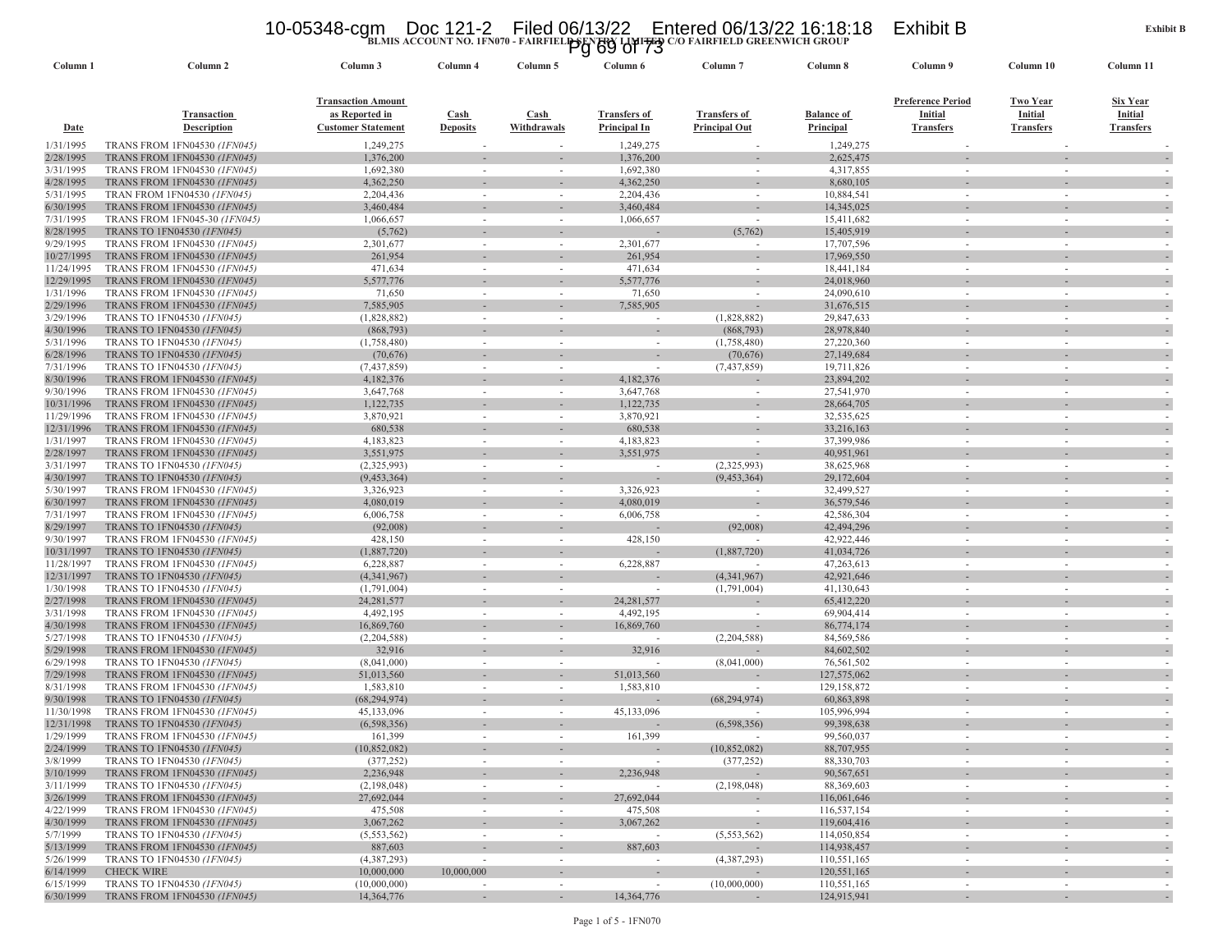### 10-05348-cgm Doc 121-2 Filed 06/13/22 Entered 06/13/22 16:18:18 Exhibit B<br>Pg 69 of 73<br>Pg 69 of 73

| Column 1               | Column <sub>2</sub>                                                 | Column 3                                                                 | Column 4                 | Column 5                 | Column 6                                   | Column <sub>7</sub>                         | Column 8                              | Column 9                                                | Column 10                                      | Column 11                                      |
|------------------------|---------------------------------------------------------------------|--------------------------------------------------------------------------|--------------------------|--------------------------|--------------------------------------------|---------------------------------------------|---------------------------------------|---------------------------------------------------------|------------------------------------------------|------------------------------------------------|
| <b>Date</b>            | Transaction<br><b>Description</b>                                   | <b>Transaction Amount</b><br>as Reported in<br><b>Customer Statement</b> | Cash<br><b>Deposits</b>  | Cash<br>Withdrawals      | <b>Transfers of</b><br><b>Principal In</b> | <b>Transfers of</b><br><b>Principal Out</b> | <b>Balance of</b><br><b>Principal</b> | <b>Preference Period</b><br>Initial<br><b>Transfers</b> | <b>Two Year</b><br>Initial<br><b>Transfers</b> | <b>Six Year</b><br>Initial<br><b>Transfers</b> |
| 1/31/1995              | TRANS FROM 1FN04530 (1FN045)                                        | 1,249,275                                                                |                          |                          | 1,249,275                                  |                                             | 1,249,275                             |                                                         |                                                |                                                |
| 2/28/1995              | <b>TRANS FROM 1FN04530 (1FN045)</b>                                 | 1,376,200                                                                |                          |                          | 1,376,200                                  |                                             | 2,625,475                             |                                                         |                                                |                                                |
| 3/31/1995              | TRANS FROM 1FN04530 (1FN045)                                        | 1,692,380                                                                | $\sim$                   | $\sim$                   | 1,692,380                                  | $\sim$                                      | 4,317,855                             | $\sim$                                                  | $\sim$                                         | $\sim$                                         |
| 4/28/1995              | <b>TRANS FROM 1FN04530 (1FN045)</b>                                 | 4,362,250                                                                |                          |                          | 4,362,250                                  |                                             | 8,680,105                             |                                                         |                                                |                                                |
| 5/31/1995              | TRAN FROM 1FN04530 (1FN045)                                         | 2,204,436                                                                |                          | $\sim$                   | 2,204,436                                  | $\sim$                                      | 10,884,541                            | $\sim$                                                  |                                                |                                                |
| 6/30/1995              | <b>TRANS FROM 1FN04530 (1FN045)</b>                                 | 3,460,484                                                                |                          |                          | 3,460,484                                  |                                             | 14,345,025                            |                                                         |                                                |                                                |
| 7/31/1995              | TRANS FROM 1FN045-30 (1FN045)                                       | 1,066,657                                                                |                          |                          | 1,066,657                                  | $\sim$                                      | 15,411,682                            |                                                         |                                                |                                                |
| 8/28/1995              | TRANS TO 1FN04530 (1FN045)                                          | (5,762)                                                                  |                          |                          |                                            | (5,762)                                     | 15,405,919                            |                                                         |                                                |                                                |
| 9/29/1995              | TRANS FROM 1FN04530 (1FN045)                                        | 2,301,677                                                                | $\sim$                   | $\sim$                   | 2,301,677                                  | $\sim$                                      | 17,707,596                            | $\sim$                                                  | $\sim$                                         |                                                |
| 10/27/1995             | <b>TRANS FROM 1FN04530 (1FN045)</b>                                 | 261,954                                                                  |                          |                          | 261,954                                    |                                             | 17,969,550                            |                                                         |                                                |                                                |
| 11/24/1995             | TRANS FROM 1FN04530 (1FN045)                                        | 471,634                                                                  |                          | $\sim$                   | 471,634                                    | $\sim$                                      | 18,441,184                            |                                                         |                                                |                                                |
| 12/29/1995             | <b>TRANS FROM 1FN04530 (1FN045)</b>                                 | 5,577,776                                                                |                          |                          | 5,577,776                                  |                                             | 24,018,960                            |                                                         |                                                |                                                |
| 1/31/1996<br>2/29/1996 | TRANS FROM 1FN04530 (1FN045)<br><b>TRANS FROM 1FN04530 (1FN045)</b> | 71,650<br>7,585,905                                                      |                          |                          | 71,650<br>7,585,905                        | $\sim$                                      | 24,090,610<br>31,676,515              |                                                         |                                                |                                                |
| 3/29/1996              | <b>TRANS TO 1FN04530 (1FN045)</b>                                   | (1,828,882)                                                              |                          |                          |                                            | (1,828,882)                                 | 29,847,633                            |                                                         |                                                |                                                |
| 4/30/1996              | TRANS TO 1FN04530 (1FN045)                                          | (868,793)                                                                |                          |                          |                                            | (868,793)                                   | 28,978,840                            |                                                         |                                                |                                                |
| 5/31/1996              | TRANS TO 1FN04530 (1FN045)                                          | (1,758,480)                                                              | $\sim$                   | $\sim$                   | $\sim$                                     | (1,758,480)                                 | 27,220,360                            | $\sim$                                                  | $\sim$                                         |                                                |
| 6/28/1996              | TRANS TO 1FN04530 (1FN045)                                          | (70, 676)                                                                |                          |                          |                                            | (70, 676)                                   | 27,149,684                            |                                                         |                                                |                                                |
| 7/31/1996              | TRANS TO 1FN04530 (1FN045)                                          | (7,437,859)                                                              | $\sim$                   | $\sim$                   |                                            | (7,437,859)                                 | 19,711,826                            | $\sim$                                                  | $\sim$                                         |                                                |
| 8/30/1996              | <b>TRANS FROM 1FN04530 (1FN045)</b>                                 | 4,182,376                                                                |                          |                          | 4,182,376                                  |                                             | 23,894,202                            |                                                         |                                                |                                                |
| 9/30/1996              | TRANS FROM 1FN04530 (1FN045)                                        | 3,647,768                                                                |                          |                          | 3,647,768                                  | $\sim$                                      | 27,541,970                            |                                                         |                                                |                                                |
| 10/31/1996             | <b>TRANS FROM 1FN04530 (1FN045)</b>                                 | 1,122,735                                                                |                          |                          | 1,122,735                                  |                                             | 28,664,705                            |                                                         |                                                |                                                |
| 11/29/1996             | TRANS FROM 1FN04530 (1FN045)                                        | 3,870,921                                                                |                          | $\sim$                   | 3,870,921                                  | $\sim$                                      | 32,535,625                            | $\sim$                                                  |                                                |                                                |
| 12/31/1996             | TRANS FROM 1FN04530 (IFN045)                                        | 680,538                                                                  |                          |                          | 680,538                                    |                                             | 33,216,163                            |                                                         |                                                |                                                |
| 1/31/1997              | TRANS FROM 1FN04530 (1FN045)                                        | 4,183,823                                                                | $\sim$                   | $\sim$                   | 4,183,823                                  | $\sim$                                      | 37,399,986                            | $\sim$                                                  | $\sim$                                         |                                                |
| 2/28/1997              | <b>TRANS FROM 1FN04530 (1FN045)</b>                                 | 3,551,975                                                                |                          |                          | 3,551,975                                  |                                             | 40,951,961                            |                                                         |                                                |                                                |
| 3/31/1997              | TRANS TO 1FN04530 (1FN045)                                          | (2,325,993)                                                              |                          |                          | $\sim$                                     | (2,325,993)                                 | 38,625,968                            |                                                         |                                                |                                                |
| 4/30/1997              | TRANS TO 1FN04530 (1FN045)                                          | (9, 453, 364)                                                            |                          |                          |                                            | (9,453,364)                                 | 29,172,604                            |                                                         |                                                |                                                |
| 5/30/1997              | TRANS FROM 1FN04530 (1FN045)                                        | 3,326,923                                                                |                          | $\sim$                   | 3,326,923                                  | $\sim$                                      | 32,499,527                            |                                                         |                                                |                                                |
| 6/30/1997              | <b>TRANS FROM 1FN04530 (IFN045)</b>                                 | 4,080,019                                                                |                          |                          | 4,080,019                                  |                                             | 36,579,546                            |                                                         |                                                |                                                |
| 7/31/1997              | TRANS FROM 1FN04530 (1FN045)                                        | 6,006,758                                                                | $\sim$                   | $\sim$                   | 6,006,758                                  | $\sim$                                      | 42,586,304                            | $\sim$                                                  | $\sim$                                         | $\sim$                                         |
| 8/29/1997              | TRANS TO 1FN04530 (1FN045)                                          | (92,008)                                                                 |                          |                          |                                            | (92,008)                                    | 42,494,296                            |                                                         |                                                |                                                |
| 9/30/1997              | <b>TRANS FROM 1FN04530 (1FN045)</b>                                 | 428,150                                                                  | $\sim$                   | $\sim$                   | 428,150                                    | $\sim$                                      | 42,922,446                            | $\sim$                                                  |                                                |                                                |
| 10/31/1997             | TRANS TO 1FN04530 (1FN045)                                          | (1,887,720)                                                              |                          |                          |                                            | (1,887,720)                                 | 41,034,726                            |                                                         |                                                |                                                |
| 11/28/1997             | <b>TRANS FROM 1FN04530 (1FN045)</b>                                 | 6,228,887                                                                |                          | $\sim$                   | 6,228,887                                  |                                             | 47,263,613                            | $\sim$                                                  | $\sim$                                         |                                                |
| 12/31/1997             | TRANS TO 1FN04530 (1FN045)                                          | (4,341,967)                                                              |                          |                          |                                            | (4,341,967)                                 | 42,921,646                            |                                                         |                                                |                                                |
| 1/30/1998              | TRANS TO 1FN04530 (1FN045)                                          | (1,791,004)                                                              | $\sim$                   | $\sim$                   |                                            | (1,791,004)                                 | 41,130,643                            | $\sim$                                                  |                                                | $\overline{\phantom{a}}$                       |
| 2/27/1998              | <b>TRANS FROM 1FN04530 (1FN045)</b>                                 | 24, 281, 577                                                             | $\sim$                   |                          | 24, 281, 577<br>4,492,195                  |                                             | 65,412,220<br>69,904,414              |                                                         | $\sim$                                         |                                                |
| 3/31/1998<br>4/30/1998 | TRANS FROM 1FN04530 (1FN045)<br><b>TRANS FROM 1FN04530 (1FN045)</b> | 4,492,195<br>16,869,760                                                  |                          | $\sim$                   | 16,869,760                                 | $\sim$                                      | 86,774,174                            | $\sim$                                                  |                                                |                                                |
| 5/27/1998              | TRANS TO 1FN04530 (1FN045)                                          | (2,204,588)                                                              |                          |                          |                                            | (2,204,588)                                 | 84,569,586                            | $\sim$                                                  |                                                |                                                |
| 5/29/1998              | <b>TRANS FROM 1FN04530 (1FN045)</b>                                 | 32,916                                                                   |                          |                          | 32,916                                     |                                             | 84,602,502                            |                                                         |                                                |                                                |
| 6/29/1998              | TRANS TO 1FN04530 (1FN045)                                          | (8,041,000)                                                              |                          |                          |                                            | (8,041,000)                                 | 76,561,502                            |                                                         |                                                |                                                |
| 7/29/1998              | <b>TRANS FROM 1FN04530 (1FN045)</b>                                 | 51,013,560                                                               |                          |                          | 51,013,560                                 |                                             | 127,575,062                           |                                                         |                                                |                                                |
| 8/31/1998              | TRANS FROM 1FN04530 (1FN045)                                        | 1,583,810                                                                | $\sim$                   | $\sim$                   | 1,583,810                                  | $\overline{\phantom{a}}$                    | 129,158,872                           | $\sim$                                                  |                                                |                                                |
| 9/30/1998              | TRANS TO 1FN04530 (1FN045)                                          | (68, 294, 974)                                                           |                          |                          |                                            | (68, 294, 974)                              | 60,863,898                            |                                                         |                                                |                                                |
| 11/30/1998             | TRANS FROM 1FN04530 (1FN045)                                        | 45,133,096                                                               |                          | $\sim$                   | 45,133,096                                 |                                             | 105,996,994                           | $\sim$                                                  | $\sim$                                         |                                                |
| 12/31/1998             | TRANS TO 1FN04530 (1FN045)                                          | (6,598,356)                                                              |                          |                          |                                            | (6,598,356)                                 | 99,398,638                            |                                                         |                                                |                                                |
| 1/29/1999              | <b>TRANS FROM 1FN04530 (IFN045)</b>                                 | 161,399                                                                  |                          |                          | 161,399                                    |                                             | 99,560,037                            |                                                         |                                                |                                                |
| 2/24/1999              | TRANS TO 1FN04530 (1FN045)                                          | (10.852.082)                                                             |                          |                          |                                            | (10.852.082)                                | 88,707,955                            |                                                         |                                                |                                                |
| 3/8/1999               | TRANS TO 1FN04530 (1FN045)                                          | (377, 252)                                                               | $\sim$                   | $\sim$                   | $\sim$                                     | (377, 252)                                  | 88,330,703                            | $\sim$                                                  | $\sim$                                         | $\sim$                                         |
| 3/10/1999              | <b>TRANS FROM 1FN04530 (1FN045)</b>                                 | 2,236,948                                                                |                          |                          | 2,236,948                                  |                                             | 90,567,651                            |                                                         |                                                |                                                |
| 3/11/1999              | TRANS TO 1FN04530 (1FN045)                                          | (2,198,048)                                                              | $\sim$                   | $\sim$                   |                                            | (2,198,048)                                 | 88,369,603                            | $\sim$                                                  | $\sim$                                         | $\sim$                                         |
| 3/26/1999              | <b>TRANS FROM 1FN04530 (1FN045)</b>                                 | 27,692,044                                                               |                          | $\overline{\phantom{a}}$ | 27,692,044                                 |                                             | 116,061,646                           |                                                         |                                                |                                                |
| 4/22/1999              | TRANS FROM 1FN04530 (1FN045)                                        | 475,508                                                                  | $\sim$                   | $\sim$                   | 475,508                                    | $\sim$                                      | 116,537,154                           | $\sim$                                                  | $\sim$                                         | $\sim$                                         |
| 4/30/1999              | <b>TRANS FROM 1FN04530 (1FN045)</b>                                 | 3,067,262                                                                | $\sim$                   | $\overline{\phantom{a}}$ | 3,067,262                                  | $\overline{\phantom{a}}$                    | 119,604,416                           |                                                         |                                                | ٠                                              |
| 5/7/1999               | TRANS TO 1FN04530 (1FN045)                                          | (5, 553, 562)                                                            |                          | $\overline{\phantom{a}}$ |                                            | (5,553,562)                                 | 114,050,854                           | ٠                                                       | $\overline{\phantom{a}}$                       | $\sim$                                         |
| 5/13/1999              | <b>TRANS FROM 1FN04530 (1FN045)</b>                                 | 887,603                                                                  |                          |                          | 887,603                                    |                                             | 114,938,457                           |                                                         |                                                |                                                |
| 5/26/1999              | TRANS TO 1FN04530 (1FN045)                                          | (4,387,293)                                                              | $\sim$                   | $\sim$                   | $\sim$                                     | (4,387,293)                                 | 110,551,165                           | $\sim$                                                  | $\sim$                                         | $\sim$                                         |
| 6/14/1999              | <b>CHECK WIRE</b>                                                   | 10,000,000                                                               | 10,000,000               |                          |                                            |                                             | 120,551,165                           |                                                         |                                                |                                                |
| 6/15/1999              | TRANS TO 1FN04530 (1FN045)                                          | (10,000,000)                                                             | $\overline{\phantom{a}}$ | $\sim$                   | $\sim$                                     | (10,000,000)                                | 110,551,165                           |                                                         |                                                |                                                |
| 6/30/1999              | TRANS FROM 1FN04530 (IFN045)                                        | 14,364,776                                                               | $\sim$                   | $\sim$                   | 14,364,776                                 |                                             | 124,915,941                           | $\sim$                                                  | $\sim$                                         |                                                |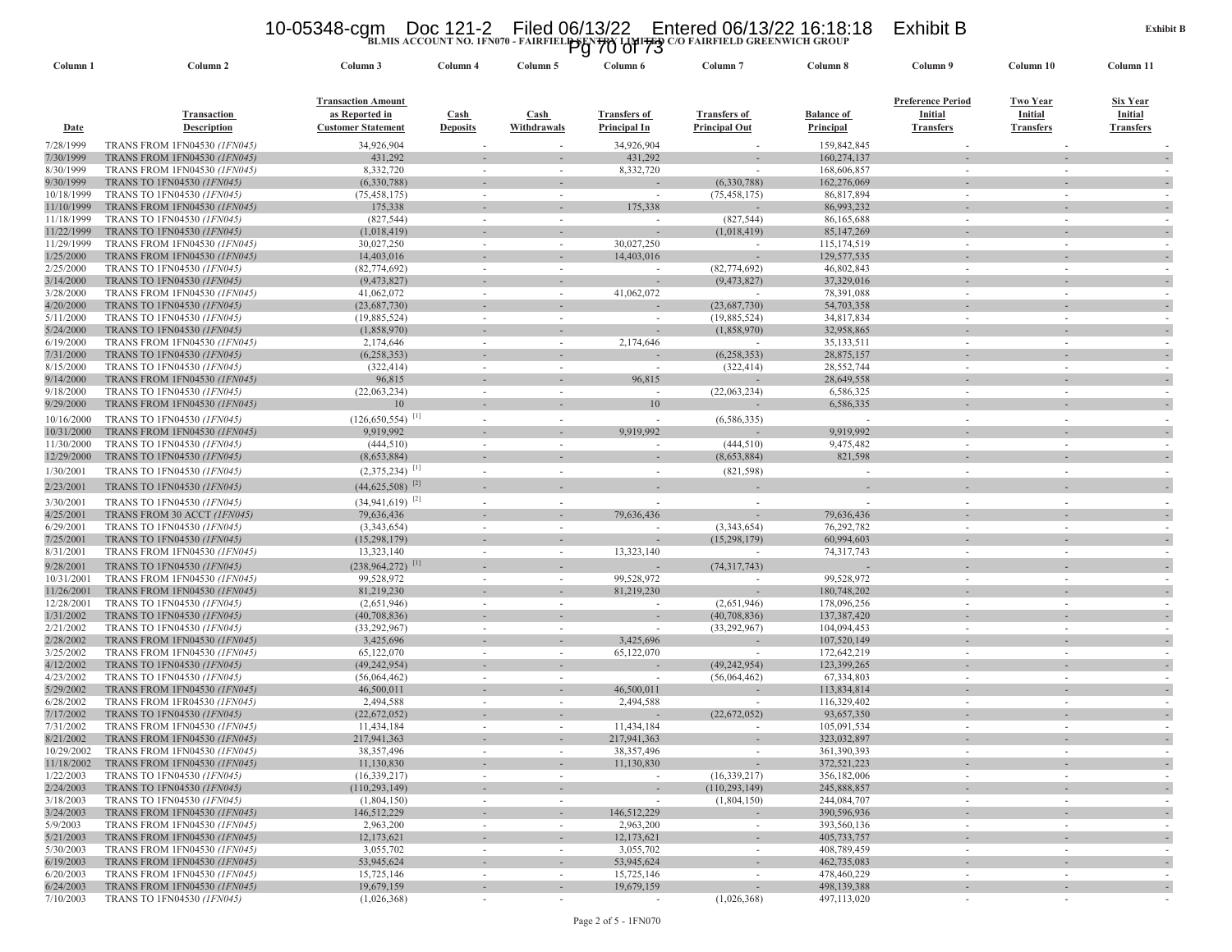### 10-05348-cgm Doc 121-2 Filed 06/13/22 Entered 06/13/22 16:18:18 Exhibit B<br>Pg 70 of <sup>Tai</sup>bland Group<br><sup>2</sup> Of 73

|                          |                                                                            |                                  |                          |             | 1 y 10 UI 10                            |                          |                              |                          |                  |                                    |
|--------------------------|----------------------------------------------------------------------------|----------------------------------|--------------------------|-------------|-----------------------------------------|--------------------------|------------------------------|--------------------------|------------------|------------------------------------|
| Column 1                 | Column 2                                                                   | Column 3                         | Column 4                 | Column 5    | Column 6                                | Column <sub>7</sub>      | Column 8                     | Column 9                 | Column 10        | Column 11                          |
|                          |                                                                            |                                  |                          |             |                                         |                          |                              |                          |                  |                                    |
|                          |                                                                            | <b>Transaction Amount</b>        |                          |             |                                         |                          |                              | <b>Preference Period</b> | Two Year         | Six Year                           |
|                          | Transaction                                                                | as Reported in                   | Cash                     | Cash        | <b>Transfers of</b>                     | <b>Transfers of</b>      | <b>Balance of</b>            | Initial                  | <b>Initial</b>   | Initial                            |
| <b>Date</b>              | <b>Description</b>                                                         | <b>Customer Statement</b>        | <b>Deposits</b>          | Withdrawals | Principal In                            | <b>Principal Out</b>     | Principal                    | <b>Transfers</b>         | <b>Transfers</b> | <b>Transfers</b>                   |
| 7/28/1999                | TRANS FROM 1FN04530 (1FN045)                                               | 34,926,904                       |                          |             | 34,926,904                              |                          | 159,842,845                  |                          |                  |                                    |
| 7/30/1999                | <b>TRANS FROM 1FN04530 (1FN045)</b>                                        | 431,292                          |                          |             | 431,292                                 |                          | 160,274,137                  |                          |                  |                                    |
| 8/30/1999                | TRANS FROM 1FN04530 (1FN045)                                               | 8,332,720                        | $\overline{\phantom{a}}$ | $\sim$      | 8,332,720                               |                          | 168,606,857                  |                          |                  |                                    |
| 9/30/1999                | TRANS TO 1FN04530 (IFN045)                                                 | (6,330,788)                      |                          |             |                                         | (6,330,788)              | 162,276,069                  |                          |                  |                                    |
| 10/18/1999               | TRANS TO 1FN04530 (1FN045)                                                 | (75, 458, 175)                   | $\sim$                   | $\sim$      | $\sim$                                  | (75, 458, 175)           | 86,817,894                   | ٠                        |                  |                                    |
| 11/10/1999               | <b>TRANS FROM 1FN04530 (1FN045)</b>                                        | 175,338                          |                          |             | 175,338                                 |                          | 86,993,232                   |                          |                  |                                    |
| 11/18/1999               | TRANS TO 1FN04530 (1FN045)                                                 | (827, 544)                       | $\overline{\phantom{a}}$ |             | $\sim$                                  | (827, 544)               | 86,165,688                   | $\sim$                   |                  |                                    |
| 11/22/1999<br>11/29/1999 | TRANS TO 1FN04530 (1FN045)                                                 | (1,018,419)                      |                          |             |                                         | (1,018,419)              | 85, 147, 269                 |                          |                  |                                    |
| 1/25/2000                | TRANS FROM 1FN04530 (1FN045)<br><b>TRANS FROM 1FN04530 (1FN045)</b>        | 30,027,250<br>14,403,016         |                          |             | 30,027,250<br>14,403,016                |                          | 115, 174, 519<br>129,577,535 |                          |                  |                                    |
| 2/25/2000                | TRANS TO 1FN04530 (1FN045)                                                 | (82, 774, 692)                   | $\sim$                   | $\sim$      | $\overline{\phantom{a}}$                | (82, 774, 692)           | 46,802,843                   | $\sim$                   |                  |                                    |
| 3/14/2000                | TRANS TO 1FN04530 (1FN045)                                                 | (9,473,827)                      |                          |             |                                         | (9,473,827)              | 37,329,016                   |                          |                  |                                    |
| 3/28/2000                | <b>TRANS FROM 1FN04530 (1FN045)</b>                                        | 41,062,072                       | $\overline{a}$           |             | 41,062,072                              |                          | 78,391,088                   |                          |                  |                                    |
| 4/20/2000                | TRANS TO 1FN04530 (1FN045)                                                 | (23,687,730)                     |                          |             |                                         | (23,687,730)             | 54,703,358                   |                          |                  |                                    |
| 5/11/2000                | TRANS TO 1FN04530 (1FN045)                                                 | (19,885,524)                     | $\overline{\phantom{a}}$ | $\sim$      | $\overline{\phantom{a}}$                | (19,885,524)             | 34,817,834                   | $\sim$                   |                  |                                    |
| 5/24/2000                | TRANS TO 1FN04530 (IFN045)                                                 | (1,858,970)                      |                          |             |                                         | (1,858,970)              | 32,958,865                   |                          |                  |                                    |
| 6/19/2000                | <b>TRANS FROM 1FN04530 (1FN045)</b>                                        | 2,174,646                        | $\sim$                   | $\sim$      | 2,174,646                               |                          | 35, 133, 511                 | $\sim$                   |                  |                                    |
| 7/31/2000                | TRANS TO 1FN04530 (1FN045)                                                 | (6,258,353)                      |                          |             |                                         | (6,258,353)              | 28,875,157                   |                          |                  |                                    |
| 8/15/2000                | TRANS TO 1FN04530 (1FN045)                                                 | (322, 414)                       | $\overline{\phantom{a}}$ | $\sim$      | $\blacksquare$                          | (322, 414)               | 28,552,744                   | $\sim$                   |                  |                                    |
| 9/14/2000                | TRANS FROM 1FN04530 (1FN045)                                               | 96,815                           |                          |             | 96,815                                  |                          | 28,649,558                   |                          |                  |                                    |
| 9/18/2000                | TRANS TO 1FN04530 (1FN045)                                                 | (22,063,234)                     | $\sim$                   | $\sim$      | $\sim$                                  | (22,063,234)             | 6,586,325                    | $\sim$                   |                  |                                    |
| 9/29/2000                | <b>TRANS FROM 1FN04530 (1FN045)</b>                                        | 10                               |                          |             | 10                                      |                          | 6,586,335                    |                          |                  |                                    |
| 10/16/2000               | TRANS TO 1FN04530 (1FN045)                                                 | $(126, 650, 554)$ <sup>[1]</sup> | $\overline{\phantom{a}}$ |             |                                         | (6, 586, 335)            |                              | $\sim$                   |                  |                                    |
| 10/31/2000               | TRANS FROM 1FN04530 (1FN045)                                               | 9,919,992                        |                          |             | 9,919,992                               |                          | 9,919,992                    |                          |                  |                                    |
| 11/30/2000               | TRANS TO 1FN04530 (1FN045)                                                 | (444, 510)                       | $\overline{\phantom{a}}$ |             |                                         | (444, 510)               | 9,475,482                    |                          |                  |                                    |
| 12/29/2000               | TRANS TO 1FN04530 (1FN045)                                                 | (8,653,884)                      |                          |             |                                         | (8,653,884)              | 821,598                      |                          |                  |                                    |
| 1/30/2001                | TRANS TO 1FN04530 (IFN045)                                                 | $(2,375,234)$ <sup>[1]</sup>     | $\overline{\phantom{a}}$ | $\sim$      | $\overline{\phantom{a}}$                | (821, 598)               | $\sim$                       | $\sim$                   |                  |                                    |
| 2/23/2001                | TRANS TO 1FN04530 (1FN045)                                                 | $(44,625,508)$ <sup>[2]</sup>    |                          |             |                                         |                          |                              |                          |                  |                                    |
| 3/30/2001                | TRANS TO 1FN04530 (1FN045)                                                 | $(34,941,619)^{[2]}$             | $\sim$                   |             |                                         |                          | $\sim$                       | ÷.                       |                  |                                    |
| 4/25/2001                | TRANS FROM 30 ACCT (IFN045)                                                | 79,636,436                       |                          |             | 79,636,436                              |                          | 79,636,436                   |                          |                  |                                    |
| 6/29/2001                | TRANS TO 1FN04530 (1FN045)                                                 | (3,343,654)                      | $\sim$                   | $\sim$      | $\sim$                                  | (3,343,654)              | 76,292,782                   | $\sim$                   |                  |                                    |
| 7/25/2001                | TRANS TO 1FN04530 (IFN045)                                                 | (15,298,179)                     |                          |             |                                         | (15, 298, 179)           | 60,994,603                   |                          |                  |                                    |
| 8/31/2001                | TRANS FROM 1FN04530 (1FN045)                                               | 13,323,140                       |                          |             | 13,323,140                              |                          | 74,317,743                   |                          |                  |                                    |
| 9/28/2001                | TRANS TO 1FN04530 (1FN045)                                                 | $(238,964,272)$ <sup>[1]</sup>   |                          |             |                                         | (74,317,743)             |                              |                          |                  |                                    |
| 10/31/2001               | TRANS FROM 1FN04530 (1FN045)                                               | 99,528,972                       | $\overline{\phantom{a}}$ | $\sim$      | 99,528,972                              |                          | 99,528,972                   | $\sim$                   |                  |                                    |
| 11/26/2001               | <b>TRANS FROM 1FN04530 (1FN045)</b>                                        | 81,219,230                       | $\blacksquare$           |             | 81,219,230                              |                          | 180,748,202                  |                          |                  |                                    |
| 12/28/2001               | TRANS TO 1FN04530 (1FN045)                                                 | (2,651,946)                      | $\sim$                   | $\sim$      |                                         | (2,651,946)              | 178,096,256                  | $\sim$                   |                  |                                    |
| 1/31/2002                | TRANS TO 1FN04530 (1FN045)                                                 | (40,708,836)                     |                          |             |                                         | (40,708,836)             | 137,387,420                  |                          |                  |                                    |
| 2/21/2002                | TRANS TO 1FN04530 (1FN045)                                                 | (33, 292, 967)                   | $\overline{\phantom{a}}$ | $\sim$      | $\sim$<br>3,425,696                     | (33, 292, 967)           | 104,094,453                  | $\sim$                   |                  |                                    |
| 2/28/2002<br>3/25/2002   | <b>TRANS FROM 1FN04530 (1FN045)</b><br>TRANS FROM 1FN04530 (1FN045)        | 3,425,696<br>65,122,070          | $\sim$                   | $\sim$      | 65,122,070                              |                          | 107,520,149<br>172,642,219   | $\sim$                   |                  |                                    |
| 4/12/2002                | TRANS TO 1FN04530 (1FN045)                                                 | (49, 242, 954)                   |                          |             |                                         | (49, 242, 954)           | 123,399,265                  |                          |                  |                                    |
| 4/23/2002                | TRANS TO 1FN04530 (1FN045)                                                 | (56,064,462)                     | $\overline{\phantom{a}}$ |             |                                         | (56,064,462)             | 67,334,803                   |                          |                  |                                    |
| 5/29/2002                | <b>TRANS FROM 1FN04530 (IFN045)</b>                                        | 46,500,011                       |                          |             | 46,500,011                              |                          | 113,834,814                  |                          |                  |                                    |
| 6/28/2002                | TRANS FROM 1FR04530 (1FN045)                                               | 2,494,588                        | $\sim$                   | $\sim$      | 2,494,588                               |                          | 116,329,402                  | $\sim$                   |                  |                                    |
| 7/17/2002                | TRANS TO 1FN04530 (1FN045)                                                 | (22,672,052)                     |                          |             |                                         | (22, 672, 052)           | 93,657,350                   |                          |                  |                                    |
| 7/31/2002                | <b>TRANS FROM 1FN04530 (1FN045)</b>                                        | 11,434,184                       | $\overline{\phantom{a}}$ |             | 11,434,184                              |                          | 105,091,534                  | $\sim$                   |                  |                                    |
| 8/21/2002                | TRANS FROM 1FN04530 (1FN045)                                               | 217,941,363                      |                          |             | 217,941,363                             |                          | 323,032,897                  |                          |                  |                                    |
| 10/29/2002               | TRANS FROM 1FN04530 (1FN045)                                               | 38, 357, 496                     | $\overline{\phantom{a}}$ |             | 38, 357, 496                            |                          | 361,390,393                  |                          |                  |                                    |
| 11/18/2002               | <b>TRANS FROM 1FN04530 (1FN045)</b>                                        | 11,130,830                       |                          |             | 11,130,830                              |                          | 372,521,223                  |                          |                  | $\overline{\phantom{a}}$           |
| 1/22/2003                | TRANS TO 1FN04530 (1FN045)                                                 | (16, 339, 217)                   | $\overline{\phantom{a}}$ | $\sim$      | $\sim$                                  | (16, 339, 217)           | 356,182,006                  |                          |                  |                                    |
| 2/24/2003                | <b>TRANS TO 1FN04530 (1FN045)</b>                                          | (110, 293, 149)                  |                          |             |                                         | (110, 293, 149)          | 245,888,857                  |                          |                  |                                    |
| 3/18/2003                | TRANS TO 1FN04530 (1FN045)                                                 | (1,804,150)<br>146,512,229       | $\overline{\phantom{a}}$ | $\sim$      | $\overline{\phantom{a}}$<br>146,512,229 | (1,804,150)              | 244,084,707<br>390,596,936   | $\sim$                   | $\sim$           | $\overline{\phantom{a}}$           |
| 3/24/2003<br>5/9/2003    | <b>TRANS FROM 1FN04530 (1FN045)</b><br><b>TRANS FROM 1FN04530 (1FN045)</b> | 2,963,200                        | $\overline{\phantom{a}}$ | $\sim$      | 2,963,200                               | $\overline{\phantom{a}}$ | 393,560,136                  | ٠                        | $\sim$           | $\overline{\phantom{a}}$<br>$\sim$ |
| 5/21/2003                | <b>TRANS FROM 1FN04530 (1FN045)</b>                                        | 12,173,621                       | $\overline{\phantom{a}}$ | $\sim$      | 12,173,621                              |                          | 405,733,757                  |                          |                  | $\overline{\phantom{a}}$           |
| 5/30/2003                | TRANS FROM 1FN04530 (1FN045)                                               | 3,055,702                        | $\overline{\phantom{a}}$ | $\sim$      | 3,055,702                               |                          | 408,789,459                  |                          | $\sim$           |                                    |
| 6/19/2003                | <b>TRANS FROM 1FN04530 (1FN045)</b>                                        | 53,945,624                       |                          |             | 53,945,624                              |                          | 462,735,083                  |                          |                  |                                    |
| 6/20/2003                | <b>TRANS FROM 1FN04530 (1FN045)</b>                                        | 15,725,146                       | $\sim$                   | $\sim$      | 15,725,146                              | $\sim$                   | 478,460,229                  | $\sim$                   | $\sim$           | $\overline{\phantom{a}}$           |
| 6/24/2003                | <b>TRANS FROM 1FN04530 (1FN045)</b>                                        | 19,679,159                       |                          | $\sim$      | 19,679,159                              |                          | 498,139,388                  |                          | $\sim$           |                                    |
| 7/10/2003                | TRANS TO 1FN04530 (1FN045)                                                 | (1,026,368)                      | $\overline{\phantom{a}}$ | $\sim$      | $\sim$                                  | (1,026,368)              | 497,113,020                  | ٠                        | $\sim$           |                                    |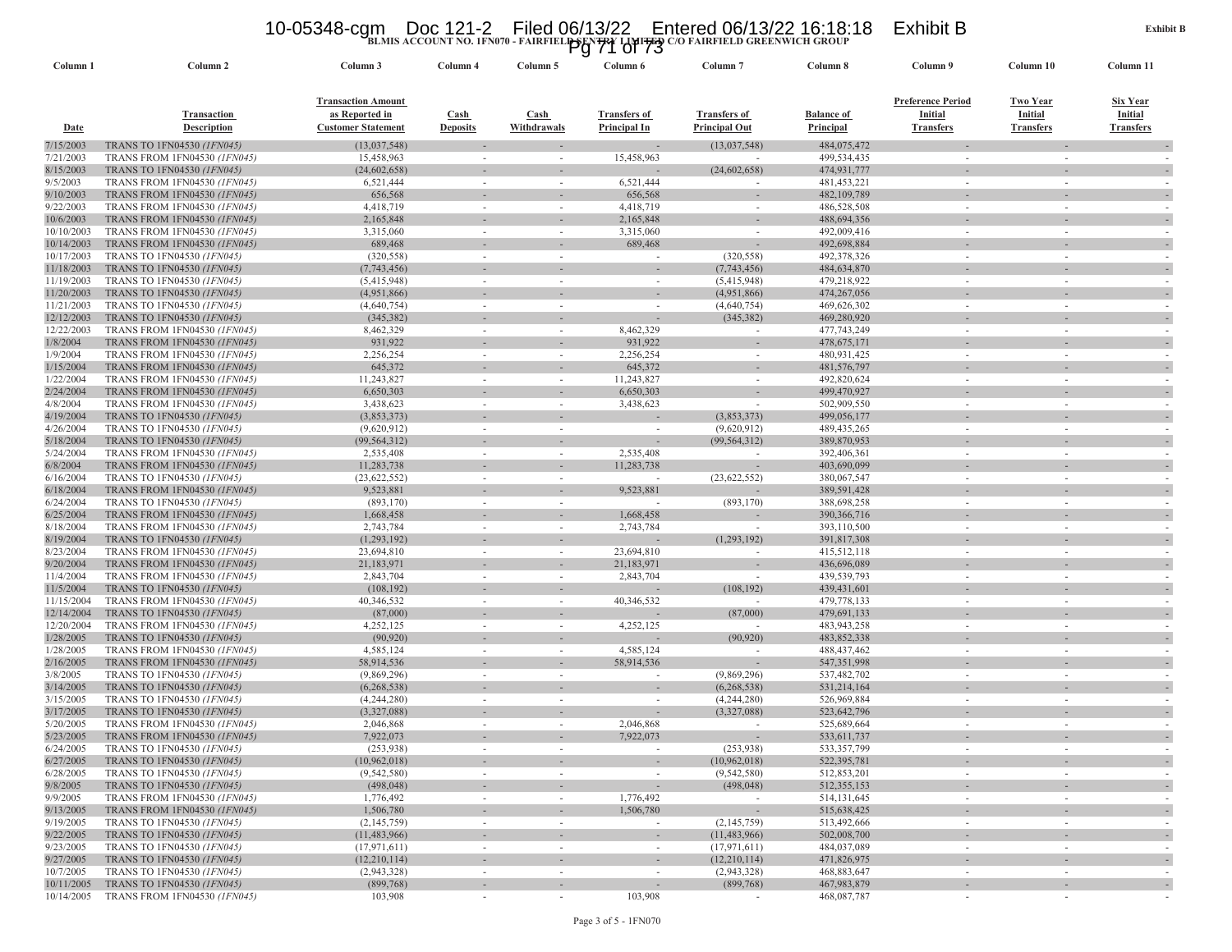### 10-05348-cgm Doc 121-2 Filed 06/13/22 Entered 06/13/22 16:18:18 Exhibit B<br>Pg 71 of 73<br><sup>20</sup> Pairfield greenwich group

| Column 1                 | Column <sub>2</sub>                                                 | Column 3                                                                 | Column 4                       | Column 5                   | ັນ<br>Column 6                      | Column <sub>7</sub>                         | Column 8                              | Column 9                                                | Column 10                               | Column 11                               |
|--------------------------|---------------------------------------------------------------------|--------------------------------------------------------------------------|--------------------------------|----------------------------|-------------------------------------|---------------------------------------------|---------------------------------------|---------------------------------------------------------|-----------------------------------------|-----------------------------------------|
| <u>Date</u>              | <b>Transaction</b><br><b>Description</b>                            | <b>Transaction Amount</b><br>as Reported in<br><b>Customer Statement</b> | <b>Cash</b><br><b>Deposits</b> | <b>Cash</b><br>Withdrawals | <b>Transfers of</b><br>Principal In | <b>Transfers of</b><br><b>Principal Out</b> | <b>Balance of</b><br><b>Principal</b> | <b>Preference Period</b><br>Initial<br><b>Transfers</b> | Two Year<br>Initial<br><b>Transfers</b> | Six Year<br>Initial<br><b>Transfers</b> |
| 7/15/2003                | TRANS TO 1FN04530 (1FN045)                                          | (13,037,548)                                                             |                                |                            |                                     | (13,037,548)                                | 484,075,472                           |                                                         |                                         |                                         |
| 7/21/2003                | <b>TRANS FROM 1FN04530 (1FN045)</b>                                 | 15,458,963                                                               |                                |                            | 15,458,963                          |                                             | 499,534,435                           |                                                         |                                         |                                         |
| 8/15/2003                | TRANS TO 1FN04530 (1FN045)                                          | (24, 602, 658)                                                           |                                |                            |                                     | (24, 602, 658)                              | 474,931,777                           |                                                         |                                         |                                         |
| 9/5/2003                 | <b>TRANS FROM 1FN04530 (1FN045)</b>                                 | 6,521,444                                                                | $\overline{\phantom{a}}$       | ٠                          | 6,521,444                           | $\sim$                                      | 481, 453, 221                         | $\sim$                                                  |                                         |                                         |
| 9/10/2003                | TRANS FROM 1FN04530 (IFN045)                                        | 656,568                                                                  |                                |                            | 656,568                             |                                             | 482,109,789                           |                                                         |                                         |                                         |
| 9/22/2003                | <b>TRANS FROM 1FN04530 (1FN045)</b>                                 | 4,418,719                                                                | $\sim$                         | ٠                          | 4,418,719                           | $\sim$                                      | 486,528,508                           | $\overline{\phantom{a}}$                                |                                         |                                         |
| 10/6/2003<br>10/10/2003  | TRANS FROM 1FN04530 (IFN045)<br><b>TRANS FROM 1FN04530 (1FN045)</b> | 2,165,848<br>3,315,060                                                   |                                | ٠                          | 2,165,848<br>3,315,060              |                                             | 488,694,356<br>492,009,416            |                                                         |                                         |                                         |
| 10/14/2003               | TRANS FROM 1FN04530 (IFN045)                                        | 689,468                                                                  |                                |                            | 689,468                             |                                             | 492,698,884                           |                                                         |                                         |                                         |
| 10/17/2003               | TRANS TO 1FN04530 (1FN045)                                          | (320, 558)                                                               |                                |                            | $\sim$                              | (320, 558)                                  | 492,378,326                           |                                                         |                                         |                                         |
| 11/18/2003               | TRANS TO 1FN04530 (1FN045)                                          | (7,743,456)                                                              |                                |                            |                                     | (7,743,456)                                 | 484,634,870                           |                                                         |                                         |                                         |
| 11/19/2003               | TRANS TO 1FN04530 (1FN045)                                          | (5,415,948)                                                              | $\sim$                         | $\sim$                     | $\sim$                              | (5,415,948)                                 | 479,218,922                           | ٠                                                       | $\sim$                                  | $\sim$                                  |
| 11/20/2003               | TRANS TO 1FN04530 (1FN045)                                          | (4,951,866)                                                              |                                |                            |                                     | (4,951,866)                                 | 474,267,056                           |                                                         |                                         |                                         |
| 11/21/2003               | TRANS TO 1FN04530 (IFN045)                                          | (4,640,754)                                                              |                                |                            | $\overline{\phantom{a}}$            | (4,640,754)                                 | 469,626,302                           |                                                         |                                         |                                         |
| 12/12/2003               | TRANS TO 1FN04530 (1FN045)                                          | (345, 382)                                                               |                                |                            |                                     | (345, 382)                                  | 469,280,920                           |                                                         |                                         |                                         |
| 12/22/2003               | <b>TRANS FROM 1FN04530 (IFN045)</b>                                 | 8,462,329                                                                |                                |                            | 8,462,329                           |                                             | 477,743,249                           |                                                         |                                         |                                         |
| 1/8/2004                 | <b>TRANS FROM 1FN04530 (1FN045)</b>                                 | 931,922                                                                  |                                |                            | 931,922                             |                                             | 478, 675, 171                         |                                                         |                                         |                                         |
| 1/9/2004                 | TRANS FROM 1FN04530 (1FN045)                                        | 2,256,254                                                                | $\overline{\phantom{a}}$       | $\sim$                     | 2,256,254                           | $\sim$                                      | 480,931,425                           | $\sim$                                                  | $\sim$                                  |                                         |
| 1/15/2004                | <b>TRANS FROM 1FN04530 (1FN045)</b>                                 | 645,372                                                                  |                                |                            | 645,372                             |                                             | 481,576,797                           |                                                         |                                         |                                         |
| 1/22/2004                | <b>TRANS FROM 1FN04530 (IFN045)</b>                                 | 11,243,827                                                               |                                |                            | 11,243,827                          | $\overline{\phantom{a}}$                    | 492,820,624                           |                                                         |                                         |                                         |
| 2/24/2004                | <b>TRANS FROM 1FN04530 (1FN045)</b>                                 | 6,650,303                                                                |                                |                            | 6,650,303                           |                                             | 499,470,927                           |                                                         |                                         |                                         |
| 4/8/2004                 | TRANS FROM 1FN04530 (1FN045)                                        | 3,438,623<br>(3,853,373)                                                 |                                | ٠                          | 3,438,623                           | (3,853,373)                                 | 502,909,550                           |                                                         |                                         |                                         |
| 4/19/2004<br>4/26/2004   | <b>TRANS TO 1FN04530 (1FN045)</b><br>TRANS TO 1FN04530 (1FN045)     |                                                                          |                                |                            | $\overline{\phantom{a}}$            | (9,620,912)                                 | 499,056,177<br>489, 435, 265          |                                                         |                                         |                                         |
| 5/18/2004                | TRANS TO 1FN04530 (1FN045)                                          | (9,620,912)<br>(99, 564, 312)                                            |                                |                            |                                     | (99, 564, 312)                              | 389,870,953                           |                                                         |                                         |                                         |
| 5/24/2004                | <b>TRANS FROM 1FN04530 (1FN045)</b>                                 | 2,535,408                                                                | $\overline{\phantom{a}}$       | ٠                          | 2,535,408                           | $\sim$                                      | 392,406,361                           | ٠                                                       | $\sim$                                  |                                         |
| 6/8/2004                 | TRANS FROM 1FN04530 (1FN045)                                        | 11,283,738                                                               |                                |                            | 11,283,738                          |                                             | 403,690,099                           |                                                         |                                         |                                         |
| 6/16/2004                | TRANS TO 1FN04530 (1FN045)                                          | (23, 622, 552)                                                           | $\sim$                         | ٠                          |                                     | (23, 622, 552)                              | 380,067,547                           | $\sim$                                                  | $\sim$                                  |                                         |
| 6/18/2004                | <b>TRANS FROM 1FN04530 (1FN045)</b>                                 | 9,523,881                                                                |                                |                            | 9,523,881                           |                                             | 389,591,428                           |                                                         |                                         |                                         |
| 6/24/2004                | TRANS TO 1FN04530 (1FN045)                                          | (893, 170)                                                               |                                |                            |                                     | (893, 170)                                  | 388,698,258                           |                                                         |                                         |                                         |
| 6/25/2004                | <b>TRANS FROM 1FN04530 (IFN045)</b>                                 | 1,668,458                                                                |                                |                            | 1,668,458                           |                                             | 390, 366, 716                         |                                                         |                                         |                                         |
| 8/18/2004                | TRANS FROM 1FN04530 (1FN045)                                        | 2,743,784                                                                |                                | ٠                          | 2,743,784                           | $\sim$                                      | 393,110,500                           |                                                         |                                         |                                         |
| 8/19/2004                | TRANS TO 1FN04530 (1FN045)                                          | (1,293,192)                                                              |                                |                            |                                     | (1,293,192)                                 | 391,817,308                           |                                                         |                                         |                                         |
| 8/23/2004                | <b>TRANS FROM 1FN04530 (IFN045)</b>                                 | 23,694,810                                                               | $\sim$                         | ٠                          | 23,694,810                          |                                             | 415,512,118                           |                                                         |                                         |                                         |
| 9/20/2004                | <b>TRANS FROM 1FN04530 (IFN045)</b>                                 | 21,183,971                                                               |                                |                            | 21,183,971                          |                                             | 436,696,089                           |                                                         |                                         |                                         |
| 11/4/2004                | <b>TRANS FROM 1FN04530 (1FN045)</b>                                 | 2,843,704                                                                |                                | ٠                          | 2,843,704                           |                                             | 439,539,793                           |                                                         |                                         |                                         |
| 11/5/2004                | TRANS TO 1FN04530 (1FN045)                                          | (108, 192)                                                               |                                |                            |                                     | (108, 192)                                  | 439, 431, 601                         |                                                         |                                         |                                         |
| 11/15/2004<br>12/14/2004 | <b>TRANS FROM 1FN04530 (IFN045)</b><br>TRANS TO 1FN04530 (IFN045)   | 40,346,532<br>(87,000)                                                   |                                | ٠                          | 40,346,532                          | $\sim$<br>(87,000)                          | 479,778,133<br>479,691,133            |                                                         |                                         |                                         |
| 12/20/2004               | <b>TRANS FROM 1FN04530 (1FN045)</b>                                 | 4,252,125                                                                | $\sim$                         | $\sim$                     | 4,252,125                           | $\sim$                                      | 483,943,258                           | $\sim$                                                  | $\sim$                                  | $\sim$                                  |
| 1/28/2005                | TRANS TO 1FN04530 (IFN045)                                          | (90, 920)                                                                |                                |                            |                                     | (90, 920)                                   | 483,852,338                           |                                                         |                                         |                                         |
| 1/28/2005                | TRANS FROM 1FN04530 (1FN045)                                        | 4,585,124                                                                | $\sim$                         | ٠                          | 4,585,124                           | $\sim$                                      | 488, 437, 462                         | $\sim$                                                  |                                         |                                         |
| 2/16/2005                | <b>TRANS FROM 1FN04530 (1FN045)</b>                                 | 58,914,536                                                               |                                |                            | 58,914,536                          |                                             | 547, 351, 998                         |                                                         |                                         |                                         |
| 3/8/2005                 | TRANS TO 1FN04530 (1FN045)                                          | (9,869,296)                                                              |                                | ٠                          |                                     | (9,869,296)                                 | 537,482,702                           |                                                         |                                         |                                         |
| 3/14/2005                | TRANS TO 1FN04530 (IFN045)                                          | (6,268,538)                                                              |                                |                            |                                     | (6,268,538)                                 | 531,214,164                           |                                                         |                                         |                                         |
| 3/15/2005                | TRANS TO 1FN04530 (IFN045)                                          | (4,244,280)                                                              | $\sim$                         | $\sim$                     | $\sim$                              | (4,244,280)                                 | 526,969,884                           | ٠                                                       |                                         |                                         |
| 3/17/2005                | TRANS TO 1FN04530 (1FN045)                                          | (3,327,088)                                                              |                                |                            |                                     | (3,327,088)                                 | 523,642,796                           |                                                         |                                         |                                         |
| 5/20/2005                | <b>TRANS FROM 1FN04530 (IFN045)</b>                                 | 2,046,868                                                                |                                |                            | 2,046,868                           |                                             | 525,689,664                           | ٠                                                       |                                         |                                         |
| 5/23/2005                | TRANS FROM 1FN04530 (1FN045)                                        | 7,922,073                                                                |                                |                            | 7,922,073                           |                                             | 533, 611, 737                         |                                                         |                                         |                                         |
| 6/24/2005                | TRANS TO 1FN04530 (1FN045)                                          | (253, 938)                                                               |                                |                            |                                     | (253, 938)                                  | 533,357,799                           |                                                         |                                         |                                         |
| 6/27/2005                | TRANS TO 1FN04530 (1FN045)                                          | (10, 962, 018)                                                           |                                |                            | $\overline{\phantom{a}}$            | (10,962,018)                                | 522,395,781                           |                                                         |                                         |                                         |
| 6/28/2005                | TRANS TO 1FN04530 (1FN045)                                          | (9,542,580)                                                              | $\overline{\phantom{a}}$       |                            | $\overline{\phantom{a}}$            | (9,542,580)                                 | 512,853,201                           |                                                         | $\sim$                                  |                                         |
| 9/8/2005<br>9/9/2005     | TRANS TO 1FN04530 (1FN045)<br><b>TRANS FROM 1FN04530 (1FN045)</b>   | (498, 048)<br>1,776,492                                                  | $\sim$                         | ٠                          | 1,776,492                           | (498, 048)<br>$\sim$                        | 512, 355, 153<br>514,131,645          | $\overline{\phantom{a}}$                                | $\sim$                                  | $\overline{\phantom{a}}$<br>$\sim$      |
| 9/13/2005                | <b>TRANS FROM 1FN04530 (1FN045)</b>                                 | 1,506,780                                                                |                                |                            | 1,506,780                           |                                             | 515,638,425                           |                                                         |                                         |                                         |
| 9/19/2005                | TRANS TO 1FN04530 (1FN045)                                          | (2,145,759)                                                              | $\sim$                         | $\sim$                     | $\overline{\phantom{a}}$            | (2,145,759)                                 | 513,492,666                           | $\sim$                                                  | $\sim$                                  |                                         |
| 9/22/2005                | TRANS TO 1FN04530 (1FN045)                                          | (11, 483, 966)                                                           | $\overline{\phantom{a}}$       | ٠                          | $\overline{\phantom{a}}$            | (11, 483, 966)                              | 502,008,700                           |                                                         | $\overline{\phantom{a}}$                | $\overline{\phantom{a}}$                |
| 9/23/2005                | TRANS TO 1FN04530 (1FN045)                                          | (17, 971, 611)                                                           | $\overline{\phantom{a}}$       | ٠                          | $\overline{\phantom{a}}$            | (17, 971, 611)                              | 484,037,089                           | ٠                                                       | $\sim$                                  |                                         |
| 9/27/2005                | TRANS TO 1FN04530 (1FN045)                                          | (12,210,114)                                                             |                                |                            |                                     | (12,210,114)                                | 471,826,975                           |                                                         |                                         | $\overline{\phantom{a}}$                |
| 10/7/2005                | TRANS TO 1FN04530 (1FN045)                                          | (2,943,328)                                                              | $\overline{\phantom{a}}$       | ٠                          | $\sim$                              | (2,943,328)                                 | 468,883,647                           | ٠                                                       | $\sim$                                  | $\sim$                                  |
| 10/11/2005               | TRANS TO 1FN04530 (1FN045)                                          | (899,768)                                                                |                                |                            |                                     | (899,768)                                   | 467,983,879                           |                                                         |                                         |                                         |
| 10/14/2005               | <b>TRANS FROM 1FN04530 (1FN045)</b>                                 | 103,908                                                                  | $\sim$                         | $\sim$                     | 103,908                             | $\sim$                                      | 468,087,787                           | $\overline{\phantom{a}}$                                | $\sim$                                  | $\sim$                                  |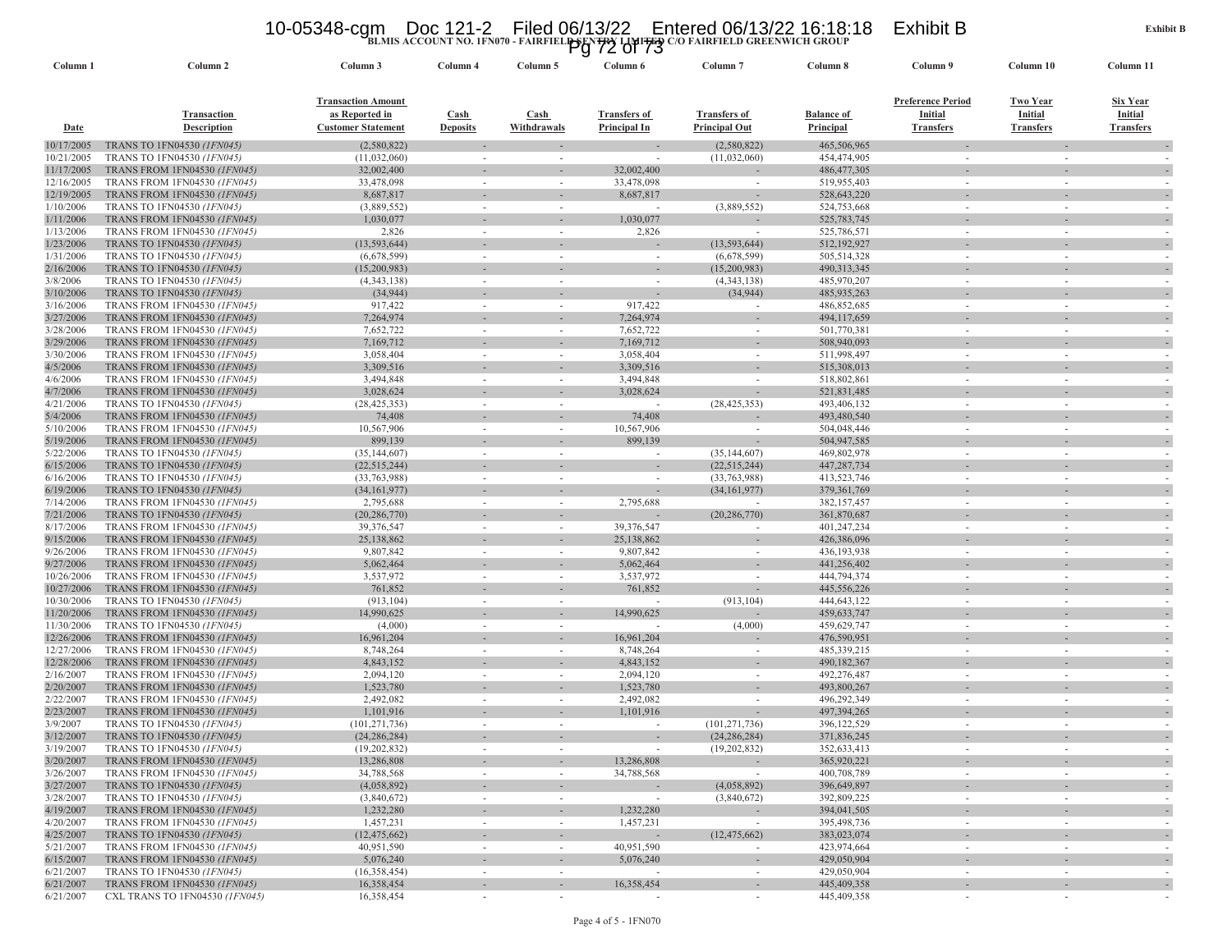### 10-05348-cgm Doc 121-2 Filed 06/13/22 Entered 06/13/22 16:18:18 Exhibit B<br>Pg 72 of 73<br>Pg 72 of 73

| Column 1                | Column <sub>2</sub>                                                        | Column 3                                                                 | Column 4                                             | Column 5                           | Column 6                                   | Column <sub>7</sub>                         | Column 8                       | Column 9                                                | Column 10                                      | Column 11                               |
|-------------------------|----------------------------------------------------------------------------|--------------------------------------------------------------------------|------------------------------------------------------|------------------------------------|--------------------------------------------|---------------------------------------------|--------------------------------|---------------------------------------------------------|------------------------------------------------|-----------------------------------------|
| Date                    | Transaction<br><b>Description</b>                                          | <b>Transaction Amount</b><br>as Reported in<br><b>Customer Statement</b> | Cash<br><b>Deposits</b>                              | Cash<br>Withdrawals                | <b>Transfers of</b><br><b>Principal In</b> | <b>Transfers of</b><br><b>Principal Out</b> | <b>Balance of</b><br>Principal | <b>Preference Period</b><br>Initial<br><b>Transfers</b> | <b>Two Year</b><br>Initial<br><b>Transfers</b> | Six Year<br>Initial<br><b>Transfers</b> |
| 10/17/2005              | TRANS TO 1FN04530 (1FN045)                                                 | (2,580,822)                                                              |                                                      |                                    |                                            | (2,580,822)                                 | 465,506,965                    |                                                         |                                                |                                         |
| 10/21/2005              | TRANS TO 1FN04530 (1FN045)                                                 | (11,032,060)                                                             |                                                      |                                    |                                            | (11,032,060)                                | 454,474,905                    |                                                         |                                                |                                         |
| 11/17/2005              | <b>TRANS FROM 1FN04530 (1FN045)</b>                                        | 32,002,400                                                               |                                                      |                                    | 32,002,400                                 |                                             | 486, 477, 305                  |                                                         |                                                |                                         |
| 12/16/2005              | <b>TRANS FROM 1FN04530 (1FN045)</b>                                        | 33,478,098                                                               |                                                      | ٠                                  | 33,478,098                                 | $\sim$                                      | 519,955,403                    |                                                         |                                                |                                         |
| 12/19/2005              | <b>TRANS FROM 1FN04530 (1FN045)</b>                                        | 8,687,817                                                                |                                                      |                                    | 8,687,817                                  |                                             | 528,643,220                    |                                                         |                                                |                                         |
| 1/10/2006               | TRANS TO 1FN04530 (1FN045)                                                 | (3,889,552)                                                              | $\sim$                                               | $\sim$                             | $\sim$                                     | (3,889,552)                                 | 524,753,668                    | $\sim$                                                  |                                                | $\overline{\phantom{a}}$                |
| 1/11/2006               | <b>TRANS FROM 1FN04530 (1FN045)</b>                                        | 1,030,077                                                                |                                                      |                                    | 1,030,077                                  |                                             | 525,783,745                    |                                                         |                                                |                                         |
| 1/13/2006               | TRANS FROM 1FN04530 (1FN045)<br>TRANS TO 1FN04530 (1FN045)                 | 2,826<br>(13, 593, 644)                                                  | $\overline{\phantom{a}}$                             | ٠                                  | 2,826                                      | $\sim$                                      | 525,786,571                    | $\sim$                                                  |                                                |                                         |
| 1/23/2006<br>1/31/2006  | TRANS TO 1FN04530 (1FN045)                                                 | (6,678,599)                                                              | $\overline{\phantom{a}}$                             | ٠                                  | $\overline{\phantom{a}}$                   | (13, 593, 644)<br>(6,678,599)               | 512,192,927<br>505,514,328     |                                                         |                                                |                                         |
| 2/16/2006               | TRANS TO 1FN04530 (1FN045)                                                 | (15,200,983)                                                             |                                                      |                                    |                                            | (15,200,983)                                | 490,313,345                    |                                                         |                                                |                                         |
| 3/8/2006                | TRANS TO 1FN04530 (1FN045)                                                 | (4,343,138)                                                              | $\overline{\phantom{a}}$                             | $\sim$                             | $\sim$                                     | (4,343,138)                                 | 485,970,207                    | $\sim$                                                  |                                                |                                         |
| 3/10/2006               | TRANS TO 1FN04530 (1FN045)                                                 | (34, 944)                                                                |                                                      |                                    |                                            | (34, 944)                                   | 485,935,263                    |                                                         |                                                |                                         |
| 3/16/2006               | TRANS FROM 1FN04530 (1FN045)                                               | 917,422                                                                  | $\overline{\phantom{a}}$                             | $\sim$                             | 917,422                                    |                                             | 486, 852, 685                  | $\sim$                                                  |                                                |                                         |
| 3/27/2006               | <b>TRANS FROM 1FN04530 (1FN045)</b>                                        | 7,264,974                                                                |                                                      |                                    | 7,264,974                                  |                                             | 494,117,659                    |                                                         |                                                |                                         |
| 3/28/2006               | TRANS FROM 1FN04530 (1FN045)                                               | 7,652,722                                                                | $\sim$                                               | $\sim$                             | 7,652,722                                  |                                             | 501,770,381                    |                                                         |                                                |                                         |
| 3/29/2006               | <b>TRANS FROM 1FN04530 (1FN045)</b>                                        | 7,169,712                                                                |                                                      |                                    | 7,169,712                                  |                                             | 508,940,093                    |                                                         |                                                |                                         |
| 3/30/2006               | TRANS FROM 1FN04530 (1FN045)                                               | 3,058,404                                                                | $\overline{\phantom{a}}$                             | ٠                                  | 3,058,404                                  |                                             | 511,998,497                    |                                                         |                                                |                                         |
| 4/5/2006                | TRANS FROM 1FN04530 (1FN045)                                               | 3,309,516                                                                |                                                      |                                    | 3,309,516                                  |                                             | 515,308,013                    |                                                         |                                                |                                         |
| 4/6/2006                | TRANS FROM 1FN04530 (1FN045)                                               | 3,494,848                                                                | $\overline{\phantom{a}}$                             | $\sim$                             | 3,494,848                                  | $\sim$                                      | 518,802,861                    | $\sim$                                                  |                                                |                                         |
| 4/7/2006                | <b>TRANS FROM 1FN04530 (1FN045)</b>                                        | 3,028,624                                                                |                                                      |                                    | 3,028,624                                  |                                             | 521,831,485                    |                                                         |                                                |                                         |
| 4/21/2006               | <b>TRANS TO 1FN04530 (1FN045)</b>                                          | (28, 425, 353)                                                           | $\overline{\phantom{a}}$                             | $\sim$                             |                                            | (28, 425, 353)                              | 493,406,132                    | $\sim$                                                  |                                                |                                         |
| 5/4/2006                | <b>TRANS FROM 1FN04530 (1FN045)</b>                                        | 74,408                                                                   |                                                      |                                    | 74,408                                     |                                             | 493,480,540                    |                                                         |                                                |                                         |
| 5/10/2006               | <b>TRANS FROM 1FN04530 (IFN045)</b>                                        | 10,567,906                                                               | $\sim$                                               | ٠                                  | 10,567,906                                 |                                             | 504,048,446                    |                                                         |                                                |                                         |
| 5/19/2006               | <b>TRANS FROM 1FN04530 (1FN045)</b>                                        | 899,139                                                                  |                                                      |                                    | 899,139                                    |                                             | 504,947,585                    |                                                         |                                                |                                         |
| 5/22/2006               | TRANS TO 1FN04530 (1FN045)                                                 | (35, 144, 607)                                                           | $\overline{\phantom{a}}$                             | ٠                                  | $\sim$                                     | (35, 144, 607)                              | 469,802,978                    |                                                         |                                                |                                         |
| 6/15/2006               | TRANS TO 1FN04530 (1FN045)                                                 | (22, 515, 244)                                                           |                                                      |                                    |                                            | (22, 515, 244)                              | 447,287,734                    |                                                         |                                                |                                         |
| 6/16/2006<br>6/19/2006  | TRANS TO 1FN04530 (1FN045)                                                 | (33, 763, 988)                                                           | $\sim$                                               | $\sim$                             | $\overline{\phantom{a}}$                   | (33,763,988)                                | 413,523,746                    | $\sim$                                                  |                                                | $\overline{\phantom{a}}$                |
| 7/14/2006               | TRANS TO 1FN04530 (1FN045)<br>TRANS FROM 1FN04530 (1FN045)                 | (34, 161, 977)<br>2,795,688                                              | $\overline{\phantom{a}}$                             | $\sim$                             | 2,795,688                                  | (34, 161, 977)                              | 379, 361, 769<br>382,157,457   |                                                         |                                                |                                         |
| 7/21/2006               | TRANS TO 1FN04530 (1FN045)                                                 | (20, 286, 770)                                                           |                                                      |                                    |                                            | (20, 286, 770)                              | 361,870,687                    |                                                         |                                                |                                         |
| 8/17/2006               | <b>TRANS FROM 1FN04530 (1FN045)</b>                                        | 39,376,547                                                               |                                                      |                                    | 39,376,547                                 |                                             | 401,247,234                    |                                                         |                                                |                                         |
| 9/15/2006               | <b>TRANS FROM 1FN04530 (1FN045)</b>                                        | 25,138,862                                                               |                                                      |                                    | 25,138,862                                 |                                             | 426,386,096                    |                                                         |                                                |                                         |
| 9/26/2006               | TRANS FROM 1FN04530 (1FN045)                                               | 9,807,842                                                                | $\sim$                                               | $\sim$                             | 9,807,842                                  | $\sim$                                      | 436,193,938                    | $\sim$                                                  |                                                | $\overline{\phantom{a}}$                |
| 9/27/2006               | <b>TRANS FROM 1FN04530 (1FN045)</b>                                        | 5,062,464                                                                |                                                      |                                    | 5,062,464                                  |                                             | 441,256,402                    |                                                         |                                                |                                         |
| 10/26/2006              | TRANS FROM 1FN04530 (1FN045)                                               | 3,537,972                                                                | $\overline{\phantom{a}}$                             |                                    | 3,537,972                                  |                                             | 444,794,374                    |                                                         |                                                |                                         |
| 10/27/2006              | <b>TRANS FROM 1FN04530 (1FN045)</b>                                        | 761,852                                                                  |                                                      |                                    | 761,852                                    |                                             | 445,556,226                    |                                                         |                                                |                                         |
| 10/30/2006              | TRANS TO 1FN04530 (1FN045)                                                 | (913, 104)                                                               | $\sim$                                               | $\sim$                             |                                            | (913, 104)                                  | 444,643,122                    |                                                         |                                                |                                         |
| 11/20/2006              | <b>TRANS FROM 1FN04530 (1FN045)</b>                                        | 14,990,625                                                               |                                                      |                                    | 14,990,625                                 |                                             | 459, 633, 747                  |                                                         |                                                |                                         |
| 11/30/2006              | TRANS TO 1FN04530 (1FN045)                                                 | (4,000)                                                                  | $\overline{\phantom{a}}$                             | ٠                                  |                                            | (4,000)                                     | 459,629,747                    |                                                         |                                                |                                         |
| 12/26/2006              | TRANS FROM 1FN04530 (1FN045)                                               | 16,961,204                                                               |                                                      |                                    | 16,961,204                                 |                                             | 476,590,951                    |                                                         |                                                |                                         |
| 12/27/2006              | TRANS FROM 1FN04530 (1FN045)                                               | 8,748,264                                                                | $\overline{\phantom{a}}$                             | $\sim$                             | 8,748,264                                  | $\sim$                                      | 485,339,215                    | $\sim$                                                  |                                                |                                         |
| 12/28/2006<br>2/16/2007 | <b>TRANS FROM 1FN04530 (1FN045)</b><br>TRANS FROM 1FN04530 (1FN045)        | 4,843,152<br>2,094,120                                                   | $\sim$                                               | ٠                                  | 4,843,152<br>2,094,120                     | $\sim$                                      | 490,182,367<br>492,276,487     | $\sim$                                                  |                                                |                                         |
| 2/20/2007               | TRANS FROM 1FN04530 (1FN045)                                               | 1,523,780                                                                |                                                      |                                    | 1,523,780                                  |                                             | 493,800,267                    |                                                         |                                                |                                         |
| 2/22/2007               | <b>TRANS FROM 1FN04530 (1FN045)</b>                                        | 2,492,082                                                                |                                                      | ٠                                  | 2,492,082                                  |                                             | 496,292,349                    |                                                         |                                                |                                         |
| 2/23/2007               | <b>TRANS FROM 1FN04530 (1FN045)</b>                                        | 1,101,916                                                                |                                                      |                                    | 1,101,916                                  |                                             | 497,394,265                    |                                                         |                                                |                                         |
| 3/9/2007                | TRANS TO 1FN04530 (1FN045)                                                 | (101, 271, 736)                                                          |                                                      | ٠                                  | $\sim$                                     | (101, 271, 736)                             | 396,122,529                    |                                                         |                                                |                                         |
| 3/12/2007               | TRANS TO 1FN04530 (1FN045)                                                 | (24, 286, 284)                                                           |                                                      |                                    |                                            | (24, 286, 284)                              | 371,836,245                    |                                                         |                                                |                                         |
| 3/19/2007               | TRANS TO 1FN04530 (1FN045)                                                 | (19.202.832)                                                             |                                                      |                                    |                                            | (19,202,832)                                | 352,633,413                    |                                                         |                                                |                                         |
| 3/20/2007               | TRANS FROM 1FN04530 (IFN045)                                               | 13,286,808                                                               |                                                      |                                    | 13,286,808                                 |                                             | 365,920,221                    |                                                         |                                                | $\overline{\phantom{a}}$                |
| 3/26/2007               | <b>TRANS FROM 1FN04530 (1FN045)</b>                                        | 34,788,568                                                               |                                                      | $\sim$                             | 34,788,568                                 |                                             | 400,708,789                    |                                                         |                                                |                                         |
| 3/27/2007               | TRANS TO 1FN04530 (1FN045)                                                 | (4,058,892)                                                              |                                                      |                                    |                                            | (4,058,892)                                 | 396,649,897                    |                                                         |                                                |                                         |
| 3/28/2007               | TRANS TO 1FN04530 (1FN045)                                                 | (3,840,672)                                                              | $\overline{\phantom{a}}$                             | $\sim$                             | $\sim$                                     | (3,840,672)                                 | 392,809,225                    | $\sim$                                                  | $\sim$                                         | $\overline{\phantom{a}}$                |
| 4/19/2007               | <b>TRANS FROM 1FN04530 (1FN045)</b>                                        | 1,232,280                                                                |                                                      |                                    | 1,232,280                                  |                                             | 394,041,505                    |                                                         |                                                |                                         |
| 4/20/2007               | <b>TRANS FROM 1FN04530 (1FN045)</b>                                        | 1,457,231                                                                | $\sim$                                               | $\sim$                             | 1,457,231                                  | $\sim$                                      | 395,498,736                    | $\sim$                                                  | $\sim$                                         | $\sim$                                  |
| 4/25/2007               | <b>TRANS TO 1FN04530 (1FN045)</b>                                          | (12, 475, 662)                                                           |                                                      | $\overline{\phantom{a}}$           |                                            | (12, 475, 662)                              | 383,023,074                    |                                                         |                                                |                                         |
| 5/21/2007               | <b>TRANS FROM 1FN04530 (1FN045)</b><br><b>TRANS FROM 1FN04530 (1FN045)</b> | 40,951,590                                                               | $\sim$                                               | $\sim$                             | 40,951,590                                 | $\sim$                                      | 423,974,664                    | $\sim$                                                  | $\sim$                                         |                                         |
| 6/15/2007<br>6/21/2007  | TRANS TO 1FN04530 (1FN045)                                                 | 5,076,240<br>(16,358,454)                                                | $\overline{\phantom{a}}$<br>$\overline{\phantom{a}}$ | $\overline{\phantom{a}}$<br>$\sim$ | 5,076,240                                  |                                             | 429,050,904<br>429,050,904     | $\sim$                                                  |                                                | $\overline{\phantom{a}}$                |
| 6/21/2007               | <b>TRANS FROM 1FN04530 (1FN045)</b>                                        | 16,358,454                                                               |                                                      | ÷                                  | 16,358,454                                 |                                             | 445,409,358                    |                                                         |                                                |                                         |
| 6/21/2007               | CXL TRANS TO 1FN04530 (1FN045)                                             | 16,358,454                                                               |                                                      |                                    |                                            |                                             | 445,409,358                    |                                                         |                                                |                                         |